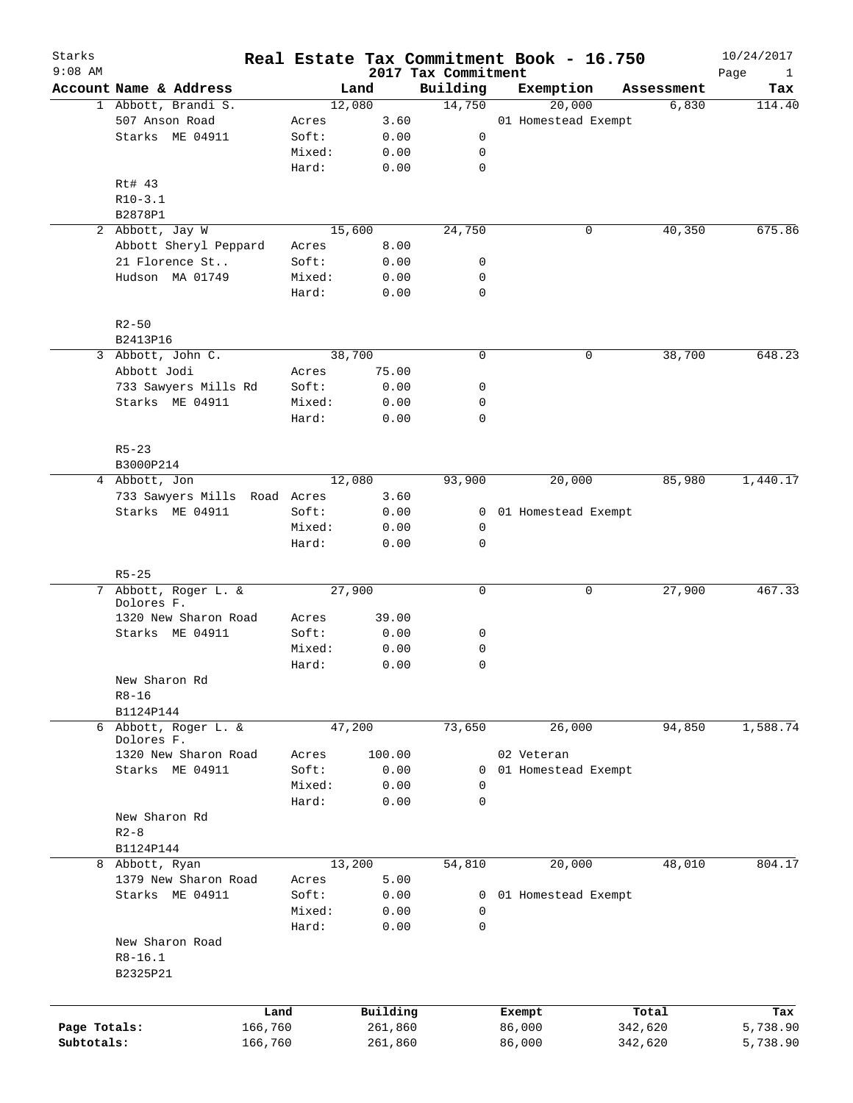| Starks<br>$9:08$ AM |                                    |        |          | 2017 Tax Commitment | Real Estate Tax Commitment Book - 16.750 |            | 10/24/2017                  |
|---------------------|------------------------------------|--------|----------|---------------------|------------------------------------------|------------|-----------------------------|
|                     | Account Name & Address             |        | Land     | Building            | Exemption                                | Assessment | Page<br>$\mathbf{1}$<br>Tax |
|                     | 1 Abbott, Brandi S.                |        | 12,080   | 14,750              | 20,000                                   | 6,830      | 114.40                      |
|                     | 507 Anson Road                     | Acres  | 3.60     |                     | 01 Homestead Exempt                      |            |                             |
|                     | Starks ME 04911                    | Soft:  | 0.00     | 0                   |                                          |            |                             |
|                     |                                    | Mixed: | 0.00     | 0                   |                                          |            |                             |
|                     |                                    | Hard:  | 0.00     | $\mathbf 0$         |                                          |            |                             |
|                     | Rt# 43                             |        |          |                     |                                          |            |                             |
|                     | $R10-3.1$                          |        |          |                     |                                          |            |                             |
|                     | B2878P1                            |        |          |                     |                                          |            |                             |
|                     | 2 Abbott, Jay W                    |        | 15,600   | 24,750              | 0                                        | 40,350     | 675.86                      |
|                     | Abbott Sheryl Peppard              | Acres  | 8.00     |                     |                                          |            |                             |
|                     | 21 Florence St                     | Soft:  | 0.00     | 0                   |                                          |            |                             |
|                     | Hudson MA 01749                    | Mixed: | 0.00     | 0                   |                                          |            |                             |
|                     |                                    | Hard:  | 0.00     | $\mathbf 0$         |                                          |            |                             |
|                     | $R2 - 50$                          |        |          |                     |                                          |            |                             |
|                     | B2413P16                           |        |          |                     |                                          |            |                             |
|                     | 3 Abbott, John C.                  |        | 38,700   | $\mathbf 0$         | 0                                        | 38,700     | 648.23                      |
|                     | Abbott Jodi                        | Acres  | 75.00    |                     |                                          |            |                             |
|                     | 733 Sawyers Mills Rd               | Soft:  | 0.00     | 0                   |                                          |            |                             |
|                     | Starks ME 04911                    | Mixed: | 0.00     | 0                   |                                          |            |                             |
|                     |                                    | Hard:  | 0.00     | $\mathbf 0$         |                                          |            |                             |
|                     | $R5 - 23$                          |        |          |                     |                                          |            |                             |
|                     | B3000P214<br>4 Abbott, Jon         |        | 12,080   | 93,900              | 20,000                                   | 85,980     | 1,440.17                    |
|                     | 733 Sawyers Mills Road Acres       |        | 3.60     |                     |                                          |            |                             |
|                     | Starks ME 04911                    | Soft:  | 0.00     | 0                   | 01 Homestead Exempt                      |            |                             |
|                     |                                    | Mixed: | 0.00     | 0                   |                                          |            |                             |
|                     |                                    | Hard:  | 0.00     | $\mathbf 0$         |                                          |            |                             |
|                     |                                    |        |          |                     |                                          |            |                             |
|                     | $R5 - 25$                          |        |          |                     |                                          |            | 467.33                      |
| 7                   | Abbott, Roger L. &<br>Dolores F.   |        | 27,900   | 0                   | 0                                        | 27,900     |                             |
|                     | 1320 New Sharon Road               | Acres  | 39.00    |                     |                                          |            |                             |
|                     | Starks ME 04911                    | Soft:  | 0.00     | 0                   |                                          |            |                             |
|                     |                                    | Mixed: | 0.00     | 0                   |                                          |            |                             |
|                     |                                    | Hard:  | 0.00     | $\mathbf 0$         |                                          |            |                             |
|                     | New Sharon Rd                      |        |          |                     |                                          |            |                             |
|                     | $R8 - 16$                          |        |          |                     |                                          |            |                             |
|                     | B1124P144                          |        |          |                     |                                          |            |                             |
|                     | 6 Abbott, Roger L. &<br>Dolores F. |        | 47,200   | 73,650              | 26,000                                   | 94,850     | 1,588.74                    |
|                     | 1320 New Sharon Road               | Acres  | 100.00   |                     | 02 Veteran                               |            |                             |
|                     | Starks ME 04911                    | Soft:  | 0.00     | 0                   | 01 Homestead Exempt                      |            |                             |
|                     |                                    | Mixed: | 0.00     | 0                   |                                          |            |                             |
|                     |                                    | Hard:  | 0.00     | $\mathbf 0$         |                                          |            |                             |
|                     | New Sharon Rd                      |        |          |                     |                                          |            |                             |
|                     | $R2 - 8$                           |        |          |                     |                                          |            |                             |
|                     | B1124P144                          |        |          |                     |                                          |            |                             |
| 8                   | Abbott, Ryan                       |        | 13,200   | 54,810              | 20,000                                   | 48,010     | 804.17                      |
|                     | 1379 New Sharon Road               | Acres  | 5.00     |                     |                                          |            |                             |
|                     | Starks ME 04911                    | Soft:  | 0.00     | 0                   | 01 Homestead Exempt                      |            |                             |
|                     |                                    | Mixed: | 0.00     | 0                   |                                          |            |                             |
|                     |                                    | Hard:  | 0.00     | $\mathbf 0$         |                                          |            |                             |
|                     | New Sharon Road                    |        |          |                     |                                          |            |                             |
|                     | $R8 - 16.1$                        |        |          |                     |                                          |            |                             |
|                     | B2325P21                           |        |          |                     |                                          |            |                             |
|                     |                                    | Land   | Building |                     | Exempt                                   | Total      | Tax                         |
| Page Totals:        | 166,760                            |        | 261,860  |                     | 86,000                                   | 342,620    | 5,738.90                    |
| Subtotals:          | 166,760                            |        | 261,860  |                     | 86,000                                   | 342,620    | 5,738.90                    |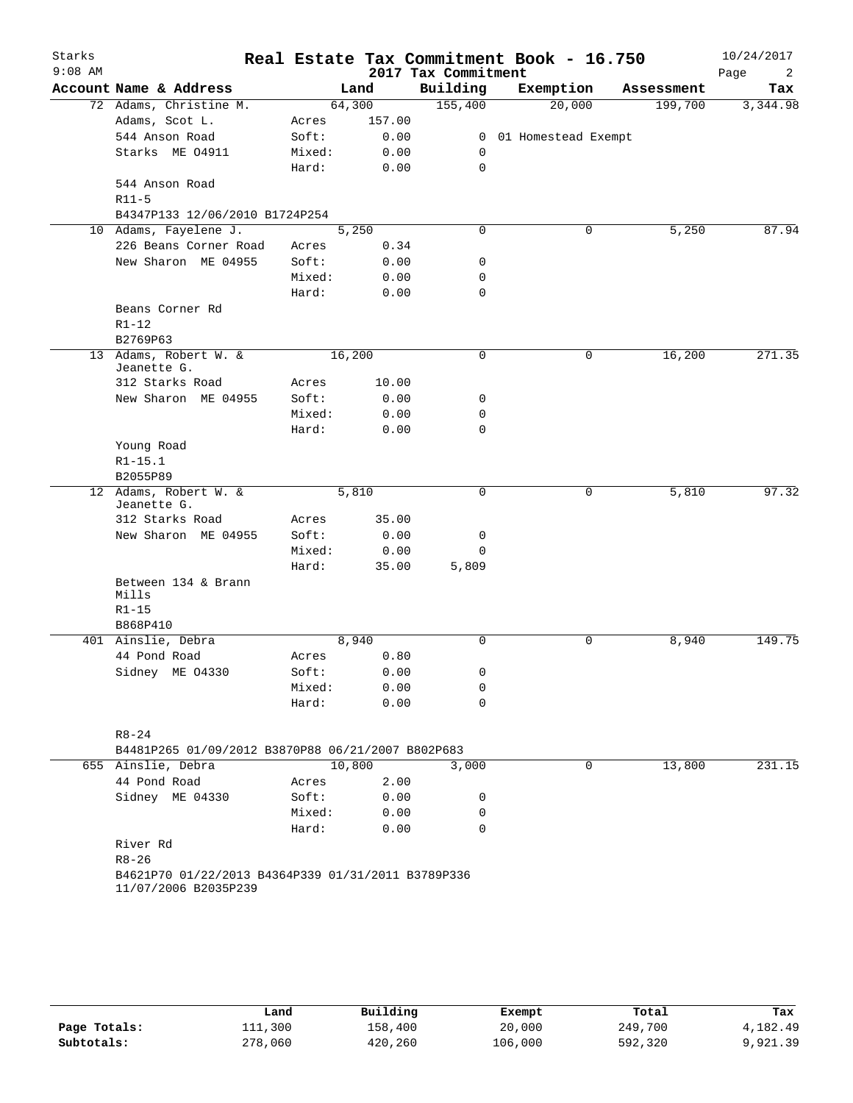| Starks<br>$9:08$ AM |                                                    |        |                    | 2017 Tax Commitment | Real Estate Tax Commitment Book - 16.750 |            | 10/24/2017<br>Page<br>2 |
|---------------------|----------------------------------------------------|--------|--------------------|---------------------|------------------------------------------|------------|-------------------------|
|                     | Account Name & Address                             |        | Land               | Building            | Exemption                                | Assessment | Tax                     |
|                     | 72 Adams, Christine M.                             |        | 64,300             | 155,400             | 20,000                                   | 199,700    | 3,344.98                |
|                     | Adams, Scot L.                                     | Acres  | 157.00             |                     |                                          |            |                         |
|                     | 544 Anson Road                                     | Soft:  | 0.00               |                     | 0 01 Homestead Exempt                    |            |                         |
|                     | Starks ME 04911                                    | Mixed: | 0.00               | 0                   |                                          |            |                         |
|                     |                                                    | Hard:  | 0.00               | 0                   |                                          |            |                         |
|                     | 544 Anson Road                                     |        |                    |                     |                                          |            |                         |
|                     | $R11-5$                                            |        |                    |                     |                                          |            |                         |
|                     | B4347P133 12/06/2010 B1724P254                     |        |                    |                     |                                          |            |                         |
|                     | 10 Adams, Fayelene J.                              |        | $\overline{5,250}$ | 0                   | 0                                        | 5,250      | 87.94                   |
|                     | 226 Beans Corner Road                              | Acres  | 0.34               |                     |                                          |            |                         |
|                     | New Sharon ME 04955                                | Soft:  | 0.00               | 0                   |                                          |            |                         |
|                     |                                                    | Mixed: | 0.00               | 0                   |                                          |            |                         |
|                     |                                                    | Hard:  | 0.00               | 0                   |                                          |            |                         |
|                     | Beans Corner Rd                                    |        |                    |                     |                                          |            |                         |
|                     | $R1 - 12$                                          |        |                    |                     |                                          |            |                         |
|                     | B2769P63                                           |        |                    |                     |                                          |            |                         |
|                     | 13 Adams, Robert W. &                              |        | 16,200             | 0                   | 0                                        | 16,200     | 271.35                  |
|                     | Jeanette G.                                        |        |                    |                     |                                          |            |                         |
|                     | 312 Starks Road                                    | Acres  | 10.00              |                     |                                          |            |                         |
|                     | New Sharon ME 04955                                | Soft:  | 0.00               | 0                   |                                          |            |                         |
|                     |                                                    | Mixed: | 0.00               | 0                   |                                          |            |                         |
|                     |                                                    | Hard:  | 0.00               | 0                   |                                          |            |                         |
|                     | Young Road                                         |        |                    |                     |                                          |            |                         |
|                     | $R1 - 15.1$                                        |        |                    |                     |                                          |            |                         |
|                     | B2055P89                                           |        |                    |                     |                                          |            |                         |
|                     | 12 Adams, Robert W. &                              |        | 5,810              | 0                   | 0                                        | 5,810      | 97.32                   |
|                     | Jeanette G.                                        |        |                    |                     |                                          |            |                         |
|                     | 312 Starks Road                                    | Acres  | 35.00              |                     |                                          |            |                         |
|                     | New Sharon ME 04955                                | Soft:  | 0.00               | 0                   |                                          |            |                         |
|                     |                                                    | Mixed: | 0.00               | 0                   |                                          |            |                         |
|                     |                                                    | Hard:  | 35.00              | 5,809               |                                          |            |                         |
|                     | Between 134 & Brann                                |        |                    |                     |                                          |            |                         |
|                     | Mills                                              |        |                    |                     |                                          |            |                         |
|                     | $R1 - 15$                                          |        |                    |                     |                                          |            |                         |
|                     | B868P410                                           |        |                    |                     |                                          |            |                         |
|                     | 401 Ainslie, Debra                                 |        | 8,940              | $\Omega$            | 0                                        | 8,940      | 149.75                  |
|                     | 44 Pond Road                                       | Acres  | 0.80               |                     |                                          |            |                         |
|                     | Sidney ME 04330                                    | Soft:  | 0.00               | 0                   |                                          |            |                         |
|                     |                                                    | Mixed: | 0.00               | 0                   |                                          |            |                         |
|                     |                                                    | Hard:  | 0.00               | $\Omega$            |                                          |            |                         |
|                     |                                                    |        |                    |                     |                                          |            |                         |
|                     | $R8 - 24$                                          |        |                    |                     |                                          |            |                         |
|                     | B4481P265 01/09/2012 B3870P88 06/21/2007 B802P683  |        |                    |                     |                                          |            |                         |
|                     | 655 Ainslie, Debra                                 |        | 10,800             | 3,000               | 0                                        | 13,800     | 231.15                  |
|                     | 44 Pond Road                                       | Acres  | 2.00               |                     |                                          |            |                         |
|                     | Sidney ME 04330                                    | Soft:  | 0.00               | 0                   |                                          |            |                         |
|                     |                                                    | Mixed: | 0.00               | 0                   |                                          |            |                         |
|                     |                                                    | Hard:  | 0.00               | 0                   |                                          |            |                         |
|                     | River Rd                                           |        |                    |                     |                                          |            |                         |
|                     | $R8 - 26$                                          |        |                    |                     |                                          |            |                         |
|                     | B4621P70 01/22/2013 B4364P339 01/31/2011 B3789P336 |        |                    |                     |                                          |            |                         |
|                     | 11/07/2006 B2035P239                               |        |                    |                     |                                          |            |                         |
|                     |                                                    |        |                    |                     |                                          |            |                         |
|                     |                                                    |        |                    |                     |                                          |            |                         |

|              | Land    | Building | Exempt  | Total   | Tax      |
|--------------|---------|----------|---------|---------|----------|
| Page Totals: | 111,300 | 158,400  | 20,000  | 249,700 | 4,182.49 |
| Subtotals:   | 278,060 | 420,260  | 106,000 | 592,320 | 9,921.39 |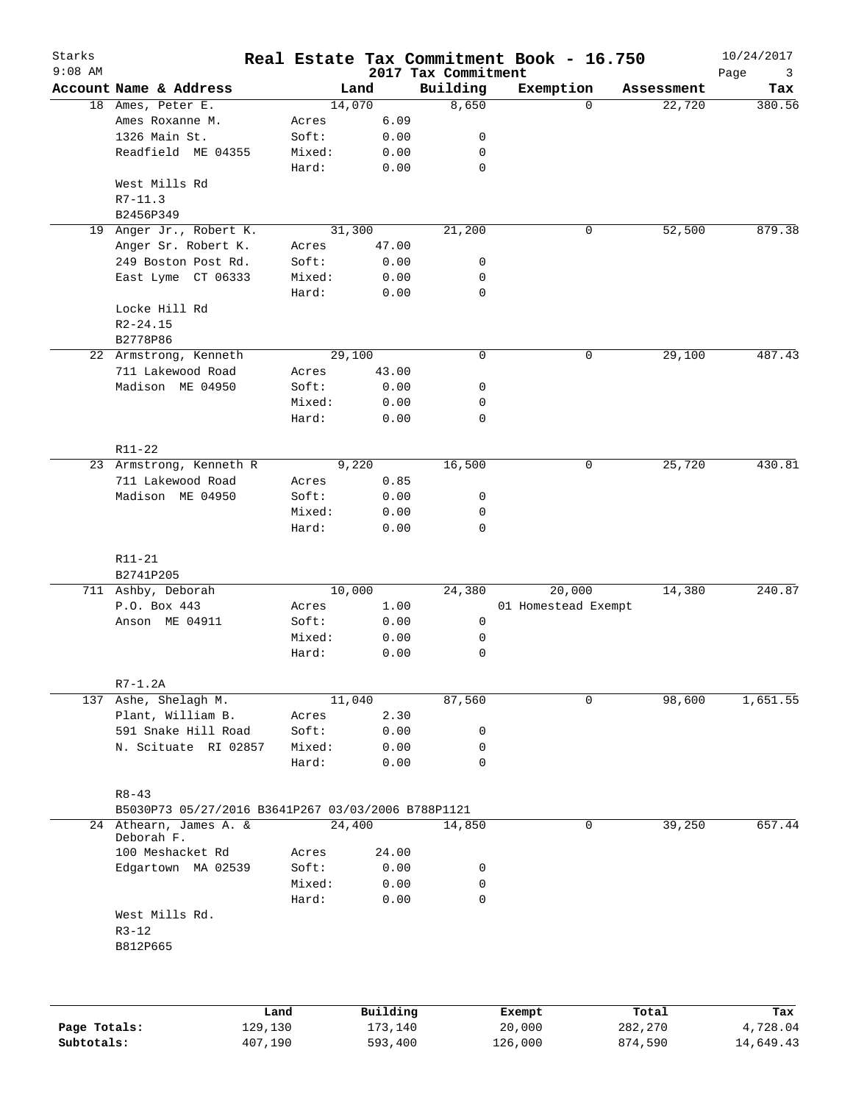| Starks       |                                                    |        |          |                                 | Real Estate Tax Commitment Book - 16.750 |            | 10/24/2017       |
|--------------|----------------------------------------------------|--------|----------|---------------------------------|------------------------------------------|------------|------------------|
| $9:08$ AM    | Account Name & Address                             |        | Land     | 2017 Tax Commitment<br>Building | Exemption                                | Assessment | Page<br>3<br>Tax |
|              | 18 Ames, Peter E.                                  |        | 14,070   | 8,650                           | $\Omega$                                 | 22,720     | 380.56           |
|              | Ames Roxanne M.                                    | Acres  | 6.09     |                                 |                                          |            |                  |
|              | 1326 Main St.                                      | Soft:  | 0.00     | 0                               |                                          |            |                  |
|              | Readfield ME 04355                                 | Mixed: | 0.00     | 0                               |                                          |            |                  |
|              |                                                    | Hard:  | 0.00     | 0                               |                                          |            |                  |
|              | West Mills Rd                                      |        |          |                                 |                                          |            |                  |
|              | $R7-11.3$                                          |        |          |                                 |                                          |            |                  |
|              | B2456P349                                          |        |          |                                 |                                          |            |                  |
| 19           | Anger Jr., Robert K.                               |        | 31, 300  | 21,200                          | 0                                        | 52,500     | 879.38           |
|              | Anger Sr. Robert K.                                | Acres  | 47.00    |                                 |                                          |            |                  |
|              | 249 Boston Post Rd.                                | Soft:  | 0.00     | 0                               |                                          |            |                  |
|              | East Lyme CT 06333                                 | Mixed: | 0.00     | 0                               |                                          |            |                  |
|              |                                                    | Hard:  | 0.00     | $\mathbf 0$                     |                                          |            |                  |
|              | Locke Hill Rd                                      |        |          |                                 |                                          |            |                  |
|              | $R2 - 24.15$                                       |        |          |                                 |                                          |            |                  |
|              | B2778P86<br>22 Armstrong, Kenneth                  |        | 29,100   | 0                               | 0                                        | 29,100     | 487.43           |
|              | 711 Lakewood Road                                  | Acres  | 43.00    |                                 |                                          |            |                  |
|              | Madison ME 04950                                   | Soft:  | 0.00     | 0                               |                                          |            |                  |
|              |                                                    | Mixed: | 0.00     | 0                               |                                          |            |                  |
|              |                                                    | Hard:  | 0.00     | 0                               |                                          |            |                  |
|              |                                                    |        |          |                                 |                                          |            |                  |
|              | $R11 - 22$                                         |        |          |                                 |                                          |            |                  |
|              | 23 Armstrong, Kenneth R                            |        | 9,220    | 16,500                          | 0                                        | 25,720     | 430.81           |
|              | 711 Lakewood Road                                  | Acres  | 0.85     |                                 |                                          |            |                  |
|              | Madison ME 04950                                   | Soft:  | 0.00     | 0                               |                                          |            |                  |
|              |                                                    | Mixed: | 0.00     | 0                               |                                          |            |                  |
|              |                                                    | Hard:  | 0.00     | 0                               |                                          |            |                  |
|              | R11-21                                             |        |          |                                 |                                          |            |                  |
|              | B2741P205                                          |        |          |                                 |                                          |            |                  |
|              | 711 Ashby, Deborah                                 |        | 10,000   | 24,380                          | 20,000                                   | 14,380     | 240.87           |
|              | P.O. Box 443                                       | Acres  | 1.00     |                                 | 01 Homestead Exempt                      |            |                  |
|              | Anson ME 04911                                     | Soft:  | 0.00     | 0                               |                                          |            |                  |
|              |                                                    | Mixed: | 0.00     | 0                               |                                          |            |                  |
|              |                                                    | Hard:  | 0.00     | 0                               |                                          |            |                  |
|              | $R7-1.2A$                                          |        |          |                                 |                                          |            |                  |
|              | 137 Ashe, Shelagh M.                               |        | 11,040   | 87,560                          | 0                                        | 98,600     | 1,651.55         |
|              | Plant, William B.                                  | Acres  | 2.30     |                                 |                                          |            |                  |
|              | 591 Snake Hill Road                                | Soft:  | 0.00     | 0                               |                                          |            |                  |
|              | N. Scituate RI 02857                               | Mixed: | 0.00     | 0                               |                                          |            |                  |
|              |                                                    | Hard:  | 0.00     | $\mathbf 0$                     |                                          |            |                  |
|              |                                                    |        |          |                                 |                                          |            |                  |
|              | $R8 - 43$                                          |        |          |                                 |                                          |            |                  |
|              | B5030P73 05/27/2016 B3641P267 03/03/2006 B788P1121 |        |          |                                 |                                          |            |                  |
|              | 24 Athearn, James A. &<br>Deborah F.               |        | 24,400   | 14,850                          | 0                                        | 39,250     | 657.44           |
|              | 100 Meshacket Rd                                   | Acres  | 24.00    |                                 |                                          |            |                  |
|              | Edgartown MA 02539                                 | Soft:  | 0.00     | 0                               |                                          |            |                  |
|              |                                                    | Mixed: | 0.00     | 0                               |                                          |            |                  |
|              |                                                    | Hard:  | 0.00     | $\mathbf 0$                     |                                          |            |                  |
|              | West Mills Rd.                                     |        |          |                                 |                                          |            |                  |
|              | $R3 - 12$                                          |        |          |                                 |                                          |            |                  |
|              | B812P665                                           |        |          |                                 |                                          |            |                  |
|              |                                                    |        |          |                                 |                                          |            |                  |
|              |                                                    |        |          |                                 |                                          |            |                  |
|              | Land                                               |        | Building |                                 | Exempt                                   | Total      | Tax              |
| Page Totals: | 129,130                                            |        | 173,140  |                                 | 20,000                                   | 282,270    | 4,728.04         |

**Subtotals:** 407,190 593,400 126,000 874,590 14,649.43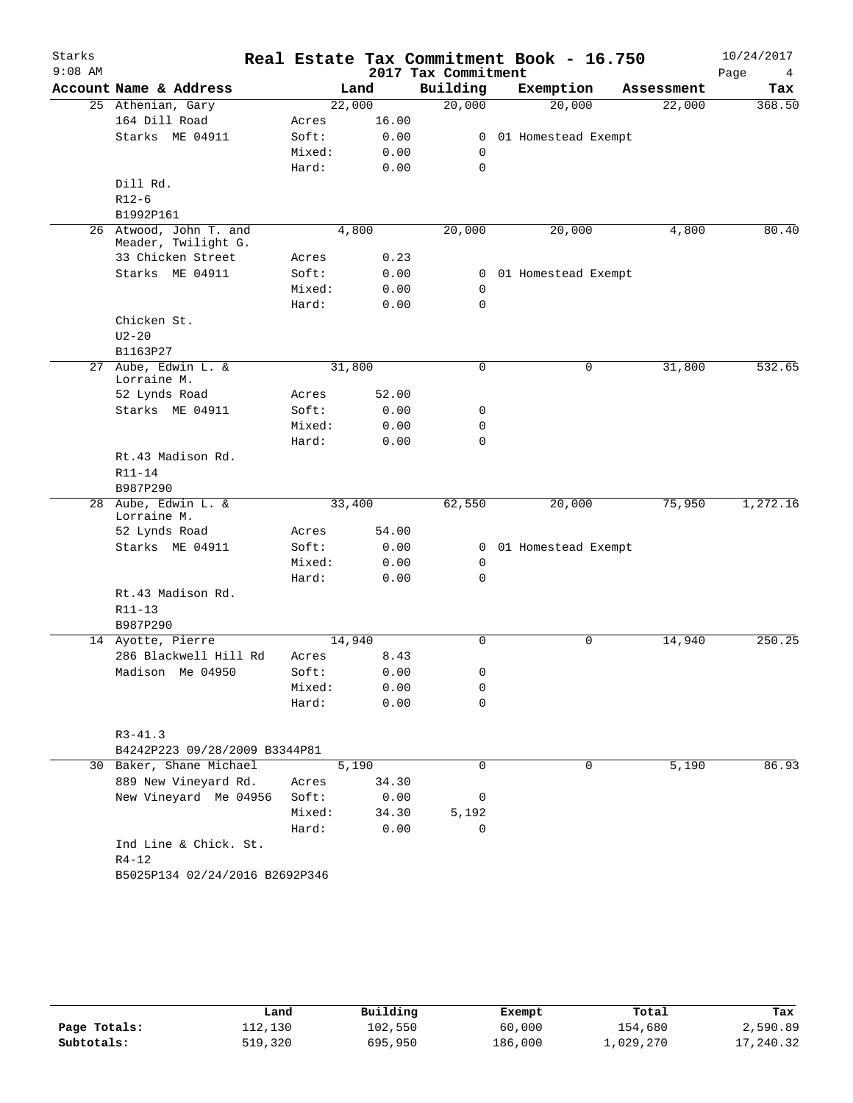| Starks<br>$9:08$ AM |                                    |                 |               |                     | Real Estate Tax Commitment Book - 16.750 |                       | 10/24/2017             |
|---------------------|------------------------------------|-----------------|---------------|---------------------|------------------------------------------|-----------------------|------------------------|
|                     |                                    |                 |               | 2017 Tax Commitment |                                          |                       | Page<br>$\overline{4}$ |
|                     | Account Name & Address             |                 | Land          | Building            | Exemption                                | Assessment            | Tax                    |
|                     | 25 Athenian, Gary<br>164 Dill Road |                 | 22,000        | 20,000              | 20,000                                   | 22,000                | 368.50                 |
|                     |                                    | Acres           | 16.00<br>0.00 |                     |                                          |                       |                        |
|                     | Starks ME 04911                    | Soft:<br>Mixed: | 0.00          | $\mathbf{0}$<br>0   | 01 Homestead Exempt                      |                       |                        |
|                     |                                    | Hard:           | 0.00          | $\mathbf 0$         |                                          |                       |                        |
|                     | Dill Rd.                           |                 |               |                     |                                          |                       |                        |
|                     | $R12-6$                            |                 |               |                     |                                          |                       |                        |
|                     | B1992P161                          |                 |               |                     |                                          |                       |                        |
|                     | 26 Atwood, John T. and             |                 | 4,800         | 20,000              | 20,000                                   | 4,800                 | 80.40                  |
|                     | Meader, Twilight G.                |                 |               |                     |                                          |                       |                        |
|                     | 33 Chicken Street                  | Acres           | 0.23          |                     |                                          |                       |                        |
|                     | Starks ME 04911                    | Soft:           | 0.00          |                     | 0 01 Homestead Exempt                    |                       |                        |
|                     |                                    | Mixed:          | 0.00          | 0                   |                                          |                       |                        |
|                     |                                    | Hard:           | 0.00          | $\mathbf 0$         |                                          |                       |                        |
|                     | Chicken St.                        |                 |               |                     |                                          |                       |                        |
|                     | $U2 - 20$                          |                 |               |                     |                                          |                       |                        |
|                     | B1163P27                           |                 |               |                     |                                          |                       |                        |
|                     | 27 Aube, Edwin L. &<br>Lorraine M. |                 | 31,800        | 0                   |                                          | $\mathbf 0$<br>31,800 | 532.65                 |
|                     | 52 Lynds Road                      | Acres           | 52.00         |                     |                                          |                       |                        |
|                     | Starks ME 04911                    | Soft:           | 0.00          | 0                   |                                          |                       |                        |
|                     |                                    | Mixed:          | 0.00          | 0                   |                                          |                       |                        |
|                     |                                    | Hard:           | 0.00          | $\mathbf 0$         |                                          |                       |                        |
|                     | Rt.43 Madison Rd.                  |                 |               |                     |                                          |                       |                        |
|                     | $R11 - 14$                         |                 |               |                     |                                          |                       |                        |
|                     | B987P290                           |                 |               |                     |                                          |                       |                        |
|                     | 28 Aube, Edwin L. &                |                 | 33,400        | 62,550              | 20,000                                   | 75,950                | 1,272.16               |
|                     | Lorraine M.                        |                 |               |                     |                                          |                       |                        |
|                     | 52 Lynds Road                      | Acres           | 54.00         |                     |                                          |                       |                        |
|                     | Starks ME 04911                    | Soft:           | 0.00          |                     | 0 01 Homestead Exempt                    |                       |                        |
|                     |                                    | Mixed:          | 0.00          | 0                   |                                          |                       |                        |
|                     |                                    | Hard:           | 0.00          | 0                   |                                          |                       |                        |
|                     | Rt.43 Madison Rd.<br>$R11 - 13$    |                 |               |                     |                                          |                       |                        |
|                     |                                    |                 |               |                     |                                          |                       |                        |
|                     | B987P290<br>14 Ayotte, Pierre      |                 | 14,940        | $\Omega$            |                                          | 14,940<br>$\mathbf 0$ | 250.25                 |
|                     | 286 Blackwell Hill Rd              | Acres           | 8.43          |                     |                                          |                       |                        |
|                     | Madison Me 04950                   | Soft:           |               | 0.00<br>0           |                                          |                       |                        |
|                     |                                    | Mixed:          | 0.00          | 0                   |                                          |                       |                        |
|                     |                                    | Hard:           | 0.00          | 0                   |                                          |                       |                        |
|                     |                                    |                 |               |                     |                                          |                       |                        |
|                     | $R3 - 41.3$                        |                 |               |                     |                                          |                       |                        |
|                     | B4242P223 09/28/2009 B3344P81      |                 |               |                     |                                          |                       |                        |
|                     | 30 Baker, Shane Michael            |                 | 5,190         | $\Omega$            |                                          | 5,190<br>$\mathbf 0$  | 86.93                  |
|                     | 889 New Vineyard Rd.               | Acres           | 34.30         |                     |                                          |                       |                        |
|                     | New Vineyard Me 04956              | Soft:           | 0.00          | 0                   |                                          |                       |                        |
|                     |                                    | Mixed:          | 34.30         | 5,192               |                                          |                       |                        |
|                     |                                    | Hard:           | 0.00          | 0                   |                                          |                       |                        |
|                     | Ind Line & Chick. St.              |                 |               |                     |                                          |                       |                        |
|                     | $R4 - 12$                          |                 |               |                     |                                          |                       |                        |
|                     | B5025P134 02/24/2016 B2692P346     |                 |               |                     |                                          |                       |                        |
|                     |                                    |                 |               |                     |                                          |                       |                        |

|              | Land    | Building | Exempt  | Total     | Tax       |
|--------------|---------|----------|---------|-----------|-----------|
| Page Totals: | 112,130 | 102,550  | 60,000  | 154,680   | 2,590.89  |
| Subtotals:   | 519,320 | 695,950  | 186,000 | l,029,270 | 17,240.32 |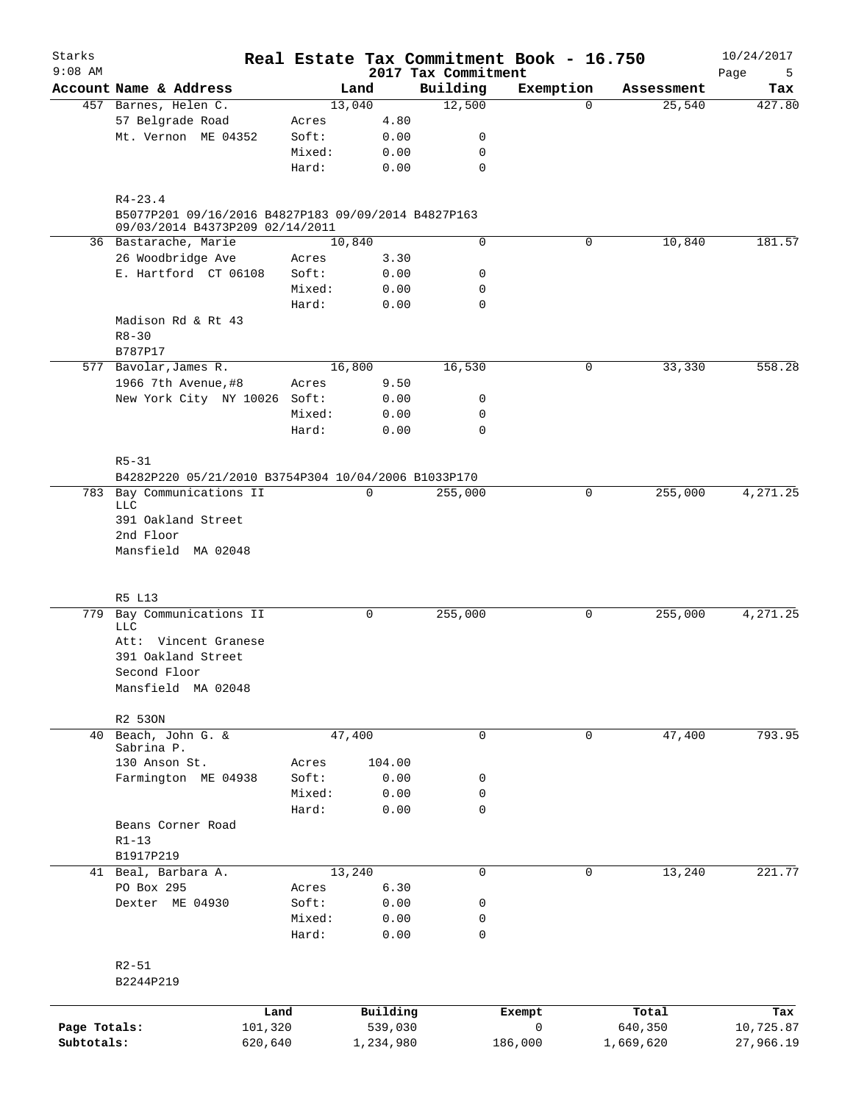| Starks<br>$9:08$ AM |                                                                                        |         |             |                                 | Real Estate Tax Commitment Book - 16.750 |            | 10/24/2017       |
|---------------------|----------------------------------------------------------------------------------------|---------|-------------|---------------------------------|------------------------------------------|------------|------------------|
|                     | Account Name & Address                                                                 |         | Land        | 2017 Tax Commitment<br>Building | Exemption                                | Assessment | Page<br>5<br>Tax |
|                     | 457 Barnes, Helen C.                                                                   |         | 13,040      | 12,500                          | $\mathbf 0$                              | 25,540     | 427.80           |
|                     | 57 Belgrade Road                                                                       | Acres   | 4.80        |                                 |                                          |            |                  |
|                     | Mt. Vernon ME 04352                                                                    | Soft:   | 0.00        | 0                               |                                          |            |                  |
|                     |                                                                                        | Mixed:  | 0.00        | 0                               |                                          |            |                  |
|                     |                                                                                        | Hard:   | 0.00        | $\mathbf 0$                     |                                          |            |                  |
|                     | $R4 - 23.4$                                                                            |         |             |                                 |                                          |            |                  |
|                     | B5077P201 09/16/2016 B4827P183 09/09/2014 B4827P163<br>09/03/2014 B4373P209 02/14/2011 |         |             |                                 |                                          |            |                  |
|                     | 36 Bastarache, Marie                                                                   |         | 10,840      | $\mathbf 0$                     | 0                                        | 10,840     | 181.57           |
|                     | 26 Woodbridge Ave                                                                      | Acres   | 3.30        |                                 |                                          |            |                  |
|                     | E. Hartford CT 06108                                                                   | Soft:   | 0.00        | 0                               |                                          |            |                  |
|                     |                                                                                        | Mixed:  | 0.00        | 0                               |                                          |            |                  |
|                     |                                                                                        | Hard:   | 0.00        | 0                               |                                          |            |                  |
|                     | Madison Rd & Rt 43<br>$R8 - 30$<br>B787P17                                             |         |             |                                 |                                          |            |                  |
|                     | 577 Bavolar, James R.                                                                  |         | 16,800      | 16,530                          | 0                                        | 33,330     | 558.28           |
|                     | 1966 7th Avenue, #8                                                                    | Acres   | 9.50        |                                 |                                          |            |                  |
|                     | New York City NY 10026 Soft:                                                           |         | 0.00        | 0                               |                                          |            |                  |
|                     |                                                                                        | Mixed:  | 0.00        | 0                               |                                          |            |                  |
|                     |                                                                                        | Hard:   | 0.00        | 0                               |                                          |            |                  |
|                     |                                                                                        |         |             |                                 |                                          |            |                  |
|                     | $R5 - 31$                                                                              |         |             |                                 |                                          |            |                  |
|                     | B4282P220 05/21/2010 B3754P304 10/04/2006 B1033P170                                    |         |             |                                 |                                          |            |                  |
|                     | 783 Bay Communications II                                                              |         | $\mathbf 0$ | 255,000                         | 0                                        | 255,000    | 4,271.25         |
|                     | LLC                                                                                    |         |             |                                 |                                          |            |                  |
|                     | 391 Oakland Street                                                                     |         |             |                                 |                                          |            |                  |
|                     | 2nd Floor<br>Mansfield MA 02048                                                        |         |             |                                 |                                          |            |                  |
| 779                 | R5 L13<br>Bay Communications II<br>LLC                                                 |         | 0           | 255,000                         | 0                                        | 255,000    | 4,271.25         |
|                     | Att: Vincent Granese<br>391 Oakland Street<br>Second Floor                             |         |             |                                 |                                          |            |                  |
|                     | Mansfield MA 02048                                                                     |         |             |                                 |                                          |            |                  |
|                     | R2 530N                                                                                |         |             |                                 |                                          |            |                  |
| 40                  | Beach, John G. &                                                                       |         | 47,400      | $\mathbf 0$                     | 0                                        | 47,400     | 793.95           |
|                     | Sabrina P.                                                                             |         |             |                                 |                                          |            |                  |
|                     | 130 Anson St.                                                                          | Acres   | 104.00      |                                 |                                          |            |                  |
|                     | Farmington ME 04938                                                                    | Soft:   | 0.00        | 0                               |                                          |            |                  |
|                     |                                                                                        | Mixed:  | 0.00        | 0                               |                                          |            |                  |
|                     |                                                                                        | Hard:   | 0.00        | $\mathbf 0$                     |                                          |            |                  |
|                     | Beans Corner Road                                                                      |         |             |                                 |                                          |            |                  |
|                     | $R1 - 13$<br>B1917P219                                                                 |         |             |                                 |                                          |            |                  |
|                     | 41 Beal, Barbara A.                                                                    |         | 13,240      | 0                               | 0                                        | 13,240     | 221.77           |
|                     | PO Box 295                                                                             | Acres   | 6.30        |                                 |                                          |            |                  |
|                     | Dexter ME 04930                                                                        | Soft:   | 0.00        | 0                               |                                          |            |                  |
|                     |                                                                                        | Mixed:  | 0.00        | 0                               |                                          |            |                  |
|                     |                                                                                        | Hard:   | 0.00        | $\mathbf 0$                     |                                          |            |                  |
|                     |                                                                                        |         |             |                                 |                                          |            |                  |
|                     | $R2 - 51$                                                                              |         |             |                                 |                                          |            |                  |
|                     | B2244P219                                                                              |         |             |                                 |                                          |            |                  |
|                     |                                                                                        | Land    | Building    |                                 | Exempt                                   | Total      | Tax              |
| Page Totals:        |                                                                                        | 101,320 | 539,030     |                                 | $\mathsf{O}$                             | 640,350    | 10,725.87        |
| Subtotals:          |                                                                                        | 620,640 | 1,234,980   |                                 | 186,000                                  | 1,669,620  | 27,966.19        |
|                     |                                                                                        |         |             |                                 |                                          |            |                  |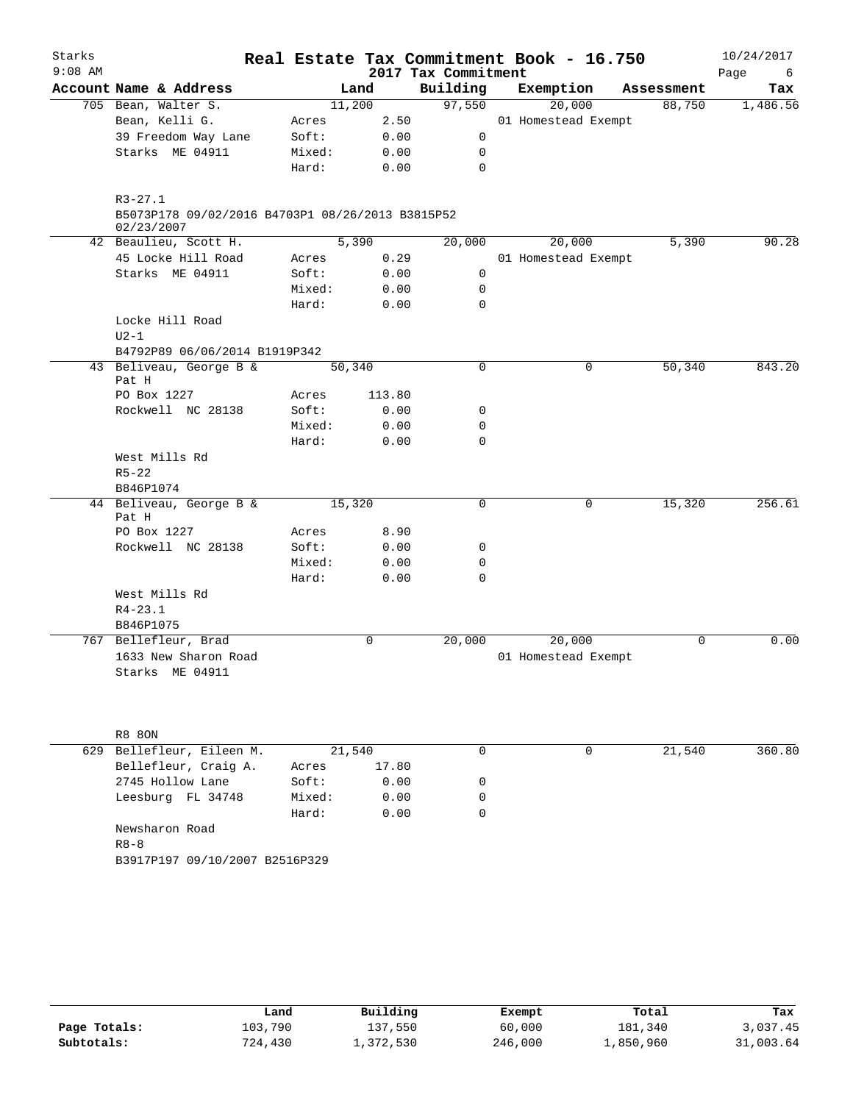| Starks    |                                                                |        |        |                     | Real Estate Tax Commitment Book - 16.750 |            | 10/24/2017 |
|-----------|----------------------------------------------------------------|--------|--------|---------------------|------------------------------------------|------------|------------|
| $9:08$ AM |                                                                |        |        | 2017 Tax Commitment |                                          |            | Page<br>6  |
|           | Account Name & Address                                         |        | Land   | Building            | Exemption                                | Assessment | Tax        |
|           | 705 Bean, Walter S.                                            | 11,200 |        | 97,550              | 20,000                                   | 88,750     | 1,486.56   |
|           | Bean, Kelli G.                                                 | Acres  | 2.50   |                     | 01 Homestead Exempt                      |            |            |
|           | 39 Freedom Way Lane                                            | Soft:  | 0.00   | 0                   |                                          |            |            |
|           | Starks ME 04911                                                | Mixed: | 0.00   | $\mathbf 0$         |                                          |            |            |
|           |                                                                | Hard:  | 0.00   | $\mathbf 0$         |                                          |            |            |
|           | $R3 - 27.1$                                                    |        |        |                     |                                          |            |            |
|           | B5073P178 09/02/2016 B4703P1 08/26/2013 B3815P52<br>02/23/2007 |        |        |                     |                                          |            |            |
|           | 42 Beaulieu, Scott H.                                          |        | 5,390  | 20,000              | 20,000                                   | 5,390      | 90.28      |
|           | 45 Locke Hill Road                                             | Acres  | 0.29   |                     | 01 Homestead Exempt                      |            |            |
|           | Starks ME 04911                                                | Soft:  | 0.00   | 0                   |                                          |            |            |
|           |                                                                | Mixed: | 0.00   | $\mathbf 0$         |                                          |            |            |
|           |                                                                | Hard:  | 0.00   | $\mathbf 0$         |                                          |            |            |
|           | Locke Hill Road                                                |        |        |                     |                                          |            |            |
|           | $U2-1$                                                         |        |        |                     |                                          |            |            |
|           | B4792P89 06/06/2014 B1919P342                                  |        |        |                     |                                          |            |            |
|           | 43 Beliveau, George B &                                        | 50,340 |        | $\mathbf 0$         | 0                                        | 50,340     | 843.20     |
|           | Pat H<br>PO Box 1227                                           | Acres  | 113.80 |                     |                                          |            |            |
|           | Rockwell NC 28138                                              | Soft:  | 0.00   | 0                   |                                          |            |            |
|           |                                                                | Mixed: | 0.00   | 0                   |                                          |            |            |
|           |                                                                | Hard:  | 0.00   | 0                   |                                          |            |            |
|           | West Mills Rd                                                  |        |        |                     |                                          |            |            |
|           | $R5 - 22$                                                      |        |        |                     |                                          |            |            |
|           | B846P1074                                                      |        |        |                     |                                          |            |            |
|           | 44 Beliveau, George B &                                        | 15,320 |        | $\mathbf 0$         | 0                                        | 15,320     | 256.61     |
|           | Pat H                                                          |        |        |                     |                                          |            |            |
|           | PO Box 1227                                                    | Acres  | 8.90   |                     |                                          |            |            |
|           | Rockwell NC 28138                                              | Soft:  | 0.00   | 0                   |                                          |            |            |
|           |                                                                | Mixed: | 0.00   | 0                   |                                          |            |            |
|           |                                                                | Hard:  | 0.00   | $\mathbf 0$         |                                          |            |            |
|           | West Mills Rd                                                  |        |        |                     |                                          |            |            |
|           | $R4 - 23.1$                                                    |        |        |                     |                                          |            |            |
|           | B846P1075                                                      |        |        |                     |                                          |            |            |
|           | 767 Bellefleur, Brad                                           |        | 0      | 20,000              | 20,000                                   | $\Omega$   | 0.00       |
|           | 1633 New Sharon Road                                           |        |        |                     | 01 Homestead Exempt                      |            |            |
|           | Starks ME 04911                                                |        |        |                     |                                          |            |            |
|           |                                                                |        |        |                     |                                          |            |            |
|           | R8 80N                                                         |        |        |                     |                                          |            |            |
|           | 629 Bellefleur, Eileen M.                                      | 21,540 |        | $\Omega$            | 0                                        | 21,540     | 360.80     |
|           | Bellefleur, Craig A.                                           | Acres  | 17.80  |                     |                                          |            |            |
|           | 2745 Hollow Lane                                               | Soft:  | 0.00   | $\mathbf 0$         |                                          |            |            |
|           | Leesburg FL 34748                                              | Mixed: | 0.00   | 0                   |                                          |            |            |
|           |                                                                | Hard:  | 0.00   | $\mathbf 0$         |                                          |            |            |
|           | Newsharon Road                                                 |        |        |                     |                                          |            |            |
|           | $R8 - 8$                                                       |        |        |                     |                                          |            |            |
|           | B3917P197 09/10/2007 B2516P329                                 |        |        |                     |                                          |            |            |

|              | Land    | Building  | Exempt  | Total     | Tax       |
|--------------|---------|-----------|---------|-----------|-----------|
| Page Totals: | 103,790 | 137,550   | 60,000  | 181.340   | 3,037.45  |
| Subtotals:   | 724,430 | 1,372,530 | 246,000 | 1,850,960 | 31,003.64 |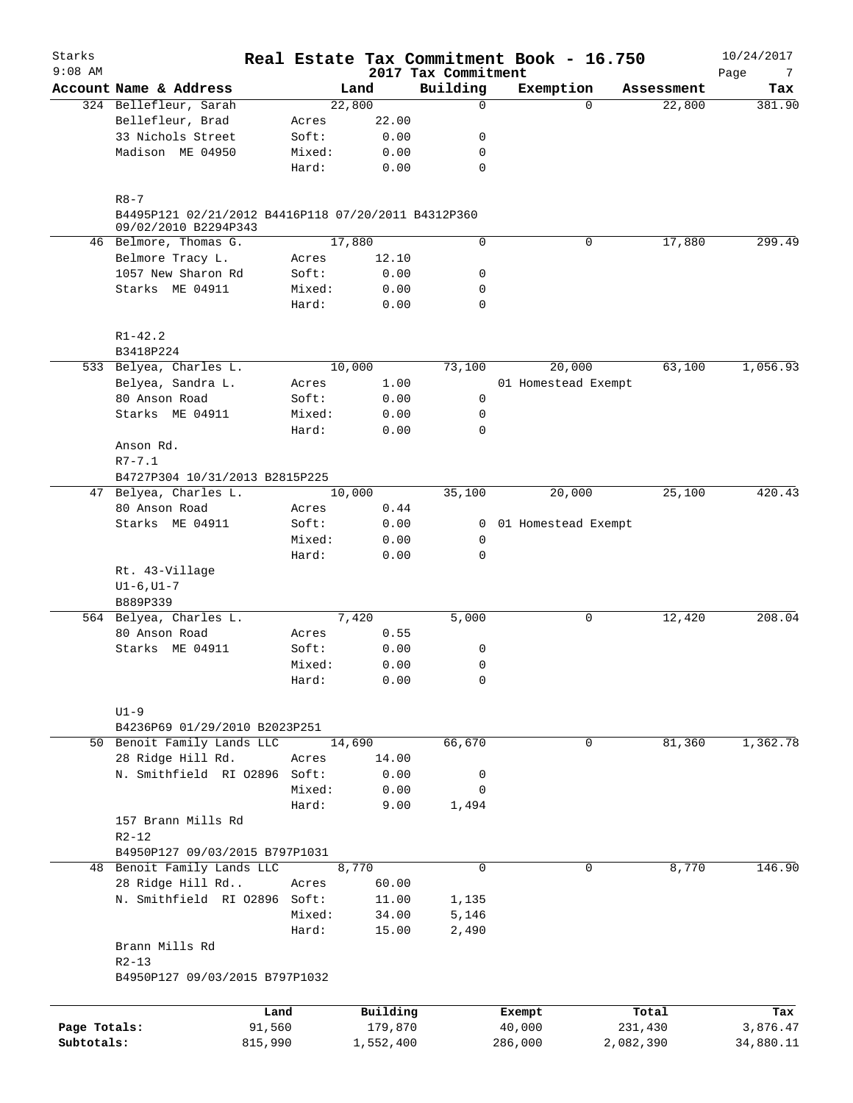| Starks<br>$9:08$ AM |                                                                             |                 |              | Real Estate Tax Commitment Book - 16.750<br>2017 Tax Commitment |           |                     |            | 10/24/2017<br>Page<br>7 |
|---------------------|-----------------------------------------------------------------------------|-----------------|--------------|-----------------------------------------------------------------|-----------|---------------------|------------|-------------------------|
|                     | Account Name & Address                                                      |                 | Land         | Building                                                        | Exemption |                     | Assessment | Tax                     |
|                     | 324 Bellefleur, Sarah                                                       |                 | 22,800       | 0                                                               |           | $\Omega$            | 22,800     | 381.90                  |
|                     | Bellefleur, Brad                                                            | Acres           | 22.00        |                                                                 |           |                     |            |                         |
|                     | 33 Nichols Street                                                           | Soft:           | 0.00         | 0                                                               |           |                     |            |                         |
|                     | Madison ME 04950                                                            | Mixed:          | 0.00         | 0                                                               |           |                     |            |                         |
|                     |                                                                             | Hard:           | 0.00         | 0                                                               |           |                     |            |                         |
|                     | $R8 - 7$                                                                    |                 |              |                                                                 |           |                     |            |                         |
|                     | B4495P121 02/21/2012 B4416P118 07/20/2011 B4312P360<br>09/02/2010 B2294P343 |                 |              |                                                                 |           |                     |            |                         |
|                     | 46 Belmore, Thomas G.                                                       |                 | 17,880       | $\mathbf 0$                                                     |           | 0                   | 17,880     | 299.49                  |
|                     | Belmore Tracy L.                                                            | Acres           | 12.10        |                                                                 |           |                     |            |                         |
|                     | 1057 New Sharon Rd                                                          | Soft:           | 0.00         | 0                                                               |           |                     |            |                         |
|                     | Starks ME 04911                                                             | Mixed:<br>Hard: | 0.00<br>0.00 | 0<br>$\mathbf 0$                                                |           |                     |            |                         |
|                     | $R1 - 42.2$                                                                 |                 |              |                                                                 |           |                     |            |                         |
|                     | B3418P224                                                                   |                 |              |                                                                 |           |                     |            |                         |
|                     | 533 Belyea, Charles L.                                                      |                 | 10,000       | 73,100                                                          |           | 20,000              | 63,100     | 1,056.93                |
|                     | Belyea, Sandra L.                                                           | Acres           | 1.00         |                                                                 |           | 01 Homestead Exempt |            |                         |
|                     | 80 Anson Road                                                               | Soft:           | 0.00         | $\mathsf{O}$                                                    |           |                     |            |                         |
|                     | Starks ME 04911                                                             | Mixed:          | 0.00         | 0                                                               |           |                     |            |                         |
|                     |                                                                             | Hard:           | 0.00         | 0                                                               |           |                     |            |                         |
|                     | Anson Rd.                                                                   |                 |              |                                                                 |           |                     |            |                         |
|                     | $R7 - 7.1$                                                                  |                 |              |                                                                 |           |                     |            |                         |
|                     | B4727P304 10/31/2013 B2815P225                                              |                 |              |                                                                 |           |                     |            |                         |
|                     |                                                                             |                 |              |                                                                 |           |                     |            |                         |
|                     | 47 Belyea, Charles L.                                                       |                 | 10,000       | 35,100                                                          |           | 20,000              | 25,100     | 420.43                  |
|                     | 80 Anson Road                                                               | Acres           | 0.44         |                                                                 |           |                     |            |                         |
|                     | Starks ME 04911                                                             | Soft:           | 0.00         | $\mathbf{0}$                                                    |           | 01 Homestead Exempt |            |                         |
|                     |                                                                             | Mixed:<br>Hard: | 0.00<br>0.00 | $\mathbf 0$<br>$\mathbf 0$                                      |           |                     |            |                         |
|                     | Rt. 43-Village                                                              |                 |              |                                                                 |           |                     |            |                         |
|                     | $UI-6$ , $UI-7$                                                             |                 |              |                                                                 |           |                     |            |                         |
|                     | B889P339                                                                    |                 |              |                                                                 |           |                     |            |                         |
|                     | 564 Belyea, Charles L.                                                      |                 | 7,420        | 5,000                                                           |           | 0                   | 12,420     | 208.04                  |
|                     | 80 Anson Road                                                               | Acres           | 0.55         |                                                                 |           |                     |            |                         |
|                     | Starks ME 04911                                                             | Soft:           | 0.00         | 0                                                               |           |                     |            |                         |
|                     |                                                                             | Mixed:          | 0.00         | 0                                                               |           |                     |            |                         |
|                     |                                                                             | Hard:           | 0.00         | 0                                                               |           |                     |            |                         |
|                     | $U1-9$                                                                      |                 |              |                                                                 |           |                     |            |                         |
|                     | B4236P69 01/29/2010 B2023P251                                               |                 |              |                                                                 |           |                     |            |                         |
|                     | 50 Benoit Family Lands LLC                                                  |                 | 14,690       | 66,670                                                          |           | 0                   | 81,360     | 1,362.78                |
|                     | 28 Ridge Hill Rd.                                                           | Acres           | 14.00        |                                                                 |           |                     |            |                         |
|                     | N. Smithfield RI 02896 Soft:                                                |                 | 0.00         | 0                                                               |           |                     |            |                         |
|                     |                                                                             | Mixed:          | 0.00         | 0                                                               |           |                     |            |                         |
|                     |                                                                             | Hard:           | 9.00         | 1,494                                                           |           |                     |            |                         |
|                     | 157 Brann Mills Rd                                                          |                 |              |                                                                 |           |                     |            |                         |
|                     | $R2 - 12$                                                                   |                 |              |                                                                 |           |                     |            |                         |
|                     | B4950P127 09/03/2015 B797P1031                                              |                 |              |                                                                 |           |                     |            |                         |
|                     | 48 Benoit Family Lands LLC                                                  |                 | 8,770        | $\mathbf 0$                                                     |           | 0                   | 8,770      | 146.90                  |
|                     | 28 Ridge Hill Rd                                                            | Acres           | 60.00        |                                                                 |           |                     |            |                         |
|                     | N. Smithfield RI 02896 Soft:                                                |                 | 11.00        | 1,135                                                           |           |                     |            |                         |
|                     |                                                                             | Mixed:          | 34.00        | 5,146                                                           |           |                     |            |                         |
|                     |                                                                             | Hard:           | 15.00        | 2,490                                                           |           |                     |            |                         |
|                     | Brann Mills Rd                                                              |                 |              |                                                                 |           |                     |            |                         |
|                     | $R2 - 13$                                                                   |                 |              |                                                                 |           |                     |            |                         |
|                     | B4950P127 09/03/2015 B797P1032                                              |                 |              |                                                                 |           |                     |            |                         |
|                     |                                                                             |                 |              |                                                                 |           |                     |            |                         |
|                     | Land                                                                        |                 | Building     |                                                                 | Exempt    |                     | Total      | Tax                     |
| Page Totals:        | 91,560                                                                      |                 | 179,870      |                                                                 | 40,000    |                     | 231,430    | 3,876.47                |
| Subtotals:          | 815,990                                                                     |                 | 1,552,400    |                                                                 | 286,000   | 2,082,390           |            | 34,880.11               |
|                     |                                                                             |                 |              |                                                                 |           |                     |            |                         |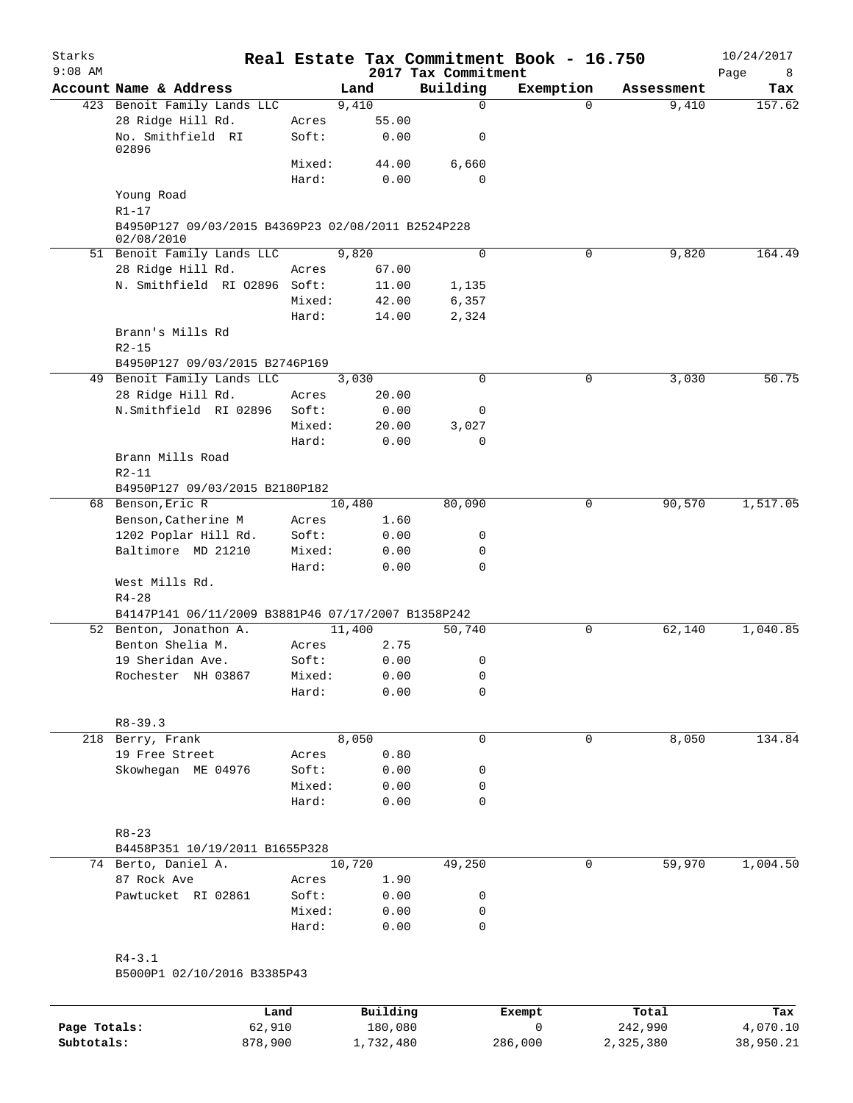| Starks<br>$9:08$ AM |                                                                  |        |        | 2017 Tax Commitment | Real Estate Tax Commitment Book - 16.750 |            | 10/24/2017<br>Page<br>8 |
|---------------------|------------------------------------------------------------------|--------|--------|---------------------|------------------------------------------|------------|-------------------------|
|                     | Account Name & Address                                           |        | Land   | Building            | Exemption                                | Assessment | Tax                     |
|                     | 423 Benoit Family Lands LLC                                      |        | 9,410  | $\mathbf 0$         | $\Omega$                                 | 9,410      | 157.62                  |
|                     | 28 Ridge Hill Rd.                                                | Acres  | 55.00  |                     |                                          |            |                         |
|                     | No. Smithfield RI<br>02896                                       | Soft:  | 0.00   | 0                   |                                          |            |                         |
|                     |                                                                  | Mixed: | 44.00  | 6,660               |                                          |            |                         |
|                     |                                                                  | Hard:  | 0.00   | $\Omega$            |                                          |            |                         |
|                     | Young Road<br>$R1 - 17$                                          |        |        |                     |                                          |            |                         |
|                     | B4950P127 09/03/2015 B4369P23 02/08/2011 B2524P228<br>02/08/2010 |        |        |                     |                                          |            |                         |
|                     | 51 Benoit Family Lands LLC                                       |        | 9,820  | 0                   | 0                                        | 9,820      | 164.49                  |
|                     | 28 Ridge Hill Rd.                                                | Acres  | 67.00  |                     |                                          |            |                         |
|                     | N. Smithfield RI 02896 Soft:                                     |        | 11.00  | 1,135               |                                          |            |                         |
|                     |                                                                  | Mixed: | 42.00  | 6,357               |                                          |            |                         |
|                     |                                                                  | Hard:  | 14.00  | 2,324               |                                          |            |                         |
|                     | Brann's Mills Rd<br>$R2 - 15$                                    |        |        |                     |                                          |            |                         |
|                     | B4950P127 09/03/2015 B2746P169                                   |        |        |                     |                                          |            |                         |
|                     | 49 Benoit Family Lands LLC                                       |        | 3,030  | $\Omega$            | 0                                        | 3,030      | 50.75                   |
|                     | 28 Ridge Hill Rd.                                                | Acres  | 20.00  |                     |                                          |            |                         |
|                     | N.Smithfield RI 02896                                            | Soft:  | 0.00   | 0                   |                                          |            |                         |
|                     |                                                                  | Mixed: | 20.00  | 3,027               |                                          |            |                         |
|                     |                                                                  | Hard:  | 0.00   | $\mathbf 0$         |                                          |            |                         |
|                     | Brann Mills Road                                                 |        |        |                     |                                          |            |                         |
|                     | $R2 - 11$                                                        |        |        |                     |                                          |            |                         |
|                     | B4950P127 09/03/2015 B2180P182                                   |        |        |                     |                                          |            |                         |
|                     | 68 Benson, Eric R                                                |        | 10,480 | 80,090              | 0                                        | 90,570     | 1,517.05                |
|                     | Benson, Catherine M                                              | Acres  | 1.60   |                     |                                          |            |                         |
|                     | 1202 Poplar Hill Rd.                                             | Soft:  | 0.00   | 0                   |                                          |            |                         |
|                     | Baltimore MD 21210                                               | Mixed: | 0.00   | 0                   |                                          |            |                         |
|                     |                                                                  | Hard:  | 0.00   | $\mathbf 0$         |                                          |            |                         |
|                     | West Mills Rd.                                                   |        |        |                     |                                          |            |                         |
|                     | $R4 - 28$                                                        |        |        |                     |                                          |            |                         |
|                     | B4147P141 06/11/2009 B3881P46 07/17/2007 B1358P242               |        |        |                     |                                          |            |                         |
|                     | 52 Benton, Jonathon A.                                           |        | 11,400 | 50,740              | 0                                        | 62,140     | 1,040.85                |
|                     | Benton Shelia M.                                                 | Acres  | 2.75   |                     |                                          |            |                         |
|                     | 19 Sheridan Ave.                                                 | Soft:  | 0.00   | 0                   |                                          |            |                         |
|                     | Rochester NH 03867                                               | Mixed: | 0.00   | 0                   |                                          |            |                         |
|                     |                                                                  | Hard:  | 0.00   | 0                   |                                          |            |                         |
|                     |                                                                  |        |        |                     |                                          |            |                         |
|                     | $R8 - 39.3$                                                      |        |        |                     |                                          |            |                         |
|                     | 218 Berry, Frank                                                 |        | 8,050  | 0                   | 0                                        | 8,050      | 134.84                  |
|                     | 19 Free Street                                                   | Acres  | 0.80   |                     |                                          |            |                         |
|                     | Skowhegan ME 04976                                               | Soft:  | 0.00   | 0                   |                                          |            |                         |
|                     |                                                                  | Mixed: | 0.00   | 0                   |                                          |            |                         |
|                     |                                                                  | Hard:  | 0.00   | 0                   |                                          |            |                         |
|                     | $R8 - 23$                                                        |        |        |                     |                                          |            |                         |
|                     | B4458P351 10/19/2011 B1655P328                                   |        |        |                     |                                          |            |                         |
|                     | 74 Berto, Daniel A.                                              |        | 10,720 | 49,250              | 0                                        | 59,970     | 1,004.50                |
|                     | 87 Rock Ave                                                      | Acres  | 1.90   |                     |                                          |            |                         |
|                     | Pawtucket RI 02861                                               | Soft:  | 0.00   | 0                   |                                          |            |                         |
|                     |                                                                  | Mixed: | 0.00   | 0                   |                                          |            |                         |
|                     |                                                                  | Hard:  | 0.00   | 0                   |                                          |            |                         |
|                     |                                                                  |        |        |                     |                                          |            |                         |
|                     | $R4 - 3.1$                                                       |        |        |                     |                                          |            |                         |
|                     | B5000P1 02/10/2016 B3385P43                                      |        |        |                     |                                          |            |                         |
|                     |                                                                  |        |        |                     |                                          |            |                         |

|              | Land    | Building  | Exempt  | Total     | Tax       |
|--------------|---------|-----------|---------|-----------|-----------|
| Page Totals: | 62,910  | 180,080   |         | 242,990   | 4,070.10  |
| Subtotals:   | 878,900 | 1,732,480 | 286,000 | 2,325,380 | 38,950.21 |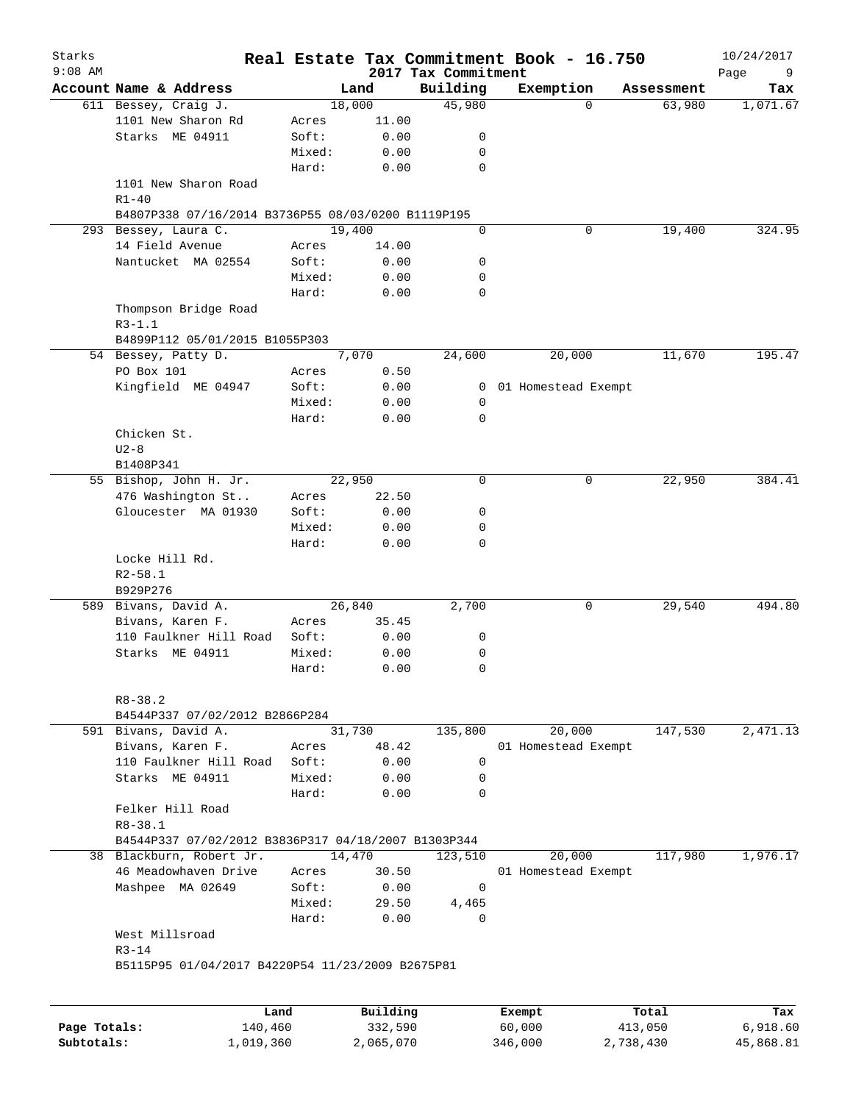| Starks<br>$9:08$ AM |                                                     |        |          | 2017 Tax Commitment | Real Estate Tax Commitment Book - 16.750 |            | 10/24/2017<br>Page<br>9 |
|---------------------|-----------------------------------------------------|--------|----------|---------------------|------------------------------------------|------------|-------------------------|
|                     | Account Name & Address                              |        | Land     | Building            | Exemption                                | Assessment | Tax                     |
|                     | 611 Bessey, Craig J.                                |        | 18,000   | 45,980              | $\Omega$                                 | 63,980     | 1,071.67                |
|                     | 1101 New Sharon Rd                                  | Acres  | 11.00    |                     |                                          |            |                         |
|                     | Starks ME 04911                                     | Soft:  | 0.00     | 0                   |                                          |            |                         |
|                     |                                                     | Mixed: | 0.00     | 0                   |                                          |            |                         |
|                     |                                                     | Hard:  | 0.00     | 0                   |                                          |            |                         |
|                     | 1101 New Sharon Road<br>$R1 - 40$                   |        |          |                     |                                          |            |                         |
|                     | B4807P338 07/16/2014 B3736P55 08/03/0200 B1119P195  |        |          |                     |                                          |            |                         |
|                     | 293 Bessey, Laura C.                                |        | 19,400   | 0                   | 0                                        | 19,400     | 324.95                  |
|                     | 14 Field Avenue                                     | Acres  | 14.00    |                     |                                          |            |                         |
|                     | Nantucket MA 02554                                  | Soft:  | 0.00     | 0                   |                                          |            |                         |
|                     |                                                     | Mixed: | 0.00     | 0                   |                                          |            |                         |
|                     |                                                     | Hard:  | 0.00     | 0                   |                                          |            |                         |
|                     | Thompson Bridge Road<br>$R3 - 1.1$                  |        |          |                     |                                          |            |                         |
|                     | B4899P112 05/01/2015 B1055P303                      |        |          |                     |                                          |            |                         |
|                     | 54 Bessey, Patty D.                                 |        | 7,070    | 24,600              | 20,000                                   | 11,670     | 195.47                  |
|                     | PO Box 101                                          | Acres  | 0.50     |                     |                                          |            |                         |
|                     | Kingfield ME 04947                                  | Soft:  | 0.00     | 0                   | 01 Homestead Exempt                      |            |                         |
|                     |                                                     | Mixed: | 0.00     | 0                   |                                          |            |                         |
|                     |                                                     | Hard:  | 0.00     | $\mathbf 0$         |                                          |            |                         |
|                     | Chicken St.                                         |        |          |                     |                                          |            |                         |
|                     | $U2-8$                                              |        |          |                     |                                          |            |                         |
|                     | B1408P341                                           |        |          |                     |                                          |            |                         |
|                     | 55 Bishop, John H. Jr.                              |        | 22,950   | 0                   | 0                                        | 22,950     | 384.41                  |
|                     | 476 Washington St                                   | Acres  | 22.50    |                     |                                          |            |                         |
|                     | Gloucester MA 01930                                 | Soft:  | 0.00     | 0                   |                                          |            |                         |
|                     |                                                     | Mixed: | 0.00     | 0                   |                                          |            |                         |
|                     |                                                     | Hard:  | 0.00     | 0                   |                                          |            |                         |
|                     | Locke Hill Rd.                                      |        |          |                     |                                          |            |                         |
|                     | $R2 - 58.1$                                         |        |          |                     |                                          |            |                         |
|                     | B929P276                                            |        |          |                     |                                          |            |                         |
|                     | 589 Bivans, David A.                                |        | 26,840   | 2,700               | 0                                        | 29,540     | 494.80                  |
|                     | Bivans, Karen F.                                    | Acres  | 35.45    |                     |                                          |            |                         |
|                     | 110 Faulkner Hill Road                              | Soft:  | 0.00     | 0                   |                                          |            |                         |
|                     | Starks ME 04911                                     | Mixed: | 0.00     | 0                   |                                          |            |                         |
|                     |                                                     | Hard:  | 0.00     | 0                   |                                          |            |                         |
|                     | $R8 - 38.2$                                         |        |          |                     |                                          |            |                         |
|                     | B4544P337 07/02/2012 B2866P284                      |        |          |                     |                                          |            |                         |
|                     | 591 Bivans, David A.                                |        | 31,730   | 135,800             | 20,000                                   | 147,530    | $\overline{2,471.13}$   |
|                     | Bivans, Karen F.                                    | Acres  | 48.42    |                     | 01 Homestead Exempt                      |            |                         |
|                     | 110 Faulkner Hill Road                              | Soft:  | 0.00     | 0                   |                                          |            |                         |
|                     | Starks ME 04911                                     | Mixed: | 0.00     | 0                   |                                          |            |                         |
|                     |                                                     | Hard:  | 0.00     | $\Omega$            |                                          |            |                         |
|                     | Felker Hill Road                                    |        |          |                     |                                          |            |                         |
|                     | $R8 - 38.1$                                         |        |          |                     |                                          |            |                         |
|                     | B4544P337 07/02/2012 B3836P317 04/18/2007 B1303P344 |        |          |                     |                                          |            |                         |
|                     | 38 Blackburn, Robert Jr.                            |        | 14,470   | 123,510             | 20,000                                   | 117,980    | 1,976.17                |
|                     | 46 Meadowhaven Drive                                | Acres  | 30.50    |                     | 01 Homestead Exempt                      |            |                         |
|                     | Mashpee MA 02649                                    | Soft:  | 0.00     | 0                   |                                          |            |                         |
|                     |                                                     | Mixed: | 29.50    | 4,465               |                                          |            |                         |
|                     |                                                     | Hard:  | 0.00     | $\Omega$            |                                          |            |                         |
|                     | West Millsroad                                      |        |          |                     |                                          |            |                         |
|                     | $R3 - 14$                                           |        |          |                     |                                          |            |                         |
|                     | B5115P95 01/04/2017 B4220P54 11/23/2009 B2675P81    |        |          |                     |                                          |            |                         |
|                     |                                                     |        |          |                     |                                          |            |                         |
|                     | Land                                                |        | Building |                     | Exempt                                   | Total      | Tax                     |

|              | Land      | Building  | Exempt  | Total     | Tax       |
|--------------|-----------|-----------|---------|-----------|-----------|
| Page Totals: | 140,460   | 332,590   | 60,000  | 413,050   | 6,918.60  |
| Subtotals:   | 1,019,360 | 2,065,070 | 346,000 | 2,738,430 | 45,868.81 |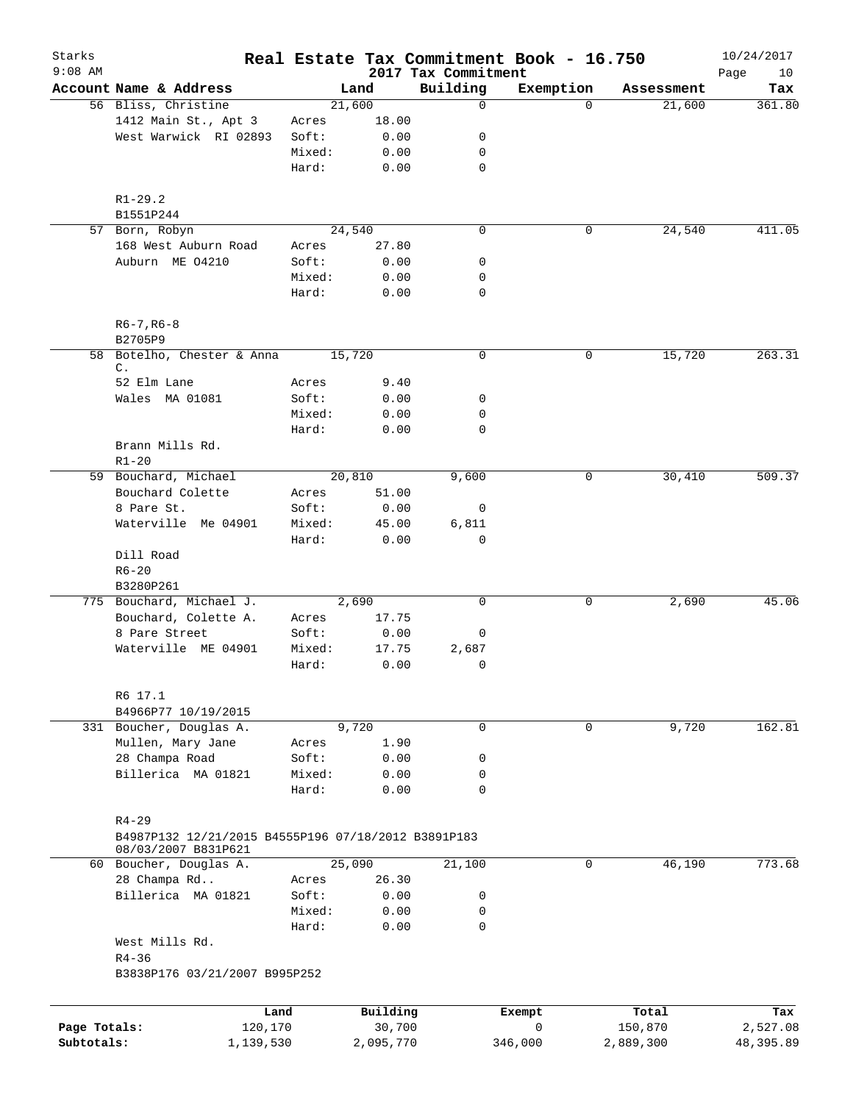| Starks       |                                                                  |        |                    | Real Estate Tax Commitment Book - 16.750 |                       |                        | 10/24/2017              |
|--------------|------------------------------------------------------------------|--------|--------------------|------------------------------------------|-----------------------|------------------------|-------------------------|
| $9:08$ AM    | Account Name & Address                                           |        | Land               | 2017 Tax Commitment<br>Building          | Exemption             |                        | Page<br>10              |
|              | 56 Bliss, Christine                                              |        | 21,600             | $\mathbf 0$                              |                       | Assessment<br>$\Omega$ | Tax<br>21,600<br>361.80 |
|              | 1412 Main St., Apt 3                                             | Acres  | 18.00              |                                          |                       |                        |                         |
|              | West Warwick RI 02893                                            | Soft:  | 0.00               | 0                                        |                       |                        |                         |
|              |                                                                  | Mixed: | 0.00               | 0                                        |                       |                        |                         |
|              |                                                                  | Hard:  | 0.00               | $\mathbf 0$                              |                       |                        |                         |
|              |                                                                  |        |                    |                                          |                       |                        |                         |
|              | $R1 - 29.2$                                                      |        |                    |                                          |                       |                        |                         |
|              | B1551P244<br>57 Born, Robyn                                      |        | 24,540             | $\mathbf 0$                              |                       | 0                      | 24,540<br>411.05        |
|              | 168 West Auburn Road                                             | Acres  | 27.80              |                                          |                       |                        |                         |
|              | Auburn ME 04210                                                  | Soft:  | 0.00               | 0                                        |                       |                        |                         |
|              |                                                                  | Mixed: | 0.00               | 0                                        |                       |                        |                         |
|              |                                                                  | Hard:  | 0.00               | $\mathbf 0$                              |                       |                        |                         |
|              |                                                                  |        |                    |                                          |                       |                        |                         |
|              | $R6 - 7, R6 - 8$<br>B2705P9                                      |        |                    |                                          |                       |                        |                         |
|              | 58 Botelho, Chester & Anna                                       |        | 15,720             | 0                                        |                       | 0                      | 15,720<br>263.31        |
|              | C.                                                               |        |                    |                                          |                       |                        |                         |
|              | 52 Elm Lane                                                      | Acres  | 9.40               |                                          |                       |                        |                         |
|              | Wales MA 01081                                                   | Soft:  | 0.00               | 0                                        |                       |                        |                         |
|              |                                                                  | Mixed: | 0.00               | 0                                        |                       |                        |                         |
|              |                                                                  | Hard:  | 0.00               | 0                                        |                       |                        |                         |
|              | Brann Mills Rd.<br>$R1 - 20$                                     |        |                    |                                          |                       |                        |                         |
|              | 59 Bouchard, Michael                                             |        | 20,810             | 9,600                                    |                       | 0                      | 509.37<br>30,410        |
|              | Bouchard Colette                                                 | Acres  | 51.00              |                                          |                       |                        |                         |
|              | 8 Pare St.                                                       | Soft:  | 0.00               | 0                                        |                       |                        |                         |
|              | Waterville Me 04901                                              | Mixed: | 45.00              | 6,811                                    |                       |                        |                         |
|              |                                                                  | Hard:  | 0.00               | 0                                        |                       |                        |                         |
|              | Dill Road                                                        |        |                    |                                          |                       |                        |                         |
|              | $R6 - 20$                                                        |        |                    |                                          |                       |                        |                         |
|              | B3280P261                                                        |        |                    |                                          |                       |                        |                         |
|              | 775 Bouchard, Michael J.                                         |        | 2,690              | 0                                        |                       | 0                      | 45.06<br>2,690          |
|              | Bouchard, Colette A.                                             | Acres  | 17.75              |                                          |                       |                        |                         |
|              | 8 Pare Street                                                    | Soft:  | 0.00               | 0                                        |                       |                        |                         |
|              | Waterville ME 04901                                              | Mixed: | 17.75              | 2,687                                    |                       |                        |                         |
|              |                                                                  | Hard:  | 0.00               | 0                                        |                       |                        |                         |
|              | R6 17.1                                                          |        |                    |                                          |                       |                        |                         |
|              | B4966P77 10/19/2015                                              |        |                    |                                          |                       |                        |                         |
|              | 331 Boucher, Douglas A.                                          |        | 9,720              | 0                                        |                       | 0                      | 9,720<br>162.81         |
|              | Mullen, Mary Jane                                                | Acres  | 1.90               |                                          |                       |                        |                         |
|              | 28 Champa Road                                                   | Soft:  | 0.00               | 0                                        |                       |                        |                         |
|              | Billerica MA 01821                                               | Mixed: | 0.00               | 0                                        |                       |                        |                         |
|              |                                                                  | Hard:  | 0.00               | 0                                        |                       |                        |                         |
|              |                                                                  |        |                    |                                          |                       |                        |                         |
|              | $R4 - 29$<br>B4987P132 12/21/2015 B4555P196 07/18/2012 B3891P183 |        |                    |                                          |                       |                        |                         |
|              | 08/03/2007 B831P621                                              |        |                    |                                          |                       |                        |                         |
|              | 60 Boucher, Douglas A.                                           |        | 25,090             | 21,100                                   |                       | 0                      | 773.68<br>46,190        |
|              | 28 Champa Rd                                                     | Acres  | 26.30              |                                          |                       |                        |                         |
|              | Billerica MA 01821                                               | Soft:  | 0.00               | 0                                        |                       |                        |                         |
|              |                                                                  | Mixed: | 0.00               | 0                                        |                       |                        |                         |
|              |                                                                  | Hard:  | 0.00               | $\mathbf 0$                              |                       |                        |                         |
|              | West Mills Rd.                                                   |        |                    |                                          |                       |                        |                         |
|              | $R4 - 36$                                                        |        |                    |                                          |                       |                        |                         |
|              | B3838P176 03/21/2007 B995P252                                    |        |                    |                                          |                       |                        |                         |
|              |                                                                  |        |                    |                                          |                       |                        |                         |
| Page Totals: | Land<br>120,170                                                  |        | Building<br>30,700 |                                          | Exempt<br>$\mathbf 0$ | Total<br>150,870       | Tax<br>2,527.08         |
| Subtotals:   | 1,139,530                                                        |        | 2,095,770          |                                          | 346,000               | 2,889,300              | 48,395.89               |
|              |                                                                  |        |                    |                                          |                       |                        |                         |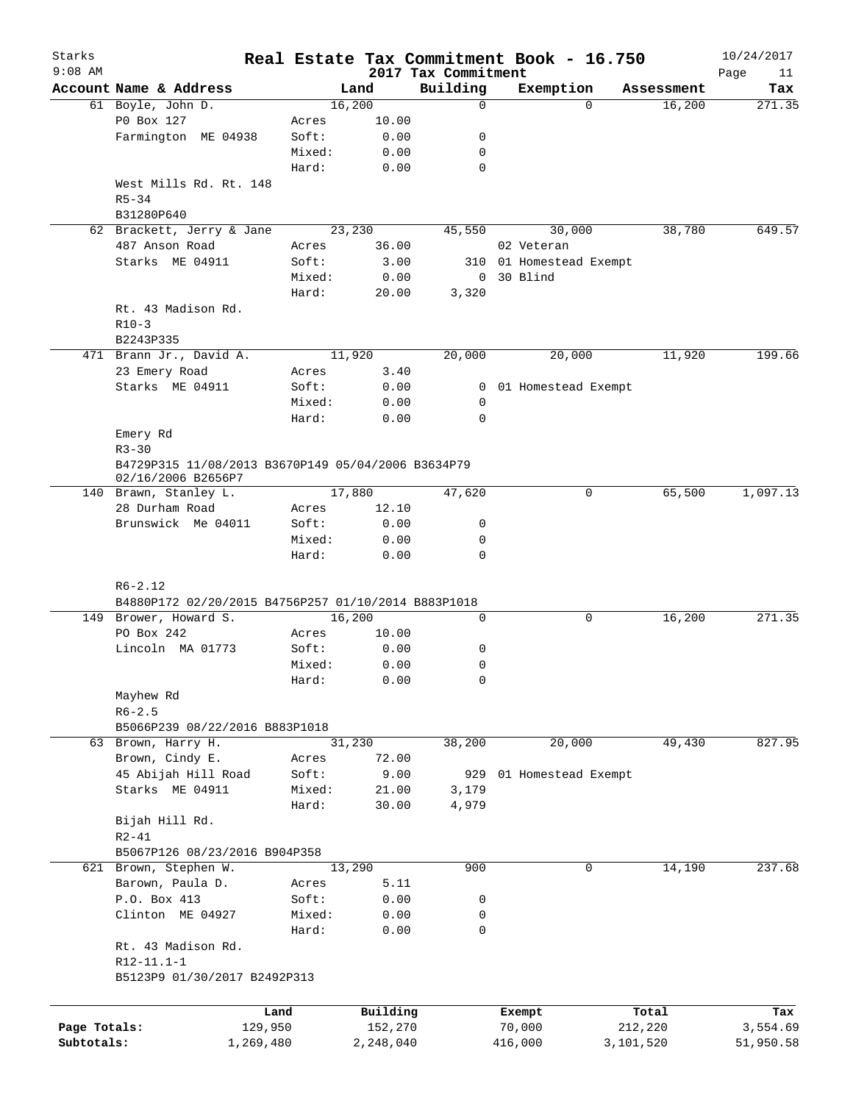| Starks       |                                                     |                 |              | Real Estate Tax Commitment Book - 16.750 |                         |          |            | 10/24/2017        |
|--------------|-----------------------------------------------------|-----------------|--------------|------------------------------------------|-------------------------|----------|------------|-------------------|
| $9:08$ AM    | Account Name & Address                              |                 | Land         | 2017 Tax Commitment<br>Building          | Exemption               |          | Assessment | Page<br>11<br>Tax |
|              | 61 Boyle, John D.                                   |                 | 16,200       | $\mathbf 0$                              |                         | $\Omega$ | 16,200     | 271.35            |
|              | P0 Box 127                                          | Acres           | 10.00        |                                          |                         |          |            |                   |
|              | Farmington ME 04938                                 | Soft:           | 0.00         | 0                                        |                         |          |            |                   |
|              |                                                     | Mixed:          | 0.00         | 0                                        |                         |          |            |                   |
|              |                                                     | Hard:           | 0.00         | $\mathbf 0$                              |                         |          |            |                   |
|              | West Mills Rd. Rt. 148                              |                 |              |                                          |                         |          |            |                   |
|              | $R5 - 34$                                           |                 |              |                                          |                         |          |            |                   |
|              | B31280P640                                          |                 |              |                                          |                         |          |            |                   |
|              | 62 Brackett, Jerry & Jane                           |                 | 23,230       | 45,550                                   | 30,000                  |          | 38,780     | 649.57            |
|              | 487 Anson Road                                      | Acres           | 36.00        |                                          | 02 Veteran              |          |            |                   |
|              | Starks ME 04911                                     | Soft:           | 3.00         |                                          | 310 01 Homestead Exempt |          |            |                   |
|              |                                                     | Mixed:          | 0.00         | $\mathbf{0}$                             | 30 Blind                |          |            |                   |
|              |                                                     | Hard:           | 20.00        | 3,320                                    |                         |          |            |                   |
|              | Rt. 43 Madison Rd.                                  |                 |              |                                          |                         |          |            |                   |
|              | $R10-3$                                             |                 |              |                                          |                         |          |            |                   |
|              | B2243P335                                           |                 |              |                                          |                         |          |            |                   |
|              | 471 Brann Jr., David A.                             |                 | 11,920       | 20,000                                   | 20,000                  |          | 11,920     | 199.66            |
|              | 23 Emery Road                                       | Acres           | 3.40         |                                          |                         |          |            |                   |
|              | Starks ME 04911                                     | Soft:           | 0.00         | $\mathbf{0}$                             | 01 Homestead Exempt     |          |            |                   |
|              |                                                     | Mixed:          | 0.00         | 0                                        |                         |          |            |                   |
|              |                                                     | Hard:           | 0.00         | $\mathbf 0$                              |                         |          |            |                   |
|              | Emery Rd                                            |                 |              |                                          |                         |          |            |                   |
|              | $R3 - 30$                                           |                 |              |                                          |                         |          |            |                   |
|              | B4729P315 11/08/2013 B3670P149 05/04/2006 B3634P79  |                 |              |                                          |                         |          |            |                   |
|              | 02/16/2006 B2656P7                                  |                 |              |                                          |                         |          |            |                   |
|              | 140 Brawn, Stanley L.                               |                 | 17,880       | 47,620                                   |                         | 0        | 65,500     | 1,097.13          |
|              | 28 Durham Road                                      | Acres           | 12.10        |                                          |                         |          |            |                   |
|              | Brunswick Me 04011                                  | Soft:           | 0.00         | 0                                        |                         |          |            |                   |
|              |                                                     | Mixed:<br>Hard: | 0.00<br>0.00 | 0<br>0                                   |                         |          |            |                   |
|              |                                                     |                 |              |                                          |                         |          |            |                   |
|              | $R6 - 2.12$                                         |                 |              |                                          |                         |          |            |                   |
|              | B4880P172 02/20/2015 B4756P257 01/10/2014 B883P1018 |                 |              |                                          |                         |          |            |                   |
|              | 149 Brower, Howard S.                               |                 | 16,200       | 0                                        |                         | 0        | 16,200     | 271.35            |
|              | PO Box 242                                          | Acres           | 10.00        |                                          |                         |          |            |                   |
|              | Lincoln MA 01773                                    | Soft:           | 0.00         | 0                                        |                         |          |            |                   |
|              |                                                     | Mixed:          | 0.00         | 0                                        |                         |          |            |                   |
|              |                                                     | Hard:           | 0.00         | 0                                        |                         |          |            |                   |
|              | Mayhew Rd                                           |                 |              |                                          |                         |          |            |                   |
|              | $R6 - 2.5$                                          |                 |              |                                          |                         |          |            |                   |
|              | B5066P239 08/22/2016 B883P1018                      |                 |              |                                          |                         |          |            |                   |
|              | 63 Brown, Harry H.                                  |                 | 31,230       | 38,200                                   | 20,000                  |          | 49,430     | 827.95            |
|              | Brown, Cindy E.                                     | Acres           | 72.00        |                                          |                         |          |            |                   |
|              | 45 Abijah Hill Road                                 | Soft:           | 9.00         | 929                                      | 01 Homestead Exempt     |          |            |                   |
|              | Starks ME 04911                                     | Mixed:          | 21.00        | 3,179                                    |                         |          |            |                   |
|              |                                                     | Hard:           | 30.00        | 4,979                                    |                         |          |            |                   |
|              | Bijah Hill Rd.                                      |                 |              |                                          |                         |          |            |                   |
|              | $R2 - 41$                                           |                 |              |                                          |                         |          |            |                   |
|              | B5067P126 08/23/2016 B904P358                       |                 |              |                                          |                         |          |            |                   |
|              | 621 Brown, Stephen W.                               |                 | 13,290       | 900                                      |                         | 0        | 14,190     | 237.68            |
|              | Barown, Paula D.                                    | Acres           | 5.11         |                                          |                         |          |            |                   |
|              | P.O. Box 413                                        | Soft:           | 0.00         | 0                                        |                         |          |            |                   |
|              | Clinton ME 04927                                    | Mixed:          | 0.00         | 0                                        |                         |          |            |                   |
|              |                                                     | Hard:           | 0.00         | 0                                        |                         |          |            |                   |
|              | Rt. 43 Madison Rd.                                  |                 |              |                                          |                         |          |            |                   |
|              | $R12-11.1-1$                                        |                 |              |                                          |                         |          |            |                   |
|              | B5123P9 01/30/2017 B2492P313                        |                 |              |                                          |                         |          |            |                   |
|              |                                                     |                 |              |                                          |                         |          |            |                   |
|              |                                                     | Land            | Building     |                                          | Exempt                  |          | Total      | Tax               |
| Page Totals: |                                                     | 129,950         | 152,270      |                                          | 70,000                  |          | 212,220    | 3,554.69          |
| Subtotals:   | 1,269,480                                           |                 | 2,248,040    |                                          | 416,000                 |          | 3,101,520  | 51,950.58         |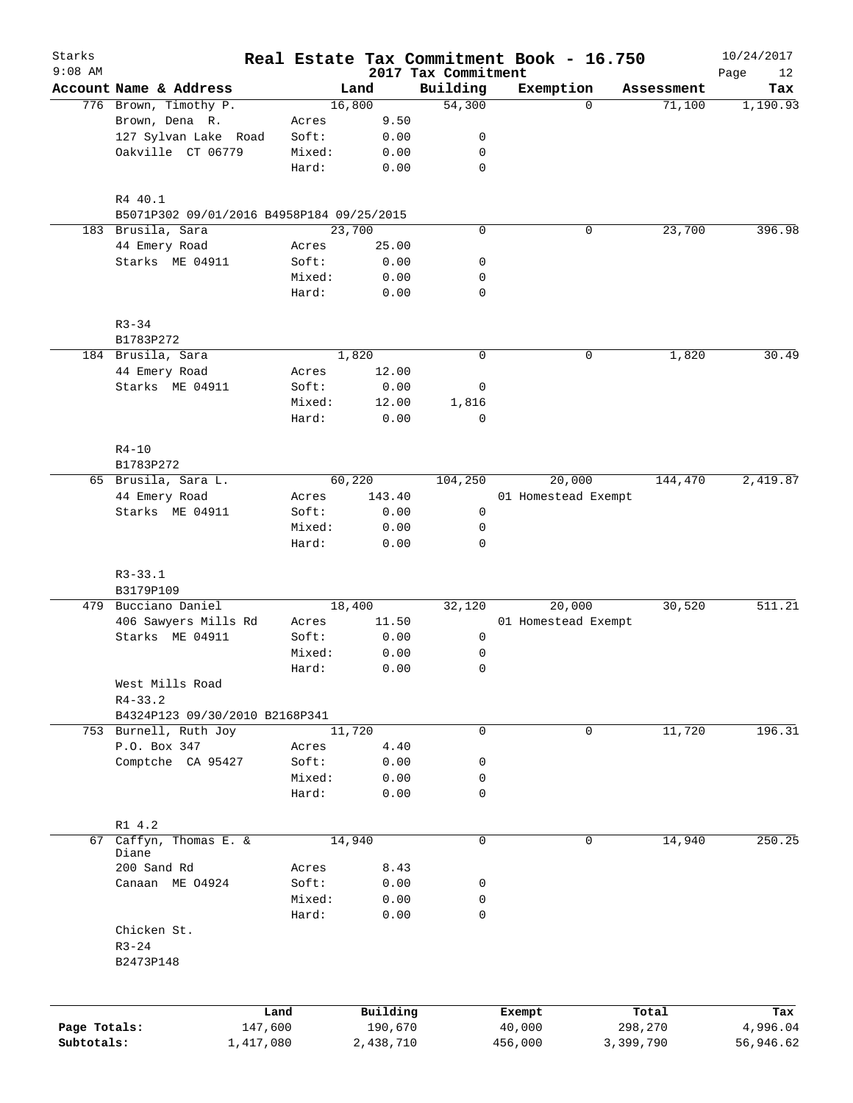| Starks       |                                           |                 |              |                                 | Real Estate Tax Commitment Book - 16.750 |          |            | 10/24/2017        |
|--------------|-------------------------------------------|-----------------|--------------|---------------------------------|------------------------------------------|----------|------------|-------------------|
| $9:08$ AM    | Account Name & Address                    |                 | Land         | 2017 Tax Commitment<br>Building | Exemption                                |          | Assessment | Page<br>12<br>Tax |
|              | 776 Brown, Timothy P.                     |                 | 16,800       | 54,300                          |                                          | $\Omega$ | 71,100     | 1,190.93          |
|              | Brown, Dena R.                            | Acres           | 9.50         |                                 |                                          |          |            |                   |
|              | 127 Sylvan Lake Road                      | Soft:           | 0.00         | 0                               |                                          |          |            |                   |
|              | Oakville CT 06779                         | Mixed:          | 0.00         | 0                               |                                          |          |            |                   |
|              |                                           | Hard:           | 0.00         | $\mathbf 0$                     |                                          |          |            |                   |
|              | R4 40.1                                   |                 |              |                                 |                                          |          |            |                   |
|              | B5071P302 09/01/2016 B4958P184 09/25/2015 |                 |              |                                 |                                          |          |            |                   |
|              | 183 Brusila, Sara                         |                 | 23,700       | $\mathbf 0$                     |                                          | 0        | 23,700     | 396.98            |
|              | 44 Emery Road                             | Acres           | 25.00        |                                 |                                          |          |            |                   |
|              | Starks ME 04911                           | Soft:           | 0.00         | 0                               |                                          |          |            |                   |
|              |                                           | Mixed:          | 0.00         | 0                               |                                          |          |            |                   |
|              |                                           | Hard:           | 0.00         | $\mathbf 0$                     |                                          |          |            |                   |
|              | $R3 - 34$                                 |                 |              |                                 |                                          |          |            |                   |
|              | B1783P272                                 |                 |              |                                 |                                          |          |            |                   |
|              | 184 Brusila, Sara                         |                 | 1,820        | $\mathbf 0$                     |                                          | 0        | 1,820      | 30.49             |
|              | 44 Emery Road                             | Acres           | 12.00        |                                 |                                          |          |            |                   |
|              | Starks ME 04911                           | Soft:           | 0.00         | 0                               |                                          |          |            |                   |
|              |                                           | Mixed:          | 12.00        | 1,816                           |                                          |          |            |                   |
|              |                                           | Hard:           | 0.00         | $\mathsf{O}$                    |                                          |          |            |                   |
|              | $R4 - 10$                                 |                 |              |                                 |                                          |          |            |                   |
|              | B1783P272                                 |                 |              |                                 |                                          |          |            |                   |
|              | 65 Brusila, Sara L.                       |                 | 60,220       | 104,250                         | 20,000                                   |          | 144,470    | 2,419.87          |
|              | 44 Emery Road                             | Acres           | 143.40       |                                 | 01 Homestead Exempt                      |          |            |                   |
|              | Starks ME 04911                           | Soft:           | 0.00         | 0                               |                                          |          |            |                   |
|              |                                           | Mixed:<br>Hard: | 0.00<br>0.00 | 0<br>$\mathbf 0$                |                                          |          |            |                   |
|              | $R3 - 33.1$                               |                 |              |                                 |                                          |          |            |                   |
|              | B3179P109                                 |                 |              |                                 |                                          |          |            |                   |
|              | 479 Bucciano Daniel                       |                 | 18,400       | 32,120                          | 20,000                                   |          | 30,520     | 511.21            |
|              | 406 Sawyers Mills Rd                      | Acres           | 11.50        |                                 | 01 Homestead Exempt                      |          |            |                   |
|              | Starks ME 04911                           | Soft:           | 0.00         | 0                               |                                          |          |            |                   |
|              |                                           | Mixed:          | 0.00         | 0                               |                                          |          |            |                   |
|              | West Mills Road                           | Hard:           | 0.00         | 0                               |                                          |          |            |                   |
|              | $R4 - 33.2$                               |                 |              |                                 |                                          |          |            |                   |
|              | B4324P123 09/30/2010 B2168P341            |                 |              |                                 |                                          |          |            |                   |
|              | 753 Burnell, Ruth Joy                     |                 | 11,720       | 0                               |                                          | 0        | 11,720     | 196.31            |
|              | P.O. Box 347                              | Acres           | 4.40         |                                 |                                          |          |            |                   |
|              | Comptche CA 95427                         | Soft:           | 0.00         | 0                               |                                          |          |            |                   |
|              |                                           | Mixed:          | 0.00         | 0                               |                                          |          |            |                   |
|              |                                           | Hard:           | 0.00         | 0                               |                                          |          |            |                   |
|              | R1 4.2                                    |                 |              |                                 |                                          |          |            |                   |
| 67           | Caffyn, Thomas E. &                       |                 | 14,940       | $\mathbf 0$                     |                                          | 0        | 14,940     | 250.25            |
|              | Diane                                     |                 |              |                                 |                                          |          |            |                   |
|              | 200 Sand Rd                               | Acres           | 8.43         |                                 |                                          |          |            |                   |
|              | Canaan ME 04924                           | Soft:           | 0.00         | 0                               |                                          |          |            |                   |
|              |                                           | Mixed:          | 0.00         | 0                               |                                          |          |            |                   |
|              |                                           | Hard:           | 0.00         | 0                               |                                          |          |            |                   |
|              | Chicken St.                               |                 |              |                                 |                                          |          |            |                   |
|              | $R3 - 24$                                 |                 |              |                                 |                                          |          |            |                   |
|              | B2473P148                                 |                 |              |                                 |                                          |          |            |                   |
|              |                                           |                 |              |                                 |                                          |          |            |                   |
|              |                                           | Land            | Building     |                                 | Exempt                                   |          | Total      | Tax               |
| Page Totals: | 147,600                                   |                 | 190,670      |                                 | 40,000                                   |          | 298,270    | 4,996.04          |
| Subtotals:   | 1,417,080                                 |                 | 2,438,710    |                                 | 456,000                                  |          | 3,399,790  | 56,946.62         |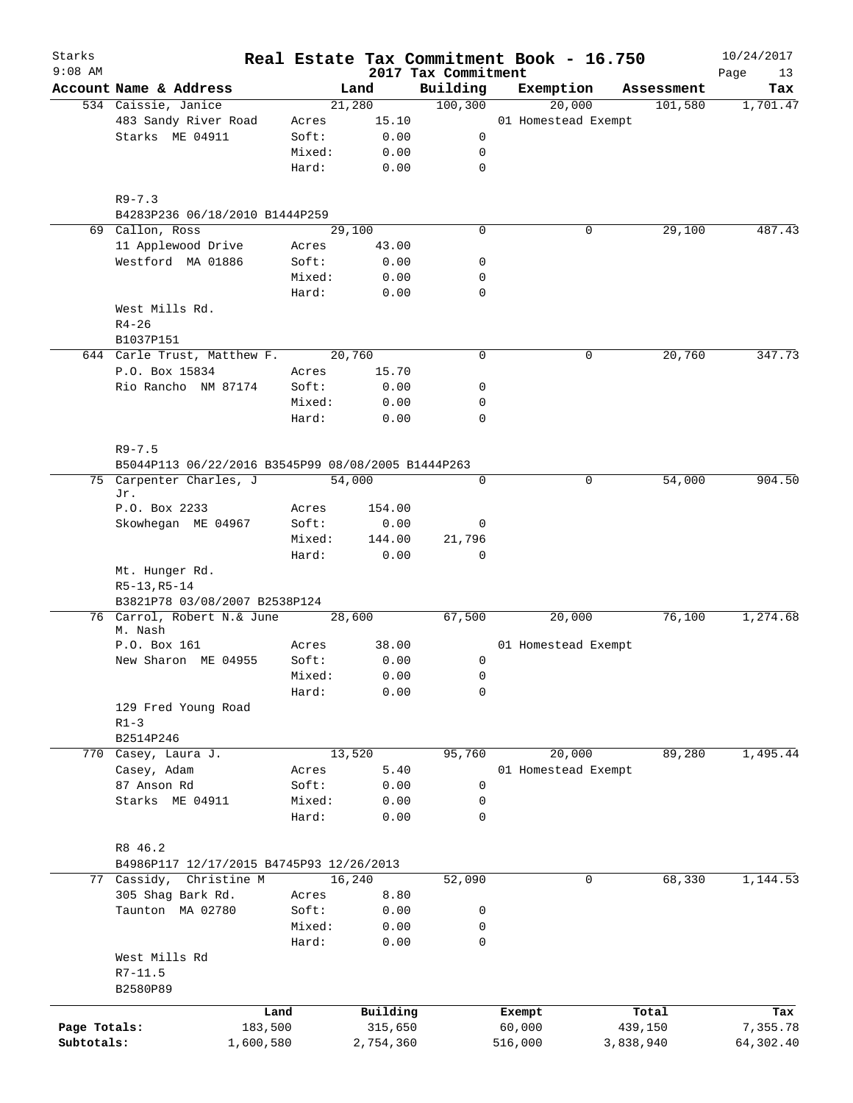| Starks<br>$9:08$ AM |                                                    |        |           | 2017 Tax Commitment | Real Estate Tax Commitment Book - 16.750 |            | 10/24/2017        |
|---------------------|----------------------------------------------------|--------|-----------|---------------------|------------------------------------------|------------|-------------------|
|                     | Account Name & Address                             |        | Land      | Building            | Exemption                                | Assessment | Page<br>13<br>Tax |
|                     | 534 Caissie, Janice                                |        | 21,280    | 100, 300            | 20,000                                   | 101,580    | 1,701.47          |
|                     | 483 Sandy River Road                               | Acres  | 15.10     |                     | 01 Homestead Exempt                      |            |                   |
|                     | Starks ME 04911                                    | Soft:  | 0.00      | 0                   |                                          |            |                   |
|                     |                                                    | Mixed: | 0.00      | 0                   |                                          |            |                   |
|                     |                                                    | Hard:  | 0.00      | $\mathbf 0$         |                                          |            |                   |
|                     | $R9 - 7.3$                                         |        |           |                     |                                          |            |                   |
|                     | B4283P236 06/18/2010 B1444P259                     |        |           |                     |                                          |            |                   |
|                     | 69 Callon, Ross                                    |        | 29,100    | $\mathbf 0$         | 0                                        | 29,100     | 487.43            |
|                     | 11 Applewood Drive                                 | Acres  | 43.00     |                     |                                          |            |                   |
|                     | Westford MA 01886                                  | Soft:  | 0.00      | 0                   |                                          |            |                   |
|                     |                                                    | Mixed: | 0.00      | 0                   |                                          |            |                   |
|                     |                                                    | Hard:  | 0.00      | $\mathbf 0$         |                                          |            |                   |
|                     | West Mills Rd.                                     |        |           |                     |                                          |            |                   |
|                     | $R4 - 26$                                          |        |           |                     |                                          |            |                   |
|                     | B1037P151                                          |        |           |                     |                                          |            |                   |
|                     | 644 Carle Trust, Matthew F.                        |        | 20,760    | 0                   | 0                                        | 20,760     | 347.73            |
|                     | P.O. Box 15834                                     | Acres  | 15.70     |                     |                                          |            |                   |
|                     | Rio Rancho NM 87174                                | Soft:  | 0.00      | 0                   |                                          |            |                   |
|                     |                                                    | Mixed: | 0.00      | 0                   |                                          |            |                   |
|                     |                                                    | Hard:  | 0.00      | $\mathbf 0$         |                                          |            |                   |
|                     | $R9 - 7.5$                                         |        |           |                     |                                          |            |                   |
|                     | B5044P113 06/22/2016 B3545P99 08/08/2005 B1444P263 |        |           |                     |                                          |            |                   |
|                     | 75 Carpenter Charles, J<br>Jr.                     |        | 54,000    | 0                   | 0                                        | 54,000     | 904.50            |
|                     | P.O. Box 2233                                      | Acres  | 154.00    |                     |                                          |            |                   |
|                     | Skowhegan ME 04967                                 | Soft:  | 0.00      | 0                   |                                          |            |                   |
|                     |                                                    | Mixed: | 144.00    | 21,796              |                                          |            |                   |
|                     |                                                    | Hard:  | 0.00      | $\mathbf 0$         |                                          |            |                   |
|                     | Mt. Hunger Rd.                                     |        |           |                     |                                          |            |                   |
|                     | R5-13, R5-14                                       |        |           |                     |                                          |            |                   |
|                     | B3821P78 03/08/2007 B2538P124                      |        |           |                     |                                          |            |                   |
|                     | 76 Carrol, Robert N.& June                         |        | 28,600    | 67,500              | 20,000                                   | 76,100     | 1,274.68          |
|                     | M. Nash                                            |        |           |                     |                                          |            |                   |
|                     | P.O. Box 161                                       | Acres  | 38.00     |                     | 01 Homestead Exempt                      |            |                   |
|                     | New Sharon ME 04955                                | Soft:  | 0.00      | 0                   |                                          |            |                   |
|                     |                                                    | Mixed: | 0.00      | $\mathsf 0$         |                                          |            |                   |
|                     |                                                    | Hard:  | 0.00      | 0                   |                                          |            |                   |
|                     | 129 Fred Young Road                                |        |           |                     |                                          |            |                   |
|                     | $R1 - 3$                                           |        |           |                     |                                          |            |                   |
|                     | B2514P246                                          |        |           |                     |                                          |            |                   |
| 770                 | Casey, Laura J.                                    |        | 13,520    | 95,760              | 20,000                                   | 89,280     | 1,495.44          |
|                     | Casey, Adam                                        | Acres  | 5.40      |                     | 01 Homestead Exempt                      |            |                   |
|                     | 87 Anson Rd                                        | Soft:  | 0.00      | 0                   |                                          |            |                   |
|                     | Starks ME 04911                                    | Mixed: | 0.00      | 0                   |                                          |            |                   |
|                     |                                                    | Hard:  | 0.00      | $\mathbf 0$         |                                          |            |                   |
|                     | R8 46.2                                            |        |           |                     |                                          |            |                   |
|                     | B4986P117 12/17/2015 B4745P93 12/26/2013           |        |           |                     |                                          |            |                   |
|                     | 77 Cassidy, Christine M                            |        | 16,240    | 52,090              | 0                                        | 68,330     | 1,144.53          |
|                     | 305 Shag Bark Rd.                                  | Acres  | 8.80      |                     |                                          |            |                   |
|                     | Taunton MA 02780                                   | Soft:  | 0.00      | 0                   |                                          |            |                   |
|                     |                                                    | Mixed: | 0.00      | 0                   |                                          |            |                   |
|                     |                                                    | Hard:  | 0.00      | 0                   |                                          |            |                   |
|                     | West Mills Rd                                      |        |           |                     |                                          |            |                   |
|                     | $R7 - 11.5$                                        |        |           |                     |                                          |            |                   |
|                     | B2580P89                                           |        |           |                     |                                          |            |                   |
|                     |                                                    | Land   | Building  |                     | Exempt                                   | Total      | Tax               |
| Page Totals:        | 183,500                                            |        | 315,650   |                     | 60,000                                   | 439,150    | 7,355.78          |
| Subtotals:          | 1,600,580                                          |        | 2,754,360 |                     | 516,000                                  | 3,838,940  | 64,302.40         |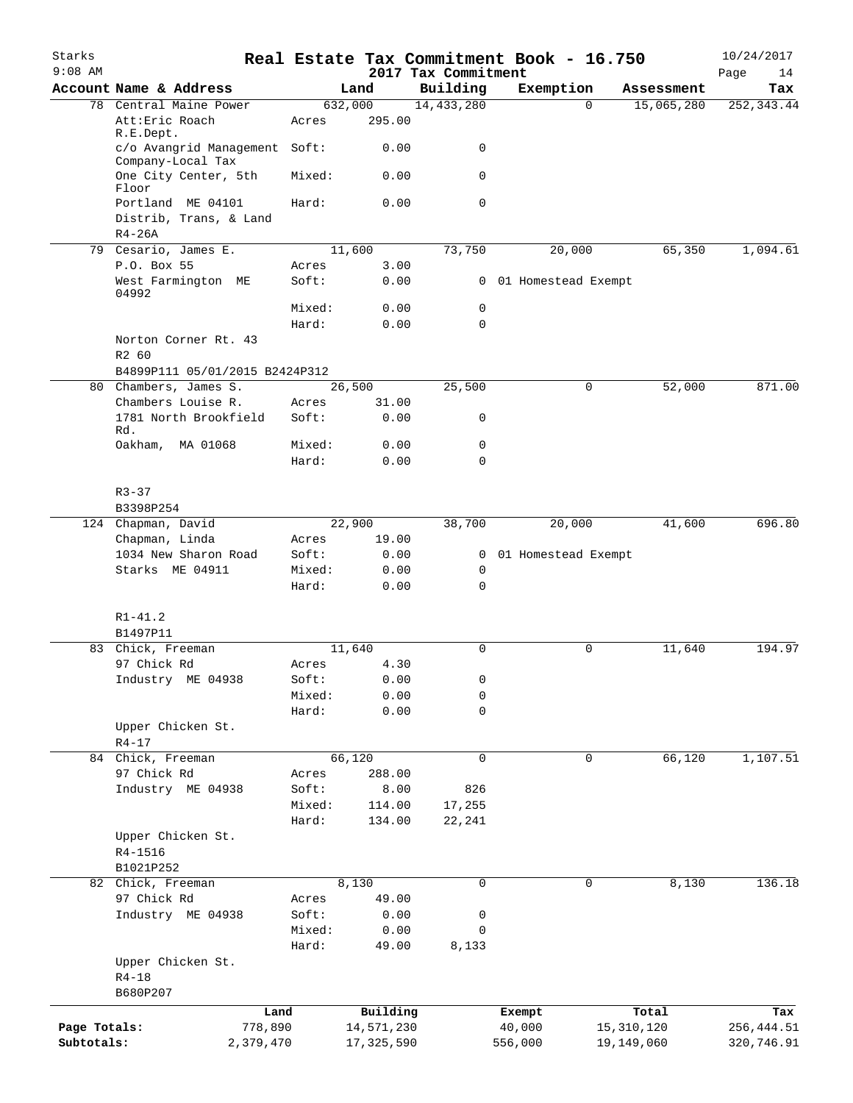| Starks<br>$9:08$ AM |                                                         |        |                        | 2017 Tax Commitment | Real Estate Tax Commitment Book - 16.750 |                        | 10/24/2017<br>14<br>Page |
|---------------------|---------------------------------------------------------|--------|------------------------|---------------------|------------------------------------------|------------------------|--------------------------|
|                     | Account Name & Address                                  |        | Land                   | Building            | Exemption                                | Assessment             | Tax                      |
| 78                  | Central Maine Power                                     |        | 632,000                | 14, 433, 280        |                                          | 15,065,280<br>$\Omega$ | 252, 343.44              |
|                     | Att: Eric Roach<br>R.E.Dept.                            | Acres  | 295.00                 |                     |                                          |                        |                          |
|                     | c/o Avangrid Management Soft:<br>Company-Local Tax      |        | 0.00                   | 0                   |                                          |                        |                          |
|                     | One City Center, 5th<br>Floor                           | Mixed: | 0.00                   | 0                   |                                          |                        |                          |
|                     | Portland ME 04101<br>Distrib, Trans, & Land<br>$R4-26A$ | Hard:  | 0.00                   | $\mathbf 0$         |                                          |                        |                          |
|                     | 79 Cesario, James E.                                    |        | 11,600                 | 73,750              | 20,000                                   | 65,350                 | 1,094.61                 |
|                     | P.O. Box 55                                             | Acres  | 3.00                   |                     |                                          |                        |                          |
|                     | West Farmington ME<br>04992                             | Soft:  | 0.00                   |                     | 0 01 Homestead Exempt                    |                        |                          |
|                     |                                                         | Mixed: | 0.00                   | $\mathsf{O}$        |                                          |                        |                          |
|                     |                                                         | Hard:  | 0.00                   | $\mathbf 0$         |                                          |                        |                          |
|                     | Norton Corner Rt. 43<br>R2 60                           |        |                        |                     |                                          |                        |                          |
|                     | B4899P111 05/01/2015 B2424P312                          |        |                        |                     |                                          |                        |                          |
| 80                  | Chambers, James S.                                      |        | 26,500                 | 25,500              | 0                                        | 52,000                 | 871.00                   |
|                     | Chambers Louise R.                                      | Acres  | 31.00                  |                     |                                          |                        |                          |
|                     | 1781 North Brookfield<br>Rd.                            | Soft:  | 0.00                   | 0                   |                                          |                        |                          |
|                     | Oakham,<br>MA 01068                                     | Mixed: | 0.00                   | $\mathbf 0$         |                                          |                        |                          |
|                     |                                                         | Hard:  | 0.00                   | $\mathbf 0$         |                                          |                        |                          |
|                     | $R3 - 37$                                               |        |                        |                     |                                          |                        |                          |
|                     | B3398P254                                               |        |                        |                     |                                          |                        |                          |
|                     | 124 Chapman, David                                      |        | 22,900                 | 38,700              | 20,000                                   | 41,600                 | 696.80                   |
|                     | Chapman, Linda                                          | Acres  | 19.00                  |                     |                                          |                        |                          |
|                     | 1034 New Sharon Road                                    | Soft:  | 0.00                   |                     | 0 01 Homestead Exempt                    |                        |                          |
|                     | Starks ME 04911                                         | Mixed: | 0.00                   | 0                   |                                          |                        |                          |
|                     |                                                         | Hard:  | 0.00                   | $\mathbf 0$         |                                          |                        |                          |
|                     | $R1 - 41.2$                                             |        |                        |                     |                                          |                        |                          |
|                     | B1497P11                                                |        |                        |                     |                                          |                        |                          |
|                     | 83 Chick, Freeman                                       |        | 11,640                 | 0                   |                                          | 0<br>11,640            | 194.97                   |
|                     | 97 Chick Rd                                             | Acres  | 4.30                   |                     |                                          |                        |                          |
|                     | Industry ME 04938                                       | Soft:  | 0.00                   | $\mathsf 0$         |                                          |                        |                          |
|                     |                                                         | Mixed: | 0.00                   | 0                   |                                          |                        |                          |
|                     |                                                         | Hard:  | 0.00                   | 0                   |                                          |                        |                          |
|                     | Upper Chicken St.                                       |        |                        |                     |                                          |                        |                          |
|                     | $R4 - 17$                                               |        |                        |                     |                                          |                        |                          |
|                     | 84 Chick, Freeman                                       |        | 66,120                 | $\mathbf 0$         |                                          | 66,120<br>0            | 1,107.51                 |
|                     | 97 Chick Rd                                             | Acres  | 288.00                 |                     |                                          |                        |                          |
|                     | Industry ME 04938                                       | Soft:  | 8.00                   | 826                 |                                          |                        |                          |
|                     |                                                         | Mixed: | 114.00                 | 17,255              |                                          |                        |                          |
|                     |                                                         | Hard:  | 134.00                 | 22,241              |                                          |                        |                          |
|                     | Upper Chicken St.<br>R4-1516                            |        |                        |                     |                                          |                        |                          |
|                     | B1021P252                                               |        |                        |                     |                                          |                        |                          |
|                     | 82 Chick, Freeman                                       |        | 8,130                  | 0                   | 0                                        | 8,130                  | 136.18                   |
|                     | 97 Chick Rd                                             | Acres  | 49.00                  |                     |                                          |                        |                          |
|                     | Industry ME 04938                                       | Soft:  | 0.00                   | 0                   |                                          |                        |                          |
|                     |                                                         | Mixed: | 0.00                   | 0                   |                                          |                        |                          |
|                     |                                                         | Hard:  | 49.00                  | 8,133               |                                          |                        |                          |
|                     | Upper Chicken St.                                       |        |                        |                     |                                          |                        |                          |
|                     | $R4 - 18$                                               |        |                        |                     |                                          |                        |                          |
|                     | B680P207                                                |        |                        |                     |                                          |                        |                          |
|                     |                                                         |        |                        |                     |                                          |                        |                          |
| Page Totals:        | Land<br>778,890                                         |        | Building<br>14,571,230 |                     | Exempt<br>40,000                         | Total<br>15, 310, 120  | Tax<br>256, 444.51       |
| Subtotals:          | 2,379,470                                               |        | 17,325,590             |                     | 556,000                                  | 19,149,060             | 320,746.91               |
|                     |                                                         |        |                        |                     |                                          |                        |                          |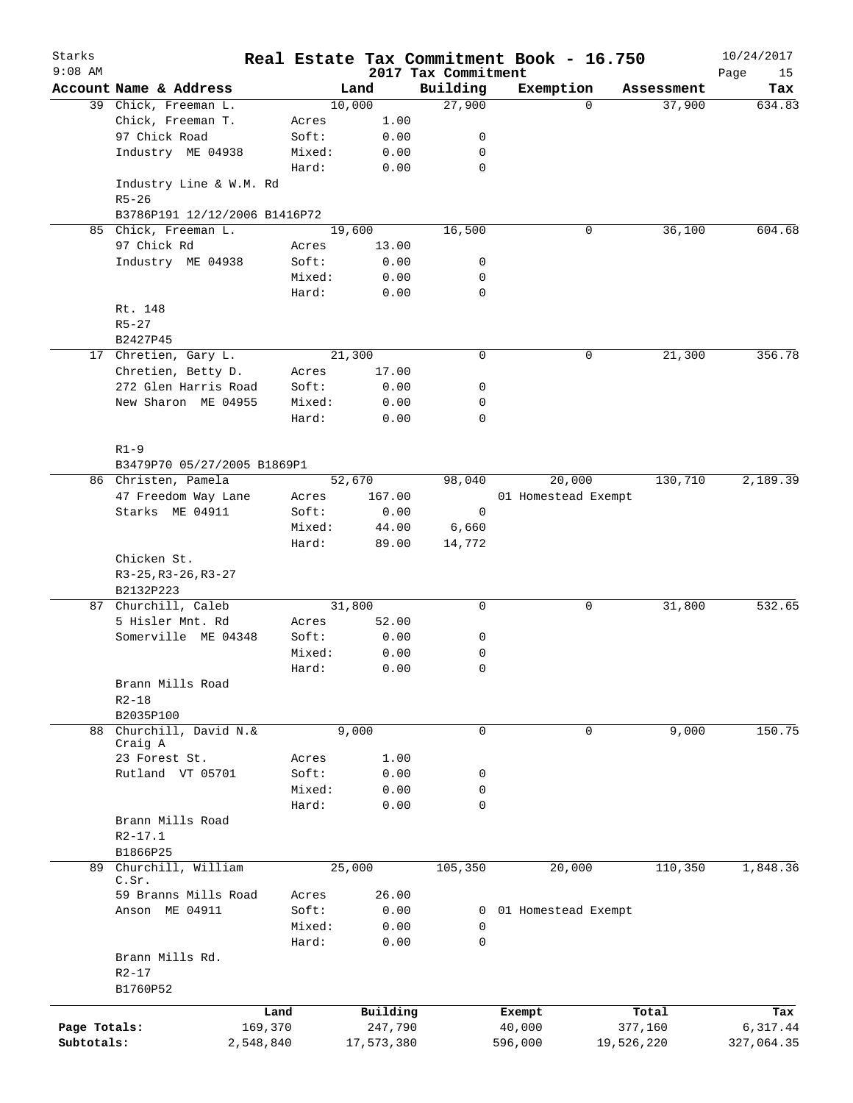| Starks<br>$9:08$ AM |                                                   |         |            | 2017 Tax Commitment | Real Estate Tax Commitment Book - 16.750 |                    | 10/24/2017<br>Page<br>15 |
|---------------------|---------------------------------------------------|---------|------------|---------------------|------------------------------------------|--------------------|--------------------------|
|                     | Account Name & Address                            |         | Land       | Building            | Exemption                                | Assessment         | Tax                      |
|                     | 39 Chick, Freeman L.                              |         | 10,000     | 27,900              |                                          | 37,900<br>$\Omega$ | 634.83                   |
|                     | Chick, Freeman T.                                 | Acres   | 1.00       |                     |                                          |                    |                          |
|                     | 97 Chick Road                                     | Soft:   | 0.00       | 0                   |                                          |                    |                          |
|                     | Industry ME 04938                                 | Mixed:  | 0.00       | 0                   |                                          |                    |                          |
|                     |                                                   | Hard:   | 0.00       | 0                   |                                          |                    |                          |
|                     | Industry Line & W.M. Rd<br>$R5 - 26$              |         |            |                     |                                          |                    |                          |
|                     | B3786P191 12/12/2006 B1416P72                     |         |            |                     |                                          |                    |                          |
|                     | 85 Chick, Freeman L.                              |         | 19,600     | 16,500              | 0                                        | 36,100             | 604.68                   |
|                     | 97 Chick Rd                                       | Acres   | 13.00      |                     |                                          |                    |                          |
|                     | Industry ME 04938                                 | Soft:   | 0.00       | 0                   |                                          |                    |                          |
|                     |                                                   | Mixed:  | 0.00       | 0                   |                                          |                    |                          |
|                     |                                                   | Hard:   | 0.00       | $\mathbf 0$         |                                          |                    |                          |
|                     | Rt. 148                                           |         |            |                     |                                          |                    |                          |
|                     | $R5 - 27$                                         |         |            |                     |                                          |                    |                          |
|                     | B2427P45                                          |         |            |                     |                                          |                    |                          |
|                     | 17 Chretien, Gary L.                              |         | 21,300     | 0                   | 0                                        | 21,300             | 356.78                   |
|                     | Chretien, Betty D.                                | Acres   | 17.00      |                     |                                          |                    |                          |
|                     | 272 Glen Harris Road                              | Soft:   | 0.00       | 0                   |                                          |                    |                          |
|                     | New Sharon ME 04955                               | Mixed:  | 0.00       | 0                   |                                          |                    |                          |
|                     |                                                   | Hard:   | 0.00       | 0                   |                                          |                    |                          |
|                     |                                                   |         |            |                     |                                          |                    |                          |
|                     | $R1-9$                                            |         |            |                     |                                          |                    |                          |
|                     | B3479P70 05/27/2005 B1869P1                       |         |            |                     |                                          |                    |                          |
|                     | 86 Christen, Pamela                               |         | 52,670     | 98,040              | 20,000                                   | 130,710            | 2,189.39                 |
|                     | 47 Freedom Way Lane                               | Acres   | 167.00     |                     | 01 Homestead Exempt                      |                    |                          |
|                     | Starks ME 04911                                   | Soft:   | 0.00       | 0                   |                                          |                    |                          |
|                     |                                                   | Mixed:  | 44.00      | 6,660               |                                          |                    |                          |
|                     |                                                   | Hard:   | 89.00      | 14,772              |                                          |                    |                          |
|                     | Chicken St.<br>$R3-25, R3-26, R3-27$<br>B2132P223 |         |            |                     |                                          |                    |                          |
| 87                  | Churchill, Caleb                                  |         | 31,800     | $\mathbf 0$         | 0                                        | 31,800             | 532.65                   |
|                     | 5 Hisler Mnt. Rd                                  | Acres   | 52.00      |                     |                                          |                    |                          |
|                     | Somerville ME 04348                               | Soft:   | 0.00       | 0                   |                                          |                    |                          |
|                     |                                                   | Mixed:  | 0.00       | 0                   |                                          |                    |                          |
|                     |                                                   | Hard:   | 0.00       | 0                   |                                          |                    |                          |
|                     | Brann Mills Road                                  |         |            |                     |                                          |                    |                          |
|                     | $R2 - 18$                                         |         |            |                     |                                          |                    |                          |
|                     | B2035P100                                         |         |            |                     |                                          |                    |                          |
| 88                  | Churchill, David N.&                              |         | 9,000      | 0                   | 0                                        | 9,000              | 150.75                   |
|                     | Craig A                                           |         |            |                     |                                          |                    |                          |
|                     | 23 Forest St.                                     | Acres   | 1.00       |                     |                                          |                    |                          |
|                     | Rutland VT 05701                                  | Soft:   | 0.00       | 0                   |                                          |                    |                          |
|                     |                                                   | Mixed:  | 0.00       | 0                   |                                          |                    |                          |
|                     |                                                   | Hard:   | 0.00       | 0                   |                                          |                    |                          |
|                     | Brann Mills Road                                  |         |            |                     |                                          |                    |                          |
|                     | $R2 - 17.1$                                       |         |            |                     |                                          |                    |                          |
|                     | B1866P25                                          |         |            |                     |                                          |                    |                          |
| 89                  | Churchill, William                                |         | 25,000     | 105,350             | 20,000                                   | 110,350            | 1,848.36                 |
|                     | C.Sr.                                             |         |            |                     |                                          |                    |                          |
|                     | 59 Branns Mills Road                              | Acres   | 26.00      |                     |                                          |                    |                          |
|                     | Anson ME 04911                                    | Soft:   | 0.00       | 0                   | 01 Homestead Exempt                      |                    |                          |
|                     |                                                   | Mixed:  | 0.00       | 0                   |                                          |                    |                          |
|                     |                                                   | Hard:   | 0.00       | $\mathbf 0$         |                                          |                    |                          |
|                     | Brann Mills Rd.                                   |         |            |                     |                                          |                    |                          |
|                     | $R2 - 17$                                         |         |            |                     |                                          |                    |                          |
|                     | B1760P52                                          |         |            |                     |                                          |                    |                          |
|                     |                                                   | Land    | Building   |                     | Exempt                                   | Total              | Tax                      |
| Page Totals:        |                                                   | 169,370 | 247,790    |                     | 40,000                                   | 377,160            | 6,317.44                 |
| Subtotals:          | 2,548,840                                         |         | 17,573,380 |                     | 596,000                                  | 19,526,220         | 327,064.35               |
|                     |                                                   |         |            |                     |                                          |                    |                          |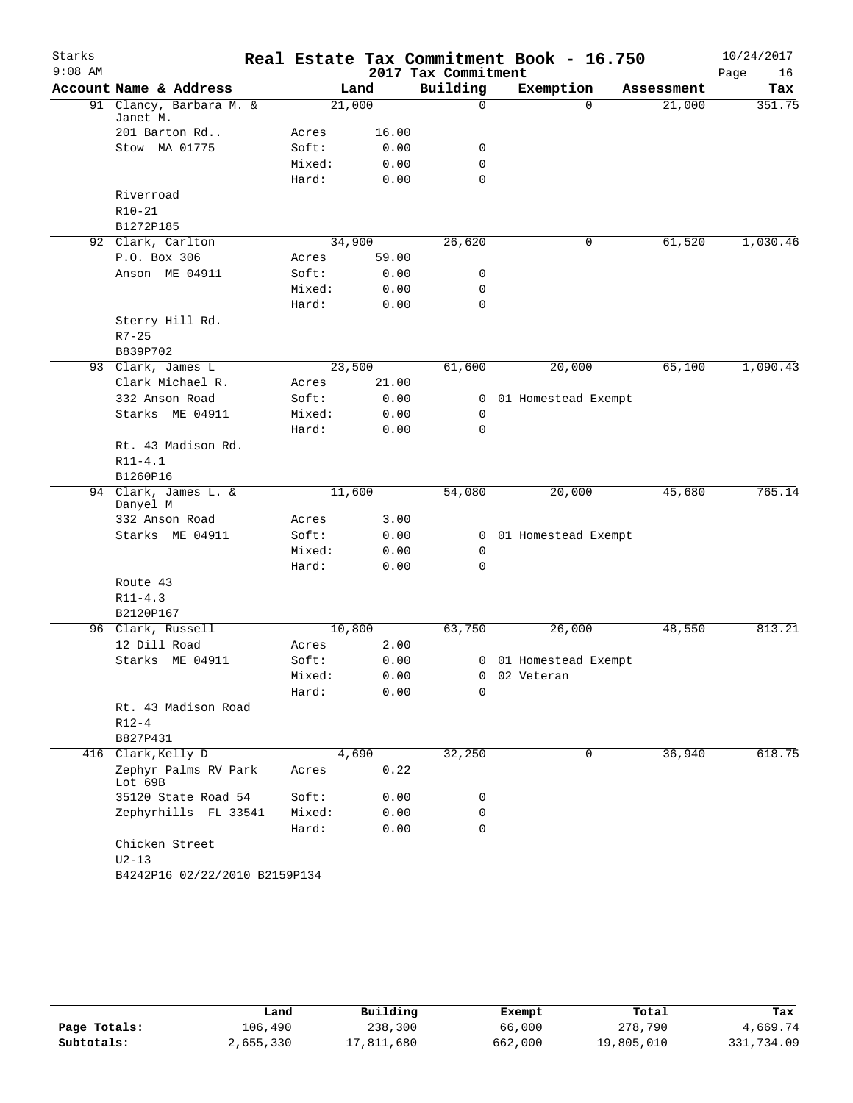| Starks    |                                     |        |       |                     | Real Estate Tax Commitment Book - 16.750 |            | 10/24/2017 |
|-----------|-------------------------------------|--------|-------|---------------------|------------------------------------------|------------|------------|
| $9:08$ AM |                                     |        |       | 2017 Tax Commitment |                                          |            | Page<br>16 |
|           | Account Name & Address              | Land   |       | Building            | Exemption                                | Assessment | Tax        |
|           | 91 Clancy, Barbara M. &<br>Janet M. | 21,000 |       | $\mathbf 0$         | $\Omega$                                 | 21,000     | 351.75     |
|           | 201 Barton Rd                       | Acres  | 16.00 |                     |                                          |            |            |
|           | Stow MA 01775                       | Soft:  | 0.00  | 0                   |                                          |            |            |
|           |                                     | Mixed: | 0.00  | 0                   |                                          |            |            |
|           |                                     | Hard:  | 0.00  | 0                   |                                          |            |            |
|           | Riverroad                           |        |       |                     |                                          |            |            |
|           | $R10-21$                            |        |       |                     |                                          |            |            |
|           | B1272P185                           |        |       |                     |                                          |            |            |
|           | 92 Clark, Carlton                   | 34,900 |       | 26,620              | 0                                        | 61,520     | 1,030.46   |
|           | P.O. Box 306                        | Acres  | 59.00 |                     |                                          |            |            |
|           | Anson ME 04911                      | Soft:  | 0.00  | 0                   |                                          |            |            |
|           |                                     | Mixed: | 0.00  | 0                   |                                          |            |            |
|           |                                     | Hard:  | 0.00  | $\mathbf 0$         |                                          |            |            |
|           | Sterry Hill Rd.                     |        |       |                     |                                          |            |            |
|           | $R7 - 25$                           |        |       |                     |                                          |            |            |
|           | B839P702                            |        |       |                     |                                          |            |            |
|           | 93 Clark, James L                   | 23,500 |       | 61,600              | 20,000                                   | 65,100     | 1,090.43   |
|           | Clark Michael R.                    | Acres  | 21.00 |                     |                                          |            |            |
|           | 332 Anson Road                      | Soft:  | 0.00  | 0                   | 01 Homestead Exempt                      |            |            |
|           | Starks ME 04911                     | Mixed: | 0.00  | 0                   |                                          |            |            |
|           |                                     | Hard:  | 0.00  | 0                   |                                          |            |            |
|           | Rt. 43 Madison Rd.                  |        |       |                     |                                          |            |            |
|           | $R11 - 4.1$                         |        |       |                     |                                          |            |            |
|           | B1260P16                            |        |       |                     |                                          |            |            |
|           | 94 Clark, James L. &                | 11,600 |       | 54,080              | 20,000                                   | 45,680     | 765.14     |
|           | Danyel M                            |        |       |                     |                                          |            |            |
|           | 332 Anson Road                      | Acres  | 3.00  |                     |                                          |            |            |
|           | Starks ME 04911                     | Soft:  | 0.00  | $\mathbf{0}$        | 01 Homestead Exempt                      |            |            |
|           |                                     | Mixed: | 0.00  | 0                   |                                          |            |            |
|           |                                     | Hard:  | 0.00  | $\mathbf 0$         |                                          |            |            |
|           | Route 43<br>$R11 - 4.3$             |        |       |                     |                                          |            |            |
|           | B2120P167                           |        |       |                     |                                          |            |            |
|           | 96 Clark, Russell                   | 10,800 |       | 63,750              | 26,000                                   | 48,550     | 813.21     |
|           | 12 Dill Road                        | Acres  | 2.00  |                     |                                          |            |            |
|           | Starks ME 04911                     | Soft:  | 0.00  |                     | 0 01 Homestead Exempt                    |            |            |
|           |                                     | Mixed: | 0.00  | 0                   | 02 Veteran                               |            |            |
|           |                                     | Hard:  | 0.00  | 0                   |                                          |            |            |
|           | Rt. 43 Madison Road                 |        |       |                     |                                          |            |            |
|           | $R12 - 4$                           |        |       |                     |                                          |            |            |
|           | B827P431                            |        |       |                     |                                          |            |            |
|           | 416 Clark, Kelly D                  | 4,690  |       | 32,250              | 0                                        | 36,940     | 618.75     |
|           | Zephyr Palms RV Park<br>Lot 69B     | Acres  | 0.22  |                     |                                          |            |            |
|           | 35120 State Road 54                 | Soft:  | 0.00  | 0                   |                                          |            |            |
|           | Zephyrhills FL 33541                | Mixed: | 0.00  | 0                   |                                          |            |            |
|           |                                     | Hard:  | 0.00  | $\mathbf 0$         |                                          |            |            |
|           | Chicken Street                      |        |       |                     |                                          |            |            |
|           | $U2-13$                             |        |       |                     |                                          |            |            |
|           | B4242P16 02/22/2010 B2159P134       |        |       |                     |                                          |            |            |
|           |                                     |        |       |                     |                                          |            |            |

|              | Land      | Building   | Exempt  | Total      | Tax        |
|--------------|-----------|------------|---------|------------|------------|
| Page Totals: | 106,490   | 238,300    | 66,000  | 278,790    | 4,669.74   |
| Subtotals:   | 2,655,330 | 17,811,680 | 662,000 | 19,805,010 | 331,734.09 |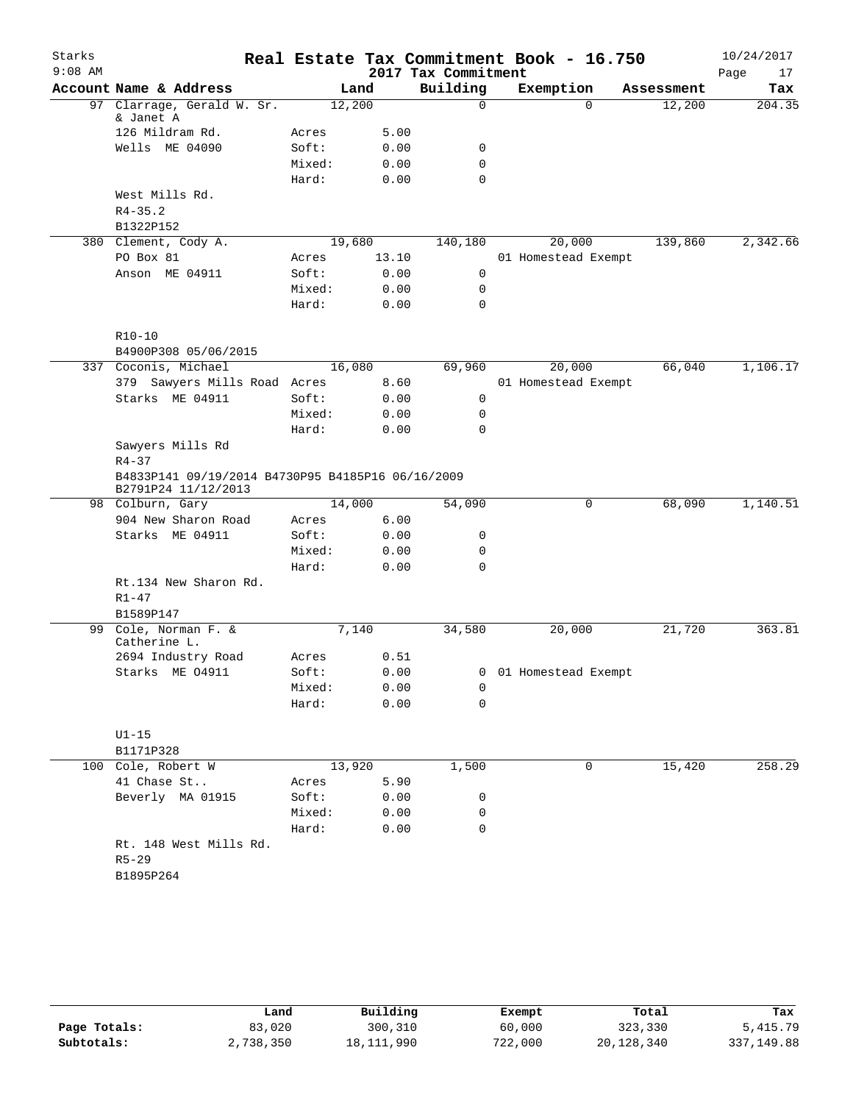| Starks    |                                                                          |        |       |                     | Real Estate Tax Commitment Book - 16.750 |            | 10/24/2017 |
|-----------|--------------------------------------------------------------------------|--------|-------|---------------------|------------------------------------------|------------|------------|
| $9:08$ AM |                                                                          |        |       | 2017 Tax Commitment |                                          |            | Page<br>17 |
|           | Account Name & Address                                                   |        | Land  | Building            | Exemption                                | Assessment | Tax        |
| 97        | Clarrage, Gerald W. Sr.<br>& Janet A                                     | 12,200 |       | $\Omega$            | $\Omega$                                 | 12,200     | 204.35     |
|           | 126 Mildram Rd.                                                          | Acres  | 5.00  |                     |                                          |            |            |
|           | Wells ME 04090                                                           | Soft:  | 0.00  | 0                   |                                          |            |            |
|           |                                                                          | Mixed: | 0.00  | 0                   |                                          |            |            |
|           |                                                                          | Hard:  | 0.00  | 0                   |                                          |            |            |
|           | West Mills Rd.                                                           |        |       |                     |                                          |            |            |
|           | $R4 - 35.2$                                                              |        |       |                     |                                          |            |            |
|           | B1322P152                                                                |        |       |                     |                                          |            |            |
|           | 380 Clement, Cody A.                                                     | 19,680 |       | 140,180             | 20,000                                   | 139,860    | 2,342.66   |
|           | PO Box 81                                                                | Acres  | 13.10 |                     | 01 Homestead Exempt                      |            |            |
|           | Anson ME 04911                                                           | Soft:  | 0.00  | $\mathbf 0$         |                                          |            |            |
|           |                                                                          | Mixed: | 0.00  | 0                   |                                          |            |            |
|           |                                                                          | Hard:  | 0.00  | 0                   |                                          |            |            |
|           | $R10 - 10$                                                               |        |       |                     |                                          |            |            |
|           | B4900P308 05/06/2015                                                     |        |       |                     |                                          |            |            |
|           | 337 Coconis, Michael                                                     | 16,080 |       | 69,960              | 20,000                                   | 66,040     | 1,106.17   |
|           | 379 Sawyers Mills Road Acres                                             |        | 8.60  |                     | 01 Homestead Exempt                      |            |            |
|           | Starks ME 04911                                                          | Soft:  | 0.00  | $\mathsf 0$         |                                          |            |            |
|           |                                                                          | Mixed: | 0.00  | 0                   |                                          |            |            |
|           |                                                                          | Hard:  | 0.00  | 0                   |                                          |            |            |
|           | Sawyers Mills Rd<br>$R4 - 37$                                            |        |       |                     |                                          |            |            |
|           | B4833P141 09/19/2014 B4730P95 B4185P16 06/16/2009<br>B2791P24 11/12/2013 |        |       |                     |                                          |            |            |
|           | 98 Colburn, Gary                                                         | 14,000 |       | 54,090              | 0                                        | 68,090     | 1,140.51   |
|           | 904 New Sharon Road                                                      | Acres  | 6.00  |                     |                                          |            |            |
|           | Starks ME 04911                                                          | Soft:  | 0.00  | 0                   |                                          |            |            |
|           |                                                                          | Mixed: | 0.00  | 0                   |                                          |            |            |
|           |                                                                          | Hard:  | 0.00  | 0                   |                                          |            |            |
|           | Rt.134 New Sharon Rd.                                                    |        |       |                     |                                          |            |            |
|           | $R1 - 47$                                                                |        |       |                     |                                          |            |            |
|           | B1589P147                                                                |        |       |                     |                                          |            |            |
| 99        | Cole, Norman F. &<br>Catherine L.                                        |        | 7,140 | 34,580              | 20,000                                   | 21,720     | 363.81     |
|           | 2694 Industry Road                                                       | Acres  | 0.51  |                     |                                          |            |            |
|           | Starks ME 04911                                                          | Soft:  | 0.00  |                     | 0 01 Homestead Exempt                    |            |            |
|           |                                                                          | Mixed: | 0.00  | 0                   |                                          |            |            |
|           |                                                                          | Hard:  | 0.00  | $\Omega$            |                                          |            |            |
|           | $UI-15$                                                                  |        |       |                     |                                          |            |            |
|           | B1171P328                                                                |        |       |                     |                                          |            |            |
|           | 100 Cole, Robert W                                                       | 13,920 |       | 1,500               | 0                                        | 15,420     | 258.29     |
|           | 41 Chase St                                                              | Acres  | 5.90  |                     |                                          |            |            |
|           | Beverly MA 01915                                                         | Soft:  | 0.00  | 0                   |                                          |            |            |
|           |                                                                          | Mixed: | 0.00  | 0                   |                                          |            |            |
|           |                                                                          | Hard:  | 0.00  | 0                   |                                          |            |            |
|           | Rt. 148 West Mills Rd.                                                   |        |       |                     |                                          |            |            |
|           | $R5 - 29$                                                                |        |       |                     |                                          |            |            |
|           | B1895P264                                                                |        |       |                     |                                          |            |            |
|           |                                                                          |        |       |                     |                                          |            |            |

|              | Land      | Building     | Exempt  | Total      | Tax        |
|--------------|-----------|--------------|---------|------------|------------|
| Page Totals: | 83,020    | 300,310      | 60,000  | 323,330    | 5,415.79   |
| Subtotals:   | 2,738,350 | 18, 111, 990 | 722,000 | 20,128,340 | 337,149.88 |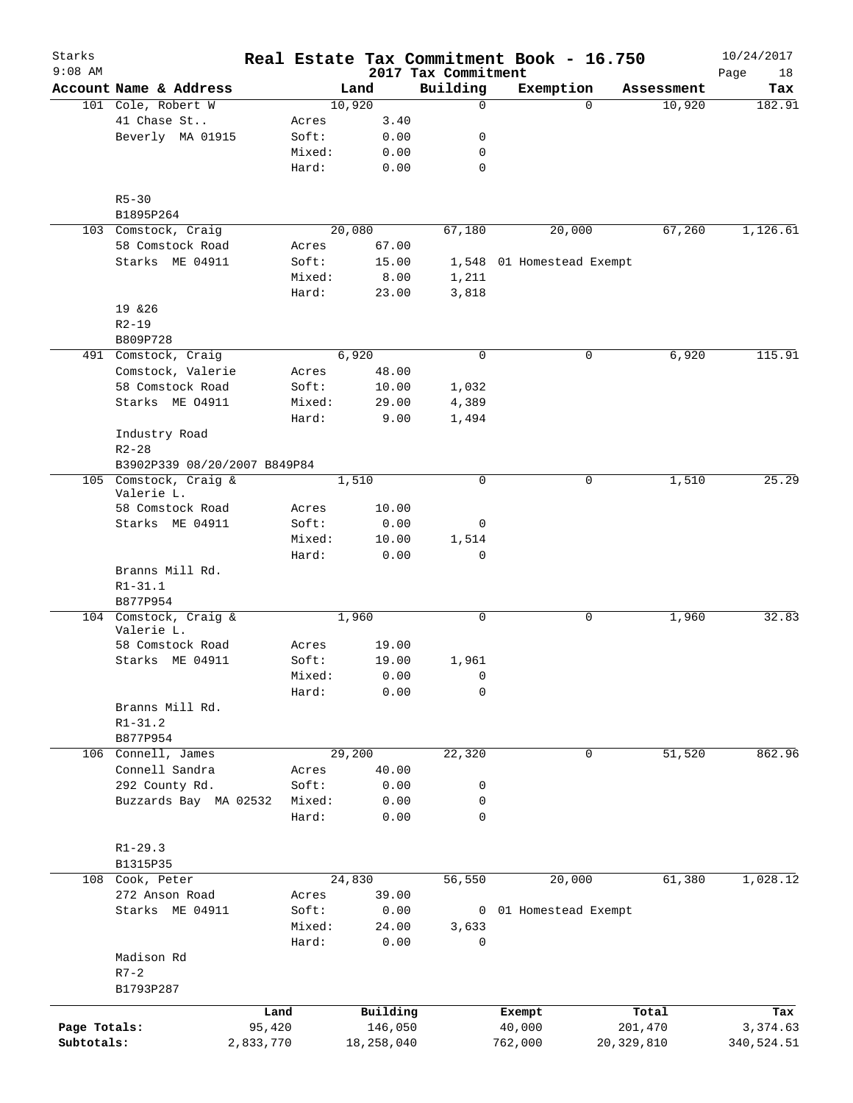| Starks       |                                |           |            |                                 | Real Estate Tax Commitment Book - 16.750 |              | 10/24/2017        |
|--------------|--------------------------------|-----------|------------|---------------------------------|------------------------------------------|--------------|-------------------|
| $9:08$ AM    | Account Name & Address         |           | Land       | 2017 Tax Commitment<br>Building | Exemption                                | Assessment   | Page<br>18<br>Tax |
|              | 101 Cole, Robert W             |           | 10,920     | $\mathbf 0$                     | $\Omega$                                 | 10,920       | 182.91            |
|              | 41 Chase St                    | Acres     | 3.40       |                                 |                                          |              |                   |
|              | Beverly MA 01915               | Soft:     | 0.00       | 0                               |                                          |              |                   |
|              |                                | Mixed:    | 0.00       | 0                               |                                          |              |                   |
|              |                                | Hard:     | 0.00       | $\mathbf 0$                     |                                          |              |                   |
|              | $R5 - 30$                      |           |            |                                 |                                          |              |                   |
|              | B1895P264                      |           |            |                                 |                                          |              |                   |
|              | 103 Comstock, Craig            |           | 20,080     | 67,180                          | 20,000                                   | 67,260       | 1,126.61          |
|              | 58 Comstock Road               | Acres     | 67.00      |                                 |                                          |              |                   |
|              | Starks ME 04911                | Soft:     | 15.00      | 1,548                           | 01 Homestead Exempt                      |              |                   |
|              |                                | Mixed:    | 8.00       | 1,211                           |                                          |              |                   |
|              |                                | Hard:     | 23.00      | 3,818                           |                                          |              |                   |
|              | 19 & 26                        |           |            |                                 |                                          |              |                   |
|              | $R2 - 19$                      |           |            |                                 |                                          |              |                   |
|              | B809P728                       |           |            |                                 |                                          |              |                   |
|              | 491 Comstock, Craig            |           | 6,920      | $\mathbf 0$                     | 0                                        | 6,920        | 115.91            |
|              | Comstock, Valerie              | Acres     | 48.00      |                                 |                                          |              |                   |
|              | 58 Comstock Road               | Soft:     | 10.00      | 1,032                           |                                          |              |                   |
|              | Starks ME 04911                | Mixed:    | 29.00      | 4,389                           |                                          |              |                   |
|              |                                | Hard:     | 9.00       | 1,494                           |                                          |              |                   |
|              | Industry Road                  |           |            |                                 |                                          |              |                   |
|              | $R2 - 28$                      |           |            |                                 |                                          |              |                   |
|              | B3902P339 08/20/2007 B849P84   |           |            |                                 |                                          |              |                   |
| 105          | Comstock, Craig &              |           | 1,510      | $\mathbf 0$                     | 0                                        | 1,510        | 25.29             |
|              | Valerie L.<br>58 Comstock Road | Acres     | 10.00      |                                 |                                          |              |                   |
|              | Starks ME 04911                | Soft:     | 0.00       | 0                               |                                          |              |                   |
|              |                                | Mixed:    | 10.00      | 1,514                           |                                          |              |                   |
|              |                                | Hard:     | 0.00       | $\mathbf 0$                     |                                          |              |                   |
|              | Branns Mill Rd.                |           |            |                                 |                                          |              |                   |
|              | $R1 - 31.1$                    |           |            |                                 |                                          |              |                   |
|              | B877P954                       |           |            |                                 |                                          |              |                   |
|              | 104 Comstock, Craig &          |           | 1,960      | $\mathbf 0$                     | 0                                        | 1,960        | 32.83             |
|              | Valerie L.                     |           |            |                                 |                                          |              |                   |
|              | 58 Comstock Road               | Acres     | 19.00      |                                 |                                          |              |                   |
|              | Starks ME 04911                | Soft:     | 19.00      | 1,961                           |                                          |              |                   |
|              |                                | Mixed:    | 0.00       | $\overline{\phantom{0}}$        |                                          |              |                   |
|              |                                | Hard:     | 0.00       | 0                               |                                          |              |                   |
|              | Branns Mill Rd.                |           |            |                                 |                                          |              |                   |
|              | $R1 - 31.2$                    |           |            |                                 |                                          |              |                   |
|              | B877P954                       |           |            |                                 |                                          |              |                   |
|              | 106 Connell, James             |           | 29,200     | 22,320                          | 0                                        | 51,520       | 862.96            |
|              | Connell Sandra                 | Acres     | 40.00      |                                 |                                          |              |                   |
|              | 292 County Rd.                 | Soft:     | 0.00       | 0                               |                                          |              |                   |
|              | Buzzards Bay MA 02532          | Mixed:    | 0.00       | 0                               |                                          |              |                   |
|              |                                | Hard:     | 0.00       | $\mathbf 0$                     |                                          |              |                   |
|              |                                |           |            |                                 |                                          |              |                   |
|              | $R1 - 29.3$                    |           |            |                                 |                                          |              |                   |
|              | B1315P35                       |           |            |                                 |                                          |              |                   |
|              | 108 Cook, Peter                |           | 24,830     | 56,550                          | 20,000                                   | 61,380       | 1,028.12          |
|              | 272 Anson Road                 | Acres     | 39.00      |                                 |                                          |              |                   |
|              | Starks ME 04911                | Soft:     | 0.00       |                                 | 0 01 Homestead Exempt                    |              |                   |
|              |                                | Mixed:    | 24.00      | 3,633                           |                                          |              |                   |
|              |                                | Hard:     | 0.00       | $\mathbf 0$                     |                                          |              |                   |
|              | Madison Rd                     |           |            |                                 |                                          |              |                   |
|              | $R7 - 2$                       |           |            |                                 |                                          |              |                   |
|              | B1793P287                      |           |            |                                 |                                          |              |                   |
|              |                                | Land      | Building   |                                 | Exempt                                   | Total        | Tax               |
| Page Totals: |                                | 95,420    | 146,050    |                                 | 40,000                                   | 201,470      | 3,374.63          |
| Subtotals:   |                                | 2,833,770 | 18,258,040 |                                 | 762,000                                  | 20, 329, 810 | 340,524.51        |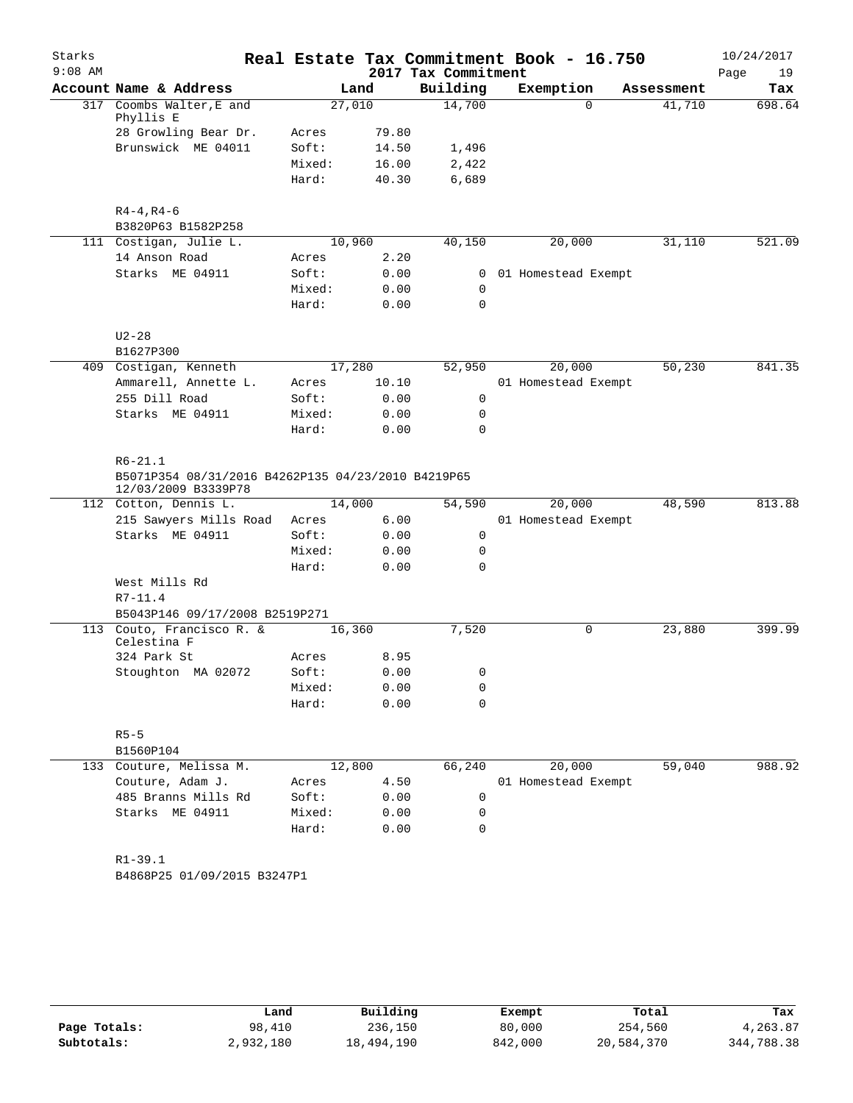| Starks<br>$9:08$ AM |                                                                           |        |        | 2017 Tax Commitment | Real Estate Tax Commitment Book - 16.750 |            | 10/24/2017<br>Page<br>19 |
|---------------------|---------------------------------------------------------------------------|--------|--------|---------------------|------------------------------------------|------------|--------------------------|
|                     | Account Name & Address                                                    |        | Land   | Building            | Exemption                                | Assessment | Tax                      |
|                     | 317 Coombs Walter, E and                                                  |        | 27,010 | 14,700              | $\Omega$                                 | 41,710     | 698.64                   |
|                     | Phyllis E<br>28 Growling Bear Dr.                                         | Acres  | 79.80  |                     |                                          |            |                          |
|                     | Brunswick ME 04011                                                        | Soft:  | 14.50  | 1,496               |                                          |            |                          |
|                     |                                                                           | Mixed: | 16.00  | 2,422               |                                          |            |                          |
|                     |                                                                           | Hard:  |        | 6,689               |                                          |            |                          |
|                     |                                                                           |        | 40.30  |                     |                                          |            |                          |
|                     | $R4 - 4, R4 - 6$                                                          |        |        |                     |                                          |            |                          |
|                     | B3820P63 B1582P258                                                        |        |        |                     |                                          |            |                          |
|                     | 111 Costigan, Julie L.                                                    |        | 10,960 | 40,150              | 20,000                                   | 31,110     | 521.09                   |
|                     | 14 Anson Road                                                             | Acres  | 2.20   |                     |                                          |            |                          |
|                     | Starks ME 04911                                                           | Soft:  | 0.00   | 0                   | 01 Homestead Exempt                      |            |                          |
|                     |                                                                           | Mixed: | 0.00   | 0                   |                                          |            |                          |
|                     |                                                                           | Hard:  | 0.00   | $\mathbf 0$         |                                          |            |                          |
|                     | $U2 - 28$                                                                 |        |        |                     |                                          |            |                          |
|                     | B1627P300                                                                 |        |        |                     |                                          |            |                          |
|                     | 409 Costigan, Kenneth                                                     |        | 17,280 | 52,950              | 20,000                                   | 50,230     | 841.35                   |
|                     | Ammarell, Annette L.                                                      | Acres  | 10.10  |                     | 01 Homestead Exempt                      |            |                          |
|                     | 255 Dill Road                                                             | Soft:  | 0.00   | 0                   |                                          |            |                          |
|                     | Starks ME 04911                                                           | Mixed: | 0.00   | 0                   |                                          |            |                          |
|                     |                                                                           | Hard:  | 0.00   | $\Omega$            |                                          |            |                          |
|                     |                                                                           |        |        |                     |                                          |            |                          |
|                     | $R6 - 21.1$                                                               |        |        |                     |                                          |            |                          |
|                     | B5071P354 08/31/2016 B4262P135 04/23/2010 B4219P65<br>12/03/2009 B3339P78 |        |        |                     |                                          |            |                          |
|                     | 112 Cotton, Dennis L.                                                     | 14,000 |        | 54,590              | 20,000                                   | 48,590     | 813.88                   |
|                     | 215 Sawyers Mills Road                                                    | Acres  | 6.00   |                     | 01 Homestead Exempt                      |            |                          |
|                     | Starks ME 04911                                                           | Soft:  | 0.00   | 0                   |                                          |            |                          |
|                     |                                                                           | Mixed: | 0.00   | 0                   |                                          |            |                          |
|                     |                                                                           | Hard:  | 0.00   | $\mathbf 0$         |                                          |            |                          |
|                     | West Mills Rd                                                             |        |        |                     |                                          |            |                          |
|                     | $R7 - 11.4$                                                               |        |        |                     |                                          |            |                          |
|                     | B5043P146 09/17/2008 B2519P271                                            |        |        |                     |                                          |            |                          |
|                     | 113 Couto, Francisco R. &<br>Celestina F                                  | 16,360 |        | 7,520               | 0                                        | 23,880     | 399.99                   |
|                     | 324 Park St                                                               | Acres  | 8.95   |                     |                                          |            |                          |
|                     | Stoughton MA 02072                                                        | Soft:  | 0.00   | 0                   |                                          |            |                          |
|                     |                                                                           | Mixed: | 0.00   | 0                   |                                          |            |                          |
|                     |                                                                           | Hard:  | 0.00   | 0                   |                                          |            |                          |
|                     | $R5-5$                                                                    |        |        |                     |                                          |            |                          |
|                     | B1560P104                                                                 |        |        |                     |                                          |            |                          |
|                     | 133 Couture, Melissa M.                                                   | 12,800 |        | 66,240              | 20,000                                   | 59,040     | 988.92                   |
|                     | Couture, Adam J.                                                          | Acres  | 4.50   |                     | 01 Homestead Exempt                      |            |                          |
|                     | 485 Branns Mills Rd                                                       | Soft:  | 0.00   | 0                   |                                          |            |                          |
|                     | Starks ME 04911                                                           | Mixed: | 0.00   | 0                   |                                          |            |                          |
|                     |                                                                           | Hard:  | 0.00   | $\mathbf 0$         |                                          |            |                          |
|                     |                                                                           |        |        |                     |                                          |            |                          |
|                     | $R1 - 39.1$                                                               |        |        |                     |                                          |            |                          |
|                     | B4868P25 01/09/2015 B3247P1                                               |        |        |                     |                                          |            |                          |
|                     |                                                                           |        |        |                     |                                          |            |                          |

|              | Land      | Building   | Exempt  | Total      | Tax        |
|--------------|-----------|------------|---------|------------|------------|
| Page Totals: | 98,410    | 236,150    | 80,000  | 254,560    | 4,263.87   |
| Subtotals:   | 2,932,180 | 18,494,190 | 842,000 | 20,584,370 | 344,788.38 |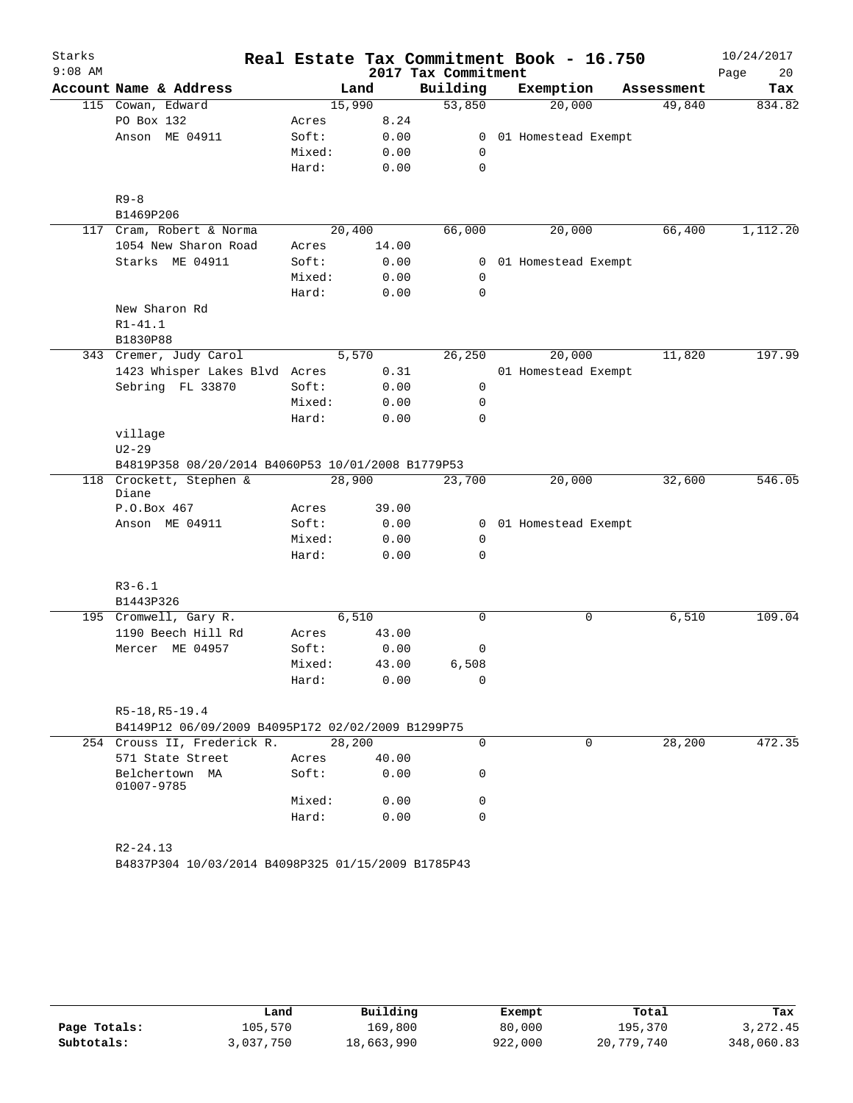| Starks    |                                                                                  |        |        |                     | Real Estate Tax Commitment Book - 16.750 |            | 10/24/2017 |
|-----------|----------------------------------------------------------------------------------|--------|--------|---------------------|------------------------------------------|------------|------------|
| $9:08$ AM |                                                                                  |        |        | 2017 Tax Commitment |                                          |            | 20<br>Page |
|           | Account Name & Address                                                           |        | Land   | Building            | Exemption                                | Assessment | Tax        |
|           | 115 Cowan, Edward                                                                |        | 15,990 | 53,850              | 20,000                                   | 49,840     | 834.82     |
|           | PO Box 132                                                                       | Acres  | 8.24   |                     |                                          |            |            |
|           | Anson ME 04911                                                                   | Soft:  | 0.00   |                     | 0 01 Homestead Exempt                    |            |            |
|           |                                                                                  | Mixed: | 0.00   | 0                   |                                          |            |            |
|           |                                                                                  | Hard:  | 0.00   | $\mathbf 0$         |                                          |            |            |
|           | $R9 - 8$                                                                         |        |        |                     |                                          |            |            |
|           | B1469P206                                                                        |        |        |                     |                                          |            |            |
|           | 117 Cram, Robert & Norma                                                         |        | 20,400 | 66,000              | 20,000                                   | 66,400     | 1,112.20   |
|           | 1054 New Sharon Road                                                             | Acres  | 14.00  |                     |                                          |            |            |
|           | Starks ME 04911                                                                  | Soft:  | 0.00   |                     | 0 01 Homestead Exempt                    |            |            |
|           |                                                                                  | Mixed: | 0.00   | 0                   |                                          |            |            |
|           |                                                                                  | Hard:  | 0.00   | 0                   |                                          |            |            |
|           | New Sharon Rd                                                                    |        |        |                     |                                          |            |            |
|           | $R1 - 41.1$                                                                      |        |        |                     |                                          |            |            |
|           | B1830P88                                                                         |        |        |                     |                                          |            |            |
|           | 343 Cremer, Judy Carol                                                           |        | 5,570  | 26, 250             | 20,000                                   | 11,820     | 197.99     |
|           | 1423 Whisper Lakes Blvd Acres                                                    |        | 0.31   |                     | 01 Homestead Exempt                      |            |            |
|           | Sebring FL 33870                                                                 | Soft:  | 0.00   | $\mathbf 0$         |                                          |            |            |
|           |                                                                                  | Mixed: | 0.00   | 0                   |                                          |            |            |
|           |                                                                                  | Hard:  | 0.00   | $\mathbf 0$         |                                          |            |            |
|           | village                                                                          |        |        |                     |                                          |            |            |
|           | $U2 - 29$                                                                        |        |        |                     |                                          |            |            |
|           | B4819P358 08/20/2014 B4060P53 10/01/2008 B1779P53                                |        |        |                     |                                          |            |            |
| 118       | Crockett, Stephen &                                                              |        | 28,900 | 23,700              | 20,000                                   | 32,600     | 546.05     |
|           | Diane                                                                            |        |        |                     |                                          |            |            |
|           | P.O.Box 467                                                                      | Acres  | 39.00  |                     |                                          |            |            |
|           | Anson ME 04911                                                                   | Soft:  | 0.00   |                     | 0 01 Homestead Exempt                    |            |            |
|           |                                                                                  | Mixed: | 0.00   | $\mathbf 0$         |                                          |            |            |
|           |                                                                                  | Hard:  | 0.00   | $\Omega$            |                                          |            |            |
|           | $R3-6.1$                                                                         |        |        |                     |                                          |            |            |
|           | B1443P326                                                                        |        |        |                     |                                          |            |            |
|           | 195 Cromwell, Gary R.                                                            |        | 6,510  | 0                   | $\mathsf{O}$                             | 6,510      | 109.04     |
|           | 1190 Beech Hill Rd                                                               | Acres  | 43.00  |                     |                                          |            |            |
|           | Mercer ME 04957                                                                  | Soft:  | 0.00   | 0                   |                                          |            |            |
|           |                                                                                  | Mixed: | 43.00  | 6,508               |                                          |            |            |
|           |                                                                                  | Hard:  | 0.00   | 0                   |                                          |            |            |
|           |                                                                                  |        |        |                     |                                          |            |            |
|           | $R5-18, R5-19.4$                                                                 |        |        |                     |                                          |            |            |
|           | B4149P12 06/09/2009 B4095P172 02/02/2009 B1299P75<br>254 Crouss II, Frederick R. |        | 28,200 | $\mathbf 0$         | $\mathbf 0$                              |            | 472.35     |
|           | 571 State Street                                                                 |        |        |                     |                                          | 28,200     |            |
|           |                                                                                  | Acres  | 40.00  |                     |                                          |            |            |
|           | Belchertown MA<br>01007-9785                                                     | Soft:  | 0.00   | 0                   |                                          |            |            |
|           |                                                                                  | Mixed: | 0.00   | 0                   |                                          |            |            |
|           |                                                                                  | Hard:  | 0.00   | $\Omega$            |                                          |            |            |
|           |                                                                                  |        |        |                     |                                          |            |            |
|           | $R2 - 24.13$                                                                     |        |        |                     |                                          |            |            |
|           | B4837P304 10/03/2014 B4098P325 01/15/2009 B1785P43                               |        |        |                     |                                          |            |            |

|              | Land      | Building   | Exempt  | Total      | Tax        |
|--------------|-----------|------------|---------|------------|------------|
| Page Totals: | 105,570   | 169,800    | 80,000  | 195,370    | 3,272.45   |
| Subtotals:   | 3,037,750 | 18,663,990 | 922,000 | 20,779,740 | 348,060.83 |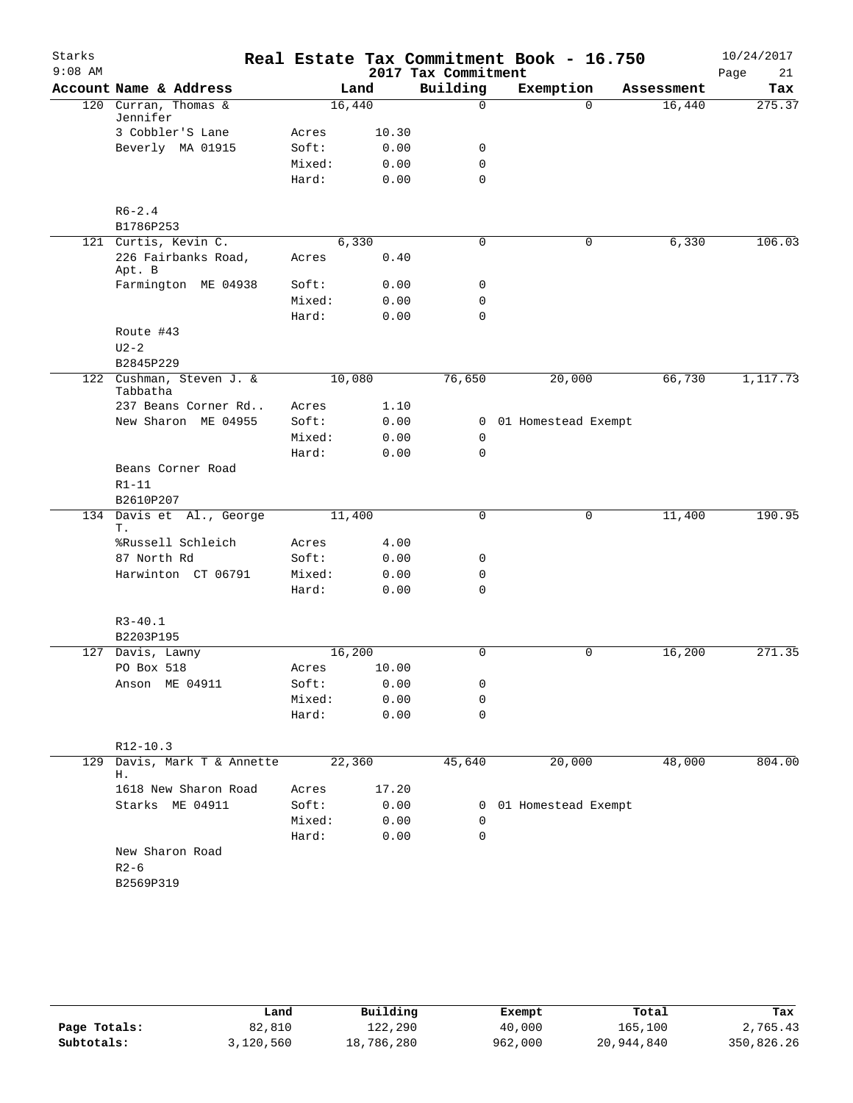| Starks    |                                      |        |       |                     | Real Estate Tax Commitment Book - 16.750 |            | 10/24/2017 |
|-----------|--------------------------------------|--------|-------|---------------------|------------------------------------------|------------|------------|
| $9:08$ AM |                                      |        |       | 2017 Tax Commitment |                                          |            | Page<br>21 |
|           | Account Name & Address               |        | Land  | Building            | Exemption                                | Assessment | Tax        |
|           | 120 Curran, Thomas &<br>Jennifer     | 16,440 |       | $\mathbf 0$         | $\Omega$                                 | 16,440     | 275.37     |
|           | 3 Cobbler'S Lane                     | Acres  | 10.30 |                     |                                          |            |            |
|           | Beverly MA 01915                     | Soft:  | 0.00  | 0                   |                                          |            |            |
|           |                                      | Mixed: | 0.00  | $\mathbf 0$         |                                          |            |            |
|           |                                      | Hard:  | 0.00  | $\mathbf 0$         |                                          |            |            |
|           | $R6 - 2.4$                           |        |       |                     |                                          |            |            |
|           | B1786P253                            |        |       |                     |                                          |            |            |
|           | 121 Curtis, Kevin C.                 | 6,330  |       | $\mathbf 0$         | $\mathbf 0$                              | 6,330      | 106.03     |
|           | 226 Fairbanks Road,<br>Apt. B        | Acres  | 0.40  |                     |                                          |            |            |
|           | Farmington ME 04938                  | Soft:  | 0.00  | 0                   |                                          |            |            |
|           |                                      | Mixed: | 0.00  | 0                   |                                          |            |            |
|           |                                      | Hard:  | 0.00  | $\mathbf 0$         |                                          |            |            |
|           | Route #43                            |        |       |                     |                                          |            |            |
|           | $U2-2$                               |        |       |                     |                                          |            |            |
|           | B2845P229                            |        |       |                     |                                          |            |            |
|           | 122 Cushman, Steven J. &<br>Tabbatha | 10,080 |       | 76,650              | 20,000                                   | 66,730     | 1,117.73   |
|           | 237 Beans Corner Rd                  | Acres  | 1.10  |                     |                                          |            |            |
|           | New Sharon ME 04955                  | Soft:  | 0.00  |                     | 0 01 Homestead Exempt                    |            |            |
|           |                                      | Mixed: | 0.00  | $\mathbf 0$         |                                          |            |            |
|           |                                      | Hard:  | 0.00  | $\mathbf 0$         |                                          |            |            |
|           | Beans Corner Road                    |        |       |                     |                                          |            |            |
|           | $R1 - 11$                            |        |       |                     |                                          |            |            |
|           | B2610P207                            |        |       |                     |                                          |            |            |
|           | 134 Davis et Al., George<br>Т.       | 11,400 |       | $\mathbf 0$         | 0                                        | 11,400     | 190.95     |
|           | %Russell Schleich                    | Acres  | 4.00  |                     |                                          |            |            |
|           | 87 North Rd                          | Soft:  | 0.00  | 0                   |                                          |            |            |
|           | Harwinton CT 06791                   | Mixed: | 0.00  | 0                   |                                          |            |            |
|           |                                      | Hard:  | 0.00  | $\mathbf 0$         |                                          |            |            |
|           | $R3 - 40.1$                          |        |       |                     |                                          |            |            |
|           | B2203P195                            |        |       |                     |                                          |            |            |
|           | 127 Davis, Lawny                     | 16,200 |       | 0                   | 0                                        | 16,200     | 271.35     |
|           | PO Box 518                           | Acres  | 10.00 |                     |                                          |            |            |
|           | Anson ME 04911                       | Soft:  | 0.00  | 0                   |                                          |            |            |
|           |                                      | Mixed: | 0.00  | 0                   |                                          |            |            |
|           |                                      | Hard:  | 0.00  | 0                   |                                          |            |            |
|           | $R12-10.3$                           |        |       |                     |                                          |            |            |
| 129       | Davis, Mark T & Annette<br>Н.        | 22,360 |       | 45,640              | 20,000                                   | 48,000     | 804.00     |
|           | 1618 New Sharon Road                 | Acres  | 17.20 |                     |                                          |            |            |
|           | Starks ME 04911                      | Soft:  | 0.00  |                     | 0 01 Homestead Exempt                    |            |            |
|           |                                      | Mixed: | 0.00  | 0                   |                                          |            |            |
|           |                                      | Hard:  | 0.00  | 0                   |                                          |            |            |
|           | New Sharon Road                      |        |       |                     |                                          |            |            |
|           | $R2 - 6$                             |        |       |                     |                                          |            |            |
|           | B2569P319                            |        |       |                     |                                          |            |            |
|           |                                      |        |       |                     |                                          |            |            |

|              | Land      | Building   | Exempt  | Total      | Tax        |
|--------------|-----------|------------|---------|------------|------------|
| Page Totals: | 82,810    | 122,290    | 40,000  | 165,100    | 2,765.43   |
| Subtotals:   | 3,120,560 | 18,786,280 | 962,000 | 20,944,840 | 350,826.26 |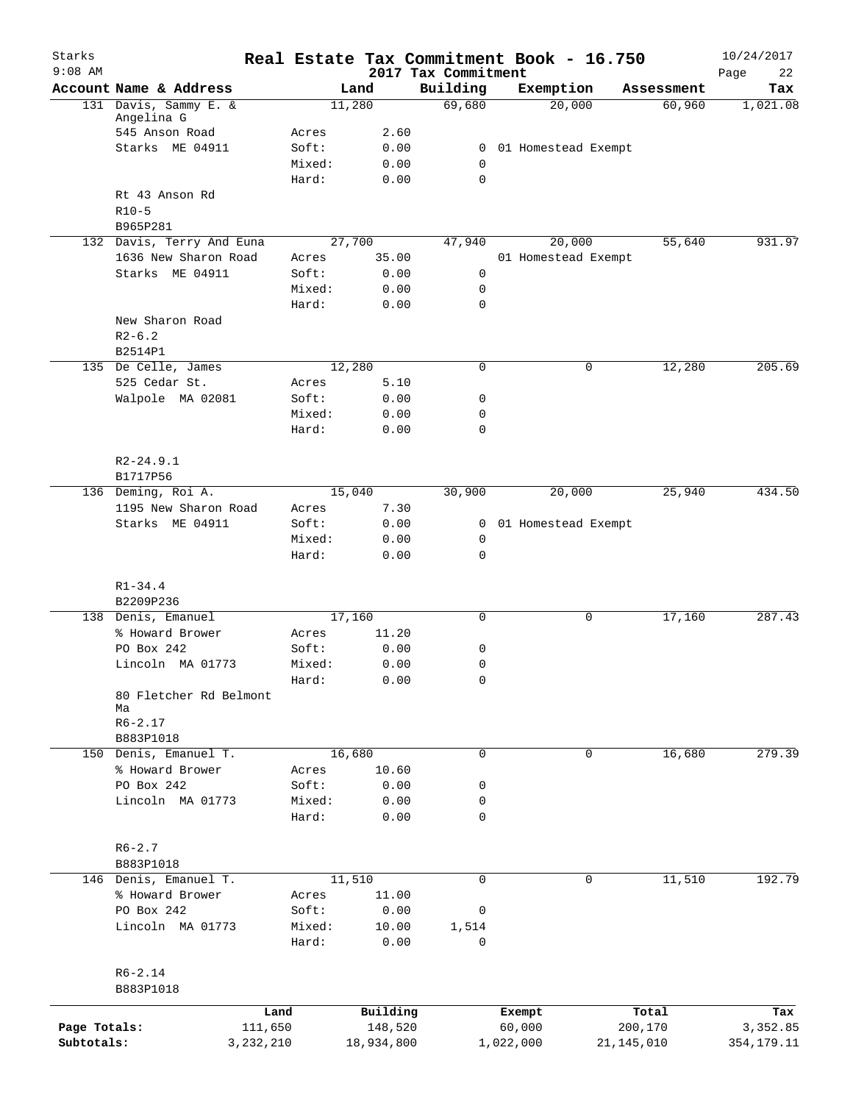| Starks<br>$9:08$ AM |                                |                 |               |                                 | Real Estate Tax Commitment Book - 16.750 |              | 10/24/2017        |
|---------------------|--------------------------------|-----------------|---------------|---------------------------------|------------------------------------------|--------------|-------------------|
|                     | Account Name & Address         |                 | Land          | 2017 Tax Commitment<br>Building | Exemption                                | Assessment   | Page<br>22<br>Tax |
|                     | 131 Davis, Sammy E. &          |                 | 11,280        | 69,680                          | 20,000                                   | 60,960       | 1,021.08          |
|                     | Angelina G                     |                 |               |                                 |                                          |              |                   |
|                     | 545 Anson Road                 | Acres           | 2.60          |                                 |                                          |              |                   |
|                     | Starks ME 04911                | Soft:           | 0.00          | $\overline{0}$                  | 01 Homestead Exempt                      |              |                   |
|                     |                                | Mixed:<br>Hard: | 0.00<br>0.00  | $\mathbf 0$<br>$\mathbf 0$      |                                          |              |                   |
|                     | Rt 43 Anson Rd                 |                 |               |                                 |                                          |              |                   |
|                     | $R10-5$                        |                 |               |                                 |                                          |              |                   |
|                     | B965P281                       |                 |               |                                 |                                          |              |                   |
|                     | 132 Davis, Terry And Euna      |                 | 27,700        | 47,940                          | 20,000                                   | 55,640       | 931.97            |
|                     | 1636 New Sharon Road           | Acres           | 35.00         |                                 | 01 Homestead Exempt                      |              |                   |
|                     | Starks ME 04911                | Soft:           | 0.00          | 0                               |                                          |              |                   |
|                     |                                | Mixed:          | 0.00          | 0                               |                                          |              |                   |
|                     |                                | Hard:           | 0.00          | $\mathbf 0$                     |                                          |              |                   |
|                     | New Sharon Road                |                 |               |                                 |                                          |              |                   |
|                     | $R2 - 6.2$                     |                 |               |                                 |                                          |              |                   |
|                     | B2514P1                        |                 |               |                                 |                                          |              |                   |
|                     | 135 De Celle, James            |                 | 12,280        | $\mathbf 0$                     |                                          | 0<br>12,280  | 205.69            |
|                     | 525 Cedar St.                  | Acres           | 5.10          |                                 |                                          |              |                   |
|                     | Walpole MA 02081               | Soft:           | 0.00          | 0                               |                                          |              |                   |
|                     |                                | Mixed:          | 0.00          | 0                               |                                          |              |                   |
|                     |                                | Hard:           | 0.00          | $\mathbf 0$                     |                                          |              |                   |
|                     | $R2 - 24.9.1$                  |                 |               |                                 |                                          |              |                   |
|                     | B1717P56                       |                 |               |                                 |                                          |              |                   |
|                     | 136 Deming, Roi A.             |                 | 15,040        | 30,900                          | 20,000                                   | 25,940       | 434.50            |
|                     | 1195 New Sharon Road           | Acres           | 7.30          |                                 |                                          |              |                   |
|                     | Starks ME 04911                | Soft:           | 0.00          | $\mathbf{0}$                    | 01 Homestead Exempt                      |              |                   |
|                     |                                | Mixed:          | 0.00          | $\mathbf 0$                     |                                          |              |                   |
|                     |                                | Hard:           | 0.00          | $\mathbf 0$                     |                                          |              |                   |
|                     |                                |                 |               |                                 |                                          |              |                   |
|                     | $R1 - 34.4$                    |                 |               |                                 |                                          |              |                   |
|                     | B2209P236                      |                 |               |                                 |                                          |              |                   |
|                     | 138 Denis, Emanuel             |                 | 17,160        | $\mathbf 0$                     |                                          | 0<br>17,160  | 287.43            |
|                     | % Howard Brower                | Acres           | 11.20         |                                 |                                          |              |                   |
|                     | PO Box 242                     | Soft:           | 0.00          | 0                               |                                          |              |                   |
|                     | Lincoln MA 01773               | Mixed:          | 0.00          | 0<br>0                          |                                          |              |                   |
|                     | 80 Fletcher Rd Belmont         | Hard:           | 0.00          |                                 |                                          |              |                   |
|                     | Ma                             |                 |               |                                 |                                          |              |                   |
|                     | $R6 - 2.17$                    |                 |               |                                 |                                          |              |                   |
|                     | B883P1018                      |                 |               |                                 |                                          |              |                   |
|                     | 150 Denis, Emanuel T.          |                 | 16,680        | 0                               |                                          | 16,680<br>0  | 279.39            |
|                     | % Howard Brower                | Acres           | 10.60         |                                 |                                          |              |                   |
|                     | PO Box 242                     | Soft:           | 0.00          | 0                               |                                          |              |                   |
|                     | Lincoln MA 01773               | Mixed:          | 0.00          | 0                               |                                          |              |                   |
|                     |                                | Hard:           | 0.00          | $\mathbf 0$                     |                                          |              |                   |
|                     |                                |                 |               |                                 |                                          |              |                   |
|                     | $R6 - 2.7$                     |                 |               |                                 |                                          |              |                   |
|                     | B883P1018                      |                 |               |                                 |                                          |              |                   |
|                     | 146 Denis, Emanuel T.          |                 | 11,510        | $\mathbf 0$                     |                                          | 11,510<br>0  | 192.79            |
|                     | % Howard Brower                | Acres           | 11.00         |                                 |                                          |              |                   |
|                     | PO Box 242<br>Lincoln MA 01773 | Soft:<br>Mixed: | 0.00<br>10.00 | $\mathsf 0$<br>1,514            |                                          |              |                   |
|                     |                                | Hard:           | 0.00          | $\mathbf 0$                     |                                          |              |                   |
|                     |                                |                 |               |                                 |                                          |              |                   |
|                     | $R6 - 2.14$                    |                 |               |                                 |                                          |              |                   |
|                     | B883P1018                      |                 |               |                                 |                                          |              |                   |
|                     |                                | Land            | Building      |                                 | Exempt                                   | Total        | Tax               |
| Page Totals:        |                                | 111,650         | 148,520       |                                 | 60,000                                   | 200,170      | 3,352.85          |
| Subtotals:          |                                | 3,232,210       | 18,934,800    |                                 | 1,022,000                                | 21, 145, 010 | 354, 179. 11      |
|                     |                                |                 |               |                                 |                                          |              |                   |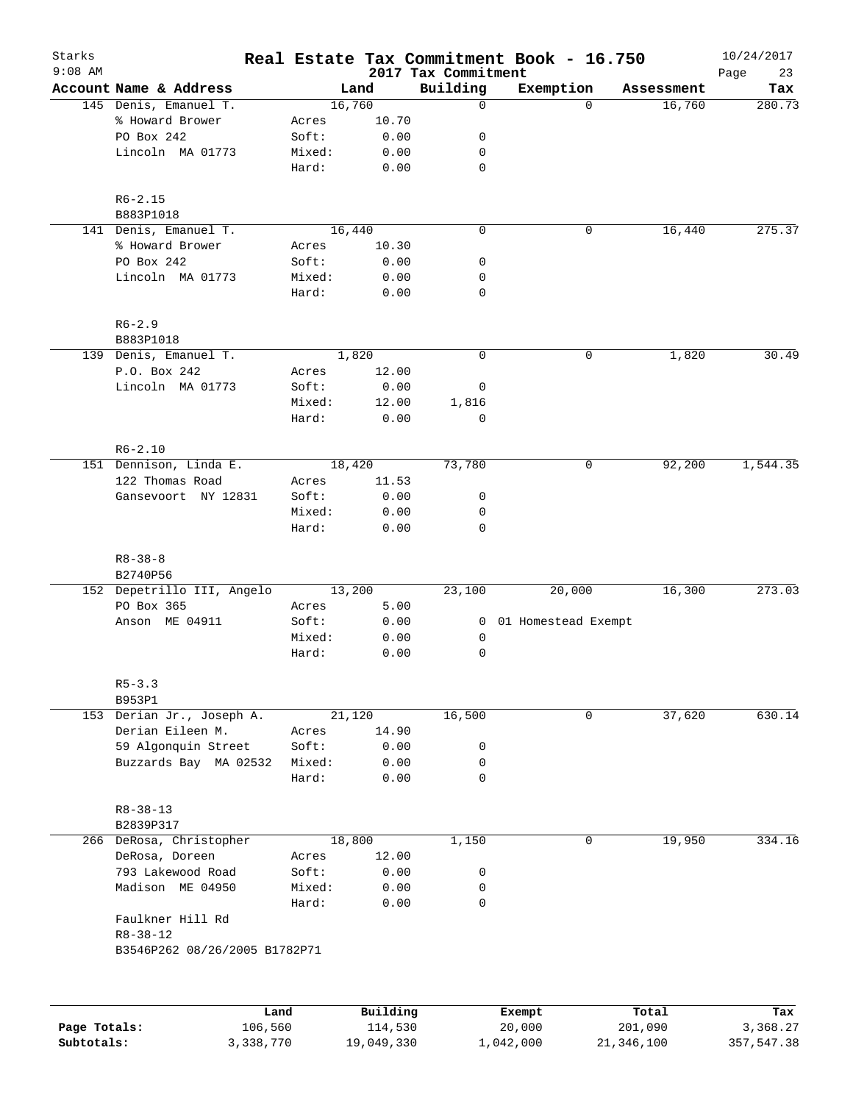| Starks       |                                                 |           |        |                |                     | Real Estate Tax Commitment Book - 16.750 |                                  | 10/24/2017    |
|--------------|-------------------------------------------------|-----------|--------|----------------|---------------------|------------------------------------------|----------------------------------|---------------|
| $9:08$ AM    |                                                 |           |        |                | 2017 Tax Commitment |                                          |                                  | Page<br>23    |
|              | Account Name & Address<br>145 Denis, Emanuel T. |           |        | Land<br>16,760 | Building<br>0       | Exemption                                | Assessment<br>16,760<br>$\Omega$ | Tax<br>280.73 |
|              | % Howard Brower                                 |           | Acres  | 10.70          |                     |                                          |                                  |               |
|              | PO Box 242                                      |           | Soft:  | 0.00           | 0                   |                                          |                                  |               |
|              | Lincoln MA 01773                                |           | Mixed: | 0.00           | 0                   |                                          |                                  |               |
|              |                                                 |           | Hard:  | 0.00           | $\mathbf 0$         |                                          |                                  |               |
|              | $R6 - 2.15$                                     |           |        |                |                     |                                          |                                  |               |
|              | B883P1018                                       |           |        |                |                     |                                          |                                  |               |
|              | 141 Denis, Emanuel T.                           |           |        | 16,440         | 0                   |                                          | 0<br>16,440                      | 275.37        |
|              | % Howard Brower                                 |           | Acres  | 10.30          |                     |                                          |                                  |               |
|              | PO Box 242                                      |           | Soft:  | 0.00           | 0                   |                                          |                                  |               |
|              | Lincoln MA 01773                                |           | Mixed: | 0.00           | 0                   |                                          |                                  |               |
|              |                                                 |           | Hard:  | 0.00           | $\mathbf 0$         |                                          |                                  |               |
|              | $R6 - 2.9$                                      |           |        |                |                     |                                          |                                  |               |
|              | B883P1018                                       |           |        |                |                     |                                          |                                  |               |
|              | 139 Denis, Emanuel T.                           |           |        | 1,820          | 0                   |                                          | 1,820<br>0                       | 30.49         |
|              | P.O. Box 242                                    |           | Acres  | 12.00          |                     |                                          |                                  |               |
|              | Lincoln MA 01773                                |           | Soft:  | 0.00           | 0                   |                                          |                                  |               |
|              |                                                 |           | Mixed: | 12.00          | 1,816               |                                          |                                  |               |
|              |                                                 |           | Hard:  | 0.00           | 0                   |                                          |                                  |               |
|              | $R6 - 2.10$                                     |           |        |                |                     |                                          |                                  |               |
|              | 151 Dennison, Linda E.                          |           |        | 18,420         | 73,780              |                                          | 0<br>92,200                      | 1,544.35      |
|              | 122 Thomas Road                                 |           | Acres  | 11.53          |                     |                                          |                                  |               |
|              | Gansevoort NY 12831                             |           | Soft:  | 0.00           | 0                   |                                          |                                  |               |
|              |                                                 |           | Mixed: | 0.00           | 0                   |                                          |                                  |               |
|              |                                                 |           | Hard:  | 0.00           | 0                   |                                          |                                  |               |
|              | $R8 - 38 - 8$                                   |           |        |                |                     |                                          |                                  |               |
|              | B2740P56<br>152 Depetrillo III, Angelo          |           |        | 13,200         | 23,100              | 20,000                                   | 16,300                           | 273.03        |
|              | PO Box 365                                      |           | Acres  | 5.00           |                     |                                          |                                  |               |
|              | Anson ME 04911                                  |           | Soft:  | 0.00           | $\mathbf{0}$        | 01 Homestead Exempt                      |                                  |               |
|              |                                                 |           | Mixed: | 0.00           | 0                   |                                          |                                  |               |
|              |                                                 |           | Hard:  | 0.00           | 0                   |                                          |                                  |               |
|              | $R5 - 3.3$                                      |           |        |                |                     |                                          |                                  |               |
|              | B953P1                                          |           |        |                |                     |                                          |                                  |               |
|              | 153 Derian Jr., Joseph A.                       |           |        | 21,120         | 16,500              |                                          | 37,620<br>0                      | 630.14        |
|              | Derian Eileen M.                                |           | Acres  | 14.90          |                     |                                          |                                  |               |
|              | 59 Algonquin Street                             |           | Soft:  | 0.00           | 0                   |                                          |                                  |               |
|              | Buzzards Bay MA 02532                           |           | Mixed: | 0.00           | 0                   |                                          |                                  |               |
|              |                                                 |           | Hard:  | 0.00           | $\mathbf 0$         |                                          |                                  |               |
|              | $R8 - 38 - 13$                                  |           |        |                |                     |                                          |                                  |               |
|              | B2839P317                                       |           |        |                |                     |                                          |                                  |               |
|              | 266 DeRosa, Christopher                         |           |        | 18,800         | 1,150               |                                          | 19,950<br>0                      | 334.16        |
|              | DeRosa, Doreen                                  |           | Acres  | 12.00          |                     |                                          |                                  |               |
|              | 793 Lakewood Road                               |           | Soft:  | 0.00           | 0                   |                                          |                                  |               |
|              | Madison ME 04950                                |           | Mixed: | 0.00           | 0                   |                                          |                                  |               |
|              | Faulkner Hill Rd                                |           | Hard:  | 0.00           | $\mathbf 0$         |                                          |                                  |               |
|              | $R8 - 38 - 12$<br>B3546P262 08/26/2005 B1782P71 |           |        |                |                     |                                          |                                  |               |
|              |                                                 |           |        |                |                     |                                          |                                  |               |
|              |                                                 | Land      |        | Building       |                     | Exempt                                   | Total                            | Tax           |
| Page Totals: |                                                 | 106,560   |        | 114,530        |                     | 20,000                                   | 201,090                          | 3,368.27      |
| Subtotals:   |                                                 | 3,338,770 |        | 19,049,330     |                     | 1,042,000                                | 21,346,100                       | 357,547.38    |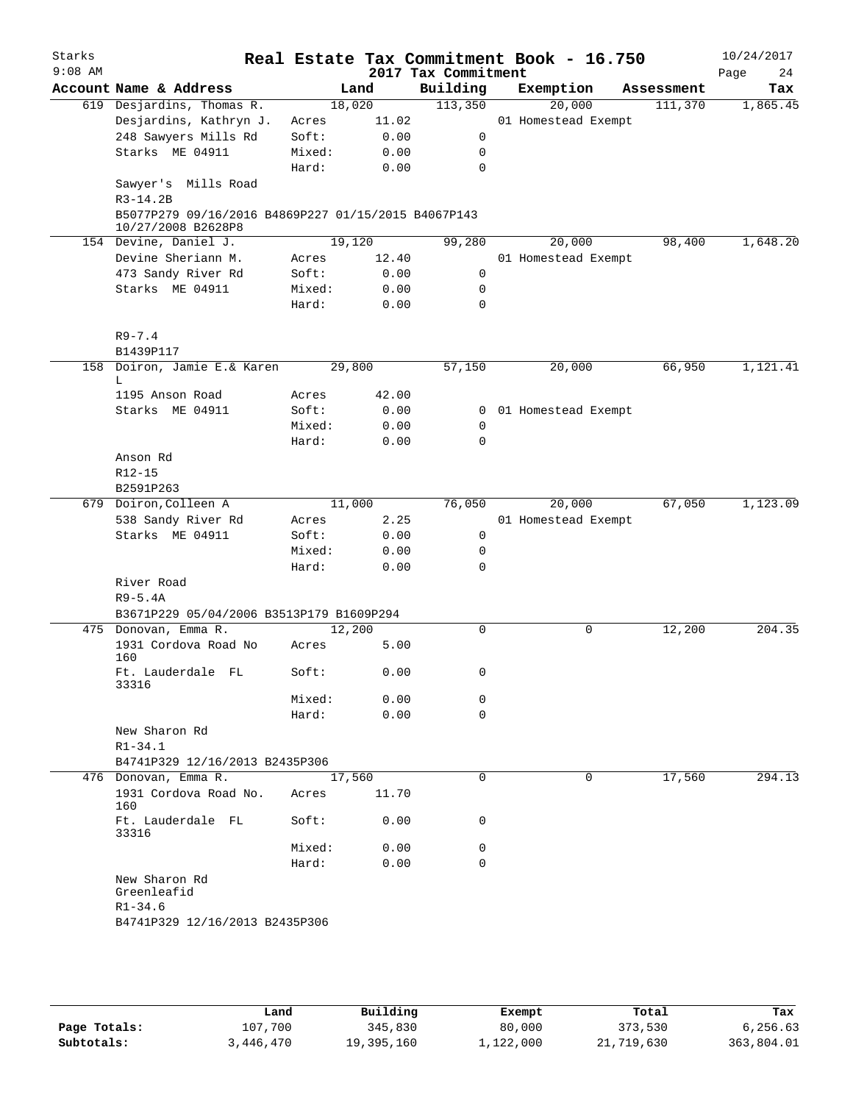| Starks<br>$9:08$ AM |                                                                           |        |       | 2017 Tax Commitment | Real Estate Tax Commitment Book - 16.750 |            | 10/24/2017<br>Page<br>24 |
|---------------------|---------------------------------------------------------------------------|--------|-------|---------------------|------------------------------------------|------------|--------------------------|
|                     | Account Name & Address                                                    |        | Land  | Building            | Exemption                                | Assessment | Tax                      |
|                     | 619 Desjardins, Thomas R.                                                 | 18,020 |       | 113,350             | 20,000                                   | 111,370    | 1,865.45                 |
|                     | Desjardins, Kathryn J.                                                    | Acres  | 11.02 |                     | 01 Homestead Exempt                      |            |                          |
|                     | 248 Sawyers Mills Rd                                                      | Soft:  | 0.00  | 0                   |                                          |            |                          |
|                     | Starks ME 04911                                                           | Mixed: | 0.00  | 0                   |                                          |            |                          |
|                     |                                                                           | Hard:  | 0.00  | 0                   |                                          |            |                          |
|                     | Sawyer's Mills Road<br>$R3-14.2B$                                         |        |       |                     |                                          |            |                          |
|                     | B5077P279 09/16/2016 B4869P227 01/15/2015 B4067P143<br>10/27/2008 B2628P8 |        |       |                     |                                          |            |                          |
|                     | 154 Devine, Daniel J.                                                     | 19,120 |       | 99,280              | 20,000                                   | 98,400     | 1,648.20                 |
|                     | Devine Sheriann M.                                                        | Acres  | 12.40 |                     | 01 Homestead Exempt                      |            |                          |
|                     | 473 Sandy River Rd                                                        | Soft:  | 0.00  | 0                   |                                          |            |                          |
|                     | Starks ME 04911                                                           | Mixed: | 0.00  | 0                   |                                          |            |                          |
|                     |                                                                           | Hard:  | 0.00  | 0                   |                                          |            |                          |
|                     | $R9 - 7.4$<br>B1439P117                                                   |        |       |                     |                                          |            |                          |
| 158                 | Doiron, Jamie E.& Karen<br>L                                              | 29,800 |       | 57,150              | 20,000                                   | 66,950     | 1,121.41                 |
|                     | 1195 Anson Road                                                           | Acres  | 42.00 |                     |                                          |            |                          |
|                     | Starks ME 04911                                                           | Soft:  | 0.00  |                     | 0 01 Homestead Exempt                    |            |                          |
|                     |                                                                           | Mixed: | 0.00  | 0                   |                                          |            |                          |
|                     |                                                                           | Hard:  | 0.00  | $\mathbf 0$         |                                          |            |                          |
|                     | Anson Rd                                                                  |        |       |                     |                                          |            |                          |
|                     | R12-15                                                                    |        |       |                     |                                          |            |                          |
|                     | B2591P263                                                                 |        |       |                     |                                          |            |                          |
|                     | 679 Doiron, Colleen A                                                     | 11,000 |       | 76,050              | 20,000                                   | 67,050     | 1,123.09                 |
|                     | 538 Sandy River Rd                                                        | Acres  | 2.25  |                     | 01 Homestead Exempt                      |            |                          |
|                     | Starks ME 04911                                                           | Soft:  | 0.00  | 0                   |                                          |            |                          |
|                     |                                                                           | Mixed: | 0.00  | 0                   |                                          |            |                          |
|                     |                                                                           | Hard:  | 0.00  | 0                   |                                          |            |                          |
|                     | River Road                                                                |        |       |                     |                                          |            |                          |
|                     | $R9 - 5.4A$                                                               |        |       |                     |                                          |            |                          |
|                     | B3671P229 05/04/2006 B3513P179 B1609P294                                  |        |       |                     |                                          |            |                          |
|                     | 475 Donovan, Emma R.                                                      | 12,200 |       | $\mathbf 0$         | 0                                        | 12,200     | 204.35                   |
|                     | 1931 Cordova Road No<br>160                                               | Acres  | 5.00  |                     |                                          |            |                          |
|                     | Ft. Lauderdale FL<br>33316                                                | Soft:  | 0.00  | 0                   |                                          |            |                          |
|                     |                                                                           | Mixed: | 0.00  | 0                   |                                          |            |                          |
|                     |                                                                           | Hard:  | 0.00  | $\mathbf 0$         |                                          |            |                          |
|                     | New Sharon Rd                                                             |        |       |                     |                                          |            |                          |
|                     | $R1 - 34.1$                                                               |        |       |                     |                                          |            |                          |
|                     | B4741P329 12/16/2013 B2435P306                                            |        |       |                     |                                          |            |                          |
|                     | 476 Donovan, Emma R.                                                      | 17,560 |       | $\mathbf 0$         | 0                                        | 17,560     | 294.13                   |
|                     | 1931 Cordova Road No.<br>160                                              | Acres  | 11.70 |                     |                                          |            |                          |
|                     | Ft. Lauderdale FL<br>33316                                                | Soft:  | 0.00  | 0                   |                                          |            |                          |
|                     |                                                                           | Mixed: | 0.00  | 0                   |                                          |            |                          |
|                     |                                                                           | Hard:  | 0.00  | 0                   |                                          |            |                          |
|                     | New Sharon Rd<br>Greenleafid                                              |        |       |                     |                                          |            |                          |
|                     | $R1 - 34.6$                                                               |        |       |                     |                                          |            |                          |
|                     | B4741P329 12/16/2013 B2435P306                                            |        |       |                     |                                          |            |                          |
|                     |                                                                           |        |       |                     |                                          |            |                          |
|                     |                                                                           |        |       |                     |                                          |            |                          |
|                     |                                                                           |        |       |                     |                                          |            |                          |
|                     |                                                                           |        |       |                     |                                          |            |                          |

|              | Land      | Building   | Exempt    | Total      | Tax        |
|--------------|-----------|------------|-----------|------------|------------|
| Page Totals: | 107,700   | 345,830    | 80,000    | 373,530    | 6.256.63   |
| Subtotals:   | 3,446,470 | 19,395,160 | 1,122,000 | 21,719,630 | 363,804.01 |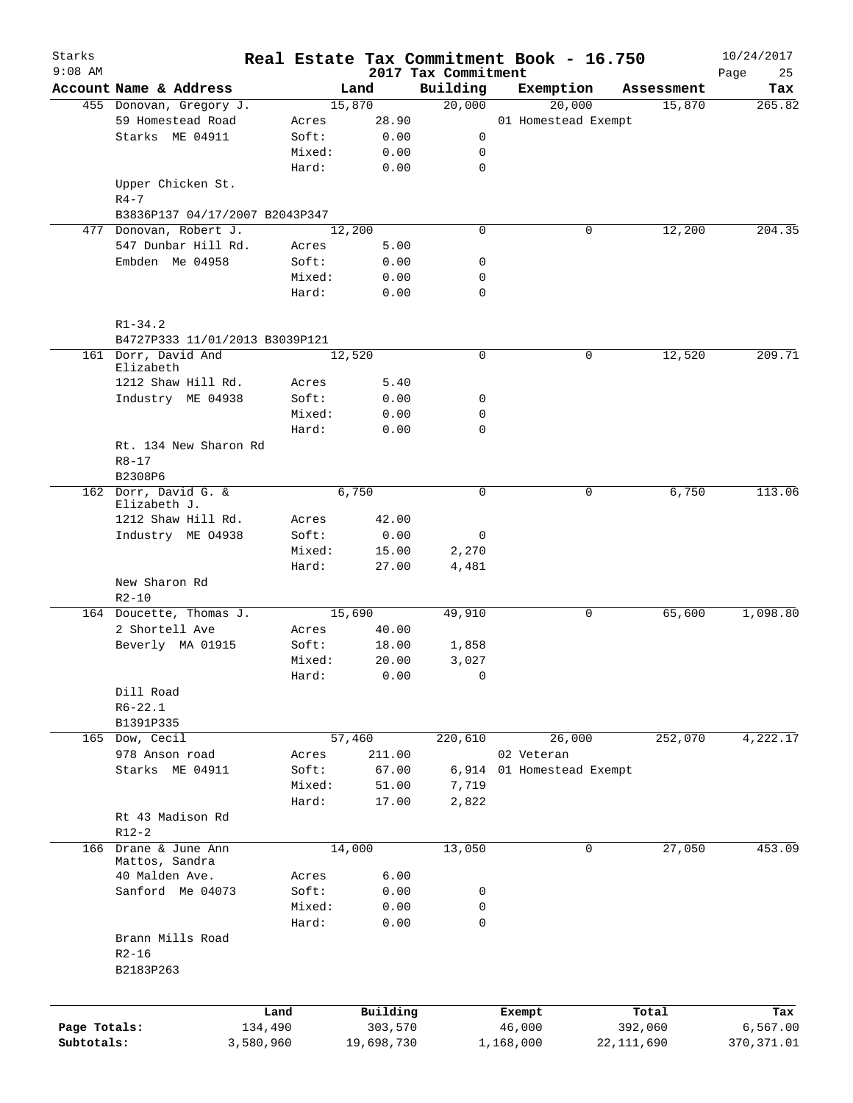| Starks       |                                      |           |            |                                 | Real Estate Tax Commitment Book - 16.750 |            |            | 10/24/2017        |
|--------------|--------------------------------------|-----------|------------|---------------------------------|------------------------------------------|------------|------------|-------------------|
| $9:08$ AM    | Account Name & Address               |           | Land       | 2017 Tax Commitment<br>Building | Exemption                                |            | Assessment | Page<br>25<br>Tax |
|              | 455 Donovan, Gregory J.              |           | 15,870     | 20,000                          | 20,000                                   |            | 15,870     | 265.82            |
|              | 59 Homestead Road                    | Acres     | 28.90      |                                 | 01 Homestead Exempt                      |            |            |                   |
|              | Starks ME 04911                      | Soft:     | 0.00       | 0                               |                                          |            |            |                   |
|              |                                      | Mixed:    | 0.00       | 0                               |                                          |            |            |                   |
|              |                                      | Hard:     | 0.00       | $\mathbf 0$                     |                                          |            |            |                   |
|              | Upper Chicken St.<br>$R4 - 7$        |           |            |                                 |                                          |            |            |                   |
|              | B3836P137 04/17/2007 B2043P347       |           |            |                                 |                                          |            |            |                   |
|              | 477 Donovan, Robert J.               |           | 12,200     | $\mathbf 0$                     |                                          | 0          | 12,200     | 204.35            |
|              | 547 Dunbar Hill Rd.                  | Acres     | 5.00       |                                 |                                          |            |            |                   |
|              | Embden Me 04958                      | Soft:     | 0.00       | 0                               |                                          |            |            |                   |
|              |                                      | Mixed:    | 0.00       | 0                               |                                          |            |            |                   |
|              |                                      | Hard:     | 0.00       | $\mathbf 0$                     |                                          |            |            |                   |
|              | $R1 - 34.2$                          |           |            |                                 |                                          |            |            |                   |
|              | B4727P333 11/01/2013 B3039P121       |           |            |                                 |                                          |            |            |                   |
|              | 161 Dorr, David And<br>Elizabeth     |           | 12,520     | $\mathbf 0$                     |                                          | 0          | 12,520     | 209.71            |
|              | 1212 Shaw Hill Rd.                   | Acres     | 5.40       |                                 |                                          |            |            |                   |
|              | Industry ME 04938                    | Soft:     | 0.00       | 0                               |                                          |            |            |                   |
|              |                                      | Mixed:    | 0.00       | 0                               |                                          |            |            |                   |
|              |                                      | Hard:     | 0.00       | $\mathbf 0$                     |                                          |            |            |                   |
|              | Rt. 134 New Sharon Rd<br>$R8 - 17$   |           |            |                                 |                                          |            |            |                   |
|              | B2308P6                              |           |            |                                 |                                          |            |            |                   |
|              | 162 Dorr, David G. &<br>Elizabeth J. |           | 6,750      | $\Omega$                        |                                          | 0          | 6,750      | 113.06            |
|              | 1212 Shaw Hill Rd.                   | Acres     | 42.00      |                                 |                                          |            |            |                   |
|              | Industry ME 04938                    | Soft:     | 0.00       | 0                               |                                          |            |            |                   |
|              |                                      | Mixed:    | 15.00      | 2,270                           |                                          |            |            |                   |
|              |                                      | Hard:     | 27.00      | 4,481                           |                                          |            |            |                   |
|              | New Sharon Rd                        |           |            |                                 |                                          |            |            |                   |
|              | $R2 - 10$                            |           |            |                                 |                                          |            |            |                   |
|              | 164 Doucette, Thomas J.              |           | 15,690     | 49,910                          |                                          | 0          | 65,600     | 1,098.80          |
|              | 2 Shortell Ave                       | Acres     | 40.00      |                                 |                                          |            |            |                   |
|              | Beverly MA 01915                     | Soft:     | 18.00      | 1,858                           |                                          |            |            |                   |
|              |                                      | Mixed:    | 20.00      | 3,027                           |                                          |            |            |                   |
|              |                                      | Hard:     | 0.00       | $\overline{0}$                  |                                          |            |            |                   |
|              | Dill Road                            |           |            |                                 |                                          |            |            |                   |
|              | $R6 - 22.1$                          |           |            |                                 |                                          |            |            |                   |
|              | B1391P335                            |           |            |                                 |                                          |            |            |                   |
|              | 165 Dow, Cecil                       |           | 57,460     | 220,610                         | 26,000                                   |            | 252,070    | 4,222.17          |
|              | 978 Anson road                       | Acres     | 211.00     |                                 | 02 Veteran                               |            |            |                   |
|              | Starks ME 04911                      | Soft:     | 67.00      |                                 | 6,914 01 Homestead Exempt                |            |            |                   |
|              |                                      | Mixed:    | 51.00      | 7,719                           |                                          |            |            |                   |
|              |                                      | Hard:     | 17.00      | 2,822                           |                                          |            |            |                   |
|              | Rt 43 Madison Rd<br>$R12-2$          |           |            |                                 |                                          |            |            |                   |
| 166          | Drane & June Ann                     |           | 14,000     | 13,050                          |                                          | 0          | 27,050     | 453.09            |
|              | Mattos, Sandra                       |           |            |                                 |                                          |            |            |                   |
|              | 40 Malden Ave.                       | Acres     | 6.00       |                                 |                                          |            |            |                   |
|              | Sanford Me 04073                     | Soft:     | 0.00       | 0                               |                                          |            |            |                   |
|              |                                      | Mixed:    | 0.00       | 0                               |                                          |            |            |                   |
|              |                                      | Hard:     | 0.00       | $\mathbf 0$                     |                                          |            |            |                   |
|              | Brann Mills Road                     |           |            |                                 |                                          |            |            |                   |
|              | $R2 - 16$<br>B2183P263               |           |            |                                 |                                          |            |            |                   |
|              |                                      |           |            |                                 |                                          |            |            |                   |
|              |                                      | Land      | Building   |                                 | Exempt                                   |            | Total      | Tax               |
| Page Totals: |                                      | 134,490   | 303,570    |                                 | 46,000                                   | 392,060    |            | 6,567.00          |
| Subtotals:   |                                      | 3,580,960 | 19,698,730 |                                 | 1,168,000                                | 22,111,690 |            | 370,371.01        |
|              |                                      |           |            |                                 |                                          |            |            |                   |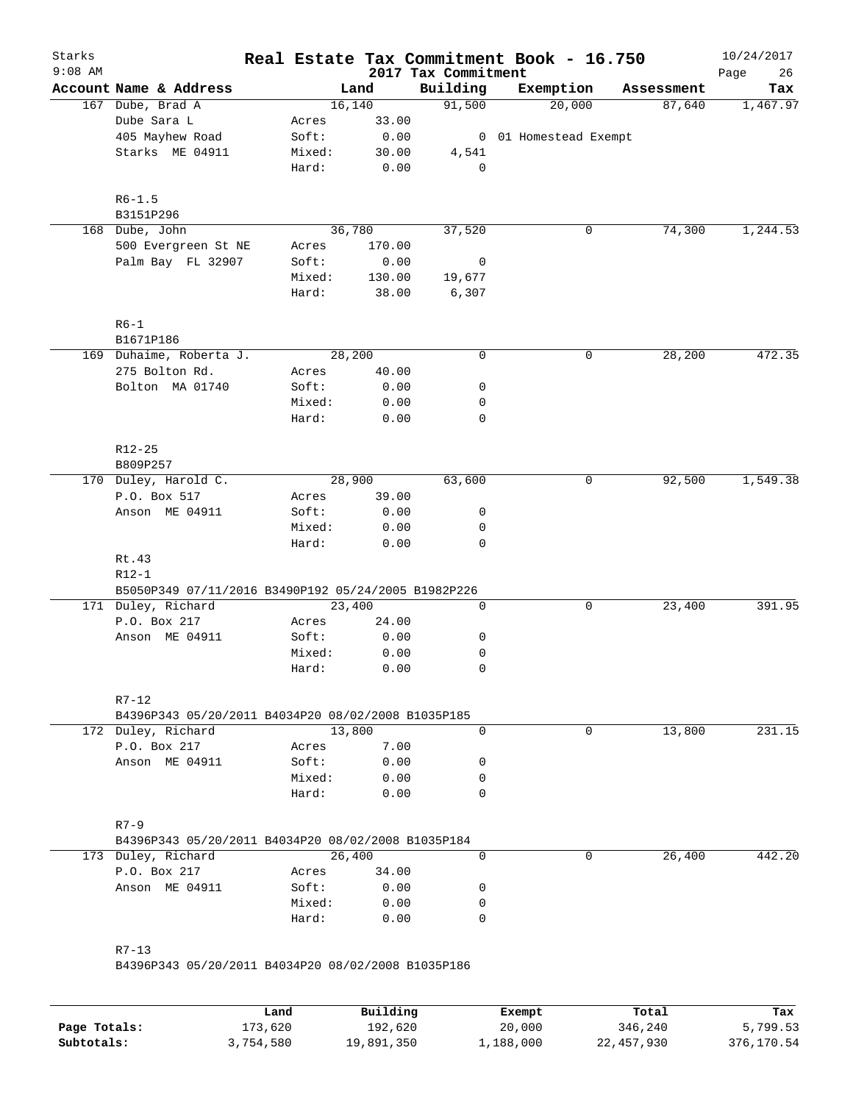| Starks<br>$9:08$ AM |                                                                          |                                                    |              | 2017 Tax Commitment | Real Estate Tax Commitment Book - 16.750 |            | 10/24/2017<br>Page<br>26 |
|---------------------|--------------------------------------------------------------------------|----------------------------------------------------|--------------|---------------------|------------------------------------------|------------|--------------------------|
|                     | Account Name & Address                                                   |                                                    | Land         | Building            | Exemption                                | Assessment | Tax                      |
|                     | 167 Dube, Brad A                                                         |                                                    | 16,140       | 91,500              | 20,000                                   | 87,640     | 1,467.97                 |
|                     | Dube Sara L                                                              | Acres                                              | 33.00        |                     |                                          |            |                          |
|                     | 405 Mayhew Road                                                          | Soft:                                              | 0.00         |                     | 0 01 Homestead Exempt                    |            |                          |
|                     | Starks ME 04911                                                          | Mixed:                                             | 30.00        | 4,541               |                                          |            |                          |
|                     |                                                                          | Hard:                                              | 0.00         | $\mathbf 0$         |                                          |            |                          |
|                     | $R6 - 1.5$                                                               |                                                    |              |                     |                                          |            |                          |
|                     | B3151P296                                                                |                                                    |              |                     |                                          |            |                          |
|                     | 168 Dube, John                                                           |                                                    | 36,780       | 37,520              | 0                                        | 74,300     | 1,244.53                 |
|                     | 500 Evergreen St NE                                                      | Acres                                              | 170.00       |                     |                                          |            |                          |
|                     | Palm Bay FL 32907                                                        | Soft:                                              | 0.00         | 0                   |                                          |            |                          |
|                     |                                                                          | Mixed:                                             | 130.00       | 19,677              |                                          |            |                          |
|                     |                                                                          | Hard:                                              | 38.00        | 6,307               |                                          |            |                          |
|                     | $R6 - 1$                                                                 |                                                    |              |                     |                                          |            |                          |
|                     | B1671P186                                                                |                                                    |              |                     |                                          |            |                          |
|                     | 169 Duhaime, Roberta J.                                                  |                                                    | 28,200       | 0                   | 0                                        | 28,200     | 472.35                   |
|                     | 275 Bolton Rd.                                                           | Acres                                              | 40.00        |                     |                                          |            |                          |
|                     | Bolton MA 01740                                                          | Soft:                                              | 0.00         | 0                   |                                          |            |                          |
|                     |                                                                          | Mixed:                                             | 0.00         | 0                   |                                          |            |                          |
|                     |                                                                          | Hard:                                              | 0.00         | $\mathbf 0$         |                                          |            |                          |
|                     | $R12 - 25$<br>B809P257                                                   |                                                    |              |                     |                                          |            |                          |
|                     | 170 Duley, Harold C.                                                     |                                                    | 28,900       | 63,600              | 0                                        | 92,500     | 1,549.38                 |
|                     | P.O. Box 517                                                             | Acres                                              | 39.00        |                     |                                          |            |                          |
|                     | Anson ME 04911                                                           | Soft:                                              | 0.00         | 0                   |                                          |            |                          |
|                     |                                                                          | Mixed:                                             | 0.00         | 0                   |                                          |            |                          |
|                     |                                                                          | Hard:                                              | 0.00         | $\mathbf 0$         |                                          |            |                          |
|                     | Rt.43                                                                    |                                                    |              |                     |                                          |            |                          |
|                     | $R12-1$                                                                  |                                                    |              |                     |                                          |            |                          |
|                     | B5050P349 07/11/2016 B3490P192 05/24/2005 B1982P226                      |                                                    |              |                     |                                          |            |                          |
|                     | 171 Duley, Richard                                                       |                                                    | 23,400       | 0                   | 0                                        | 23,400     | 391.95                   |
|                     | P.O. Box 217                                                             | Acres                                              | 24.00        |                     |                                          |            |                          |
|                     | Anson ME 04911                                                           | Soft:                                              | 0.00         | 0                   |                                          |            |                          |
|                     |                                                                          | Mixed:                                             | 0.00         | 0                   |                                          |            |                          |
|                     |                                                                          | Hard:                                              | 0.00         | $\mathbf 0$         |                                          |            |                          |
|                     |                                                                          |                                                    |              |                     |                                          |            |                          |
|                     | $R7-12$                                                                  |                                                    |              |                     |                                          |            |                          |
|                     | B4396P343 05/20/2011 B4034P20 08/02/2008 B1035P185<br>172 Duley, Richard |                                                    | 13,800       | 0                   | 0                                        | 13,800     | 231.15                   |
|                     | P.O. Box 217                                                             |                                                    | 7.00         |                     |                                          |            |                          |
|                     | Anson ME 04911                                                           | Acres<br>Soft:                                     | 0.00         | 0                   |                                          |            |                          |
|                     |                                                                          |                                                    |              | 0                   |                                          |            |                          |
|                     |                                                                          | Mixed:<br>Hard:                                    | 0.00<br>0.00 | $\Omega$            |                                          |            |                          |
|                     |                                                                          |                                                    |              |                     |                                          |            |                          |
|                     | $R7 - 9$<br>B4396P343 05/20/2011 B4034P20 08/02/2008 B1035P184           |                                                    |              |                     |                                          |            |                          |
|                     | 173 Duley, Richard                                                       |                                                    | 26,400       | 0                   | 0                                        | 26,400     | 442.20                   |
|                     | P.O. Box 217                                                             | Acres                                              | 34.00        |                     |                                          |            |                          |
|                     | Anson ME 04911                                                           | Soft:                                              | 0.00         | 0                   |                                          |            |                          |
|                     |                                                                          | Mixed:                                             | 0.00         | 0                   |                                          |            |                          |
|                     |                                                                          | Hard:                                              | 0.00         | $\Omega$            |                                          |            |                          |
|                     |                                                                          |                                                    |              |                     |                                          |            |                          |
|                     | $R7 - 13$                                                                |                                                    |              |                     |                                          |            |                          |
|                     |                                                                          | B4396P343 05/20/2011 B4034P20 08/02/2008 B1035P186 |              |                     |                                          |            |                          |

|              | Land      | Building   | Exempt    | Total      | Tax        |
|--------------|-----------|------------|-----------|------------|------------|
| Page Totals: | 173,620   | 192,620    | 20,000    | 346,240    | 5,799.53   |
| Subtotals:   | 3,754,580 | 19,891,350 | 1,188,000 | 22,457,930 | 376,170.54 |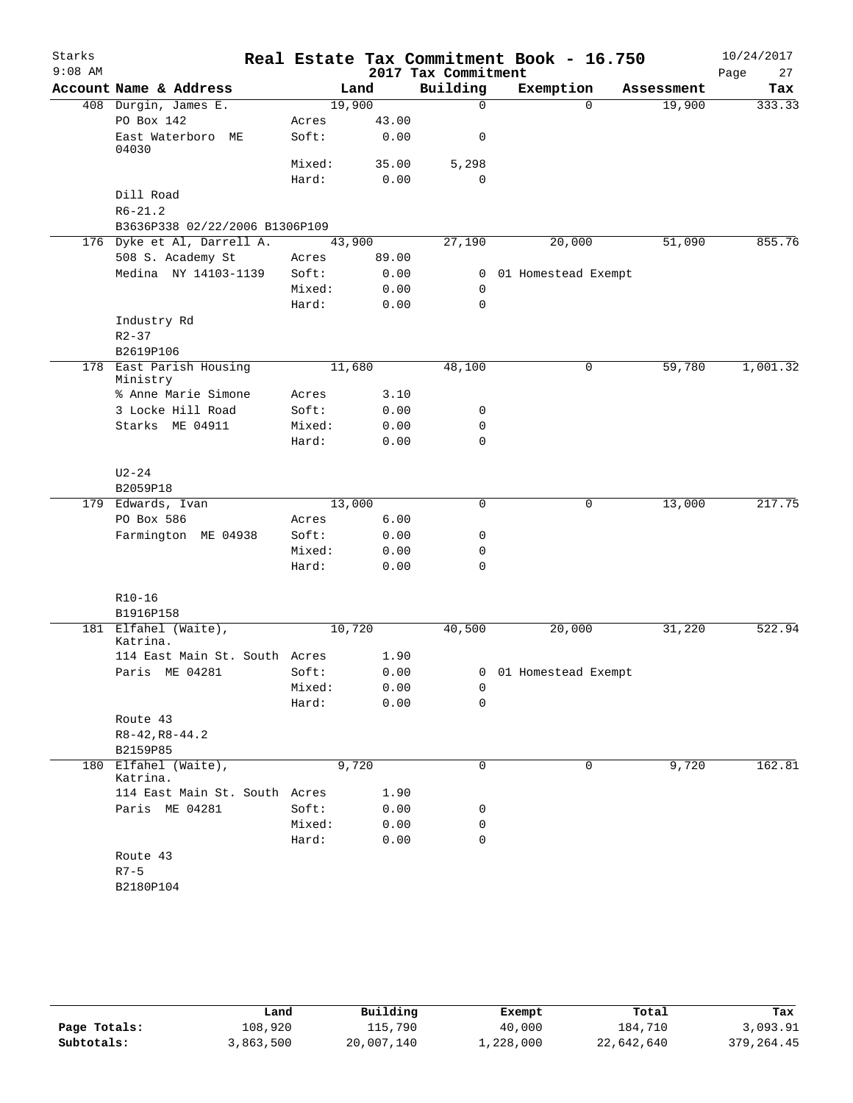| Starks    |                                           |        |       |                     | Real Estate Tax Commitment Book - 16.750 |            | 10/24/2017 |
|-----------|-------------------------------------------|--------|-------|---------------------|------------------------------------------|------------|------------|
| $9:08$ AM |                                           |        |       | 2017 Tax Commitment |                                          |            | 27<br>Page |
|           | Account Name & Address                    |        | Land  | Building            | Exemption                                | Assessment | Tax        |
|           | 408 Durgin, James E.                      | 19,900 |       | $\mathbf 0$         | $\Omega$                                 | 19,900     | 333.33     |
|           | PO Box 142                                | Acres  | 43.00 |                     |                                          |            |            |
|           | East Waterboro ME<br>04030                | Soft:  | 0.00  | 0                   |                                          |            |            |
|           |                                           | Mixed: | 35.00 | 5,298               |                                          |            |            |
|           |                                           | Hard:  | 0.00  | 0                   |                                          |            |            |
|           | Dill Road                                 |        |       |                     |                                          |            |            |
|           | $R6 - 21.2$                               |        |       |                     |                                          |            |            |
|           | B3636P338 02/22/2006 B1306P109            |        |       |                     |                                          |            |            |
|           | 176 Dyke et Al, Darrell A.                | 43,900 |       | 27,190              | 20,000                                   | 51,090     | 855.76     |
|           | 508 S. Academy St                         | Acres  | 89.00 |                     |                                          |            |            |
|           | Medina NY 14103-1139                      | Soft:  | 0.00  | 0                   | 01 Homestead Exempt                      |            |            |
|           |                                           | Mixed: | 0.00  | $\mathbf 0$         |                                          |            |            |
|           |                                           | Hard:  | 0.00  | $\mathbf 0$         |                                          |            |            |
|           | Industry Rd<br>$R2 - 37$                  |        |       |                     |                                          |            |            |
|           | B2619P106                                 |        |       |                     |                                          |            |            |
|           | 178 East Parish Housing<br>Ministry       | 11,680 |       | 48,100              | 0                                        | 59,780     | 1,001.32   |
|           | % Anne Marie Simone                       | Acres  | 3.10  |                     |                                          |            |            |
|           | 3 Locke Hill Road                         | Soft:  | 0.00  | 0                   |                                          |            |            |
|           | Starks ME 04911                           | Mixed: | 0.00  | 0                   |                                          |            |            |
|           |                                           | Hard:  | 0.00  | $\mathbf 0$         |                                          |            |            |
|           | $U2 - 24$                                 |        |       |                     |                                          |            |            |
|           | B2059P18                                  |        |       |                     |                                          |            |            |
|           | 179 Edwards, Ivan                         | 13,000 |       | 0                   | 0                                        | 13,000     | 217.75     |
|           | PO Box 586                                | Acres  | 6.00  |                     |                                          |            |            |
|           | Farmington ME 04938                       | Soft:  | 0.00  | 0                   |                                          |            |            |
|           |                                           | Mixed: | 0.00  | 0                   |                                          |            |            |
|           |                                           | Hard:  | 0.00  | $\mathbf 0$         |                                          |            |            |
|           | $R10-16$<br>B1916P158                     |        |       |                     |                                          |            |            |
|           | 181 Elfahel (Waite),                      | 10,720 |       | 40,500              | 20,000                                   | 31,220     | 522.94     |
|           | Katrina.<br>114 East Main St. South Acres |        | 1.90  |                     |                                          |            |            |
|           | Paris ME 04281                            | Soft:  | 0.00  |                     | 0 01 Homestead Exempt                    |            |            |
|           |                                           | Mixed: | 0.00  | 0                   |                                          |            |            |
|           |                                           | Hard:  | 0.00  | $\mathbf 0$         |                                          |            |            |
|           | Route 43                                  |        |       |                     |                                          |            |            |
|           | $R8 - 42, R8 - 44.2$                      |        |       |                     |                                          |            |            |
|           | B2159P85                                  |        |       |                     |                                          |            |            |
| 180       | Elfahel (Waite),<br>Katrina.              |        | 9,720 | 0                   | 0                                        | 9,720      | 162.81     |
|           | 114 East Main St. South Acres             |        | 1.90  |                     |                                          |            |            |
|           | Paris ME 04281                            | Soft:  | 0.00  | 0                   |                                          |            |            |
|           |                                           | Mixed: | 0.00  | 0                   |                                          |            |            |
|           |                                           | Hard:  | 0.00  | 0                   |                                          |            |            |
|           | Route 43                                  |        |       |                     |                                          |            |            |
|           | $R7 - 5$                                  |        |       |                     |                                          |            |            |
|           | B2180P104                                 |        |       |                     |                                          |            |            |
|           |                                           |        |       |                     |                                          |            |            |

|              | Land      | Building   | Exempt    | Total      | Tax         |
|--------------|-----------|------------|-----------|------------|-------------|
| Page Totals: | 108,920   | 115,790    | 40,000    | 184,710    | 3,093.91    |
| Subtotals:   | 3,863,500 | 20,007,140 | ⊥,228,000 | 22,642,640 | 379, 264.45 |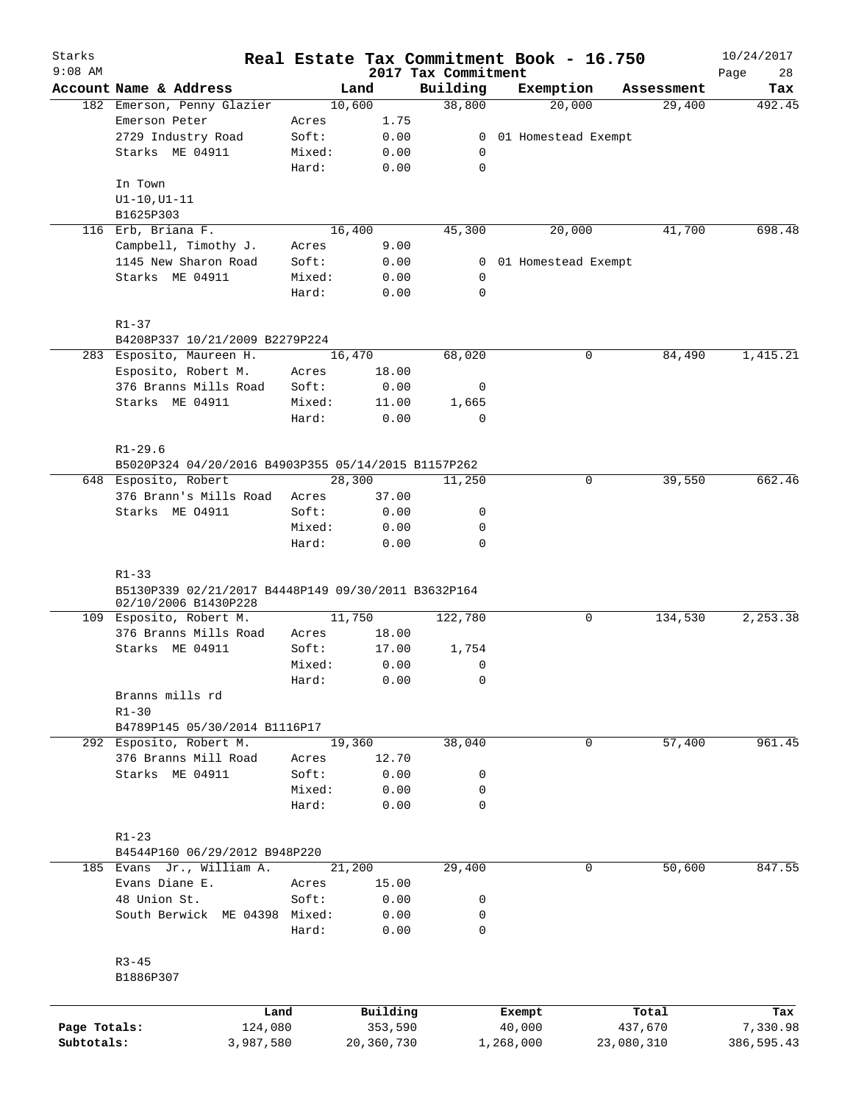| Starks       |                                                                             |        |            |                                 | Real Estate Tax Commitment Book - 16.750 |            |            | 10/24/2017        |
|--------------|-----------------------------------------------------------------------------|--------|------------|---------------------------------|------------------------------------------|------------|------------|-------------------|
| $9:08$ AM    | Account Name & Address                                                      |        | Land       | 2017 Tax Commitment<br>Building | Exemption                                |            | Assessment | 28<br>Page<br>Tax |
|              | 182 Emerson, Penny Glazier                                                  |        | 10,600     | 38,800                          | 20,000                                   |            | 29,400     | 492.45            |
|              | Emerson Peter                                                               | Acres  | 1.75       |                                 |                                          |            |            |                   |
|              | 2729 Industry Road                                                          | Soft:  | 0.00       |                                 | 0 01 Homestead Exempt                    |            |            |                   |
|              | Starks ME 04911                                                             | Mixed: | 0.00       | 0                               |                                          |            |            |                   |
|              |                                                                             | Hard:  | 0.00       | $\mathbf 0$                     |                                          |            |            |                   |
|              | In Town                                                                     |        |            |                                 |                                          |            |            |                   |
|              | $UI-10, UI-11$                                                              |        |            |                                 |                                          |            |            |                   |
|              | B1625P303                                                                   |        |            |                                 |                                          |            |            |                   |
|              | 116 Erb, Briana F.                                                          |        | 16,400     | 45,300                          | 20,000                                   |            | 41,700     | 698.48            |
|              | Campbell, Timothy J.                                                        | Acres  | 9.00       |                                 |                                          |            |            |                   |
|              | 1145 New Sharon Road                                                        | Soft:  | 0.00       |                                 | 0 01 Homestead Exempt                    |            |            |                   |
|              | Starks ME 04911                                                             | Mixed: | 0.00       | 0                               |                                          |            |            |                   |
|              |                                                                             | Hard:  | 0.00       | 0                               |                                          |            |            |                   |
|              | $R1 - 37$                                                                   |        |            |                                 |                                          |            |            |                   |
|              | B4208P337 10/21/2009 B2279P224                                              |        |            |                                 |                                          |            |            |                   |
|              | 283 Esposito, Maureen H.                                                    |        | 16,470     | 68,020                          |                                          | 0          | 84,490     | 1,415.21          |
|              | Esposito, Robert M.                                                         | Acres  | 18.00      |                                 |                                          |            |            |                   |
|              | 376 Branns Mills Road                                                       | Soft:  | 0.00       | 0                               |                                          |            |            |                   |
|              | Starks ME 04911                                                             | Mixed: | 11.00      | 1,665                           |                                          |            |            |                   |
|              |                                                                             | Hard:  | 0.00       | 0                               |                                          |            |            |                   |
|              | $R1 - 29.6$                                                                 |        |            |                                 |                                          |            |            |                   |
|              | B5020P324 04/20/2016 B4903P355 05/14/2015 B1157P262                         |        |            |                                 |                                          |            |            |                   |
|              | 648 Esposito, Robert                                                        |        | 28,300     | 11,250                          |                                          | 0          | 39,550     | 662.46            |
|              | 376 Brann's Mills Road                                                      | Acres  | 37.00      |                                 |                                          |            |            |                   |
|              | Starks ME 04911                                                             | Soft:  | 0.00       | 0                               |                                          |            |            |                   |
|              |                                                                             | Mixed: | 0.00       | 0                               |                                          |            |            |                   |
|              |                                                                             | Hard:  | 0.00       | 0                               |                                          |            |            |                   |
|              | $R1 - 33$                                                                   |        |            |                                 |                                          |            |            |                   |
|              | B5130P339 02/21/2017 B4448P149 09/30/2011 B3632P164<br>02/10/2006 B1430P228 |        |            |                                 |                                          |            |            |                   |
|              | 109 Esposito, Robert M.                                                     |        | 11,750     | 122,780                         |                                          | 0          | 134,530    | 2,253.38          |
|              | 376 Branns Mills Road                                                       | Acres  | 18.00      |                                 |                                          |            |            |                   |
|              | Starks ME 04911                                                             | Soft:  | 17.00      | 1,754                           |                                          |            |            |                   |
|              |                                                                             | Mixed: | 0.00       | 0                               |                                          |            |            |                   |
|              |                                                                             | Hard:  | 0.00       | 0                               |                                          |            |            |                   |
|              | Branns mills rd                                                             |        |            |                                 |                                          |            |            |                   |
|              | $R1 - 30$                                                                   |        |            |                                 |                                          |            |            |                   |
|              | B4789P145 05/30/2014 B1116P17                                               |        |            |                                 |                                          |            |            |                   |
|              | 292 Esposito, Robert M.                                                     |        | 19,360     | 38,040                          |                                          | 0          | 57,400     | 961.45            |
|              | 376 Branns Mill Road                                                        | Acres  | 12.70      |                                 |                                          |            |            |                   |
|              | Starks ME 04911                                                             | Soft:  | 0.00       | 0                               |                                          |            |            |                   |
|              |                                                                             | Mixed: | 0.00       | 0                               |                                          |            |            |                   |
|              |                                                                             | Hard:  | 0.00       | $\mathbf 0$                     |                                          |            |            |                   |
|              | $R1 - 23$                                                                   |        |            |                                 |                                          |            |            |                   |
|              | B4544P160 06/29/2012 B948P220                                               |        |            |                                 |                                          |            |            |                   |
|              | 185 Evans Jr., William A.                                                   |        | 21,200     | 29,400                          |                                          | 0          | 50,600     | 847.55            |
|              | Evans Diane E.                                                              | Acres  | 15.00      |                                 |                                          |            |            |                   |
|              | 48 Union St.                                                                | Soft:  | 0.00       | 0                               |                                          |            |            |                   |
|              | South Berwick ME 04398 Mixed:                                               |        | 0.00       | 0                               |                                          |            |            |                   |
|              |                                                                             | Hard:  | 0.00       | 0                               |                                          |            |            |                   |
|              | $R3 - 45$                                                                   |        |            |                                 |                                          |            |            |                   |
|              | B1886P307                                                                   |        |            |                                 |                                          |            |            |                   |
|              | Land                                                                        |        | Building   |                                 | Exempt                                   |            | Total      | Tax               |
| Page Totals: | 124,080                                                                     |        | 353,590    |                                 | 40,000                                   |            | 437,670    | 7,330.98          |
| Subtotals:   | 3,987,580                                                                   |        | 20,360,730 |                                 | 1,268,000                                | 23,080,310 |            | 386,595.43        |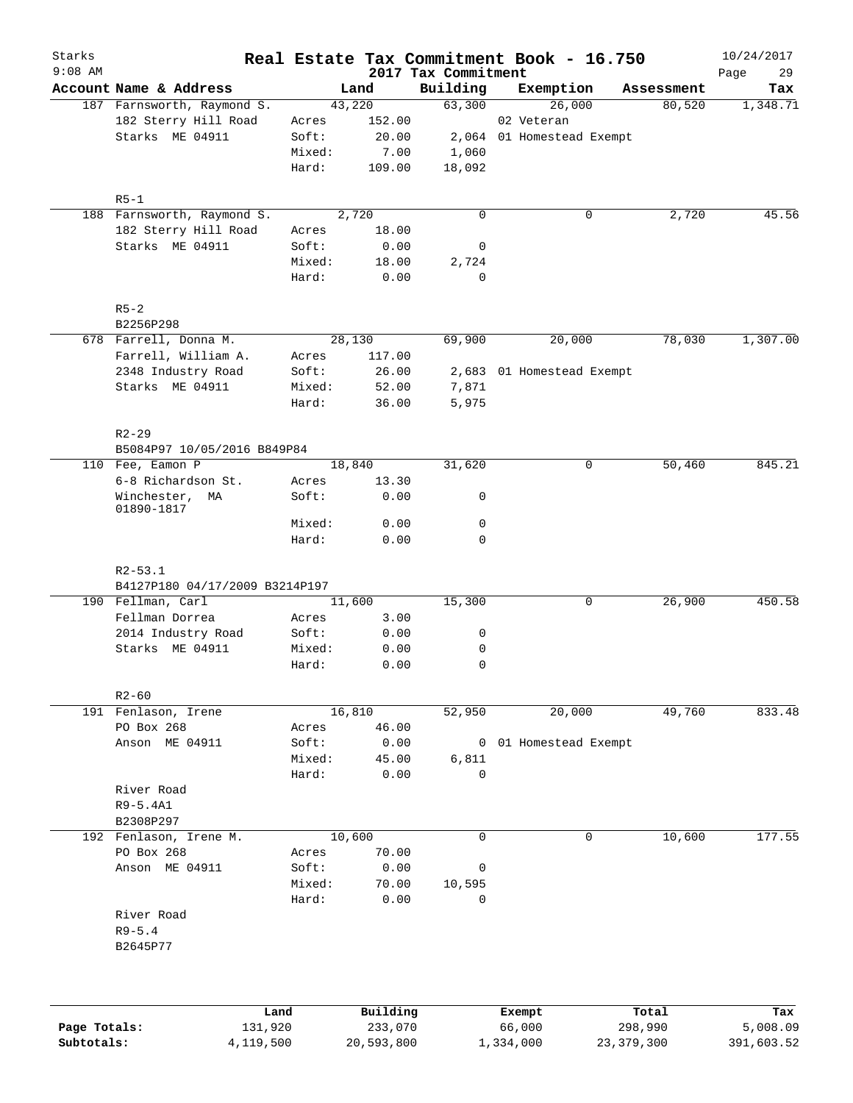| Starks<br>$9:08$ AM |                                |           |        |            | 2017 Tax Commitment | Real Estate Tax Commitment Book - 16.750 |              | 10/24/2017<br>29<br>Page |
|---------------------|--------------------------------|-----------|--------|------------|---------------------|------------------------------------------|--------------|--------------------------|
|                     | Account Name & Address         |           |        | Land       | Building            | Exemption                                | Assessment   | Tax                      |
|                     | 187 Farnsworth, Raymond S.     |           |        | 43,220     | 63,300              | 26,000                                   | 80,520       | 1,348.71                 |
|                     | 182 Sterry Hill Road           |           | Acres  | 152.00     |                     | 02 Veteran                               |              |                          |
|                     | Starks ME 04911                |           | Soft:  | 20.00      |                     | 2,064 01 Homestead Exempt                |              |                          |
|                     |                                |           | Mixed: | 7.00       | 1,060               |                                          |              |                          |
|                     |                                |           | Hard:  | 109.00     | 18,092              |                                          |              |                          |
|                     | $R5-1$                         |           |        |            |                     |                                          |              |                          |
|                     | 188 Farnsworth, Raymond S.     |           |        | 2,720      | $\mathbf 0$         |                                          | 0<br>2,720   | 45.56                    |
|                     | 182 Sterry Hill Road           |           | Acres  | 18.00      |                     |                                          |              |                          |
|                     | Starks ME 04911                |           | Soft:  | 0.00       | 0                   |                                          |              |                          |
|                     |                                |           | Mixed: | 18.00      | 2,724               |                                          |              |                          |
|                     |                                |           | Hard:  | 0.00       | 0                   |                                          |              |                          |
|                     | $R5-2$                         |           |        |            |                     |                                          |              |                          |
|                     | B2256P298                      |           |        |            |                     |                                          |              |                          |
|                     | 678 Farrell, Donna M.          |           |        | 28,130     | 69,900              | 20,000                                   | 78,030       | 1,307.00                 |
|                     | Farrell, William A.            |           | Acres  | 117.00     |                     |                                          |              |                          |
|                     | 2348 Industry Road             |           | Soft:  | 26.00      |                     | 2,683 01 Homestead Exempt                |              |                          |
|                     | Starks ME 04911                |           | Mixed: | 52.00      | 7,871               |                                          |              |                          |
|                     |                                |           | Hard:  | 36.00      | 5,975               |                                          |              |                          |
|                     | $R2 - 29$                      |           |        |            |                     |                                          |              |                          |
|                     | B5084P97 10/05/2016 B849P84    |           |        |            |                     |                                          |              |                          |
|                     | 110 Fee, Eamon P               |           |        | 18,840     | 31,620              |                                          | 50,460<br>0  | 845.21                   |
|                     | 6-8 Richardson St.             |           | Acres  | 13.30      |                     |                                          |              |                          |
|                     | Winchester, MA<br>01890-1817   |           | Soft:  | 0.00       | 0                   |                                          |              |                          |
|                     |                                |           | Mixed: | 0.00       | 0                   |                                          |              |                          |
|                     |                                |           | Hard:  | 0.00       | 0                   |                                          |              |                          |
|                     | $R2 - 53.1$                    |           |        |            |                     |                                          |              |                          |
|                     | B4127P180 04/17/2009 B3214P197 |           |        |            |                     |                                          |              |                          |
|                     | 190 Fellman, Carl              |           |        | 11,600     | 15,300              |                                          | 26,900<br>0  | 450.58                   |
|                     | Fellman Dorrea                 |           | Acres  | 3.00       |                     |                                          |              |                          |
|                     | 2014 Industry Road             |           | Soft:  | 0.00       | 0                   |                                          |              |                          |
|                     | Starks ME 04911                |           | Mixed: | 0.00       | 0                   |                                          |              |                          |
|                     |                                |           | Hard:  | 0.00       | $\mathbf 0$         |                                          |              |                          |
|                     | $R2 - 60$                      |           |        |            |                     |                                          |              |                          |
|                     | 191 Fenlason, Irene            |           |        | 16,810     | 52,950              | 20,000                                   | 49,760       | 833.48                   |
|                     | PO Box 268                     |           | Acres  | 46.00      |                     |                                          |              |                          |
|                     | Anson ME 04911                 |           | Soft:  | 0.00       | 0                   | 01 Homestead Exempt                      |              |                          |
|                     |                                |           | Mixed: | 45.00      | 6,811               |                                          |              |                          |
|                     |                                |           | Hard:  | 0.00       | $\mathbf 0$         |                                          |              |                          |
|                     | River Road                     |           |        |            |                     |                                          |              |                          |
|                     | $R9 - 5.4A1$                   |           |        |            |                     |                                          |              |                          |
|                     | B2308P297                      |           |        |            |                     |                                          |              |                          |
|                     | 192 Fenlason, Irene M.         |           |        | 10,600     | 0                   |                                          | 10,600<br>0  | 177.55                   |
|                     | PO Box 268                     |           | Acres  | 70.00      |                     |                                          |              |                          |
|                     | Anson ME 04911                 |           | Soft:  | 0.00       | 0                   |                                          |              |                          |
|                     |                                |           | Mixed: | 70.00      | 10,595              |                                          |              |                          |
|                     |                                |           | Hard:  | 0.00       | $\mathbf 0$         |                                          |              |                          |
|                     | River Road                     |           |        |            |                     |                                          |              |                          |
|                     | $R9 - 5.4$                     |           |        |            |                     |                                          |              |                          |
|                     | B2645P77                       |           |        |            |                     |                                          |              |                          |
|                     |                                |           |        |            |                     |                                          |              |                          |
|                     |                                | Land      |        | Building   |                     | Exempt                                   | Total        | Tax                      |
| Page Totals:        |                                | 131,920   |        | 233,070    |                     | 66,000                                   | 298,990      | 5,008.09                 |
| Subtotals:          |                                | 4,119,500 |        | 20,593,800 |                     | 1,334,000                                | 23, 379, 300 | 391,603.52               |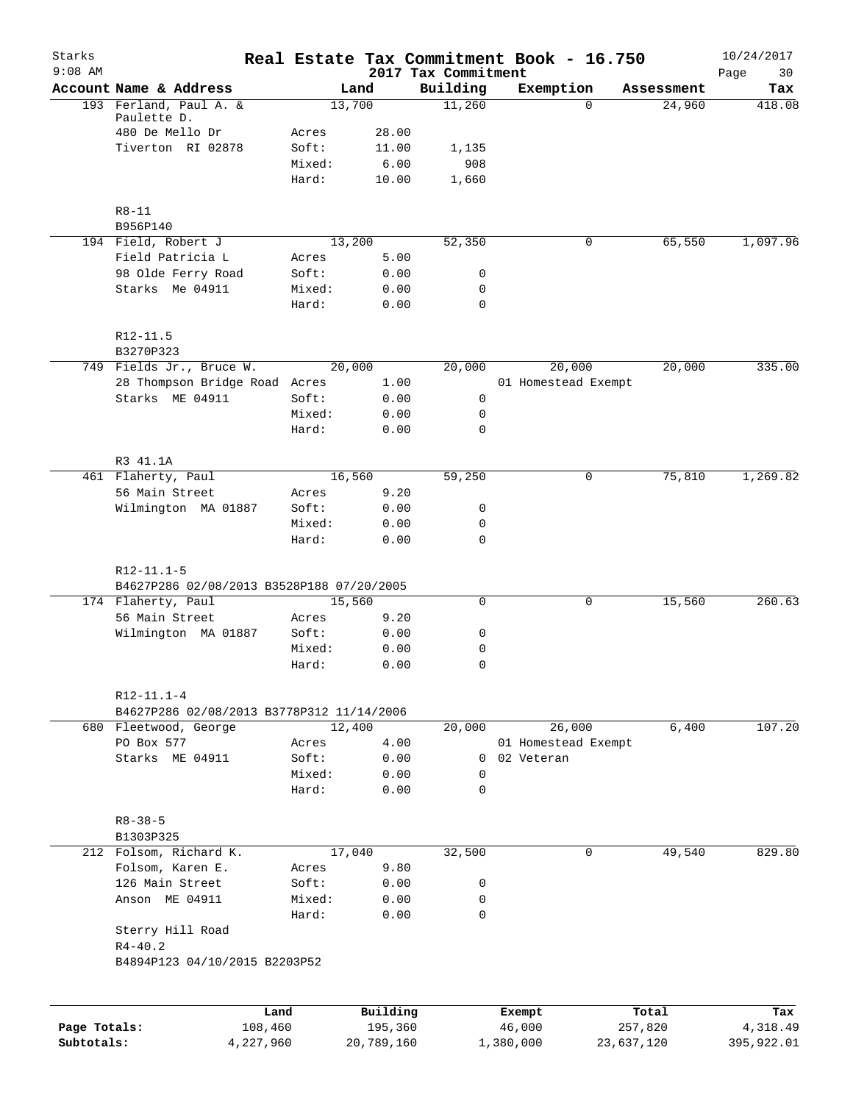| Starks<br>$9:08$ AM |                                           |                 |                     | 2017 Tax Commitment | Real Estate Tax Commitment Book - 16.750 |                  | 10/24/2017        |
|---------------------|-------------------------------------------|-----------------|---------------------|---------------------|------------------------------------------|------------------|-------------------|
|                     | Account Name & Address                    |                 | Land                | Building            | Exemption                                | Assessment       | Page<br>30<br>Tax |
|                     | 193 Ferland, Paul A. &                    |                 | 13,700              | 11,260              | $\Omega$                                 | 24,960           | 418.08            |
|                     | Paulette D.                               |                 |                     |                     |                                          |                  |                   |
|                     | 480 De Mello Dr<br>Tiverton RI 02878      | Acres<br>Soft:  | 28.00<br>11.00      | 1,135               |                                          |                  |                   |
|                     |                                           | Mixed:          | 6.00                | 908                 |                                          |                  |                   |
|                     |                                           | Hard:           | 10.00               | 1,660               |                                          |                  |                   |
|                     | $R8 - 11$                                 |                 |                     |                     |                                          |                  |                   |
|                     | B956P140                                  |                 |                     |                     |                                          |                  |                   |
|                     | 194 Field, Robert J                       |                 | 13,200              | 52,350              | 0                                        | 65,550           | 1,097.96          |
|                     | Field Patricia L                          | Acres           | 5.00                |                     |                                          |                  |                   |
|                     | 98 Olde Ferry Road                        | Soft:           | 0.00                | 0                   |                                          |                  |                   |
|                     | Starks Me 04911                           | Mixed:<br>Hard: | 0.00<br>0.00        | 0<br>0              |                                          |                  |                   |
|                     | $R12 - 11.5$                              |                 |                     |                     |                                          |                  |                   |
|                     | B3270P323                                 |                 |                     |                     |                                          |                  |                   |
|                     | 749 Fields Jr., Bruce W.                  |                 | 20,000              | 20,000              | 20,000                                   | 20,000           | 335.00            |
|                     | 28 Thompson Bridge Road Acres             |                 | 1.00                |                     | 01 Homestead Exempt                      |                  |                   |
|                     | Starks ME 04911                           | Soft:           | 0.00                | 0                   |                                          |                  |                   |
|                     |                                           | Mixed:          | 0.00                | 0                   |                                          |                  |                   |
|                     |                                           | Hard:           | 0.00                | 0                   |                                          |                  |                   |
|                     | R3 41.1A                                  |                 | 16,560              |                     |                                          |                  |                   |
|                     | 461 Flaherty, Paul<br>56 Main Street      | Acres           | 9.20                | 59,250              | 0                                        | 75,810           | 1,269.82          |
|                     | Wilmington MA 01887                       | Soft:           | 0.00                | 0                   |                                          |                  |                   |
|                     |                                           | Mixed:          | 0.00                | 0                   |                                          |                  |                   |
|                     |                                           | Hard:           | 0.00                | $\mathbf 0$         |                                          |                  |                   |
|                     | R12-11.1-5                                |                 |                     |                     |                                          |                  |                   |
|                     | B4627P286 02/08/2013 B3528P188 07/20/2005 |                 |                     |                     |                                          |                  |                   |
|                     | 174 Flaherty, Paul                        |                 | 15,560              | 0                   | 0                                        | 15,560           | 260.63            |
|                     | 56 Main Street                            | Acres           | 9.20                |                     |                                          |                  |                   |
|                     | Wilmington MA 01887                       | Soft:           | 0.00                | 0                   |                                          |                  |                   |
|                     |                                           | Mixed:<br>Hard: | 0.00<br>0.00        | 0<br>$\mathbf 0$    |                                          |                  |                   |
|                     | $R12 - 11.1 - 4$                          |                 |                     |                     |                                          |                  |                   |
|                     | B4627P286 02/08/2013 B3778P312 11/14/2006 |                 |                     |                     |                                          |                  |                   |
|                     | 680 Fleetwood, George                     |                 | 12,400              | 20,000              | 26,000                                   | 6,400            | 107.20            |
|                     | PO Box 577                                | Acres           | 4.00                |                     | 01 Homestead Exempt                      |                  |                   |
|                     | Starks ME 04911                           | Soft:           | 0.00                | 0                   | 02 Veteran                               |                  |                   |
|                     |                                           | Mixed:          | 0.00                | 0                   |                                          |                  |                   |
|                     |                                           | Hard:           | 0.00                | 0                   |                                          |                  |                   |
|                     | $R8 - 38 - 5$                             |                 |                     |                     |                                          |                  |                   |
|                     | B1303P325                                 |                 |                     |                     |                                          |                  |                   |
|                     | 212 Folsom, Richard K.                    |                 | 17,040              | 32,500              | 0                                        | 49,540           | 829.80            |
|                     | Folsom, Karen E.                          | Acres           | 9.80                |                     |                                          |                  |                   |
|                     | 126 Main Street                           | Soft:           | 0.00                | 0                   |                                          |                  |                   |
|                     | Anson ME 04911                            | Mixed:<br>Hard: | 0.00<br>0.00        | 0<br>$\mathbf 0$    |                                          |                  |                   |
|                     | Sterry Hill Road<br>$R4 - 40.2$           |                 |                     |                     |                                          |                  |                   |
|                     | B4894P123 04/10/2015 B2203P52             |                 |                     |                     |                                          |                  |                   |
|                     |                                           |                 |                     |                     |                                          |                  |                   |
| Page Totals:        | Land<br>108,460                           |                 | Building<br>195,360 |                     | Exempt<br>46,000                         | Total<br>257,820 | Tax<br>4,318.49   |

**Subtotals:** 4,227,960 20,789,160 1,380,000 23,637,120 395,922.01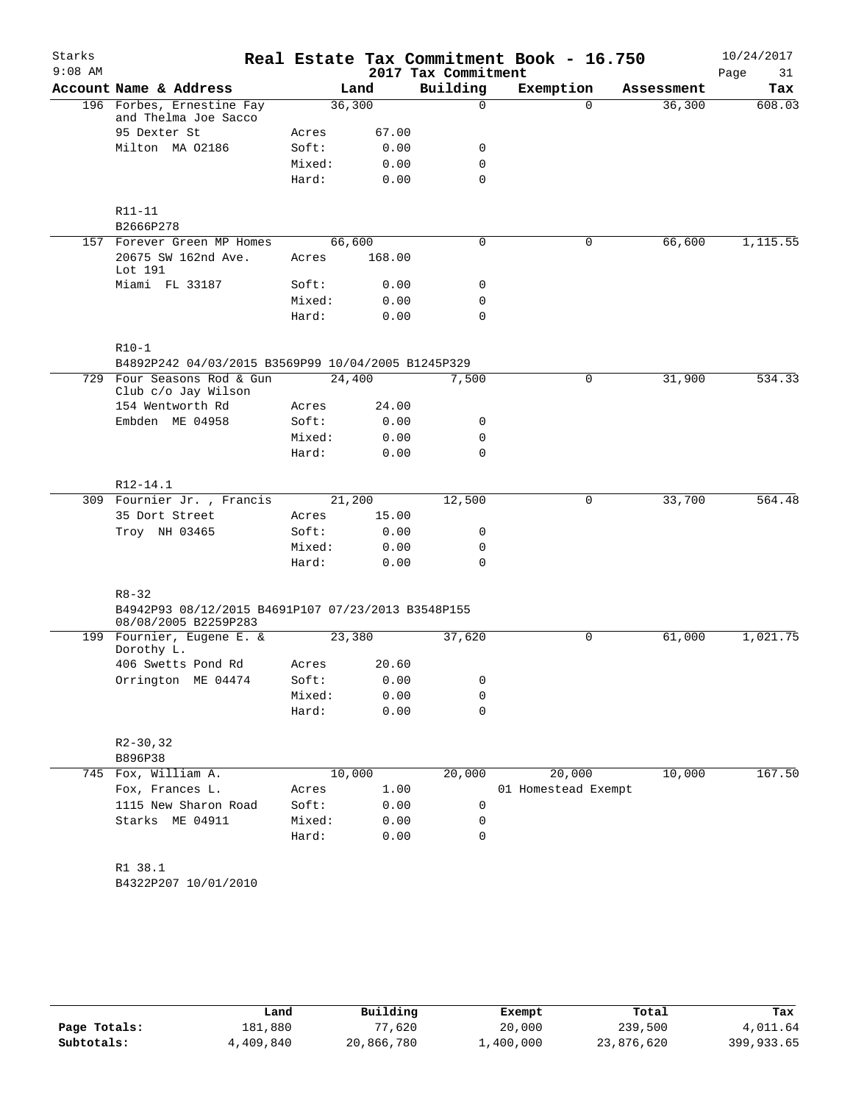| Starks    |                                                                                  |        |        |                     | Real Estate Tax Commitment Book - 16.750 |            | 10/24/2017 |
|-----------|----------------------------------------------------------------------------------|--------|--------|---------------------|------------------------------------------|------------|------------|
| $9:08$ AM |                                                                                  |        |        | 2017 Tax Commitment |                                          |            | Page<br>31 |
|           | Account Name & Address                                                           |        | Land   | Building            | Exemption                                | Assessment | Tax        |
|           | 196 Forbes, Ernestine Fay                                                        | 36,300 |        | $\Omega$            | $\Omega$                                 | 36,300     | 608.03     |
|           | and Thelma Joe Sacco<br>95 Dexter St                                             | Acres  | 67.00  |                     |                                          |            |            |
|           | Milton MA 02186                                                                  | Soft:  |        | 0                   |                                          |            |            |
|           |                                                                                  |        | 0.00   |                     |                                          |            |            |
|           |                                                                                  | Mixed: | 0.00   | 0                   |                                          |            |            |
|           |                                                                                  | Hard:  | 0.00   | $\mathbf 0$         |                                          |            |            |
|           | $R11 - 11$                                                                       |        |        |                     |                                          |            |            |
|           | B2666P278                                                                        |        |        |                     |                                          |            |            |
|           | 157 Forever Green MP Homes                                                       | 66,600 |        | $\mathbf 0$         | 0                                        | 66,600     | 1,115.55   |
|           | 20675 SW 162nd Ave.<br>Lot 191                                                   | Acres  | 168.00 |                     |                                          |            |            |
|           | Miami FL 33187                                                                   | Soft:  | 0.00   | 0                   |                                          |            |            |
|           |                                                                                  | Mixed: | 0.00   | 0                   |                                          |            |            |
|           |                                                                                  | Hard:  | 0.00   | 0                   |                                          |            |            |
|           |                                                                                  |        |        |                     |                                          |            |            |
|           | $R10-1$                                                                          |        |        |                     |                                          |            |            |
|           | B4892P242 04/03/2015 B3569P99 10/04/2005 B1245P329<br>729 Four Seasons Rod & Gun | 24,400 |        | 7,500               | 0                                        | 31,900     | 534.33     |
|           | Club c/o Jay Wilson                                                              |        |        |                     |                                          |            |            |
|           | 154 Wentworth Rd                                                                 | Acres  | 24.00  |                     |                                          |            |            |
|           | Embden ME 04958                                                                  | Soft:  | 0.00   | 0                   |                                          |            |            |
|           |                                                                                  | Mixed: | 0.00   | $\mathbf 0$         |                                          |            |            |
|           |                                                                                  | Hard:  | 0.00   | 0                   |                                          |            |            |
|           |                                                                                  |        |        |                     |                                          |            |            |
|           | R12-14.1                                                                         |        |        |                     |                                          |            |            |
|           | 309 Fournier Jr., Francis                                                        | 21,200 |        | 12,500              | 0                                        | 33,700     | 564.48     |
|           | 35 Dort Street                                                                   | Acres  | 15.00  |                     |                                          |            |            |
|           | Troy NH 03465                                                                    | Soft:  | 0.00   | 0                   |                                          |            |            |
|           |                                                                                  | Mixed: | 0.00   | 0                   |                                          |            |            |
|           |                                                                                  | Hard:  | 0.00   | $\mathbf 0$         |                                          |            |            |
|           | $R8 - 32$                                                                        |        |        |                     |                                          |            |            |
|           | B4942P93 08/12/2015 B4691P107 07/23/2013 B3548P155                               |        |        |                     |                                          |            |            |
|           | 08/08/2005 B2259P283                                                             |        |        |                     |                                          |            |            |
|           | 199 Fournier, Eugene E. &<br>Dorothy L.                                          | 23,380 |        | 37,620              | 0                                        | 61,000     | 1,021.75   |
|           | 406 Swetts Pond Rd                                                               | Acres  | 20.60  |                     |                                          |            |            |
|           | Orrington ME 04474                                                               | Soft:  | 0.00   | 0                   |                                          |            |            |
|           |                                                                                  | Mixed: | 0.00   | 0                   |                                          |            |            |
|           |                                                                                  | Hard:  | 0.00   | $\mathbf 0$         |                                          |            |            |
|           |                                                                                  |        |        |                     |                                          |            |            |
|           | $R2-30, 32$<br>B896P38                                                           |        |        |                     |                                          |            |            |
|           | 745 Fox, William A.                                                              | 10,000 |        | 20,000              | 20,000                                   | 10,000     | 167.50     |
|           | Fox, Frances L.                                                                  | Acres  | 1.00   |                     | 01 Homestead Exempt                      |            |            |
|           | 1115 New Sharon Road                                                             | Soft:  | 0.00   | 0                   |                                          |            |            |
|           | Starks ME 04911                                                                  | Mixed: | 0.00   | 0                   |                                          |            |            |
|           |                                                                                  | Hard:  | 0.00   | 0                   |                                          |            |            |
|           |                                                                                  |        |        |                     |                                          |            |            |
|           | R1 38.1                                                                          |        |        |                     |                                          |            |            |
|           | B4322P207 10/01/2010                                                             |        |        |                     |                                          |            |            |
|           |                                                                                  |        |        |                     |                                          |            |            |
|           |                                                                                  |        |        |                     |                                          |            |            |

|              | Land      | Building   | Exempt    | Total      | Tax        |
|--------------|-----------|------------|-----------|------------|------------|
| Page Totals: | 181,880   | 77,620     | 20,000    | 239,500    | 4,011.64   |
| Subtotals:   | 4,409,840 | 20,866,780 | ⊥,400,000 | 23,876,620 | 399,933.65 |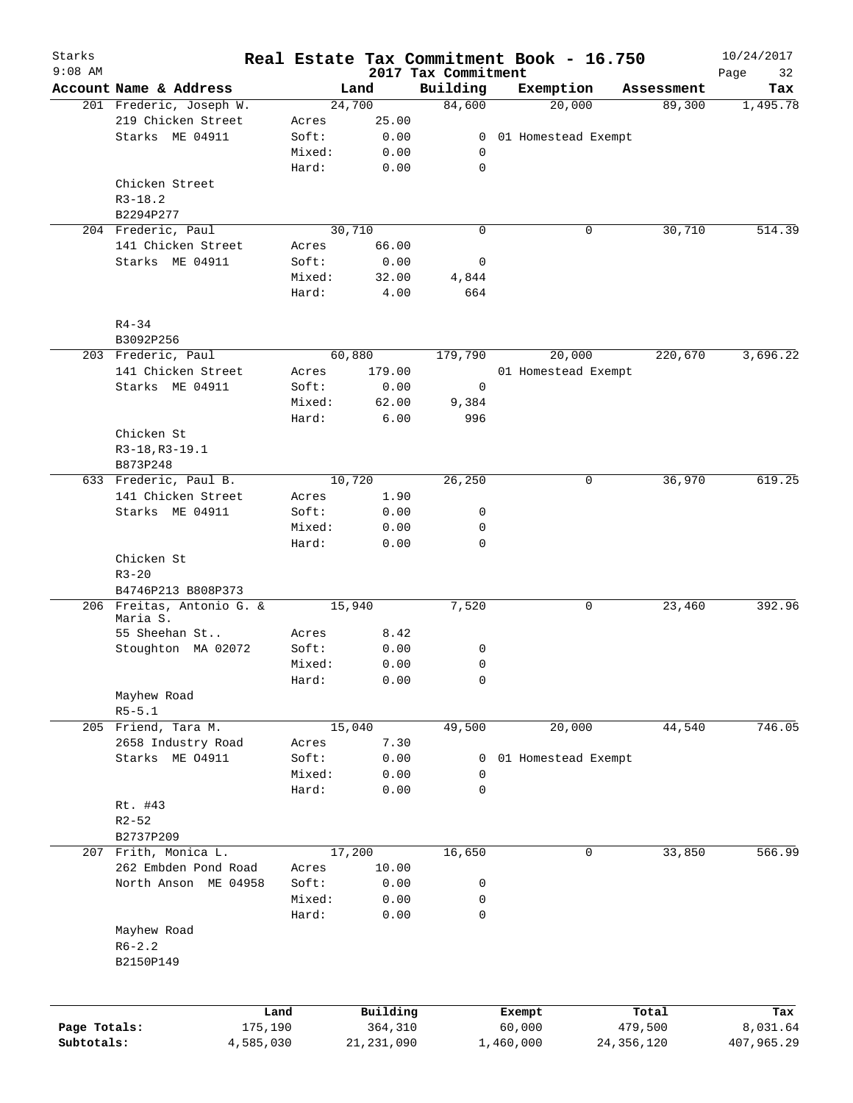| Starks<br>$9:08$ AM |                           |           |        |              | 2017 Tax Commitment | Real Estate Tax Commitment Book - 16.750 |            | 10/24/2017<br>Page<br>32 |
|---------------------|---------------------------|-----------|--------|--------------|---------------------|------------------------------------------|------------|--------------------------|
|                     | Account Name & Address    |           |        | Land         | Building            | Exemption                                | Assessment | Tax                      |
|                     | 201 Frederic, Joseph W.   |           | 24,700 |              | 84,600              | 20,000                                   | 89,300     | 1,495.78                 |
|                     | 219 Chicken Street        |           | Acres  | 25.00        |                     |                                          |            |                          |
|                     | Starks ME 04911           |           | Soft:  | 0.00         | $\overline{0}$      | 01 Homestead Exempt                      |            |                          |
|                     |                           |           | Mixed: | 0.00         | 0                   |                                          |            |                          |
|                     |                           |           | Hard:  | 0.00         | 0                   |                                          |            |                          |
|                     | Chicken Street            |           |        |              |                     |                                          |            |                          |
|                     | $R3 - 18.2$               |           |        |              |                     |                                          |            |                          |
|                     | B2294P277                 |           |        |              |                     |                                          |            |                          |
|                     | 204 Frederic, Paul        |           | 30,710 |              | $\mathbf 0$         | 0                                        | 30,710     | 514.39                   |
|                     | 141 Chicken Street        |           | Acres  | 66.00        |                     |                                          |            |                          |
|                     | Starks ME 04911           |           | Soft:  | 0.00         | 0                   |                                          |            |                          |
|                     |                           |           | Mixed: | 32.00        | 4,844               |                                          |            |                          |
|                     |                           |           | Hard:  | 4.00         | 664                 |                                          |            |                          |
|                     |                           |           |        |              |                     |                                          |            |                          |
|                     | $R4 - 34$                 |           |        |              |                     |                                          |            |                          |
|                     | B3092P256                 |           |        |              |                     |                                          |            |                          |
|                     | 203 Frederic, Paul        |           | 60,880 |              | 179,790             | 20,000                                   | 220,670    | 3,696.22                 |
|                     | 141 Chicken Street        |           | Acres  | 179.00       |                     | 01 Homestead Exempt                      |            |                          |
|                     | Starks ME 04911           |           | Soft:  | 0.00         | 0                   |                                          |            |                          |
|                     |                           |           |        |              |                     |                                          |            |                          |
|                     |                           |           | Mixed: | 62.00        | 9,384               |                                          |            |                          |
|                     |                           |           | Hard:  | 6.00         | 996                 |                                          |            |                          |
|                     | Chicken St                |           |        |              |                     |                                          |            |                          |
|                     | R3-18, R3-19.1            |           |        |              |                     |                                          |            |                          |
|                     | B873P248                  |           |        |              |                     |                                          |            |                          |
|                     | 633 Frederic, Paul B.     |           | 10,720 |              | 26,250              | 0                                        | 36,970     | 619.25                   |
|                     | 141 Chicken Street        |           | Acres  | 1.90         |                     |                                          |            |                          |
|                     | Starks ME 04911           |           | Soft:  | 0.00         | 0                   |                                          |            |                          |
|                     |                           |           | Mixed: | 0.00         | 0                   |                                          |            |                          |
|                     |                           |           | Hard:  | 0.00         | $\mathbf 0$         |                                          |            |                          |
|                     | Chicken St                |           |        |              |                     |                                          |            |                          |
|                     | $R3 - 20$                 |           |        |              |                     |                                          |            |                          |
|                     | B4746P213 B808P373        |           |        |              |                     |                                          |            |                          |
|                     | 206 Freitas, Antonio G. & |           | 15,940 |              | 7,520               | 0                                        | 23,460     | 392.96                   |
|                     | Maria S.                  |           |        |              |                     |                                          |            |                          |
|                     | 55 Sheehan St             |           | Acres  | 8.42         |                     |                                          |            |                          |
|                     | Stoughton MA 02072        |           | Soft:  | 0.00         | 0                   |                                          |            |                          |
|                     |                           |           | Mixed: | 0.00         | $\mathbf 0$         |                                          |            |                          |
|                     |                           |           | Hard:  | 0.00         | 0                   |                                          |            |                          |
|                     | Mayhew Road               |           |        |              |                     |                                          |            |                          |
|                     | $R5 - 5.1$                |           |        |              |                     |                                          |            |                          |
|                     | 205 Friend, Tara M.       |           | 15,040 |              | 49,500              | 20,000                                   | 44,540     | 746.05                   |
|                     | 2658 Industry Road        |           | Acres  | 7.30         |                     |                                          |            |                          |
|                     | Starks ME 04911           |           | Soft:  | 0.00         | 0                   | 01 Homestead Exempt                      |            |                          |
|                     |                           |           | Mixed: | 0.00         | $\mathbf 0$         |                                          |            |                          |
|                     |                           |           | Hard:  | 0.00         | $\mathbf 0$         |                                          |            |                          |
|                     | Rt. #43                   |           |        |              |                     |                                          |            |                          |
|                     | $R2 - 52$                 |           |        |              |                     |                                          |            |                          |
|                     | B2737P209                 |           |        |              |                     |                                          |            |                          |
|                     | 207 Frith, Monica L.      |           | 17,200 |              | 16,650              | $\mathbf 0$                              | 33,850     | 566.99                   |
|                     | 262 Embden Pond Road      |           | Acres  | 10.00        |                     |                                          |            |                          |
|                     | North Anson ME 04958      |           | Soft:  | 0.00         | 0                   |                                          |            |                          |
|                     |                           |           | Mixed: | 0.00         | $\mathsf{O}$        |                                          |            |                          |
|                     |                           |           | Hard:  | 0.00         | $\mathbf 0$         |                                          |            |                          |
|                     | Mayhew Road               |           |        |              |                     |                                          |            |                          |
|                     | $R6 - 2.2$                |           |        |              |                     |                                          |            |                          |
|                     | B2150P149                 |           |        |              |                     |                                          |            |                          |
|                     |                           |           |        |              |                     |                                          |            |                          |
|                     |                           |           |        |              |                     |                                          |            |                          |
|                     |                           | Land      |        | Building     |                     | Exempt                                   | Total      | Tax                      |
| Page Totals:        |                           | 175,190   |        | 364,310      |                     | 60,000                                   | 479,500    | 8,031.64                 |
| Subtotals:          |                           | 4,585,030 |        | 21, 231, 090 |                     | 1,460,000                                | 24,356,120 | 407,965.29               |
|                     |                           |           |        |              |                     |                                          |            |                          |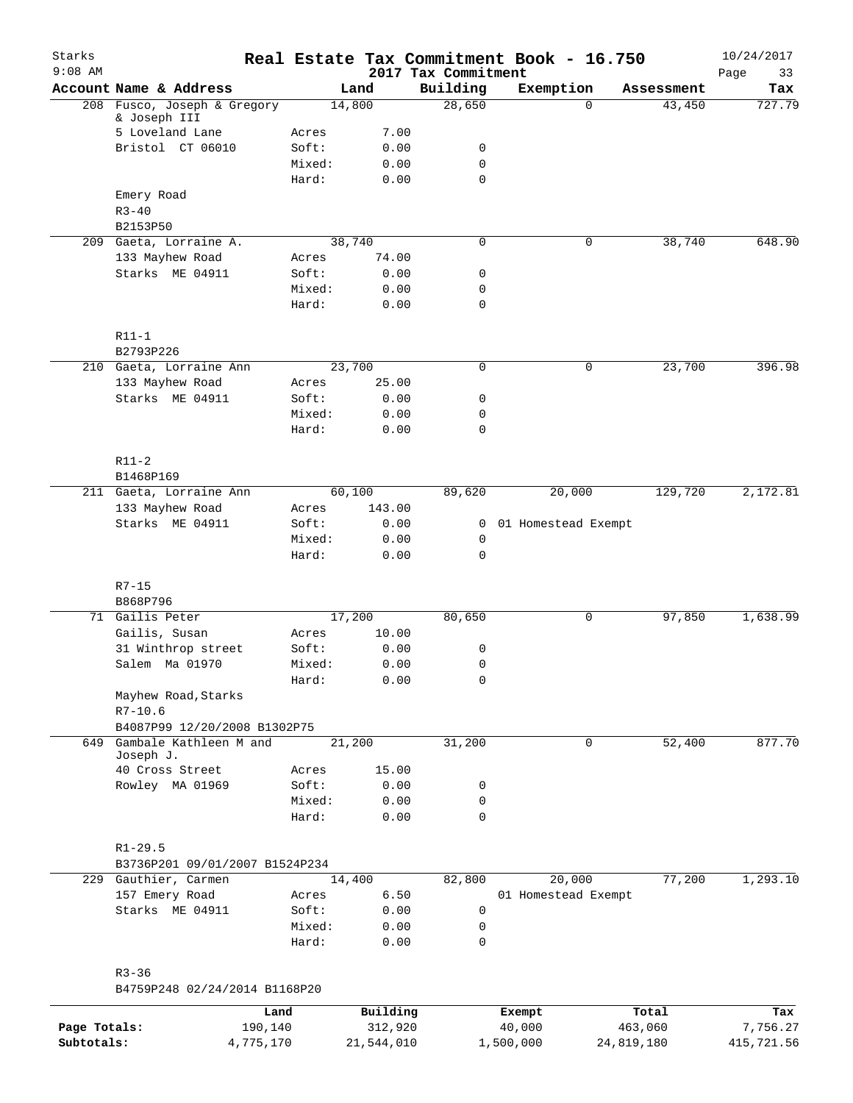| Starks       |                                       |                 |              |                                 | Real Estate Tax Commitment Book - 16.750 |                    | 10/24/2017        |
|--------------|---------------------------------------|-----------------|--------------|---------------------------------|------------------------------------------|--------------------|-------------------|
| $9:08$ AM    | Account Name & Address                |                 | Land         | 2017 Tax Commitment<br>Building | Exemption                                | Assessment         | Page<br>33<br>Tax |
|              | 208 Fusco, Joseph & Gregory           |                 | 14,800       | 28,650                          |                                          | 43,450<br>$\Omega$ | 727.79            |
|              | & Joseph III<br>5 Loveland Lane       | Acres           | 7.00         |                                 |                                          |                    |                   |
|              | Bristol CT 06010                      | Soft:           | 0.00         | 0                               |                                          |                    |                   |
|              |                                       | Mixed:          | 0.00         | $\mathsf{O}$                    |                                          |                    |                   |
|              |                                       | Hard:           | 0.00         | 0                               |                                          |                    |                   |
|              | Emery Road                            |                 |              |                                 |                                          |                    |                   |
|              | $R3 - 40$                             |                 |              |                                 |                                          |                    |                   |
|              | B2153P50                              |                 |              |                                 |                                          |                    |                   |
|              | 209 Gaeta, Lorraine A.                |                 | 38,740       | 0                               |                                          | 38,740<br>0        | 648.90            |
|              | 133 Mayhew Road                       | Acres           | 74.00        |                                 |                                          |                    |                   |
|              | Starks ME 04911                       | Soft:           | 0.00         | 0                               |                                          |                    |                   |
|              |                                       | Mixed:          | 0.00         | $\mathsf{O}$                    |                                          |                    |                   |
|              |                                       | Hard:           | 0.00         | 0                               |                                          |                    |                   |
|              | $R11-1$                               |                 |              |                                 |                                          |                    |                   |
|              | B2793P226                             |                 |              |                                 |                                          |                    |                   |
|              | 210 Gaeta, Lorraine Ann               |                 | 23,700       | $\mathbf 0$                     |                                          | 0<br>23,700        | 396.98            |
|              | 133 Mayhew Road                       | Acres           | 25.00        |                                 |                                          |                    |                   |
|              | Starks ME 04911                       | Soft:           | 0.00         | 0                               |                                          |                    |                   |
|              |                                       | Mixed:          | 0.00         | $\mathsf{O}$                    |                                          |                    |                   |
|              |                                       | Hard:           | 0.00         | 0                               |                                          |                    |                   |
|              | $R11-2$                               |                 |              |                                 |                                          |                    |                   |
|              | B1468P169                             |                 |              |                                 |                                          |                    |                   |
|              | 211 Gaeta, Lorraine Ann               |                 | 60,100       | 89,620                          | 20,000                                   | 129,720            | 2,172.81          |
|              | 133 Mayhew Road                       | Acres           | 143.00       |                                 |                                          |                    |                   |
|              | Starks ME 04911                       | Soft:           | 0.00         | $\overline{0}$                  | 01 Homestead Exempt                      |                    |                   |
|              |                                       | Mixed:<br>Hard: | 0.00<br>0.00 | 0<br>0                          |                                          |                    |                   |
|              |                                       |                 |              |                                 |                                          |                    |                   |
|              | $R7 - 15$<br>B868P796                 |                 |              |                                 |                                          |                    |                   |
|              | 71 Gailis Peter                       |                 | 17,200       | 80,650                          |                                          | 97,850<br>0        | 1,638.99          |
|              | Gailis, Susan                         | Acres           | 10.00        |                                 |                                          |                    |                   |
|              | 31 Winthrop street                    | Soft:           | 0.00         | 0                               |                                          |                    |                   |
|              | Salem Ma 01970                        | Mixed:          | 0.00         | $\mathbf 0$                     |                                          |                    |                   |
|              |                                       | Hard:           | 0.00         | 0                               |                                          |                    |                   |
|              | Mayhew Road, Starks<br>$R7-10.6$      |                 |              |                                 |                                          |                    |                   |
|              | B4087P99 12/20/2008 B1302P75          |                 |              |                                 |                                          |                    |                   |
| 649          | Gambale Kathleen M and<br>Joseph J.   |                 | 21,200       | 31,200                          |                                          | 52,400<br>0        | 877.70            |
|              | 40 Cross Street                       | Acres           | 15.00        |                                 |                                          |                    |                   |
|              | Rowley MA 01969                       | Soft:           | 0.00         | 0                               |                                          |                    |                   |
|              |                                       | Mixed:          | 0.00         | $\mathbf 0$                     |                                          |                    |                   |
|              |                                       | Hard:           | 0.00         | $\mathbf 0$                     |                                          |                    |                   |
|              | $R1 - 29.5$                           |                 |              |                                 |                                          |                    |                   |
|              | B3736P201 09/01/2007 B1524P234        |                 |              |                                 |                                          |                    |                   |
|              | 229 Gauthier, Carmen                  |                 | 14,400       | 82,800                          | 20,000                                   | 77,200             | 1,293.10          |
|              | 157 Emery Road                        | Acres           | 6.50         |                                 | 01 Homestead Exempt                      |                    |                   |
|              | Starks ME 04911                       | Soft:           | 0.00         | 0                               |                                          |                    |                   |
|              |                                       | Mixed:          | 0.00         | $\mathbf 0$                     |                                          |                    |                   |
|              |                                       | Hard:           | 0.00         | $\mathbf 0$                     |                                          |                    |                   |
|              | $R3 - 36$                             |                 |              |                                 |                                          |                    |                   |
|              | B4759P248 02/24/2014 B1168P20<br>Land |                 | Building     |                                 | Exempt                                   | Total              | Tax               |
| Page Totals: | 190,140                               |                 | 312,920      |                                 | 40,000                                   | 463,060            | 7,756.27          |
| Subtotals:   | 4,775,170                             |                 | 21,544,010   |                                 | 1,500,000                                | 24,819,180         | 415,721.56        |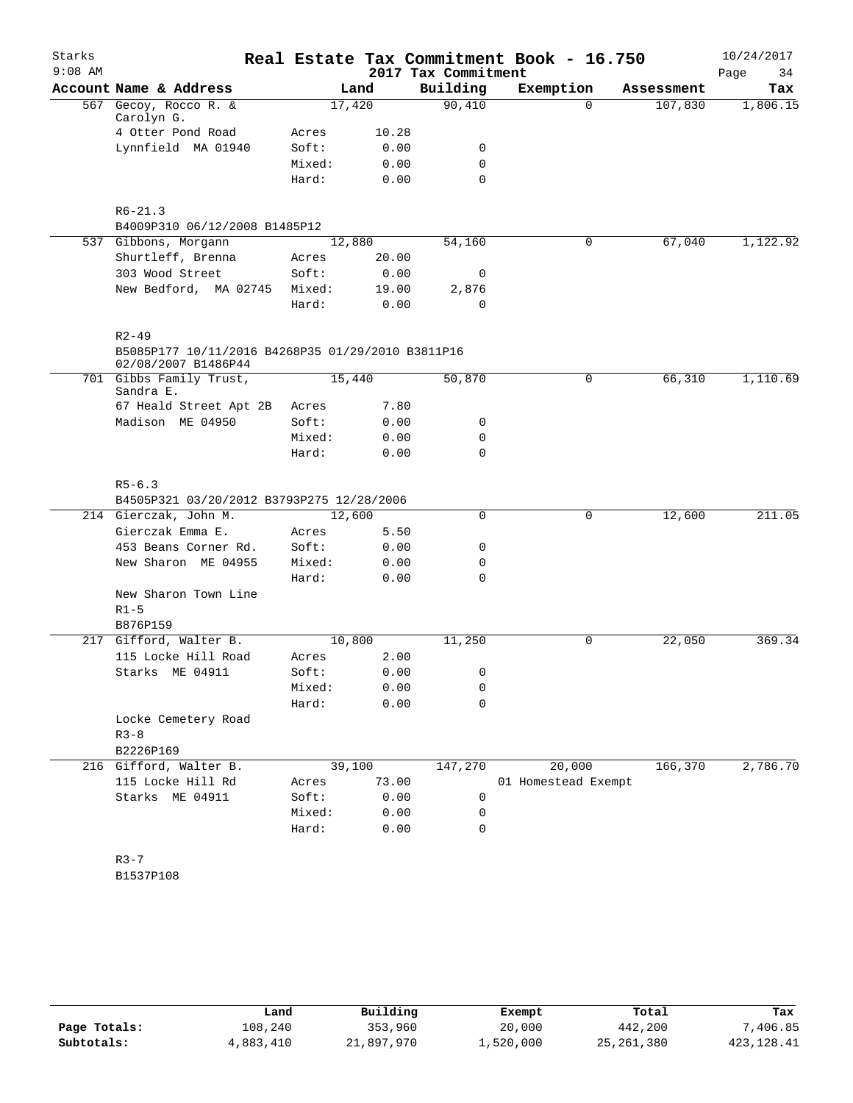| Starks    |                                                   |        |        |                     | Real Estate Tax Commitment Book - 16.750 |            | 10/24/2017 |
|-----------|---------------------------------------------------|--------|--------|---------------------|------------------------------------------|------------|------------|
| $9:08$ AM |                                                   |        |        | 2017 Tax Commitment |                                          |            | Page<br>34 |
|           | Account Name & Address                            |        | Land   | Building            | Exemption                                | Assessment | Tax        |
|           | 567 Gecoy, Rocco R. &<br>Carolyn G.               |        | 17,420 | 90,410              | $\Omega$                                 | 107,830    | 1,806.15   |
|           | 4 Otter Pond Road                                 | Acres  | 10.28  |                     |                                          |            |            |
|           | Lynnfield MA 01940                                | Soft:  | 0.00   | 0                   |                                          |            |            |
|           |                                                   | Mixed: | 0.00   | $\mathbf 0$         |                                          |            |            |
|           |                                                   | Hard:  | 0.00   | $\Omega$            |                                          |            |            |
|           | $R6 - 21.3$                                       |        |        |                     |                                          |            |            |
|           | B4009P310 06/12/2008 B1485P12                     |        |        |                     |                                          |            |            |
|           | 537 Gibbons, Morgann                              |        | 12,880 | 54,160              | 0                                        | 67,040     | 1,122.92   |
|           | Shurtleff, Brenna                                 | Acres  | 20.00  |                     |                                          |            |            |
|           | 303 Wood Street                                   | Soft:  | 0.00   | 0                   |                                          |            |            |
|           | New Bedford, MA 02745                             | Mixed: | 19.00  | 2,876               |                                          |            |            |
|           |                                                   | Hard:  | 0.00   | $\Omega$            |                                          |            |            |
|           | $R2 - 49$                                         |        |        |                     |                                          |            |            |
|           | B5085P177 10/11/2016 B4268P35 01/29/2010 B3811P16 |        |        |                     |                                          |            |            |
|           | 02/08/2007 B1486P44                               |        |        |                     |                                          |            |            |
|           | 701 Gibbs Family Trust,<br>Sandra E.              |        | 15,440 | 50,870              | 0                                        | 66,310     | 1,110.69   |
|           | 67 Heald Street Apt 2B                            | Acres  | 7.80   |                     |                                          |            |            |
|           | Madison ME 04950                                  | Soft:  | 0.00   | 0                   |                                          |            |            |
|           |                                                   | Mixed: | 0.00   | 0                   |                                          |            |            |
|           |                                                   | Hard:  | 0.00   | 0                   |                                          |            |            |
|           | $R5 - 6.3$                                        |        |        |                     |                                          |            |            |
|           | B4505P321 03/20/2012 B3793P275 12/28/2006         |        |        |                     |                                          |            |            |
|           | 214 Gierczak, John M.                             |        | 12,600 | $\mathbf 0$         | 0                                        | 12,600     | 211.05     |
|           | Gierczak Emma E.                                  | Acres  | 5.50   |                     |                                          |            |            |
|           | 453 Beans Corner Rd.                              | Soft:  | 0.00   | 0                   |                                          |            |            |
|           | New Sharon ME 04955                               | Mixed: | 0.00   | 0                   |                                          |            |            |
|           |                                                   | Hard:  | 0.00   | $\Omega$            |                                          |            |            |
|           | New Sharon Town Line                              |        |        |                     |                                          |            |            |
|           | $R1-5$                                            |        |        |                     |                                          |            |            |
|           | B876P159                                          |        |        |                     |                                          |            |            |
|           | 217 Gifford, Walter B.                            |        | 10,800 | 11,250              | 0                                        | 22,050     | 369.34     |
|           | 115 Locke Hill Road                               | Acres  | 2.00   |                     |                                          |            |            |
|           | Starks ME 04911                                   | Soft:  | 0.00   | 0                   |                                          |            |            |
|           |                                                   | Mixed: | 0.00   | 0                   |                                          |            |            |
|           |                                                   | Hard:  | 0.00   | 0                   |                                          |            |            |
|           | Locke Cemetery Road                               |        |        |                     |                                          |            |            |
|           | $R3 - 8$                                          |        |        |                     |                                          |            |            |
|           | B2226P169                                         |        |        |                     |                                          |            |            |
|           | 216 Gifford, Walter B.                            |        | 39,100 | 147,270             | 20,000                                   | 166,370    | 2,786.70   |
|           | 115 Locke Hill Rd                                 | Acres  | 73.00  |                     | 01 Homestead Exempt                      |            |            |
|           | Starks ME 04911                                   | Soft:  | 0.00   | 0                   |                                          |            |            |
|           |                                                   | Mixed: | 0.00   | 0                   |                                          |            |            |
|           |                                                   | Hard:  | 0.00   | 0                   |                                          |            |            |
|           | $R3 - 7$                                          |        |        |                     |                                          |            |            |
|           | B1537P108                                         |        |        |                     |                                          |            |            |
|           |                                                   |        |        |                     |                                          |            |            |

|              | Land      | Building   | Exempt    | Total        | Tax         |  |
|--------------|-----------|------------|-----------|--------------|-------------|--|
| Page Totals: | 108,240   | 353,960    | 20,000    | 442,200      | ,406.85     |  |
| Subtotals:   | 4,883,410 | 21,897,970 | 1,520,000 | 25, 261, 380 | 423, 128.41 |  |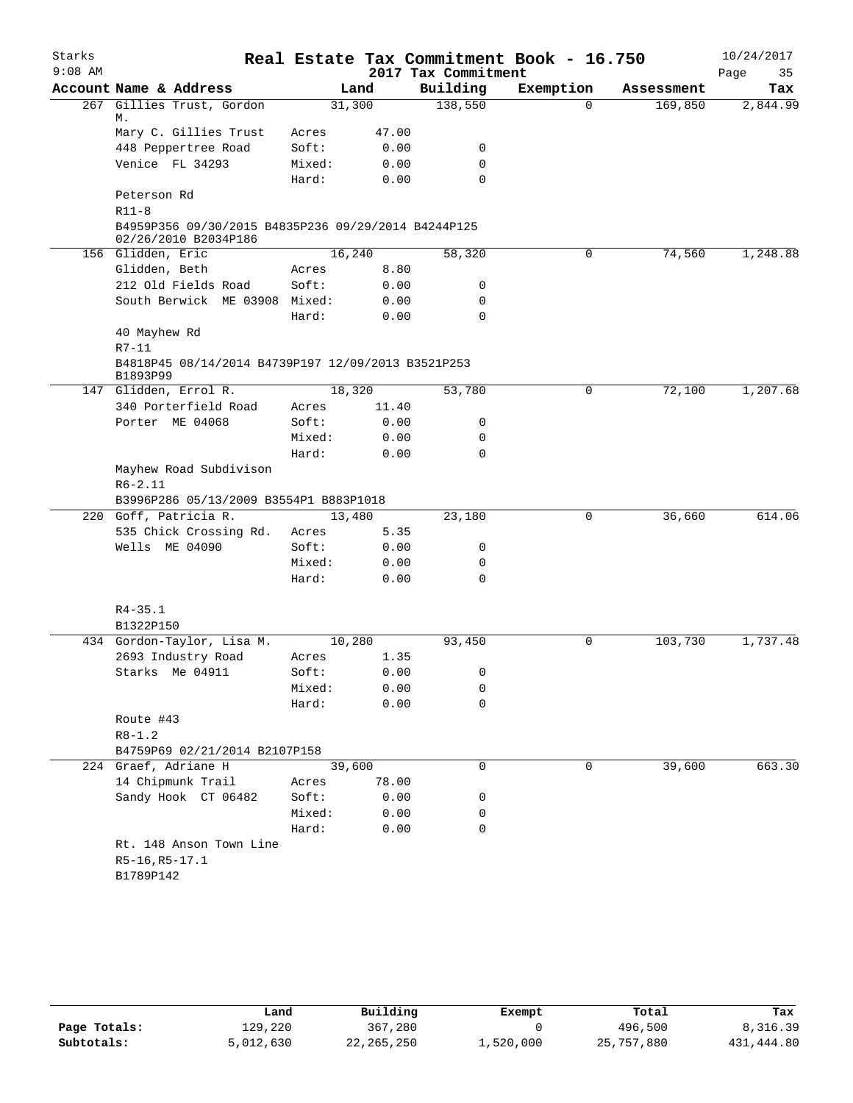| Starks<br>$9:08$ AM |                                                                             |                |               | 2017 Tax Commitment | Real Estate Tax Commitment Book - 16.750 |            | 10/24/2017<br>Page<br>35 |
|---------------------|-----------------------------------------------------------------------------|----------------|---------------|---------------------|------------------------------------------|------------|--------------------------|
|                     | Account Name & Address                                                      |                | Land          | Building            | Exemption                                | Assessment | Tax                      |
|                     | 267 Gillies Trust, Gordon                                                   | 31,300         |               | 138,550             | $\Omega$                                 | 169,850    | 2,844.99                 |
|                     | М.<br>Mary C. Gillies Trust                                                 |                |               |                     |                                          |            |                          |
|                     | 448 Peppertree Road                                                         | Acres<br>Soft: | 47.00<br>0.00 | 0                   |                                          |            |                          |
|                     | Venice FL 34293                                                             | Mixed:         | 0.00          | 0                   |                                          |            |                          |
|                     |                                                                             | Hard:          | 0.00          | $\Omega$            |                                          |            |                          |
|                     | Peterson Rd                                                                 |                |               |                     |                                          |            |                          |
|                     | $R11-8$                                                                     |                |               |                     |                                          |            |                          |
|                     | B4959P356 09/30/2015 B4835P236 09/29/2014 B4244P125<br>02/26/2010 B2034P186 |                |               |                     |                                          |            |                          |
|                     | 156 Glidden, Eric                                                           |                | 16,240        | 58,320              | 0                                        | 74,560     | 1,248.88                 |
|                     | Glidden, Beth                                                               | Acres          | 8.80          |                     |                                          |            |                          |
|                     | 212 Old Fields Road                                                         | Soft:          | 0.00          | 0                   |                                          |            |                          |
|                     | South Berwick ME 03908 Mixed:                                               |                | 0.00          | 0                   |                                          |            |                          |
|                     |                                                                             | Hard:          | 0.00          | 0                   |                                          |            |                          |
|                     | 40 Mayhew Rd                                                                |                |               |                     |                                          |            |                          |
|                     | $R7-11$<br>B4818P45 08/14/2014 B4739P197 12/09/2013 B3521P253               |                |               |                     |                                          |            |                          |
|                     | B1893P99                                                                    |                | 18,320        |                     | 0                                        | 72,100     | 1,207.68                 |
|                     | 147 Glidden, Errol R.                                                       |                |               | 53,780              |                                          |            |                          |
|                     | 340 Porterfield Road                                                        | Acres          | 11.40         |                     |                                          |            |                          |
|                     | Porter ME 04068                                                             | Soft:          | 0.00          | 0                   |                                          |            |                          |
|                     |                                                                             | Mixed:         | 0.00          | 0                   |                                          |            |                          |
|                     |                                                                             | Hard:          | 0.00          | 0                   |                                          |            |                          |
|                     | Mayhew Road Subdivison                                                      |                |               |                     |                                          |            |                          |
|                     | $R6 - 2.11$                                                                 |                |               |                     |                                          |            |                          |
|                     | B3996P286 05/13/2009 B3554P1 B883P1018<br>13,480                            |                |               |                     |                                          |            |                          |
|                     | 220 Goff, Patricia R.                                                       |                |               | 23,180              | 0                                        | 36,660     | 614.06                   |
|                     | 535 Chick Crossing Rd.                                                      | Acres          | 5.35          |                     |                                          |            |                          |
|                     | Wells ME 04090                                                              | Soft:          | 0.00          | 0                   |                                          |            |                          |
|                     |                                                                             | Mixed:         | 0.00          | 0                   |                                          |            |                          |
|                     |                                                                             | Hard:          | 0.00          | 0                   |                                          |            |                          |
|                     | $R4 - 35.1$                                                                 |                |               |                     |                                          |            |                          |
|                     | B1322P150                                                                   |                |               |                     |                                          |            |                          |
|                     | 434 Gordon-Taylor, Lisa M.                                                  |                | 10,280        | 93,450              | 0                                        | 103,730    | 1,737.48                 |
|                     | 2693 Industry Road                                                          | Acres          | 1.35          |                     |                                          |            |                          |
|                     | Starks Me 04911                                                             | Soft:          | 0.00          | 0                   |                                          |            |                          |
|                     |                                                                             | Mixed:         | 0.00          | 0                   |                                          |            |                          |
|                     |                                                                             | Hard:          | 0.00          | 0                   |                                          |            |                          |
|                     | Route #43                                                                   |                |               |                     |                                          |            |                          |
|                     | $R8 - 1.2$                                                                  |                |               |                     |                                          |            |                          |
|                     | B4759P69 02/21/2014 B2107P158                                               |                |               |                     |                                          |            |                          |
|                     | 224 Graef, Adriane H                                                        |                | 39,600        | $\mathbf 0$         | $\mathbf 0$                              | 39,600     | 663.30                   |
|                     | 14 Chipmunk Trail                                                           | Acres          | 78.00         |                     |                                          |            |                          |
|                     | Sandy Hook CT 06482                                                         | Soft:          | 0.00          | 0                   |                                          |            |                          |
|                     |                                                                             | Mixed:         | 0.00          | 0                   |                                          |            |                          |
|                     |                                                                             | Hard:          | 0.00          | 0                   |                                          |            |                          |
|                     | Rt. 148 Anson Town Line                                                     |                |               |                     |                                          |            |                          |
|                     | $R5-16, R5-17.1$                                                            |                |               |                     |                                          |            |                          |
|                     | B1789P142                                                                   |                |               |                     |                                          |            |                          |
|                     |                                                                             |                |               |                     |                                          |            |                          |

|              | Land      | Building     | Exempt    | Total      | Tax        |
|--------------|-----------|--------------|-----------|------------|------------|
| Page Totals: | 129,220   | 367,280      |           | 496,500    | 8,316.39   |
| Subtotals:   | 5,012,630 | 22, 265, 250 | 1,520,000 | 25,757,880 | 431,444.80 |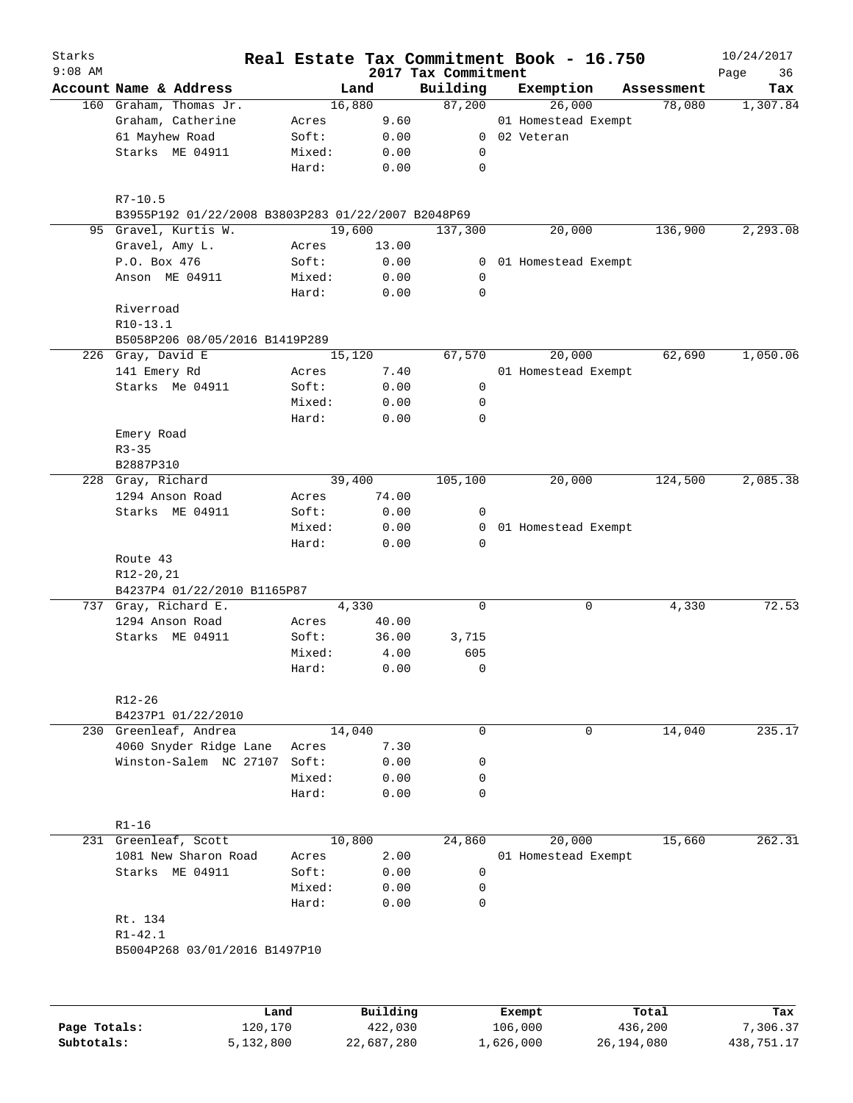| Starks<br>$9:08$ AM |                                                    |                 |                |                                 | Real Estate Tax Commitment Book - 16.750 |            | 10/24/2017        |
|---------------------|----------------------------------------------------|-----------------|----------------|---------------------------------|------------------------------------------|------------|-------------------|
|                     | Account Name & Address                             |                 | Land           | 2017 Tax Commitment<br>Building | Exemption                                | Assessment | Page<br>36<br>Tax |
|                     | 160 Graham, Thomas Jr.                             |                 | 16,880         | 87,200                          | 26,000                                   | 78,080     | 1,307.84          |
|                     | Graham, Catherine                                  | Acres           | 9.60           |                                 | 01 Homestead Exempt                      |            |                   |
|                     | 61 Mayhew Road                                     | Soft:           | 0.00           |                                 | 0 02 Veteran                             |            |                   |
|                     | Starks ME 04911                                    | Mixed:          | 0.00           | 0                               |                                          |            |                   |
|                     |                                                    | Hard:           | 0.00           | $\mathbf 0$                     |                                          |            |                   |
|                     | $R7 - 10.5$                                        |                 |                |                                 |                                          |            |                   |
|                     | B3955P192 01/22/2008 B3803P283 01/22/2007 B2048P69 |                 |                |                                 |                                          |            |                   |
|                     | 95 Gravel, Kurtis W.                               |                 | 19,600         | 137,300                         | 20,000                                   | 136,900    | 2,293.08          |
|                     | Gravel, Amy L.                                     | Acres           | 13.00          |                                 |                                          |            |                   |
|                     | P.O. Box 476                                       | Soft:           | 0.00           | 0                               | 01 Homestead Exempt                      |            |                   |
|                     | Anson ME 04911                                     | Mixed:          | 0.00           | 0                               |                                          |            |                   |
|                     |                                                    | Hard:           | 0.00           | $\mathbf 0$                     |                                          |            |                   |
|                     | Riverroad                                          |                 |                |                                 |                                          |            |                   |
|                     | $R10-13.1$                                         |                 |                |                                 |                                          |            |                   |
|                     | B5058P206 08/05/2016 B1419P289                     |                 |                |                                 |                                          |            |                   |
|                     | 226 Gray, David E                                  |                 | 15,120         | 67,570                          | 20,000                                   | 62,690     | 1,050.06          |
|                     | 141 Emery Rd                                       | Acres           | 7.40           |                                 | 01 Homestead Exempt                      |            |                   |
|                     | Starks Me 04911                                    | Soft:           | 0.00           | 0                               |                                          |            |                   |
|                     |                                                    | Mixed:          | 0.00           | 0                               |                                          |            |                   |
|                     |                                                    | Hard:           | 0.00           | $\mathbf 0$                     |                                          |            |                   |
|                     | Emery Road                                         |                 |                |                                 |                                          |            |                   |
|                     | $R3 - 35$                                          |                 |                |                                 |                                          |            |                   |
|                     | B2887P310                                          |                 |                |                                 |                                          |            |                   |
|                     | 228 Gray, Richard                                  |                 | 39,400         | 105,100                         | 20,000                                   | 124,500    | 2,085.38          |
|                     | 1294 Anson Road                                    | Acres           | 74.00          |                                 |                                          |            |                   |
|                     | Starks ME 04911                                    | Soft:           | 0.00           | 0                               |                                          |            |                   |
|                     |                                                    | Mixed:          | 0.00           | 0                               | 01 Homestead Exempt                      |            |                   |
|                     |                                                    | Hard:           | 0.00           | 0                               |                                          |            |                   |
|                     | Route 43                                           |                 |                |                                 |                                          |            |                   |
|                     | R12-20,21                                          |                 |                |                                 |                                          |            |                   |
|                     | B4237P4 01/22/2010 B1165P87                        |                 |                |                                 |                                          |            |                   |
|                     | 737 Gray, Richard E.                               |                 | 4,330<br>40.00 | 0                               | 0                                        | 4,330      | 72.53             |
|                     | 1294 Anson Road                                    | Acres           |                |                                 |                                          |            |                   |
|                     | Starks ME 04911                                    | Soft:           | 36.00          | 3,715                           |                                          |            |                   |
|                     |                                                    | Mixed:<br>Hard: | 4.00<br>0.00   | 605<br>$\mathbf 0$              |                                          |            |                   |
|                     | $R12 - 26$                                         |                 |                |                                 |                                          |            |                   |
|                     | B4237P1 01/22/2010                                 |                 |                |                                 |                                          |            |                   |
|                     |                                                    |                 |                | 0                               | 0                                        |            | 235.17            |
|                     | 230 Greenleaf, Andrea<br>4060 Snyder Ridge Lane    | Acres           | 14,040<br>7.30 |                                 |                                          | 14,040     |                   |
|                     | Winston-Salem NC 27107                             | Soft:           | 0.00           | 0                               |                                          |            |                   |
|                     |                                                    | Mixed:          | 0.00           | 0                               |                                          |            |                   |
|                     |                                                    | Hard:           | 0.00           | 0                               |                                          |            |                   |
|                     | $R1 - 16$                                          |                 |                |                                 |                                          |            |                   |
| 231                 | Greenleaf, Scott                                   |                 | 10,800         | 24,860                          | 20,000                                   | 15,660     | 262.31            |
|                     | 1081 New Sharon Road                               | Acres           | 2.00           |                                 | 01 Homestead Exempt                      |            |                   |
|                     | Starks ME 04911                                    | Soft:           | 0.00           | 0                               |                                          |            |                   |
|                     |                                                    | Mixed:          | 0.00           | 0                               |                                          |            |                   |
|                     |                                                    |                 |                | 0                               |                                          |            |                   |
|                     | Rt. 134                                            | Hard:           | 0.00           |                                 |                                          |            |                   |
|                     | $R1 - 42.1$                                        |                 |                |                                 |                                          |            |                   |
|                     | B5004P268 03/01/2016 B1497P10                      |                 |                |                                 |                                          |            |                   |
|                     |                                                    |                 |                |                                 |                                          |            |                   |
|                     |                                                    |                 |                |                                 |                                          |            |                   |
|                     |                                                    | Land            | Building       |                                 | Exempt                                   | Total      | Tax               |
| Page Totals:        | 120,170                                            |                 | 422,030        |                                 | 106,000                                  | 436,200    | 7,306.37          |

**Subtotals:** 5,132,800 22,687,280 1,626,000 26,194,080 438,751.17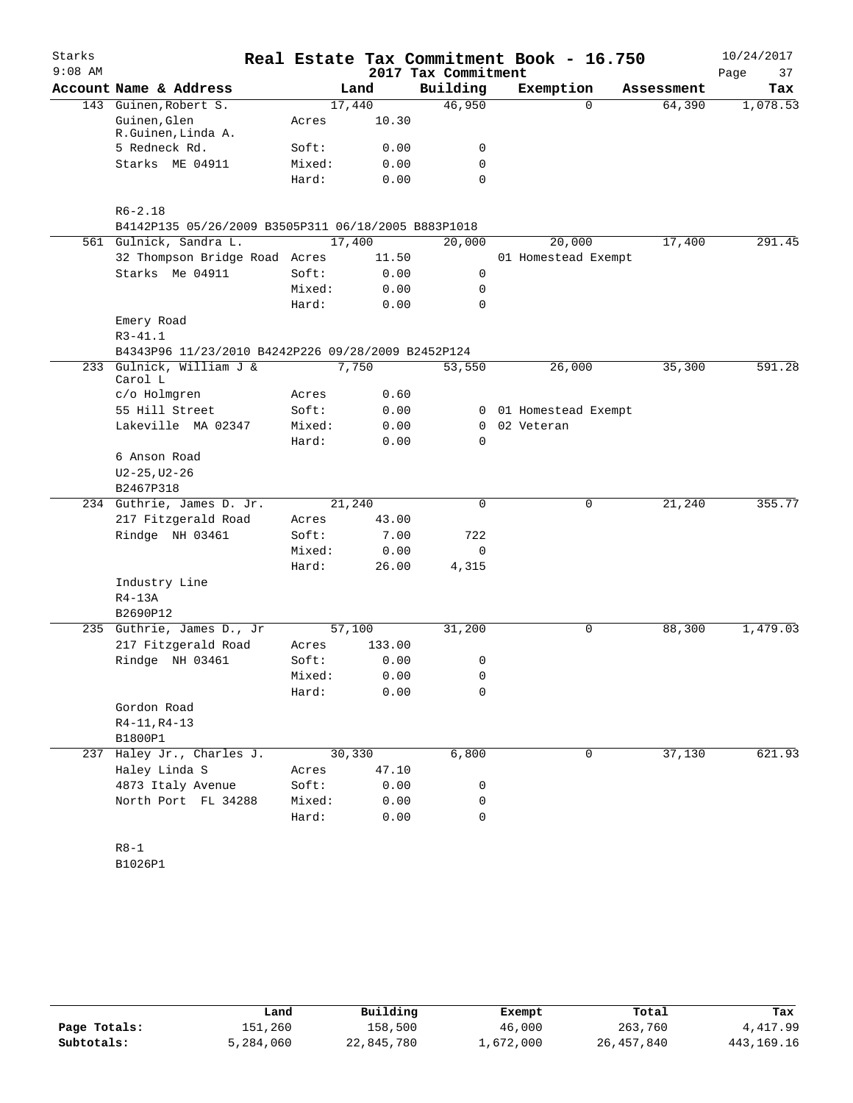| Starks    |                                                     |        |        |                     | Real Estate Tax Commitment Book - 16.750 |            | 10/24/2017 |
|-----------|-----------------------------------------------------|--------|--------|---------------------|------------------------------------------|------------|------------|
| $9:08$ AM |                                                     |        |        | 2017 Tax Commitment |                                          |            | Page<br>37 |
|           | Account Name & Address                              |        | Land   | Building            | Exemption                                | Assessment | Tax        |
|           | 143 Guinen, Robert S.                               |        | 17,440 | 46,950              | $\Omega$                                 | 64,390     | 1,078.53   |
|           | Guinen, Glen<br>R.Guinen, Linda A.                  | Acres  | 10.30  |                     |                                          |            |            |
|           | 5 Redneck Rd.                                       | Soft:  | 0.00   | 0                   |                                          |            |            |
|           | Starks ME 04911                                     | Mixed: | 0.00   | 0                   |                                          |            |            |
|           |                                                     | Hard:  | 0.00   | 0                   |                                          |            |            |
|           | $R6 - 2.18$                                         |        |        |                     |                                          |            |            |
|           | B4142P135 05/26/2009 B3505P311 06/18/2005 B883P1018 |        |        |                     |                                          |            |            |
|           | 561 Gulnick, Sandra L.                              |        | 17,400 | 20,000              | 20,000                                   | 17,400     | 291.45     |
|           | 32 Thompson Bridge Road Acres                       |        | 11.50  |                     | 01 Homestead Exempt                      |            |            |
|           | Starks Me 04911                                     | Soft:  | 0.00   | 0                   |                                          |            |            |
|           |                                                     | Mixed: | 0.00   | 0                   |                                          |            |            |
|           |                                                     | Hard:  | 0.00   | 0                   |                                          |            |            |
|           | Emery Road                                          |        |        |                     |                                          |            |            |
|           | $R3 - 41.1$                                         |        |        |                     |                                          |            |            |
|           | B4343P96 11/23/2010 B4242P226 09/28/2009 B2452P124  |        |        |                     |                                          |            |            |
|           | 233 Gulnick, William J &<br>Carol L                 |        | 7,750  | $\overline{53,550}$ | 26,000                                   | 35,300     | 591.28     |
|           | c/o Holmgren                                        | Acres  | 0.60   |                     |                                          |            |            |
|           |                                                     |        |        |                     |                                          |            |            |
|           | 55 Hill Street                                      | Soft:  | 0.00   |                     | 0 01 Homestead Exempt                    |            |            |
|           | Lakeville MA 02347                                  | Mixed: | 0.00   | $\overline{0}$      | 02 Veteran                               |            |            |
|           |                                                     | Hard:  | 0.00   | $\Omega$            |                                          |            |            |
|           | 6 Anson Road                                        |        |        |                     |                                          |            |            |
|           | $U2 - 25, U2 - 26$                                  |        |        |                     |                                          |            |            |
|           | B2467P318                                           |        |        |                     |                                          |            |            |
|           | 234 Guthrie, James D. Jr.                           |        | 21,240 | 0                   | 0                                        | 21,240     | 355.77     |
|           | 217 Fitzgerald Road                                 | Acres  | 43.00  |                     |                                          |            |            |
|           | Rindge NH 03461                                     | Soft:  | 7.00   | 722                 |                                          |            |            |
|           |                                                     | Mixed: | 0.00   | 0                   |                                          |            |            |
|           |                                                     | Hard:  | 26.00  | 4,315               |                                          |            |            |
|           | Industry Line                                       |        |        |                     |                                          |            |            |
|           | $R4-13A$                                            |        |        |                     |                                          |            |            |
|           | B2690P12                                            |        |        |                     |                                          |            |            |
|           | 235 Guthrie, James D., Jr                           |        | 57,100 | 31,200              | 0                                        | 88,300     | 1,479.03   |
|           | 217 Fitzgerald Road                                 | Acres  | 133.00 |                     |                                          |            |            |
|           | Rindge NH 03461                                     | Soft:  | 0.00   | 0                   |                                          |            |            |
|           |                                                     | Mixed: | 0.00   | 0                   |                                          |            |            |
|           |                                                     | Hard:  | 0.00   | 0                   |                                          |            |            |
|           | Gordon Road                                         |        |        |                     |                                          |            |            |
|           | $R4-11, R4-13$                                      |        |        |                     |                                          |            |            |
|           | B1800P1                                             |        |        |                     |                                          |            |            |
|           | 237 Haley Jr., Charles J.                           |        | 30,330 | 6,800               | 0                                        | 37,130     | 621.93     |
|           | Haley Linda S                                       | Acres  | 47.10  |                     |                                          |            |            |
|           | 4873 Italy Avenue                                   | Soft:  | 0.00   | 0                   |                                          |            |            |
|           |                                                     | Mixed: |        |                     |                                          |            |            |
|           | North Port FL 34288                                 |        | 0.00   | 0<br>0              |                                          |            |            |
|           |                                                     | Hard:  | 0.00   |                     |                                          |            |            |
|           |                                                     |        |        |                     |                                          |            |            |
|           | $R8-1$                                              |        |        |                     |                                          |            |            |

B1026P1

|              | Land      | Building   | Exempt    | Total      | Tax        |
|--------------|-----------|------------|-----------|------------|------------|
| Page Totals: | 151,260   | 158,500    | 46,000    | 263,760    | 4,417.99   |
| Subtotals:   | 5,284,060 | 22,845,780 | 1,672,000 | 26,457,840 | 443,169.16 |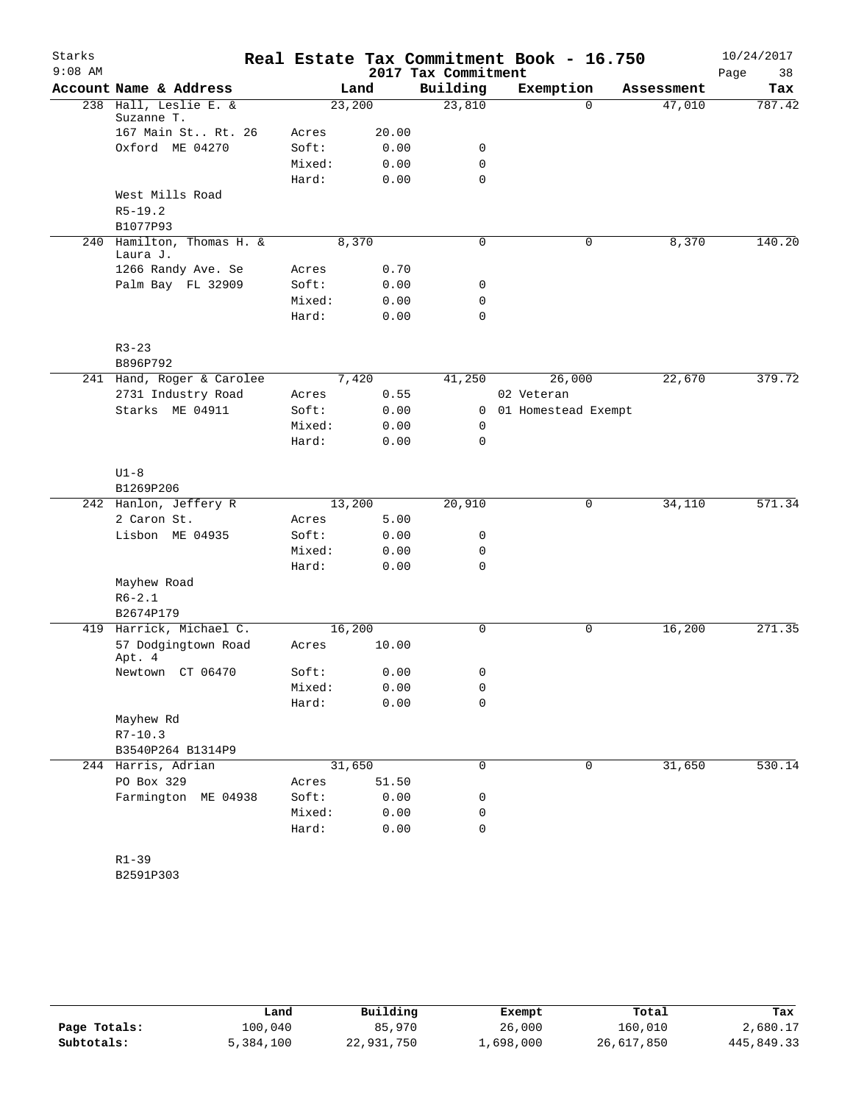| Starks<br>$9:08$ AM |                                       |        |        | 2017 Tax Commitment | Real Estate Tax Commitment Book - 16.750 |            | 10/24/2017<br>Page<br>38 |
|---------------------|---------------------------------------|--------|--------|---------------------|------------------------------------------|------------|--------------------------|
|                     | Account Name & Address                |        | Land   | Building            | Exemption                                | Assessment | Tax                      |
|                     | 238 Hall, Leslie E. &                 |        | 23,200 | 23,810              | $\Omega$                                 | 47,010     | 787.42                   |
|                     | Suzanne T.                            |        |        |                     |                                          |            |                          |
|                     | 167 Main St Rt. 26                    | Acres  | 20.00  |                     |                                          |            |                          |
|                     | Oxford ME 04270                       | Soft:  | 0.00   | 0                   |                                          |            |                          |
|                     |                                       | Mixed: | 0.00   | $\mathbf 0$         |                                          |            |                          |
|                     |                                       | Hard:  | 0.00   | $\mathbf 0$         |                                          |            |                          |
|                     | West Mills Road                       |        |        |                     |                                          |            |                          |
|                     | $R5 - 19.2$                           |        |        |                     |                                          |            |                          |
|                     | B1077P93                              |        |        |                     |                                          |            |                          |
|                     | 240 Hamilton, Thomas H. &<br>Laura J. | 8,370  |        | 0                   | 0                                        | 8,370      | 140.20                   |
|                     | 1266 Randy Ave. Se                    | Acres  | 0.70   |                     |                                          |            |                          |
|                     | Palm Bay FL 32909                     | Soft:  | 0.00   | 0                   |                                          |            |                          |
|                     |                                       | Mixed: | 0.00   | 0                   |                                          |            |                          |
|                     |                                       | Hard:  | 0.00   | $\mathbf 0$         |                                          |            |                          |
|                     | $R3 - 23$                             |        |        |                     |                                          |            |                          |
|                     | B896P792                              |        |        |                     |                                          |            |                          |
|                     | 241 Hand, Roger & Carolee             |        | 7,420  | 41,250              | 26,000                                   | 22,670     | 379.72                   |
|                     | 2731 Industry Road                    | Acres  | 0.55   |                     | 02 Veteran                               |            |                          |
|                     | Starks ME 04911                       | Soft:  | 0.00   | 0                   | 01 Homestead Exempt                      |            |                          |
|                     |                                       | Mixed: | 0.00   | 0                   |                                          |            |                          |
|                     |                                       | Hard:  | 0.00   | $\mathbf 0$         |                                          |            |                          |
|                     | $U1-8$                                |        |        |                     |                                          |            |                          |
|                     | B1269P206                             |        |        |                     |                                          |            |                          |
|                     | 242 Hanlon, Jeffery R                 |        | 13,200 | 20,910              | 0                                        | 34,110     | 571.34                   |
|                     | 2 Caron St.                           | Acres  | 5.00   |                     |                                          |            |                          |
|                     | Lisbon ME 04935                       | Soft:  | 0.00   | 0                   |                                          |            |                          |
|                     |                                       | Mixed: | 0.00   | 0                   |                                          |            |                          |
|                     |                                       | Hard:  | 0.00   | $\mathbf 0$         |                                          |            |                          |
|                     | Mayhew Road                           |        |        |                     |                                          |            |                          |
|                     | $R6 - 2.1$                            |        |        |                     |                                          |            |                          |
|                     | B2674P179                             |        |        |                     |                                          |            |                          |
|                     | 419 Harrick, Michael C.               |        | 16,200 | 0                   | 0                                        | 16,200     | 271.35                   |
|                     | 57 Dodgingtown Road<br>Apt. 4         | Acres  | 10.00  |                     |                                          |            |                          |
|                     | Newtown CT 06470                      | Soft:  | 0.00   | 0                   |                                          |            |                          |
|                     |                                       | Mixed: | 0.00   | 0                   |                                          |            |                          |
|                     |                                       | Hard:  | 0.00   | $\mathbf 0$         |                                          |            |                          |
|                     | Mayhew Rd                             |        |        |                     |                                          |            |                          |
|                     | $R7 - 10.3$                           |        |        |                     |                                          |            |                          |
|                     | B3540P264 B1314P9                     |        |        |                     |                                          |            |                          |
|                     | 244 Harris, Adrian                    |        | 31,650 | $\mathbf 0$         | $\mathbf 0$                              | 31,650     | 530.14                   |
|                     | PO Box 329                            | Acres  | 51.50  |                     |                                          |            |                          |
|                     | Farmington ME 04938                   | Soft:  | 0.00   | 0                   |                                          |            |                          |
|                     |                                       | Mixed: | 0.00   | 0                   |                                          |            |                          |
|                     |                                       | Hard:  | 0.00   | 0                   |                                          |            |                          |
|                     |                                       |        |        |                     |                                          |            |                          |
|                     | $R1 - 39$                             |        |        |                     |                                          |            |                          |
|                     | B2591P303                             |        |        |                     |                                          |            |                          |

|              | Land      | Building   | Exempt    | Total      | Tax        |
|--------------|-----------|------------|-----------|------------|------------|
| Page Totals: | 100,040   | 85,970     | 26,000    | 160,010    | 2,680.17   |
| Subtotals:   | 5,384,100 | 22,931,750 | 1,698,000 | 26,617,850 | 445,849.33 |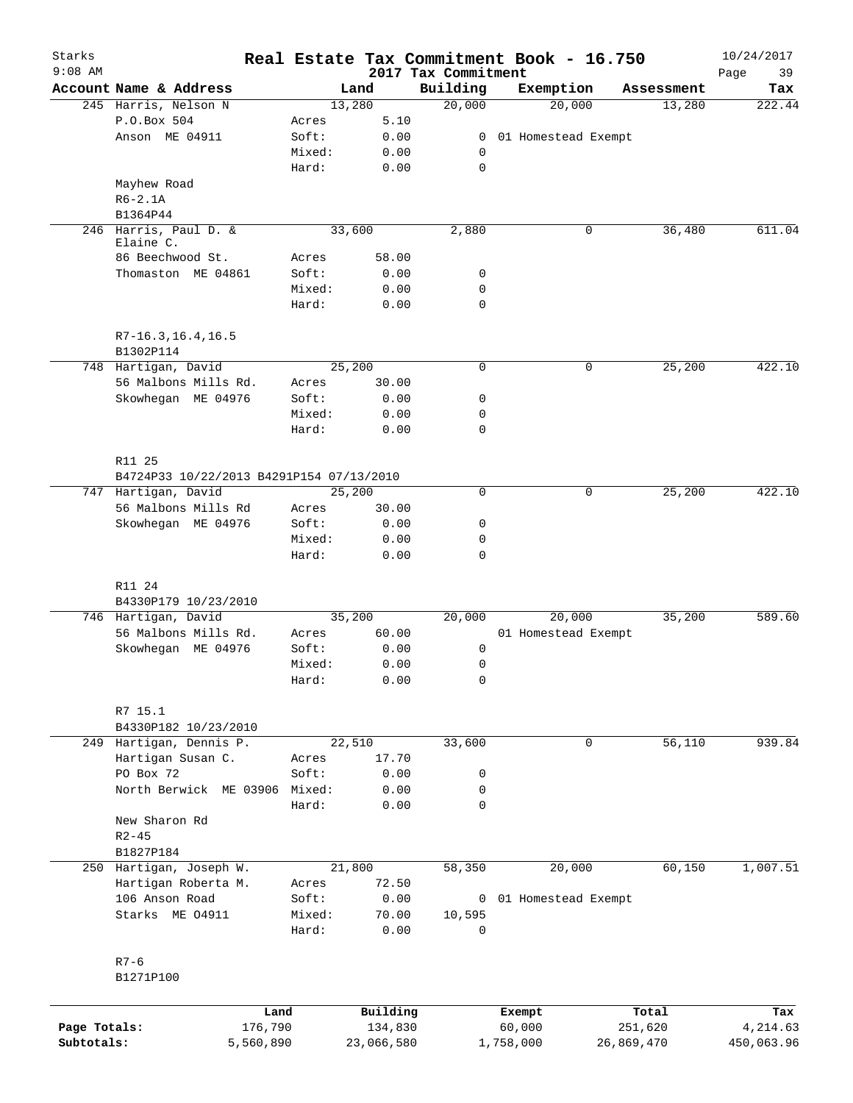| Starks<br>$9:08$ AM |                                          |        |                     | 2017 Tax Commitment | Real Estate Tax Commitment Book - 16.750 |                  | 10/24/2017<br>Page<br>39 |
|---------------------|------------------------------------------|--------|---------------------|---------------------|------------------------------------------|------------------|--------------------------|
|                     | Account Name & Address                   |        | Land                | Building            | Exemption                                | Assessment       | Tax                      |
|                     | 245 Harris, Nelson N                     |        | 13,280              | 20,000              | 20,000                                   | 13,280           | 222.44                   |
|                     | P.O.Box 504                              | Acres  | 5.10                |                     |                                          |                  |                          |
|                     | Anson ME 04911                           | Soft:  | 0.00                | 0                   | 01 Homestead Exempt                      |                  |                          |
|                     |                                          | Mixed: | 0.00                | 0                   |                                          |                  |                          |
|                     |                                          | Hard:  | 0.00                | $\mathbf 0$         |                                          |                  |                          |
|                     | Mayhew Road                              |        |                     |                     |                                          |                  |                          |
|                     | $R6-2.1A$                                |        |                     |                     |                                          |                  |                          |
|                     | B1364P44                                 |        |                     |                     |                                          |                  |                          |
|                     | 246 Harris, Paul D. &                    |        | 33,600              | 2,880               | 0                                        | 36,480           | 611.04                   |
|                     | Elaine C.                                |        |                     |                     |                                          |                  |                          |
|                     | 86 Beechwood St.                         | Acres  | 58.00               |                     |                                          |                  |                          |
|                     | Thomaston ME 04861                       | Soft:  | 0.00                | 0                   |                                          |                  |                          |
|                     |                                          | Mixed: | 0.00                | 0                   |                                          |                  |                          |
|                     |                                          | Hard:  | 0.00                | $\mathbf 0$         |                                          |                  |                          |
|                     | $R7-16.3, 16.4, 16.5$<br>B1302P114       |        |                     |                     |                                          |                  |                          |
|                     | 748 Hartigan, David                      |        | 25,200              | 0                   | 0                                        | 25,200           | 422.10                   |
|                     | 56 Malbons Mills Rd.                     | Acres  | 30.00               |                     |                                          |                  |                          |
|                     | Skowhegan ME 04976                       | Soft:  | 0.00                | 0                   |                                          |                  |                          |
|                     |                                          | Mixed: | 0.00                | 0                   |                                          |                  |                          |
|                     |                                          | Hard:  | 0.00                | $\mathbf 0$         |                                          |                  |                          |
|                     | R11 25                                   |        |                     |                     |                                          |                  |                          |
|                     | B4724P33 10/22/2013 B4291P154 07/13/2010 |        |                     |                     |                                          |                  |                          |
|                     | 747 Hartigan, David                      |        | 25,200              | $\Omega$            | 0                                        | 25, 200          | 422.10                   |
|                     | 56 Malbons Mills Rd                      | Acres  | 30.00               |                     |                                          |                  |                          |
|                     | Skowhegan ME 04976                       | Soft:  | 0.00                | 0                   |                                          |                  |                          |
|                     |                                          | Mixed: | 0.00                | 0                   |                                          |                  |                          |
|                     |                                          | Hard:  | 0.00                | 0                   |                                          |                  |                          |
|                     | R11 24                                   |        |                     |                     |                                          |                  |                          |
|                     | B4330P179 10/23/2010                     |        |                     |                     |                                          |                  |                          |
|                     | 746 Hartigan, David                      |        | 35,200              | 20,000              | 20,000                                   | 35,200           | 589.60                   |
|                     | 56 Malbons Mills Rd.                     | Acres  | 60.00               |                     | 01 Homestead Exempt                      |                  |                          |
|                     | Skowhegan ME 04976                       | Soft:  | 0.00                | 0                   |                                          |                  |                          |
|                     |                                          | Mixed: | 0.00                | 0                   |                                          |                  |                          |
|                     |                                          | Hard:  | 0.00                | 0                   |                                          |                  |                          |
|                     | R7 15.1                                  |        |                     |                     |                                          |                  |                          |
|                     | B4330P182 10/23/2010                     |        |                     |                     |                                          |                  |                          |
|                     | 249 Hartigan, Dennis P.                  |        | 22,510              | 33,600              | 0                                        | 56,110           | 939.84                   |
|                     | Hartigan Susan C.                        | Acres  | 17.70               |                     |                                          |                  |                          |
|                     | PO Box 72                                | Soft:  | 0.00                | 0                   |                                          |                  |                          |
|                     | North Berwick ME 03906                   | Mixed: | 0.00                | 0                   |                                          |                  |                          |
|                     |                                          | Hard:  | 0.00                | $\mathbf 0$         |                                          |                  |                          |
|                     | New Sharon Rd                            |        |                     |                     |                                          |                  |                          |
|                     | $R2 - 45$                                |        |                     |                     |                                          |                  |                          |
|                     | B1827P184                                |        |                     |                     |                                          |                  |                          |
|                     | 250 Hartigan, Joseph W.                  |        | 21,800              | 58,350              | 20,000                                   | 60,150           | 1,007.51                 |
|                     | Hartigan Roberta M.                      | Acres  | 72.50               |                     |                                          |                  |                          |
|                     | 106 Anson Road                           | Soft:  | 0.00                | 0                   | 01 Homestead Exempt                      |                  |                          |
|                     | Starks ME 04911                          | Mixed: | 70.00               | 10,595              |                                          |                  |                          |
|                     |                                          | Hard:  | 0.00                | $\mathbf 0$         |                                          |                  |                          |
|                     | $R7 - 6$                                 |        |                     |                     |                                          |                  |                          |
|                     | B1271P100                                |        |                     |                     |                                          |                  |                          |
|                     |                                          |        |                     |                     |                                          |                  |                          |
| Page Totals:        | Land<br>176,790                          |        | Building<br>134,830 |                     | Exempt<br>60,000                         | Total<br>251,620 | Tax<br>4,214.63          |
| Subtotals:          | 5,560,890                                |        | 23,066,580          |                     | 1,758,000                                | 26,869,470       | 450,063.96               |
|                     |                                          |        |                     |                     |                                          |                  |                          |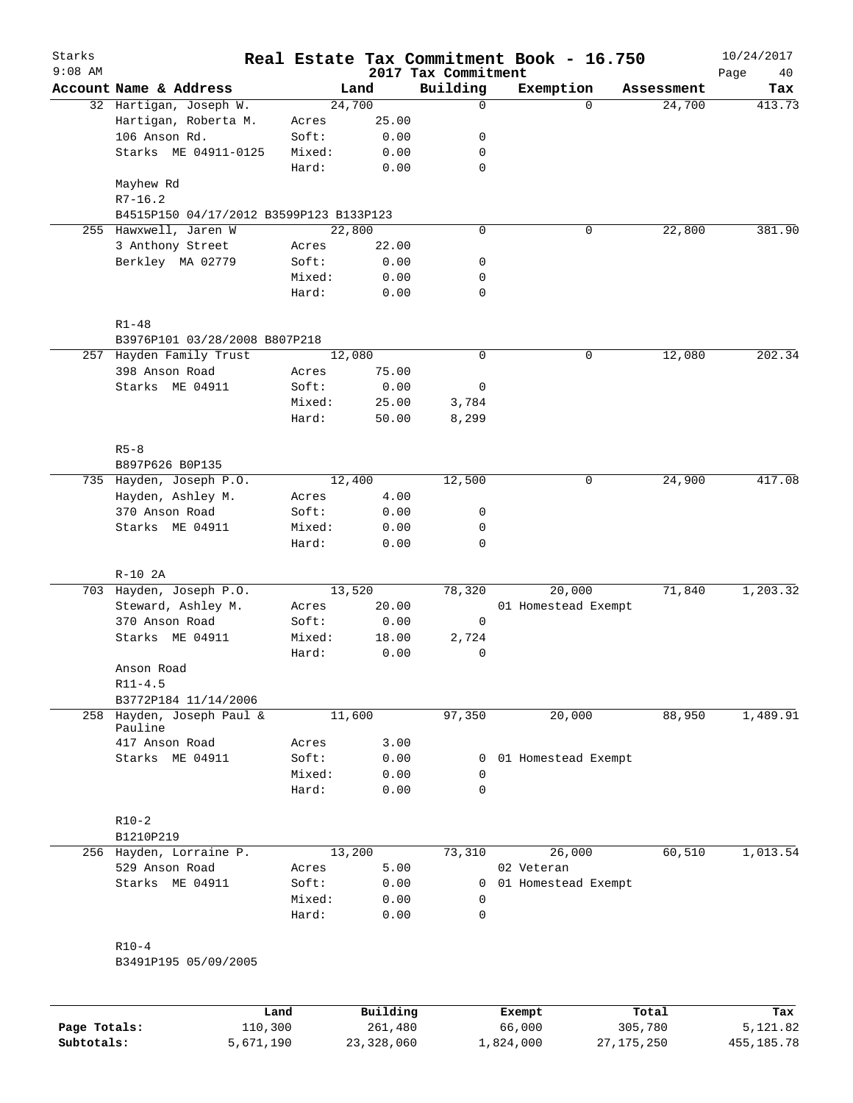| Starks    |                                                  |        |                |                     | Real Estate Tax Commitment Book - 16.750 |                      | 10/24/2017    |
|-----------|--------------------------------------------------|--------|----------------|---------------------|------------------------------------------|----------------------|---------------|
| $9:08$ AM |                                                  |        |                | 2017 Tax Commitment |                                          |                      | Page<br>40    |
|           | Account Name & Address<br>32 Hartigan, Joseph W. |        | Land<br>24,700 | Building<br>0       | Exemption<br>$\Omega$                    | Assessment<br>24,700 | Tax<br>413.73 |
|           | Hartigan, Roberta M.                             | Acres  | 25.00          |                     |                                          |                      |               |
|           | 106 Anson Rd.                                    | Soft:  | 0.00           | 0                   |                                          |                      |               |
|           | Starks ME 04911-0125                             | Mixed: | 0.00           | 0                   |                                          |                      |               |
|           |                                                  | Hard:  | 0.00           | $\mathbf 0$         |                                          |                      |               |
|           | Mayhew Rd                                        |        |                |                     |                                          |                      |               |
|           | $R7 - 16.2$                                      |        |                |                     |                                          |                      |               |
|           | B4515P150 04/17/2012 B3599P123 B133P123          |        |                |                     |                                          |                      |               |
|           | 255 Hawxwell, Jaren W                            |        | 22,800         | $\mathbf 0$         | 0                                        | 22,800               | 381.90        |
|           | 3 Anthony Street                                 | Acres  | 22.00          |                     |                                          |                      |               |
|           | Berkley MA 02779                                 | Soft:  | 0.00           | 0                   |                                          |                      |               |
|           |                                                  | Mixed: | 0.00           | 0                   |                                          |                      |               |
|           |                                                  | Hard:  | 0.00           | $\mathbf 0$         |                                          |                      |               |
|           |                                                  |        |                |                     |                                          |                      |               |
|           | $R1 - 48$<br>B3976P101 03/28/2008 B807P218       |        |                |                     |                                          |                      |               |
|           | 257 Hayden Family Trust                          |        | 12,080         | $\mathbf 0$         | 0                                        | 12,080               | 202.34        |
|           | 398 Anson Road                                   | Acres  | 75.00          |                     |                                          |                      |               |
|           | Starks ME 04911                                  | Soft:  | 0.00           | 0                   |                                          |                      |               |
|           |                                                  | Mixed: | 25.00          | 3,784               |                                          |                      |               |
|           |                                                  | Hard:  | 50.00          | 8,299               |                                          |                      |               |
|           | $R5 - 8$                                         |        |                |                     |                                          |                      |               |
|           | B897P626 B0P135                                  |        |                |                     |                                          |                      |               |
|           | 735 Hayden, Joseph P.O.                          |        | 12,400         | 12,500              | 0                                        | 24,900               | 417.08        |
|           | Hayden, Ashley M.                                | Acres  | 4.00           |                     |                                          |                      |               |
|           | 370 Anson Road                                   | Soft:  | 0.00           | 0                   |                                          |                      |               |
|           | Starks ME 04911                                  | Mixed: | 0.00           | 0                   |                                          |                      |               |
|           |                                                  | Hard:  | 0.00           | $\mathbf 0$         |                                          |                      |               |
|           | $R-10$ 2A                                        |        |                |                     |                                          |                      |               |
|           | 703 Hayden, Joseph P.O.                          |        | 13,520         | 78,320              | 20,000                                   | 71,840               | 1,203.32      |
|           | Steward, Ashley M.                               | Acres  | 20.00          |                     | 01 Homestead Exempt                      |                      |               |
|           | 370 Anson Road                                   | Soft:  | 0.00           | 0                   |                                          |                      |               |
|           | Starks ME 04911                                  | Mixed: | 18.00          | 2,724               |                                          |                      |               |
|           |                                                  | Hard:  | 0.00           | 0                   |                                          |                      |               |
|           | Anson Road                                       |        |                |                     |                                          |                      |               |
|           | $R11 - 4.5$                                      |        |                |                     |                                          |                      |               |
|           | B3772P184 11/14/2006                             |        |                |                     |                                          |                      |               |
| 258       | Hayden, Joseph Paul &<br>Pauline                 |        | 11,600         | 97,350              | 20,000                                   | 88,950               | 1,489.91      |
|           | 417 Anson Road                                   | Acres  | 3.00           |                     |                                          |                      |               |
|           | Starks ME 04911                                  | Soft:  | 0.00           | $\mathbf{0}$        | 01 Homestead Exempt                      |                      |               |
|           |                                                  | Mixed: | 0.00           | $\mathbf 0$         |                                          |                      |               |
|           |                                                  | Hard:  | 0.00           | $\mathbf 0$         |                                          |                      |               |
|           | $R10-2$                                          |        |                |                     |                                          |                      |               |
|           | B1210P219                                        |        |                |                     |                                          |                      |               |
|           | 256 Hayden, Lorraine P.                          |        | 13,200         | 73,310              | 26,000                                   | 60,510               | 1,013.54      |
|           | 529 Anson Road                                   | Acres  | 5.00           |                     | 02 Veteran                               |                      |               |
|           | Starks ME 04911                                  | Soft:  | 0.00           | $\overline{0}$      | 01 Homestead Exempt                      |                      |               |
|           |                                                  | Mixed: | 0.00           | 0                   |                                          |                      |               |
|           |                                                  | Hard:  | 0.00           | 0                   |                                          |                      |               |
|           | $R10-4$                                          |        |                |                     |                                          |                      |               |
|           | B3491P195 05/09/2005                             |        |                |                     |                                          |                      |               |
|           |                                                  |        |                |                     |                                          |                      |               |
|           |                                                  | Land   | Building       |                     | Exempt                                   | Total                | Tax           |

|              | Land      | Building   | Exempt    | Total        | Tax        |
|--------------|-----------|------------|-----------|--------------|------------|
| Page Totals: | 110,300   | 261,480    | 66,000    | 305,780      | 5,121.82   |
| Subtotals:   | 5,671,190 | 23,328,060 | 1,824,000 | 27, 175, 250 | 455,185.78 |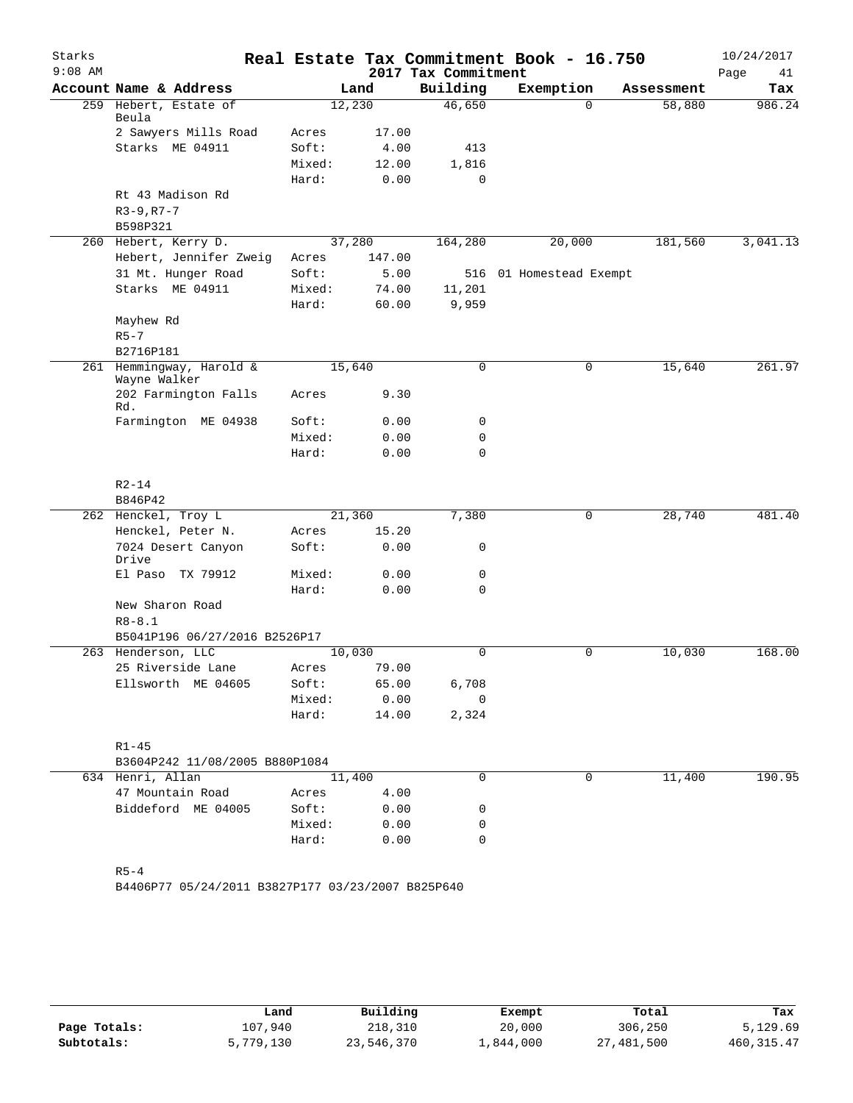| Starks<br>$9:08$ AM |                                                    |        |        | 2017 Tax Commitment | Real Estate Tax Commitment Book - 16.750 |          |            | 10/24/2017<br>Page<br>41 |
|---------------------|----------------------------------------------------|--------|--------|---------------------|------------------------------------------|----------|------------|--------------------------|
|                     | Account Name & Address                             |        | Land   | Building            | Exemption                                |          | Assessment | Tax                      |
|                     | 259 Hebert, Estate of<br>Beula                     | 12,230 |        | 46,650              |                                          | $\Omega$ | 58,880     | 986.24                   |
|                     | 2 Sawyers Mills Road                               | Acres  | 17.00  |                     |                                          |          |            |                          |
|                     | Starks ME 04911                                    | Soft:  | 4.00   | 413                 |                                          |          |            |                          |
|                     |                                                    | Mixed: | 12.00  | 1,816               |                                          |          |            |                          |
|                     |                                                    | Hard:  | 0.00   | $\Omega$            |                                          |          |            |                          |
|                     | Rt 43 Madison Rd                                   |        |        |                     |                                          |          |            |                          |
|                     | $R3 - 9$ , $R7 - 7$                                |        |        |                     |                                          |          |            |                          |
|                     | B598P321                                           |        |        |                     |                                          |          |            |                          |
|                     | 260 Hebert, Kerry D.                               | 37,280 |        | 164,280             | 20,000                                   |          | 181,560    | 3,041.13                 |
|                     | Hebert, Jennifer Zweig                             | Acres  | 147.00 |                     |                                          |          |            |                          |
|                     | 31 Mt. Hunger Road                                 | Soft:  | 5.00   | 516                 | 01 Homestead Exempt                      |          |            |                          |
|                     | Starks ME 04911                                    | Mixed: | 74.00  | 11,201              |                                          |          |            |                          |
|                     |                                                    | Hard:  | 60.00  | 9,959               |                                          |          |            |                          |
|                     | Mayhew Rd                                          |        |        |                     |                                          |          |            |                          |
|                     | $R5 - 7$                                           |        |        |                     |                                          |          |            |                          |
|                     | B2716P181                                          |        |        |                     |                                          |          |            |                          |
|                     | 261 Hemmingway, Harold &                           | 15,640 |        | 0                   |                                          | 0        | 15,640     | 261.97                   |
|                     | Wayne Walker                                       |        |        |                     |                                          |          |            |                          |
|                     | 202 Farmington Falls<br>Rd.                        | Acres  | 9.30   |                     |                                          |          |            |                          |
|                     | Farmington ME 04938                                | Soft:  | 0.00   | 0                   |                                          |          |            |                          |
|                     |                                                    | Mixed: | 0.00   | 0                   |                                          |          |            |                          |
|                     |                                                    | Hard:  | 0.00   | 0                   |                                          |          |            |                          |
|                     |                                                    |        |        |                     |                                          |          |            |                          |
|                     | $R2 - 14$                                          |        |        |                     |                                          |          |            |                          |
|                     | B846P42                                            |        |        |                     |                                          |          |            |                          |
|                     | 262 Henckel, Troy L                                | 21,360 |        | 7,380               |                                          | 0        | 28,740     | 481.40                   |
|                     | Henckel, Peter N.                                  | Acres  | 15.20  |                     |                                          |          |            |                          |
|                     | 7024 Desert Canyon                                 | Soft:  | 0.00   | 0                   |                                          |          |            |                          |
|                     | Drive                                              |        |        |                     |                                          |          |            |                          |
|                     | El Paso TX 79912                                   | Mixed: | 0.00   | 0                   |                                          |          |            |                          |
|                     |                                                    | Hard:  | 0.00   | 0                   |                                          |          |            |                          |
|                     | New Sharon Road                                    |        |        |                     |                                          |          |            |                          |
|                     | $R8 - 8.1$                                         |        |        |                     |                                          |          |            |                          |
|                     | B5041P196 06/27/2016 B2526P17                      |        |        |                     |                                          |          |            |                          |
|                     | 263 Henderson, LLC                                 | 10,030 |        | 0                   |                                          | 0        | 10,030     | 168.00                   |
|                     | 25 Riverside Lane                                  | Acres  | 79.00  |                     |                                          |          |            |                          |
|                     | Ellsworth ME 04605                                 | Soft:  | 65.00  | 6,708               |                                          |          |            |                          |
|                     |                                                    | Mixed: | 0.00   | 0                   |                                          |          |            |                          |
|                     |                                                    | Hard:  | 14.00  | 2,324               |                                          |          |            |                          |
|                     |                                                    |        |        |                     |                                          |          |            |                          |
|                     | $R1 - 45$                                          |        |        |                     |                                          |          |            |                          |
|                     | B3604P242 11/08/2005 B880P1084<br>634 Henri, Allan | 11,400 |        | 0                   |                                          | 0        | 11,400     | 190.95                   |
|                     | 47 Mountain Road                                   |        | 4.00   |                     |                                          |          |            |                          |
|                     |                                                    | Acres  |        | 0                   |                                          |          |            |                          |
|                     | Biddeford ME 04005                                 | Soft:  | 0.00   |                     |                                          |          |            |                          |
|                     |                                                    | Mixed: | 0.00   | 0<br>0              |                                          |          |            |                          |
|                     |                                                    | Hard:  | 0.00   |                     |                                          |          |            |                          |
|                     |                                                    |        |        |                     |                                          |          |            |                          |
|                     | $R5 - 4$                                           |        |        |                     |                                          |          |            |                          |
|                     | B4406P77 05/24/2011 B3827P177 03/23/2007 B825P640  |        |        |                     |                                          |          |            |                          |
|                     |                                                    |        |        |                     |                                          |          |            |                          |
|                     |                                                    |        |        |                     |                                          |          |            |                          |

|              | Land      | Building   | Exempt    | Total      | Tax         |
|--------------|-----------|------------|-----------|------------|-------------|
| Page Totals: | 107,940   | 218,310    | 20,000    | 306,250    | 5,129.69    |
| Subtotals:   | 5,779,130 | 23,546,370 | 1,844,000 | 27,481,500 | 460, 315.47 |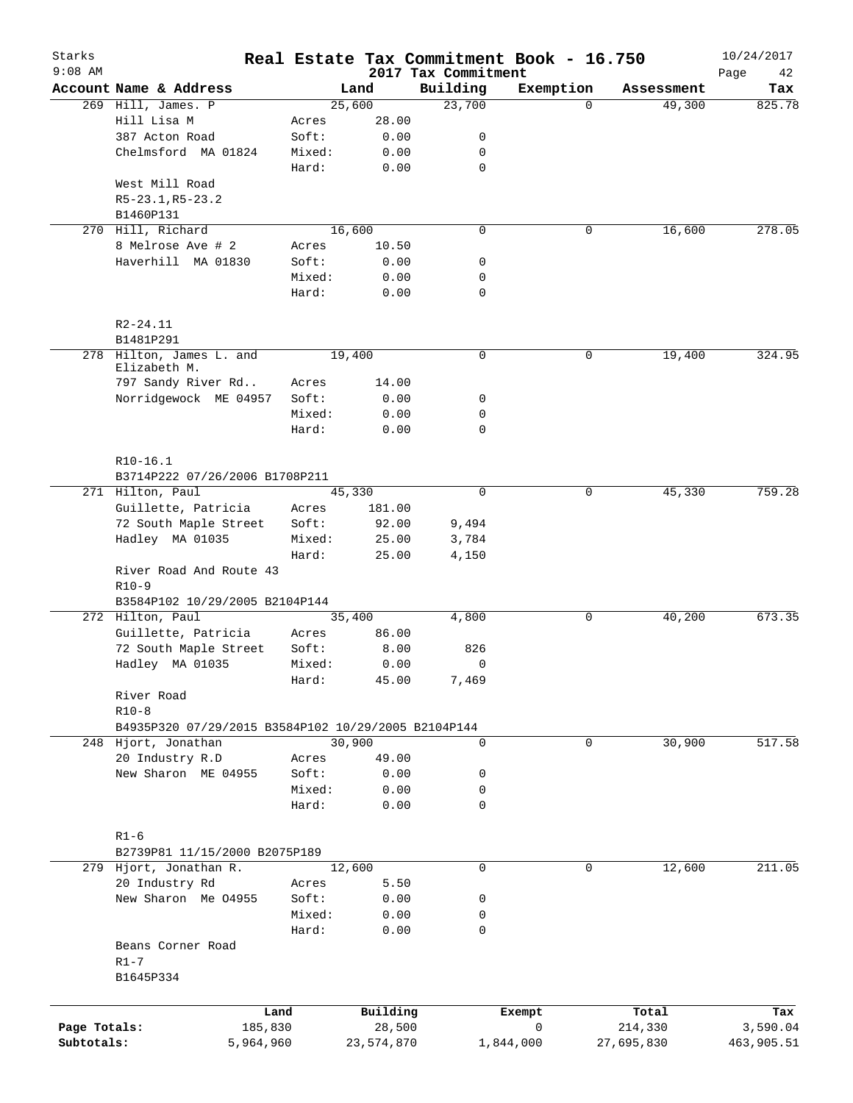| Starks       |                                                     |                |                    |                                 | Real Estate Tax Commitment Book - 16.750 |                      | 10/24/2017      |  |
|--------------|-----------------------------------------------------|----------------|--------------------|---------------------------------|------------------------------------------|----------------------|-----------------|--|
| $9:08$ AM    | Account Name & Address                              |                | Land               | 2017 Tax Commitment<br>Building |                                          |                      | Page<br>42      |  |
|              | 269 Hill, James. P                                  |                | 25,600             | 23,700                          | Exemption<br>$\Omega$                    | Assessment<br>49,300 | Tax<br>825.78   |  |
|              | Hill Lisa M                                         | Acres          | 28.00              |                                 |                                          |                      |                 |  |
|              | 387 Acton Road                                      | Soft:          | 0.00               | 0                               |                                          |                      |                 |  |
|              | Chelmsford MA 01824                                 | Mixed:         | 0.00               | 0                               |                                          |                      |                 |  |
|              |                                                     | Hard:          | 0.00               | $\mathbf 0$                     |                                          |                      |                 |  |
|              | West Mill Road                                      |                |                    |                                 |                                          |                      |                 |  |
|              | R5-23.1, R5-23.2                                    |                |                    |                                 |                                          |                      |                 |  |
|              | B1460P131                                           |                |                    |                                 |                                          |                      |                 |  |
|              | 270 Hill, Richard                                   |                | 16,600             | $\mathbf 0$                     | 0                                        | 16,600               | 278.05          |  |
|              | 8 Melrose Ave # 2                                   | Acres          | 10.50              |                                 |                                          |                      |                 |  |
|              | Haverhill MA 01830                                  | Soft:          | 0.00               | 0                               |                                          |                      |                 |  |
|              |                                                     | Mixed:         | 0.00               | 0                               |                                          |                      |                 |  |
|              |                                                     | Hard:          | 0.00               | $\mathbf 0$                     |                                          |                      |                 |  |
|              | $R2 - 24.11$                                        |                |                    |                                 |                                          |                      |                 |  |
|              | B1481P291                                           |                |                    |                                 |                                          |                      |                 |  |
| 278          | Hilton, James L. and<br>Elizabeth M.                |                | 19,400             | $\mathbf 0$                     | 0                                        | 19,400               | 324.95          |  |
|              | 797 Sandy River Rd                                  | Acres          | 14.00              |                                 |                                          |                      |                 |  |
|              | Norridgewock ME 04957                               | Soft:          | 0.00               | 0                               |                                          |                      |                 |  |
|              |                                                     | Mixed:         | 0.00               | $\mathbf 0$                     |                                          |                      |                 |  |
|              |                                                     | Hard:          | 0.00               | $\mathbf 0$                     |                                          |                      |                 |  |
|              | R10-16.1                                            |                |                    |                                 |                                          |                      |                 |  |
|              | B3714P222 07/26/2006 B1708P211                      |                |                    |                                 |                                          |                      |                 |  |
|              | 271 Hilton, Paul                                    |                | 45,330             | $\mathbf 0$                     | 0                                        | 45,330               | 759.28          |  |
|              | Guillette, Patricia                                 | Acres          | 181.00             |                                 |                                          |                      |                 |  |
|              | 72 South Maple Street                               | Soft:          | 92.00              | 9,494                           |                                          |                      |                 |  |
|              | Hadley MA 01035                                     | Mixed:         | 25.00              | 3,784                           |                                          |                      |                 |  |
|              | River Road And Route 43<br>$R10-9$                  | Hard:          | 25.00              | 4,150                           |                                          |                      |                 |  |
|              | B3584P102 10/29/2005 B2104P144                      |                |                    |                                 |                                          |                      |                 |  |
|              | 272 Hilton, Paul                                    |                | 35,400             | 4,800                           | 0                                        | 40,200               | 673.35          |  |
|              | Guillette, Patricia                                 | Acres          | 86.00              |                                 |                                          |                      |                 |  |
|              | 72 South Maple Street                               | Soft:          | 8.00               | 826                             |                                          |                      |                 |  |
|              | Hadley MA 01035                                     | Mixed:         | 0.00               | 0                               |                                          |                      |                 |  |
|              |                                                     | Hard:          | 45.00              | 7,469                           |                                          |                      |                 |  |
|              | River Road                                          |                |                    |                                 |                                          |                      |                 |  |
|              | $R10-8$                                             |                |                    |                                 |                                          |                      |                 |  |
|              | B4935P320 07/29/2015 B3584P102 10/29/2005 B2104P144 |                |                    | $\Omega$                        | $\Omega$                                 |                      |                 |  |
|              | 248 Hjort, Jonathan<br>20 Industry R.D              |                | 30,900<br>49.00    |                                 |                                          | 30,900               | 517.58          |  |
|              | New Sharon ME 04955                                 | Acres<br>Soft: | 0.00               | 0                               |                                          |                      |                 |  |
|              |                                                     | Mixed:         | 0.00               | 0                               |                                          |                      |                 |  |
|              |                                                     | Hard:          | 0.00               | $\mathbf 0$                     |                                          |                      |                 |  |
|              | $R1 - 6$                                            |                |                    |                                 |                                          |                      |                 |  |
|              | B2739P81 11/15/2000 B2075P189                       |                |                    |                                 |                                          |                      |                 |  |
|              | 279 Hjort, Jonathan R.                              |                | 12,600             | $\mathbf 0$                     | 0                                        | 12,600               | 211.05          |  |
|              | 20 Industry Rd                                      | Acres          | 5.50               |                                 |                                          |                      |                 |  |
|              | New Sharon Me 04955                                 | Soft:          | 0.00               | 0                               |                                          |                      |                 |  |
|              |                                                     | Mixed:         | 0.00               | 0                               |                                          |                      |                 |  |
|              |                                                     | Hard:          | 0.00               | $\mathbf 0$                     |                                          |                      |                 |  |
|              | Beans Corner Road<br>$R1-7$<br>B1645P334            |                |                    |                                 |                                          |                      |                 |  |
|              |                                                     |                |                    |                                 |                                          |                      |                 |  |
| Page Totals: | Land<br>185,830                                     |                | Building<br>28,500 |                                 | Exempt<br>0                              | Total<br>214,330     | Tax<br>3,590.04 |  |
| Subtotals:   | 5,964,960                                           |                | 23,574,870         |                                 | 1,844,000                                | 27,695,830           | 463,905.51      |  |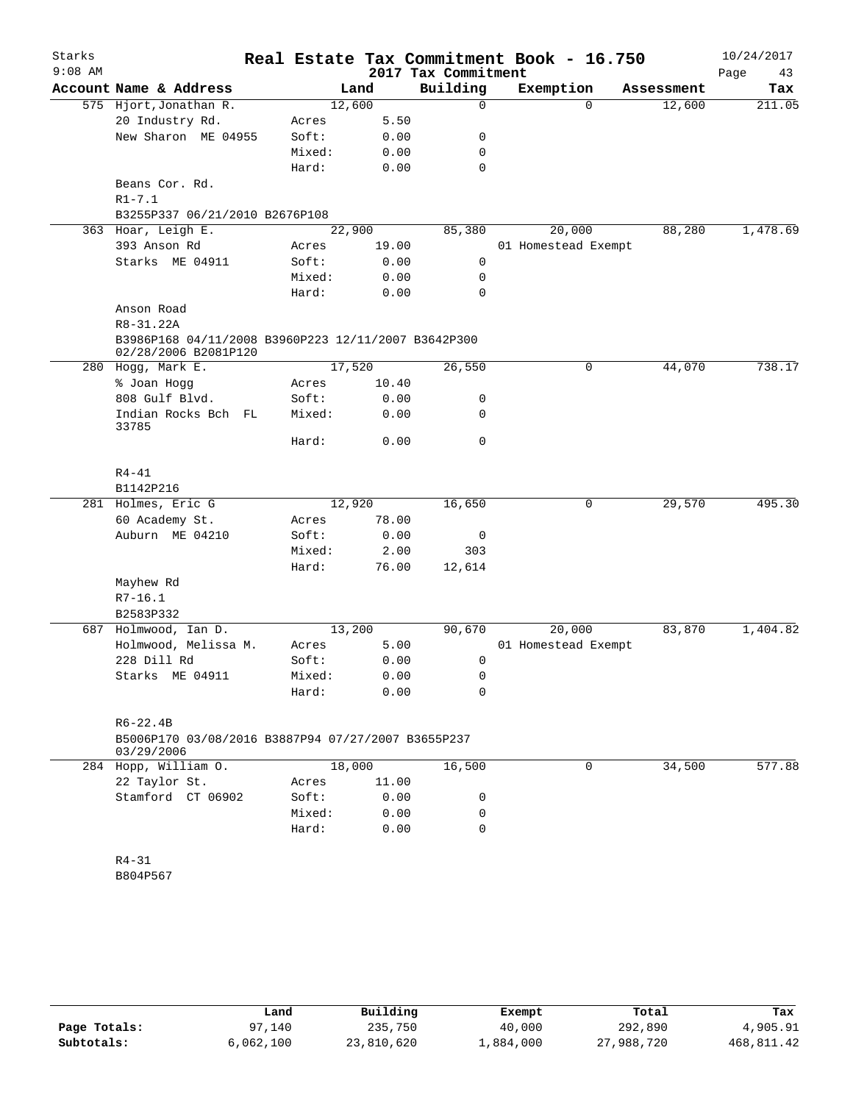| Starks<br>$9:08$ AM |                                                                             |        |        | 2017 Tax Commitment | Real Estate Tax Commitment Book - 16.750 |            | 10/24/2017<br>Page<br>43 |
|---------------------|-----------------------------------------------------------------------------|--------|--------|---------------------|------------------------------------------|------------|--------------------------|
|                     | Account Name & Address                                                      |        | Land   | Building            | Exemption                                | Assessment | Tax                      |
|                     | 575 Hjort, Jonathan R.                                                      | 12,600 |        | 0                   | $\Omega$                                 | 12,600     | 211.05                   |
|                     | 20 Industry Rd.                                                             | Acres  | 5.50   |                     |                                          |            |                          |
|                     | New Sharon ME 04955                                                         | Soft:  | 0.00   | 0                   |                                          |            |                          |
|                     |                                                                             | Mixed: | 0.00   | 0                   |                                          |            |                          |
|                     |                                                                             | Hard:  | 0.00   | 0                   |                                          |            |                          |
|                     | Beans Cor. Rd.                                                              |        |        |                     |                                          |            |                          |
|                     | $R1 - 7.1$                                                                  |        |        |                     |                                          |            |                          |
|                     | B3255P337 06/21/2010 B2676P108                                              |        |        |                     |                                          |            |                          |
|                     | 363 Hoar, Leigh E.                                                          |        | 22,900 | 85,380              | 20,000                                   | 88,280     | 1,478.69                 |
|                     | 393 Anson Rd                                                                | Acres  | 19.00  |                     | 01 Homestead Exempt                      |            |                          |
|                     | Starks ME 04911                                                             | Soft:  | 0.00   | 0                   |                                          |            |                          |
|                     |                                                                             | Mixed: | 0.00   | 0                   |                                          |            |                          |
|                     |                                                                             | Hard:  | 0.00   | 0                   |                                          |            |                          |
|                     | Anson Road                                                                  |        |        |                     |                                          |            |                          |
|                     | R8-31.22A                                                                   |        |        |                     |                                          |            |                          |
|                     |                                                                             |        |        |                     |                                          |            |                          |
|                     | B3986P168 04/11/2008 B3960P223 12/11/2007 B3642P300<br>02/28/2006 B2081P120 |        |        |                     |                                          |            |                          |
|                     | 280 Hogg, Mark E.                                                           |        | 17,520 | 26,550              | 0                                        | 44,070     | 738.17                   |
|                     | % Joan Hogg                                                                 | Acres  | 10.40  |                     |                                          |            |                          |
|                     | 808 Gulf Blvd.                                                              | Soft:  | 0.00   | 0                   |                                          |            |                          |
|                     | Indian Rocks Bch FL                                                         | Mixed: | 0.00   | 0                   |                                          |            |                          |
|                     | 33785                                                                       |        |        |                     |                                          |            |                          |
|                     |                                                                             | Hard:  | 0.00   | 0                   |                                          |            |                          |
|                     |                                                                             |        |        |                     |                                          |            |                          |
|                     | $R4 - 41$                                                                   |        |        |                     |                                          |            |                          |
|                     | B1142P216                                                                   |        |        |                     |                                          |            |                          |
|                     | 281 Holmes, Eric G                                                          |        | 12,920 | 16,650              | 0                                        | 29,570     | 495.30                   |
|                     | 60 Academy St.                                                              |        | 78.00  |                     |                                          |            |                          |
|                     |                                                                             | Acres  |        |                     |                                          |            |                          |
|                     | Auburn ME 04210                                                             | Soft:  | 0.00   | 0                   |                                          |            |                          |
|                     |                                                                             | Mixed: | 2.00   | 303                 |                                          |            |                          |
|                     |                                                                             | Hard:  | 76.00  | 12,614              |                                          |            |                          |
|                     | Mayhew Rd                                                                   |        |        |                     |                                          |            |                          |
|                     | $R7 - 16.1$                                                                 |        |        |                     |                                          |            |                          |
|                     | B2583P332                                                                   |        |        |                     |                                          |            |                          |
|                     | 687 Holmwood, Ian D.                                                        |        | 13,200 | 90,670              | 20,000                                   | 83,870     | 1,404.82                 |
|                     | Holmwood, Melissa M.                                                        | Acres  | 5.00   |                     | 01 Homestead Exempt                      |            |                          |
|                     | 228 Dill Rd                                                                 | Soft:  | 0.00   | 0                   |                                          |            |                          |
|                     | Starks ME 04911                                                             | Mixed: | 0.00   | 0                   |                                          |            |                          |
|                     |                                                                             | Hard:  | 0.00   | 0                   |                                          |            |                          |
|                     |                                                                             |        |        |                     |                                          |            |                          |
|                     | $R6 - 22.4B$                                                                |        |        |                     |                                          |            |                          |
|                     | B5006P170 03/08/2016 B3887P94 07/27/2007 B3655P237                          |        |        |                     |                                          |            |                          |
|                     | 03/29/2006                                                                  |        |        |                     |                                          |            |                          |
|                     | 284 Hopp, William O.                                                        |        | 18,000 | 16,500              | $\mathbf 0$                              | 34,500     | 577.88                   |
|                     | 22 Taylor St.                                                               | Acres  | 11.00  |                     |                                          |            |                          |
|                     | Stamford CT 06902                                                           | Soft:  | 0.00   | 0                   |                                          |            |                          |
|                     |                                                                             | Mixed: | 0.00   | 0                   |                                          |            |                          |
|                     |                                                                             | Hard:  | 0.00   | 0                   |                                          |            |                          |
|                     |                                                                             |        |        |                     |                                          |            |                          |
|                     | $R4 - 31$                                                                   |        |        |                     |                                          |            |                          |
|                     | B804P567                                                                    |        |        |                     |                                          |            |                          |
|                     |                                                                             |        |        |                     |                                          |            |                          |
|                     |                                                                             |        |        |                     |                                          |            |                          |
|                     |                                                                             |        |        |                     |                                          |            |                          |
|                     |                                                                             |        |        |                     |                                          |            |                          |

|              | Land      | Building   | Exempt    | Total      | Tax        |
|--------------|-----------|------------|-----------|------------|------------|
| Page Totals: | 97,140    | 235,750    | 40,000    | 292,890    | 4,905.91   |
| Subtotals:   | 6,062,100 | 23,810,620 | ⊥,884,000 | 27,988,720 | 468,811.42 |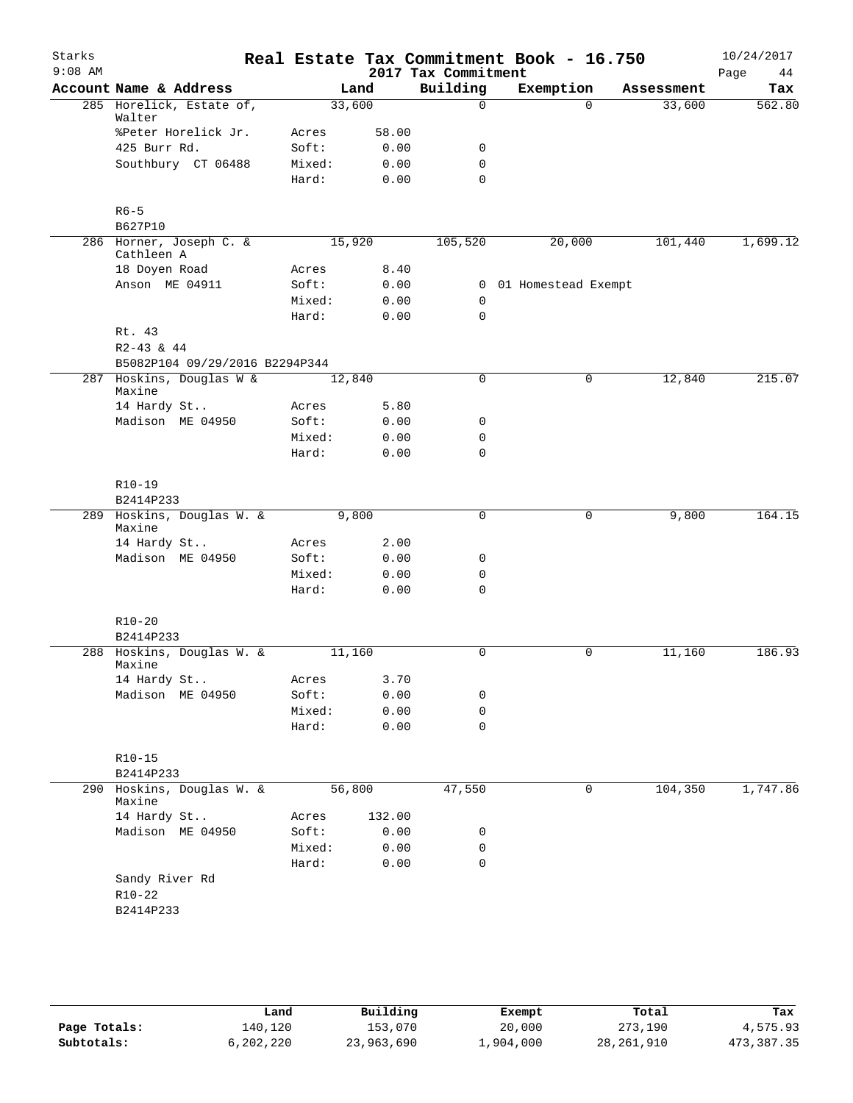| Starks<br>$9:08$ AM |                                       |                 |              |                                 | Real Estate Tax Commitment Book - 16.750 |            | 10/24/2017        |
|---------------------|---------------------------------------|-----------------|--------------|---------------------------------|------------------------------------------|------------|-------------------|
|                     | Account Name & Address                |                 | Land         | 2017 Tax Commitment<br>Building | Exemption                                | Assessment | Page<br>44<br>Tax |
|                     | 285 Horelick, Estate of,              |                 | 33,600       | $\mathsf{O}$                    | $\Omega$                                 | 33,600     | 562.80            |
|                     | Walter<br>%Peter Horelick Jr.         | Acres           | 58.00        |                                 |                                          |            |                   |
|                     | 425 Burr Rd.                          | Soft:           | 0.00         | 0                               |                                          |            |                   |
|                     | Southbury CT 06488                    | Mixed:          | 0.00         | $\mathbf 0$                     |                                          |            |                   |
|                     |                                       | Hard:           | 0.00         | $\Omega$                        |                                          |            |                   |
|                     | $R6 - 5$                              |                 |              |                                 |                                          |            |                   |
|                     | B627P10                               |                 |              |                                 |                                          |            |                   |
|                     | 286 Horner, Joseph C. &<br>Cathleen A |                 | 15,920       | 105,520                         | 20,000                                   | 101,440    | 1,699.12          |
|                     | 18 Doyen Road                         | Acres           | 8.40         |                                 |                                          |            |                   |
|                     | Anson ME 04911                        | Soft:           | 0.00         |                                 | 0 01 Homestead Exempt                    |            |                   |
|                     |                                       | Mixed:          | 0.00         | 0                               |                                          |            |                   |
|                     |                                       | Hard:           | 0.00         | $\mathbf 0$                     |                                          |            |                   |
|                     | Rt. 43<br>R2-43 & 44                  |                 |              |                                 |                                          |            |                   |
|                     | B5082P104 09/29/2016 B2294P344        |                 |              |                                 |                                          |            |                   |
|                     | 287 Hoskins, Douglas W &<br>Maxine    |                 | 12,840       | $\mathbf 0$                     | $\mathbf 0$                              | 12,840     | 215.07            |
|                     | 14 Hardy St                           | Acres           | 5.80         |                                 |                                          |            |                   |
|                     | Madison ME 04950                      | Soft:           | 0.00         | 0                               |                                          |            |                   |
|                     |                                       | Mixed:          | 0.00         | $\mathbf 0$                     |                                          |            |                   |
|                     |                                       | Hard:           | 0.00         | $\mathbf 0$                     |                                          |            |                   |
|                     | $R10-19$<br>B2414P233                 |                 |              |                                 |                                          |            |                   |
|                     | 289 Hoskins, Douglas W. &<br>Maxine   |                 | 9,800        | $\mathbf 0$                     | 0                                        | 9,800      | 164.15            |
|                     | 14 Hardy St                           | Acres           | 2.00         |                                 |                                          |            |                   |
|                     | Madison ME 04950                      | Soft:           | 0.00         | 0                               |                                          |            |                   |
|                     |                                       |                 |              | $\mathbf 0$                     |                                          |            |                   |
|                     |                                       | Mixed:<br>Hard: | 0.00<br>0.00 | $\Omega$                        |                                          |            |                   |
|                     | $R10 - 20$                            |                 |              |                                 |                                          |            |                   |
|                     | B2414P233                             |                 |              |                                 |                                          |            |                   |
|                     | 288 Hoskins, Douglas W. &<br>Maxine   |                 | 11,160       | 0                               | 0                                        | 11,160     | 186.93            |
|                     | 14 Hardy St                           | Acres           | 3.70         |                                 |                                          |            |                   |
|                     | Madison ME 04950                      | Soft:           | 0.00         | 0                               |                                          |            |                   |
|                     |                                       | Mixed:          | 0.00         | 0                               |                                          |            |                   |
|                     |                                       | Hard:           | 0.00         | 0                               |                                          |            |                   |
|                     | $R10-15$<br>B2414P233                 |                 |              |                                 |                                          |            |                   |
|                     | 290 Hoskins, Douglas W. &             |                 | 56,800       | 47,550                          | 0                                        | 104,350    | 1,747.86          |
|                     | Maxine<br>14 Hardy St                 | Acres           | 132.00       |                                 |                                          |            |                   |
|                     | Madison ME 04950                      | Soft:           | 0.00         | 0                               |                                          |            |                   |
|                     |                                       | Mixed:          | 0.00         | 0                               |                                          |            |                   |
|                     |                                       | Hard:           | 0.00         | 0                               |                                          |            |                   |
|                     | Sandy River Rd<br>$R10 - 22$          |                 |              |                                 |                                          |            |                   |
|                     | B2414P233                             |                 |              |                                 |                                          |            |                   |
|                     |                                       |                 |              |                                 |                                          |            |                   |
|                     |                                       |                 |              |                                 |                                          |            |                   |
|                     |                                       |                 |              |                                 |                                          |            |                   |

|              | Land      | Building   | Exempt    | Total        | Tax        |
|--------------|-----------|------------|-----------|--------------|------------|
| Page Totals: | 140,120   | 153,070    | 20,000    | 273,190      | 4,575.93   |
| Subtotals:   | 6,202,220 | 23,963,690 | 1,904,000 | 28, 261, 910 | 473,387.35 |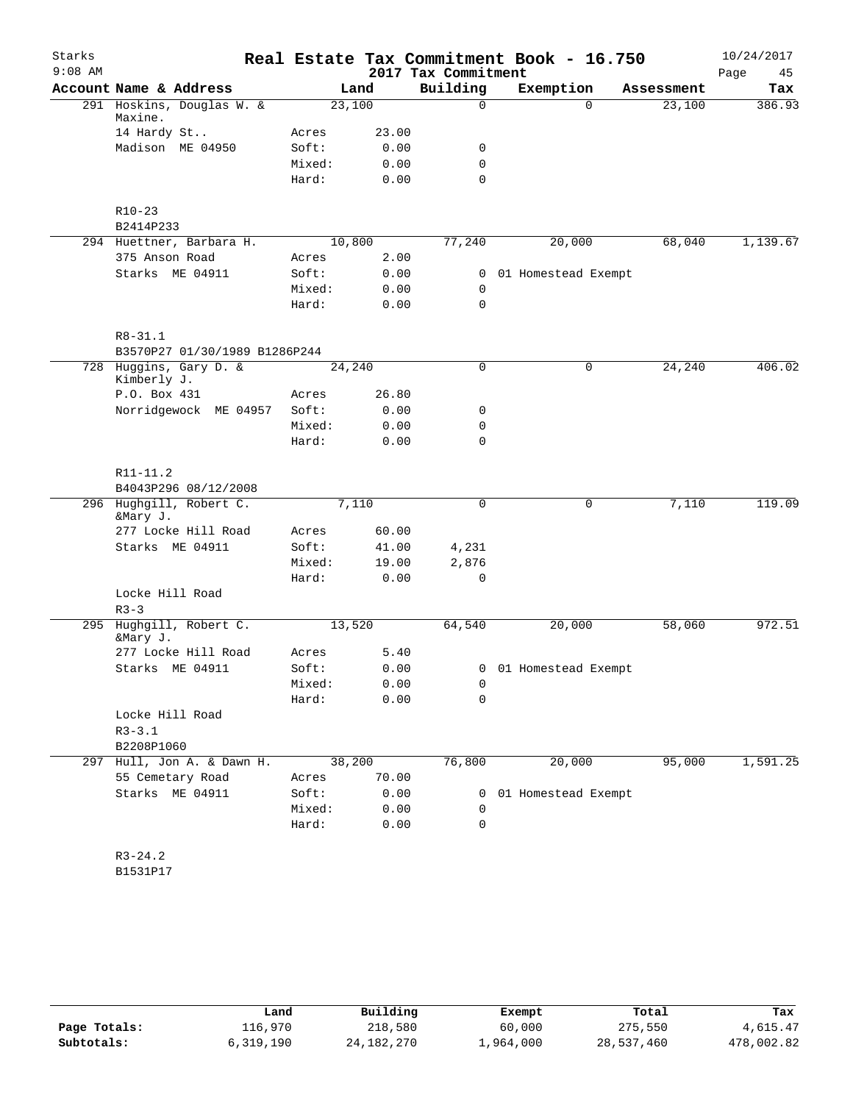| Starks<br>$9:08$ AM |                                       |        |        | 2017 Tax Commitment | Real Estate Tax Commitment Book - 16.750 |            | 10/24/2017<br>Page<br>45 |
|---------------------|---------------------------------------|--------|--------|---------------------|------------------------------------------|------------|--------------------------|
|                     | Account Name & Address                |        | Land   | Building            | Exemption                                | Assessment | Tax                      |
|                     | 291 Hoskins, Douglas W. &<br>Maxine.  |        | 23,100 | 0                   | $\Omega$                                 | 23,100     | 386.93                   |
|                     | 14 Hardy St                           | Acres  | 23.00  |                     |                                          |            |                          |
|                     | Madison ME 04950                      | Soft:  | 0.00   | 0                   |                                          |            |                          |
|                     |                                       | Mixed: | 0.00   | 0                   |                                          |            |                          |
|                     |                                       | Hard:  | 0.00   | $\Omega$            |                                          |            |                          |
|                     | $R10 - 23$                            |        |        |                     |                                          |            |                          |
|                     | B2414P233                             |        |        |                     |                                          |            |                          |
|                     | 294 Huettner, Barbara H.              |        | 10,800 | 77,240              | 20,000                                   | 68,040     | 1,139.67                 |
|                     | 375 Anson Road                        | Acres  | 2.00   |                     |                                          |            |                          |
|                     | Starks ME 04911                       | Soft:  | 0.00   | $\mathbf{0}$        | 01 Homestead Exempt                      |            |                          |
|                     |                                       | Mixed: | 0.00   | 0                   |                                          |            |                          |
|                     |                                       | Hard:  | 0.00   | $\mathbf 0$         |                                          |            |                          |
|                     | $R8 - 31.1$                           |        |        |                     |                                          |            |                          |
|                     | B3570P27 01/30/1989 B1286P244         |        |        |                     |                                          |            |                          |
|                     | 728 Huggins, Gary D. &<br>Kimberly J. |        | 24,240 | 0                   | 0                                        | 24,240     | 406.02                   |
|                     | P.O. Box 431                          | Acres  | 26.80  |                     |                                          |            |                          |
|                     | Norridgewock ME 04957                 | Soft:  | 0.00   | 0                   |                                          |            |                          |
|                     |                                       | Mixed: | 0.00   | $\mathbf 0$         |                                          |            |                          |
|                     |                                       | Hard:  | 0.00   | $\Omega$            |                                          |            |                          |
|                     | R11-11.2<br>B4043P296 08/12/2008      |        |        |                     |                                          |            |                          |
|                     | 296 Hughgill, Robert C.               |        | 7,110  | $\mathbf 0$         | $\mathbf 0$                              | 7,110      | 119.09                   |
|                     | &Mary J.<br>277 Locke Hill Road       | Acres  | 60.00  |                     |                                          |            |                          |
|                     | Starks ME 04911                       | Soft:  | 41.00  | 4,231               |                                          |            |                          |
|                     |                                       | Mixed: | 19.00  | 2,876               |                                          |            |                          |
|                     |                                       | Hard:  | 0.00   | 0                   |                                          |            |                          |
|                     | Locke Hill Road                       |        |        |                     |                                          |            |                          |
|                     | $R3 - 3$                              |        |        |                     |                                          |            |                          |
|                     | 295 Hughgill, Robert C.<br>&Mary J.   |        | 13,520 | 64,540              | 20,000                                   | 58,060     | 972.51                   |
|                     | 277 Locke Hill Road                   | Acres  | 5.40   |                     |                                          |            |                          |
|                     | Starks ME 04911                       | Soft:  | 0.00   |                     | 0 01 Homestead Exempt                    |            |                          |
|                     |                                       | Mixed: | 0.00   | 0                   |                                          |            |                          |
|                     |                                       | Hard:  | 0.00   | 0                   |                                          |            |                          |
|                     | Locke Hill Road                       |        |        |                     |                                          |            |                          |
|                     | $R3 - 3.1$                            |        |        |                     |                                          |            |                          |
|                     | B2208P1060                            |        |        |                     |                                          |            |                          |
|                     | 297 Hull, Jon A. & Dawn H.            |        | 38,200 | 76,800              | 20,000                                   | 95,000     | 1,591.25                 |
|                     | 55 Cemetary Road                      | Acres  | 70.00  |                     |                                          |            |                          |
|                     | Starks ME 04911                       | Soft:  | 0.00   | 0                   | 01 Homestead Exempt                      |            |                          |
|                     |                                       | Mixed: | 0.00   | 0                   |                                          |            |                          |
|                     |                                       | Hard:  | 0.00   | $\mathbf 0$         |                                          |            |                          |
|                     | $R3 - 24.2$<br>B1531P17               |        |        |                     |                                          |            |                          |

|              | Land      | Building     | Exempt    | Total      | Tax        |
|--------------|-----------|--------------|-----------|------------|------------|
| Page Totals: | 116,970   | 218,580      | 60,000    | 275,550    | 4,615.47   |
| Subtotals:   | 6,319,190 | 24, 182, 270 | 1,964,000 | 28,537,460 | 478,002.82 |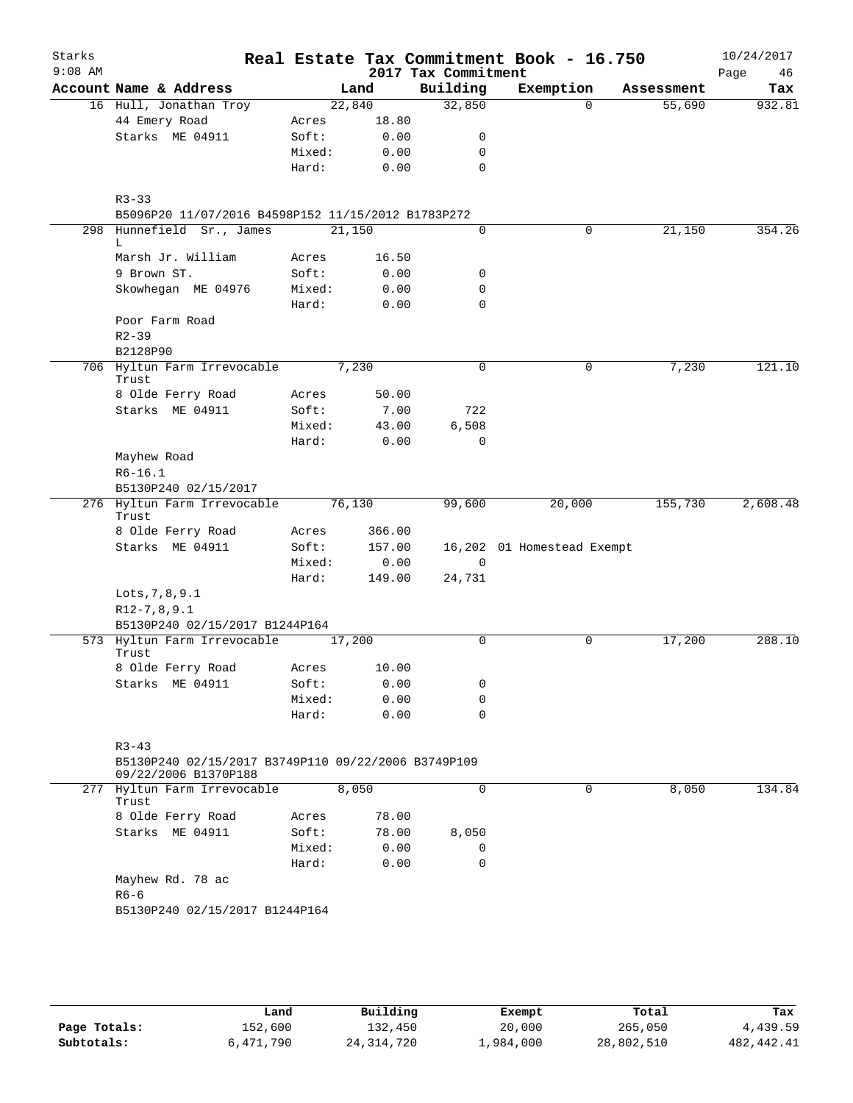| Starks<br>$9:08$ AM |                                                                             |                 |               | 2017 Tax Commitment | Real Estate Tax Commitment Book - 16.750 |            | 10/24/2017<br>46<br>Page |
|---------------------|-----------------------------------------------------------------------------|-----------------|---------------|---------------------|------------------------------------------|------------|--------------------------|
|                     | Account Name & Address                                                      |                 | Land          | Building            | Exemption                                | Assessment | Tax                      |
|                     | 16 Hull, Jonathan Troy                                                      |                 | 22,840        | 32,850              | $\Omega$                                 | 55,690     | 932.81                   |
|                     | 44 Emery Road                                                               | Acres           | 18.80         |                     |                                          |            |                          |
|                     | Starks ME 04911                                                             | Soft:           | 0.00          | 0                   |                                          |            |                          |
|                     |                                                                             | Mixed:          | 0.00          | $\mathbf 0$         |                                          |            |                          |
|                     |                                                                             | Hard:           | 0.00          | $\mathbf 0$         |                                          |            |                          |
|                     |                                                                             |                 |               |                     |                                          |            |                          |
|                     | $R3 - 33$                                                                   |                 |               |                     |                                          |            |                          |
|                     | B5096P20 11/07/2016 B4598P152 11/15/2012 B1783P272                          |                 |               |                     |                                          |            |                          |
|                     | 298 Hunnefield Sr., James<br>L                                              |                 | 21,150        | $\mathbf 0$         | 0                                        | 21,150     | 354.26                   |
|                     | Marsh Jr. William                                                           | Acres           | 16.50         |                     |                                          |            |                          |
|                     | 9 Brown ST.                                                                 | Soft:           | 0.00          | 0                   |                                          |            |                          |
|                     | Skowhegan ME 04976                                                          | Mixed:          | 0.00          | $\mathbf 0$         |                                          |            |                          |
|                     |                                                                             | Hard:           | 0.00          | $\mathbf 0$         |                                          |            |                          |
|                     | Poor Farm Road                                                              |                 |               |                     |                                          |            |                          |
|                     | $R2 - 39$                                                                   |                 |               |                     |                                          |            |                          |
|                     | B2128P90                                                                    |                 |               |                     |                                          |            |                          |
|                     | 706 Hyltun Farm Irrevocable                                                 |                 | 7,230         | 0                   | 0                                        | 7,230      | 121.10                   |
|                     | Trust                                                                       |                 |               |                     |                                          |            |                          |
|                     | 8 Olde Ferry Road                                                           | Acres           | 50.00         |                     |                                          |            |                          |
|                     | Starks ME 04911                                                             | Soft:           | 7.00          | 722<br>6,508        |                                          |            |                          |
|                     |                                                                             | Mixed:<br>Hard: | 43.00<br>0.00 | 0                   |                                          |            |                          |
|                     | Mayhew Road                                                                 |                 |               |                     |                                          |            |                          |
|                     | $R6 - 16.1$                                                                 |                 |               |                     |                                          |            |                          |
|                     | B5130P240 02/15/2017                                                        |                 |               |                     |                                          |            |                          |
|                     | 276 Hyltun Farm Irrevocable                                                 |                 | 76,130        | 99,600              | 20,000                                   | 155,730    | 2,608.48                 |
|                     | Trust                                                                       |                 |               |                     |                                          |            |                          |
|                     | 8 Olde Ferry Road                                                           | Acres           | 366.00        |                     |                                          |            |                          |
|                     | Starks ME 04911                                                             | Soft:           | 157.00        |                     | 16,202 01 Homestead Exempt               |            |                          |
|                     |                                                                             | Mixed:          | 0.00          | 0                   |                                          |            |                          |
|                     |                                                                             | Hard:           | 149.00        | 24,731              |                                          |            |                          |
|                     | Lots, 7, 8, 9.1                                                             |                 |               |                     |                                          |            |                          |
|                     | $R12-7, 8, 9.1$                                                             |                 |               |                     |                                          |            |                          |
|                     | B5130P240 02/15/2017 B1244P164                                              |                 |               |                     |                                          |            |                          |
|                     | 573 Hyltun Farm Irrevocable<br>Trust                                        |                 | 17,200        | $\Omega$            | 0                                        | 17,200     | 288.10                   |
|                     | 8 Olde Ferry Road                                                           | Acres           | 10.00         |                     |                                          |            |                          |
|                     | Starks ME 04911                                                             | Soft:           | 0.00          | 0                   |                                          |            |                          |
|                     |                                                                             | Mixed:          | 0.00          | 0                   |                                          |            |                          |
|                     |                                                                             | Hard:           | 0.00          | $\mathbf 0$         |                                          |            |                          |
|                     |                                                                             |                 |               |                     |                                          |            |                          |
|                     | $R3 - 43$                                                                   |                 |               |                     |                                          |            |                          |
|                     | B5130P240 02/15/2017 B3749P110 09/22/2006 B3749P109<br>09/22/2006 B1370P188 |                 |               |                     |                                          |            |                          |
|                     | 277 Hyltun Farm Irrevocable                                                 |                 | 8,050         | $\mathbf 0$         | 0                                        | 8,050      | 134.84                   |
|                     | Trust                                                                       |                 |               |                     |                                          |            |                          |
|                     | 8 Olde Ferry Road                                                           | Acres           | 78.00         |                     |                                          |            |                          |
|                     | Starks ME 04911                                                             | Soft:           | 78.00         | 8,050               |                                          |            |                          |
|                     |                                                                             | Mixed:<br>Hard: | 0.00<br>0.00  | 0<br>$\mathbf 0$    |                                          |            |                          |
|                     |                                                                             |                 |               |                     |                                          |            |                          |
|                     | Mayhew Rd. 78 ac<br>$R6 - 6$                                                |                 |               |                     |                                          |            |                          |
|                     | B5130P240 02/15/2017 B1244P164                                              |                 |               |                     |                                          |            |                          |
|                     |                                                                             |                 |               |                     |                                          |            |                          |
|                     |                                                                             |                 |               |                     |                                          |            |                          |
|                     |                                                                             |                 |               |                     |                                          |            |                          |
|                     |                                                                             |                 |               |                     |                                          |            |                          |

|              | Land      | Building     | Exempt    | Total      | Tax          |
|--------------|-----------|--------------|-----------|------------|--------------|
| Page Totals: | 152,600   | 132,450      | 20,000    | 265,050    | 4,439.59     |
| Subtotals:   | 6,471,790 | 24, 314, 720 | 1,984,000 | 28,802,510 | 482, 442. 41 |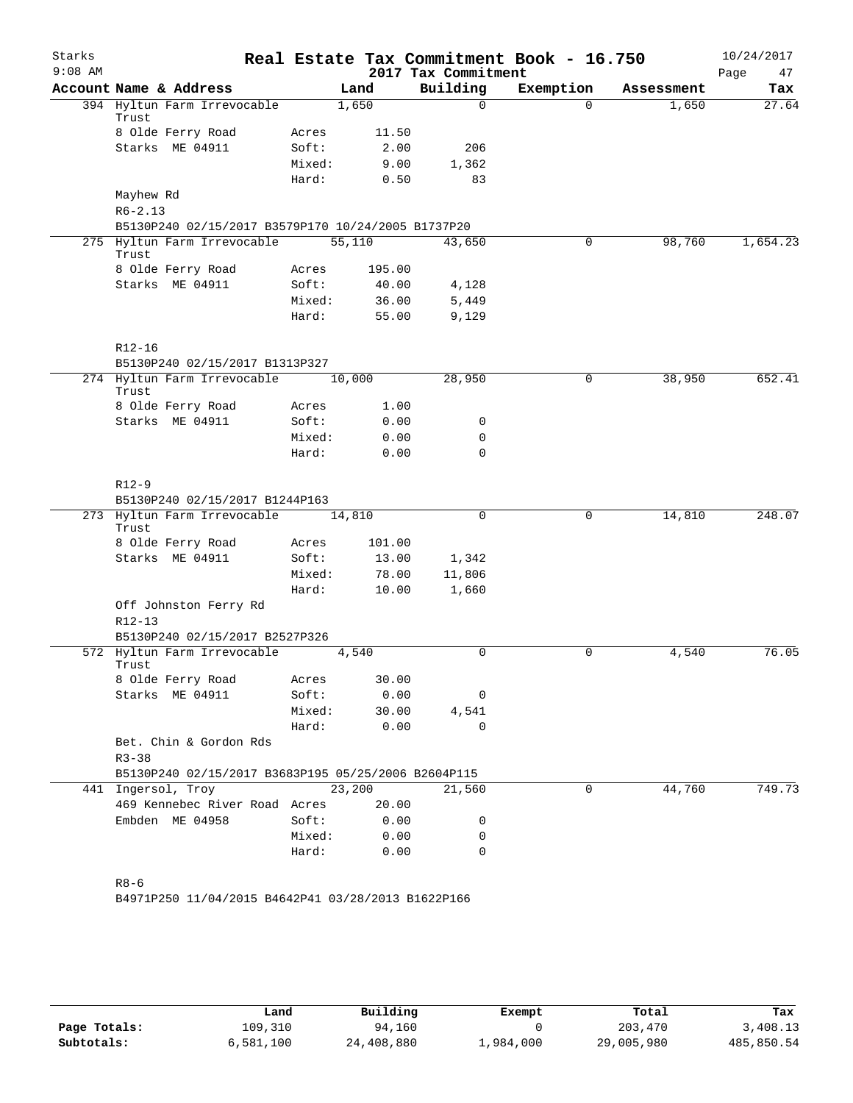| Starks<br>$9:08$ AM |                                                               |                 |               |                                 | Real Estate Tax Commitment Book - 16.750 |                     | 10/24/2017   |
|---------------------|---------------------------------------------------------------|-----------------|---------------|---------------------------------|------------------------------------------|---------------------|--------------|
|                     |                                                               |                 |               | 2017 Tax Commitment<br>Building |                                          |                     | 47<br>Page   |
|                     | Account Name & Address<br>394 Hyltun Farm Irrevocable         |                 | Land<br>1,650 | $\Omega$                        | Exemption<br>$\Omega$                    | Assessment<br>1,650 | Tax<br>27.64 |
|                     | Trust                                                         |                 |               |                                 |                                          |                     |              |
|                     | 8 Olde Ferry Road                                             | Acres           | 11.50         |                                 |                                          |                     |              |
|                     | Starks ME 04911                                               | Soft:           | 2.00          | 206                             |                                          |                     |              |
|                     |                                                               | Mixed:          | 9.00          | 1,362                           |                                          |                     |              |
|                     |                                                               | Hard:           | 0.50          | 83                              |                                          |                     |              |
|                     | Mayhew Rd                                                     |                 |               |                                 |                                          |                     |              |
|                     | $R6 - 2.13$                                                   |                 |               |                                 |                                          |                     |              |
|                     | B5130P240 02/15/2017 B3579P170 10/24/2005 B1737P20            |                 |               |                                 |                                          |                     |              |
|                     | 275 Hyltun Farm Irrevocable<br>Trust                          |                 | 55,110        | 43,650                          | $\mathbf 0$                              | 98,760              | 1,654.23     |
|                     | 8 Olde Ferry Road                                             | Acres           | 195.00        |                                 |                                          |                     |              |
|                     | Starks ME 04911                                               | Soft:           | 40.00         | 4,128                           |                                          |                     |              |
|                     |                                                               | Mixed:          | 36.00         | 5,449                           |                                          |                     |              |
|                     |                                                               | Hard:           | 55.00         | 9,129                           |                                          |                     |              |
|                     | $R12 - 16$                                                    |                 |               |                                 |                                          |                     |              |
|                     | B5130P240 02/15/2017 B1313P327                                |                 |               |                                 |                                          |                     |              |
|                     | 274 Hyltun Farm Irrevocable<br>Trust                          |                 | 10,000        | 28,950                          | 0                                        | 38,950              | 652.41       |
|                     | 8 Olde Ferry Road                                             | Acres           | 1.00          |                                 |                                          |                     |              |
|                     | Starks ME 04911                                               | Soft:           | 0.00          | 0                               |                                          |                     |              |
|                     |                                                               | Mixed:          | 0.00          | $\mathbf 0$                     |                                          |                     |              |
|                     |                                                               | Hard:           | 0.00          | $\Omega$                        |                                          |                     |              |
|                     | $R12-9$                                                       |                 |               |                                 |                                          |                     |              |
|                     | B5130P240 02/15/2017 B1244P163                                |                 |               |                                 |                                          |                     |              |
|                     | 273 Hyltun Farm Irrevocable<br>Trust                          |                 | 14,810        | $\mathbf 0$                     | 0                                        | 14,810              | 248.07       |
|                     | 8 Olde Ferry Road                                             | Acres           | 101.00        |                                 |                                          |                     |              |
|                     | Starks ME 04911                                               | Soft:           | 13.00         | 1,342                           |                                          |                     |              |
|                     |                                                               | Mixed:          | 78.00         | 11,806                          |                                          |                     |              |
|                     |                                                               | Hard:           | 10.00         | 1,660                           |                                          |                     |              |
|                     | Off Johnston Ferry Rd                                         |                 |               |                                 |                                          |                     |              |
|                     | $R12 - 13$                                                    |                 |               |                                 |                                          |                     |              |
|                     | B5130P240 02/15/2017 B2527P326<br>572 Hyltun Farm Irrevocable |                 |               | 0                               | $\mathbf 0$                              |                     | 76.05        |
|                     | Trust                                                         |                 | 4,540         |                                 |                                          | 4,540               |              |
|                     | 8 Olde Ferry Road                                             | Acres           | 30.00         |                                 |                                          |                     |              |
|                     | Starks ME 04911                                               | Soft:           | 0.00          | 0                               |                                          |                     |              |
|                     |                                                               | Mixed:          | 30.00         | 4,541                           |                                          |                     |              |
|                     |                                                               | Hard:           | 0.00          | $\mathbf 0$                     |                                          |                     |              |
|                     | Bet. Chin & Gordon Rds                                        |                 |               |                                 |                                          |                     |              |
|                     | $R3 - 38$                                                     |                 |               |                                 |                                          |                     |              |
|                     | B5130P240 02/15/2017 B3683P195 05/25/2006 B2604P115           |                 |               |                                 |                                          |                     |              |
|                     | 441 Ingersol, Troy                                            |                 | 23,200        | 21,560                          | 0                                        | 44,760              | 749.73       |
|                     | 469 Kennebec River Road Acres                                 |                 | 20.00         |                                 |                                          |                     |              |
|                     | Embden ME 04958                                               | Soft:           | 0.00          | 0                               |                                          |                     |              |
|                     |                                                               | Mixed:<br>Hard: | 0.00<br>0.00  | 0<br>$\mathbf 0$                |                                          |                     |              |
|                     |                                                               |                 |               |                                 |                                          |                     |              |

|              | Land      | Building   | Exempt    | Total      | Tax        |
|--------------|-----------|------------|-----------|------------|------------|
| Page Totals: | 109,310   | 94,160     |           | 203,470    | 3,408.13   |
| Subtotals:   | 6,581,100 | 24,408,880 | 1,984,000 | 29,005,980 | 485,850.54 |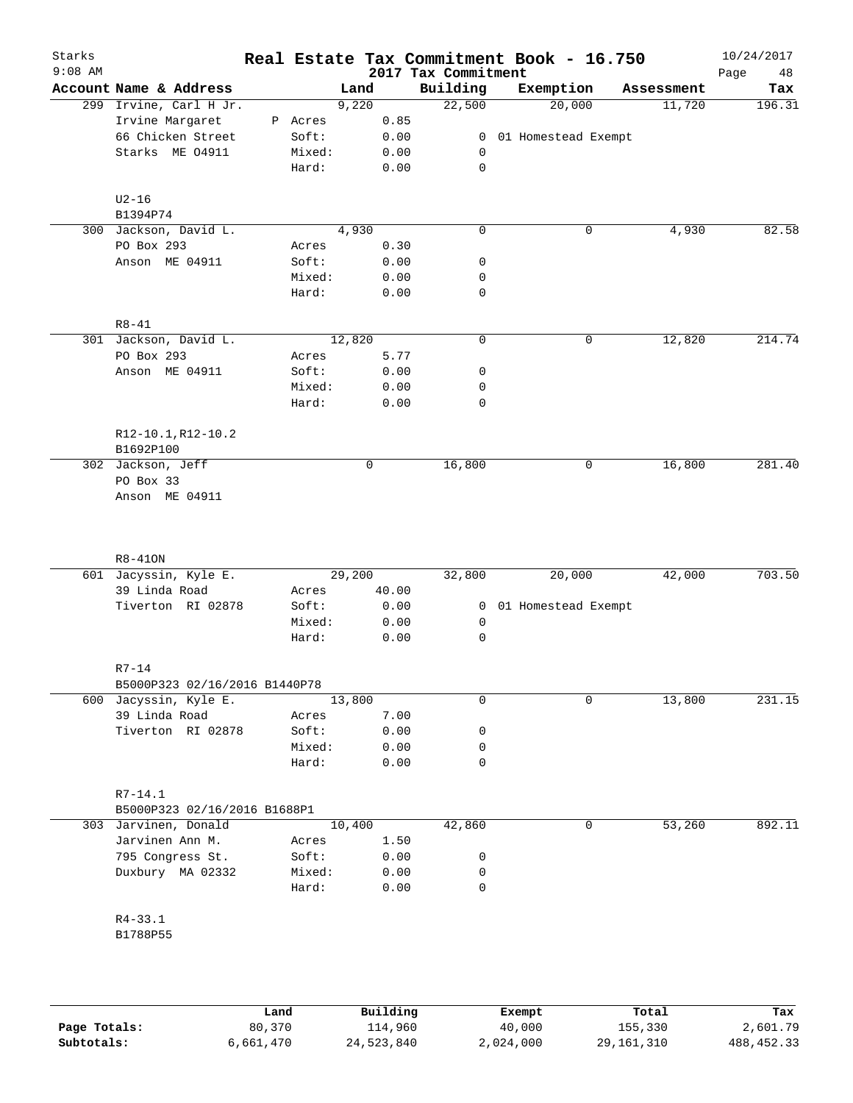| Starks<br>$9:08$ AM |                                                        |                 |        |              | 2017 Tax Commitment | Real Estate Tax Commitment Book - 16.750 |          |            | 10/24/2017<br>Page<br>48 |
|---------------------|--------------------------------------------------------|-----------------|--------|--------------|---------------------|------------------------------------------|----------|------------|--------------------------|
|                     | Account Name & Address                                 |                 | Land   |              | Building            | Exemption                                |          | Assessment | Tax                      |
|                     | 299 Irvine, Carl H Jr.                                 |                 | 9,220  |              | 22,500              | 20,000                                   |          | 11,720     | 196.31                   |
|                     | Irvine Margaret                                        | P Acres         |        | 0.85         |                     |                                          |          |            |                          |
|                     | 66 Chicken Street                                      | Soft:           |        | 0.00         | 0                   | 01 Homestead Exempt                      |          |            |                          |
|                     | Starks ME 04911                                        | Mixed:          |        | 0.00         | 0                   |                                          |          |            |                          |
|                     |                                                        | Hard:           |        | 0.00         | 0                   |                                          |          |            |                          |
|                     | $U2-16$                                                |                 |        |              |                     |                                          |          |            |                          |
|                     | B1394P74                                               |                 |        |              |                     |                                          |          |            |                          |
|                     | 300 Jackson, David L.                                  |                 | 4,930  |              | $\mathbf 0$         |                                          | 0        | 4,930      | 82.58                    |
|                     | PO Box 293                                             | Acres           |        | 0.30         |                     |                                          |          |            |                          |
|                     | Anson ME 04911                                         | Soft:           |        | 0.00         | 0                   |                                          |          |            |                          |
|                     |                                                        | Mixed:          |        | 0.00         | 0                   |                                          |          |            |                          |
|                     |                                                        | Hard:           |        | 0.00         | 0                   |                                          |          |            |                          |
|                     | $R8 - 41$                                              |                 |        |              |                     |                                          |          |            |                          |
|                     | 301 Jackson, David L.                                  |                 | 12,820 |              | $\mathbf 0$         |                                          | 0        | 12,820     | 214.74                   |
|                     | PO Box 293                                             | Acres           |        | 5.77         |                     |                                          |          |            |                          |
|                     | Anson ME 04911                                         | Soft:           |        | 0.00         | 0                   |                                          |          |            |                          |
|                     |                                                        | Mixed:          |        | 0.00         | 0                   |                                          |          |            |                          |
|                     |                                                        | Hard:           |        | 0.00         | 0                   |                                          |          |            |                          |
|                     | R12-10.1, R12-10.2                                     |                 |        |              |                     |                                          |          |            |                          |
|                     | B1692P100                                              |                 |        |              |                     |                                          |          |            |                          |
|                     | 302 Jackson, Jeff                                      |                 |        | 0            | 16,800              |                                          | 0        | 16,800     | 281.40                   |
|                     | PO Box 33<br>Anson ME 04911                            |                 |        |              |                     |                                          |          |            |                          |
|                     | $R8-410N$                                              |                 |        |              |                     |                                          |          |            |                          |
|                     | 601 Jacyssin, Kyle E.                                  |                 | 29,200 |              | 32,800              | 20,000                                   |          | 42,000     | 703.50                   |
|                     | 39 Linda Road                                          | Acres           |        | 40.00        |                     |                                          |          |            |                          |
|                     | Tiverton RI 02878                                      | Soft:           |        | 0.00         |                     | 0 01 Homestead Exempt                    |          |            |                          |
|                     |                                                        | Mixed:<br>Hard: |        | 0.00<br>0.00 | 0<br>0              |                                          |          |            |                          |
|                     |                                                        |                 |        |              |                     |                                          |          |            |                          |
|                     | $R7-14$                                                |                 |        |              |                     |                                          |          |            |                          |
|                     | B5000P323 02/16/2016 B1440P78<br>600 Jacyssin, Kyle E. |                 | 13,800 |              | $\mathbf 0$         |                                          | $\Omega$ | 13,800     | 231.15                   |
|                     | 39 Linda Road                                          | Acres           |        | 7.00         |                     |                                          |          |            |                          |
|                     | Tiverton RI 02878                                      | Soft:           |        | 0.00         | 0                   |                                          |          |            |                          |
|                     |                                                        | Mixed:          |        | 0.00         | 0                   |                                          |          |            |                          |
|                     |                                                        | Hard:           |        | 0.00         | 0                   |                                          |          |            |                          |
|                     | $R7-14.1$                                              |                 |        |              |                     |                                          |          |            |                          |
|                     | B5000P323 02/16/2016 B1688P1                           |                 |        |              |                     |                                          |          |            |                          |
|                     | 303 Jarvinen, Donald                                   |                 | 10,400 |              | 42,860              |                                          | 0        | 53,260     | 892.11                   |
|                     | Jarvinen Ann M.                                        | Acres           |        | 1.50         |                     |                                          |          |            |                          |
|                     | 795 Congress St.                                       | Soft:           |        | 0.00         | 0                   |                                          |          |            |                          |
|                     | Duxbury MA 02332                                       | Mixed:          |        | 0.00         | 0                   |                                          |          |            |                          |
|                     |                                                        | Hard:           |        | 0.00         | 0                   |                                          |          |            |                          |
|                     | $R4 - 33.1$                                            |                 |        |              |                     |                                          |          |            |                          |
|                     | B1788P55                                               |                 |        |              |                     |                                          |          |            |                          |
|                     |                                                        |                 |        |              |                     |                                          |          |            |                          |
|                     |                                                        |                 |        |              |                     |                                          |          |            |                          |

|              | Land      | Building   | Exempt    | Total      | Tax         |
|--------------|-----------|------------|-----------|------------|-------------|
| Page Totals: | 80,370    | 114,960    | 40,000    | 155,330    | 2,601.79    |
| Subtotals:   | 6,661,470 | 24,523,840 | 2,024,000 | 29,161,310 | 488, 452.33 |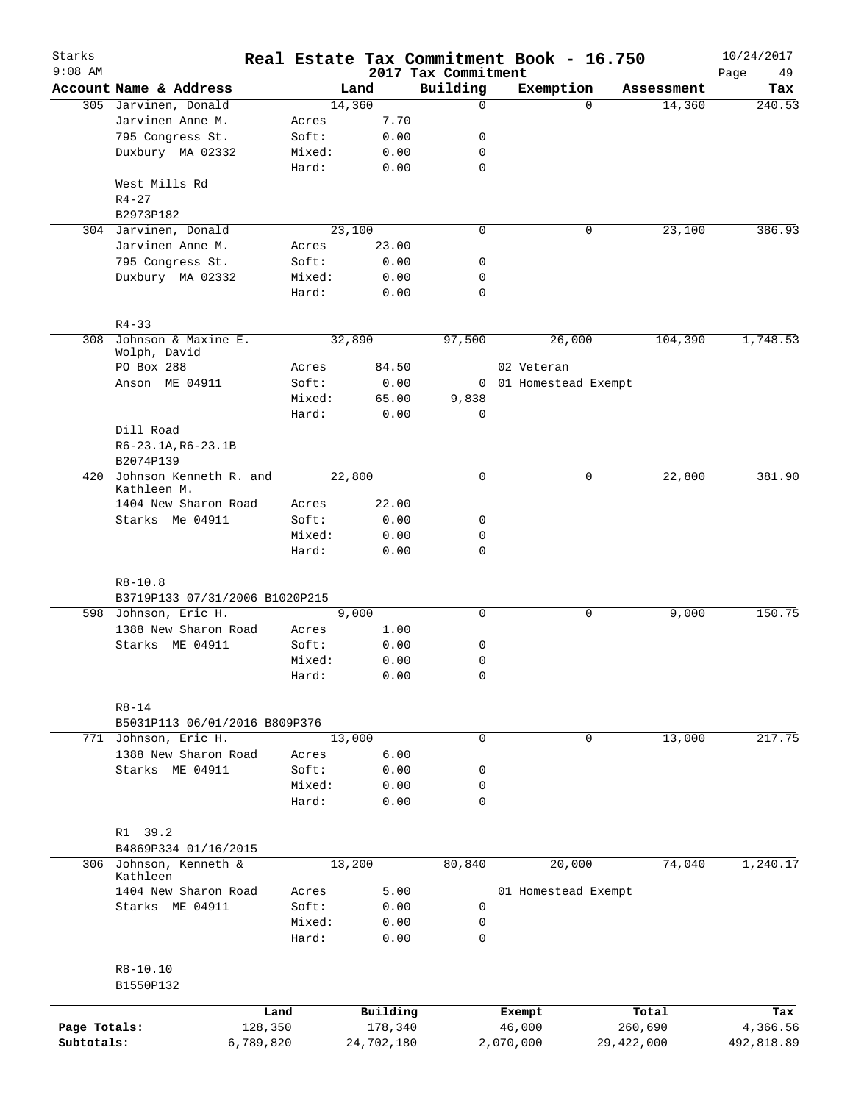| Starks<br>$9:08$ AM |                                               |         |            | 2017 Tax Commitment | Real Estate Tax Commitment Book - 16.750 |            | 10/24/2017<br>Page<br>49 |
|---------------------|-----------------------------------------------|---------|------------|---------------------|------------------------------------------|------------|--------------------------|
|                     | Account Name & Address                        |         | Land       | Building            | Exemption                                | Assessment | Tax                      |
|                     | 305 Jarvinen, Donald                          |         | 14,360     | $\mathbf 0$         | $\Omega$                                 | 14,360     | 240.53                   |
|                     | Jarvinen Anne M.                              | Acres   | 7.70       |                     |                                          |            |                          |
|                     | 795 Congress St.                              | Soft:   | 0.00       | 0                   |                                          |            |                          |
|                     | Duxbury MA 02332                              | Mixed:  | 0.00       | 0                   |                                          |            |                          |
|                     |                                               | Hard:   | 0.00       | $\mathbf 0$         |                                          |            |                          |
|                     | West Mills Rd                                 |         |            |                     |                                          |            |                          |
|                     | $R4 - 27$                                     |         |            |                     |                                          |            |                          |
|                     | B2973P182                                     |         |            |                     |                                          |            |                          |
|                     | 304 Jarvinen, Donald                          |         | 23,100     | $\mathbf 0$         | 0                                        | 23,100     | 386.93                   |
|                     | Jarvinen Anne M.                              | Acres   | 23.00      |                     |                                          |            |                          |
|                     | 795 Congress St.                              | Soft:   | 0.00       | 0                   |                                          |            |                          |
|                     | Duxbury MA 02332                              | Mixed:  | 0.00       | 0                   |                                          |            |                          |
|                     |                                               | Hard:   | 0.00       | $\mathbf 0$         |                                          |            |                          |
|                     |                                               |         |            |                     |                                          |            |                          |
|                     | $R4 - 33$                                     |         |            |                     |                                          |            |                          |
| 308                 | Johnson & Maxine E.                           |         | 32,890     | 97,500              | 26,000                                   | 104,390    | 1,748.53                 |
|                     | Wolph, David                                  |         |            |                     |                                          |            |                          |
|                     | PO Box 288                                    | Acres   | 84.50      |                     | 02 Veteran                               |            |                          |
|                     | Anson ME 04911                                | Soft:   | 0.00       |                     | 0 01 Homestead Exempt                    |            |                          |
|                     |                                               | Mixed:  | 65.00      | 9,838               |                                          |            |                          |
|                     |                                               | Hard:   | 0.00       | 0                   |                                          |            |                          |
|                     | Dill Road                                     |         |            |                     |                                          |            |                          |
|                     | R6-23.1A, R6-23.1B                            |         |            |                     |                                          |            |                          |
|                     | B2074P139<br>420 Johnson Kenneth R. and       |         | 22,800     | $\mathbf 0$         | 0                                        | 22,800     | 381.90                   |
|                     | Kathleen M.                                   |         |            |                     |                                          |            |                          |
|                     | 1404 New Sharon Road                          | Acres   | 22.00      |                     |                                          |            |                          |
|                     | Starks Me 04911                               | Soft:   | 0.00       | 0                   |                                          |            |                          |
|                     |                                               | Mixed:  | 0.00       | 0                   |                                          |            |                          |
|                     |                                               | Hard:   | 0.00       | $\mathbf 0$         |                                          |            |                          |
|                     |                                               |         |            |                     |                                          |            |                          |
|                     | $R8 - 10.8$<br>B3719P133 07/31/2006 B1020P215 |         |            |                     |                                          |            |                          |
|                     | 598 Johnson, Eric H.                          |         | 9,000      | 0                   | 0                                        | 9,000      | 150.75                   |
|                     | 1388 New Sharon Road                          | Acres   | 1.00       |                     |                                          |            |                          |
|                     | Starks ME 04911                               | Soft:   | 0.00       | 0                   |                                          |            |                          |
|                     |                                               | Mixed:  | 0.00       | 0                   |                                          |            |                          |
|                     |                                               | Hard:   | 0.00       | 0                   |                                          |            |                          |
|                     |                                               |         |            |                     |                                          |            |                          |
|                     | $R8 - 14$                                     |         |            |                     |                                          |            |                          |
|                     | B5031P113 06/01/2016 B809P376                 |         |            |                     |                                          |            |                          |
|                     | 771 Johnson, Eric H.                          |         | 13,000     | 0                   | 0                                        | 13,000     | 217.75                   |
|                     | 1388 New Sharon Road                          | Acres   | 6.00       |                     |                                          |            |                          |
|                     | Starks ME 04911                               | Soft:   | 0.00       | 0                   |                                          |            |                          |
|                     |                                               | Mixed:  | 0.00       | 0                   |                                          |            |                          |
|                     |                                               | Hard:   | 0.00       | 0                   |                                          |            |                          |
|                     |                                               |         |            |                     |                                          |            |                          |
|                     | R1 39.2<br>B4869P334 01/16/2015               |         |            |                     |                                          |            |                          |
|                     | 306 Johnson, Kenneth &                        |         | 13,200     | 80,840              | 20,000                                   | 74,040     | 1,240.17                 |
|                     | Kathleen                                      |         |            |                     |                                          |            |                          |
|                     | 1404 New Sharon Road                          | Acres   | 5.00       |                     | 01 Homestead Exempt                      |            |                          |
|                     | Starks ME 04911                               | Soft:   | 0.00       | 0                   |                                          |            |                          |
|                     |                                               | Mixed:  | 0.00       | 0                   |                                          |            |                          |
|                     |                                               | Hard:   | 0.00       | $\mathbf 0$         |                                          |            |                          |
|                     |                                               |         |            |                     |                                          |            |                          |
|                     | $R8 - 10.10$                                  |         |            |                     |                                          |            |                          |
|                     | B1550P132                                     |         |            |                     |                                          |            |                          |
|                     |                                               | Land    | Building   |                     | Exempt                                   | Total      | Tax                      |
| Page Totals:        |                                               | 128,350 | 178,340    |                     | 46,000                                   | 260,690    | 4,366.56                 |
| Subtotals:          | 6,789,820                                     |         | 24,702,180 |                     | 2,070,000                                | 29,422,000 | 492,818.89               |
|                     |                                               |         |            |                     |                                          |            |                          |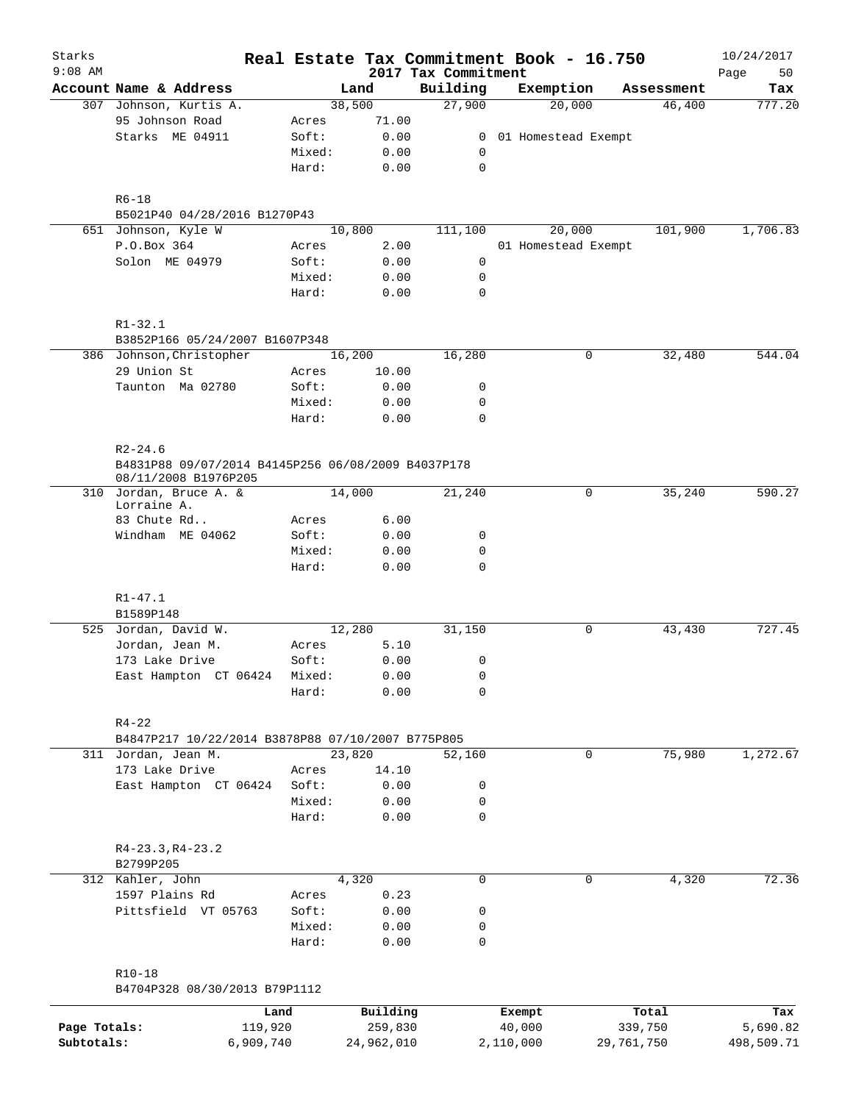| Starks<br>$9:08$ AM |                                                                            |                 |                     | 2017 Tax Commitment | Real Estate Tax Commitment Book - 16.750 |                  | 10/24/2017<br>Page<br>50 |
|---------------------|----------------------------------------------------------------------------|-----------------|---------------------|---------------------|------------------------------------------|------------------|--------------------------|
|                     | Account Name & Address                                                     |                 | Land                | Building            | Exemption                                | Assessment       | Tax                      |
|                     | 307 Johnson, Kurtis A.                                                     |                 | 38,500              | 27,900              | 20,000                                   | 46,400           | 777.20                   |
|                     | 95 Johnson Road                                                            | Acres           | 71.00               |                     |                                          |                  |                          |
|                     | Starks ME 04911                                                            | Soft:           | 0.00                | $\overline{0}$      | 01 Homestead Exempt                      |                  |                          |
|                     |                                                                            | Mixed:          | 0.00                | 0                   |                                          |                  |                          |
|                     |                                                                            | Hard:           | 0.00                | $\mathbf 0$         |                                          |                  |                          |
|                     | $R6 - 18$                                                                  |                 |                     |                     |                                          |                  |                          |
|                     | B5021P40 04/28/2016 B1270P43                                               |                 |                     |                     |                                          |                  |                          |
|                     | 651 Johnson, Kyle W                                                        |                 | 10,800              | 111,100             | 20,000                                   | 101,900          | 1,706.83                 |
|                     | P.O.Box 364                                                                | Acres           | 2.00                |                     | 01 Homestead Exempt                      |                  |                          |
|                     | Solon ME 04979                                                             | Soft:           | 0.00                | 0                   |                                          |                  |                          |
|                     |                                                                            | Mixed:          | 0.00                | 0                   |                                          |                  |                          |
|                     |                                                                            | Hard:           | 0.00                | $\mathbf 0$         |                                          |                  |                          |
|                     | $R1 - 32.1$                                                                |                 |                     |                     |                                          |                  |                          |
|                     | B3852P166 05/24/2007 B1607P348                                             |                 |                     |                     |                                          |                  |                          |
|                     | 386 Johnson, Christopher                                                   |                 | 16,200              | 16,280              | 0                                        | 32,480           | 544.04                   |
|                     | 29 Union St                                                                | Acres           | 10.00               |                     |                                          |                  |                          |
|                     | Taunton Ma 02780                                                           | Soft:           | 0.00                | 0                   |                                          |                  |                          |
|                     |                                                                            | Mixed:          | 0.00                | 0                   |                                          |                  |                          |
|                     |                                                                            | Hard:           | 0.00                | 0                   |                                          |                  |                          |
|                     | $R2 - 24.6$                                                                |                 |                     |                     |                                          |                  |                          |
|                     | B4831P88 09/07/2014 B4145P256 06/08/2009 B4037P178<br>08/11/2008 B1976P205 |                 |                     |                     |                                          |                  |                          |
|                     | 310 Jordan, Bruce A. &                                                     |                 | 14,000              | 21,240              | 0                                        | 35,240           | 590.27                   |
|                     | Lorraine A.                                                                |                 |                     |                     |                                          |                  |                          |
|                     | 83 Chute Rd                                                                | Acres           | 6.00                |                     |                                          |                  |                          |
|                     | Windham ME 04062                                                           | Soft:           | 0.00                | 0                   |                                          |                  |                          |
|                     |                                                                            | Mixed:          | 0.00                | 0                   |                                          |                  |                          |
|                     |                                                                            | Hard:           | 0.00                | 0                   |                                          |                  |                          |
|                     | $R1 - 47.1$                                                                |                 |                     |                     |                                          |                  |                          |
|                     | B1589P148<br>525 Jordan, David W.                                          |                 | 12,280              | 31,150              | 0                                        | 43,430           | 727.45                   |
|                     | Jordan, Jean M.                                                            | Acres           | 5.10                |                     |                                          |                  |                          |
|                     | 173 Lake Drive                                                             | Soft:           | 0.00                | 0                   |                                          |                  |                          |
|                     | East Hampton CT 06424                                                      |                 | 0.00                | 0                   |                                          |                  |                          |
|                     |                                                                            | Mixed:<br>Hard: | 0.00                | 0                   |                                          |                  |                          |
|                     |                                                                            |                 |                     |                     |                                          |                  |                          |
|                     | $R4 - 22$                                                                  |                 |                     |                     |                                          |                  |                          |
|                     | B4847P217 10/22/2014 B3878P88 07/10/2007 B775P805                          |                 |                     |                     |                                          |                  |                          |
|                     | 311 Jordan, Jean M.                                                        |                 | 23,820              | 52,160              | 0                                        | 75,980           | 1,272.67                 |
|                     | 173 Lake Drive                                                             | Acres<br>Soft:  | 14.10               |                     |                                          |                  |                          |
|                     | East Hampton CT 06424                                                      |                 | 0.00                | 0                   |                                          |                  |                          |
|                     |                                                                            | Mixed:<br>Hard: | 0.00<br>0.00        | 0<br>0              |                                          |                  |                          |
|                     | $R4-23.3, R4-23.2$                                                         |                 |                     |                     |                                          |                  |                          |
|                     | B2799P205<br>312 Kahler, John                                              |                 | 4,320               | $\mathbf 0$         | $\mathbf 0$                              |                  | 72.36                    |
|                     | 1597 Plains Rd                                                             | Acres           | 0.23                |                     |                                          | 4,320            |                          |
|                     | Pittsfield VT 05763                                                        | Soft:           | 0.00                | 0                   |                                          |                  |                          |
|                     |                                                                            | Mixed:          | 0.00                | 0                   |                                          |                  |                          |
|                     |                                                                            | Hard:           | 0.00                | 0                   |                                          |                  |                          |
|                     |                                                                            |                 |                     |                     |                                          |                  |                          |
|                     | $R10-18$                                                                   |                 |                     |                     |                                          |                  |                          |
|                     | B4704P328 08/30/2013 B79P1112                                              |                 |                     |                     |                                          |                  |                          |
| Page Totals:        | Land<br>119,920                                                            |                 | Building<br>259,830 |                     | Exempt<br>40,000                         | Total<br>339,750 | Tax<br>5,690.82          |
|                     |                                                                            |                 |                     |                     |                                          |                  |                          |

**Subtotals:** 6,909,740 24,962,010 2,110,000 29,761,750 498,509.71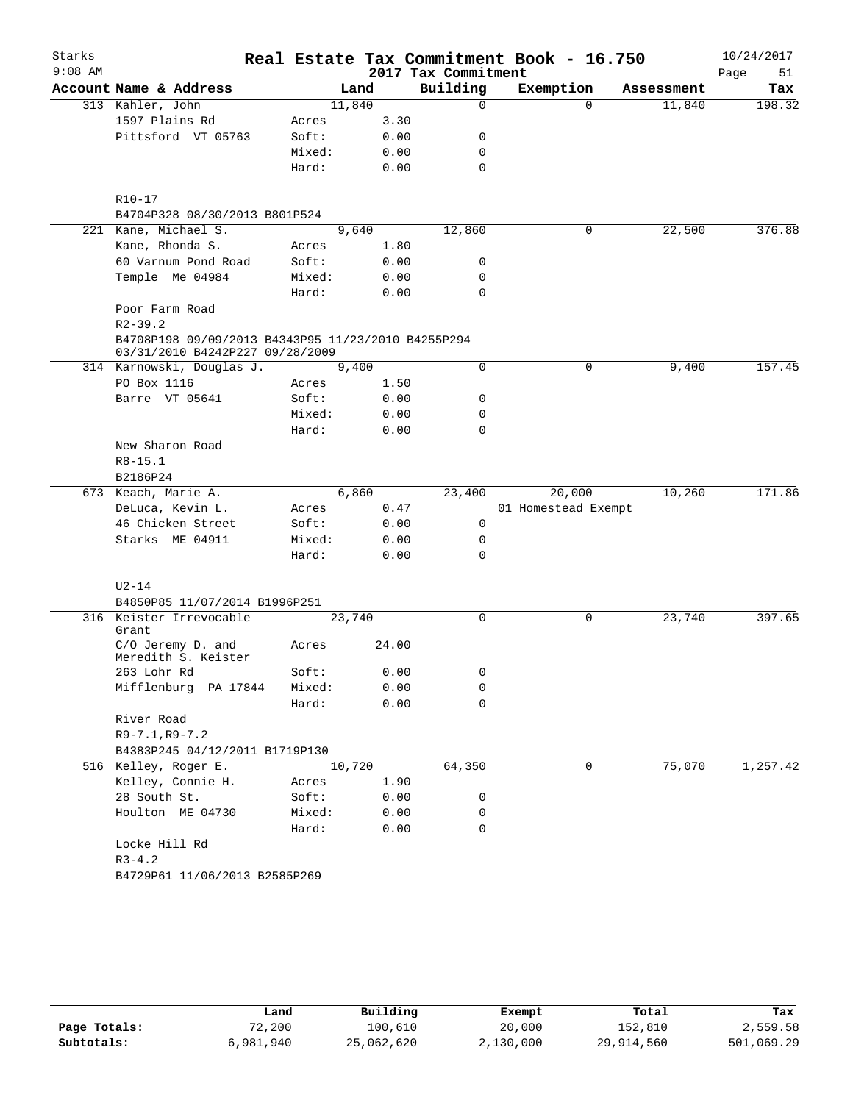| Starks    |                                                              |        |        |       | Real Estate Tax Commitment Book - 16.750 |                     |          |            | 10/24/2017 |
|-----------|--------------------------------------------------------------|--------|--------|-------|------------------------------------------|---------------------|----------|------------|------------|
| $9:08$ AM |                                                              |        |        |       | 2017 Tax Commitment                      |                     |          |            | Page<br>51 |
|           | Account Name & Address                                       |        | Land   |       | Building                                 | Exemption           |          | Assessment | Tax        |
|           | 313 Kahler, John                                             |        | 11,840 |       | $\Omega$                                 |                     | $\Omega$ | 11,840     | 198.32     |
|           | 1597 Plains Rd                                               | Acres  |        | 3.30  |                                          |                     |          |            |            |
|           | Pittsford VT 05763                                           | Soft:  |        | 0.00  | 0                                        |                     |          |            |            |
|           |                                                              | Mixed: |        | 0.00  | 0                                        |                     |          |            |            |
|           |                                                              | Hard:  |        | 0.00  | $\Omega$                                 |                     |          |            |            |
|           | $R10-17$                                                     |        |        |       |                                          |                     |          |            |            |
|           | B4704P328 08/30/2013 B801P524                                |        |        |       |                                          |                     |          |            |            |
|           | 221 Kane, Michael S.                                         |        | 9,640  |       | 12,860                                   |                     | 0        | 22,500     | 376.88     |
|           | Kane, Rhonda S.                                              | Acres  |        | 1.80  |                                          |                     |          |            |            |
|           | 60 Varnum Pond Road                                          | Soft:  |        | 0.00  | 0                                        |                     |          |            |            |
|           | Temple Me 04984                                              | Mixed: |        | 0.00  | 0                                        |                     |          |            |            |
|           |                                                              | Hard:  |        | 0.00  | 0                                        |                     |          |            |            |
|           | Poor Farm Road                                               |        |        |       |                                          |                     |          |            |            |
|           | $R2 - 39.2$                                                  |        |        |       |                                          |                     |          |            |            |
|           | B4708P198 09/09/2013 B4343P95 11/23/2010 B4255P294           |        |        |       |                                          |                     |          |            |            |
|           | 03/31/2010 B4242P227 09/28/2009<br>314 Karnowski, Douglas J. |        | 9,400  |       | 0                                        |                     | 0        | 9,400      | 157.45     |
|           | PO Box 1116                                                  | Acres  |        | 1.50  |                                          |                     |          |            |            |
|           | Barre VT 05641                                               | Soft:  |        | 0.00  | 0                                        |                     |          |            |            |
|           |                                                              | Mixed: |        | 0.00  | 0                                        |                     |          |            |            |
|           |                                                              | Hard:  |        |       | 0                                        |                     |          |            |            |
|           | New Sharon Road                                              |        |        | 0.00  |                                          |                     |          |            |            |
|           | $R8 - 15.1$                                                  |        |        |       |                                          |                     |          |            |            |
|           | B2186P24                                                     |        |        |       |                                          |                     |          |            |            |
|           | 673 Keach, Marie A.                                          |        | 6,860  |       | 23,400                                   |                     | 20,000   | 10,260     | 171.86     |
|           | DeLuca, Kevin L.                                             | Acres  |        | 0.47  |                                          | 01 Homestead Exempt |          |            |            |
|           | 46 Chicken Street                                            | Soft:  |        | 0.00  | 0                                        |                     |          |            |            |
|           | Starks ME 04911                                              | Mixed: |        | 0.00  | $\mathbf 0$                              |                     |          |            |            |
|           |                                                              | Hard:  |        | 0.00  | $\Omega$                                 |                     |          |            |            |
|           | $U2-14$                                                      |        |        |       |                                          |                     |          |            |            |
|           | B4850P85 11/07/2014 B1996P251                                |        |        |       |                                          |                     |          |            |            |
|           | 316 Keister Irrevocable                                      |        | 23,740 |       | 0                                        |                     | 0        | 23,740     | 397.65     |
|           | Grant                                                        |        |        |       |                                          |                     |          |            |            |
|           | C/O Jeremy D. and<br>Meredith S. Keister                     | Acres  |        | 24.00 |                                          |                     |          |            |            |
|           | 263 Lohr Rd                                                  | Soft:  |        | 0.00  |                                          |                     |          |            |            |
|           | Mifflenburg PA 17844                                         | Mixed: |        | 0.00  | 0                                        |                     |          |            |            |
|           |                                                              | Hard:  |        | 0.00  | $\Omega$                                 |                     |          |            |            |
|           | River Road                                                   |        |        |       |                                          |                     |          |            |            |
|           | $R9 - 7.1, R9 - 7.2$                                         |        |        |       |                                          |                     |          |            |            |
|           | B4383P245 04/12/2011 B1719P130                               |        |        |       |                                          |                     |          |            |            |
|           | 516 Kelley, Roger E.                                         |        | 10,720 |       | 64,350                                   |                     | 0        | 75,070     | 1,257.42   |
|           | Kelley, Connie H.                                            | Acres  |        | 1.90  |                                          |                     |          |            |            |
|           | 28 South St.                                                 | Soft:  |        | 0.00  | 0                                        |                     |          |            |            |
|           | Houlton ME 04730                                             | Mixed: |        | 0.00  | 0                                        |                     |          |            |            |
|           |                                                              | Hard:  |        | 0.00  | 0                                        |                     |          |            |            |
|           | Locke Hill Rd                                                |        |        |       |                                          |                     |          |            |            |
|           | $R3 - 4.2$                                                   |        |        |       |                                          |                     |          |            |            |
|           | B4729P61 11/06/2013 B2585P269                                |        |        |       |                                          |                     |          |            |            |
|           |                                                              |        |        |       |                                          |                     |          |            |            |

|              | Land      | Building   | Exempt    | Total      | Tax        |
|--------------|-----------|------------|-----------|------------|------------|
| Page Totals: | 72,200    | 100,610    | 20,000    | 152,810    | 2,559.58   |
| Subtotals:   | 6,981,940 | 25,062,620 | 2,130,000 | 29,914,560 | 501,069.29 |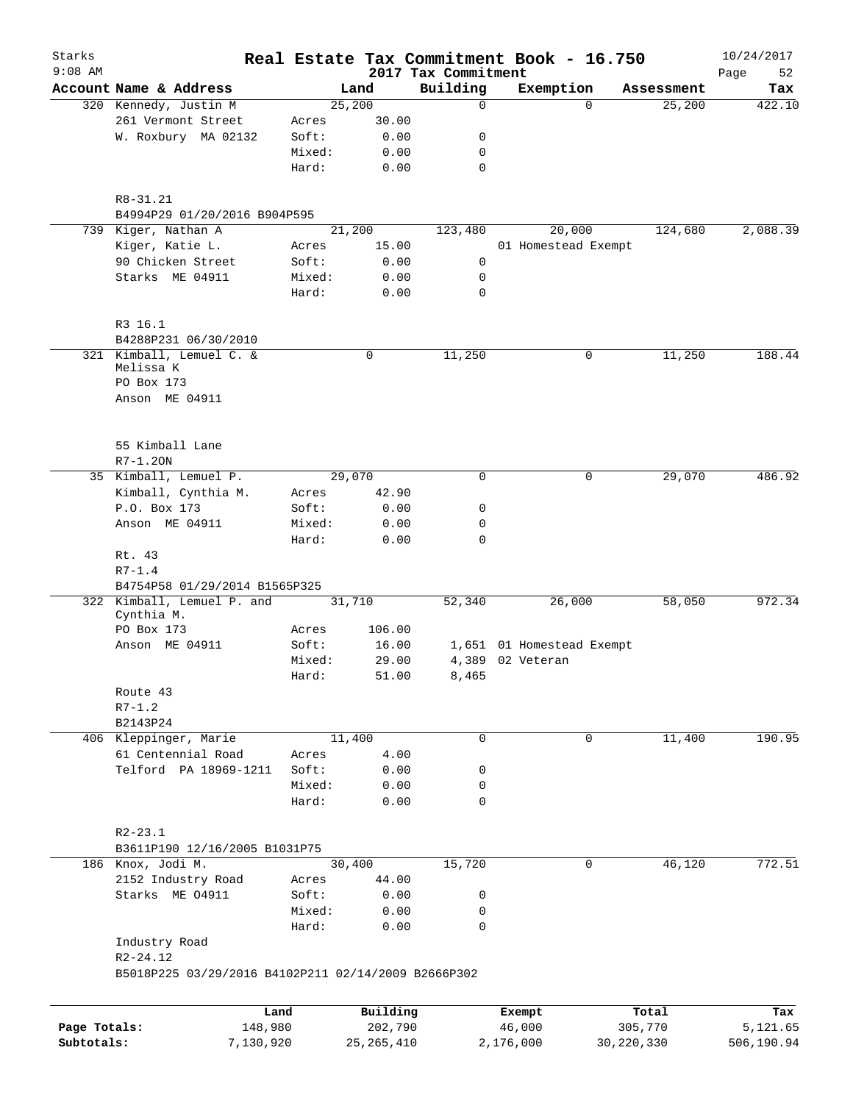| Starks<br>$9:08$ AM        |                                                     |        |                         |                                 | Real Estate Tax Commitment Book - 16.750 |              |            | 10/24/2017             |
|----------------------------|-----------------------------------------------------|--------|-------------------------|---------------------------------|------------------------------------------|--------------|------------|------------------------|
|                            | Account Name & Address                              |        | Land                    | 2017 Tax Commitment<br>Building | Exemption                                |              | Assessment | Page<br>52<br>Tax      |
|                            | 320 Kennedy, Justin M                               |        | 25,200                  | $\mathbf 0$                     |                                          | $\Omega$     | 25,200     | 422.10                 |
|                            | 261 Vermont Street                                  | Acres  | 30.00                   |                                 |                                          |              |            |                        |
|                            | W. Roxbury MA 02132                                 | Soft:  | 0.00                    | 0                               |                                          |              |            |                        |
|                            |                                                     | Mixed: | 0.00                    | 0                               |                                          |              |            |                        |
|                            |                                                     | Hard:  | 0.00                    | $\mathbf 0$                     |                                          |              |            |                        |
|                            | $R8 - 31.21$                                        |        |                         |                                 |                                          |              |            |                        |
|                            | B4994P29 01/20/2016 B904P595                        |        |                         |                                 |                                          |              |            |                        |
|                            | 739 Kiger, Nathan A                                 |        | 21,200                  | 123,480                         | 20,000                                   |              | 124,680    | 2,088.39               |
|                            | Kiger, Katie L.                                     | Acres  | 15.00                   |                                 | 01 Homestead Exempt                      |              |            |                        |
|                            | 90 Chicken Street                                   | Soft:  | 0.00                    | 0                               |                                          |              |            |                        |
|                            | Starks ME 04911                                     | Mixed: | 0.00                    | 0                               |                                          |              |            |                        |
|                            |                                                     | Hard:  | 0.00                    | $\mathbf 0$                     |                                          |              |            |                        |
|                            | R3 16.1                                             |        |                         |                                 |                                          |              |            |                        |
|                            | B4288P231 06/30/2010                                |        |                         |                                 |                                          |              |            |                        |
|                            | 321 Kimball, Lemuel C. &                            |        | 0                       | 11,250                          |                                          | 0            | 11,250     | 188.44                 |
|                            | Melissa K                                           |        |                         |                                 |                                          |              |            |                        |
|                            | PO Box 173                                          |        |                         |                                 |                                          |              |            |                        |
|                            | Anson ME 04911                                      |        |                         |                                 |                                          |              |            |                        |
|                            |                                                     |        |                         |                                 |                                          |              |            |                        |
|                            | 55 Kimball Lane                                     |        |                         |                                 |                                          |              |            |                        |
|                            | $R7 - 1.20N$                                        |        |                         |                                 |                                          |              |            |                        |
|                            | 35 Kimball, Lemuel P.                               |        | 29,070                  | $\Omega$                        |                                          | 0            | 29,070     | 486.92                 |
|                            | Kimball, Cynthia M.                                 | Acres  | 42.90                   |                                 |                                          |              |            |                        |
|                            | P.O. Box 173                                        | Soft:  | 0.00                    | 0                               |                                          |              |            |                        |
|                            | Anson ME 04911                                      | Mixed: | 0.00                    | 0                               |                                          |              |            |                        |
|                            |                                                     | Hard:  | 0.00                    | 0                               |                                          |              |            |                        |
|                            | Rt. 43                                              |        |                         |                                 |                                          |              |            |                        |
|                            | $R7 - 1.4$                                          |        |                         |                                 |                                          |              |            |                        |
|                            | B4754P58 01/29/2014 B1565P325                       |        |                         |                                 |                                          |              |            |                        |
|                            | 322 Kimball, Lemuel P. and                          |        | 31,710                  | 52,340                          | 26,000                                   |              | 58,050     | 972.34                 |
|                            | Cynthia M.<br>PO Box 173                            | Acres  | 106.00                  |                                 |                                          |              |            |                        |
|                            | Anson ME 04911                                      | Soft:  | 16.00                   |                                 | 1,651 01 Homestead Exempt                |              |            |                        |
|                            |                                                     | Mixed: | 29.00                   |                                 | 4,389 02 Veteran                         |              |            |                        |
|                            |                                                     | Hard:  | 51.00                   | 8,465                           |                                          |              |            |                        |
|                            | Route 43                                            |        |                         |                                 |                                          |              |            |                        |
|                            | $R7 - 1.2$                                          |        |                         |                                 |                                          |              |            |                        |
|                            | B2143P24                                            |        |                         |                                 |                                          |              |            |                        |
|                            | 406 Kleppinger, Marie                               |        | 11,400                  | 0                               |                                          | 0            | 11,400     | 190.95                 |
|                            | 61 Centennial Road                                  | Acres  | 4.00                    |                                 |                                          |              |            |                        |
|                            | Telford PA 18969-1211                               | Soft:  | 0.00                    | 0                               |                                          |              |            |                        |
|                            |                                                     | Mixed: | 0.00                    | 0                               |                                          |              |            |                        |
|                            |                                                     | Hard:  | 0.00                    | $\mathbf 0$                     |                                          |              |            |                        |
|                            |                                                     |        |                         |                                 |                                          |              |            |                        |
|                            | $R2 - 23.1$                                         |        |                         |                                 |                                          |              |            |                        |
|                            | B3611P190 12/16/2005 B1031P75                       |        |                         |                                 |                                          |              |            |                        |
|                            | 186 Knox, Jodi M.                                   |        | 30,400                  | 15,720                          |                                          | 0            | 46,120     | 772.51                 |
|                            | 2152 Industry Road                                  | Acres  | 44.00                   |                                 |                                          |              |            |                        |
|                            | Starks ME 04911                                     | Soft:  | 0.00                    | 0                               |                                          |              |            |                        |
|                            |                                                     | Mixed: | 0.00                    | 0                               |                                          |              |            |                        |
|                            |                                                     | Hard:  | 0.00                    | $\mathbf 0$                     |                                          |              |            |                        |
|                            | Industry Road                                       |        |                         |                                 |                                          |              |            |                        |
|                            | R2-24.12                                            |        |                         |                                 |                                          |              |            |                        |
|                            | B5018P225 03/29/2016 B4102P211 02/14/2009 B2666P302 |        |                         |                                 |                                          |              |            |                        |
|                            |                                                     |        |                         |                                 |                                          |              |            |                        |
|                            | Land                                                |        | Building                |                                 | Exempt                                   |              | Total      | Tax                    |
| Page Totals:<br>Subtotals: | 148,980<br>7,130,920                                |        | 202,790<br>25, 265, 410 |                                 | 46,000<br>2,176,000                      | 30, 220, 330 | 305,770    | 5,121.65<br>506,190.94 |
|                            |                                                     |        |                         |                                 |                                          |              |            |                        |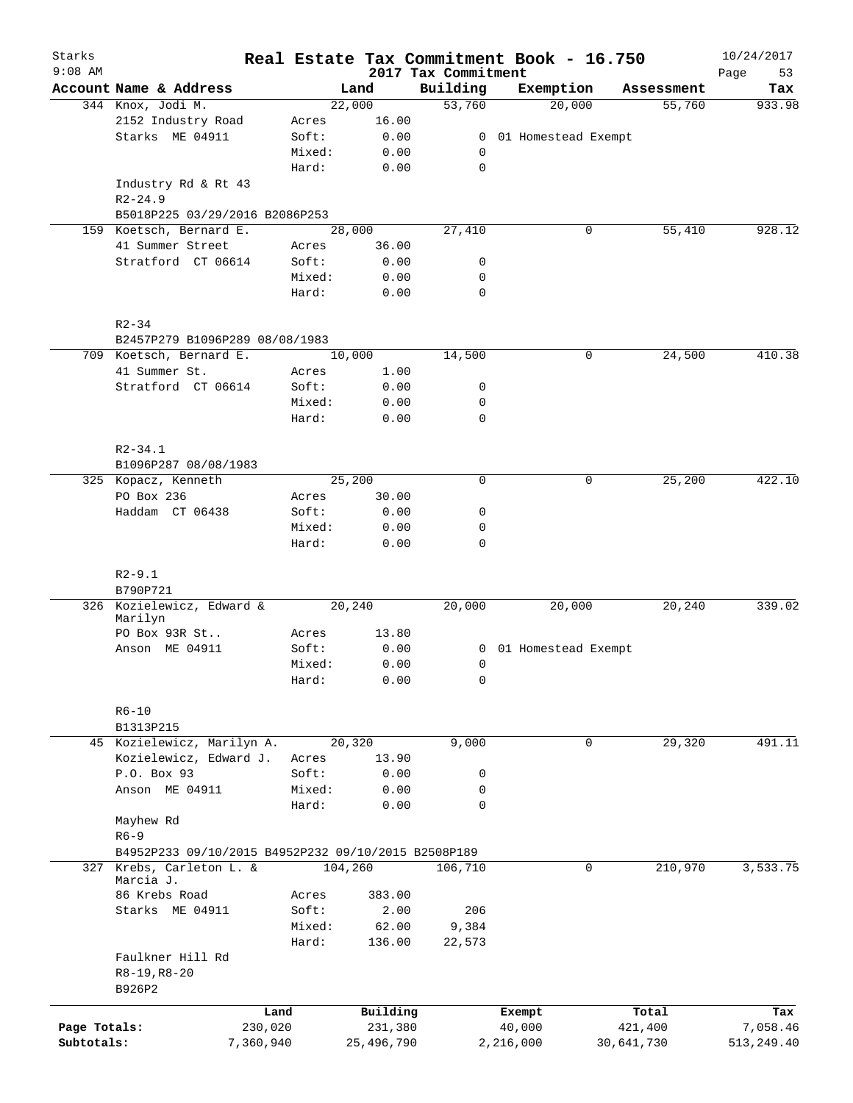| Starks<br>$9:08$ AM |                                                     |                 |              | 2017 Tax Commitment | Real Estate Tax Commitment Book - 16.750 |            | 10/24/2017<br>Page<br>53 |
|---------------------|-----------------------------------------------------|-----------------|--------------|---------------------|------------------------------------------|------------|--------------------------|
|                     | Account Name & Address                              |                 | Land         | Building            | Exemption                                | Assessment | Tax                      |
|                     | 344 Knox, Jodi M.                                   |                 | 22,000       | 53,760              | 20,000                                   | 55,760     | 933.98                   |
|                     | 2152 Industry Road                                  | Acres           | 16.00        |                     |                                          |            |                          |
|                     | Starks ME 04911                                     | Soft:           | 0.00         |                     | 0 01 Homestead Exempt                    |            |                          |
|                     |                                                     | Mixed:          | 0.00         | 0                   |                                          |            |                          |
|                     |                                                     | Hard:           | 0.00         | $\mathbf 0$         |                                          |            |                          |
|                     | Industry Rd & Rt 43<br>$R2 - 24.9$                  |                 |              |                     |                                          |            |                          |
|                     | B5018P225 03/29/2016 B2086P253                      |                 |              |                     |                                          |            |                          |
|                     | 159 Koetsch, Bernard E.                             |                 | 28,000       | 27,410              | 0                                        | 55,410     | 928.12                   |
|                     | 41 Summer Street                                    | Acres           | 36.00        |                     |                                          |            |                          |
|                     | Stratford CT 06614                                  | Soft:           | 0.00         | 0                   |                                          |            |                          |
|                     |                                                     | Mixed:          | 0.00         | $\mathbf 0$         |                                          |            |                          |
|                     |                                                     | Hard:           | 0.00         | 0                   |                                          |            |                          |
|                     | $R2 - 34$                                           |                 |              |                     |                                          |            |                          |
|                     | B2457P279 B1096P289 08/08/1983                      |                 |              |                     |                                          |            |                          |
|                     | 709 Koetsch, Bernard E.                             |                 | 10,000       | 14,500              | 0                                        | 24,500     | 410.38                   |
|                     | 41 Summer St.                                       | Acres           | 1.00         |                     |                                          |            |                          |
|                     | Stratford CT 06614                                  | Soft:           | 0.00         | 0                   |                                          |            |                          |
|                     |                                                     | Mixed:          | 0.00         | 0                   |                                          |            |                          |
|                     |                                                     | Hard:           | 0.00         | 0                   |                                          |            |                          |
|                     | $R2 - 34.1$<br>B1096P287 08/08/1983                 |                 |              |                     |                                          |            |                          |
|                     | 325 Kopacz, Kenneth                                 |                 | 25,200       | $\mathbf 0$         | 0                                        | 25,200     | 422.10                   |
|                     | PO Box 236                                          | Acres           | 30.00        |                     |                                          |            |                          |
|                     | Haddam CT 06438                                     | Soft:           | 0.00         | 0                   |                                          |            |                          |
|                     |                                                     | Mixed:          | 0.00         | 0                   |                                          |            |                          |
|                     |                                                     | Hard:           | 0.00         | $\mathbf 0$         |                                          |            |                          |
|                     | $R2 - 9.1$                                          |                 |              |                     |                                          |            |                          |
|                     | B790P721                                            |                 |              |                     |                                          |            |                          |
|                     | 326 Kozielewicz, Edward &<br>Marilyn                |                 | 20,240       | 20,000              | 20,000                                   | 20,240     | 339.02                   |
|                     | PO Box 93R St                                       | Acres           | 13.80        |                     |                                          |            |                          |
|                     | Anson ME 04911                                      | Soft:           | 0.00         | $\mathbf{0}$        | 01 Homestead Exempt                      |            |                          |
|                     |                                                     | Mixed:<br>Hard: | 0.00<br>0.00 | 0<br>0              |                                          |            |                          |
|                     | $R6 - 10$                                           |                 |              |                     |                                          |            |                          |
|                     | B1313P215                                           |                 |              |                     |                                          |            |                          |
|                     | 45 Kozielewicz, Marilyn A.                          |                 | 20,320       | 9,000               | 0                                        | 29,320     | 491.11                   |
|                     | Kozielewicz, Edward J.                              | Acres           | 13.90        |                     |                                          |            |                          |
|                     | P.O. Box 93                                         | Soft:           | 0.00         | 0                   |                                          |            |                          |
|                     | Anson ME 04911                                      | Mixed:          | 0.00         | $\mathbf 0$         |                                          |            |                          |
|                     |                                                     | Hard:           | 0.00         | $\mathbf 0$         |                                          |            |                          |
|                     | Mayhew Rd                                           |                 |              |                     |                                          |            |                          |
|                     | $R6 - 9$                                            |                 |              |                     |                                          |            |                          |
|                     | B4952P233 09/10/2015 B4952P232 09/10/2015 B2508P189 |                 |              |                     |                                          |            |                          |
|                     | 327 Krebs, Carleton L. &                            |                 | 104, 260     | 106,710             | 0                                        | 210,970    | 3,533.75                 |
|                     | Marcia J.                                           |                 |              |                     |                                          |            |                          |
|                     | 86 Krebs Road                                       | Acres           | 383.00       |                     |                                          |            |                          |
|                     | Starks ME 04911                                     | Soft:           | 2.00         | 206                 |                                          |            |                          |
|                     |                                                     | Mixed:          | 62.00        | 9,384               |                                          |            |                          |
|                     |                                                     | Hard:           | 136.00       | 22,573              |                                          |            |                          |
|                     | Faulkner Hill Rd                                    |                 |              |                     |                                          |            |                          |
|                     | $R8-19, R8-20$                                      |                 |              |                     |                                          |            |                          |
|                     | B926P2                                              |                 |              |                     |                                          |            |                          |
|                     |                                                     | Land            | Building     |                     | Exempt                                   | Total      | Tax                      |
| Page Totals:        |                                                     | 230,020         | 231,380      |                     | 40,000                                   | 421,400    | 7,058.46                 |
| Subtotals:          |                                                     | 7,360,940       | 25,496,790   |                     | 2,216,000                                | 30,641,730 | 513, 249.40              |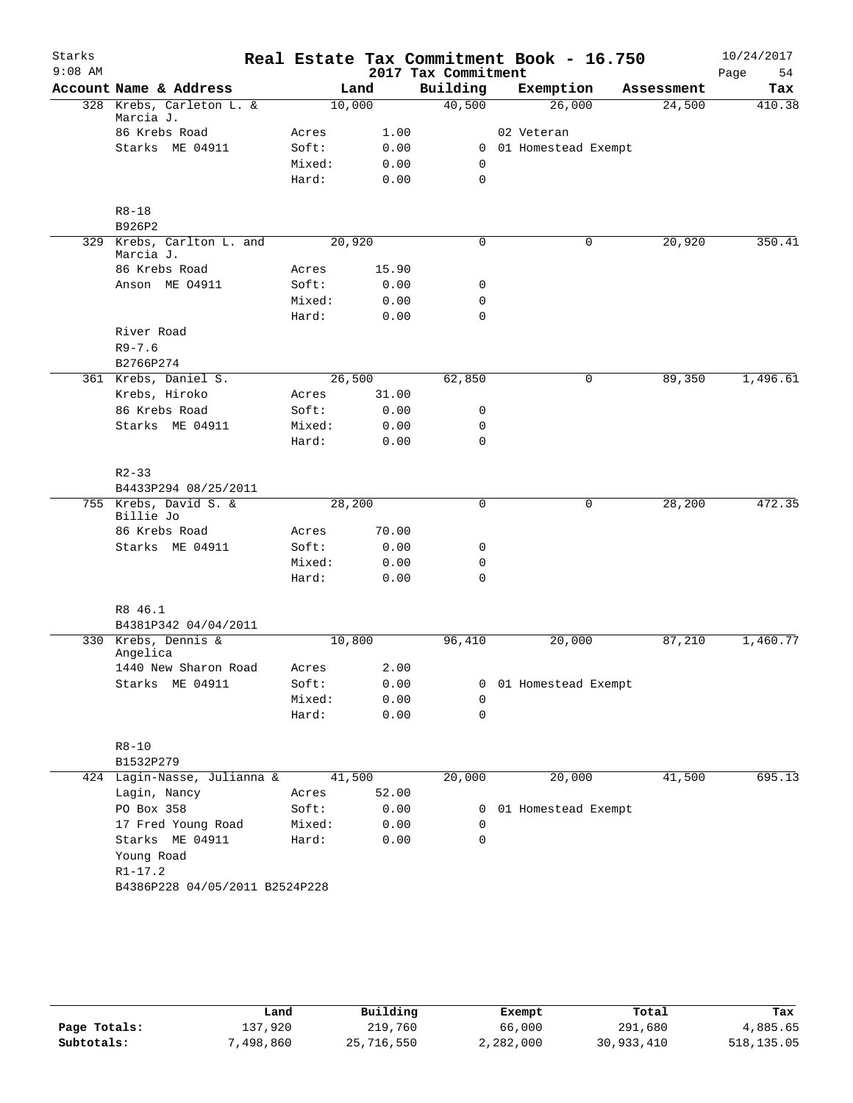| Starks<br>$9:08$ AM |                                    |                |        | 2017 Tax Commitment | Real Estate Tax Commitment Book - 16.750 |            | 10/24/2017<br>Page<br>54 |
|---------------------|------------------------------------|----------------|--------|---------------------|------------------------------------------|------------|--------------------------|
|                     | Account Name & Address             |                | Land   | Building            | Exemption                                | Assessment | Tax                      |
|                     | 328 Krebs, Carleton L. &           | 10,000         |        | 40,500              | 26,000                                   | 24,500     | 410.38                   |
|                     | Marcia J.<br>86 Krebs Road         |                | 1.00   |                     | 02 Veteran                               |            |                          |
|                     | Starks ME 04911                    | Acres<br>Soft: | 0.00   |                     | 0 01 Homestead Exempt                    |            |                          |
|                     |                                    | Mixed:         | 0.00   | 0                   |                                          |            |                          |
|                     |                                    | Hard:          | 0.00   | $\mathbf 0$         |                                          |            |                          |
|                     |                                    |                |        |                     |                                          |            |                          |
|                     | $R8 - 18$                          |                |        |                     |                                          |            |                          |
|                     | B926P2                             |                |        |                     |                                          |            |                          |
|                     | 329 Krebs, Carlton L. and          | 20,920         |        | 0                   | 0                                        | 20,920     | 350.41                   |
|                     | Marcia J.                          |                |        |                     |                                          |            |                          |
|                     | 86 Krebs Road                      | Acres          | 15.90  |                     |                                          |            |                          |
|                     | Anson ME 04911                     | Soft:          | 0.00   | 0                   |                                          |            |                          |
|                     |                                    | Mixed:         | 0.00   | 0                   |                                          |            |                          |
|                     |                                    | Hard:          | 0.00   | 0                   |                                          |            |                          |
|                     | River Road<br>$R9 - 7.6$           |                |        |                     |                                          |            |                          |
|                     | B2766P274                          |                |        |                     |                                          |            |                          |
|                     | 361 Krebs, Daniel S.               | 26,500         |        | 62,850              | 0                                        | 89,350     | 1,496.61                 |
|                     | Krebs, Hiroko                      | Acres          | 31.00  |                     |                                          |            |                          |
|                     | 86 Krebs Road                      | Soft:          | 0.00   | 0                   |                                          |            |                          |
|                     | Starks ME 04911                    | Mixed:         | 0.00   | 0                   |                                          |            |                          |
|                     |                                    | Hard:          | 0.00   | 0                   |                                          |            |                          |
|                     |                                    |                |        |                     |                                          |            |                          |
|                     | $R2 - 33$                          |                |        |                     |                                          |            |                          |
|                     | B4433P294 08/25/2011               |                |        |                     |                                          |            |                          |
|                     | 755 Krebs, David S. &<br>Billie Jo |                | 28,200 |                     | 0                                        | 28,200     | 472.35                   |
|                     | 86 Krebs Road                      | Acres          | 70.00  |                     |                                          |            |                          |
|                     | Starks ME 04911                    | Soft:          | 0.00   | 0                   |                                          |            |                          |
|                     |                                    | Mixed:         | 0.00   | 0                   |                                          |            |                          |
|                     |                                    | Hard:          | 0.00   | $\mathbf 0$         |                                          |            |                          |
|                     | R8 46.1                            |                |        |                     |                                          |            |                          |
|                     | B4381P342 04/04/2011               |                |        |                     |                                          |            |                          |
|                     | 330 Krebs, Dennis &<br>Angelica    | 10,800         |        | 96,410              | 20,000                                   | 87,210     | 1,460.77                 |
|                     | 1440 New Sharon Road               | Acres          | 2.00   |                     |                                          |            |                          |
|                     | Starks ME 04911                    | Soft:          | 0.00   | 0                   | 01 Homestead Exempt                      |            |                          |
|                     |                                    | Mixed:         | 0.00   | 0                   |                                          |            |                          |
|                     |                                    | Hard:          | 0.00   | 0                   |                                          |            |                          |
|                     |                                    |                |        |                     |                                          |            |                          |
|                     | $R8 - 10$                          |                |        |                     |                                          |            |                          |
|                     | B1532P279                          |                |        |                     |                                          |            |                          |
|                     | 424 Lagin-Nasse, Julianna &        | 41,500         |        | 20,000              | 20,000                                   | 41,500     | 695.13                   |
|                     | Lagin, Nancy                       | Acres          | 52.00  |                     |                                          |            |                          |
|                     | PO Box 358                         | Soft:          | 0.00   |                     | 0 01 Homestead Exempt                    |            |                          |
|                     | 17 Fred Young Road                 | Mixed:         | 0.00   | 0                   |                                          |            |                          |
|                     | Starks ME 04911                    | Hard:          | 0.00   | $\mathsf{O}$        |                                          |            |                          |
|                     | Young Road                         |                |        |                     |                                          |            |                          |
|                     | $R1 - 17.2$                        |                |        |                     |                                          |            |                          |
|                     | B4386P228 04/05/2011 B2524P228     |                |        |                     |                                          |            |                          |
|                     |                                    |                |        |                     |                                          |            |                          |
|                     |                                    |                |        |                     |                                          |            |                          |

|              | Land      | Building   | Exempt    | Total      | Tax        |
|--------------|-----------|------------|-----------|------------|------------|
| Page Totals: | 137,920   | 219,760    | 66,000    | 291,680    | 4,885.65   |
| Subtotals:   | 7,498,860 | 25,716,550 | 2,282,000 | 30,933,410 | 518,135.05 |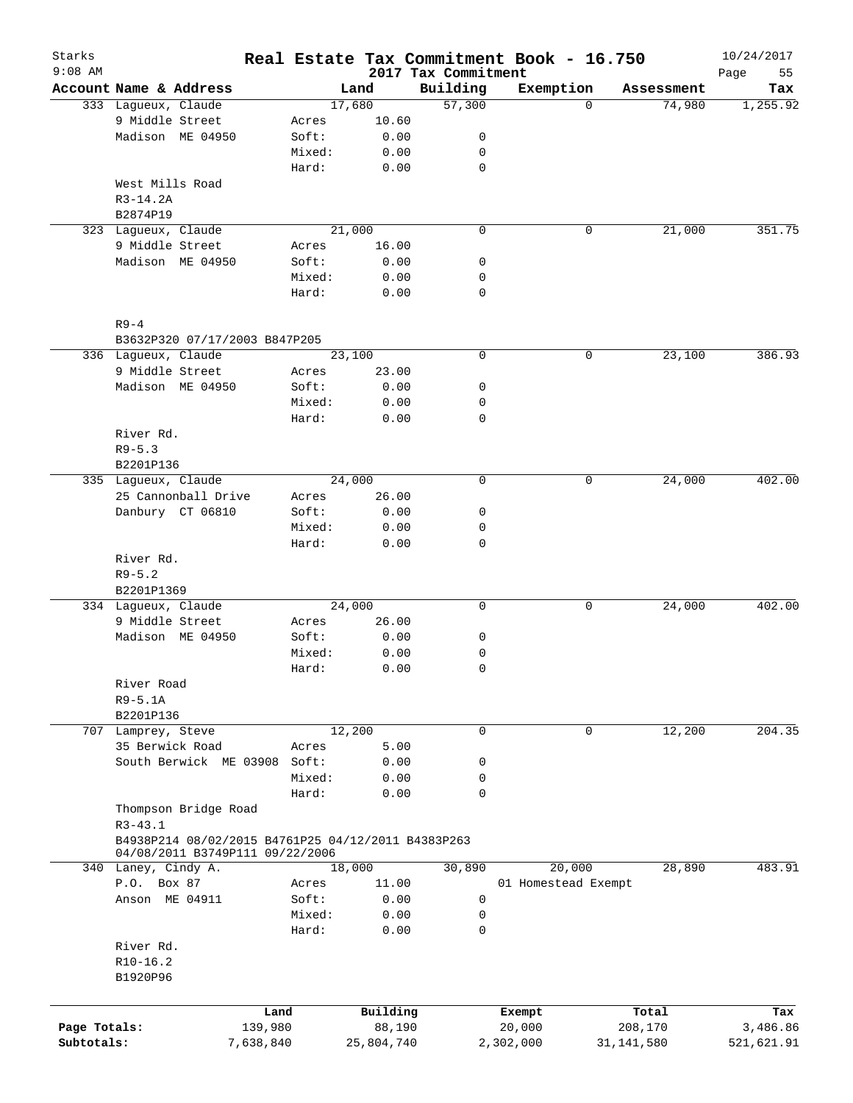| Starks<br>$9:08$ AM |                                                                                       |           |        |            |                                 | Real Estate Tax Commitment Book - 16.750 |            |            | 10/24/2017        |
|---------------------|---------------------------------------------------------------------------------------|-----------|--------|------------|---------------------------------|------------------------------------------|------------|------------|-------------------|
|                     | Account Name & Address                                                                |           |        | Land       | 2017 Tax Commitment<br>Building | Exemption                                |            | Assessment | Page<br>55<br>Tax |
|                     | 333 Lagueux, Claude                                                                   |           | 17,680 |            | 57,300                          |                                          | $\Omega$   | 74,980     | 1,255.92          |
|                     | 9 Middle Street                                                                       | Acres     |        | 10.60      |                                 |                                          |            |            |                   |
|                     | Madison ME 04950                                                                      | Soft:     |        | 0.00       | 0                               |                                          |            |            |                   |
|                     |                                                                                       | Mixed:    |        | 0.00       | 0                               |                                          |            |            |                   |
|                     |                                                                                       | Hard:     |        | 0.00       | $\mathbf 0$                     |                                          |            |            |                   |
|                     | West Mills Road                                                                       |           |        |            |                                 |                                          |            |            |                   |
|                     | $R3-14.2A$                                                                            |           |        |            |                                 |                                          |            |            |                   |
|                     | B2874P19                                                                              |           |        |            |                                 |                                          |            |            |                   |
|                     | 323 Lagueux, Claude                                                                   |           | 21,000 |            | $\mathbf 0$                     |                                          | 0          | 21,000     | 351.75            |
|                     | 9 Middle Street                                                                       | Acres     |        | 16.00      |                                 |                                          |            |            |                   |
|                     | Madison ME 04950                                                                      | Soft:     |        | 0.00       | 0                               |                                          |            |            |                   |
|                     |                                                                                       | Mixed:    |        | 0.00       | 0                               |                                          |            |            |                   |
|                     |                                                                                       | Hard:     |        | 0.00       | $\mathbf 0$                     |                                          |            |            |                   |
|                     |                                                                                       |           |        |            |                                 |                                          |            |            |                   |
|                     | $R9 - 4$<br>B3632P320 07/17/2003 B847P205                                             |           |        |            |                                 |                                          |            |            |                   |
|                     | 336 Lagueux, Claude                                                                   |           | 23,100 |            | $\mathbf 0$                     |                                          | 0          | 23,100     | 386.93            |
|                     | 9 Middle Street                                                                       | Acres     |        | 23.00      |                                 |                                          |            |            |                   |
|                     | Madison ME 04950                                                                      | Soft:     |        | 0.00       | 0                               |                                          |            |            |                   |
|                     |                                                                                       | Mixed:    |        | 0.00       | 0                               |                                          |            |            |                   |
|                     |                                                                                       | Hard:     |        | 0.00       | $\mathbf 0$                     |                                          |            |            |                   |
|                     | River Rd.                                                                             |           |        |            |                                 |                                          |            |            |                   |
|                     | $R9 - 5.3$                                                                            |           |        |            |                                 |                                          |            |            |                   |
|                     | B2201P136                                                                             |           |        |            |                                 |                                          |            |            |                   |
|                     | 335 Lagueux, Claude                                                                   |           | 24,000 |            | $\mathbf 0$                     |                                          | 0          | 24,000     | 402.00            |
|                     | 25 Cannonball Drive                                                                   | Acres     |        | 26.00      |                                 |                                          |            |            |                   |
|                     | Danbury CT 06810                                                                      | Soft:     |        | 0.00       | 0                               |                                          |            |            |                   |
|                     |                                                                                       | Mixed:    |        | 0.00       | 0                               |                                          |            |            |                   |
|                     |                                                                                       | Hard:     |        | 0.00       | $\mathbf 0$                     |                                          |            |            |                   |
|                     | River Rd.                                                                             |           |        |            |                                 |                                          |            |            |                   |
|                     | $R9 - 5.2$                                                                            |           |        |            |                                 |                                          |            |            |                   |
|                     | B2201P1369                                                                            |           |        |            |                                 |                                          |            |            |                   |
|                     | 334 Lagueux, Claude                                                                   |           | 24,000 |            | 0                               |                                          | 0          | 24,000     | 402.00            |
|                     | 9 Middle Street                                                                       | Acres     |        | 26.00      |                                 |                                          |            |            |                   |
|                     | Madison ME 04950                                                                      | Soft:     |        | 0.00       | 0                               |                                          |            |            |                   |
|                     |                                                                                       | Mixed:    |        | 0.00       | 0                               |                                          |            |            |                   |
|                     |                                                                                       | Hard:     |        | 0.00       | 0                               |                                          |            |            |                   |
|                     | River Road                                                                            |           |        |            |                                 |                                          |            |            |                   |
|                     | $R9-5.1A$                                                                             |           |        |            |                                 |                                          |            |            |                   |
|                     | B2201P136                                                                             |           |        |            |                                 |                                          |            |            |                   |
| 707                 | Lamprey, Steve                                                                        |           | 12,200 |            | 0                               |                                          | 0          | 12,200     | 204.35            |
|                     | 35 Berwick Road                                                                       | Acres     |        | 5.00       |                                 |                                          |            |            |                   |
|                     | South Berwick ME 03908                                                                | Soft:     |        | 0.00       | 0                               |                                          |            |            |                   |
|                     |                                                                                       | Mixed:    |        | 0.00       | 0                               |                                          |            |            |                   |
|                     |                                                                                       | Hard:     |        | 0.00       | $\mathbf 0$                     |                                          |            |            |                   |
|                     | Thompson Bridge Road                                                                  |           |        |            |                                 |                                          |            |            |                   |
|                     | $R3 - 43.1$                                                                           |           |        |            |                                 |                                          |            |            |                   |
|                     | B4938P214 08/02/2015 B4761P25 04/12/2011 B4383P263<br>04/08/2011 B3749P111 09/22/2006 |           |        |            |                                 |                                          |            |            |                   |
|                     | 340 Laney, Cindy A.                                                                   |           | 18,000 |            | 30,890                          | 20,000                                   |            | 28,890     | 483.91            |
|                     | P.O. Box 87                                                                           | Acres     |        | 11.00      |                                 | 01 Homestead Exempt                      |            |            |                   |
|                     | Anson ME 04911                                                                        | Soft:     |        | 0.00       | 0                               |                                          |            |            |                   |
|                     |                                                                                       | Mixed:    |        | 0.00       | 0                               |                                          |            |            |                   |
|                     |                                                                                       | Hard:     |        | 0.00       | 0                               |                                          |            |            |                   |
|                     | River Rd.                                                                             |           |        |            |                                 |                                          |            |            |                   |
|                     | $R10-16.2$                                                                            |           |        |            |                                 |                                          |            |            |                   |
|                     | B1920P96                                                                              |           |        |            |                                 |                                          |            |            |                   |
|                     |                                                                                       |           |        |            |                                 |                                          |            |            |                   |
|                     |                                                                                       | Land      |        | Building   |                                 | Exempt                                   |            | Total      | Tax               |
| Page Totals:        |                                                                                       | 139,980   |        | 88,190     |                                 | 20,000                                   |            | 208,170    | 3,486.86          |
| Subtotals:          |                                                                                       | 7,638,840 |        | 25,804,740 |                                 | 2,302,000                                | 31,141,580 |            | 521,621.91        |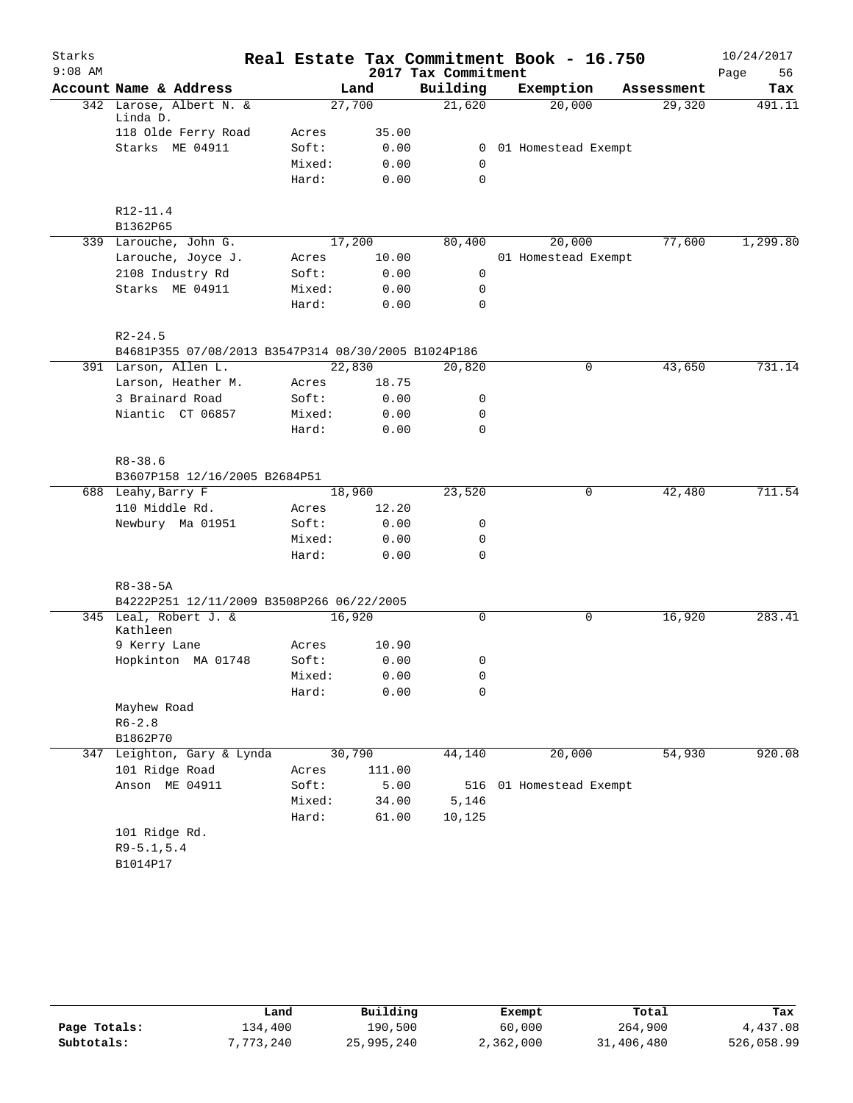| Starks    |                                                     |                |                                 |                            | Real Estate Tax Commitment Book - 16.750 |            | 10/24/2017 |
|-----------|-----------------------------------------------------|----------------|---------------------------------|----------------------------|------------------------------------------|------------|------------|
| $9:08$ AM |                                                     |                |                                 | 2017 Tax Commitment        |                                          |            | Page<br>56 |
|           | Account Name & Address                              |                | Land                            | Building                   | Exemption                                | Assessment | Tax        |
|           | 342 Larose, Albert N. &                             | 27,700         |                                 | 21,620                     | 20,000                                   | 29,320     | 491.11     |
|           | Linda D.                                            |                |                                 |                            |                                          |            |            |
|           | 118 Olde Ferry Road                                 | Acres<br>Soft: | 35.00                           |                            |                                          |            |            |
|           | Starks ME 04911                                     |                | 0.00                            |                            | 0 01 Homestead Exempt                    |            |            |
|           |                                                     | Mixed:         | 0.00                            | $\mathbf 0$<br>$\mathbf 0$ |                                          |            |            |
|           |                                                     | Hard:          | 0.00                            |                            |                                          |            |            |
|           | R12-11.4                                            |                |                                 |                            |                                          |            |            |
|           | B1362P65                                            |                |                                 |                            |                                          |            |            |
|           | 339 Larouche, John G.                               | 17,200         |                                 | 80,400                     | 20,000                                   | 77,600     | 1,299.80   |
|           | Larouche, Joyce J.                                  | Acres          | 10.00                           |                            | 01 Homestead Exempt                      |            |            |
|           | 2108 Industry Rd                                    | Soft:          | 0.00                            | $\mathbf 0$                |                                          |            |            |
|           | Starks ME 04911                                     | Mixed:         | 0.00                            | 0                          |                                          |            |            |
|           |                                                     | Hard:          | 0.00                            | $\mathbf 0$                |                                          |            |            |
|           |                                                     |                |                                 |                            |                                          |            |            |
|           | $R2 - 24.5$                                         |                |                                 |                            |                                          |            |            |
|           | B4681P355 07/08/2013 B3547P314 08/30/2005 B1024P186 |                |                                 |                            |                                          |            |            |
|           | 391 Larson, Allen L.                                | 22,830         |                                 | 20,820                     | 0                                        | 43,650     | 731.14     |
|           | Larson, Heather M.                                  | Acres          | 18.75                           |                            |                                          |            |            |
|           | 3 Brainard Road                                     | Soft:          | 0.00                            | 0                          |                                          |            |            |
|           | Niantic CT 06857                                    | Mixed:         | 0.00                            | 0                          |                                          |            |            |
|           |                                                     | Hard:          | 0.00                            | $\mathbf 0$                |                                          |            |            |
|           |                                                     |                |                                 |                            |                                          |            |            |
|           | $R8 - 38.6$                                         |                |                                 |                            |                                          |            |            |
|           | B3607P158 12/16/2005 B2684P51                       |                |                                 |                            |                                          |            |            |
|           | 688 Leahy, Barry F                                  | 18,960         |                                 | 23,520                     | 0                                        | 42,480     | 711.54     |
|           | 110 Middle Rd.                                      | Acres          | 12.20                           |                            |                                          |            |            |
|           | Newbury Ma 01951                                    | Soft:          | 0.00                            | 0                          |                                          |            |            |
|           |                                                     | Mixed:         | 0.00                            | 0                          |                                          |            |            |
|           |                                                     | Hard:          | 0.00                            | $\mathbf 0$                |                                          |            |            |
|           | $R8 - 38 - 5A$                                      |                |                                 |                            |                                          |            |            |
|           | B4222P251 12/11/2009 B3508P266 06/22/2005           |                |                                 |                            |                                          |            |            |
|           | 345 Leal, Robert J. &                               | 16,920         |                                 | 0                          | 0                                        | 16,920     | 283.41     |
|           | Kathleen                                            |                |                                 |                            |                                          |            |            |
|           | 9 Kerry Lane                                        | Acres          | 10.90                           |                            |                                          |            |            |
|           | Hopkinton MA 01748                                  | Soft:          | 0.00                            | 0                          |                                          |            |            |
|           |                                                     | Mixed:         | ${\bf 0}$ . ${\bf 0}$ ${\bf 0}$ | 0                          |                                          |            |            |
|           |                                                     | Hard:          | 0.00                            | 0                          |                                          |            |            |
|           | Mayhew Road                                         |                |                                 |                            |                                          |            |            |
|           | $R6 - 2.8$                                          |                |                                 |                            |                                          |            |            |
|           | B1862P70                                            |                |                                 |                            |                                          |            |            |
| 347       | Leighton, Gary & Lynda                              | 30,790         |                                 | 44,140                     | 20,000                                   | 54,930     | 920.08     |
|           | 101 Ridge Road                                      | Acres          | 111.00                          |                            |                                          |            |            |
|           | Anson ME 04911                                      | Soft:          | 5.00                            | 516                        | 01 Homestead Exempt                      |            |            |
|           |                                                     | Mixed:         | 34.00                           | 5,146                      |                                          |            |            |
|           |                                                     | Hard:          | 61.00                           | 10,125                     |                                          |            |            |
|           | 101 Ridge Rd.                                       |                |                                 |                            |                                          |            |            |
|           | $R9 - 5.1, 5.4$                                     |                |                                 |                            |                                          |            |            |
|           | B1014P17                                            |                |                                 |                            |                                          |            |            |
|           |                                                     |                |                                 |                            |                                          |            |            |

|              | Land      | Building   | Exempt    | Total      | Tax        |
|--------------|-----------|------------|-----------|------------|------------|
| Page Totals: | 134,400   | 190,500    | 60,000    | 264,900    | 4,437.08   |
| Subtotals:   | 7.773.240 | 25,995,240 | 2,362,000 | 31,406,480 | 526,058.99 |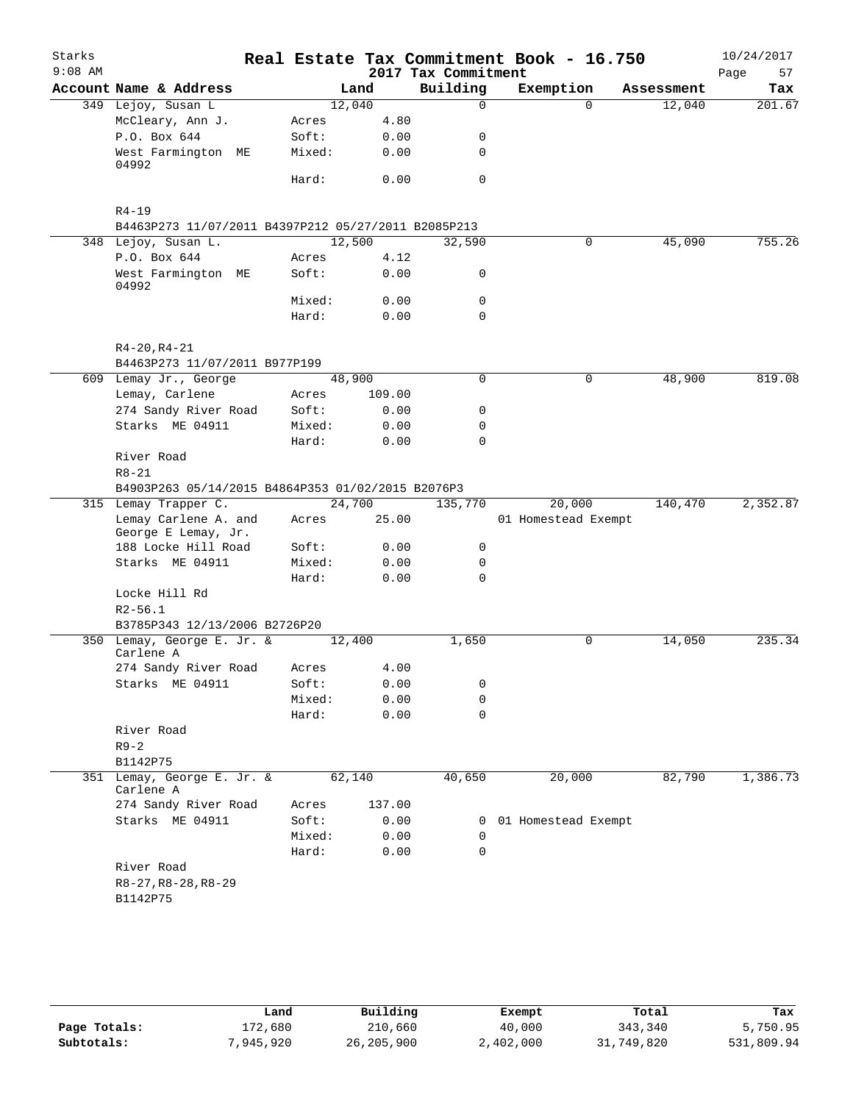| Starks<br>$9:08$ AM |                                                     |        |              | 2017 Tax Commitment | Real Estate Tax Commitment Book - 16.750 |            | 10/24/2017<br>Page<br>57 |
|---------------------|-----------------------------------------------------|--------|--------------|---------------------|------------------------------------------|------------|--------------------------|
|                     | Account Name & Address                              |        | Land         | Building            | Exemption                                | Assessment | Tax                      |
|                     | 349 Lejoy, Susan L                                  | 12,040 |              | $\Omega$            | $\Omega$                                 | 12,040     | 201.67                   |
|                     | McCleary, Ann J.                                    | Acres  | 4.80         |                     |                                          |            |                          |
|                     | P.O. Box 644                                        | Soft:  | 0.00         | 0                   |                                          |            |                          |
|                     | West Farmington ME                                  | Mixed: | 0.00         | $\mathbf 0$         |                                          |            |                          |
|                     | 04992                                               | Hard:  | 0.00         | $\mathbf 0$         |                                          |            |                          |
|                     | $R4 - 19$                                           |        |              |                     |                                          |            |                          |
|                     | B4463P273 11/07/2011 B4397P212 05/27/2011 B2085P213 |        |              |                     |                                          |            |                          |
|                     | 348 Lejoy, Susan L.                                 | 12,500 |              | 32,590              | 0                                        | 45,090     | 755.26                   |
|                     | P.O. Box 644                                        | Acres  | 4.12         |                     |                                          |            |                          |
|                     | West Farmington ME<br>04992                         | Soft:  | 0.00         | 0                   |                                          |            |                          |
|                     |                                                     | Mixed: | 0.00         | 0                   |                                          |            |                          |
|                     |                                                     | Hard:  | 0.00         | $\mathbf 0$         |                                          |            |                          |
|                     | $R4 - 20, R4 - 21$                                  |        |              |                     |                                          |            |                          |
|                     | B4463P273 11/07/2011 B977P199                       |        |              |                     |                                          |            |                          |
|                     | 609 Lemay Jr., George                               | 48,900 |              | $\mathbf 0$         | 0                                        | 48,900     | 819.08                   |
|                     | Lemay, Carlene                                      | Acres  | 109.00       |                     |                                          |            |                          |
|                     | 274 Sandy River Road                                | Soft:  | 0.00         | 0                   |                                          |            |                          |
|                     | Starks ME 04911                                     | Mixed: | 0.00         | 0                   |                                          |            |                          |
|                     |                                                     | Hard:  | 0.00         | $\Omega$            |                                          |            |                          |
|                     | River Road                                          |        |              |                     |                                          |            |                          |
|                     | $R8 - 21$                                           |        |              |                     |                                          |            |                          |
|                     | B4903P263 05/14/2015 B4864P353 01/02/2015 B2076P3   |        |              |                     |                                          |            |                          |
|                     | 315 Lemay Trapper C.                                | 24,700 |              | 135,770             | 20,000                                   | 140,470    | 2,352.87                 |
|                     | Lemay Carlene A. and<br>George E Lemay, Jr.         | Acres  | 25.00        |                     | 01 Homestead Exempt                      |            |                          |
|                     | 188 Locke Hill Road                                 | Soft:  | 0.00         | 0                   |                                          |            |                          |
|                     | Starks ME 04911                                     | Mixed: | 0.00         | $\mathbf 0$         |                                          |            |                          |
|                     |                                                     | Hard:  | 0.00         | $\Omega$            |                                          |            |                          |
|                     | Locke Hill Rd<br>$R2 - 56.1$                        |        |              |                     |                                          |            |                          |
|                     | B3785P343 12/13/2006 B2726P20                       |        |              |                     |                                          |            |                          |
|                     | 350 Lemay, George E. Jr. &<br>Carlene A             | 12,400 |              | 1,650               | 0                                        | 14,050     | 235.34                   |
|                     | 274 Sandy River Road                                | Acres  | $4\,.\,0\,0$ |                     |                                          |            |                          |
|                     | Starks ME 04911                                     | Soft:  | 0.00         | 0                   |                                          |            |                          |
|                     |                                                     | Mixed: | 0.00         | 0                   |                                          |            |                          |
|                     |                                                     | Hard:  | 0.00         | 0                   |                                          |            |                          |
|                     | River Road                                          |        |              |                     |                                          |            |                          |
|                     | $R9 - 2$                                            |        |              |                     |                                          |            |                          |
|                     | B1142P75                                            |        |              |                     |                                          |            |                          |
| 351                 | Lemay, George E. Jr. &<br>Carlene A                 | 62,140 |              | 40,650              | 20,000                                   | 82,790     | 1,386.73                 |
|                     | 274 Sandy River Road                                | Acres  | 137.00       |                     |                                          |            |                          |
|                     | Starks ME 04911                                     | Soft:  | 0.00         | 0                   | 01 Homestead Exempt                      |            |                          |
|                     |                                                     | Mixed: | 0.00         | 0                   |                                          |            |                          |
|                     |                                                     | Hard:  | 0.00         | 0                   |                                          |            |                          |
|                     | River Road<br>$R8-27, R8-28, R8-29$                 |        |              |                     |                                          |            |                          |
|                     | B1142P75                                            |        |              |                     |                                          |            |                          |
|                     |                                                     |        |              |                     |                                          |            |                          |
|                     |                                                     |        |              |                     |                                          |            |                          |
|                     |                                                     |        |              |                     |                                          |            |                          |

|              | Land      | Building     | Exempt    | Total      | Tax        |
|--------------|-----------|--------------|-----------|------------|------------|
| Page Totals: | 172,680   | 210,660      | 40,000    | 343,340    | 5,750.95   |
| Subtotals:   | 7,945,920 | 26, 205, 900 | 2,402,000 | 31,749,820 | 531,809.94 |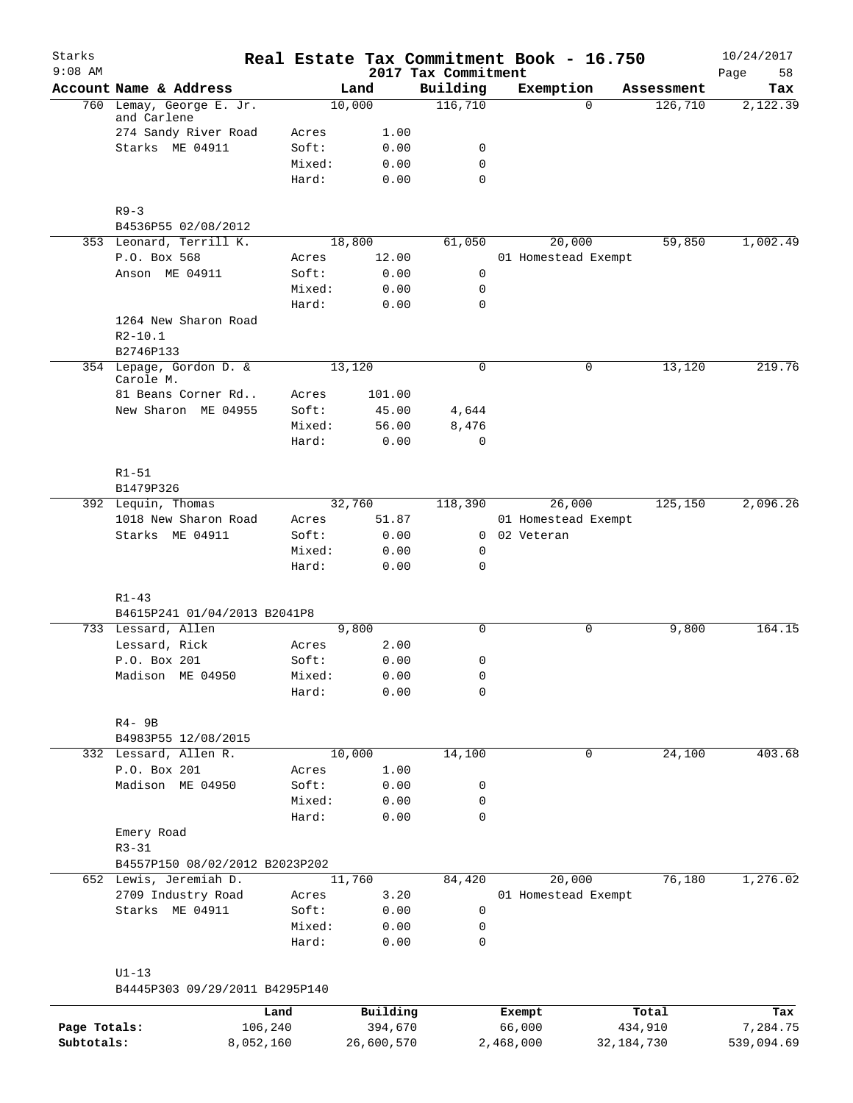| Starks       |                                |        |          |                                 | Real Estate Tax Commitment Book - 16.750 |          |            | 10/24/2017        |
|--------------|--------------------------------|--------|----------|---------------------------------|------------------------------------------|----------|------------|-------------------|
| $9:08$ AM    | Account Name & Address         |        | Land     | 2017 Tax Commitment<br>Building | Exemption                                |          | Assessment | Page<br>58<br>Tax |
|              | 760 Lemay, George E. Jr.       |        | 10,000   | 116,710                         |                                          | $\Omega$ | 126,710    | 2,122.39          |
|              | and Carlene                    |        |          |                                 |                                          |          |            |                   |
|              | 274 Sandy River Road           | Acres  | 1.00     |                                 |                                          |          |            |                   |
|              | Starks ME 04911                | Soft:  | 0.00     | 0                               |                                          |          |            |                   |
|              |                                | Mixed: | 0.00     | 0                               |                                          |          |            |                   |
|              |                                | Hard:  | 0.00     | $\Omega$                        |                                          |          |            |                   |
|              | $R9 - 3$                       |        |          |                                 |                                          |          |            |                   |
|              | B4536P55 02/08/2012            |        |          |                                 |                                          |          |            |                   |
|              | 353 Leonard, Terrill K.        |        | 18,800   | 61,050                          | 20,000                                   |          | 59,850     | 1,002.49          |
|              | P.O. Box 568                   | Acres  | 12.00    |                                 | 01 Homestead Exempt                      |          |            |                   |
|              | Anson ME 04911                 | Soft:  | 0.00     | $\mathbf 0$                     |                                          |          |            |                   |
|              |                                | Mixed: | 0.00     | $\mathbf 0$                     |                                          |          |            |                   |
|              |                                | Hard:  | 0.00     | $\mathbf 0$                     |                                          |          |            |                   |
|              | 1264 New Sharon Road           |        |          |                                 |                                          |          |            |                   |
|              | $R2 - 10.1$                    |        |          |                                 |                                          |          |            |                   |
|              | B2746P133                      |        |          |                                 |                                          |          |            |                   |
|              | 354 Lepage, Gordon D. &        |        | 13,120   | $\mathbf 0$                     |                                          | 0        | 13,120     | 219.76            |
|              | Carole M.                      |        |          |                                 |                                          |          |            |                   |
|              | 81 Beans Corner Rd             | Acres  | 101.00   |                                 |                                          |          |            |                   |
|              | New Sharon ME 04955            | Soft:  | 45.00    | 4,644                           |                                          |          |            |                   |
|              |                                | Mixed: | 56.00    | 8,476                           |                                          |          |            |                   |
|              |                                | Hard:  | 0.00     | $\mathbf 0$                     |                                          |          |            |                   |
|              | $R1 - 51$                      |        |          |                                 |                                          |          |            |                   |
|              | B1479P326                      |        |          |                                 |                                          |          |            |                   |
|              | 392 Lequin, Thomas             |        | 32,760   | 118,390                         | 26,000                                   |          | 125,150    | 2,096.26          |
|              | 1018 New Sharon Road           | Acres  | 51.87    |                                 | 01 Homestead Exempt                      |          |            |                   |
|              | Starks ME 04911                | Soft:  | 0.00     |                                 | 0 02 Veteran                             |          |            |                   |
|              |                                | Mixed: | 0.00     | 0                               |                                          |          |            |                   |
|              |                                | Hard:  | 0.00     | $\mathbf 0$                     |                                          |          |            |                   |
|              |                                |        |          |                                 |                                          |          |            |                   |
|              | $R1 - 43$                      |        |          |                                 |                                          |          |            |                   |
|              | B4615P241 01/04/2013 B2041P8   |        |          |                                 |                                          |          |            |                   |
|              | 733 Lessard, Allen             |        | 9,800    | 0                               |                                          | 0        | 9,800      | 164.15            |
|              | Lessard, Rick                  | Acres  | 2.00     |                                 |                                          |          |            |                   |
|              | P.O. Box 201                   | Soft:  | 0.00     | 0                               |                                          |          |            |                   |
|              | Madison ME 04950               | Mixed: | 0.00     | 0                               |                                          |          |            |                   |
|              |                                | Hard:  | 0.00     | 0                               |                                          |          |            |                   |
|              | $R4 - 9B$                      |        |          |                                 |                                          |          |            |                   |
|              | B4983P55 12/08/2015            |        |          |                                 |                                          |          |            |                   |
|              | 332 Lessard, Allen R.          |        | 10,000   | 14,100                          |                                          | 0        | 24,100     | 403.68            |
|              | P.O. Box 201                   | Acres  | 1.00     |                                 |                                          |          |            |                   |
|              | Madison ME 04950               | Soft:  | 0.00     | 0                               |                                          |          |            |                   |
|              |                                | Mixed: | 0.00     | 0                               |                                          |          |            |                   |
|              |                                | Hard:  | 0.00     | $\mathbf 0$                     |                                          |          |            |                   |
|              | Emery Road                     |        |          |                                 |                                          |          |            |                   |
|              | $R3 - 31$                      |        |          |                                 |                                          |          |            |                   |
|              | B4557P150 08/02/2012 B2023P202 |        |          |                                 |                                          |          |            |                   |
|              | 652 Lewis, Jeremiah D.         |        | 11,760   | 84,420                          | 20,000                                   |          | 76,180     | 1,276.02          |
|              | 2709 Industry Road             | Acres  | 3.20     |                                 | 01 Homestead Exempt                      |          |            |                   |
|              | Starks ME 04911                | Soft:  | 0.00     | 0                               |                                          |          |            |                   |
|              |                                | Mixed: | 0.00     | 0                               |                                          |          |            |                   |
|              |                                | Hard:  | 0.00     | $\mathbf 0$                     |                                          |          |            |                   |
|              |                                |        |          |                                 |                                          |          |            |                   |
|              | $UI-13$                        |        |          |                                 |                                          |          |            |                   |
|              | B4445P303 09/29/2011 B4295P140 |        |          |                                 |                                          |          |            |                   |
|              |                                | Land   | Building |                                 | Exempt                                   |          | Total      | Tax               |
| Page Totals: | 106,240                        |        | 394,670  |                                 | 66,000                                   |          | 434,910    | 7,284.75          |

**Subtotals:** 8,052,160 26,600,570 2,468,000 32,184,730 539,094.69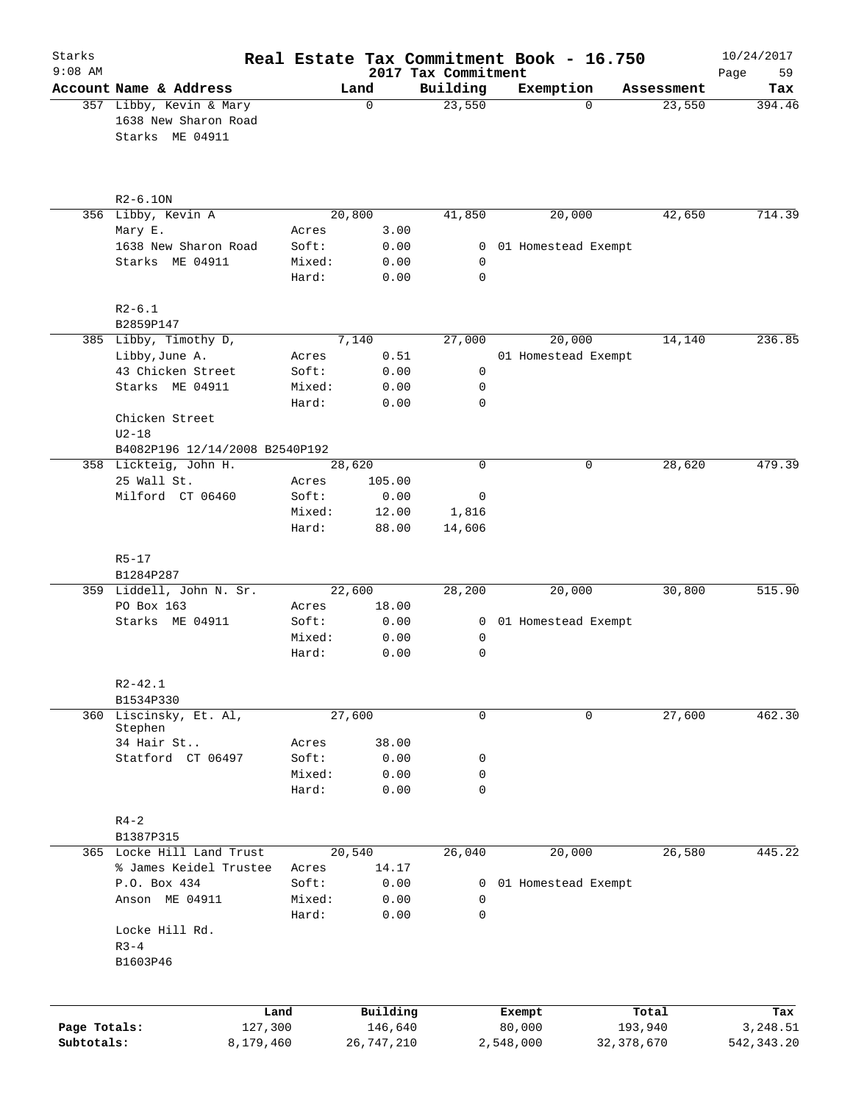| Starks<br>$9:08$ AM |                                                                    |                 |              |                                 | Real Estate Tax Commitment Book - 16.750 |              | 10/24/2017        |
|---------------------|--------------------------------------------------------------------|-----------------|--------------|---------------------------------|------------------------------------------|--------------|-------------------|
|                     | Account Name & Address                                             |                 | Land         | 2017 Tax Commitment<br>Building | Exemption                                | Assessment   | 59<br>Page<br>Tax |
|                     | 357 Libby, Kevin & Mary<br>1638 New Sharon Road<br>Starks ME 04911 |                 | 0            | 23,550                          | $\Omega$                                 | 23,550       | 394.46            |
|                     | $R2 - 6.10N$                                                       |                 |              |                                 |                                          |              |                   |
|                     | 356 Libby, Kevin A                                                 |                 | 20,800       | 41,850                          | 20,000                                   | 42,650       | 714.39            |
|                     | Mary E.                                                            | Acres           | 3.00         |                                 |                                          |              |                   |
|                     | 1638 New Sharon Road                                               | Soft:           | 0.00         |                                 | 0 01 Homestead Exempt                    |              |                   |
|                     | Starks ME 04911                                                    | Mixed:<br>Hard: | 0.00<br>0.00 | 0<br>0                          |                                          |              |                   |
|                     | $R2 - 6.1$<br>B2859P147                                            |                 |              |                                 |                                          |              |                   |
|                     | 385 Libby, Timothy D,                                              |                 | 7,140        | 27,000                          | 20,000                                   | 14,140       | 236.85            |
|                     | Libby, June A.                                                     | Acres           | 0.51         |                                 | 01 Homestead Exempt                      |              |                   |
|                     | 43 Chicken Street                                                  | Soft:           | 0.00         | 0                               |                                          |              |                   |
|                     | Starks ME 04911                                                    | Mixed:          | 0.00         | 0                               |                                          |              |                   |
|                     |                                                                    | Hard:           | 0.00         | 0                               |                                          |              |                   |
|                     | Chicken Street                                                     |                 |              |                                 |                                          |              |                   |
|                     | $U2-18$                                                            |                 |              |                                 |                                          |              |                   |
|                     | B4082P196 12/14/2008 B2540P192<br>358 Lickteig, John H.            |                 | 28,620       | $\mathbf 0$                     | 0                                        | 28,620       | 479.39            |
|                     | 25 Wall St.                                                        | Acres           | 105.00       |                                 |                                          |              |                   |
|                     | Milford CT 06460                                                   | Soft:           | 0.00         | 0                               |                                          |              |                   |
|                     |                                                                    | Mixed:          | 12.00        | 1,816                           |                                          |              |                   |
|                     |                                                                    | Hard:           | 88.00        | 14,606                          |                                          |              |                   |
|                     | $R5 - 17$                                                          |                 |              |                                 |                                          |              |                   |
|                     | B1284P287                                                          |                 |              |                                 |                                          |              |                   |
|                     | 359 Liddell, John N. Sr.                                           |                 | 22,600       | 28,200                          | 20,000                                   | 30,800       | 515.90            |
|                     | PO Box 163                                                         | Acres           | 18.00        |                                 |                                          |              |                   |
|                     | Starks ME 04911                                                    | Soft:           | 0.00         |                                 | 0 01 Homestead Exempt                    |              |                   |
|                     |                                                                    | Mixed:          | 0.00         | 0                               |                                          |              |                   |
|                     |                                                                    | Hard:           | 0.00         | 0                               |                                          |              |                   |
|                     | $R2 - 42.1$<br>B1534P330                                           |                 |              |                                 |                                          |              |                   |
| 360                 | Liscinsky, Et. Al,                                                 |                 | 27,600       | 0                               | $\mathbf 0$                              | 27,600       | 462.30            |
|                     | Stephen                                                            |                 |              |                                 |                                          |              |                   |
|                     | 34 Hair St                                                         | Acres           | 38.00        |                                 |                                          |              |                   |
|                     | Statford CT 06497                                                  | Soft:           | 0.00         | 0                               |                                          |              |                   |
|                     |                                                                    | Mixed:          | 0.00         | 0                               |                                          |              |                   |
|                     |                                                                    | Hard:           | 0.00         | 0                               |                                          |              |                   |
|                     | $R4-2$                                                             |                 |              |                                 |                                          |              |                   |
|                     | B1387P315                                                          |                 |              |                                 |                                          |              |                   |
|                     | 365 Locke Hill Land Trust                                          |                 | 20,540       | 26,040                          | 20,000                                   | 26,580       | 445.22            |
|                     | % James Keidel Trustee                                             | Acres           | 14.17        |                                 |                                          |              |                   |
|                     | P.O. Box 434<br>Anson ME 04911                                     | Soft:<br>Mixed: | 0.00<br>0.00 | 0<br>0                          | 01 Homestead Exempt                      |              |                   |
|                     |                                                                    | Hard:           | 0.00         | $\mathbf 0$                     |                                          |              |                   |
|                     | Locke Hill Rd.                                                     |                 |              |                                 |                                          |              |                   |
|                     | $R3 - 4$                                                           |                 |              |                                 |                                          |              |                   |
|                     | B1603P46                                                           |                 |              |                                 |                                          |              |                   |
|                     |                                                                    |                 |              |                                 |                                          |              |                   |
|                     |                                                                    | Land            | Building     |                                 | Exempt                                   | Total        | Tax               |
| Page Totals:        |                                                                    | 127,300         | 146,640      |                                 | 80,000                                   | 193,940      | 3,248.51          |
| Subtotals:          | 8,179,460                                                          |                 | 26, 747, 210 |                                 | 2,548,000                                | 32, 378, 670 | 542, 343.20       |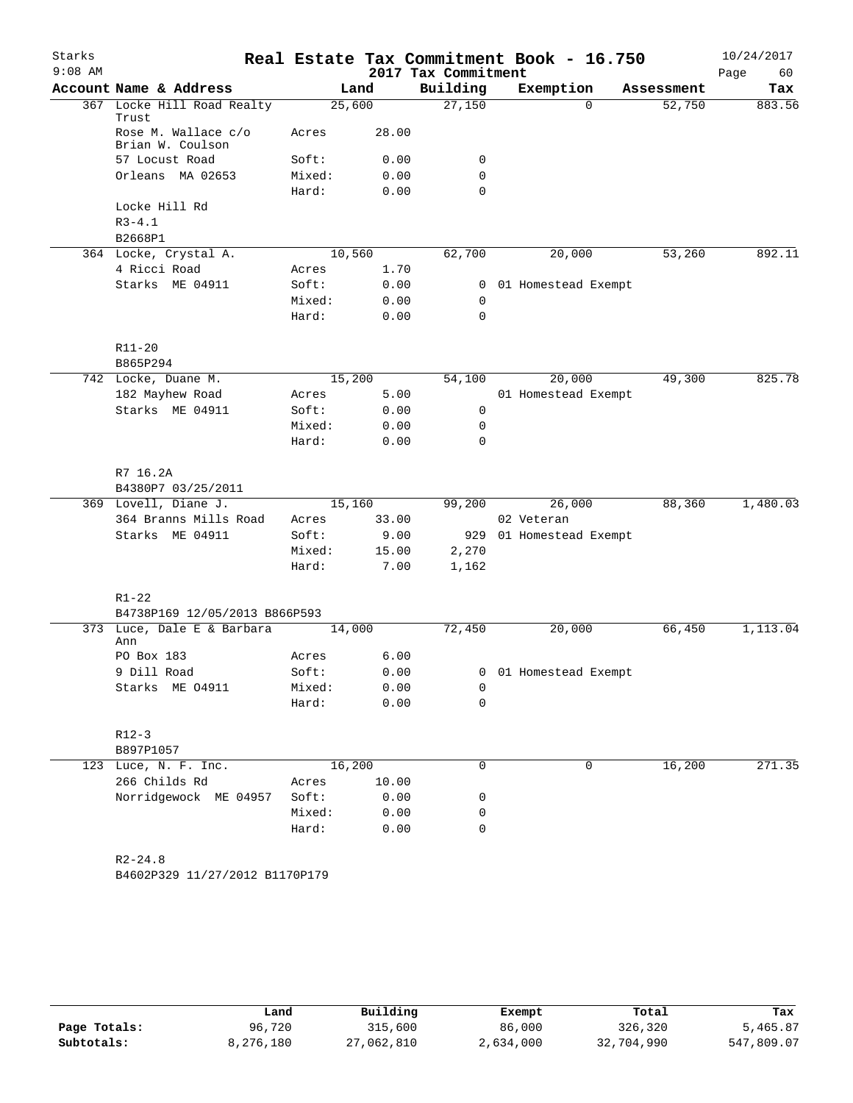| Starks    |                                         |        |       |                     | Real Estate Tax Commitment Book - 16.750 |            | 10/24/2017 |
|-----------|-----------------------------------------|--------|-------|---------------------|------------------------------------------|------------|------------|
| $9:08$ AM |                                         |        |       | 2017 Tax Commitment |                                          |            | 60<br>Page |
|           | Account Name & Address                  |        | Land  | Building            | Exemption                                | Assessment | Tax        |
| 367       | Locke Hill Road Realty<br>Trust         | 25,600 |       | 27,150              | $\Omega$                                 | 52,750     | 883.56     |
|           | Rose M. Wallace c/o<br>Brian W. Coulson | Acres  | 28.00 |                     |                                          |            |            |
|           | 57 Locust Road                          | Soft:  | 0.00  | 0                   |                                          |            |            |
|           | Orleans MA 02653                        | Mixed: | 0.00  | 0                   |                                          |            |            |
|           |                                         | Hard:  | 0.00  | 0                   |                                          |            |            |
|           | Locke Hill Rd<br>$R3 - 4.1$             |        |       |                     |                                          |            |            |
|           | B2668P1                                 |        |       |                     |                                          |            |            |
|           | 364 Locke, Crystal A.                   | 10,560 |       | 62,700              | 20,000                                   | 53,260     | 892.11     |
|           | 4 Ricci Road                            | Acres  | 1.70  |                     |                                          |            |            |
|           | Starks ME 04911                         | Soft:  | 0.00  | 0                   | 01 Homestead Exempt                      |            |            |
|           |                                         | Mixed: | 0.00  | 0                   |                                          |            |            |
|           |                                         | Hard:  | 0.00  | $\mathbf 0$         |                                          |            |            |
|           | R11-20                                  |        |       |                     |                                          |            |            |
|           | B865P294                                |        |       |                     |                                          |            |            |
|           | 742 Locke, Duane M.                     | 15,200 |       | 54,100              | 20,000                                   | 49,300     | 825.78     |
|           | 182 Mayhew Road                         | Acres  | 5.00  |                     | 01 Homestead Exempt                      |            |            |
|           | Starks ME 04911                         | Soft:  | 0.00  | 0                   |                                          |            |            |
|           |                                         | Mixed: | 0.00  | 0                   |                                          |            |            |
|           |                                         | Hard:  | 0.00  | 0                   |                                          |            |            |
|           | R7 16.2A<br>B4380P7 03/25/2011          |        |       |                     |                                          |            |            |
|           | 369 Lovell, Diane J.                    | 15,160 |       | 99,200              | 26,000                                   | 88,360     | 1,480.03   |
|           | 364 Branns Mills Road                   | Acres  | 33.00 |                     | 02 Veteran                               |            |            |
|           | Starks ME 04911                         | Soft:  | 9.00  |                     | 929 01 Homestead Exempt                  |            |            |
|           |                                         | Mixed: | 15.00 | 2,270               |                                          |            |            |
|           |                                         | Hard:  | 7.00  | 1,162               |                                          |            |            |
|           |                                         |        |       |                     |                                          |            |            |
|           | $R1 - 22$                               |        |       |                     |                                          |            |            |
|           | B4738P169 12/05/2013 B866P593           |        |       |                     |                                          |            |            |
|           | 373 Luce, Dale E & Barbara<br>Ann       | 14,000 |       | 72,450              | 20,000                                   | 66,450     | 1,113.04   |
|           | PO Box 183                              | Acres  | 6.00  |                     |                                          |            |            |
|           | 9 Dill Road                             | Soft:  | 0.00  |                     | 0 01 Homestead Exempt                    |            |            |
|           | Starks ME 04911                         | Mixed: | 0.00  | 0                   |                                          |            |            |
|           |                                         | Hard:  | 0.00  | 0                   |                                          |            |            |
|           | $R12-3$                                 |        |       |                     |                                          |            |            |
|           | B897P1057                               |        |       |                     |                                          |            |            |
|           | 123 Luce, N. F. Inc.                    | 16,200 |       | $\mathbf 0$         | 0                                        | 16,200     | 271.35     |
|           | 266 Childs Rd                           | Acres  | 10.00 |                     |                                          |            |            |
|           | Norridgewock ME 04957                   | Soft:  | 0.00  | 0                   |                                          |            |            |
|           |                                         | Mixed: | 0.00  | 0                   |                                          |            |            |
|           |                                         | Hard:  | 0.00  | 0                   |                                          |            |            |
|           | $R2 - 24.8$                             |        |       |                     |                                          |            |            |
|           | B4602P329 11/27/2012 B1170P179          |        |       |                     |                                          |            |            |
|           |                                         |        |       |                     |                                          |            |            |

|              | Land      | Building   | Exempt    | Total      | Tax        |
|--------------|-----------|------------|-----------|------------|------------|
| Page Totals: | 96,720    | 315,600    | 86,000    | 326,320    | 5,465.87   |
| Subtotals:   | 8,276,180 | 27,062,810 | 2,634,000 | 32,704,990 | 547,809.07 |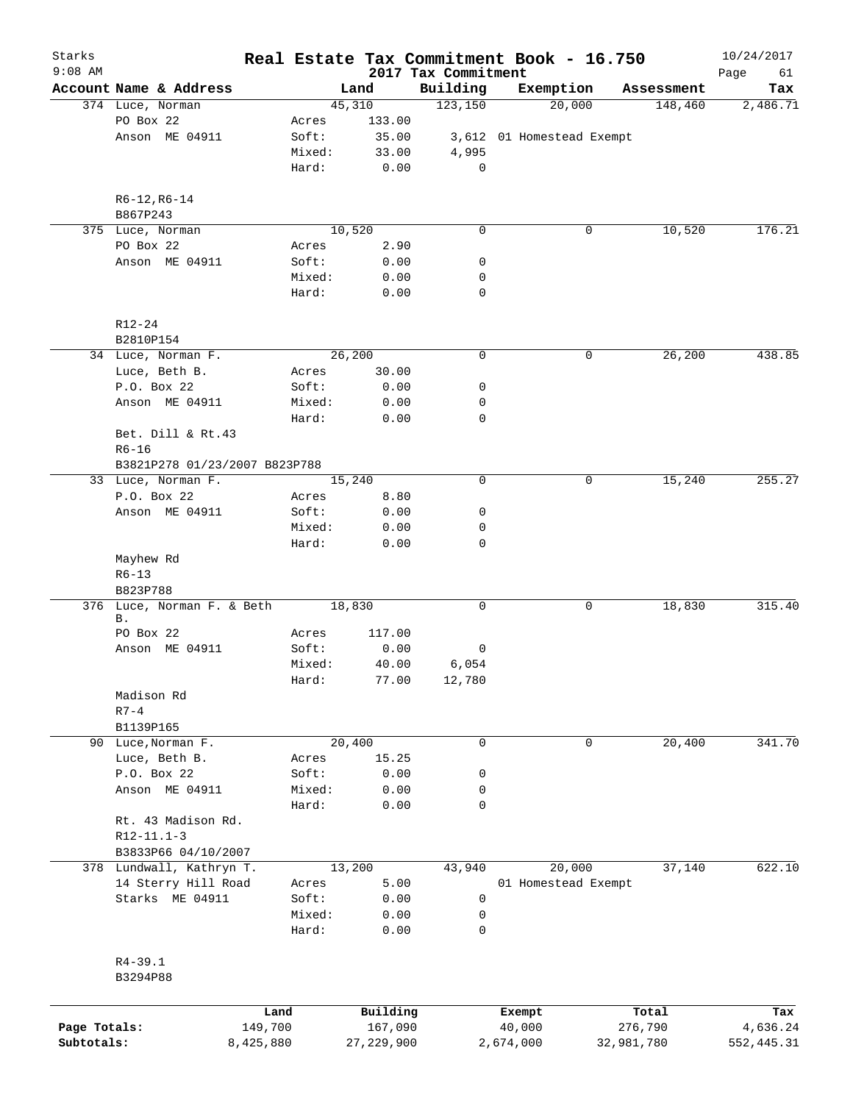| Starks       |                                |                 |              |                                 | Real Estate Tax Commitment Book - 16.750 |            | 10/24/2017        |
|--------------|--------------------------------|-----------------|--------------|---------------------------------|------------------------------------------|------------|-------------------|
| $9:08$ AM    | Account Name & Address         |                 | Land         | 2017 Tax Commitment<br>Building | Exemption                                | Assessment | Page<br>61<br>Tax |
|              | 374 Luce, Norman               |                 | 45,310       | 123,150                         | 20,000                                   | 148,460    | 2,486.71          |
|              | PO Box 22                      | Acres           | 133.00       |                                 |                                          |            |                   |
|              | Anson ME 04911                 | Soft:           | 35.00        |                                 | 3,612 01 Homestead Exempt                |            |                   |
|              |                                | Mixed:          | 33.00        | 4,995                           |                                          |            |                   |
|              |                                | Hard:           | 0.00         | 0                               |                                          |            |                   |
|              | $R6-12, R6-14$                 |                 |              |                                 |                                          |            |                   |
|              | B867P243                       |                 |              |                                 |                                          |            |                   |
|              | 375 Luce, Norman               |                 | 10,520       | $\mathbf 0$                     | 0                                        | 10,520     | 176.21            |
|              | PO Box 22                      | Acres           | 2.90         |                                 |                                          |            |                   |
|              | Anson ME 04911                 | Soft:           | 0.00         | 0                               |                                          |            |                   |
|              |                                | Mixed:<br>Hard: | 0.00<br>0.00 | 0<br>0                          |                                          |            |                   |
|              |                                |                 |              |                                 |                                          |            |                   |
|              | R12-24<br>B2810P154            |                 |              |                                 |                                          |            |                   |
|              | 34 Luce, Norman F.             |                 | 26,200       | 0                               | 0                                        | 26,200     | 438.85            |
|              | Luce, Beth B.                  | Acres           | 30.00        |                                 |                                          |            |                   |
|              | P.O. Box 22                    | Soft:           | 0.00         | 0                               |                                          |            |                   |
|              | Anson ME 04911                 | Mixed:          | 0.00         | 0                               |                                          |            |                   |
|              |                                | Hard:           | 0.00         | 0                               |                                          |            |                   |
|              | Bet. Dill & Rt.43<br>$R6 - 16$ |                 |              |                                 |                                          |            |                   |
|              | B3821P278 01/23/2007 B823P788  |                 |              |                                 |                                          |            |                   |
|              | 33 Luce, Norman F.             |                 | 15,240       | $\mathbf 0$                     | 0                                        | 15,240     | 255.27            |
|              | P.O. Box 22                    | Acres           | 8.80         |                                 |                                          |            |                   |
|              | Anson ME 04911                 | Soft:           | 0.00         | 0                               |                                          |            |                   |
|              |                                | Mixed:          | 0.00         | 0                               |                                          |            |                   |
|              |                                | Hard:           | 0.00         | $\mathbf 0$                     |                                          |            |                   |
|              | Mayhew Rd                      |                 |              |                                 |                                          |            |                   |
|              | $R6 - 13$                      |                 |              |                                 |                                          |            |                   |
|              | B823P788                       |                 |              |                                 |                                          |            |                   |
|              | 376 Luce, Norman F. & Beth     |                 | 18,830       | 0                               | 0                                        | 18,830     | 315.40            |
|              | Β.                             |                 |              |                                 |                                          |            |                   |
|              | PO Box 22                      | Acres           | 117.00       |                                 |                                          |            |                   |
|              | Anson ME 04911                 | Soft:           | 0.00         | 0                               |                                          |            |                   |
|              |                                | Mixed:          | 40.00        | 6,054                           |                                          |            |                   |
|              |                                | Hard:           | 77.00        | 12,780                          |                                          |            |                   |
|              | Madison Rd                     |                 |              |                                 |                                          |            |                   |
|              | $R7-4$                         |                 |              |                                 |                                          |            |                   |
|              | B1139P165                      |                 |              |                                 |                                          |            |                   |
|              | 90 Luce, Norman F.             |                 | 20,400       | $\mathbf 0$                     | $\mathbf 0$                              | 20,400     | 341.70            |
|              | Luce, Beth B.                  | Acres           | 15.25        |                                 |                                          |            |                   |
|              | P.O. Box 22                    | Soft:           | 0.00         | 0                               |                                          |            |                   |
|              | Anson ME 04911                 | Mixed:          | 0.00         | 0<br>0                          |                                          |            |                   |
|              | Rt. 43 Madison Rd.             | Hard:           | 0.00         |                                 |                                          |            |                   |
|              | $R12-11.1-3$                   |                 |              |                                 |                                          |            |                   |
|              | B3833P66 04/10/2007            |                 |              |                                 |                                          |            |                   |
|              | 378 Lundwall, Kathryn T.       |                 | 13,200       | 43,940                          | 20,000                                   | 37,140     | 622.10            |
|              | 14 Sterry Hill Road            | Acres           | 5.00         |                                 | 01 Homestead Exempt                      |            |                   |
|              | Starks ME 04911                | Soft:           | 0.00         | 0                               |                                          |            |                   |
|              |                                | Mixed:          | 0.00         | 0                               |                                          |            |                   |
|              |                                | Hard:           | 0.00         | 0                               |                                          |            |                   |
|              | $R4 - 39.1$                    |                 |              |                                 |                                          |            |                   |
|              | B3294P88                       |                 |              |                                 |                                          |            |                   |
|              |                                |                 |              |                                 |                                          |            |                   |
|              |                                | Land            | Building     |                                 | Exempt                                   | Total      | Tax               |
| Page Totals: |                                | 149,700         | 167,090      |                                 | 40,000                                   | 276,790    | 4,636.24          |
| Subtotals:   |                                | 8,425,880       | 27, 229, 900 |                                 | 2,674,000                                | 32,981,780 | 552, 445.31       |
|              |                                |                 |              |                                 |                                          |            |                   |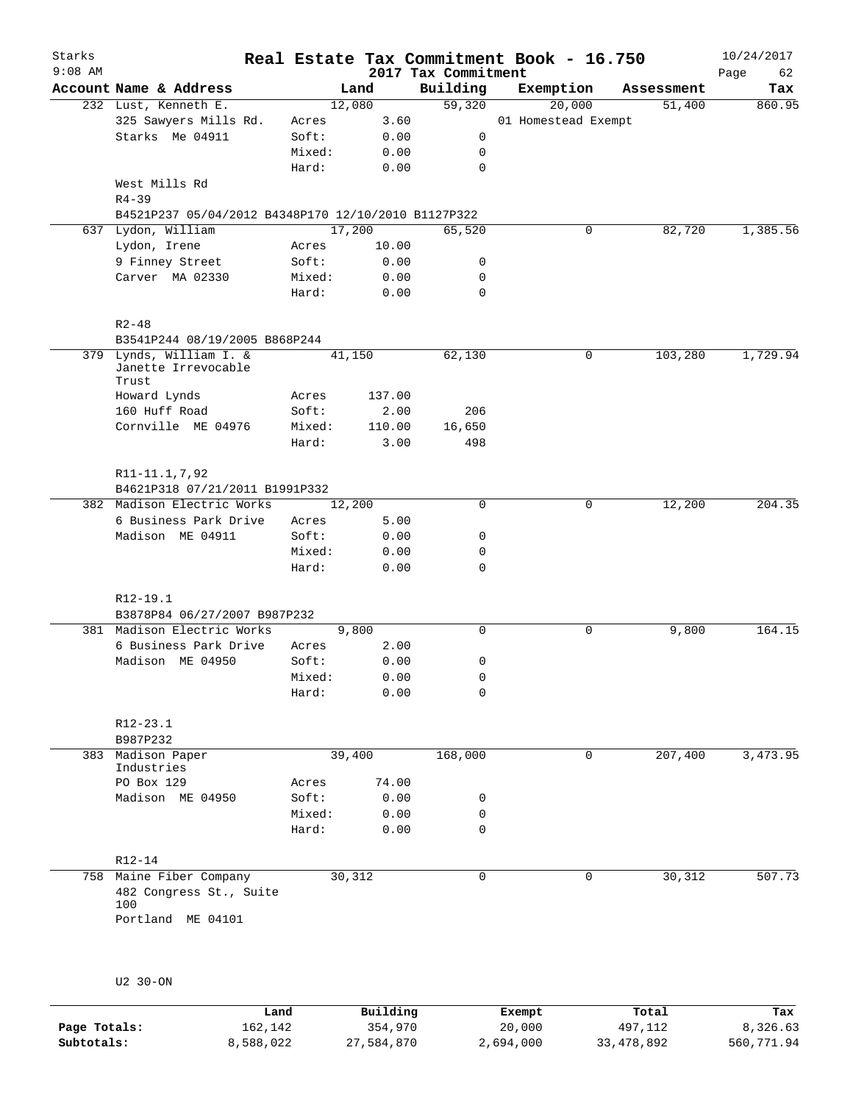| Starks<br>$9:08$ AM |                                                     |        |        | 2017 Tax Commitment | Real Estate Tax Commitment Book - 16.750 |            | 10/24/2017<br>Page<br>62 |
|---------------------|-----------------------------------------------------|--------|--------|---------------------|------------------------------------------|------------|--------------------------|
|                     | Account Name & Address                              |        | Land   | Building            | Exemption                                | Assessment | Tax                      |
|                     | 232 Lust, Kenneth E.                                |        | 12,080 | 59,320              | 20,000                                   | 51,400     | 860.95                   |
|                     | 325 Sawyers Mills Rd.                               | Acres  | 3.60   |                     | 01 Homestead Exempt                      |            |                          |
|                     | Starks Me 04911                                     | Soft:  | 0.00   | 0                   |                                          |            |                          |
|                     |                                                     | Mixed: | 0.00   | 0                   |                                          |            |                          |
|                     |                                                     | Hard:  | 0.00   | $\mathbf 0$         |                                          |            |                          |
|                     | West Mills Rd                                       |        |        |                     |                                          |            |                          |
|                     | $R4 - 39$                                           |        |        |                     |                                          |            |                          |
|                     | B4521P237 05/04/2012 B4348P170 12/10/2010 B1127P322 |        |        |                     |                                          |            |                          |
|                     | 637 Lydon, William                                  |        | 17,200 | 65,520              | 0                                        | 82,720     | 1,385.56                 |
|                     | Lydon, Irene                                        | Acres  | 10.00  |                     |                                          |            |                          |
|                     | 9 Finney Street                                     | Soft:  | 0.00   | 0                   |                                          |            |                          |
|                     | Carver MA 02330                                     | Mixed: | 0.00   | 0                   |                                          |            |                          |
|                     |                                                     | Hard:  | 0.00   | $\mathbf 0$         |                                          |            |                          |
|                     |                                                     |        |        |                     |                                          |            |                          |
|                     | $R2 - 48$                                           |        |        |                     |                                          |            |                          |
|                     | B3541P244 08/19/2005 B868P244                       |        |        |                     |                                          |            |                          |
|                     | 379 Lynds, William I. &                             |        | 41,150 | 62,130              | 0                                        | 103,280    | 1,729.94                 |
|                     | Janette Irrevocable                                 |        |        |                     |                                          |            |                          |
|                     | Trust                                               |        |        |                     |                                          |            |                          |
|                     | Howard Lynds                                        | Acres  | 137.00 |                     |                                          |            |                          |
|                     | 160 Huff Road                                       | Soft:  | 2.00   | 206                 |                                          |            |                          |
|                     | Cornville ME 04976                                  | Mixed: | 110.00 | 16,650              |                                          |            |                          |
|                     |                                                     | Hard:  | 3.00   | 498                 |                                          |            |                          |
|                     |                                                     |        |        |                     |                                          |            |                          |
|                     | R11-11.1,7,92                                       |        |        |                     |                                          |            |                          |
|                     | B4621P318 07/21/2011 B1991P332                      |        |        |                     |                                          |            |                          |
|                     | 382 Madison Electric Works                          |        | 12,200 | 0                   | 0                                        | 12,200     | 204.35                   |
|                     | 6 Business Park Drive                               | Acres  | 5.00   |                     |                                          |            |                          |
|                     | Madison ME 04911                                    | Soft:  | 0.00   | 0                   |                                          |            |                          |
|                     |                                                     | Mixed: | 0.00   | 0                   |                                          |            |                          |
|                     |                                                     | Hard:  | 0.00   | $\mathbf 0$         |                                          |            |                          |
|                     |                                                     |        |        |                     |                                          |            |                          |
|                     | R12-19.1                                            |        |        |                     |                                          |            |                          |
|                     | B3878P84 06/27/2007 B987P232                        |        |        |                     |                                          |            |                          |
|                     | 381 Madison Electric Works                          |        | 9,800  | 0                   | 0                                        | 9,800      | 164.15                   |
|                     | 6 Business Park Drive                               | Acres  | 2.00   |                     |                                          |            |                          |
|                     | Madison ME 04950                                    | Soft:  | 0.00   | 0                   |                                          |            |                          |
|                     |                                                     | Mixed: | 0.00   | 0                   |                                          |            |                          |
|                     |                                                     | Hard:  | 0.00   | 0                   |                                          |            |                          |
|                     |                                                     |        |        |                     |                                          |            |                          |
|                     | R12-23.1                                            |        |        |                     |                                          |            |                          |
|                     | B987P232                                            |        |        |                     |                                          |            |                          |
|                     | 383 Madison Paper<br>Industries                     |        | 39,400 | 168,000             | 0                                        | 207,400    | 3,473.95                 |
|                     | PO Box 129                                          | Acres  | 74.00  |                     |                                          |            |                          |
|                     | Madison ME 04950                                    | Soft:  | 0.00   | 0                   |                                          |            |                          |
|                     |                                                     | Mixed: | 0.00   | 0                   |                                          |            |                          |
|                     |                                                     | Hard:  | 0.00   | 0                   |                                          |            |                          |
|                     |                                                     |        |        |                     |                                          |            |                          |
|                     | $R12 - 14$                                          |        |        |                     |                                          |            |                          |
|                     | 758 Maine Fiber Company                             |        | 30,312 | 0                   | 0                                        | 30,312     | 507.73                   |
|                     | 482 Congress St., Suite                             |        |        |                     |                                          |            |                          |
|                     | 100                                                 |        |        |                     |                                          |            |                          |
|                     | Portland ME 04101                                   |        |        |                     |                                          |            |                          |
|                     |                                                     |        |        |                     |                                          |            |                          |
|                     |                                                     |        |        |                     |                                          |            |                          |
|                     |                                                     |        |        |                     |                                          |            |                          |
|                     | U2 30-ON                                            |        |        |                     |                                          |            |                          |
|                     |                                                     |        |        |                     |                                          |            |                          |

|              | Land      | Building   | Exempt    | Total      | Tax        |
|--------------|-----------|------------|-----------|------------|------------|
| Page Totals: | 162,142   | 354,970    | 20,000    | 497,112    | 8,326.63   |
| Subtotals:   | 8,588,022 | 27,584,870 | 2,694,000 | 33,478,892 | 560,771.94 |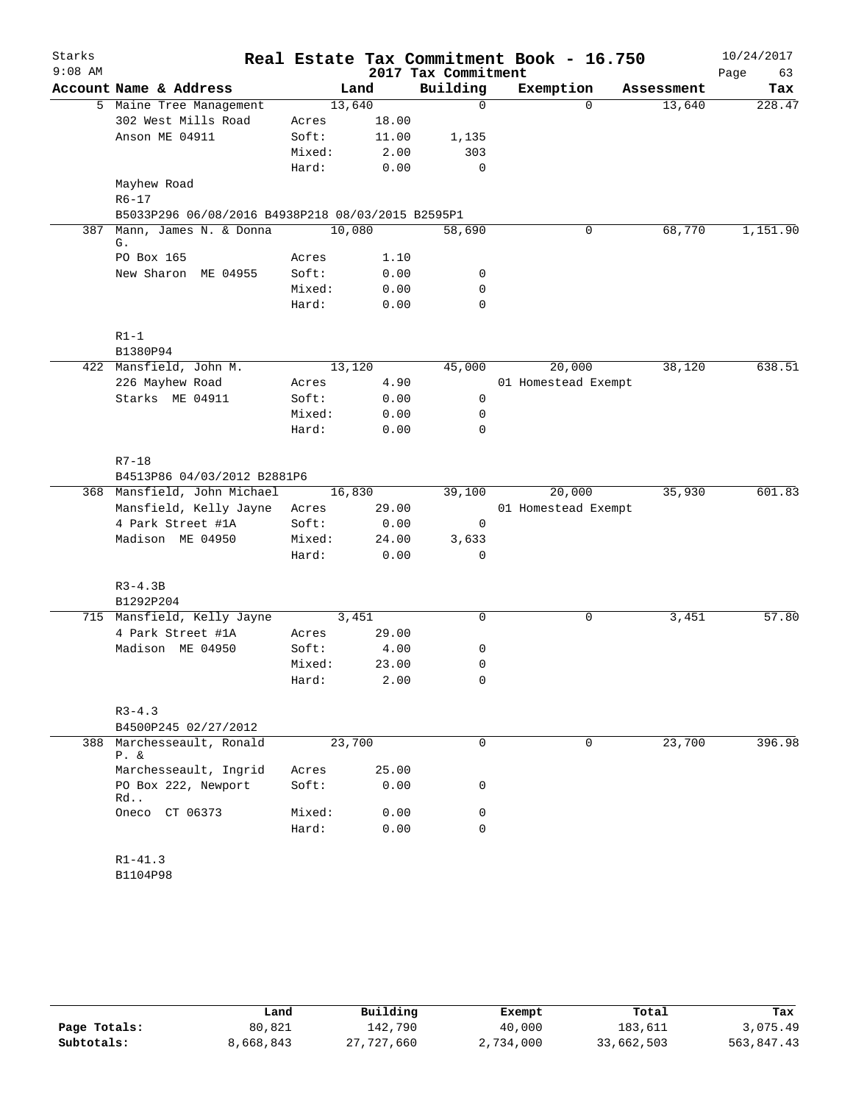| Starks<br>$9:08$ AM |                                                            |        |        | 2017 Tax Commitment | Real Estate Tax Commitment Book - 16.750 |            | 10/24/2017<br>Page<br>63 |
|---------------------|------------------------------------------------------------|--------|--------|---------------------|------------------------------------------|------------|--------------------------|
|                     | Account Name & Address                                     |        | Land   | Building            | Exemption                                | Assessment | Tax                      |
|                     | 5 Maine Tree Management                                    |        | 13,640 | $\mathbf 0$         | $\Omega$                                 | 13,640     | 228.47                   |
|                     | 302 West Mills Road                                        | Acres  | 18.00  |                     |                                          |            |                          |
|                     | Anson ME 04911                                             | Soft:  | 11.00  | 1,135               |                                          |            |                          |
|                     |                                                            | Mixed: | 2.00   | 303                 |                                          |            |                          |
|                     |                                                            | Hard:  | 0.00   | 0                   |                                          |            |                          |
|                     | Mayhew Road                                                |        |        |                     |                                          |            |                          |
|                     | $R6 - 17$                                                  |        |        |                     |                                          |            |                          |
|                     | B5033P296 06/08/2016 B4938P218 08/03/2015 B2595P1          |        |        |                     |                                          |            |                          |
| 387                 | Mann, James N. & Donna                                     |        | 10,080 | 58,690              | 0                                        | 68,770     | 1,151.90                 |
|                     | G.                                                         |        |        |                     |                                          |            |                          |
|                     | PO Box 165                                                 | Acres  | 1.10   |                     |                                          |            |                          |
|                     | New Sharon ME 04955                                        | Soft:  | 0.00   | 0                   |                                          |            |                          |
|                     |                                                            | Mixed: | 0.00   | $\mathbf 0$         |                                          |            |                          |
|                     |                                                            | Hard:  | 0.00   | $\mathbf 0$         |                                          |            |                          |
|                     | $R1-1$                                                     |        |        |                     |                                          |            |                          |
|                     | B1380P94                                                   |        |        |                     |                                          |            |                          |
|                     | 422 Mansfield, John M.                                     |        | 13,120 | 45,000              | 20,000                                   | 38,120     | 638.51                   |
|                     | 226 Mayhew Road                                            | Acres  | 4.90   |                     | 01 Homestead Exempt                      |            |                          |
|                     | Starks ME 04911                                            | Soft:  | 0.00   | 0                   |                                          |            |                          |
|                     |                                                            | Mixed: | 0.00   | 0                   |                                          |            |                          |
|                     |                                                            | Hard:  | 0.00   | 0                   |                                          |            |                          |
|                     | $R7 - 18$                                                  |        |        |                     |                                          |            |                          |
|                     |                                                            |        |        |                     |                                          |            |                          |
|                     | B4513P86 04/03/2012 B2881P6<br>368 Mansfield, John Michael |        | 16,830 | 39,100              | 20,000                                   | 35,930     | 601.83                   |
|                     | Mansfield, Kelly Jayne                                     | Acres  | 29.00  |                     | 01 Homestead Exempt                      |            |                          |
|                     | 4 Park Street #1A                                          | Soft:  | 0.00   | 0                   |                                          |            |                          |
|                     | Madison ME 04950                                           | Mixed: | 24.00  | 3,633               |                                          |            |                          |
|                     |                                                            | Hard:  | 0.00   | 0                   |                                          |            |                          |
|                     |                                                            |        |        |                     |                                          |            |                          |
|                     | $R3 - 4.3B$                                                |        |        |                     |                                          |            |                          |
|                     | B1292P204                                                  |        |        |                     |                                          |            |                          |
|                     | 715 Mansfield, Kelly Jayne                                 |        | 3,451  | $\mathbf 0$         | 0                                        | 3,451      | 57.80                    |
|                     | 4 Park Street #1A                                          | Acres  | 29.00  |                     |                                          |            |                          |
|                     | Madison ME 04950                                           | Soft:  | 4.00   | 0                   |                                          |            |                          |
|                     |                                                            | Mixed: | 23.00  | 0                   |                                          |            |                          |
|                     |                                                            | Hard:  | 2.00   | 0                   |                                          |            |                          |
|                     |                                                            |        |        |                     |                                          |            |                          |
|                     | $R3 - 4.3$                                                 |        |        |                     |                                          |            |                          |
|                     | B4500P245 02/27/2012                                       |        |        |                     |                                          |            |                          |
|                     | 388 Marchesseault, Ronald<br>$P. \&$                       |        | 23,700 | $\mathbf 0$         | $\mathbf 0$                              | 23,700     | 396.98                   |
|                     | Marchesseault, Ingrid                                      | Acres  | 25.00  |                     |                                          |            |                          |
|                     | PO Box 222, Newport<br>Rd                                  | Soft:  | 0.00   | 0                   |                                          |            |                          |
|                     | Oneco CT 06373                                             | Mixed: | 0.00   | 0                   |                                          |            |                          |
|                     |                                                            | Hard:  | 0.00   | 0                   |                                          |            |                          |
|                     |                                                            |        |        |                     |                                          |            |                          |
|                     | $R1 - 41.3$                                                |        |        |                     |                                          |            |                          |
|                     | B1104P98                                                   |        |        |                     |                                          |            |                          |

|              | Land      | Building   | Exempt    | Total      | Tax        |
|--------------|-----------|------------|-----------|------------|------------|
| Page Totals: | 80,821    | 142,790    | 40,000    | 183,611    | 3,075.49   |
| Subtotals:   | 8,668,843 | 27,727,660 | 2,734,000 | 33,662,503 | 563,847.43 |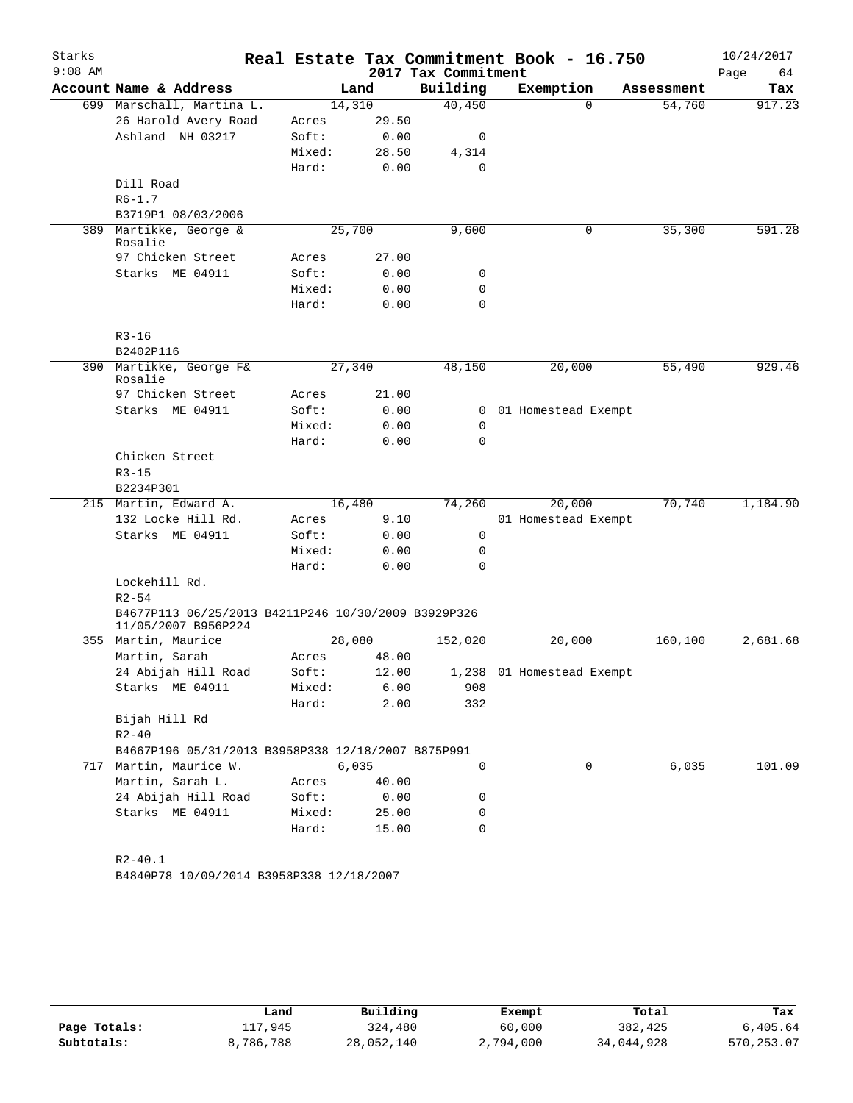| Starks<br>$9:08$ AM |                                                                            |                 |       | 2017 Tax Commitment | Real Estate Tax Commitment Book - 16.750 |            | 10/24/2017<br>Page<br>64 |
|---------------------|----------------------------------------------------------------------------|-----------------|-------|---------------------|------------------------------------------|------------|--------------------------|
|                     | Account Name & Address                                                     |                 | Land  | Building            | Exemption                                | Assessment | Tax                      |
|                     | 699 Marschall, Martina L.                                                  | 14,310          |       | 40,450              | $\Omega$                                 | 54,760     | 917.23                   |
|                     | 26 Harold Avery Road                                                       | Acres           | 29.50 |                     |                                          |            |                          |
|                     | Ashland NH 03217                                                           | Soft:           | 0.00  | 0                   |                                          |            |                          |
|                     |                                                                            | Mixed:          | 28.50 | 4,314               |                                          |            |                          |
|                     |                                                                            | Hard:           | 0.00  | 0                   |                                          |            |                          |
|                     | Dill Road                                                                  |                 |       |                     |                                          |            |                          |
|                     | $R6 - 1.7$                                                                 |                 |       |                     |                                          |            |                          |
|                     | B3719P1 08/03/2006                                                         |                 |       |                     |                                          |            |                          |
| 389                 | Martikke, George &<br>Rosalie                                              | 25,700          |       | 9,600               | 0                                        | 35,300     | 591.28                   |
|                     | 97 Chicken Street                                                          | Acres           | 27.00 |                     |                                          |            |                          |
|                     | Starks ME 04911                                                            | Soft:           | 0.00  | 0                   |                                          |            |                          |
|                     |                                                                            | Mixed:          | 0.00  | 0                   |                                          |            |                          |
|                     |                                                                            | Hard:           | 0.00  | 0                   |                                          |            |                          |
|                     | $R3 - 16$                                                                  |                 |       |                     |                                          |            |                          |
|                     | B2402P116                                                                  |                 |       |                     |                                          |            |                          |
|                     | 390 Martikke, George F&<br>Rosalie                                         | 27,340          |       | 48,150              | 20,000                                   | 55,490     | 929.46                   |
|                     | 97 Chicken Street                                                          | Acres           | 21.00 |                     |                                          |            |                          |
|                     | Starks ME 04911                                                            | Soft:           | 0.00  | $\mathbf{0}$        | 01 Homestead Exempt                      |            |                          |
|                     |                                                                            | Mixed:          | 0.00  | 0                   |                                          |            |                          |
|                     |                                                                            | Hard:           | 0.00  | $\Omega$            |                                          |            |                          |
|                     | Chicken Street                                                             |                 |       |                     |                                          |            |                          |
|                     | $R3 - 15$                                                                  |                 |       |                     |                                          |            |                          |
|                     | B2234P301                                                                  |                 |       |                     |                                          |            |                          |
|                     | 215 Martin, Edward A.                                                      | 16,480          |       | 74,260              | 20,000                                   | 70,740     | 1,184.90                 |
|                     | 132 Locke Hill Rd.                                                         | Acres           | 9.10  |                     | 01 Homestead Exempt                      |            |                          |
|                     | Starks ME 04911                                                            | Soft:           | 0.00  | 0                   |                                          |            |                          |
|                     |                                                                            | Mixed:<br>Hard: | 0.00  | 0<br>0              |                                          |            |                          |
|                     | Lockehill Rd.                                                              |                 | 0.00  |                     |                                          |            |                          |
|                     | $R2 - 54$                                                                  |                 |       |                     |                                          |            |                          |
|                     | B4677P113 06/25/2013 B4211P246 10/30/2009 B3929P326<br>11/05/2007 B956P224 |                 |       |                     |                                          |            |                          |
|                     | 355 Martin, Maurice                                                        | 28,080          |       | 152,020             | 20,000                                   | 160,100    | 2,681.68                 |
|                     | Martin, Sarah                                                              | Acres           | 48.00 |                     |                                          |            |                          |
|                     | 24 Abijah Hill Road                                                        | Soft:           | 12.00 |                     | 1,238 01 Homestead Exempt                |            |                          |
|                     | Starks ME 04911                                                            | Mixed:          | 6.00  | 908                 |                                          |            |                          |
|                     |                                                                            | Hard:           | 2.00  | 332                 |                                          |            |                          |
|                     | Bijah Hill Rd                                                              |                 |       |                     |                                          |            |                          |
|                     | $R2 - 40$                                                                  |                 |       |                     |                                          |            |                          |
|                     | B4667P196 05/31/2013 B3958P338 12/18/2007 B875P991                         |                 |       |                     |                                          |            |                          |
| 717                 | Martin, Maurice W.                                                         |                 | 6,035 | 0                   | 0                                        | 6,035      | 101.09                   |
|                     | Martin, Sarah L.                                                           | Acres           | 40.00 |                     |                                          |            |                          |
|                     | 24 Abijah Hill Road                                                        | Soft:           | 0.00  | 0                   |                                          |            |                          |
|                     | Starks ME 04911                                                            | Mixed:          | 25.00 | 0                   |                                          |            |                          |
|                     |                                                                            | Hard:           | 15.00 | 0                   |                                          |            |                          |
|                     | $R2 - 40.1$                                                                |                 |       |                     |                                          |            |                          |

|              | Land      | Building   | Exempt    | Total      | Tax         |
|--------------|-----------|------------|-----------|------------|-------------|
| Page Totals: | 117.945   | 324,480    | 60,000    | 382,425    | 6,405.64    |
| Subtotals:   | 8,786,788 | 28,052,140 | 2,794,000 | 34,044,928 | 570, 253.07 |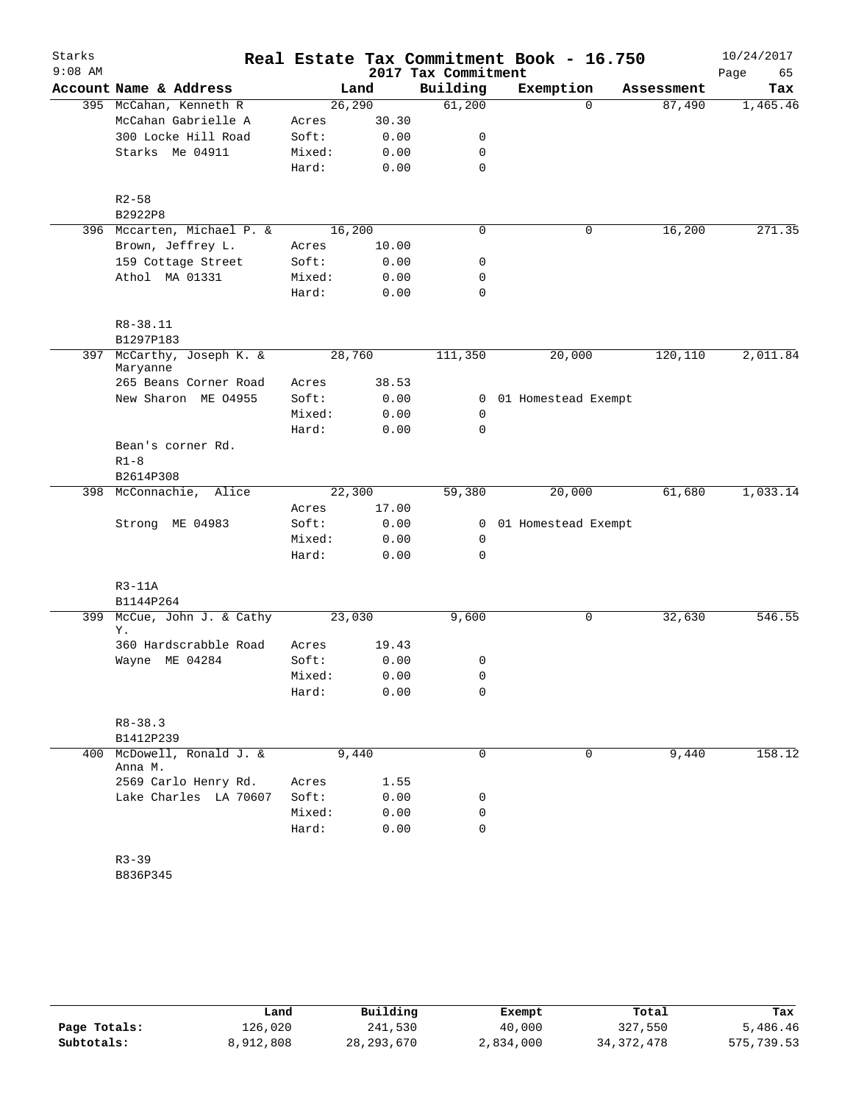| Starks    |                                          |         |       |                     | Real Estate Tax Commitment Book - 16.750 |            | 10/24/2017 |
|-----------|------------------------------------------|---------|-------|---------------------|------------------------------------------|------------|------------|
| $9:08$ AM |                                          |         |       | 2017 Tax Commitment |                                          |            | 65<br>Page |
|           | Account Name & Address                   |         | Land  | Building            | Exemption                                | Assessment | Tax        |
|           | 395 McCahan, Kenneth R                   | 26, 290 |       | 61,200              | $\Omega$                                 | 87,490     | 1,465.46   |
|           | McCahan Gabrielle A                      | Acres   | 30.30 |                     |                                          |            |            |
|           | 300 Locke Hill Road                      | Soft:   | 0.00  | 0                   |                                          |            |            |
|           | Starks Me 04911                          | Mixed:  | 0.00  | 0                   |                                          |            |            |
|           |                                          | Hard:   | 0.00  | $\mathbf 0$         |                                          |            |            |
|           | $R2 - 58$<br>B2922P8                     |         |       |                     |                                          |            |            |
|           | 396 Mccarten, Michael P. &               | 16,200  |       | $\mathbf 0$         | 0                                        | 16,200     | 271.35     |
|           | Brown, Jeffrey L.                        | Acres   | 10.00 |                     |                                          |            |            |
|           | 159 Cottage Street                       | Soft:   | 0.00  | 0                   |                                          |            |            |
|           | Athol MA 01331                           | Mixed:  | 0.00  | 0                   |                                          |            |            |
|           |                                          | Hard:   | 0.00  | 0                   |                                          |            |            |
|           | R8-38.11                                 |         |       |                     |                                          |            |            |
|           | B1297P183                                |         |       |                     |                                          |            |            |
| 397       | McCarthy, Joseph K. &<br>Maryanne        | 28,760  |       | 111,350             | 20,000                                   | 120,110    | 2,011.84   |
|           | 265 Beans Corner Road                    | Acres   | 38.53 |                     |                                          |            |            |
|           | New Sharon ME 04955                      | Soft:   | 0.00  |                     | 0 01 Homestead Exempt                    |            |            |
|           |                                          | Mixed:  | 0.00  | 0                   |                                          |            |            |
|           |                                          | Hard:   | 0.00  | 0                   |                                          |            |            |
|           | Bean's corner Rd.<br>$R1-8$<br>B2614P308 |         |       |                     |                                          |            |            |
|           | 398 McConnachie, Alice                   | 22,300  |       | 59,380              | 20,000                                   | 61,680     | 1,033.14   |
|           |                                          | Acres   | 17.00 |                     |                                          |            |            |
|           | Strong ME 04983                          | Soft:   | 0.00  | $\mathbf{0}$        | 01 Homestead Exempt                      |            |            |
|           |                                          | Mixed:  | 0.00  | 0                   |                                          |            |            |
|           |                                          | Hard:   | 0.00  | 0                   |                                          |            |            |
|           | $R3-11A$                                 |         |       |                     |                                          |            |            |
|           | B1144P264                                |         |       |                     |                                          |            |            |
| 399       | McCue, John J. & Cathy<br>Υ.             | 23,030  |       | 9,600               | 0                                        | 32,630     | 546.55     |
|           | 360 Hardscrabble Road                    | Acres   | 19.43 |                     |                                          |            |            |
|           | Wayne ME 04284                           | Soft:   | 0.00  | 0                   |                                          |            |            |
|           |                                          | Mixed:  | 0.00  | 0                   |                                          |            |            |
|           |                                          | Hard:   | 0.00  | 0                   |                                          |            |            |
|           | $R8 - 38.3$<br>B1412P239                 |         |       |                     |                                          |            |            |
|           | 400 McDowell, Ronald J. &                |         | 9,440 | 0                   | 0                                        | 9,440      | 158.12     |
|           | Anna M.<br>2569 Carlo Henry Rd.          | Acres   | 1.55  |                     |                                          |            |            |
|           | Lake Charles LA 70607                    | Soft:   | 0.00  | 0                   |                                          |            |            |
|           |                                          | Mixed:  | 0.00  | 0                   |                                          |            |            |
|           |                                          | Hard:   | 0.00  | $\mathbf 0$         |                                          |            |            |
|           | $R3 - 39$<br>B836P345                    |         |       |                     |                                          |            |            |

|              | Land      | Building     | Exempt    | Total        | Tax        |
|--------------|-----------|--------------|-----------|--------------|------------|
| Page Totals: | 126,020   | 241,530      | 40,000    | 327,550      | 5,486.46   |
| Subtotals:   | 8,912,808 | 28, 293, 670 | 2,834,000 | 34, 372, 478 | 575,739.53 |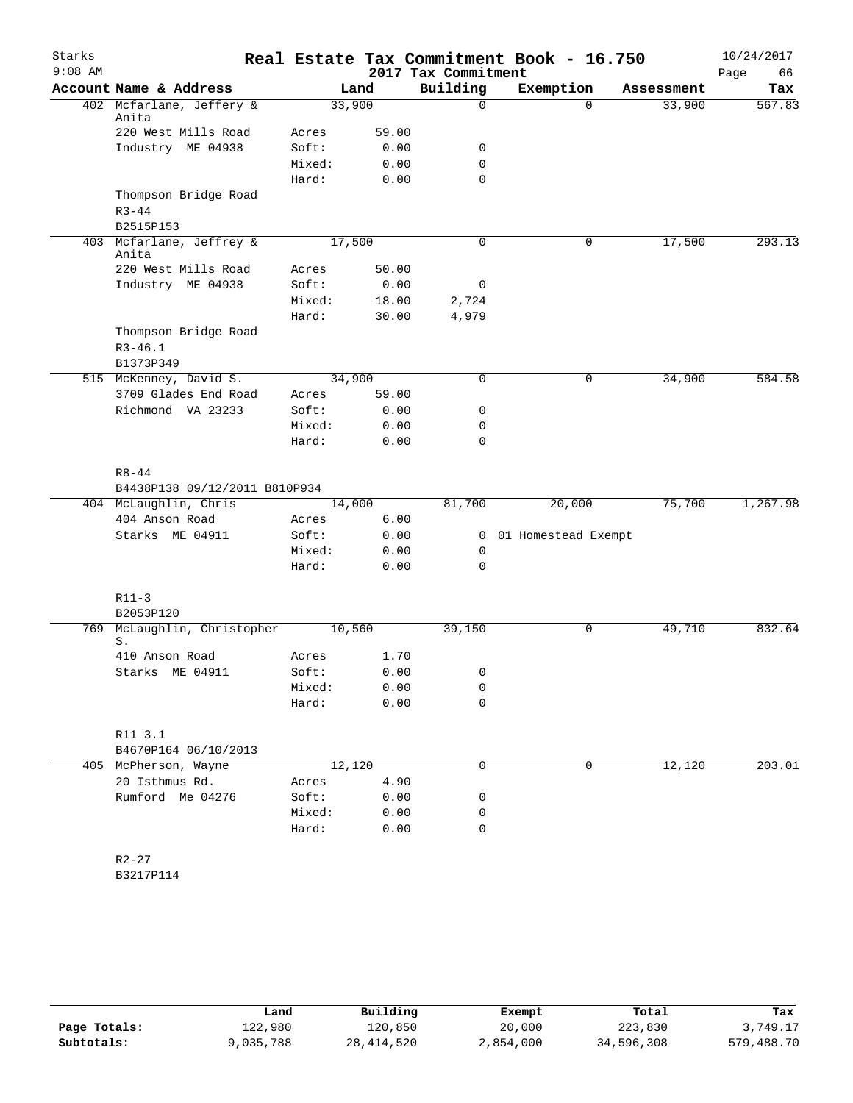| Starks    |                                   |                 |              |                     | Real Estate Tax Commitment Book - 16.750 |            | 10/24/2017 |
|-----------|-----------------------------------|-----------------|--------------|---------------------|------------------------------------------|------------|------------|
| $9:08$ AM |                                   |                 |              | 2017 Tax Commitment |                                          |            | Page<br>66 |
|           | Account Name & Address            |                 | Land         | Building            | Exemption                                | Assessment | Tax        |
|           | 402 Mcfarlane, Jeffery &<br>Anita |                 | 33,900       | 0                   | $\Omega$                                 | 33,900     | 567.83     |
|           | 220 West Mills Road               | Acres           | 59.00        |                     |                                          |            |            |
|           | Industry ME 04938                 | Soft:           | 0.00         | 0                   |                                          |            |            |
|           |                                   | Mixed:          | 0.00         | $\mathbf 0$         |                                          |            |            |
|           |                                   | Hard:           | 0.00         | $\mathbf 0$         |                                          |            |            |
|           | Thompson Bridge Road              |                 |              |                     |                                          |            |            |
|           | $R3 - 44$                         |                 |              |                     |                                          |            |            |
|           | B2515P153                         |                 |              |                     |                                          |            |            |
|           | 403 Mcfarlane, Jeffrey &<br>Anita |                 | 17,500       | 0                   | 0                                        | 17,500     | 293.13     |
|           | 220 West Mills Road               | Acres           | 50.00        |                     |                                          |            |            |
|           | Industry ME 04938                 | Soft:           | 0.00         | 0                   |                                          |            |            |
|           |                                   | Mixed:          | 18.00        | 2,724               |                                          |            |            |
|           |                                   | Hard:           | 30.00        | 4,979               |                                          |            |            |
|           | Thompson Bridge Road              |                 |              |                     |                                          |            |            |
|           | $R3 - 46.1$                       |                 |              |                     |                                          |            |            |
|           | B1373P349                         |                 |              |                     |                                          |            |            |
|           | 515 McKenney, David S.            |                 | 34,900       | $\mathbf 0$         | 0                                        | 34,900     | 584.58     |
|           | 3709 Glades End Road              | Acres           | 59.00        |                     |                                          |            |            |
|           | Richmond VA 23233                 | Soft:           | 0.00<br>0.00 | 0                   |                                          |            |            |
|           |                                   | Mixed:<br>Hard: | 0.00         | 0<br>$\mathbf 0$    |                                          |            |            |
|           |                                   |                 |              |                     |                                          |            |            |
|           | $R8 - 44$                         |                 |              |                     |                                          |            |            |
|           | B4438P138 09/12/2011 B810P934     |                 |              |                     |                                          |            |            |
|           | 404 McLaughlin, Chris             |                 | 14,000       | 81,700              | 20,000                                   | 75,700     | 1,267.98   |
|           | 404 Anson Road                    | Acres           | 6.00         |                     |                                          |            |            |
|           | Starks ME 04911                   | Soft:           | 0.00         | 0                   | 01 Homestead Exempt                      |            |            |
|           |                                   | Mixed:          | 0.00         | 0                   |                                          |            |            |
|           |                                   | Hard:           | 0.00         | $\mathbf 0$         |                                          |            |            |
|           | $R11-3$                           |                 |              |                     |                                          |            |            |
|           | B2053P120                         |                 |              |                     |                                          |            |            |
| 769       | McLaughlin, Christopher<br>S.     |                 | 10,560       | 39,150              | 0                                        | 49,710     | 832.64     |
|           | 410 Anson Road                    | Acres           | 1.70         |                     |                                          |            |            |
|           | Starks ME 04911                   | Soft:           | 0.00         | 0                   |                                          |            |            |
|           |                                   | Mixed:          | 0.00         | 0                   |                                          |            |            |
|           |                                   | Hard:           | 0.00         | 0                   |                                          |            |            |
|           | R11 3.1                           |                 |              |                     |                                          |            |            |
|           | B4670P164 06/10/2013              |                 |              |                     |                                          |            |            |
|           | 405 McPherson, Wayne              |                 | 12,120       | 0                   | $\mathbf 0$                              | 12,120     | 203.01     |
|           | 20 Isthmus Rd.                    | Acres           | 4.90         |                     |                                          |            |            |
|           | Rumford Me 04276                  | Soft:           | 0.00         | 0                   |                                          |            |            |
|           |                                   | Mixed:          | 0.00         | 0                   |                                          |            |            |
|           |                                   | Hard:           | 0.00         | 0                   |                                          |            |            |
|           |                                   |                 |              |                     |                                          |            |            |
|           | $R2 - 27$<br>B3217P114            |                 |              |                     |                                          |            |            |
|           |                                   |                 |              |                     |                                          |            |            |

|              | Land      | Building     | Exempt    | Total      | Tax        |
|--------------|-----------|--------------|-----------|------------|------------|
| Page Totals: | 122,980   | 120,850      | 20,000    | 223,830    | 3,749.17   |
| Subtotals:   | 9,035,788 | 28, 414, 520 | 2,854,000 | 34,596,308 | 579,488.70 |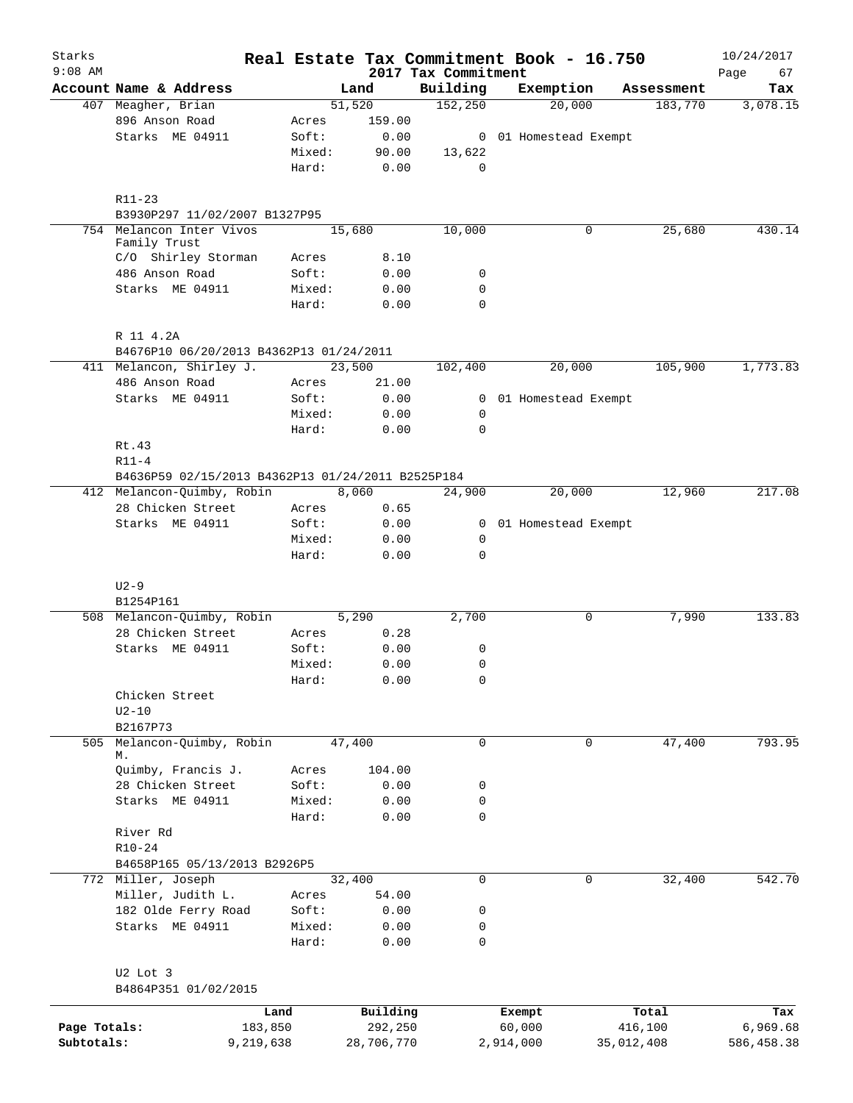| Starks       |                                                   |           |        |            |                                 | Real Estate Tax Commitment Book - 16.750 |            | 10/24/2017        |
|--------------|---------------------------------------------------|-----------|--------|------------|---------------------------------|------------------------------------------|------------|-------------------|
| $9:08$ AM    | Account Name & Address                            |           |        | Land       | 2017 Tax Commitment<br>Building | Exemption                                | Assessment | Page<br>67<br>Tax |
|              | 407 Meagher, Brian                                |           |        | 51,520     | 152,250                         | 20,000                                   | 183,770    | 3,078.15          |
|              | 896 Anson Road                                    |           | Acres  | 159.00     |                                 |                                          |            |                   |
|              | Starks ME 04911                                   |           | Soft:  | 0.00       |                                 | 0 01 Homestead Exempt                    |            |                   |
|              |                                                   |           | Mixed: | 90.00      | 13,622                          |                                          |            |                   |
|              |                                                   |           | Hard:  | 0.00       | $\mathbf 0$                     |                                          |            |                   |
|              | R11-23<br>B3930P297 11/02/2007 B1327P95           |           |        |            |                                 |                                          |            |                   |
|              | 754 Melancon Inter Vivos                          |           |        | 15,680     | 10,000                          | 0                                        | 25,680     | 430.14            |
|              | Family Trust<br>C/O Shirley Storman               |           | Acres  | 8.10       |                                 |                                          |            |                   |
|              | 486 Anson Road                                    |           | Soft:  | 0.00       | 0                               |                                          |            |                   |
|              | Starks ME 04911                                   |           | Mixed: | 0.00       | $\mathbf 0$                     |                                          |            |                   |
|              |                                                   |           | Hard:  | 0.00       | $\mathbf 0$                     |                                          |            |                   |
|              | R 11 4.2A                                         |           |        |            |                                 |                                          |            |                   |
|              | B4676P10 06/20/2013 B4362P13 01/24/2011           |           |        |            |                                 |                                          |            |                   |
|              | 411 Melancon, Shirley J.                          |           |        | 23,500     | 102,400                         | 20,000                                   | 105,900    | 1,773.83          |
|              | 486 Anson Road                                    |           | Acres  | 21.00      |                                 |                                          |            |                   |
|              | Starks ME 04911                                   |           | Soft:  | 0.00       |                                 | 0 01 Homestead Exempt                    |            |                   |
|              |                                                   |           | Mixed: | 0.00       | 0                               |                                          |            |                   |
|              |                                                   |           | Hard:  | 0.00       | 0                               |                                          |            |                   |
|              | Rt.43                                             |           |        |            |                                 |                                          |            |                   |
|              | $R11-4$                                           |           |        |            |                                 |                                          |            |                   |
|              | B4636P59 02/15/2013 B4362P13 01/24/2011 B2525P184 |           |        |            |                                 |                                          |            |                   |
|              | 412 Melancon-Quimby, Robin                        |           |        | 8,060      | $\overline{24,900}$             | 20,000                                   | 12,960     | 217.08            |
|              | 28 Chicken Street                                 |           | Acres  | 0.65       |                                 |                                          |            |                   |
|              | Starks ME 04911                                   |           | Soft:  | 0.00       |                                 | 0 01 Homestead Exempt                    |            |                   |
|              |                                                   |           | Mixed: | 0.00       | $\mathsf{O}$                    |                                          |            |                   |
|              |                                                   |           | Hard:  | 0.00       | $\mathbf 0$                     |                                          |            |                   |
|              | $U2-9$                                            |           |        |            |                                 |                                          |            |                   |
|              | B1254P161                                         |           |        |            |                                 |                                          |            |                   |
|              | 508 Melancon-Quimby, Robin                        |           |        | 5,290      | 2,700                           | 0                                        | 7,990      | 133.83            |
|              | 28 Chicken Street                                 |           | Acres  | 0.28       |                                 |                                          |            |                   |
|              | Starks ME 04911                                   |           | Soft:  | 0.00       | 0                               |                                          |            |                   |
|              |                                                   |           | Mixed: | 0.00       | 0                               |                                          |            |                   |
|              |                                                   |           | Hard:  | 0.00       | 0                               |                                          |            |                   |
|              | Chicken Street                                    |           |        |            |                                 |                                          |            |                   |
|              | $U2-10$                                           |           |        |            |                                 |                                          |            |                   |
|              | B2167P73                                          |           |        |            |                                 |                                          |            |                   |
| 505          | Melancon-Quimby, Robin<br>М.                      |           |        | 47,400     | 0                               | 0                                        | 47,400     | 793.95            |
|              | Quimby, Francis J.                                |           | Acres  | 104.00     |                                 |                                          |            |                   |
|              | 28 Chicken Street                                 |           | Soft:  | 0.00       | 0                               |                                          |            |                   |
|              | Starks ME 04911                                   |           | Mixed: | 0.00       | 0                               |                                          |            |                   |
|              |                                                   |           | Hard:  | 0.00       | 0                               |                                          |            |                   |
|              | River Rd                                          |           |        |            |                                 |                                          |            |                   |
|              | $R10 - 24$                                        |           |        |            |                                 |                                          |            |                   |
|              | B4658P165 05/13/2013 B2926P5                      |           |        |            |                                 |                                          |            |                   |
|              | 772 Miller, Joseph                                |           |        | 32,400     | 0                               | 0                                        | 32,400     | 542.70            |
|              | Miller, Judith L.                                 |           | Acres  | 54.00      |                                 |                                          |            |                   |
|              | 182 Olde Ferry Road                               |           | Soft:  | 0.00       | 0                               |                                          |            |                   |
|              | Starks ME 04911                                   |           | Mixed: | 0.00       | 0                               |                                          |            |                   |
|              |                                                   |           | Hard:  | 0.00       | 0                               |                                          |            |                   |
|              | U2 Lot 3                                          |           |        |            |                                 |                                          |            |                   |
|              | B4864P351 01/02/2015                              |           |        |            |                                 |                                          |            |                   |
|              |                                                   | Land      |        | Building   |                                 | Exempt                                   | Total      | Tax               |
| Page Totals: |                                                   | 183,850   |        | 292,250    |                                 | 60,000                                   | 416,100    | 6,969.68          |
| Subtotals:   |                                                   | 9,219,638 |        | 28,706,770 |                                 | 2,914,000                                | 35,012,408 | 586,458.38        |
|              |                                                   |           |        |            |                                 |                                          |            |                   |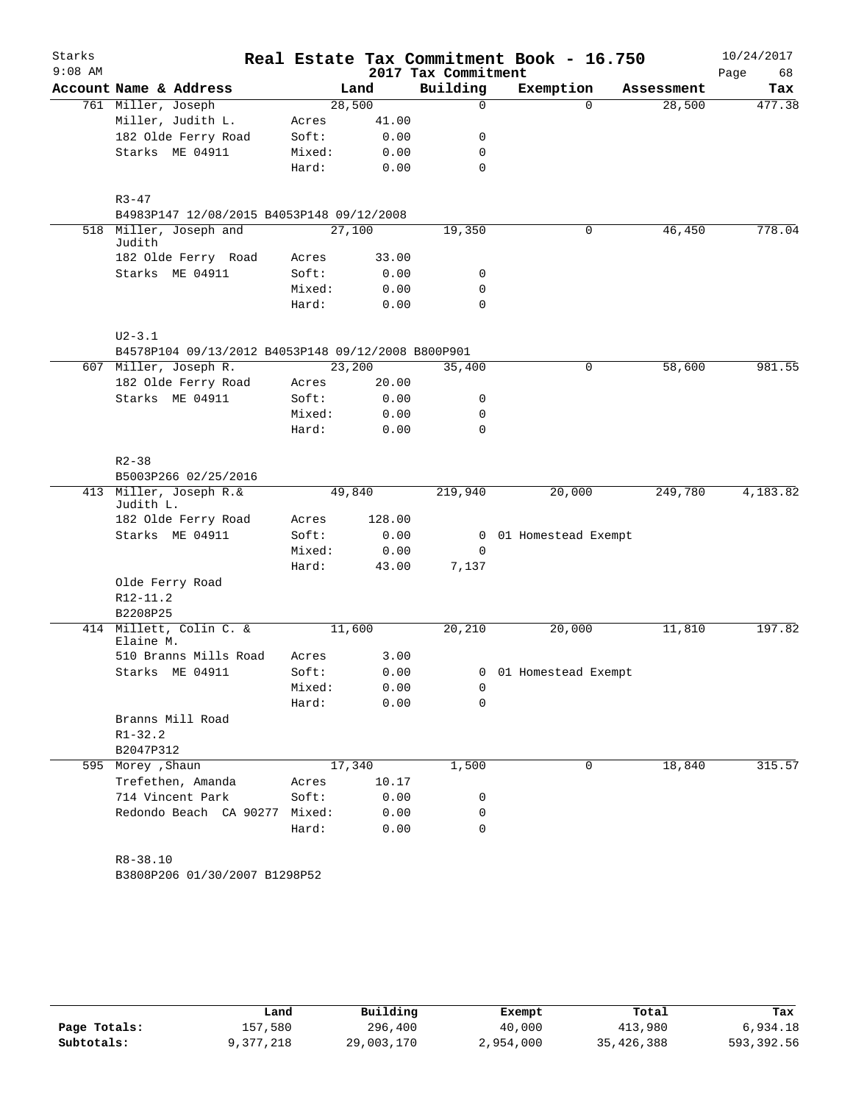|                                                    |                 |                               | 2017 Tax Commitment | Real Estate Tax Commitment Book - 16.750 |            | 10/24/2017<br>Page<br>68 |
|----------------------------------------------------|-----------------|-------------------------------|---------------------|------------------------------------------|------------|--------------------------|
| Account Name & Address                             |                 | Land                          | Building            | Exemption                                | Assessment | Tax                      |
| 761 Miller, Joseph                                 |                 | 28,500                        | $\mathbf 0$         | $\Omega$                                 | 28,500     | 477.38                   |
| Miller, Judith L.                                  | Acres           | 41.00                         |                     |                                          |            |                          |
| 182 Olde Ferry Road                                | Soft:           | 0.00                          | 0                   |                                          |            |                          |
| Starks ME 04911                                    | Mixed:          | 0.00                          | 0                   |                                          |            |                          |
|                                                    | Hard:           | 0.00                          | $\mathbf 0$         |                                          |            |                          |
| $R3 - 47$                                          |                 |                               |                     |                                          |            |                          |
| B4983P147 12/08/2015 B4053P148 09/12/2008          |                 |                               |                     |                                          |            |                          |
| 518 Miller, Joseph and<br>Judith                   |                 | 27,100                        | 19,350              | 0                                        | 46,450     | 778.04                   |
| 182 Olde Ferry Road                                | Acres           | 33.00                         |                     |                                          |            |                          |
| Starks ME 04911                                    | Soft:           | 0.00                          | 0                   |                                          |            |                          |
|                                                    | Mixed:          | 0.00                          | 0                   |                                          |            |                          |
|                                                    | Hard:           | 0.00                          | $\mathbf 0$         |                                          |            |                          |
| $U2 - 3.1$                                         |                 |                               |                     |                                          |            |                          |
| B4578P104 09/13/2012 B4053P148 09/12/2008 B800P901 |                 |                               |                     |                                          |            | 981.55                   |
| 607 Miller, Joseph R.                              |                 | 23,200                        | 35,400              | $\mathbf 0$                              | 58,600     |                          |
| 182 Olde Ferry Road<br>Starks ME 04911             | Acres           | 20.00                         |                     |                                          |            |                          |
|                                                    | Soft:<br>Mixed: | 0.00<br>0.00                  | 0<br>0              |                                          |            |                          |
|                                                    | Hard:           | 0.00                          | $\Omega$            |                                          |            |                          |
| $R2 - 38$                                          |                 |                               |                     |                                          |            |                          |
| B5003P266 02/25/2016                               |                 |                               |                     |                                          |            |                          |
| 413 Miller, Joseph R.&<br>Judith L.                |                 | 49,840                        | 219,940             | 20,000                                   | 249,780    | 4,183.82                 |
| 182 Olde Ferry Road                                | Acres           | 128.00                        |                     |                                          |            |                          |
| Starks ME 04911                                    | Soft:           | 0.00                          |                     | 0 01 Homestead Exempt                    |            |                          |
|                                                    | Mixed:          | 0.00                          | 0                   |                                          |            |                          |
|                                                    | Hard:           | 43.00                         | 7,137               |                                          |            |                          |
| Olde Ferry Road                                    |                 |                               |                     |                                          |            |                          |
| $R12 - 11.2$                                       |                 |                               |                     |                                          |            |                          |
| B2208P25                                           |                 |                               |                     |                                          |            |                          |
| 414 Millett, Colin C. &<br>Elaine M.               |                 | 11,600                        | 20,210              | 20,000                                   | 11,810     | 197.82                   |
| 510 Branns Mills Road                              | Acres           | 3.00                          |                     |                                          |            |                          |
| Starks ME 04911                                    | Soft:           | 0.00                          |                     | 0 01 Homestead Exempt                    |            |                          |
|                                                    | Mixed:          | 0.00                          | 0                   |                                          |            |                          |
|                                                    | Hard:           | 0.00                          | 0                   |                                          |            |                          |
| Branns Mill Road                                   |                 |                               |                     |                                          |            |                          |
| $R1 - 32.2$                                        |                 |                               |                     |                                          |            |                          |
|                                                    |                 |                               |                     |                                          |            |                          |
|                                                    |                 |                               |                     | 0                                        |            | 315.57                   |
| Trefethen, Amanda                                  | Acres           |                               |                     |                                          |            |                          |
| 714 Vincent Park                                   | Soft:           | 0.00                          | 0                   |                                          |            |                          |
| Redondo Beach CA 90277                             | Mixed:          | 0.00                          | 0                   |                                          |            |                          |
|                                                    | Hard:           | 0.00                          | $\mathbf 0$         |                                          |            |                          |
| B2047P312<br>595 Morey , Shaun<br>$R8 - 38.10$     |                 | B3808P206 01/30/2007 B1298P52 | 17,340<br>10.17     | 1,500                                    |            | 18,840                   |

|              | Land      | Building   | Exempt    | Total      | Tax        |
|--------------|-----------|------------|-----------|------------|------------|
| Page Totals: | 157,580   | 296,400    | 40,000    | 413,980    | 6,934.18   |
| Subtotals:   | 9,377,218 | 29,003,170 | 2,954,000 | 35,426,388 | 593,392.56 |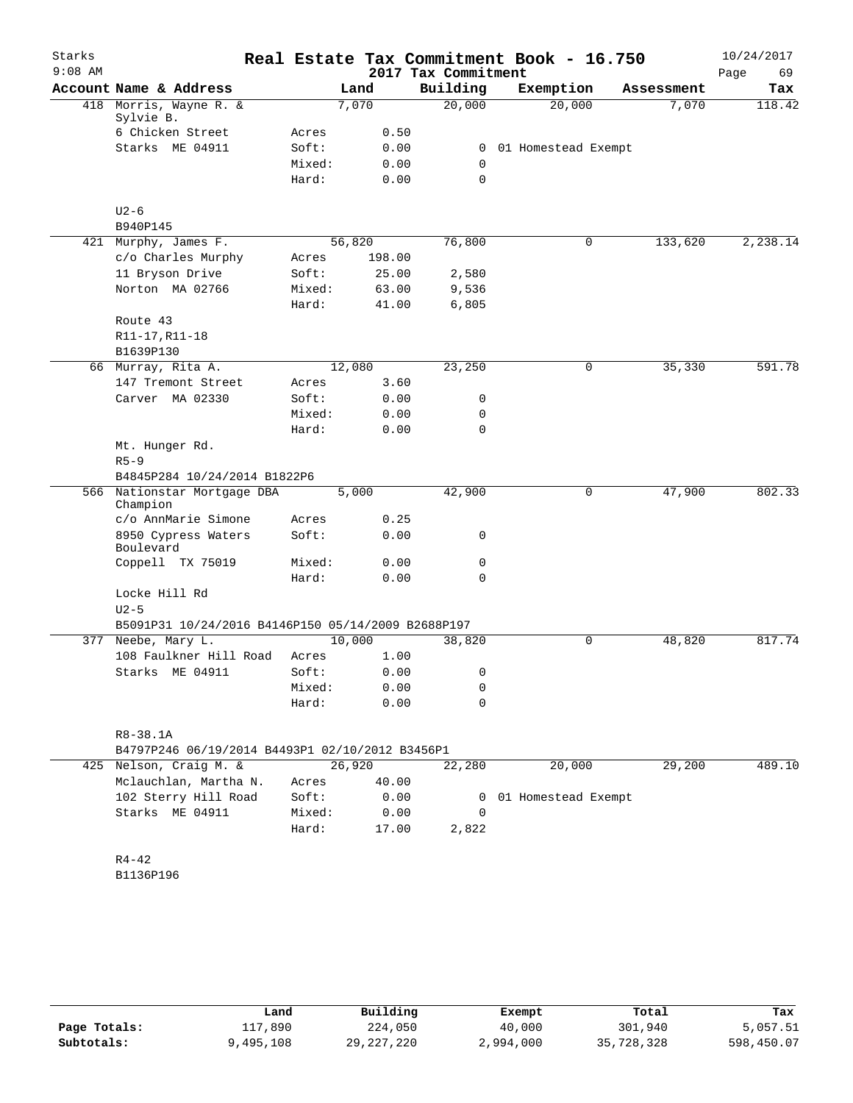| Starks    |                                                    |        |                                 |                     | Real Estate Tax Commitment Book - 16.750 |            | 10/24/2017 |
|-----------|----------------------------------------------------|--------|---------------------------------|---------------------|------------------------------------------|------------|------------|
| $9:08$ AM |                                                    |        |                                 | 2017 Tax Commitment |                                          |            | Page<br>69 |
|           | Account Name & Address                             |        | Land                            | Building            | Exemption                                | Assessment | Tax        |
|           | 418 Morris, Wayne R. &<br>Sylvie B.                |        | 7,070                           | 20,000              | 20,000                                   | 7,070      | 118.42     |
|           | 6 Chicken Street                                   | Acres  | 0.50                            |                     |                                          |            |            |
|           | Starks ME 04911                                    | Soft:  | 0.00                            | 0                   | 01 Homestead Exempt                      |            |            |
|           |                                                    | Mixed: | 0.00                            | $\mathbf 0$         |                                          |            |            |
|           |                                                    | Hard:  | 0.00                            | 0                   |                                          |            |            |
|           | $U2-6$                                             |        |                                 |                     |                                          |            |            |
|           | B940P145                                           |        |                                 |                     |                                          |            |            |
|           | 421 Murphy, James F.                               |        | $\overline{56,820}$             | 76,800              | 0                                        | 133,620    | 2,238.14   |
|           | c/o Charles Murphy                                 | Acres  | 198.00                          |                     |                                          |            |            |
|           | 11 Bryson Drive                                    | Soft:  | 25.00                           | 2,580               |                                          |            |            |
|           | Norton MA 02766                                    | Mixed: | 63.00                           | 9,536               |                                          |            |            |
|           |                                                    | Hard:  | 41.00                           | 6,805               |                                          |            |            |
|           | Route 43                                           |        |                                 |                     |                                          |            |            |
|           | R11-17, R11-18                                     |        |                                 |                     |                                          |            |            |
|           | B1639P130                                          |        |                                 |                     |                                          |            |            |
|           | 66 Murray, Rita A.                                 |        | 12,080                          | 23,250              | 0                                        | 35,330     | 591.78     |
|           | 147 Tremont Street                                 | Acres  | 3.60                            |                     |                                          |            |            |
|           | Carver MA 02330                                    | Soft:  | ${\bf 0}$ . ${\bf 0}$ ${\bf 0}$ | 0                   |                                          |            |            |
|           |                                                    | Mixed: | 0.00                            | 0                   |                                          |            |            |
|           |                                                    | Hard:  | 0.00                            | 0                   |                                          |            |            |
|           | Mt. Hunger Rd.                                     |        |                                 |                     |                                          |            |            |
|           | $R5 - 9$                                           |        |                                 |                     |                                          |            |            |
|           | B4845P284 10/24/2014 B1822P6                       |        |                                 |                     |                                          |            |            |
| 566       | Nationstar Mortgage DBA                            |        | 5,000                           | 42,900              | 0                                        | 47,900     | 802.33     |
|           | Champion                                           |        |                                 |                     |                                          |            |            |
|           | c/o AnnMarie Simone                                | Acres  | 0.25                            |                     |                                          |            |            |
|           | 8950 Cypress Waters<br>Boulevard                   | Soft:  | 0.00                            | 0                   |                                          |            |            |
|           | Coppell TX 75019                                   | Mixed: | 0.00                            | 0                   |                                          |            |            |
|           |                                                    | Hard:  | 0.00                            | $\Omega$            |                                          |            |            |
|           | Locke Hill Rd                                      |        |                                 |                     |                                          |            |            |
|           | $U2-5$                                             |        |                                 |                     |                                          |            |            |
|           | B5091P31 10/24/2016 B4146P150 05/14/2009 B2688P197 |        |                                 |                     |                                          |            |            |
|           | 377 Neebe, Mary L.                                 |        | 10,000                          | 38,820              | 0                                        | 48,820     | 817.74     |
|           | 108 Faulkner Hill Road                             | Acres  | 1.00                            |                     |                                          |            |            |
|           | Starks ME 04911                                    | Soft:  | 0.00                            | $\Omega$            |                                          |            |            |
|           |                                                    | Mixed: | 0.00                            | 0                   |                                          |            |            |
|           |                                                    | Hard:  | 0.00                            | 0                   |                                          |            |            |
|           | R8-38.1A                                           |        |                                 |                     |                                          |            |            |
|           | B4797P246 06/19/2014 B4493P1 02/10/2012 B3456P1    |        |                                 |                     |                                          |            |            |
|           | 425 Nelson, Craig M. &                             |        | 26,920                          | 22,280              | 20,000                                   | 29,200     | 489.10     |
|           | Mclauchlan, Martha N.                              | Acres  | 40.00                           |                     |                                          |            |            |
|           | 102 Sterry Hill Road                               | Soft:  | 0.00                            | $\overline{0}$      | 01 Homestead Exempt                      |            |            |
|           | Starks ME 04911                                    | Mixed: | 0.00                            | 0                   |                                          |            |            |
|           |                                                    |        |                                 |                     |                                          |            |            |
|           |                                                    | Hard:  | 17.00                           | 2,822               |                                          |            |            |
|           | $R4 - 42$                                          |        |                                 |                     |                                          |            |            |
|           | B1136P196                                          |        |                                 |                     |                                          |            |            |
|           |                                                    |        |                                 |                     |                                          |            |            |
|           |                                                    |        |                                 |                     |                                          |            |            |

|              | Land      | Building     | Exempt    | Total      | Tax        |
|--------------|-----------|--------------|-----------|------------|------------|
| Page Totals: | 117,890   | 224,050      | 40,000    | 301,940    | 5,057.51   |
| Subtotals:   | 9,495,108 | 29, 227, 220 | 2,994,000 | 35,728,328 | 598,450.07 |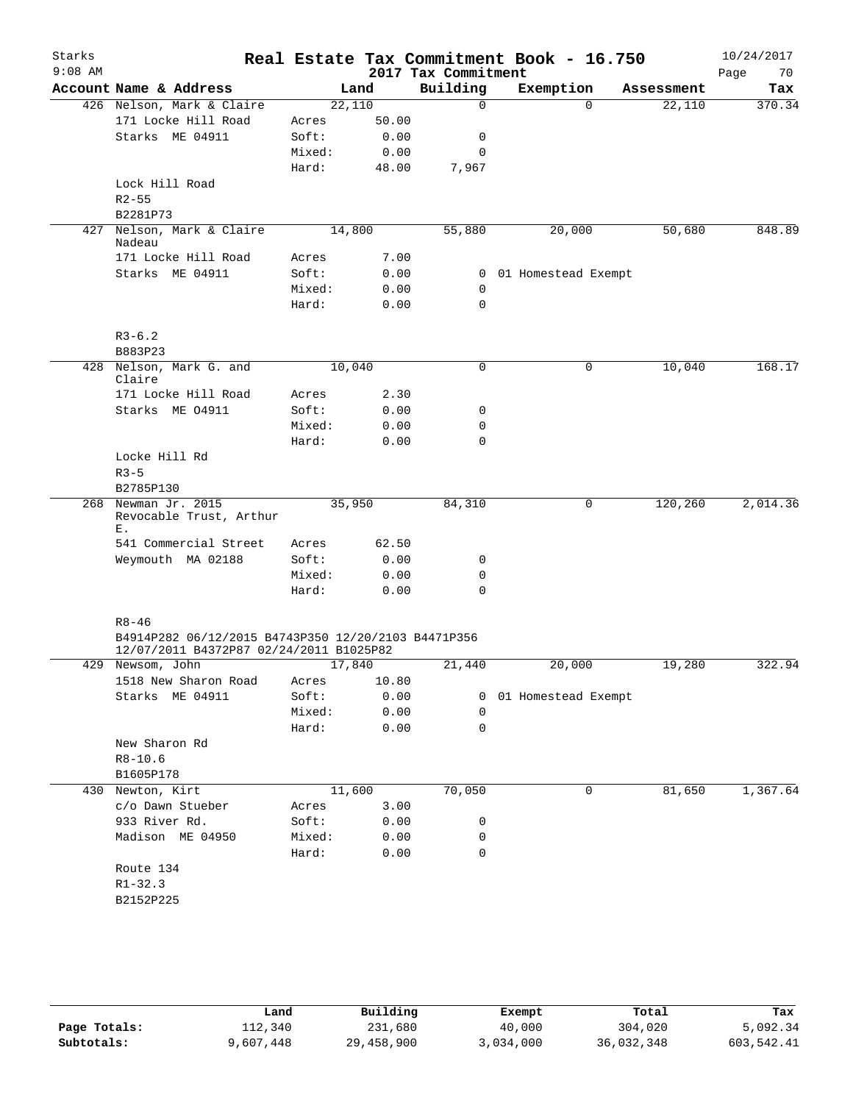| Starks<br>$9:08$ AM |                                                                  |        |       | 2017 Tax Commitment | Real Estate Tax Commitment Book - 16.750 |            | 10/24/2017<br>Page<br>70 |
|---------------------|------------------------------------------------------------------|--------|-------|---------------------|------------------------------------------|------------|--------------------------|
|                     | Account Name & Address                                           | Land   |       | Building            | Exemption                                | Assessment | Tax                      |
|                     | 426 Nelson, Mark & Claire                                        | 22,110 |       | $\Omega$            | $\Omega$                                 | 22,110     | 370.34                   |
|                     | 171 Locke Hill Road                                              | Acres  | 50.00 |                     |                                          |            |                          |
|                     | Starks ME 04911                                                  | Soft:  | 0.00  | 0                   |                                          |            |                          |
|                     |                                                                  | Mixed: | 0.00  | 0                   |                                          |            |                          |
|                     |                                                                  | Hard:  | 48.00 | 7,967               |                                          |            |                          |
|                     | Lock Hill Road                                                   |        |       |                     |                                          |            |                          |
|                     | $R2 - 55$                                                        |        |       |                     |                                          |            |                          |
|                     | B2281P73                                                         |        |       |                     |                                          |            |                          |
| 427                 | Nelson, Mark & Claire<br>Nadeau                                  | 14,800 |       | 55,880              | 20,000                                   | 50,680     | 848.89                   |
|                     | 171 Locke Hill Road                                              | Acres  | 7.00  |                     |                                          |            |                          |
|                     | Starks ME 04911                                                  | Soft:  | 0.00  | $\mathbf{0}$        | 01 Homestead Exempt                      |            |                          |
|                     |                                                                  | Mixed: | 0.00  | $\mathbf 0$         |                                          |            |                          |
|                     |                                                                  | Hard:  | 0.00  | $\mathbf 0$         |                                          |            |                          |
|                     | $R3-6.2$                                                         |        |       |                     |                                          |            |                          |
|                     | B883P23<br>428 Nelson, Mark G. and                               | 10,040 |       | 0                   | $\mathbf 0$                              |            | 168.17                   |
|                     | Claire                                                           |        |       |                     |                                          | 10,040     |                          |
|                     | 171 Locke Hill Road                                              | Acres  | 2.30  |                     |                                          |            |                          |
|                     | Starks ME 04911                                                  | Soft:  | 0.00  | 0                   |                                          |            |                          |
|                     |                                                                  | Mixed: | 0.00  | 0                   |                                          |            |                          |
|                     |                                                                  | Hard:  | 0.00  | $\mathbf 0$         |                                          |            |                          |
|                     | Locke Hill Rd                                                    |        |       |                     |                                          |            |                          |
|                     | $R3 - 5$<br>B2785P130                                            |        |       |                     |                                          |            |                          |
| 268                 | Newman Jr. 2015<br>Revocable Trust, Arthur                       | 35,950 |       | 84,310              | 0                                        | 120,260    | 2,014.36                 |
|                     | Ε.<br>541 Commercial Street                                      | Acres  | 62.50 |                     |                                          |            |                          |
|                     | Weymouth MA 02188                                                | Soft:  | 0.00  | 0                   |                                          |            |                          |
|                     |                                                                  | Mixed: | 0.00  | 0                   |                                          |            |                          |
|                     |                                                                  | Hard:  | 0.00  | $\Omega$            |                                          |            |                          |
|                     |                                                                  |        |       |                     |                                          |            |                          |
|                     | $R8 - 46$<br>B4914P282 06/12/2015 B4743P350 12/20/2103 B4471P356 |        |       |                     |                                          |            |                          |
|                     | 12/07/2011 B4372P87 02/24/2011 B1025P82                          |        |       |                     |                                          |            |                          |
|                     | 429 Newsom, John                                                 | 17,840 |       | 21,440              | 20,000                                   | 19,280     | 322.94                   |
|                     | 1518 New Sharon Road                                             | Acres  | 10.80 |                     |                                          |            |                          |
|                     | Starks ME 04911                                                  | Soft:  | 0.00  | 0                   | 01 Homestead Exempt                      |            |                          |
|                     |                                                                  | Mixed: | 0.00  | 0                   |                                          |            |                          |
|                     |                                                                  | Hard:  | 0.00  | 0                   |                                          |            |                          |
|                     | New Sharon Rd                                                    |        |       |                     |                                          |            |                          |
|                     | $R8 - 10.6$                                                      |        |       |                     |                                          |            |                          |
|                     | B1605P178                                                        |        |       |                     |                                          |            |                          |
|                     | 430 Newton, Kirt                                                 | 11,600 |       | 70,050              | 0                                        | 81,650     | 1,367.64                 |
|                     | c/o Dawn Stueber                                                 | Acres  | 3.00  |                     |                                          |            |                          |
|                     | 933 River Rd.                                                    | Soft:  | 0.00  | 0                   |                                          |            |                          |
|                     | Madison ME 04950                                                 | Mixed: | 0.00  | 0                   |                                          |            |                          |
|                     |                                                                  | Hard:  | 0.00  | 0                   |                                          |            |                          |
|                     | Route 134                                                        |        |       |                     |                                          |            |                          |
|                     | $R1 - 32.3$                                                      |        |       |                     |                                          |            |                          |
|                     | B2152P225                                                        |        |       |                     |                                          |            |                          |
|                     |                                                                  |        |       |                     |                                          |            |                          |
|                     |                                                                  |        |       |                     |                                          |            |                          |
|                     |                                                                  |        |       |                     |                                          |            |                          |

|              | Land      | Building   | Exempt    | Total      | Tax        |
|--------------|-----------|------------|-----------|------------|------------|
| Page Totals: | 112,340   | 231,680    | 40,000    | 304,020    | 5,092.34   |
| Subtotals:   | 9,607,448 | 29,458,900 | 3,034,000 | 36,032,348 | 603,542.41 |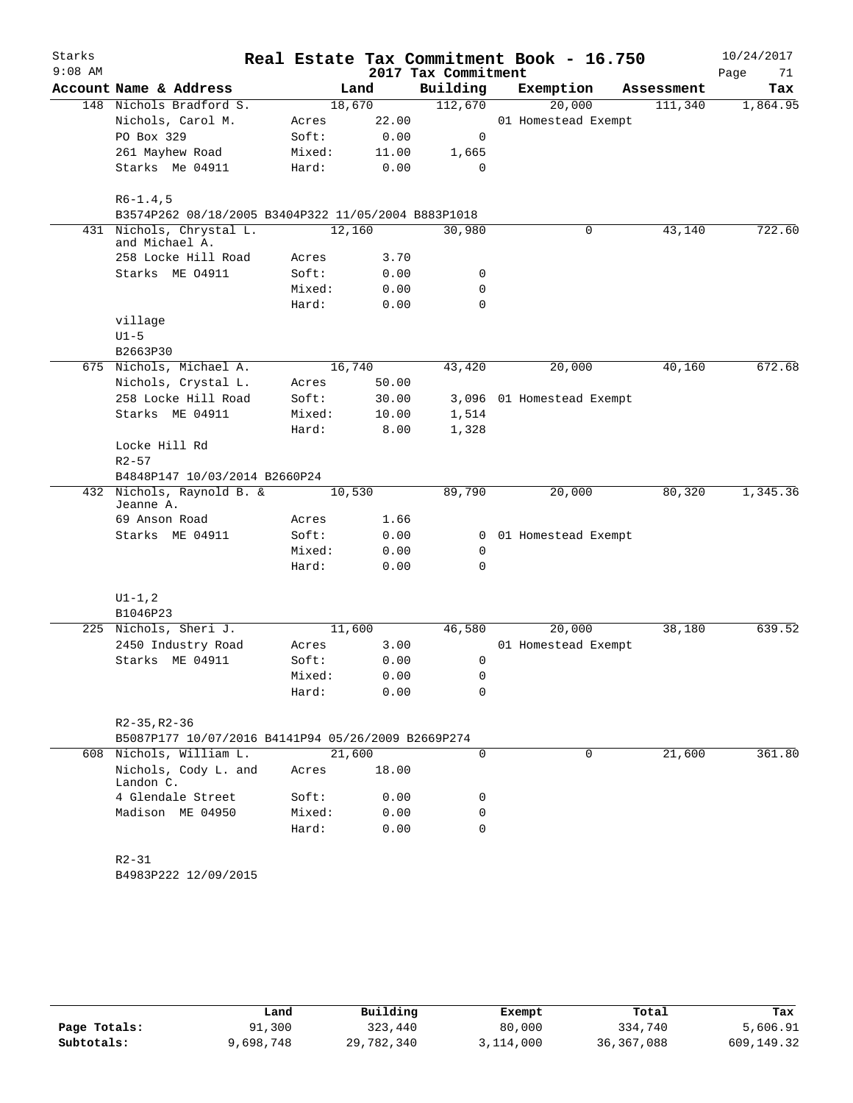| Starks<br>$9:08$ AM |                                                                   | Real Estate Tax Commitment Book - 16.750 |        | 2017 Tax Commitment |                           |   |            | 10/24/2017<br>Page<br>71 |
|---------------------|-------------------------------------------------------------------|------------------------------------------|--------|---------------------|---------------------------|---|------------|--------------------------|
|                     | Account Name & Address                                            |                                          | Land   | Building            | Exemption                 |   | Assessment | Tax                      |
|                     | 148 Nichols Bradford S.                                           |                                          | 18,670 | 112,670             | 20,000                    |   | 111,340    | 1,864.95                 |
|                     | Nichols, Carol M.                                                 | Acres                                    | 22.00  |                     | 01 Homestead Exempt       |   |            |                          |
|                     | PO Box 329                                                        | Soft:                                    | 0.00   | 0                   |                           |   |            |                          |
|                     | 261 Mayhew Road                                                   | Mixed:                                   | 11.00  | 1,665               |                           |   |            |                          |
|                     | Starks Me 04911                                                   | Hard:                                    | 0.00   | 0                   |                           |   |            |                          |
|                     | $R6-1.4,5$<br>B3574P262 08/18/2005 B3404P322 11/05/2004 B883P1018 |                                          |        |                     |                           |   |            |                          |
| 431                 | Nichols, Chrystal L.                                              |                                          | 12,160 | 30,980              |                           | 0 | 43,140     | 722.60                   |
|                     | and Michael A.<br>258 Locke Hill Road                             |                                          | 3.70   |                     |                           |   |            |                          |
|                     |                                                                   | Acres                                    |        |                     |                           |   |            |                          |
|                     | Starks ME 04911                                                   | Soft:                                    | 0.00   | 0                   |                           |   |            |                          |
|                     |                                                                   | Mixed:                                   | 0.00   | 0                   |                           |   |            |                          |
|                     |                                                                   | Hard:                                    | 0.00   | $\mathbf 0$         |                           |   |            |                          |
|                     | village                                                           |                                          |        |                     |                           |   |            |                          |
|                     | $U1-5$                                                            |                                          |        |                     |                           |   |            |                          |
|                     | B2663P30                                                          |                                          |        |                     |                           |   |            |                          |
|                     | 675 Nichols, Michael A.                                           |                                          | 16,740 | 43,420              | 20,000                    |   | 40,160     | 672.68                   |
|                     | Nichols, Crystal L.                                               | Acres                                    | 50.00  |                     |                           |   |            |                          |
|                     | 258 Locke Hill Road                                               | Soft:                                    | 30.00  |                     | 3,096 01 Homestead Exempt |   |            |                          |
|                     | Starks ME 04911                                                   | Mixed:                                   | 10.00  | 1,514               |                           |   |            |                          |
|                     |                                                                   | Hard:                                    | 8.00   | 1,328               |                           |   |            |                          |
|                     | Locke Hill Rd                                                     |                                          |        |                     |                           |   |            |                          |
|                     | $R2 - 57$                                                         |                                          |        |                     |                           |   |            |                          |
|                     | B4848P147 10/03/2014 B2660P24                                     |                                          |        |                     |                           |   |            |                          |
|                     | 432 Nichols, Raynold B. &<br>Jeanne A.                            |                                          | 10,530 | 89,790              | 20,000                    |   | 80,320     | 1,345.36                 |
|                     | 69 Anson Road                                                     | Acres                                    | 1.66   |                     |                           |   |            |                          |
|                     | Starks ME 04911                                                   | Soft:                                    | 0.00   |                     | 0 01 Homestead Exempt     |   |            |                          |
|                     |                                                                   | Mixed:                                   | 0.00   | 0                   |                           |   |            |                          |
|                     |                                                                   | Hard:                                    | 0.00   | $\mathbf 0$         |                           |   |            |                          |
|                     | $UI-1, 2$                                                         |                                          |        |                     |                           |   |            |                          |
|                     | B1046P23                                                          |                                          |        |                     |                           |   |            |                          |
|                     | 225 Nichols, Sheri J.                                             |                                          | 11,600 | 46,580              | 20,000                    |   | 38,180     | 639.52                   |
|                     | 2450 Industry Road                                                | Acres                                    | 3.00   |                     | 01 Homestead Exempt       |   |            |                          |
|                     | Starks ME 04911                                                   | Soft:                                    | 0.00   | 0                   |                           |   |            |                          |
|                     |                                                                   | Mixed:                                   | 0.00   | 0                   |                           |   |            |                          |
|                     |                                                                   | Hard:                                    | 0.00   | 0                   |                           |   |            |                          |
|                     | $R2 - 35, R2 - 36$                                                |                                          |        |                     |                           |   |            |                          |
|                     | B5087P177 10/07/2016 B4141P94 05/26/2009 B2669P274                |                                          |        |                     |                           |   |            |                          |
|                     | 608 Nichols, William L.                                           |                                          | 21,600 | 0                   |                           | 0 | 21,600     | 361.80                   |
|                     | Nichols, Cody L. and<br>Landon C.                                 | Acres                                    | 18.00  |                     |                           |   |            |                          |
|                     | 4 Glendale Street                                                 | Soft:                                    | 0.00   | 0                   |                           |   |            |                          |
|                     | Madison ME 04950                                                  | Mixed:                                   | 0.00   | 0                   |                           |   |            |                          |
|                     |                                                                   | Hard:                                    | 0.00   | 0                   |                           |   |            |                          |
|                     | $R2 - 31$                                                         |                                          |        |                     |                           |   |            |                          |
|                     | B4983P222 12/09/2015                                              |                                          |        |                     |                           |   |            |                          |
|                     |                                                                   |                                          |        |                     |                           |   |            |                          |

|              | Land      | Building   | Exempt    | Total      | Tax        |
|--------------|-----------|------------|-----------|------------|------------|
| Page Totals: | 91,300    | 323,440    | 80,000    | 334,740    | 5,606.91   |
| Subtotals:   | 9,698,748 | 29,782,340 | 3,114,000 | 36,367,088 | 609,149.32 |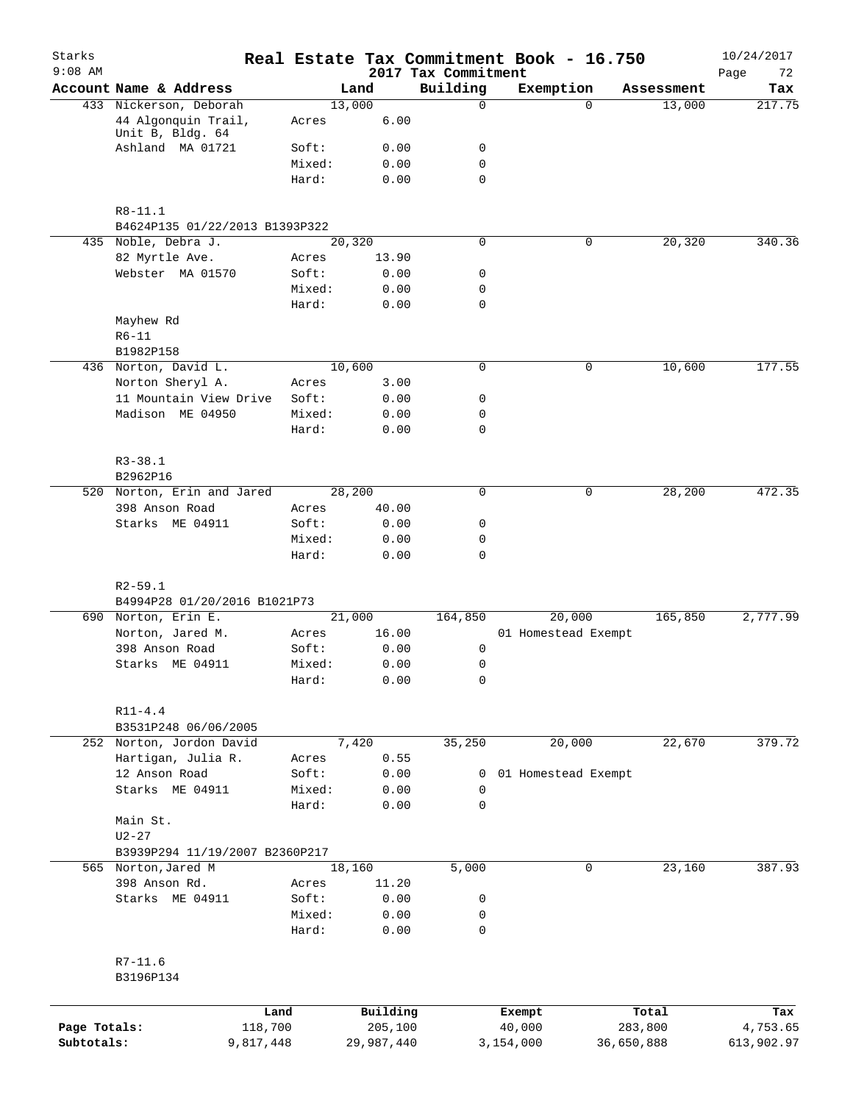| Starks<br>$9:08$ AM |                                         |        |            |                                 | Real Estate Tax Commitment Book - 16.750 |             |            | 10/24/2017        |
|---------------------|-----------------------------------------|--------|------------|---------------------------------|------------------------------------------|-------------|------------|-------------------|
|                     | Account Name & Address                  |        | Land       | 2017 Tax Commitment<br>Building | Exemption                                |             | Assessment | Page<br>72<br>Tax |
|                     | 433 Nickerson, Deborah                  |        | 13,000     | 0                               |                                          | $\Omega$    | 13,000     | 217.75            |
|                     | 44 Algonquin Trail,<br>Unit B, Bldg. 64 | Acres  | 6.00       |                                 |                                          |             |            |                   |
|                     | Ashland MA 01721                        | Soft:  | 0.00       | 0                               |                                          |             |            |                   |
|                     |                                         | Mixed: | 0.00       | 0                               |                                          |             |            |                   |
|                     |                                         | Hard:  | 0.00       | $\mathbf 0$                     |                                          |             |            |                   |
|                     | $R8 - 11.1$                             |        |            |                                 |                                          |             |            |                   |
|                     | B4624P135 01/22/2013 B1393P322          |        |            |                                 |                                          |             |            |                   |
|                     | 435 Noble, Debra J.                     |        | 20,320     | $\mathbf 0$                     |                                          | $\mathbf 0$ | 20,320     | 340.36            |
|                     | 82 Myrtle Ave.                          | Acres  | 13.90      |                                 |                                          |             |            |                   |
|                     | Webster MA 01570                        | Soft:  | 0.00       | 0                               |                                          |             |            |                   |
|                     |                                         | Mixed: | 0.00       | 0<br>$\mathbf 0$                |                                          |             |            |                   |
|                     |                                         | Hard:  | 0.00       |                                 |                                          |             |            |                   |
|                     | Mayhew Rd                               |        |            |                                 |                                          |             |            |                   |
|                     | $R6 - 11$                               |        |            |                                 |                                          |             |            |                   |
|                     | B1982P158<br>436 Norton, David L.       |        |            | 0                               |                                          | 0           |            | 177.55            |
|                     |                                         |        | 10,600     |                                 |                                          |             | 10,600     |                   |
|                     | Norton Sheryl A.                        | Acres  | 3.00       |                                 |                                          |             |            |                   |
|                     | 11 Mountain View Drive                  | Soft:  | 0.00       | 0                               |                                          |             |            |                   |
|                     | Madison ME 04950                        | Mixed: | 0.00       | 0                               |                                          |             |            |                   |
|                     |                                         | Hard:  | 0.00       | $\mathbf 0$                     |                                          |             |            |                   |
|                     | $R3 - 38.1$<br>B2962P16                 |        |            |                                 |                                          |             |            |                   |
|                     | 520 Norton, Erin and Jared              |        | 28,200     | $\mathbf 0$                     |                                          | 0           | 28,200     | 472.35            |
|                     | 398 Anson Road                          | Acres  | 40.00      |                                 |                                          |             |            |                   |
|                     | Starks ME 04911                         | Soft:  | 0.00       | 0                               |                                          |             |            |                   |
|                     |                                         | Mixed: | 0.00       | $\mathbf 0$                     |                                          |             |            |                   |
|                     |                                         | Hard:  | 0.00       | $\mathbf 0$                     |                                          |             |            |                   |
|                     | $R2 - 59.1$                             |        |            |                                 |                                          |             |            |                   |
|                     | B4994P28 01/20/2016 B1021P73            |        |            |                                 |                                          |             |            |                   |
|                     | 690 Norton, Erin E.                     |        | 21,000     | 164,850                         | 20,000                                   |             | 165,850    | 2,777.99          |
|                     | Norton, Jared M.                        | Acres  | 16.00      |                                 | 01 Homestead Exempt                      |             |            |                   |
|                     | 398 Anson Road                          | Soft:  | 0.00       | 0                               |                                          |             |            |                   |
|                     | Starks ME 04911                         | Mixed: | 0.00       | 0                               |                                          |             |            |                   |
|                     |                                         | Hard:  | 0.00       | 0                               |                                          |             |            |                   |
|                     | $R11 - 4.4$                             |        |            |                                 |                                          |             |            |                   |
|                     | B3531P248 06/06/2005                    |        |            |                                 |                                          |             |            |                   |
|                     | 252 Norton, Jordon David                |        | 7,420      | 35,250                          | 20,000                                   |             | 22,670     | 379.72            |
|                     | Hartigan, Julia R.                      | Acres  | 0.55       |                                 |                                          |             |            |                   |
|                     | 12 Anson Road                           | Soft:  | 0.00       | 0                               | 01 Homestead Exempt                      |             |            |                   |
|                     | Starks ME 04911                         | Mixed: | 0.00       | 0                               |                                          |             |            |                   |
|                     |                                         | Hard:  | 0.00       | 0                               |                                          |             |            |                   |
|                     | Main St.                                |        |            |                                 |                                          |             |            |                   |
|                     | $U2 - 27$                               |        |            |                                 |                                          |             |            |                   |
|                     | B3939P294 11/19/2007 B2360P217          |        |            |                                 |                                          |             |            |                   |
|                     | 565 Norton, Jared M                     |        | 18,160     | 5,000                           |                                          | 0           | 23,160     | 387.93            |
|                     | 398 Anson Rd.                           | Acres  | 11.20      |                                 |                                          |             |            |                   |
|                     | Starks ME 04911                         | Soft:  | 0.00       | 0                               |                                          |             |            |                   |
|                     |                                         | Mixed: | 0.00       | 0                               |                                          |             |            |                   |
|                     |                                         | Hard:  | 0.00       | 0                               |                                          |             |            |                   |
|                     | $R7-11.6$                               |        |            |                                 |                                          |             |            |                   |
|                     | B3196P134                               |        |            |                                 |                                          |             |            |                   |
|                     |                                         | Land   | Building   |                                 | Exempt                                   |             | Total      | Tax               |
| Page Totals:        | 118,700                                 |        | 205,100    |                                 | 40,000                                   |             | 283,800    | 4,753.65          |
| Subtotals:          | 9,817,448                               |        | 29,987,440 |                                 | 3,154,000                                | 36,650,888  |            | 613,902.97        |
|                     |                                         |        |            |                                 |                                          |             |            |                   |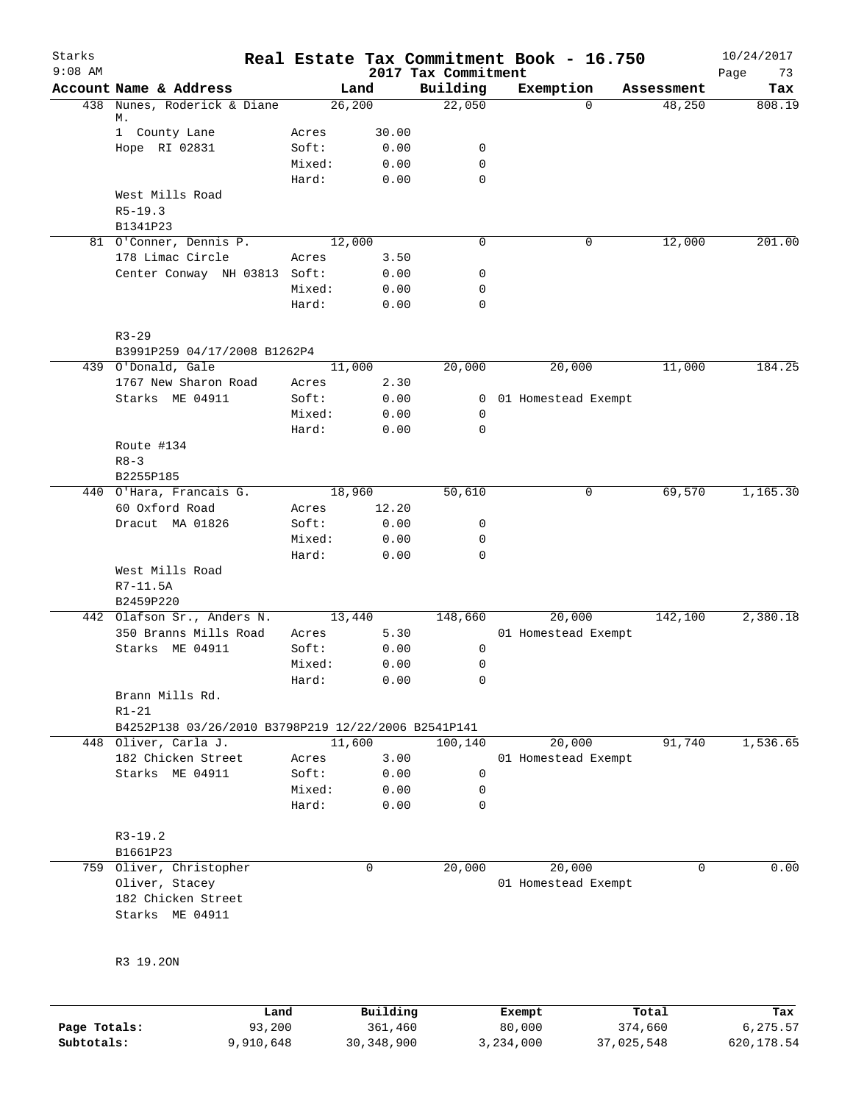| Starks<br>$9:08$ AM |                                                     |                 |                 | 2017 Tax Commitment | Real Estate Tax Commitment Book - 16.750 |            | 10/24/2017        |
|---------------------|-----------------------------------------------------|-----------------|-----------------|---------------------|------------------------------------------|------------|-------------------|
|                     | Account Name & Address                              |                 | Land            | Building            | Exemption                                | Assessment | Page<br>73<br>Tax |
|                     | 438 Nunes, Roderick & Diane                         |                 | 26,200          | 22,050              | $\Omega$                                 | 48,250     | 808.19            |
|                     | М.                                                  |                 |                 |                     |                                          |            |                   |
|                     | 1 County Lane                                       | Acres           | 30.00           |                     |                                          |            |                   |
|                     | Hope RI 02831                                       | Soft:           | 0.00            | 0<br>$\mathbf 0$    |                                          |            |                   |
|                     |                                                     | Mixed:<br>Hard: | 0.00<br>0.00    | $\mathbf 0$         |                                          |            |                   |
|                     | West Mills Road                                     |                 |                 |                     |                                          |            |                   |
|                     | $R5 - 19.3$                                         |                 |                 |                     |                                          |            |                   |
|                     | B1341P23                                            |                 |                 |                     |                                          |            |                   |
|                     | 81 O'Conner, Dennis P.                              |                 | 12,000          | $\Omega$            | 0                                        | 12,000     | 201.00            |
|                     | 178 Limac Circle                                    | Acres           | 3.50            |                     |                                          |            |                   |
|                     | Center Conway NH 03813 Soft:                        |                 | 0.00            | 0                   |                                          |            |                   |
|                     |                                                     | Mixed:          | 0.00            | 0                   |                                          |            |                   |
|                     |                                                     | Hard:           | 0.00            | 0                   |                                          |            |                   |
|                     | $R3 - 29$                                           |                 |                 |                     |                                          |            |                   |
|                     | B3991P259 04/17/2008 B1262P4                        |                 |                 |                     |                                          |            |                   |
|                     | 439 O'Donald, Gale                                  |                 | 11,000          | 20,000              | 20,000                                   | 11,000     | 184.25            |
|                     | 1767 New Sharon Road                                | Acres           | 2.30            |                     |                                          |            |                   |
|                     | Starks ME 04911                                     | Soft:           | 0.00            |                     | 0 01 Homestead Exempt                    |            |                   |
|                     |                                                     | Mixed:          | 0.00            | 0                   |                                          |            |                   |
|                     |                                                     | Hard:           | 0.00            | 0                   |                                          |            |                   |
|                     | Route #134                                          |                 |                 |                     |                                          |            |                   |
|                     | $R8 - 3$                                            |                 |                 |                     |                                          |            |                   |
|                     | B2255P185                                           |                 |                 |                     |                                          |            |                   |
|                     | 440 O'Hara, Francais G.<br>60 Oxford Road           |                 | 18,960<br>12.20 | 50,610              | 0                                        | 69,570     | 1,165.30          |
|                     | Dracut MA 01826                                     | Acres<br>Soft:  | 0.00            | 0                   |                                          |            |                   |
|                     |                                                     | Mixed:          | 0.00            | 0                   |                                          |            |                   |
|                     |                                                     | Hard:           | 0.00            | 0                   |                                          |            |                   |
|                     | West Mills Road                                     |                 |                 |                     |                                          |            |                   |
|                     | R7-11.5A                                            |                 |                 |                     |                                          |            |                   |
|                     | B2459P220                                           |                 |                 |                     |                                          |            |                   |
|                     | 442 Olafson Sr., Anders N.                          |                 | 13,440          | 148,660             | 20,000                                   | 142,100    | 2,380.18          |
|                     | 350 Branns Mills Road                               | Acres           | 5.30            |                     | 01 Homestead Exempt                      |            |                   |
|                     | Starks ME 04911                                     | Soft:           | 0.00            | 0                   |                                          |            |                   |
|                     |                                                     | Mixed:          | 0.00            | 0                   |                                          |            |                   |
|                     |                                                     | Hard:           | 0.00            | 0                   |                                          |            |                   |
|                     | Brann Mills Rd.                                     |                 |                 |                     |                                          |            |                   |
|                     | $R1 - 21$                                           |                 |                 |                     |                                          |            |                   |
|                     | B4252P138 03/26/2010 B3798P219 12/22/2006 B2541P141 |                 |                 |                     |                                          |            |                   |
|                     | 448 Oliver, Carla J.                                |                 | 11,600          | 100,140             | 20,000                                   | 91,740     | 1,536.65          |
|                     | 182 Chicken Street                                  | Acres           | 3.00            |                     | 01 Homestead Exempt                      |            |                   |
|                     | Starks ME 04911                                     | Soft:           | 0.00            | $\mathbf 0$         |                                          |            |                   |
|                     |                                                     | Mixed:          | 0.00            | 0                   |                                          |            |                   |
|                     |                                                     | Hard:           | 0.00            | 0                   |                                          |            |                   |
|                     | $R3-19.2$                                           |                 |                 |                     |                                          |            |                   |
|                     | B1661P23<br>759 Oliver, Christopher                 |                 | $\mathbf 0$     | 20,000              | 20,000                                   | 0          | 0.00              |
|                     | Oliver, Stacey                                      |                 |                 |                     | 01 Homestead Exempt                      |            |                   |
|                     | 182 Chicken Street                                  |                 |                 |                     |                                          |            |                   |
|                     | Starks ME 04911                                     |                 |                 |                     |                                          |            |                   |
|                     |                                                     |                 |                 |                     |                                          |            |                   |
|                     | R3 19.20N                                           |                 |                 |                     |                                          |            |                   |
|                     |                                                     |                 |                 |                     |                                          |            |                   |
|                     | Land                                                |                 | Building        |                     | Exempt                                   | Total      | Tax               |

|              | uanu.     | <b>DULLULLY</b> | LACINUL   | TOLAT      | ias.       |
|--------------|-----------|-----------------|-----------|------------|------------|
| Page Totals: | 93,200    | 361,460         | 80,000    | 374,660    | 6,275.57   |
| Subtotals:   | 9,910,648 | 30, 348, 900    | 3,234,000 | 37,025,548 | 620,178.54 |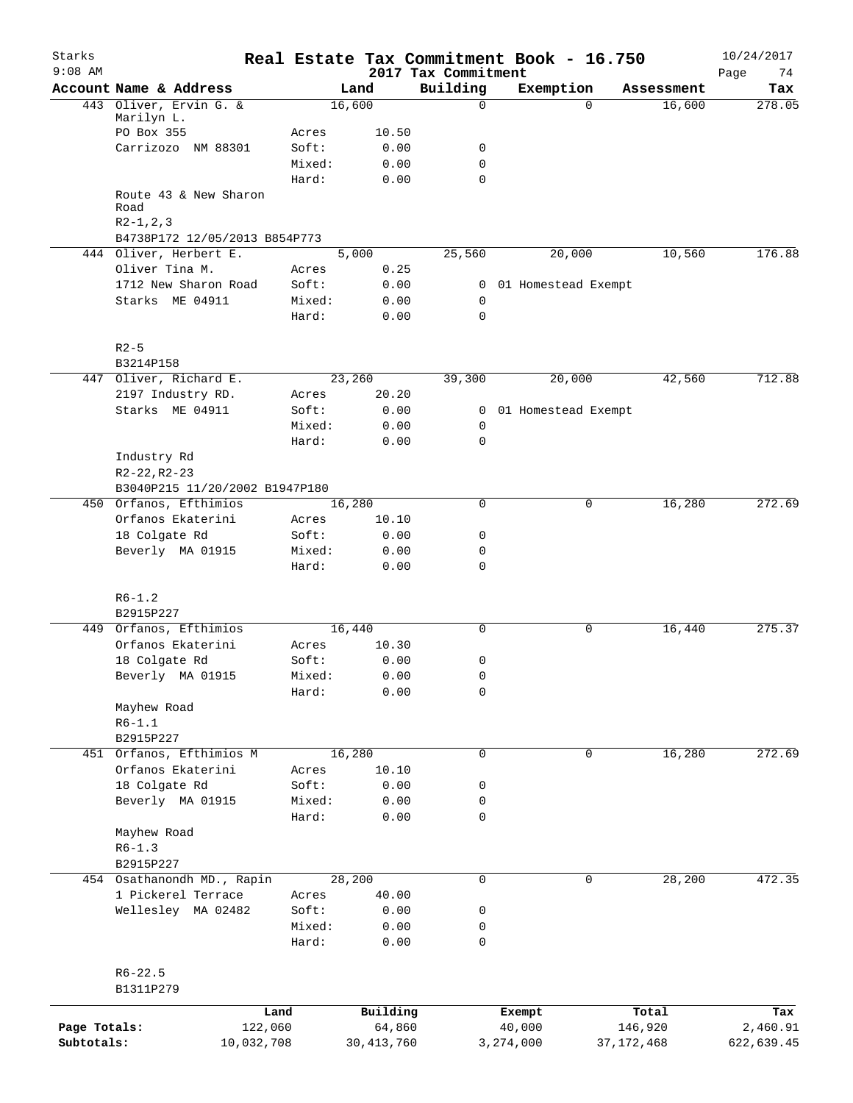| Starks       |                                               |                 |                 |                                 | Real Estate Tax Commitment Book - 16.750 |                    | 10/24/2017        |
|--------------|-----------------------------------------------|-----------------|-----------------|---------------------------------|------------------------------------------|--------------------|-------------------|
| $9:08$ AM    | Account Name & Address                        |                 | Land            | 2017 Tax Commitment<br>Building | Exemption                                | Assessment         | Page<br>74<br>Tax |
|              | 443 Oliver, Ervin G. &                        |                 | 16,600          | $\mathbf 0$                     |                                          | 16,600<br>$\Omega$ | 278.05            |
|              | Marilyn L.                                    |                 |                 |                                 |                                          |                    |                   |
|              | PO Box 355                                    | Acres           | 10.50           |                                 |                                          |                    |                   |
|              | Carrizozo NM 88301                            | Soft:<br>Mixed: | 0.00<br>0.00    | 0<br>$\mathbf 0$                |                                          |                    |                   |
|              |                                               | Hard:           | 0.00            | $\mathbf 0$                     |                                          |                    |                   |
|              | Route 43 & New Sharon<br>Road                 |                 |                 |                                 |                                          |                    |                   |
|              | $R2-1, 2, 3$<br>B4738P172 12/05/2013 B854P773 |                 |                 |                                 |                                          |                    |                   |
|              | 444 Oliver, Herbert E.                        |                 | 5,000           | 25,560                          | 20,000                                   | 10,560             | 176.88            |
|              | Oliver Tina M.                                | Acres           | 0.25            |                                 |                                          |                    |                   |
|              | 1712 New Sharon Road                          | Soft:           | 0.00            |                                 | 0 01 Homestead Exempt                    |                    |                   |
|              | Starks ME 04911                               | Mixed:          | 0.00            | 0                               |                                          |                    |                   |
|              |                                               | Hard:           | 0.00            | $\mathbf 0$                     |                                          |                    |                   |
|              | $R2 - 5$                                      |                 |                 |                                 |                                          |                    |                   |
|              | B3214P158                                     |                 |                 |                                 |                                          |                    |                   |
|              | 447 Oliver, Richard E.                        |                 | 23,260          | 39,300                          | 20,000                                   | 42,560             | 712.88            |
|              | 2197 Industry RD.                             | Acres           | 20.20           |                                 |                                          |                    |                   |
|              | Starks ME 04911                               | Soft:           | 0.00            | $\overline{0}$                  | 01 Homestead Exempt                      |                    |                   |
|              |                                               | Mixed:          | 0.00            | 0                               |                                          |                    |                   |
|              |                                               | Hard:           | 0.00            | $\Omega$                        |                                          |                    |                   |
|              | Industry Rd                                   |                 |                 |                                 |                                          |                    |                   |
|              | $R2 - 22, R2 - 23$                            |                 |                 |                                 |                                          |                    |                   |
|              | B3040P215 11/20/2002 B1947P180                |                 |                 |                                 |                                          |                    |                   |
|              | 450 Orfanos, Efthimios<br>Orfanos Ekaterini   |                 | 16,280<br>10.10 | $\mathbf 0$                     | 0                                        | 16,280             | 272.69            |
|              |                                               | Acres           |                 | $\mathbf 0$                     |                                          |                    |                   |
|              | 18 Colgate Rd                                 | Soft:           | 0.00            | 0                               |                                          |                    |                   |
|              | Beverly MA 01915                              | Mixed:<br>Hard: | 0.00<br>0.00    | $\mathbf 0$                     |                                          |                    |                   |
|              |                                               |                 |                 |                                 |                                          |                    |                   |
|              | $R6 - 1.2$                                    |                 |                 |                                 |                                          |                    |                   |
|              | B2915P227                                     |                 | 16,440          | 0                               |                                          | 0                  | 275.37            |
|              | 449 Orfanos, Efthimios<br>Orfanos Ekaterini   | Acres           | 10.30           |                                 |                                          | 16,440             |                   |
|              | 18 Colgate Rd                                 | Soft:           | 0.00            | 0                               |                                          |                    |                   |
|              | Beverly MA 01915                              |                 | 0.00            | 0                               |                                          |                    |                   |
|              |                                               | Mixed:<br>Hard: | 0.00            | 0                               |                                          |                    |                   |
|              | Mayhew Road                                   |                 |                 |                                 |                                          |                    |                   |
|              | $R6 - 1.1$                                    |                 |                 |                                 |                                          |                    |                   |
|              | B2915P227                                     |                 |                 |                                 |                                          |                    |                   |
|              | 451 Orfanos, Efthimios M                      |                 | 16,280          | $\mathsf{O}$                    | 0                                        | 16,280             | 272.69            |
|              | Orfanos Ekaterini                             | Acres           | 10.10           |                                 |                                          |                    |                   |
|              | 18 Colgate Rd                                 | Soft:           | 0.00            | 0                               |                                          |                    |                   |
|              | Beverly MA 01915                              | Mixed:          | 0.00            | 0                               |                                          |                    |                   |
|              |                                               | Hard:           | 0.00            | $\mathbf 0$                     |                                          |                    |                   |
|              | Mayhew Road                                   |                 |                 |                                 |                                          |                    |                   |
|              | $R6 - 1.3$                                    |                 |                 |                                 |                                          |                    |                   |
|              | B2915P227                                     |                 |                 |                                 |                                          |                    |                   |
|              | 454 Osathanondh MD., Rapin                    |                 | 28,200          | 0                               | 0                                        | 28,200             | 472.35            |
|              | 1 Pickerel Terrace                            | Acres           | 40.00           |                                 |                                          |                    |                   |
|              | Wellesley MA 02482                            | Soft:           | 0.00            | 0                               |                                          |                    |                   |
|              |                                               | Mixed:          | 0.00            | 0                               |                                          |                    |                   |
|              |                                               | Hard:           | 0.00            | 0                               |                                          |                    |                   |
|              | $R6 - 22.5$                                   |                 |                 |                                 |                                          |                    |                   |
|              | B1311P279                                     |                 |                 |                                 |                                          |                    |                   |
|              |                                               | Land            | Building        |                                 | Exempt                                   | Total              | Tax               |
| Page Totals: |                                               | 122,060         | 64,860          |                                 | 40,000                                   | 146,920            | 2,460.91          |
| Subtotals:   | 10,032,708                                    |                 | 30, 413, 760    |                                 | 3,274,000                                | 37, 172, 468       | 622,639.45        |
|              |                                               |                 |                 |                                 |                                          |                    |                   |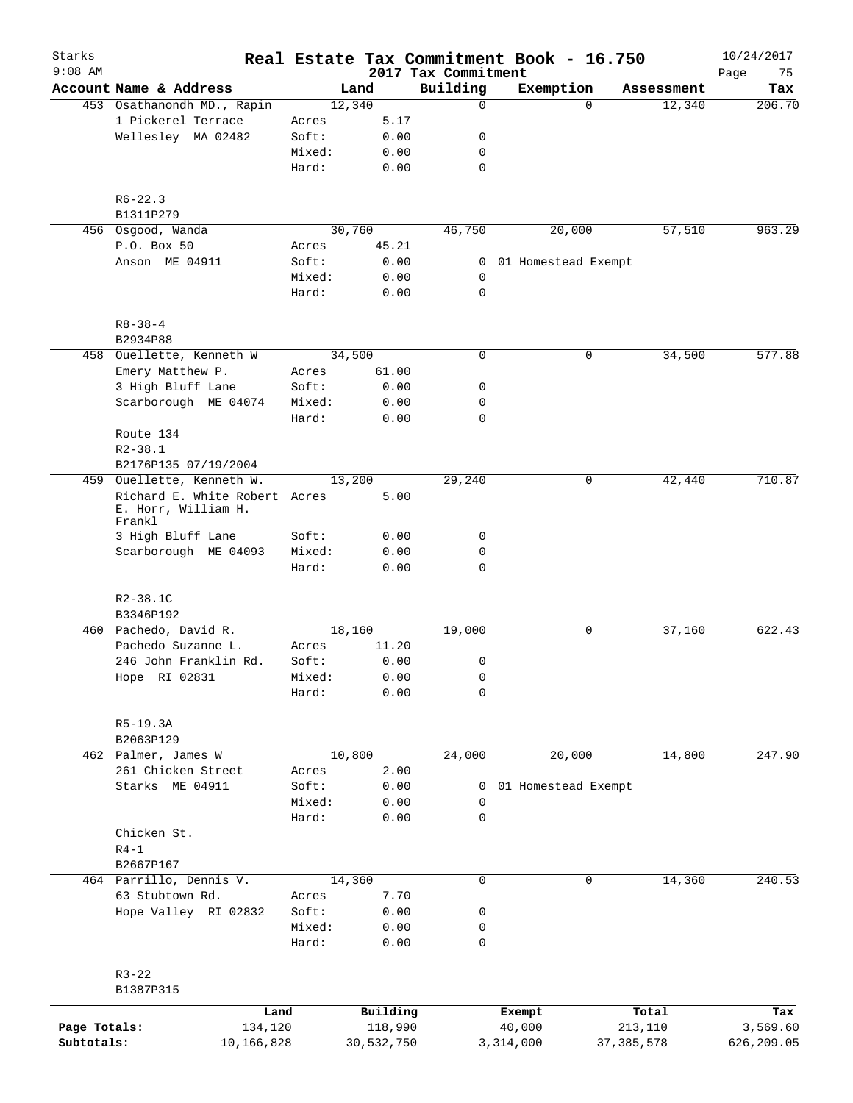| Starks<br>$9:08$ AM |                                                                |        |            | 2017 Tax Commitment | Real Estate Tax Commitment Book - 16.750 |                    | 10/24/2017        |
|---------------------|----------------------------------------------------------------|--------|------------|---------------------|------------------------------------------|--------------------|-------------------|
|                     | Account Name & Address                                         |        | Land       | Building            | Exemption                                | Assessment         | Page<br>75<br>Tax |
|                     | 453 Osathanondh MD., Rapin                                     |        | 12,340     | $\mathbf 0$         |                                          | 12,340<br>$\Omega$ | 206.70            |
|                     | 1 Pickerel Terrace                                             | Acres  | 5.17       |                     |                                          |                    |                   |
|                     | Wellesley MA 02482                                             | Soft:  | 0.00       | 0                   |                                          |                    |                   |
|                     |                                                                | Mixed: | 0.00       | 0                   |                                          |                    |                   |
|                     |                                                                | Hard:  | 0.00       | $\mathbf 0$         |                                          |                    |                   |
|                     |                                                                |        |            |                     |                                          |                    |                   |
|                     | $R6 - 22.3$                                                    |        |            |                     |                                          |                    |                   |
|                     | B1311P279                                                      |        |            |                     |                                          |                    |                   |
|                     | 456 Osgood, Wanda                                              |        | 30,760     | 46,750              | 20,000                                   | 57,510             | 963.29            |
|                     | P.O. Box 50                                                    | Acres  | 45.21      |                     |                                          |                    |                   |
|                     | Anson ME 04911                                                 | Soft:  | 0.00       |                     | 0 01 Homestead Exempt                    |                    |                   |
|                     |                                                                | Mixed: | 0.00       | 0                   |                                          |                    |                   |
|                     |                                                                | Hard:  | 0.00       | $\mathbf 0$         |                                          |                    |                   |
|                     | $R8 - 38 - 4$                                                  |        |            |                     |                                          |                    |                   |
|                     | B2934P88                                                       |        |            |                     |                                          |                    |                   |
|                     | 458 Ouellette, Kenneth W                                       |        | 34,500     | 0                   |                                          | 34,500<br>0        | 577.88            |
|                     | Emery Matthew P.                                               | Acres  | 61.00      |                     |                                          |                    |                   |
|                     | 3 High Bluff Lane                                              | Soft:  | 0.00       | 0                   |                                          |                    |                   |
|                     | Scarborough ME 04074                                           | Mixed: | 0.00       | 0                   |                                          |                    |                   |
|                     |                                                                | Hard:  | 0.00       | 0                   |                                          |                    |                   |
|                     | Route 134                                                      |        |            |                     |                                          |                    |                   |
|                     | $R2 - 38.1$                                                    |        |            |                     |                                          |                    |                   |
|                     | B2176P135 07/19/2004                                           |        |            |                     |                                          |                    |                   |
| 459                 | Ouellette, Kenneth W.                                          |        | 13,200     | 29,240              |                                          | 42,440<br>0        | 710.87            |
|                     | Richard E. White Robert Acres<br>E. Horr, William H.<br>Frankl |        | 5.00       |                     |                                          |                    |                   |
|                     | 3 High Bluff Lane                                              | Soft:  | 0.00       | 0                   |                                          |                    |                   |
|                     | Scarborough ME 04093                                           | Mixed: | 0.00       | 0                   |                                          |                    |                   |
|                     |                                                                | Hard:  | 0.00       | $\mathbf 0$         |                                          |                    |                   |
|                     |                                                                |        |            |                     |                                          |                    |                   |
|                     | R2-38.1C                                                       |        |            |                     |                                          |                    |                   |
|                     | B3346P192                                                      |        |            | 19,000              |                                          |                    | 622.43            |
|                     | 460 Pachedo, David R.                                          |        | 18,160     |                     |                                          | 0<br>37,160        |                   |
|                     | Pachedo Suzanne L.                                             | Acres  | 11.20      |                     |                                          |                    |                   |
|                     | 246 John Franklin Rd.                                          | Soft:  | 0.00       | 0                   |                                          |                    |                   |
|                     | Hope RI 02831                                                  | Mixed: | 0.00       | 0                   |                                          |                    |                   |
|                     |                                                                | Hard:  | 0.00       | 0                   |                                          |                    |                   |
|                     | R5-19.3A                                                       |        |            |                     |                                          |                    |                   |
|                     | B2063P129                                                      |        |            |                     |                                          |                    |                   |
|                     | 462 Palmer, James W                                            |        | 10,800     | 24,000              | 20,000                                   | 14,800             | 247.90            |
|                     | 261 Chicken Street                                             | Acres  | 2.00       |                     |                                          |                    |                   |
|                     | Starks ME 04911                                                | Soft:  | 0.00       | 0                   | 01 Homestead Exempt                      |                    |                   |
|                     |                                                                | Mixed: | 0.00       | 0                   |                                          |                    |                   |
|                     |                                                                | Hard:  | 0.00       | $\mathbf 0$         |                                          |                    |                   |
|                     | Chicken St.                                                    |        |            |                     |                                          |                    |                   |
|                     | $R4-1$                                                         |        |            |                     |                                          |                    |                   |
|                     | B2667P167                                                      |        |            |                     |                                          |                    |                   |
|                     | 464 Parrillo, Dennis V.                                        |        | 14,360     | 0                   |                                          | 14,360<br>0        | 240.53            |
|                     | 63 Stubtown Rd.                                                | Acres  | 7.70       |                     |                                          |                    |                   |
|                     | Hope Valley RI 02832                                           | Soft:  | 0.00       | 0                   |                                          |                    |                   |
|                     |                                                                | Mixed: | 0.00       | 0                   |                                          |                    |                   |
|                     |                                                                | Hard:  | 0.00       | $\mathbf 0$         |                                          |                    |                   |
|                     |                                                                |        |            |                     |                                          |                    |                   |
|                     | $R3 - 22$<br>B1387P315                                         |        |            |                     |                                          |                    |                   |
|                     |                                                                | Land   | Building   |                     |                                          | Total              | Tax               |
| Page Totals:        | 134,120                                                        |        | 118,990    |                     | Exempt<br>40,000                         | 213,110            | 3,569.60          |
| Subtotals:          | 10,166,828                                                     |        | 30,532,750 |                     | 3,314,000                                | 37, 385, 578       | 626,209.05        |
|                     |                                                                |        |            |                     |                                          |                    |                   |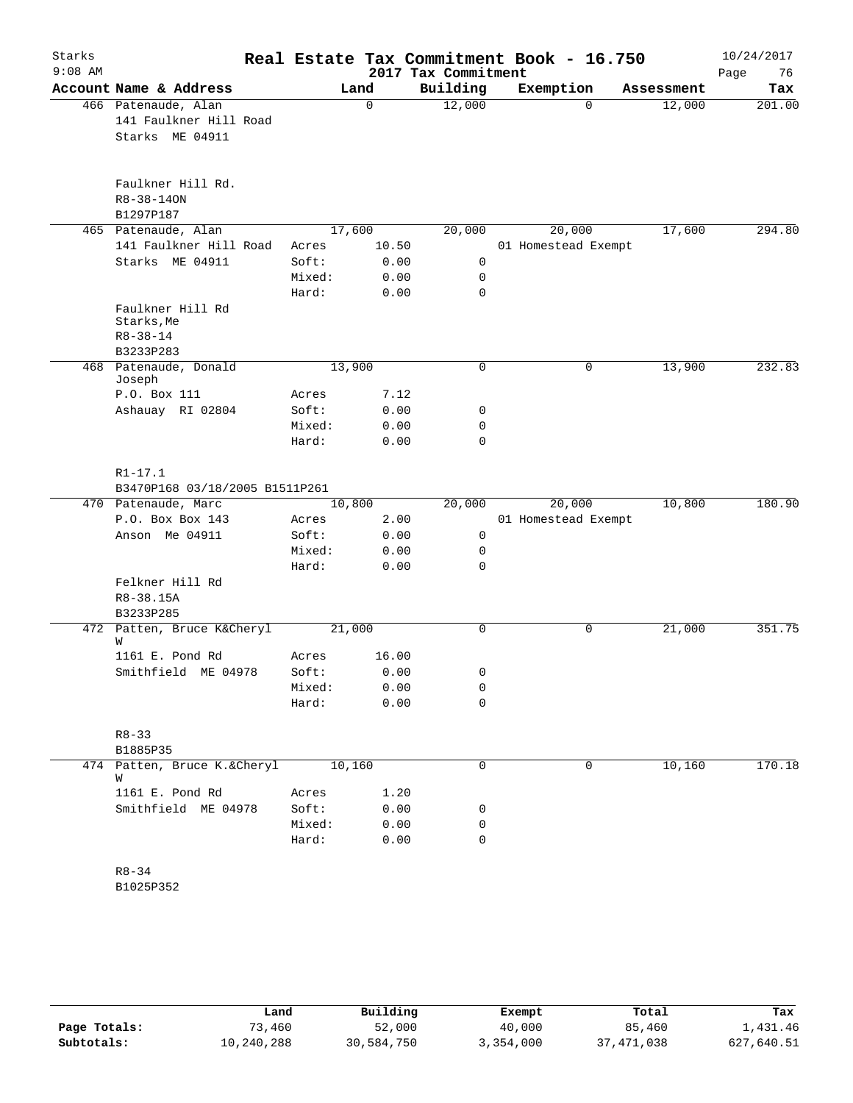| Starks    |                                         |                |              |                     | Real Estate Tax Commitment Book - 16.750 |                        | 10/24/2017 |
|-----------|-----------------------------------------|----------------|--------------|---------------------|------------------------------------------|------------------------|------------|
| $9:08$ AM |                                         |                |              | 2017 Tax Commitment |                                          |                        | 76<br>Page |
|           | Account Name & Address                  |                | Land         | Building            | Exemption                                | Assessment             | Tax        |
|           | 466 Patenaude, Alan                     |                | $\Omega$     | 12,000              |                                          | $\Omega$<br>12,000     | 201.00     |
|           | 141 Faulkner Hill Road                  |                |              |                     |                                          |                        |            |
|           | Starks ME 04911                         |                |              |                     |                                          |                        |            |
|           |                                         |                |              |                     |                                          |                        |            |
|           | Faulkner Hill Rd.                       |                |              |                     |                                          |                        |            |
|           | $R8 - 38 - 140N$                        |                |              |                     |                                          |                        |            |
|           | B1297P187                               |                |              |                     |                                          |                        |            |
|           | 465 Patenaude, Alan                     |                | 17,600       | 20,000              | 20,000                                   | 17,600                 | 294.80     |
|           | 141 Faulkner Hill Road                  | Acres          | 10.50        |                     | 01 Homestead Exempt                      |                        |            |
|           | Starks ME 04911                         | Soft:          | 0.00         | 0                   |                                          |                        |            |
|           |                                         | Mixed:         | 0.00         | 0                   |                                          |                        |            |
|           |                                         | Hard:          | 0.00         | 0                   |                                          |                        |            |
|           | Faulkner Hill Rd                        |                |              |                     |                                          |                        |            |
|           | Starks, Me                              |                |              |                     |                                          |                        |            |
|           | $R8 - 38 - 14$                          |                |              |                     |                                          |                        |            |
|           | B3233P283<br>468 Patenaude, Donald      |                | 13,900       | 0                   |                                          | $\mathsf{O}$<br>13,900 | 232.83     |
|           | Joseph                                  |                |              |                     |                                          |                        |            |
|           | P.O. Box 111                            | Acres          | 7.12         |                     |                                          |                        |            |
|           | Ashauay RI 02804                        | Soft:          | 0.00         | 0                   |                                          |                        |            |
|           |                                         | Mixed:         | 0.00         | 0                   |                                          |                        |            |
|           |                                         | Hard:          | 0.00         | 0                   |                                          |                        |            |
|           |                                         |                |              |                     |                                          |                        |            |
|           | $R1 - 17.1$                             |                |              |                     |                                          |                        |            |
|           | B3470P168 03/18/2005 B1511P261          |                |              |                     |                                          |                        |            |
|           | 470 Patenaude, Marc<br>P.O. Box Box 143 |                | 10,800       | 20,000              | 20,000                                   | 10,800                 | 180.90     |
|           | Anson Me 04911                          | Acres<br>Soft: | 2.00<br>0.00 | $\mathsf{O}$        | 01 Homestead Exempt                      |                        |            |
|           |                                         | Mixed:         | 0.00         | 0                   |                                          |                        |            |
|           |                                         | Hard:          | 0.00         | 0                   |                                          |                        |            |
|           | Felkner Hill Rd                         |                |              |                     |                                          |                        |            |
|           | R8-38.15A                               |                |              |                     |                                          |                        |            |
|           | B3233P285                               |                |              |                     |                                          |                        |            |
|           | 472 Patten, Bruce K&Cheryl              |                | 21,000       | 0                   |                                          | 0<br>21,000            | 351.75     |
|           | W                                       |                |              |                     |                                          |                        |            |
|           | 1161 E. Pond Rd                         | Acres          | 16.00        |                     |                                          |                        |            |
|           | Smithfield ME 04978                     | Soft:          | 0.00         | 0                   |                                          |                        |            |
|           |                                         | Mixed:         | 0.00         | 0                   |                                          |                        |            |
|           |                                         | Hard:          | 0.00         | $\Omega$            |                                          |                        |            |
|           | $R8 - 33$                               |                |              |                     |                                          |                        |            |
|           | B1885P35                                |                |              |                     |                                          |                        |            |
|           | 474 Patten, Bruce K.&Cheryl 10,160      |                |              | 0                   |                                          | 10,160<br>0            | 170.18     |
|           | W                                       |                |              |                     |                                          |                        |            |
|           | 1161 E. Pond Rd                         | Acres          | 1.20         |                     |                                          |                        |            |
|           | Smithfield ME 04978                     | Soft:          | 0.00         | 0                   |                                          |                        |            |
|           |                                         | Mixed:         | 0.00         | 0                   |                                          |                        |            |
|           |                                         | Hard:          | 0.00         | 0                   |                                          |                        |            |
|           |                                         |                |              |                     |                                          |                        |            |
|           | $R8 - 34$                               |                |              |                     |                                          |                        |            |
|           | B1025P352                               |                |              |                     |                                          |                        |            |

|              | Land       | Building   | Exempt    | Total      | Tax        |
|--------------|------------|------------|-----------|------------|------------|
| Page Totals: | 73,460     | 52,000     | 40,000    | 85,460     | 1,431.46   |
| Subtotals:   | 10,240,288 | 30,584,750 | 3,354,000 | 37,471,038 | 627,640.51 |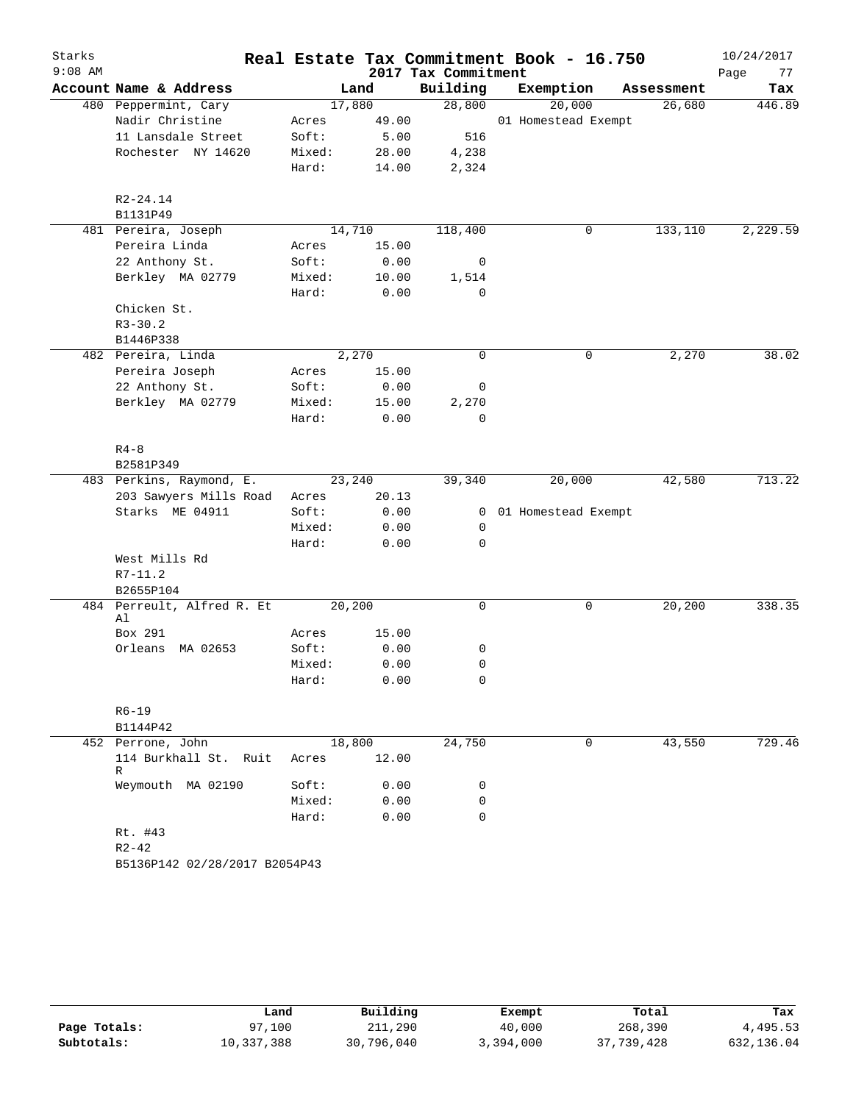| Starks<br>$9:08$ AM |                                  |                 |               | 2017 Tax Commitment | Real Estate Tax Commitment Book - 16.750 |            | 10/24/2017<br>Page<br>77 |
|---------------------|----------------------------------|-----------------|---------------|---------------------|------------------------------------------|------------|--------------------------|
|                     | Account Name & Address           |                 | Land          | Building            | Exemption                                | Assessment | Tax                      |
|                     | 480 Peppermint, Cary             |                 | 17,880        | 28,800              | 20,000                                   | 26,680     | 446.89                   |
|                     | Nadir Christine                  | Acres           | 49.00         |                     | 01 Homestead Exempt                      |            |                          |
|                     | 11 Lansdale Street               | Soft:           | 5.00          | 516                 |                                          |            |                          |
|                     | Rochester NY 14620               | Mixed:          | 28.00         | 4,238               |                                          |            |                          |
|                     |                                  | Hard:           | 14.00         | 2,324               |                                          |            |                          |
|                     | $R2 - 24.14$                     |                 |               |                     |                                          |            |                          |
|                     | B1131P49                         |                 |               |                     |                                          |            |                          |
|                     | 481 Pereira, Joseph              |                 | 14,710        | 118,400             | 0                                        | 133,110    | 2,229.59                 |
|                     | Pereira Linda                    | Acres           | 15.00         |                     |                                          |            |                          |
|                     | 22 Anthony St.                   | Soft:           | 0.00          | 0                   |                                          |            |                          |
|                     | Berkley MA 02779                 | Mixed:<br>Hard: | 10.00<br>0.00 | 1,514<br>$\Omega$   |                                          |            |                          |
|                     | Chicken St.                      |                 |               |                     |                                          |            |                          |
|                     | $R3 - 30.2$                      |                 |               |                     |                                          |            |                          |
|                     | B1446P338                        |                 |               |                     |                                          |            |                          |
|                     | 482 Pereira, Linda               |                 | 2,270         | 0                   | 0                                        | 2,270      | 38.02                    |
|                     | Pereira Joseph                   | Acres           | 15.00         |                     |                                          |            |                          |
|                     | 22 Anthony St.                   | Soft:           | 0.00          | 0                   |                                          |            |                          |
|                     | Berkley MA 02779                 | Mixed:          | 15.00         | 2,270               |                                          |            |                          |
|                     |                                  | Hard:           | 0.00          | 0                   |                                          |            |                          |
|                     | $R4 - 8$                         |                 |               |                     |                                          |            |                          |
|                     | B2581P349                        |                 |               |                     |                                          |            |                          |
|                     | 483 Perkins, Raymond, E.         |                 | 23,240        | 39,340              | 20,000                                   | 42,580     | 713.22                   |
|                     | 203 Sawyers Mills Road           | Acres           | 20.13         |                     |                                          |            |                          |
|                     | Starks ME 04911                  | Soft:           | 0.00          | 0                   | 01 Homestead Exempt                      |            |                          |
|                     |                                  | Mixed:          | 0.00          | 0                   |                                          |            |                          |
|                     |                                  | Hard:           | 0.00          | 0                   |                                          |            |                          |
|                     | West Mills Rd                    |                 |               |                     |                                          |            |                          |
|                     | $R7 - 11.2$                      |                 |               |                     |                                          |            |                          |
|                     | B2655P104                        |                 |               |                     |                                          |            |                          |
|                     | 484 Perreult, Alfred R. Et<br>Al |                 | 20,200        | 0                   | 0                                        | 20,200     | 338.35                   |
|                     | Box 291                          | Acres           | 15.00         |                     |                                          |            |                          |
|                     | Orleans<br>MA 02653              | Soft:           | 0.00          | 0                   |                                          |            |                          |
|                     |                                  | Mixed:          | 0.00          | 0                   |                                          |            |                          |
|                     |                                  | Hard:           | 0.00          | 0                   |                                          |            |                          |
|                     | $R6 - 19$                        |                 |               |                     |                                          |            |                          |
|                     | B1144P42                         |                 |               |                     |                                          |            |                          |
|                     | 452 Perrone, John                |                 | 18,800        | 24,750              | 0                                        | 43,550     | 729.46                   |
|                     | 114 Burkhall St. Ruit<br>R       | Acres           | 12.00         |                     |                                          |            |                          |
|                     | Weymouth MA 02190                | Soft:           | 0.00          | 0                   |                                          |            |                          |
|                     |                                  | Mixed:          | 0.00          | 0                   |                                          |            |                          |
|                     |                                  | Hard:           | 0.00          | 0                   |                                          |            |                          |
|                     | Rt. #43                          |                 |               |                     |                                          |            |                          |
|                     | $R2 - 42$                        |                 |               |                     |                                          |            |                          |
|                     | B5136P142 02/28/2017 B2054P43    |                 |               |                     |                                          |            |                          |

|              | Land       | Building   | Exempt    | Total      | Tax        |
|--------------|------------|------------|-----------|------------|------------|
| Page Totals: | 97,100     | 211,290    | 40,000    | 268,390    | 4,495.53   |
| Subtotals:   | 10,337,388 | 30,796,040 | 3,394,000 | 37,739,428 | 632,136.04 |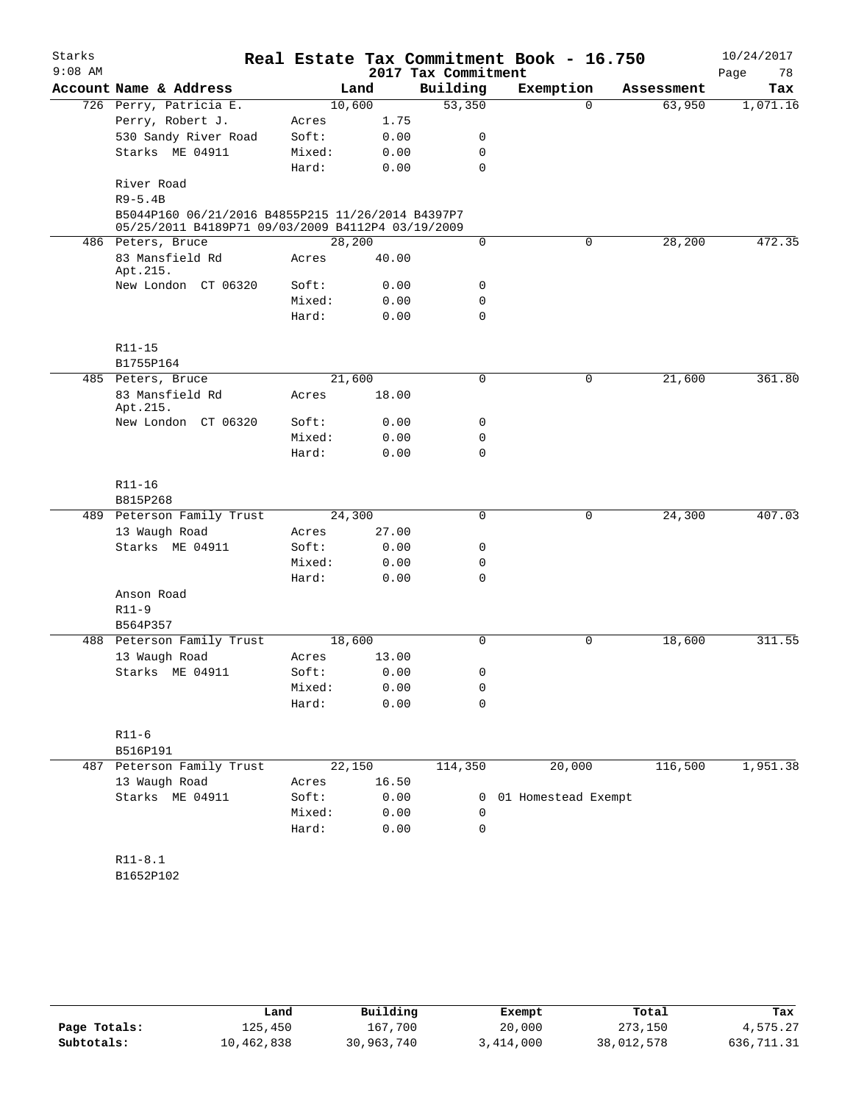| Starks    |                                                   |        |        |                     | Real Estate Tax Commitment Book - 16.750 |            | 10/24/2017 |
|-----------|---------------------------------------------------|--------|--------|---------------------|------------------------------------------|------------|------------|
| $9:08$ AM |                                                   |        |        | 2017 Tax Commitment |                                          |            | Page<br>78 |
|           | Account Name & Address                            |        | Land   | Building            | Exemption                                | Assessment | Tax        |
|           | 726 Perry, Patricia E.                            |        | 10,600 | 53,350              | $\Omega$                                 | 63,950     | 1,071.16   |
|           | Perry, Robert J.                                  | Acres  | 1.75   |                     |                                          |            |            |
|           | 530 Sandy River Road                              | Soft:  | 0.00   | 0                   |                                          |            |            |
|           | Starks ME 04911                                   | Mixed: | 0.00   | 0                   |                                          |            |            |
|           |                                                   | Hard:  | 0.00   | $\mathbf 0$         |                                          |            |            |
|           | River Road<br>$R9 - 5.4B$                         |        |        |                     |                                          |            |            |
|           | B5044P160 06/21/2016 B4855P215 11/26/2014 B4397P7 |        |        |                     |                                          |            |            |
|           | 05/25/2011 B4189P71 09/03/2009 B4112P4 03/19/2009 |        |        |                     |                                          |            |            |
|           | 486 Peters, Bruce                                 |        | 28,200 | 0                   | 0                                        | 28,200     | 472.35     |
|           | 83 Mansfield Rd                                   | Acres  | 40.00  |                     |                                          |            |            |
|           | Apt.215.                                          |        |        |                     |                                          |            |            |
|           | New London CT 06320                               | Soft:  | 0.00   | 0                   |                                          |            |            |
|           |                                                   | Mixed: | 0.00   | 0                   |                                          |            |            |
|           |                                                   | Hard:  | 0.00   | $\mathbf 0$         |                                          |            |            |
|           |                                                   |        |        |                     |                                          |            |            |
|           | $R11 - 15$                                        |        |        |                     |                                          |            |            |
|           | B1755P164                                         |        |        |                     |                                          |            |            |
|           | 485 Peters, Bruce                                 |        | 21,600 | 0                   | 0                                        | 21,600     | 361.80     |
|           | 83 Mansfield Rd<br>Apt.215.                       | Acres  | 18.00  |                     |                                          |            |            |
|           | New London CT 06320                               | Soft:  | 0.00   | 0                   |                                          |            |            |
|           |                                                   | Mixed: | 0.00   | 0                   |                                          |            |            |
|           |                                                   | Hard:  | 0.00   | 0                   |                                          |            |            |
|           |                                                   |        |        |                     |                                          |            |            |
|           | R11-16                                            |        |        |                     |                                          |            |            |
|           | B815P268                                          |        |        |                     |                                          |            |            |
|           | 489 Peterson Family Trust                         |        | 24,300 | 0                   | 0                                        | 24,300     | 407.03     |
|           | 13 Waugh Road                                     | Acres  | 27.00  |                     |                                          |            |            |
|           | Starks ME 04911                                   | Soft:  | 0.00   | 0                   |                                          |            |            |
|           |                                                   | Mixed: | 0.00   | 0                   |                                          |            |            |
|           |                                                   | Hard:  | 0.00   | 0                   |                                          |            |            |
|           | Anson Road                                        |        |        |                     |                                          |            |            |
|           | $R11-9$                                           |        |        |                     |                                          |            |            |
|           | B564P357                                          |        |        |                     |                                          |            |            |
|           | 488 Peterson Family Trust                         |        | 18,600 | 0                   | 0                                        | 18,600     | 311.55     |
|           | 13 Waugh Road                                     | Acres  | 13.00  |                     |                                          |            |            |
|           | Starks ME 04911                                   | Soft:  | 0.00   | 0                   |                                          |            |            |
|           |                                                   | Mixed: | 0.00   | 0                   |                                          |            |            |
|           |                                                   | Hard:  | 0.00   | 0                   |                                          |            |            |
|           | $R11-6$                                           |        |        |                     |                                          |            |            |
|           | B516P191                                          |        |        |                     |                                          |            |            |
|           | 487 Peterson Family Trust                         |        | 22,150 | 114,350             | 20,000                                   | 116,500    | 1,951.38   |
|           | 13 Waugh Road                                     | Acres  | 16.50  |                     |                                          |            |            |
|           | Starks ME 04911                                   | Soft:  | 0.00   |                     | 0 01 Homestead Exempt                    |            |            |
|           |                                                   | Mixed: | 0.00   | 0                   |                                          |            |            |
|           |                                                   | Hard:  | 0.00   | 0                   |                                          |            |            |
|           |                                                   |        |        |                     |                                          |            |            |
|           | $R11 - 8.1$                                       |        |        |                     |                                          |            |            |
|           | B1652P102                                         |        |        |                     |                                          |            |            |
|           |                                                   |        |        |                     |                                          |            |            |

|              | Land       | Building   | Exempt    | Total      | Tax        |
|--------------|------------|------------|-----------|------------|------------|
| Page Totals: | 125,450    | 167,700    | 20,000    | 273,150    | 4,575.27   |
| Subtotals:   | 10,462,838 | 30,963,740 | 3,414,000 | 38,012,578 | 636,711.31 |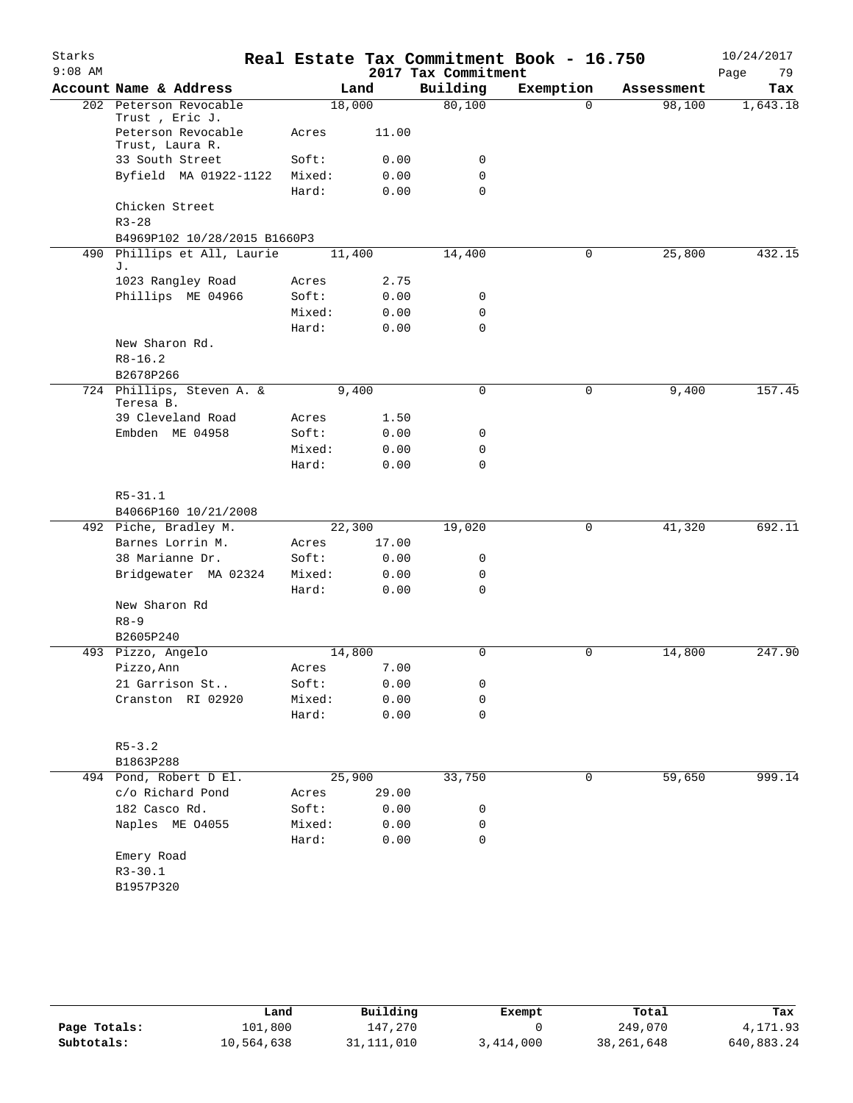| Starks    |                                          |        |       |                     | Real Estate Tax Commitment Book - 16.750 |            | 10/24/2017 |
|-----------|------------------------------------------|--------|-------|---------------------|------------------------------------------|------------|------------|
| $9:08$ AM |                                          |        |       | 2017 Tax Commitment |                                          |            | 79<br>Page |
|           | Account Name & Address                   |        | Land  | Building            | Exemption                                | Assessment | Tax        |
|           | 202 Peterson Revocable<br>Trust, Eric J. | 18,000 |       | 80,100              | $\Omega$                                 | 98,100     | 1,643.18   |
|           | Peterson Revocable<br>Trust, Laura R.    | Acres  | 11.00 |                     |                                          |            |            |
|           | 33 South Street                          | Soft:  | 0.00  | 0                   |                                          |            |            |
|           | Byfield MA 01922-1122                    | Mixed: | 0.00  | 0                   |                                          |            |            |
|           |                                          | Hard:  | 0.00  | $\mathbf 0$         |                                          |            |            |
|           | Chicken Street<br>$R3 - 28$              |        |       |                     |                                          |            |            |
|           | B4969P102 10/28/2015 B1660P3             |        |       |                     |                                          |            |            |
|           | 490 Phillips et All, Laurie<br>J.        | 11,400 |       | 14,400              | $\mathbf 0$                              | 25,800     | 432.15     |
|           | 1023 Rangley Road                        | Acres  | 2.75  |                     |                                          |            |            |
|           | Phillips ME 04966                        | Soft:  | 0.00  | 0                   |                                          |            |            |
|           |                                          | Mixed: | 0.00  | 0                   |                                          |            |            |
|           |                                          | Hard:  | 0.00  | $\mathbf 0$         |                                          |            |            |
|           | New Sharon Rd.                           |        |       |                     |                                          |            |            |
|           | $R8 - 16.2$                              |        |       |                     |                                          |            |            |
|           | B2678P266                                |        |       |                     |                                          |            |            |
|           | 724 Phillips, Steven A. &<br>Teresa B.   |        | 9,400 | 0                   | 0                                        | 9,400      | 157.45     |
|           | 39 Cleveland Road                        | Acres  | 1.50  |                     |                                          |            |            |
|           | Embden ME 04958                          | Soft:  | 0.00  | 0                   |                                          |            |            |
|           |                                          | Mixed: | 0.00  | 0                   |                                          |            |            |
|           |                                          | Hard:  | 0.00  | $\mathbf 0$         |                                          |            |            |
|           |                                          |        |       |                     |                                          |            |            |
|           | $R5 - 31.1$                              |        |       |                     |                                          |            |            |
|           | B4066P160 10/21/2008                     |        |       |                     |                                          |            |            |
|           | 492 Piche, Bradley M.                    | 22,300 |       | 19,020              | 0                                        | 41,320     | 692.11     |
|           | Barnes Lorrin M.                         | Acres  | 17.00 |                     |                                          |            |            |
|           | 38 Marianne Dr.                          | Soft:  | 0.00  | 0                   |                                          |            |            |
|           | Bridgewater MA 02324                     | Mixed: | 0.00  | 0                   |                                          |            |            |
|           |                                          | Hard:  | 0.00  | $\mathbf 0$         |                                          |            |            |
|           | New Sharon Rd                            |        |       |                     |                                          |            |            |
|           | $R8 - 9$                                 |        |       |                     |                                          |            |            |
|           | B2605P240<br>493 Pizzo, Angelo           | 14,800 |       | 0                   | 0                                        | 14,800     | 247.90     |
|           | Pizzo, Ann                               | Acres  | 7.00  |                     |                                          |            |            |
|           | 21 Garrison St                           | Soft:  | 0.00  | 0                   |                                          |            |            |
|           | Cranston RI 02920                        | Mixed: | 0.00  | 0                   |                                          |            |            |
|           |                                          | Hard:  | 0.00  | 0                   |                                          |            |            |
|           |                                          |        |       |                     |                                          |            |            |
|           | $R5 - 3.2$                               |        |       |                     |                                          |            |            |
|           | B1863P288                                |        |       |                     |                                          |            |            |
|           | 494 Pond, Robert D El.                   | 25,900 |       | 33,750              | 0                                        | 59,650     | 999.14     |
|           | c/o Richard Pond                         | Acres  | 29.00 |                     |                                          |            |            |
|           | 182 Casco Rd.                            | Soft:  | 0.00  | 0                   |                                          |            |            |
|           | Naples ME 04055                          | Mixed: | 0.00  | 0                   |                                          |            |            |
|           |                                          | Hard:  | 0.00  | $\mathbf 0$         |                                          |            |            |
|           | Emery Road                               |        |       |                     |                                          |            |            |
|           | $R3 - 30.1$                              |        |       |                     |                                          |            |            |
|           | B1957P320                                |        |       |                     |                                          |            |            |
|           |                                          |        |       |                     |                                          |            |            |
|           |                                          |        |       |                     |                                          |            |            |

|              | Land       | Building   | Exempt    | Total        | Tax        |
|--------------|------------|------------|-----------|--------------|------------|
| Page Totals: | 101,800    | 147,270    |           | 249,070      | 4,171.93   |
| Subtotals:   | 10,564,638 | 31,111,010 | 3,414,000 | 38, 261, 648 | 640,883.24 |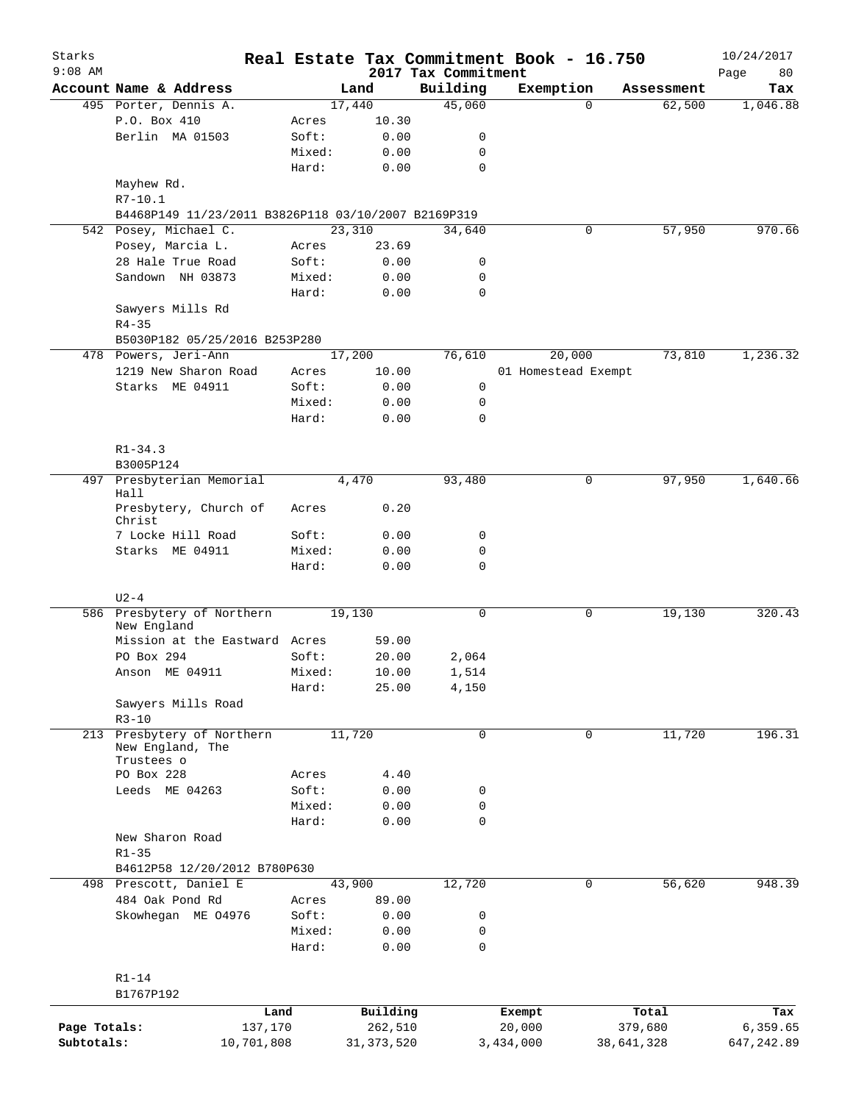| Starks       |                                                     |        |              |                                 | Real Estate Tax Commitment Book - 16.750 |                    | 10/24/2017      |
|--------------|-----------------------------------------------------|--------|--------------|---------------------------------|------------------------------------------|--------------------|-----------------|
| $9:08$ AM    | Account Name & Address                              |        | Land         | 2017 Tax Commitment<br>Building |                                          | Assessment         | Page<br>80      |
|              | 495 Porter, Dennis A.                               |        | 17,440       | 45,060                          | Exemption                                | 62,500<br>$\Omega$ | Tax<br>1,046.88 |
|              | P.O. Box 410                                        | Acres  | 10.30        |                                 |                                          |                    |                 |
|              | Berlin MA 01503                                     | Soft:  | 0.00         | 0                               |                                          |                    |                 |
|              |                                                     | Mixed: | 0.00         | $\mathbf 0$                     |                                          |                    |                 |
|              |                                                     | Hard:  | 0.00         | $\mathbf 0$                     |                                          |                    |                 |
|              | Mayhew Rd.<br>$R7 - 10.1$                           |        |              |                                 |                                          |                    |                 |
|              | B4468P149 11/23/2011 B3826P118 03/10/2007 B2169P319 |        |              |                                 |                                          |                    |                 |
|              | 542 Posey, Michael C.                               |        | 23,310       | 34,640                          |                                          | 57,950<br>0        | 970.66          |
|              | Posey, Marcia L.                                    | Acres  | 23.69        |                                 |                                          |                    |                 |
|              | 28 Hale True Road                                   | Soft:  | 0.00         | 0                               |                                          |                    |                 |
|              | Sandown NH 03873                                    | Mixed: | 0.00         | 0                               |                                          |                    |                 |
|              |                                                     | Hard:  | 0.00         | $\mathbf 0$                     |                                          |                    |                 |
|              | Sawyers Mills Rd<br>$R4 - 35$                       |        |              |                                 |                                          |                    |                 |
|              | B5030P182 05/25/2016 B253P280                       |        |              |                                 |                                          |                    |                 |
|              | 478 Powers, Jeri-Ann                                |        | 17,200       | 76,610                          | 20,000                                   | 73,810             | 1,236.32        |
|              | 1219 New Sharon Road                                | Acres  | 10.00        |                                 | 01 Homestead Exempt                      |                    |                 |
|              | Starks ME 04911                                     | Soft:  | 0.00         | 0                               |                                          |                    |                 |
|              |                                                     | Mixed: | 0.00         | 0                               |                                          |                    |                 |
|              |                                                     | Hard:  | 0.00         | $\mathbf 0$                     |                                          |                    |                 |
|              | $R1 - 34.3$                                         |        |              |                                 |                                          |                    |                 |
|              | B3005P124                                           |        |              |                                 |                                          |                    |                 |
| 497          | Presbyterian Memorial                               |        | 4,470        | 93,480                          |                                          | 0<br>97,950        | 1,640.66        |
|              | Hall<br>Presbytery, Church of<br>Christ             | Acres  | 0.20         |                                 |                                          |                    |                 |
|              | 7 Locke Hill Road                                   | Soft:  | 0.00         | $\mathbf 0$                     |                                          |                    |                 |
|              | Starks ME 04911                                     | Mixed: | 0.00         | 0                               |                                          |                    |                 |
|              |                                                     | Hard:  | 0.00         | $\mathbf 0$                     |                                          |                    |                 |
|              | $U2-4$                                              |        |              |                                 |                                          |                    |                 |
|              | 586 Presbytery of Northern<br>New England           |        | 19,130       |                                 |                                          | 0<br>19,130        | 320.43          |
|              | Mission at the Eastward Acres                       |        | 59.00        |                                 |                                          |                    |                 |
|              | PO Box 294                                          | Soft:  | 20.00        | 2,064                           |                                          |                    |                 |
|              | Anson ME 04911                                      | Mixed: | 10.00        | 1,514                           |                                          |                    |                 |
|              |                                                     | Hard:  | 25.00        | 4,150                           |                                          |                    |                 |
|              | Sawyers Mills Road<br>$R3 - 10$                     |        |              |                                 |                                          |                    |                 |
|              | 213 Presbytery of Northern                          |        | 11,720       | $\mathbf 0$                     |                                          | 11,720<br>0        | 196.31          |
|              | New England, The<br>Trustees o                      |        |              |                                 |                                          |                    |                 |
|              | PO Box 228                                          | Acres  | 4.40         |                                 |                                          |                    |                 |
|              | Leeds ME 04263                                      | Soft:  | 0.00         | 0                               |                                          |                    |                 |
|              |                                                     | Mixed: | 0.00         | 0                               |                                          |                    |                 |
|              |                                                     | Hard:  | 0.00         | $\mathbf 0$                     |                                          |                    |                 |
|              | New Sharon Road<br>$R1 - 35$                        |        |              |                                 |                                          |                    |                 |
|              | B4612P58 12/20/2012 B780P630                        |        |              |                                 |                                          |                    |                 |
|              | 498 Prescott, Daniel E                              |        | 43,900       | 12,720                          |                                          | 0<br>56,620        | 948.39          |
|              | 484 Oak Pond Rd                                     | Acres  | 89.00        |                                 |                                          |                    |                 |
|              | Skowhegan ME 04976                                  | Soft:  | 0.00         | 0                               |                                          |                    |                 |
|              |                                                     | Mixed: | 0.00         | 0                               |                                          |                    |                 |
|              |                                                     | Hard:  | 0.00         | 0                               |                                          |                    |                 |
|              | $R1-14$                                             |        |              |                                 |                                          |                    |                 |
|              | B1767P192                                           |        |              |                                 |                                          |                    |                 |
|              | Land                                                |        | Building     |                                 | Exempt                                   | Total              | Tax             |
| Page Totals: | 137,170                                             |        | 262,510      |                                 | 20,000                                   | 379,680            | 6, 359.65       |
| Subtotals:   | 10,701,808                                          |        | 31, 373, 520 |                                 | 3,434,000                                | 38,641,328         | 647, 242.89     |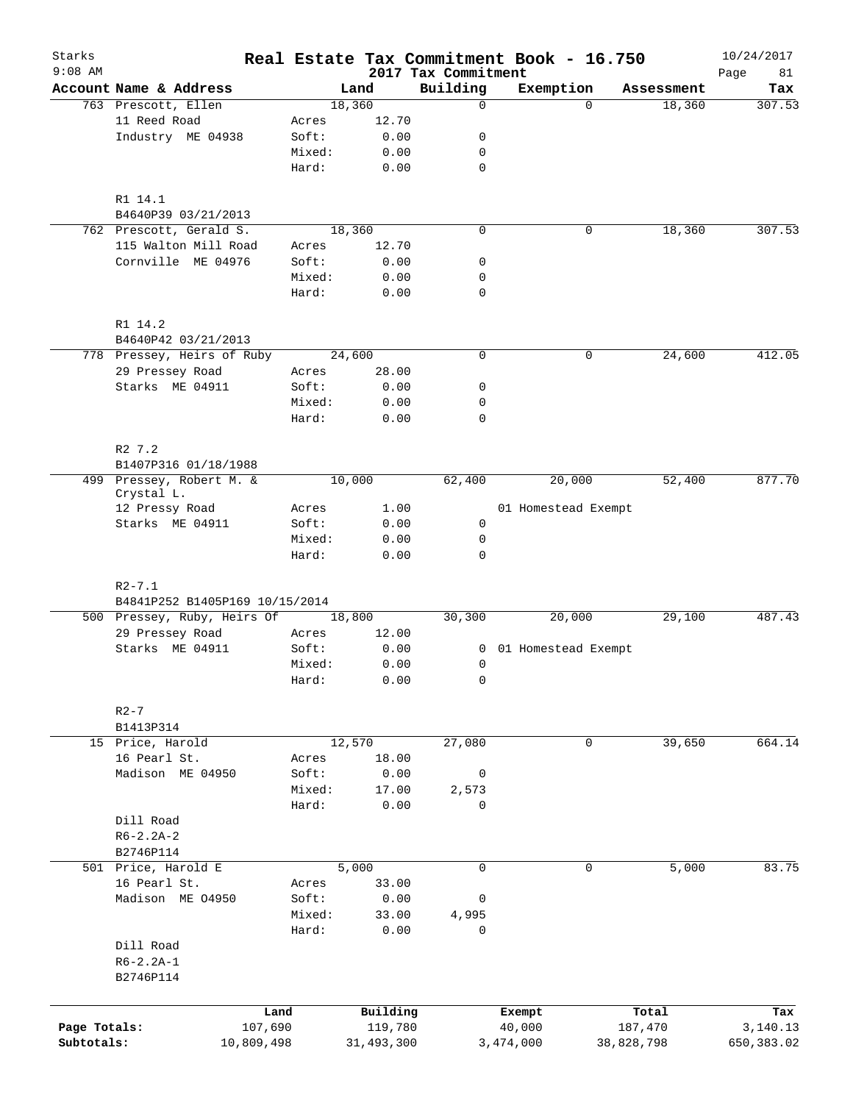| Starks<br>$9:08$ AM |                                                  |        |            |                                 | Real Estate Tax Commitment Book - 16.750 |            | 10/24/2017        |
|---------------------|--------------------------------------------------|--------|------------|---------------------------------|------------------------------------------|------------|-------------------|
|                     | Account Name & Address                           |        | Land       | 2017 Tax Commitment<br>Building | Exemption                                | Assessment | Page<br>81<br>Tax |
|                     | 763 Prescott, Ellen                              |        | 18,360     | 0                               | $\Omega$                                 | 18,360     | 307.53            |
|                     | 11 Reed Road                                     | Acres  | 12.70      |                                 |                                          |            |                   |
|                     | Industry ME 04938                                | Soft:  | 0.00       | 0                               |                                          |            |                   |
|                     |                                                  | Mixed: | 0.00       | 0                               |                                          |            |                   |
|                     |                                                  | Hard:  | 0.00       | $\mathbf 0$                     |                                          |            |                   |
|                     | R1 14.1                                          |        |            |                                 |                                          |            |                   |
|                     | B4640P39 03/21/2013                              |        |            |                                 |                                          |            |                   |
|                     | 762 Prescott, Gerald S.                          |        | 18,360     | 0                               | 0                                        | 18,360     | 307.53            |
|                     | 115 Walton Mill Road                             | Acres  | 12.70      |                                 |                                          |            |                   |
|                     | Cornville ME 04976                               | Soft:  | 0.00       | 0                               |                                          |            |                   |
|                     |                                                  | Mixed: | 0.00       | 0                               |                                          |            |                   |
|                     |                                                  | Hard:  | 0.00       | 0                               |                                          |            |                   |
|                     | R1 14.2                                          |        |            |                                 |                                          |            |                   |
|                     | B4640P42 03/21/2013                              |        |            |                                 |                                          |            |                   |
|                     | 778 Pressey, Heirs of Ruby                       |        | 24,600     | $\mathbf 0$                     | $\mathbf 0$                              | 24,600     | 412.05            |
|                     | 29 Pressey Road                                  | Acres  | 28.00      |                                 |                                          |            |                   |
|                     | Starks ME 04911                                  | Soft:  | 0.00       | 0                               |                                          |            |                   |
|                     |                                                  | Mixed: | 0.00       | 0                               |                                          |            |                   |
|                     |                                                  | Hard:  | 0.00       | $\mathbf 0$                     |                                          |            |                   |
|                     | R2 7.2                                           |        |            |                                 |                                          |            |                   |
|                     | B1407P316 01/18/1988<br>499 Pressey, Robert M. & |        | 10,000     | 62,400                          | 20,000                                   | 52,400     | 877.70            |
|                     | Crystal L.                                       |        |            |                                 |                                          |            |                   |
|                     | 12 Pressy Road                                   | Acres  | 1.00       |                                 | 01 Homestead Exempt                      |            |                   |
|                     | Starks ME 04911                                  | Soft:  | 0.00       | $\mathsf{O}$                    |                                          |            |                   |
|                     |                                                  | Mixed: | 0.00       | 0                               |                                          |            |                   |
|                     |                                                  | Hard:  | 0.00       | 0                               |                                          |            |                   |
|                     | $R2 - 7.1$                                       |        |            |                                 |                                          |            |                   |
|                     | B4841P252 B1405P169 10/15/2014                   |        |            |                                 |                                          |            |                   |
|                     | 500 Pressey, Ruby, Heirs Of                      |        | 18,800     | 30, 300                         | 20,000                                   | 29,100     | 487.43            |
|                     | 29 Pressey Road                                  | Acres  | 12.00      |                                 |                                          |            |                   |
|                     | Starks ME 04911                                  | Soft:  | 0.00       | 0                               | 01 Homestead Exempt                      |            |                   |
|                     |                                                  | Mixed: | 0.00       | 0                               |                                          |            |                   |
|                     |                                                  | Hard:  | 0.00       | 0                               |                                          |            |                   |
|                     | $R2 - 7$                                         |        |            |                                 |                                          |            |                   |
|                     | B1413P314                                        |        |            |                                 |                                          |            |                   |
|                     | 15 Price, Harold                                 |        | 12,570     | 27,080                          | 0                                        | 39,650     | 664.14            |
|                     | 16 Pearl St.                                     | Acres  | 18.00      |                                 |                                          |            |                   |
|                     | Madison ME 04950                                 | Soft:  | 0.00       | 0                               |                                          |            |                   |
|                     |                                                  | Mixed: | 17.00      | 2,573                           |                                          |            |                   |
|                     |                                                  | Hard:  | 0.00       | 0                               |                                          |            |                   |
|                     | Dill Road                                        |        |            |                                 |                                          |            |                   |
|                     | $R6 - 2.2A - 2$                                  |        |            |                                 |                                          |            |                   |
|                     | B2746P114                                        |        |            |                                 |                                          |            |                   |
|                     | 501 Price, Harold E                              |        | 5,000      | $\mathbf 0$                     | 0                                        | 5,000      | 83.75             |
|                     | 16 Pearl St.                                     | Acres  | 33.00      |                                 |                                          |            |                   |
|                     | Madison ME 04950                                 | Soft:  | 0.00       | 0                               |                                          |            |                   |
|                     |                                                  | Mixed: | 33.00      | 4,995                           |                                          |            |                   |
|                     |                                                  | Hard:  | 0.00       | 0                               |                                          |            |                   |
|                     | Dill Road                                        |        |            |                                 |                                          |            |                   |
|                     | $R6 - 2.2A - 1$                                  |        |            |                                 |                                          |            |                   |
|                     | B2746P114                                        |        |            |                                 |                                          |            |                   |
|                     |                                                  |        |            |                                 |                                          |            |                   |
|                     |                                                  | Land   | Building   |                                 | Exempt                                   | Total      | Tax               |
| Page Totals:        | 107,690                                          |        | 119,780    |                                 | 40,000                                   | 187,470    | 3,140.13          |
| Subtotals:          | 10,809,498                                       |        | 31,493,300 |                                 | 3,474,000                                | 38,828,798 | 650, 383.02       |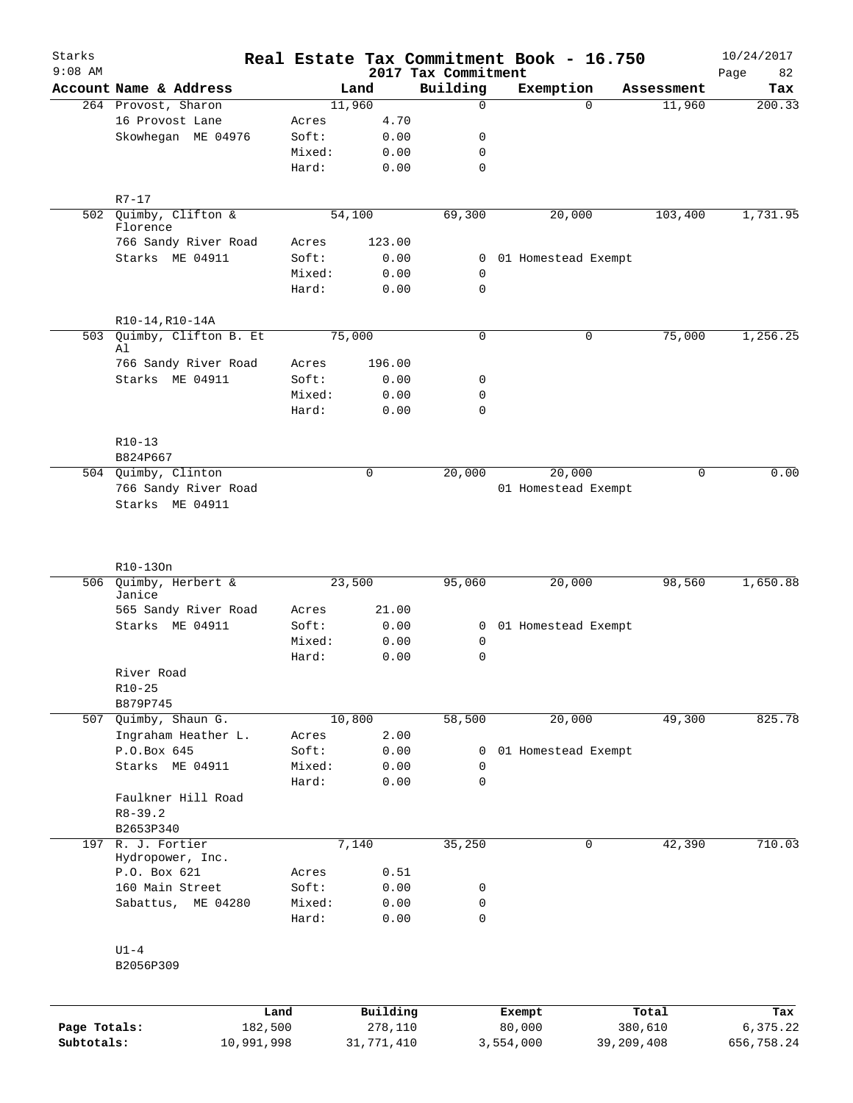| Starks<br>$9:08$ AM |                                         |                 |              | 2017 Tax Commitment | Real Estate Tax Commitment Book - 16.750 |            | 10/24/2017<br>82<br>Page |
|---------------------|-----------------------------------------|-----------------|--------------|---------------------|------------------------------------------|------------|--------------------------|
|                     | Account Name & Address                  |                 | Land         | Building            | Exemption                                | Assessment | Tax                      |
|                     | 264 Provost, Sharon                     |                 | 11,960       | 0                   | $\Omega$                                 | 11,960     | 200.33                   |
|                     | 16 Provost Lane                         | Acres           | 4.70         |                     |                                          |            |                          |
|                     | Skowhegan ME 04976                      | Soft:           | 0.00         | 0                   |                                          |            |                          |
|                     |                                         | Mixed:          | 0.00         | 0                   |                                          |            |                          |
|                     |                                         | Hard:           | 0.00         | 0                   |                                          |            |                          |
|                     | $R7 - 17$                               |                 |              |                     |                                          |            |                          |
| 502                 | Ouimby, Clifton &<br>Florence           |                 | 54,100       | 69,300              | 20,000                                   | 103,400    | 1,731.95                 |
|                     | 766 Sandy River Road                    | Acres           | 123.00       |                     |                                          |            |                          |
|                     | Starks ME 04911                         | Soft:           | 0.00         | 0                   | 01 Homestead Exempt                      |            |                          |
|                     |                                         | Mixed:          | 0.00         | 0                   |                                          |            |                          |
|                     |                                         | Hard:           | 0.00         | $\mathbf 0$         |                                          |            |                          |
|                     | R10-14, R10-14A                         |                 |              |                     |                                          |            |                          |
| 503                 | Ouimby, Clifton B. Et<br>Al             |                 | 75,000       | 0                   | 0                                        | 75,000     | 1,256.25                 |
|                     | 766 Sandy River Road                    | Acres           | 196.00       |                     |                                          |            |                          |
|                     | Starks ME 04911                         | Soft:           | 0.00         | 0                   |                                          |            |                          |
|                     |                                         | Mixed:          | 0.00         | 0                   |                                          |            |                          |
|                     |                                         | Hard:           | 0.00         | $\Omega$            |                                          |            |                          |
|                     | $R10-13$                                |                 |              |                     |                                          |            |                          |
|                     | B824P667                                |                 |              |                     |                                          |            |                          |
|                     | 504 Quimby, Clinton                     |                 | 0            | 20,000              | 20,000                                   | 0          | 0.00                     |
|                     | 766 Sandy River Road<br>Starks ME 04911 |                 |              |                     | 01 Homestead Exempt                      |            |                          |
|                     |                                         |                 |              |                     |                                          |            |                          |
|                     | R10-130n                                |                 |              |                     |                                          |            |                          |
|                     | 506 Quimby, Herbert &<br>Janice         |                 | 23,500       | 95,060              | 20,000                                   | 98,560     | 1,650.88                 |
|                     | 565 Sandy River Road                    | Acres           | 21.00        |                     |                                          |            |                          |
|                     | Starks ME 04911                         | Soft:           | 0.00         | 0                   | 01 Homestead Exempt                      |            |                          |
|                     |                                         | Mixed:          | 0.00         | 0                   |                                          |            |                          |
|                     |                                         | Hard:           | 0.00         | 0                   |                                          |            |                          |
|                     | River Road                              |                 |              |                     |                                          |            |                          |
|                     | R10-25<br>B879P745                      |                 |              |                     |                                          |            |                          |
| 507                 | Quimby, Shaun G.                        |                 | 10,800       | 58,500              | 20,000                                   | 49,300     | 825.78                   |
|                     | Ingraham Heather L.                     | Acres           | 2.00         |                     |                                          |            |                          |
|                     | P.O.Box 645                             | Soft:           | 0.00         | 0                   | 01 Homestead Exempt                      |            |                          |
|                     | Starks ME 04911                         | Mixed:          | 0.00         | 0                   |                                          |            |                          |
|                     |                                         | Hard:           | 0.00         | $\mathbf 0$         |                                          |            |                          |
|                     | Faulkner Hill Road                      |                 |              |                     |                                          |            |                          |
|                     | $R8 - 39.2$                             |                 |              |                     |                                          |            |                          |
|                     | B2653P340                               |                 |              |                     |                                          |            |                          |
|                     | 197 R. J. Fortier                       |                 | 7,140        | 35,250              | 0                                        | 42,390     | 710.03                   |
|                     | Hydropower, Inc.                        |                 |              |                     |                                          |            |                          |
|                     | P.O. Box 621                            | Acres           | 0.51         |                     |                                          |            |                          |
|                     | 160 Main Street                         | Soft:           | 0.00         | 0                   |                                          |            |                          |
|                     | Sabattus, ME 04280                      | Mixed:<br>Hard: | 0.00<br>0.00 | 0<br>0              |                                          |            |                          |
|                     |                                         |                 |              |                     |                                          |            |                          |
|                     | $U1-4$<br>B2056P309                     |                 |              |                     |                                          |            |                          |
|                     |                                         |                 |              |                     |                                          |            |                          |
|                     | Land                                    |                 | Building     |                     | Exempt                                   | Total      | Tax                      |
| Page Totals:        | 182,500                                 |                 | 278,110      |                     | 80,000                                   | 380,610    | 6,375.22                 |
| Subtotals:          | 10,991,998                              |                 | 31,771,410   |                     | 3,554,000                                | 39,209,408 | 656,758.24               |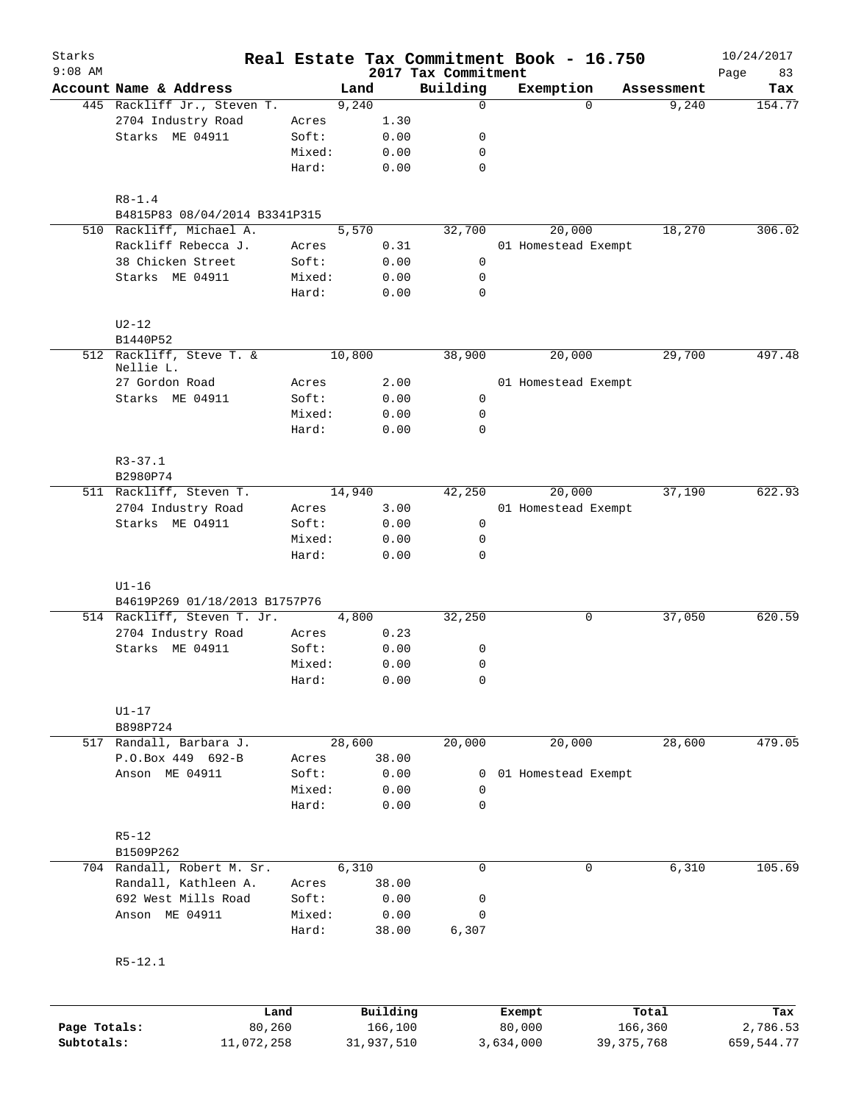| Starks<br>$9:08$ AM |                                                              |                 |                     |                                 | Real Estate Tax Commitment Book - 16.750 |                  | 10/24/2017        |
|---------------------|--------------------------------------------------------------|-----------------|---------------------|---------------------------------|------------------------------------------|------------------|-------------------|
|                     | Account Name & Address                                       |                 | Land                | 2017 Tax Commitment<br>Building | Exemption                                | Assessment       | Page<br>83<br>Tax |
|                     | 445 Rackliff Jr., Steven T.                                  |                 | 9,240               | $\mathbf 0$                     | 0                                        | 9,240            | 154.77            |
|                     | 2704 Industry Road                                           | Acres           | 1.30                |                                 |                                          |                  |                   |
|                     | Starks ME 04911                                              | Soft:           | 0.00                | 0                               |                                          |                  |                   |
|                     |                                                              | Mixed:          | 0.00                | 0                               |                                          |                  |                   |
|                     |                                                              | Hard:           | 0.00                | $\mathbf 0$                     |                                          |                  |                   |
|                     | $R8 - 1.4$                                                   |                 |                     |                                 |                                          |                  |                   |
|                     | B4815P83 08/04/2014 B3341P315                                |                 |                     |                                 |                                          |                  |                   |
|                     | 510 Rackliff, Michael A.                                     |                 | 5,570               | 32,700                          | 20,000                                   | 18,270           | 306.02            |
|                     | Rackliff Rebecca J.                                          | Acres           | 0.31                |                                 | 01 Homestead Exempt                      |                  |                   |
|                     | 38 Chicken Street                                            | Soft:           | 0.00                | 0                               |                                          |                  |                   |
|                     | Starks ME 04911                                              | Mixed:          | 0.00                | 0                               |                                          |                  |                   |
|                     |                                                              | Hard:           | 0.00                | $\mathbf 0$                     |                                          |                  |                   |
|                     | $U2-12$                                                      |                 |                     |                                 |                                          |                  |                   |
|                     | B1440P52                                                     |                 |                     |                                 |                                          |                  |                   |
|                     | 512 Rackliff, Steve T. &<br>Nellie L.                        |                 | 10,800              | 38,900                          | 20,000                                   | 29,700           | 497.48            |
|                     | 27 Gordon Road                                               | Acres           | 2.00                |                                 | 01 Homestead Exempt                      |                  |                   |
|                     | Starks ME 04911                                              | Soft:           | 0.00                | 0                               |                                          |                  |                   |
|                     |                                                              | Mixed:          | 0.00                | 0                               |                                          |                  |                   |
|                     |                                                              | Hard:           | 0.00                | 0                               |                                          |                  |                   |
|                     | $R3 - 37.1$                                                  |                 |                     |                                 |                                          |                  |                   |
|                     | B2980P74                                                     |                 |                     |                                 |                                          |                  |                   |
|                     | 511 Rackliff, Steven T.                                      |                 | 14,940              | 42,250                          | 20,000                                   | 37,190           | 622.93            |
|                     | 2704 Industry Road                                           | Acres           | 3.00                |                                 | 01 Homestead Exempt                      |                  |                   |
|                     | Starks ME 04911                                              | Soft:           | 0.00                | 0                               |                                          |                  |                   |
|                     |                                                              | Mixed:          | 0.00                | 0                               |                                          |                  |                   |
|                     |                                                              | Hard:           | 0.00                | 0                               |                                          |                  |                   |
|                     | $UI-16$                                                      |                 |                     |                                 |                                          |                  |                   |
|                     | B4619P269 01/18/2013 B1757P76<br>514 Rackliff, Steven T. Jr. |                 | 4,800               | 32,250                          | 0                                        | 37,050           | 620.59            |
|                     | 2704 Industry Road                                           | Acres           | 0.23                |                                 |                                          |                  |                   |
|                     | Starks ME 04911                                              | Soft:           | 0.00                | 0                               |                                          |                  |                   |
|                     |                                                              | Mixed:          | 0.00                | 0                               |                                          |                  |                   |
|                     |                                                              | Hard:           | 0.00                | 0                               |                                          |                  |                   |
|                     | $U1-17$                                                      |                 |                     |                                 |                                          |                  |                   |
|                     | B898P724                                                     |                 |                     |                                 |                                          |                  |                   |
| 517                 | Randall, Barbara J.                                          |                 | 28,600              | 20,000                          | 20,000                                   | 28,600           | 479.05            |
|                     | P.O.Box 449 692-B                                            | Acres           | 38.00               |                                 |                                          |                  |                   |
|                     | Anson ME 04911                                               | Soft:           | 0.00                | 0                               | 01 Homestead Exempt                      |                  |                   |
|                     |                                                              | Mixed:          | 0.00                | 0                               |                                          |                  |                   |
|                     |                                                              | Hard:           | 0.00                | 0                               |                                          |                  |                   |
|                     | $R5 - 12$                                                    |                 |                     |                                 |                                          |                  |                   |
|                     | B1509P262                                                    |                 |                     |                                 |                                          |                  |                   |
|                     | 704 Randall, Robert M. Sr.                                   |                 | 6,310               | $\mathbf 0$                     | 0                                        | 6,310            | 105.69            |
|                     | Randall, Kathleen A.                                         | Acres           | 38.00               |                                 |                                          |                  |                   |
|                     | 692 West Mills Road                                          | Soft:           | 0.00                | 0                               |                                          |                  |                   |
|                     | Anson ME 04911                                               | Mixed:<br>Hard: | 0.00<br>38.00       | 0<br>6,307                      |                                          |                  |                   |
|                     |                                                              |                 |                     |                                 |                                          |                  |                   |
|                     | $R5 - 12.1$                                                  |                 |                     |                                 |                                          |                  |                   |
|                     |                                                              |                 |                     |                                 |                                          |                  |                   |
| Page Totals:        | Land<br>80,260                                               |                 | Building<br>166,100 |                                 | Exempt<br>80,000                         | Total<br>166,360 | Tax<br>2,786.53   |
|                     |                                                              |                 |                     |                                 |                                          |                  |                   |

**Subtotals:** 11,072,258 31,937,510 3,634,000 39,375,768 659,544.77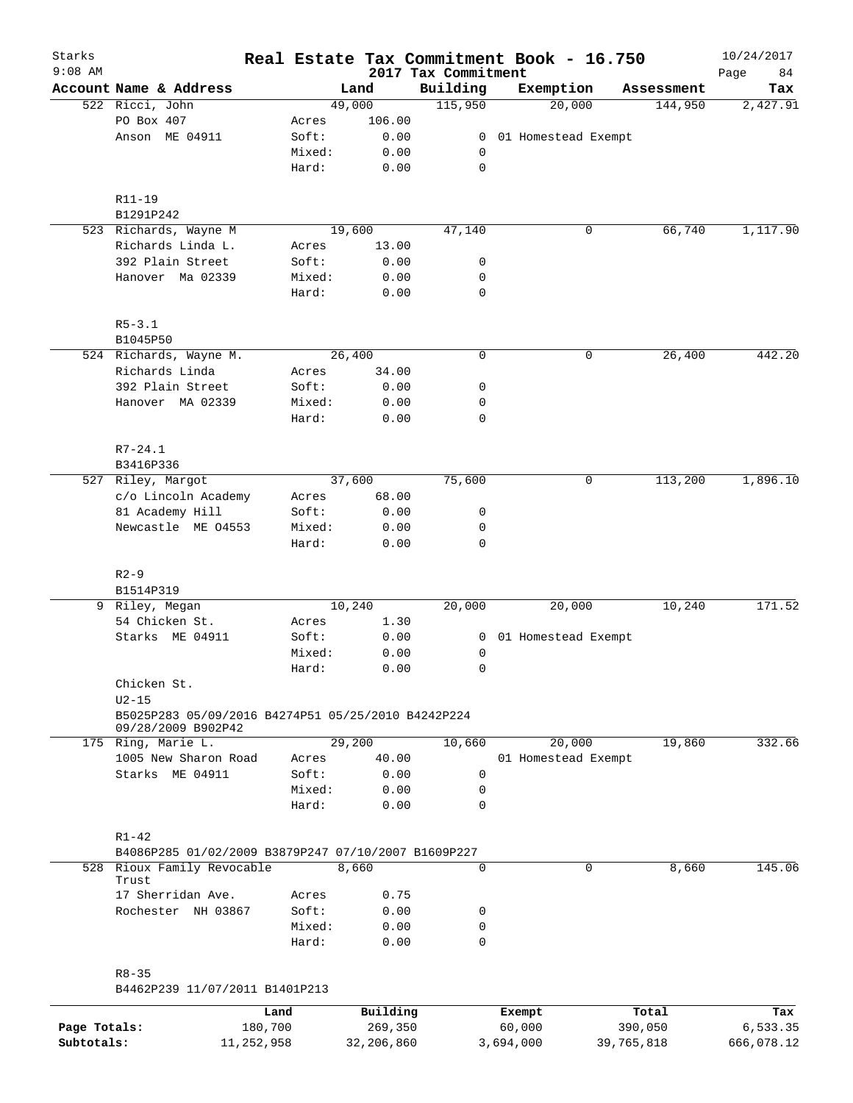| Starks       |                                                                          |                 |              |                                 | Real Estate Tax Commitment Book - 16.750 |            | 10/24/2017        |
|--------------|--------------------------------------------------------------------------|-----------------|--------------|---------------------------------|------------------------------------------|------------|-------------------|
| $9:08$ AM    | Account Name & Address                                                   |                 | Land         | 2017 Tax Commitment<br>Building | Exemption                                | Assessment | Page<br>84<br>Tax |
|              | 522 Ricci, John                                                          |                 | 49,000       | 115,950                         | 20,000                                   | 144,950    | 2,427.91          |
|              | PO Box 407                                                               | Acres           | 106.00       |                                 |                                          |            |                   |
|              | Anson ME 04911                                                           | Soft:           | 0.00         | 0                               | 01 Homestead Exempt                      |            |                   |
|              |                                                                          | Mixed:          | 0.00         | 0                               |                                          |            |                   |
|              |                                                                          | Hard:           | 0.00         | $\mathbf 0$                     |                                          |            |                   |
|              | R11-19                                                                   |                 |              |                                 |                                          |            |                   |
|              | B1291P242                                                                |                 |              |                                 |                                          |            |                   |
|              | 523 Richards, Wayne M                                                    |                 | 19,600       | 47,140                          | 0                                        | 66,740     | 1,117.90          |
|              | Richards Linda L.                                                        | Acres           | 13.00        |                                 |                                          |            |                   |
|              | 392 Plain Street                                                         | Soft:           | 0.00         | 0                               |                                          |            |                   |
|              | Hanover Ma 02339                                                         | Mixed:          | 0.00         | 0                               |                                          |            |                   |
|              |                                                                          | Hard:           | 0.00         | 0                               |                                          |            |                   |
|              | $R5 - 3.1$                                                               |                 |              |                                 |                                          |            |                   |
|              | B1045P50                                                                 |                 |              |                                 |                                          |            |                   |
|              | 524 Richards, Wayne M.                                                   |                 | 26,400       | $\mathbf 0$                     | 0                                        | 26,400     | 442.20            |
|              | Richards Linda                                                           | Acres           | 34.00        |                                 |                                          |            |                   |
|              | 392 Plain Street                                                         | Soft:           | 0.00         | 0                               |                                          |            |                   |
|              | Hanover MA 02339                                                         | Mixed:          | 0.00         | 0                               |                                          |            |                   |
|              |                                                                          | Hard:           | 0.00         | $\mathbf 0$                     |                                          |            |                   |
|              | $R7 - 24.1$                                                              |                 |              |                                 |                                          |            |                   |
|              | B3416P336                                                                |                 |              |                                 |                                          |            |                   |
|              | 527 Riley, Margot                                                        |                 | 37,600       | 75,600                          | 0                                        | 113,200    | 1,896.10          |
|              | c/o Lincoln Academy                                                      | Acres           | 68.00        |                                 |                                          |            |                   |
|              | 81 Academy Hill                                                          | Soft:           | 0.00         | 0                               |                                          |            |                   |
|              | Newcastle ME 04553                                                       | Mixed:<br>Hard: | 0.00<br>0.00 | 0<br>$\mathbf 0$                |                                          |            |                   |
|              |                                                                          |                 |              |                                 |                                          |            |                   |
|              | $R2-9$                                                                   |                 |              |                                 |                                          |            |                   |
|              | B1514P319                                                                |                 |              |                                 | 20,000                                   |            |                   |
|              | 9 Riley, Megan                                                           |                 | 10,240       | 20,000                          |                                          | 10,240     | 171.52            |
|              | 54 Chicken St.                                                           | Acres           | 1.30         |                                 |                                          |            |                   |
|              | Starks ME 04911                                                          | Soft:           | 0.00         | 0                               | 01 Homestead Exempt                      |            |                   |
|              |                                                                          | Mixed:          | 0.00         | 0                               |                                          |            |                   |
|              | Chicken St.                                                              | Hard:           | 0.00         | 0                               |                                          |            |                   |
|              | $U2-15$                                                                  |                 |              |                                 |                                          |            |                   |
|              | B5025P283 05/09/2016 B4274P51 05/25/2010 B4242P224<br>09/28/2009 B902P42 |                 |              |                                 |                                          |            |                   |
|              | 175 Ring, Marie L.                                                       |                 | 29,200       | 10,660                          | 20,000                                   | 19,860     | 332.66            |
|              | 1005 New Sharon Road                                                     | Acres           | 40.00        |                                 | 01 Homestead Exempt                      |            |                   |
|              | Starks ME 04911                                                          | Soft:           | 0.00         | $\mathbf 0$                     |                                          |            |                   |
|              |                                                                          | Mixed:          | 0.00         | 0                               |                                          |            |                   |
|              |                                                                          | Hard:           | 0.00         | $\mathbf 0$                     |                                          |            |                   |
|              | $R1 - 42$                                                                |                 |              |                                 |                                          |            |                   |
|              | B4086P285 01/02/2009 B3879P247 07/10/2007 B1609P227                      |                 |              |                                 |                                          |            |                   |
|              | 528 Rioux Family Revocable<br>Trust                                      |                 | 8,660        | $\mathbf 0$                     | $\Omega$                                 | 8,660      | 145.06            |
|              | 17 Sherridan Ave.                                                        | Acres           | 0.75         |                                 |                                          |            |                   |
|              | Rochester NH 03867                                                       | Soft:           | 0.00         | 0                               |                                          |            |                   |
|              |                                                                          | Mixed:          | 0.00         | 0                               |                                          |            |                   |
|              |                                                                          | Hard:           | 0.00         | $\Omega$                        |                                          |            |                   |
|              | $R8 - 35$<br>B4462P239 11/07/2011 B1401P213                              |                 |              |                                 |                                          |            |                   |
|              |                                                                          | Land            | Building     |                                 | Exempt                                   | Total      | Tax               |
| Page Totals: |                                                                          | 180,700         | 269,350      |                                 | 60,000                                   | 390,050    | 6,533.35          |
| Subtotals:   | 11,252,958                                                               |                 | 32,206,860   |                                 | 3,694,000                                | 39,765,818 | 666,078.12        |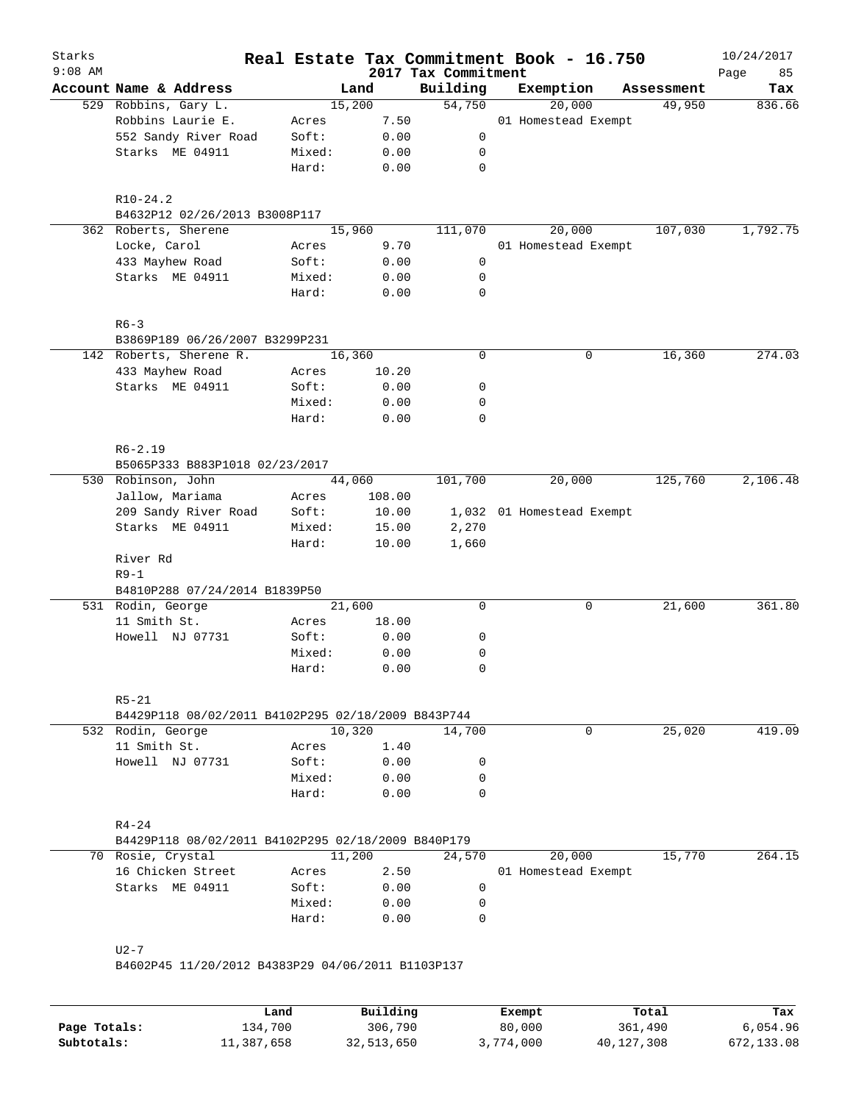| $9:08$ AM |                                                    |                 |              | 2017 Tax Commitment | Real Estate Tax Commitment Book - 16.750 |   |            | 10/24/2017        |  |
|-----------|----------------------------------------------------|-----------------|--------------|---------------------|------------------------------------------|---|------------|-------------------|--|
|           | Account Name & Address                             |                 | Land         | Building            | Exemption                                |   | Assessment | Page<br>85<br>Tax |  |
|           | 529 Robbins, Gary L.                               |                 | 15,200       | 54,750              | 20,000                                   |   | 49,950     | 836.66            |  |
|           | Robbins Laurie E.                                  | Acres           | 7.50         |                     | 01 Homestead Exempt                      |   |            |                   |  |
|           | 552 Sandy River Road                               | Soft:           | 0.00         | 0                   |                                          |   |            |                   |  |
|           | Starks ME 04911                                    | Mixed:          | 0.00         | 0                   |                                          |   |            |                   |  |
|           |                                                    | Hard:           | 0.00         | $\mathbf 0$         |                                          |   |            |                   |  |
|           | $R10-24.2$                                         |                 |              |                     |                                          |   |            |                   |  |
|           | B4632P12 02/26/2013 B3008P117                      |                 |              |                     |                                          |   |            |                   |  |
|           | 362 Roberts, Sherene                               |                 | 15,960       | 111,070             | 20,000                                   |   | 107,030    | 1,792.75          |  |
|           | Locke, Carol                                       | Acres           | 9.70         |                     | 01 Homestead Exempt                      |   |            |                   |  |
|           | 433 Mayhew Road                                    | Soft:           | 0.00         | 0                   |                                          |   |            |                   |  |
|           | Starks ME 04911                                    | Mixed:          | 0.00         | 0                   |                                          |   |            |                   |  |
|           |                                                    | Hard:           | 0.00         | $\mathbf 0$         |                                          |   |            |                   |  |
|           | $R6 - 3$<br>B3869P189 06/26/2007 B3299P231         |                 |              |                     |                                          |   |            |                   |  |
|           | 142 Roberts, Sherene R.                            |                 | 16,360       | 0                   |                                          | 0 | 16,360     | 274.03            |  |
|           | 433 Mayhew Road                                    | Acres           | 10.20        |                     |                                          |   |            |                   |  |
|           | Starks ME 04911                                    | Soft:           | 0.00         | 0                   |                                          |   |            |                   |  |
|           |                                                    | Mixed:          | 0.00         | 0                   |                                          |   |            |                   |  |
|           |                                                    | Hard:           | 0.00         | $\mathbf 0$         |                                          |   |            |                   |  |
|           |                                                    |                 |              |                     |                                          |   |            |                   |  |
|           | $R6 - 2.19$<br>B5065P333 B883P1018 02/23/2017      |                 |              |                     |                                          |   |            |                   |  |
|           | 530 Robinson, John                                 |                 | 44,060       | 101,700             | 20,000                                   |   | 125,760    | 2,106.48          |  |
|           | Jallow, Mariama                                    | Acres           | 108.00       |                     |                                          |   |            |                   |  |
|           | 209 Sandy River Road                               | Soft:           | 10.00        |                     | 1,032 01 Homestead Exempt                |   |            |                   |  |
|           | Starks ME 04911                                    | Mixed:          | 15.00        | 2,270               |                                          |   |            |                   |  |
|           |                                                    | Hard:           | 10.00        | 1,660               |                                          |   |            |                   |  |
|           | River Rd                                           |                 |              |                     |                                          |   |            |                   |  |
|           | $R9-1$                                             |                 |              |                     |                                          |   |            |                   |  |
|           | B4810P288 07/24/2014 B1839P50                      |                 |              |                     |                                          |   |            |                   |  |
|           | 531 Rodin, George                                  |                 | 21,600       | 0                   |                                          | 0 | 21,600     | 361.80            |  |
|           | 11 Smith St.                                       | Acres           | 18.00        |                     |                                          |   |            |                   |  |
|           | Howell NJ 07731                                    | Soft:           | 0.00         | 0                   |                                          |   |            |                   |  |
|           |                                                    | Mixed:          | 0.00         | 0                   |                                          |   |            |                   |  |
|           |                                                    | Hard:           | 0.00         | 0                   |                                          |   |            |                   |  |
|           | $R5 - 21$                                          |                 |              |                     |                                          |   |            |                   |  |
|           | B4429P118 08/02/2011 B4102P295 02/18/2009 B843P744 |                 |              |                     |                                          |   |            |                   |  |
|           | 532 Rodin, George                                  |                 | 10,320       | 14,700              |                                          | 0 | 25,020     | 419.09            |  |
|           | 11 Smith St.                                       | Acres           | 1.40         |                     |                                          |   |            |                   |  |
|           | Howell NJ 07731                                    | Soft:           | 0.00         | 0                   |                                          |   |            |                   |  |
|           |                                                    | Mixed:<br>Hard: | 0.00<br>0.00 | 0<br>$\Omega$       |                                          |   |            |                   |  |
|           | $R4 - 24$                                          |                 |              |                     |                                          |   |            |                   |  |
|           | B4429P118 08/02/2011 B4102P295 02/18/2009 B840P179 |                 |              |                     |                                          |   |            |                   |  |
|           | 70 Rosie, Crystal                                  |                 | 11,200       | 24,570              | 20,000                                   |   | 15,770     | 264.15            |  |
|           | 16 Chicken Street                                  | Acres           | 2.50         |                     | 01 Homestead Exempt                      |   |            |                   |  |
|           | Starks ME 04911                                    | Soft:           | 0.00         | 0                   |                                          |   |            |                   |  |
|           |                                                    | Mixed:          | 0.00         | 0                   |                                          |   |            |                   |  |
|           |                                                    |                 |              |                     |                                          |   |            |                   |  |
|           |                                                    | Hard:           | 0.00         | $\Omega$            |                                          |   |            |                   |  |
|           | $U2 - 7$                                           |                 |              |                     |                                          |   |            |                   |  |

|              | Land       | Building   | Exempt    | Total      | Tax        |
|--------------|------------|------------|-----------|------------|------------|
| Page Totals: | 134.700    | 306,790    | 80,000    | 361,490    | 6,054.96   |
| Subtotals:   | 11,387,658 | 32,513,650 | 3,774,000 | 40,127,308 | 672,133.08 |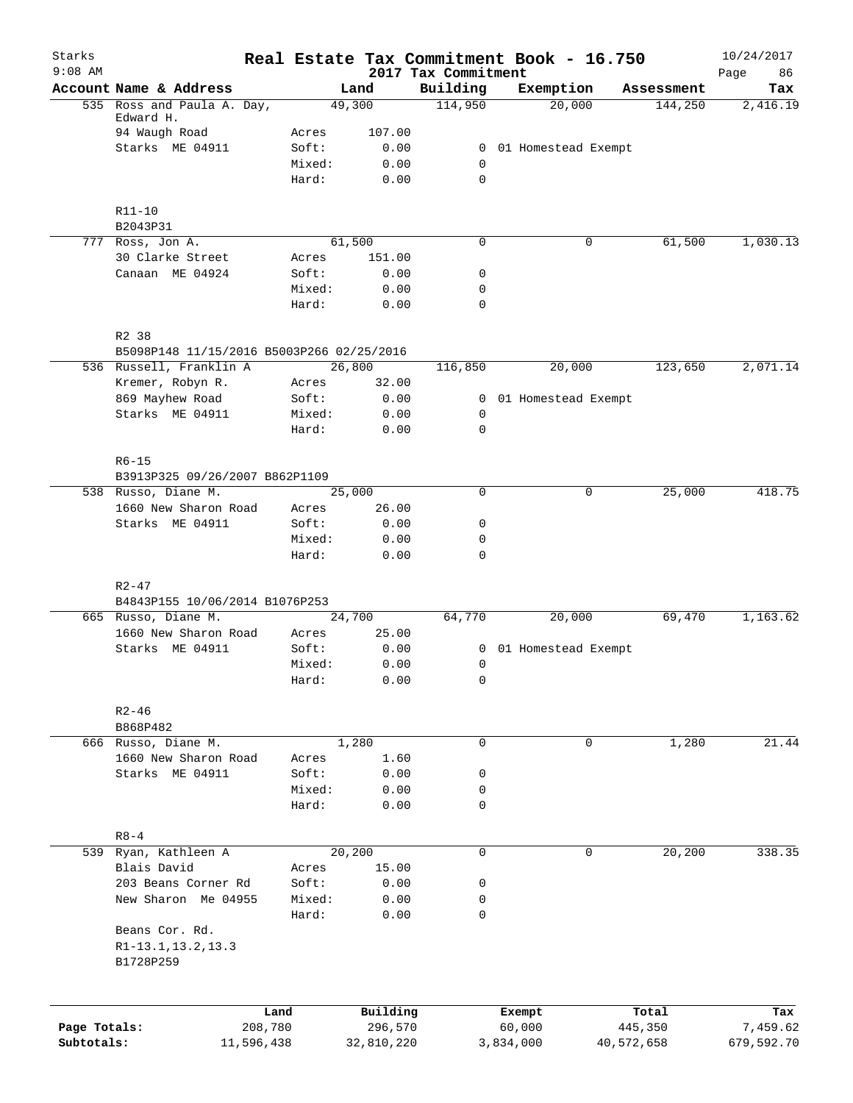| Starks       |                                                    |                 |                     |                                 | Real Estate Tax Commitment Book - 16.750 |                  | 10/24/2017         |
|--------------|----------------------------------------------------|-----------------|---------------------|---------------------------------|------------------------------------------|------------------|--------------------|
| $9:08$ AM    | Account Name & Address                             |                 | Land                | 2017 Tax Commitment<br>Building | Exemption                                | Assessment       | 86<br>Page<br>Tax  |
|              | 535 Ross and Paula A. Day,                         |                 | 49,300              | 114,950                         | 20,000                                   | 144,250          | 2,416.19           |
|              | Edward H.<br>94 Waugh Road                         | Acres           | 107.00              |                                 |                                          |                  |                    |
|              | Starks ME 04911                                    | Soft:           | 0.00                |                                 | 0 01 Homestead Exempt                    |                  |                    |
|              |                                                    | Mixed:          | 0.00                | 0                               |                                          |                  |                    |
|              |                                                    | Hard:           | 0.00                | $\mathbf 0$                     |                                          |                  |                    |
|              | R11-10                                             |                 |                     |                                 |                                          |                  |                    |
|              | B2043P31                                           |                 |                     |                                 |                                          |                  |                    |
|              | 777 Ross, Jon A.                                   |                 | 61,500              | $\Omega$                        | 0                                        | 61,500           | 1,030.13           |
|              | 30 Clarke Street                                   | Acres           | 151.00              |                                 |                                          |                  |                    |
|              | Canaan ME 04924                                    | Soft:           | 0.00                | 0                               |                                          |                  |                    |
|              |                                                    | Mixed:<br>Hard: | 0.00<br>0.00        | $\mathbf 0$<br>$\mathbf 0$      |                                          |                  |                    |
|              |                                                    |                 |                     |                                 |                                          |                  |                    |
|              | R2 38<br>B5098P148 11/15/2016 B5003P266 02/25/2016 |                 |                     |                                 |                                          |                  |                    |
|              | 536 Russell, Franklin A                            |                 | 26,800              | 116,850                         | 20,000                                   | 123,650          | 2,071.14           |
|              | Kremer, Robyn R.                                   | Acres           | 32.00               |                                 |                                          |                  |                    |
|              | 869 Mayhew Road                                    | Soft:           | 0.00                |                                 | 0 01 Homestead Exempt                    |                  |                    |
|              | Starks ME 04911                                    | Mixed:          | 0.00                | 0                               |                                          |                  |                    |
|              |                                                    | Hard:           | 0.00                | $\mathbf 0$                     |                                          |                  |                    |
|              | $R6 - 15$                                          |                 |                     |                                 |                                          |                  |                    |
|              | B3913P325 09/26/2007 B862P1109                     |                 |                     |                                 |                                          |                  |                    |
|              | 538 Russo, Diane M.                                |                 | 25,000              | $\Omega$                        | 0                                        | 25,000           | 418.75             |
|              | 1660 New Sharon Road                               | Acres           | 26.00               |                                 |                                          |                  |                    |
|              | Starks ME 04911                                    | Soft:           | 0.00                | 0                               |                                          |                  |                    |
|              |                                                    | Mixed:          | 0.00                | $\mathbf 0$                     |                                          |                  |                    |
|              |                                                    | Hard:           | 0.00                | $\mathbf 0$                     |                                          |                  |                    |
|              | $R2 - 47$                                          |                 |                     |                                 |                                          |                  |                    |
|              | B4843P155 10/06/2014 B1076P253                     |                 |                     |                                 |                                          |                  |                    |
|              | 665 Russo, Diane M.                                |                 | 24,700              | 64,770                          | 20,000                                   | 69,470           | 1,163.62           |
|              | 1660 New Sharon Road                               | Acres           | 25.00               |                                 |                                          |                  |                    |
|              | Starks ME 04911                                    | Soft:           | 0.00                | $\mathbf{0}$                    | 01 Homestead Exempt                      |                  |                    |
|              |                                                    | Mixed:          | 0.00                | 0                               |                                          |                  |                    |
|              |                                                    | Hard:           | 0.00                | 0                               |                                          |                  |                    |
|              | $R2 - 46$                                          |                 |                     |                                 |                                          |                  |                    |
|              | B868P482                                           |                 |                     |                                 |                                          |                  |                    |
|              | 666 Russo, Diane M.                                |                 | 1,280               | $\mathsf{O}$                    | 0                                        | 1,280            | $\overline{21.44}$ |
|              | 1660 New Sharon Road                               | Acres           | 1.60                |                                 |                                          |                  |                    |
|              | Starks ME 04911                                    | Soft:           | 0.00                | 0                               |                                          |                  |                    |
|              |                                                    | Mixed:          | 0.00                | 0                               |                                          |                  |                    |
|              |                                                    | Hard:           | 0.00                | $\mathbf 0$                     |                                          |                  |                    |
|              | $R8 - 4$                                           |                 |                     |                                 |                                          |                  |                    |
|              | 539 Ryan, Kathleen A                               |                 | 20,200              | $\mathbf 0$                     | $\mathbf 0$                              | 20,200           | 338.35             |
|              | Blais David                                        | Acres           | 15.00               |                                 |                                          |                  |                    |
|              | 203 Beans Corner Rd                                | Soft:           | 0.00                | 0                               |                                          |                  |                    |
|              | New Sharon Me 04955                                | Mixed:          | 0.00                | 0                               |                                          |                  |                    |
|              |                                                    | Hard:           | 0.00                | 0                               |                                          |                  |                    |
|              | Beans Cor. Rd.                                     |                 |                     |                                 |                                          |                  |                    |
|              | R1-13.1, 13.2, 13.3<br>B1728P259                   |                 |                     |                                 |                                          |                  |                    |
|              |                                                    |                 |                     |                                 |                                          |                  |                    |
| Page Totals: |                                                    | Land<br>208,780 | Building<br>296,570 |                                 | Exempt<br>60,000                         | Total<br>445,350 | Tax<br>7,459.62    |
| Subtotals:   |                                                    | 11,596,438      | 32,810,220          |                                 | 3,834,000                                | 40,572,658       | 679,592.70         |
|              |                                                    |                 |                     |                                 |                                          |                  |                    |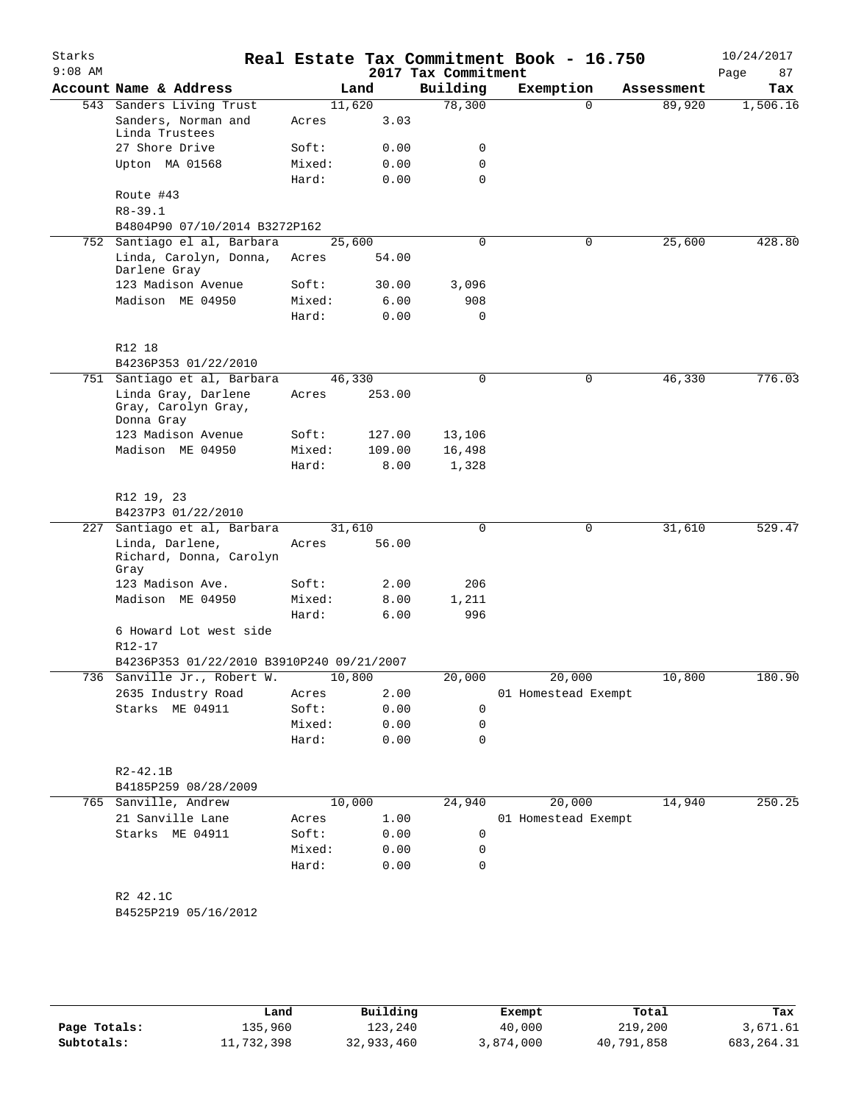| Starks<br>$9:08$ AM |                                                          |        |        | 2017 Tax Commitment | Real Estate Tax Commitment Book - 16.750 |            | 10/24/2017<br>Page<br>87 |
|---------------------|----------------------------------------------------------|--------|--------|---------------------|------------------------------------------|------------|--------------------------|
|                     | Account Name & Address                                   |        | Land   | Building            | Exemption                                | Assessment | Tax                      |
| 543                 | Sanders Living Trust                                     | 11,620 |        | 78,300              | $\Omega$                                 | 89,920     | 1,506.16                 |
|                     | Sanders, Norman and<br>Linda Trustees                    | Acres  | 3.03   |                     |                                          |            |                          |
|                     | 27 Shore Drive                                           | Soft:  | 0.00   | 0                   |                                          |            |                          |
|                     | Upton MA 01568                                           | Mixed: | 0.00   | 0                   |                                          |            |                          |
|                     |                                                          | Hard:  | 0.00   | $\mathbf 0$         |                                          |            |                          |
|                     | Route #43<br>$R8 - 39.1$                                 |        |        |                     |                                          |            |                          |
|                     | B4804P90 07/10/2014 B3272P162                            |        |        |                     |                                          |            |                          |
|                     | 752 Santiago el al, Barbara                              | 25,600 |        | $\Omega$            | 0                                        | 25,600     | 428.80                   |
|                     | Linda, Carolyn, Donna,<br>Darlene Gray                   | Acres  | 54.00  |                     |                                          |            |                          |
|                     | 123 Madison Avenue                                       | Soft:  | 30.00  | 3,096               |                                          |            |                          |
|                     | Madison ME 04950                                         | Mixed: | 6.00   | 908                 |                                          |            |                          |
|                     |                                                          | Hard:  | 0.00   | 0                   |                                          |            |                          |
|                     | R12 18                                                   |        |        |                     |                                          |            |                          |
|                     | B4236P353 01/22/2010                                     |        |        |                     |                                          |            |                          |
|                     | 751 Santiago et al, Barbara                              | 46,330 |        | 0                   | 0                                        | 46,330     | 776.03                   |
|                     | Linda Gray, Darlene<br>Gray, Carolyn Gray,<br>Donna Gray | Acres  | 253.00 |                     |                                          |            |                          |
|                     | 123 Madison Avenue                                       | Soft:  | 127.00 | 13,106              |                                          |            |                          |
|                     | Madison ME 04950                                         | Mixed: | 109.00 | 16,498              |                                          |            |                          |
|                     |                                                          | Hard:  | 8.00   | 1,328               |                                          |            |                          |
|                     | R12 19, 23<br>B4237P3 01/22/2010                         |        |        |                     |                                          |            |                          |
| 227                 | Santiago et al, Barbara                                  | 31,610 |        | 0                   | 0                                        | 31,610     | 529.47                   |
|                     | Linda, Darlene,<br>Richard, Donna, Carolyn<br>Gray       | Acres  | 56.00  |                     |                                          |            |                          |
|                     | 123 Madison Ave.                                         | Soft:  | 2.00   | 206                 |                                          |            |                          |
|                     | Madison ME 04950                                         | Mixed: | 8.00   | 1,211               |                                          |            |                          |
|                     |                                                          | Hard:  | 6.00   | 996                 |                                          |            |                          |
|                     | 6 Howard Lot west side<br>R12-17                         |        |        |                     |                                          |            |                          |
|                     | B4236P353 01/22/2010 B3910P240 09/21/2007                |        |        |                     |                                          |            |                          |
|                     | 736 Sanville Jr., Robert W.                              | 10,800 |        | 20,000              | 20,000                                   | 10,800     | 180.90                   |
|                     | 2635 Industry Road                                       | Acres  | 2.00   |                     | 01 Homestead Exempt                      |            |                          |
|                     | Starks ME 04911                                          | Soft:  | 0.00   | 0                   |                                          |            |                          |
|                     |                                                          | Mixed: | 0.00   | 0                   |                                          |            |                          |
|                     |                                                          | Hard:  | 0.00   | 0                   |                                          |            |                          |
|                     | R2-42.1B                                                 |        |        |                     |                                          |            |                          |
|                     | B4185P259 08/28/2009                                     |        |        |                     |                                          |            |                          |
|                     | 765 Sanville, Andrew                                     | 10,000 |        | 24,940              | 20,000                                   | 14,940     | 250.25                   |
|                     | 21 Sanville Lane                                         | Acres  | 1.00   |                     | 01 Homestead Exempt                      |            |                          |
|                     | Starks ME 04911                                          | Soft:  | 0.00   | 0                   |                                          |            |                          |
|                     |                                                          | Mixed: | 0.00   | 0                   |                                          |            |                          |
|                     |                                                          | Hard:  | 0.00   | 0                   |                                          |            |                          |
|                     | R2 42.1C<br>B4525P219 05/16/2012                         |        |        |                     |                                          |            |                          |
|                     |                                                          |        |        |                     |                                          |            |                          |

|              | Land       | Building   | Exempt    | Total      | Tax          |
|--------------|------------|------------|-----------|------------|--------------|
| Page Totals: | 135,960    | 123,240    | 40,000    | 219,200    | 3,671.61     |
| Subtotals:   | 11,732,398 | 32,933,460 | 3,874,000 | 40,791,858 | 683, 264. 31 |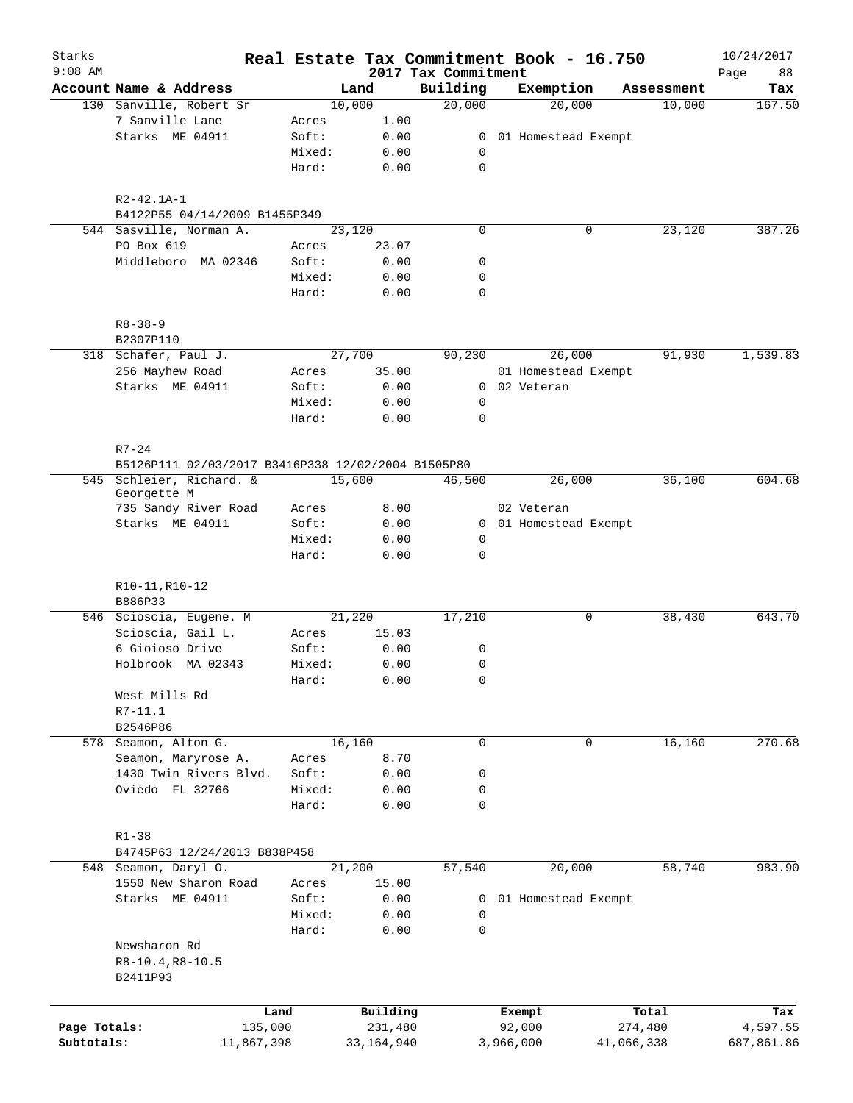| Starks<br>$9:08$ AM |                                                    |        |            | 2017 Tax Commitment | Real Estate Tax Commitment Book - 16.750 |            | 10/24/2017<br>88<br>Page |
|---------------------|----------------------------------------------------|--------|------------|---------------------|------------------------------------------|------------|--------------------------|
|                     | Account Name & Address                             |        | Land       | Building            | Exemption                                | Assessment | Tax                      |
|                     | 130 Sanville, Robert Sr                            |        | 10,000     | 20,000              | 20,000                                   | 10,000     | 167.50                   |
|                     | 7 Sanville Lane                                    | Acres  | 1.00       |                     |                                          |            |                          |
|                     | Starks ME 04911                                    | Soft:  | 0.00       |                     | 0 01 Homestead Exempt                    |            |                          |
|                     |                                                    | Mixed: | 0.00       | 0                   |                                          |            |                          |
|                     |                                                    | Hard:  | 0.00       | $\mathsf{O}$        |                                          |            |                          |
|                     | $R2 - 42.1A - 1$                                   |        |            |                     |                                          |            |                          |
|                     | B4122P55 04/14/2009 B1455P349                      |        |            |                     |                                          |            |                          |
|                     | 544 Sasville, Norman A.                            |        | 23,120     | $\mathbf 0$         | 0                                        | 23,120     | 387.26                   |
|                     | PO Box 619                                         | Acres  | 23.07      |                     |                                          |            |                          |
|                     | Middleboro MA 02346                                | Soft:  | 0.00       | 0                   |                                          |            |                          |
|                     |                                                    | Mixed: | 0.00       | 0                   |                                          |            |                          |
|                     |                                                    | Hard:  | 0.00       | $\mathbf 0$         |                                          |            |                          |
|                     | $R8 - 38 - 9$                                      |        |            |                     |                                          |            |                          |
|                     | B2307P110                                          |        |            |                     |                                          |            |                          |
|                     | 318 Schafer, Paul J.                               |        | 27,700     | 90,230              | 26,000                                   | 91,930     | 1,539.83                 |
|                     | 256 Mayhew Road                                    | Acres  | 35.00      |                     | 01 Homestead Exempt                      |            |                          |
|                     | Starks ME 04911                                    | Soft:  | 0.00       |                     | 0 02 Veteran                             |            |                          |
|                     |                                                    | Mixed: | 0.00       | 0                   |                                          |            |                          |
|                     |                                                    | Hard:  | 0.00       | 0                   |                                          |            |                          |
|                     | $R7 - 24$                                          |        |            |                     |                                          |            |                          |
|                     | B5126P111 02/03/2017 B3416P338 12/02/2004 B1505P80 |        |            |                     |                                          |            |                          |
|                     | 545 Schleier, Richard. &<br>Georgette M            |        | 15,600     | 46,500              | 26,000                                   | 36,100     | 604.68                   |
|                     | 735 Sandy River Road                               | Acres  | 8.00       |                     | 02 Veteran                               |            |                          |
|                     | Starks ME 04911                                    | Soft:  | 0.00       |                     | 0 01 Homestead Exempt                    |            |                          |
|                     |                                                    | Mixed: | 0.00       | 0                   |                                          |            |                          |
|                     |                                                    | Hard:  | 0.00       | 0                   |                                          |            |                          |
|                     | R10-11, R10-12                                     |        |            |                     |                                          |            |                          |
|                     | B886P33                                            |        |            |                     |                                          |            |                          |
|                     | 546 Scioscia, Eugene. M                            |        | 21, 220    | 17,210              | 0                                        | 38,430     | 643.70                   |
|                     | Scioscia, Gail L.                                  | Acres  | 15.03      |                     |                                          |            |                          |
|                     | 6 Gioioso Drive                                    | Soft:  | 0.00       | 0                   |                                          |            |                          |
|                     | Holbrook MA 02343                                  | Mixed: | 0.00       | 0                   |                                          |            |                          |
|                     |                                                    | Hard:  | 0.00       | 0                   |                                          |            |                          |
|                     | West Mills Rd                                      |        |            |                     |                                          |            |                          |
|                     | $R7 - 11.1$                                        |        |            |                     |                                          |            |                          |
|                     | B2546P86                                           |        |            |                     |                                          |            |                          |
|                     | 578 Seamon, Alton G.                               |        | 16,160     | 0                   | 0                                        | 16,160     | 270.68                   |
|                     | Seamon, Maryrose A.                                | Acres  | 8.70       |                     |                                          |            |                          |
|                     | 1430 Twin Rivers Blvd.                             | Soft:  | 0.00       | 0                   |                                          |            |                          |
|                     | Oviedo FL 32766                                    | Mixed: | 0.00       | 0                   |                                          |            |                          |
|                     |                                                    | Hard:  | 0.00       | 0                   |                                          |            |                          |
|                     | $R1 - 38$                                          |        |            |                     |                                          |            |                          |
|                     | B4745P63 12/24/2013 B838P458                       |        |            |                     |                                          |            |                          |
|                     | 548 Seamon, Daryl O.                               |        | 21,200     | 57,540              | 20,000                                   | 58,740     | 983.90                   |
|                     | 1550 New Sharon Road                               | Acres  | 15.00      |                     |                                          |            |                          |
|                     | Starks ME 04911                                    | Soft:  | 0.00       | 0                   | 01 Homestead Exempt                      |            |                          |
|                     |                                                    | Mixed: | 0.00       | 0                   |                                          |            |                          |
|                     |                                                    | Hard:  | 0.00       | 0                   |                                          |            |                          |
|                     | Newsharon Rd<br>$R8-10.4, R8-10.5$<br>B2411P93     |        |            |                     |                                          |            |                          |
|                     |                                                    |        |            |                     |                                          |            |                          |
|                     |                                                    | Land   | Building   |                     | Exempt                                   | Total      | Tax                      |
| Page Totals:        | 135,000                                            |        | 231,480    |                     | 92,000                                   | 274,480    | 4,597.55                 |
| Subtotals:          | 11,867,398                                         |        | 33,164,940 |                     | 3,966,000                                | 41,066,338 | 687,861.86               |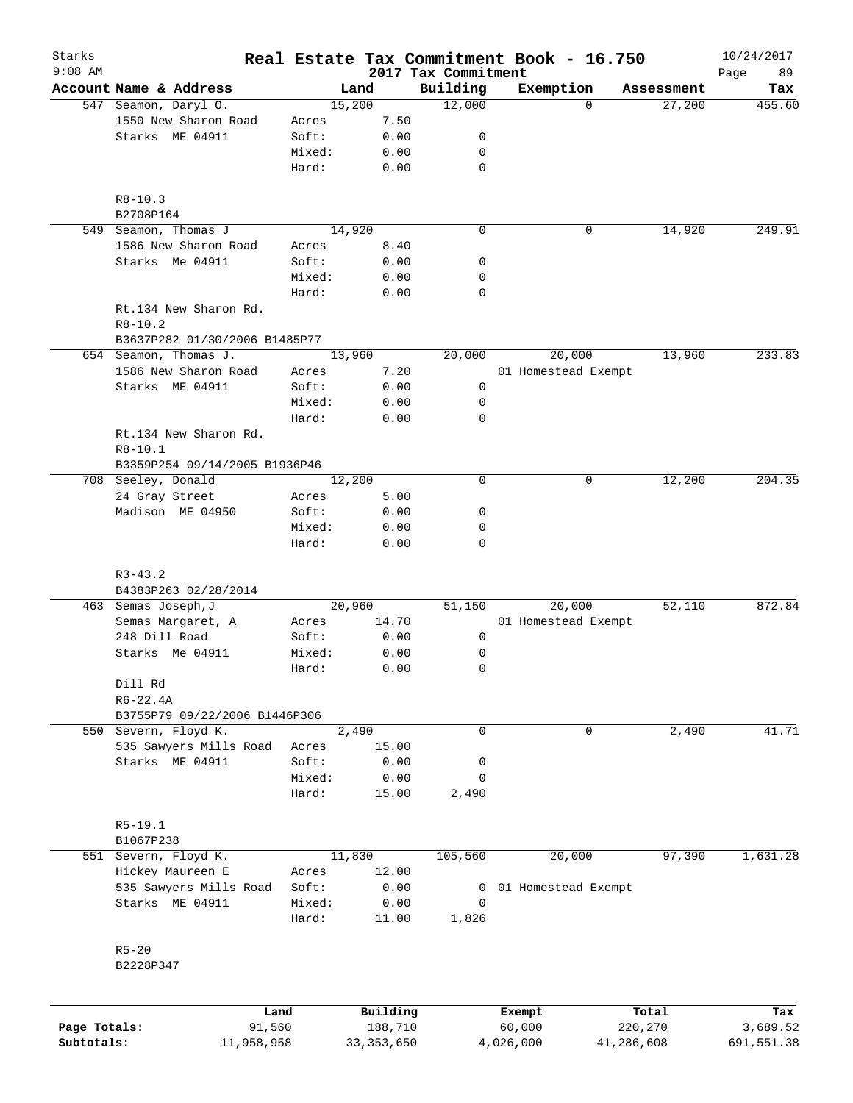| Starks       |                               |        |              |                                 | Real Estate Tax Commitment Book - 16.750 |            | 10/24/2017        |
|--------------|-------------------------------|--------|--------------|---------------------------------|------------------------------------------|------------|-------------------|
| $9:08$ AM    | Account Name & Address        |        | Land         | 2017 Tax Commitment<br>Building | Exemption                                | Assessment | Page<br>89<br>Tax |
|              | 547 Seamon, Daryl O.          |        | 15,200       | 12,000                          | $\Omega$                                 | 27,200     | 455.60            |
|              | 1550 New Sharon Road          | Acres  | 7.50         |                                 |                                          |            |                   |
|              | Starks ME 04911               | Soft:  | 0.00         | 0                               |                                          |            |                   |
|              |                               | Mixed: | 0.00         | 0                               |                                          |            |                   |
|              |                               | Hard:  | 0.00         | $\mathbf 0$                     |                                          |            |                   |
|              |                               |        |              |                                 |                                          |            |                   |
|              | $R8 - 10.3$                   |        |              |                                 |                                          |            |                   |
|              | B2708P164                     |        |              |                                 |                                          |            |                   |
| 549          | Seamon, Thomas J              |        | 14,920       | $\mathbf 0$                     | 0                                        | 14,920     | 249.91            |
|              | 1586 New Sharon Road          | Acres  | 8.40         |                                 |                                          |            |                   |
|              | Starks Me 04911               | Soft:  | 0.00         | 0                               |                                          |            |                   |
|              |                               | Mixed: | 0.00         | 0                               |                                          |            |                   |
|              |                               | Hard:  | 0.00         | $\mathbf 0$                     |                                          |            |                   |
|              | Rt.134 New Sharon Rd.         |        |              |                                 |                                          |            |                   |
|              | $R8 - 10.2$                   |        |              |                                 |                                          |            |                   |
|              | B3637P282 01/30/2006 B1485P77 |        |              |                                 |                                          |            |                   |
|              | 654 Seamon, Thomas J.         |        | 13,960       | 20,000                          | 20,000                                   | 13,960     | 233.83            |
|              | 1586 New Sharon Road          | Acres  | 7.20         |                                 | 01 Homestead Exempt                      |            |                   |
|              | Starks ME 04911               | Soft:  | 0.00         | 0                               |                                          |            |                   |
|              |                               | Mixed: | 0.00         | 0                               |                                          |            |                   |
|              |                               | Hard:  | 0.00         | $\mathbf 0$                     |                                          |            |                   |
|              | Rt.134 New Sharon Rd.         |        |              |                                 |                                          |            |                   |
|              | $R8 - 10.1$                   |        |              |                                 |                                          |            |                   |
|              | B3359P254 09/14/2005 B1936P46 |        |              |                                 |                                          |            |                   |
|              | 708 Seeley, Donald            |        | 12,200       | $\mathbf 0$                     | 0                                        | 12,200     | 204.35            |
|              | 24 Gray Street                | Acres  | 5.00         |                                 |                                          |            |                   |
|              | Madison ME 04950              | Soft:  | 0.00         | 0                               |                                          |            |                   |
|              |                               | Mixed: | 0.00         | 0                               |                                          |            |                   |
|              |                               | Hard:  | 0.00         | $\mathbf 0$                     |                                          |            |                   |
|              |                               |        |              |                                 |                                          |            |                   |
|              | $R3 - 43.2$                   |        |              |                                 |                                          |            |                   |
|              | B4383P263 02/28/2014          |        |              |                                 |                                          |            |                   |
|              | 463 Semas Joseph, J           |        | 20,960       | 51,150                          | 20,000                                   | 52,110     | 872.84            |
|              | Semas Margaret, A             | Acres  | 14.70        |                                 | 01 Homestead Exempt                      |            |                   |
|              | 248 Dill Road                 | Soft:  | 0.00         | 0                               |                                          |            |                   |
|              | Starks Me 04911               | Mixed: | 0.00         | 0                               |                                          |            |                   |
|              |                               | Hard:  | 0.00         | $\mathbf 0$                     |                                          |            |                   |
|              | Dill Rd                       |        |              |                                 |                                          |            |                   |
|              | $R6 - 22.4A$                  |        |              |                                 |                                          |            |                   |
|              | B3755P79 09/22/2006 B1446P306 |        |              |                                 |                                          |            |                   |
|              | 550 Severn, Floyd K.          |        | 2,490        | 0                               | 0                                        | 2,490      | 41.71             |
|              | 535 Sawyers Mills Road        | Acres  | 15.00        |                                 |                                          |            |                   |
|              | Starks ME 04911               | Soft:  | 0.00         | 0                               |                                          |            |                   |
|              |                               | Mixed: | 0.00         | 0                               |                                          |            |                   |
|              |                               | Hard:  | 15.00        | 2,490                           |                                          |            |                   |
|              |                               |        |              |                                 |                                          |            |                   |
|              | $R5-19.1$                     |        |              |                                 |                                          |            |                   |
|              | B1067P238                     |        |              |                                 |                                          |            |                   |
|              | 551 Severn, Floyd K.          |        | 11,830       | 105,560                         | 20,000                                   | 97,390     | 1,631.28          |
|              | Hickey Maureen E              | Acres  | 12.00        |                                 |                                          |            |                   |
|              | 535 Sawyers Mills Road        | Soft:  | 0.00         | 0                               | 01 Homestead Exempt                      |            |                   |
|              | Starks ME 04911               | Mixed: | 0.00         | $\mathbf 0$                     |                                          |            |                   |
|              |                               | Hard:  | 11.00        | 1,826                           |                                          |            |                   |
|              |                               |        |              |                                 |                                          |            |                   |
|              | $R5 - 20$                     |        |              |                                 |                                          |            |                   |
|              | B2228P347                     |        |              |                                 |                                          |            |                   |
|              |                               |        |              |                                 |                                          |            |                   |
|              |                               | Land   | Building     |                                 | Exempt                                   | Total      | Tax               |
| Page Totals: | 91,560                        |        | 188,710      |                                 | 60,000                                   | 220,270    | 3,689.52          |
| Subtotals:   | 11,958,958                    |        | 33, 353, 650 |                                 | 4,026,000                                | 41,286,608 | 691,551.38        |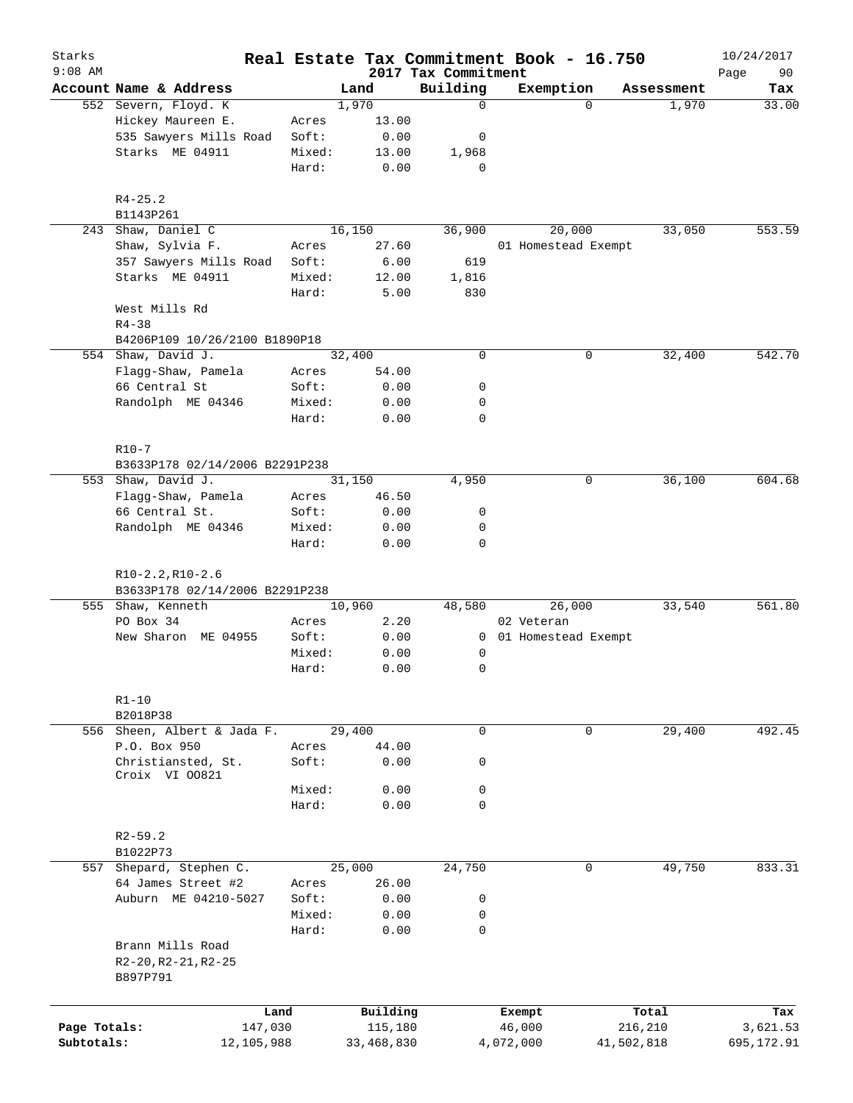| Starks<br>$9:08$ AM |                                                       |                |                     | 2017 Tax Commitment | Real Estate Tax Commitment Book - 16.750 |                  | 10/24/2017<br>90<br>Page |
|---------------------|-------------------------------------------------------|----------------|---------------------|---------------------|------------------------------------------|------------------|--------------------------|
|                     | Account Name & Address                                |                | Land                | Building            | Exemption                                | Assessment       | Tax                      |
|                     | 552 Severn, Floyd. K                                  |                | 1,970               | $\mathbf 0$         | $\Omega$                                 | 1,970            | 33.00                    |
|                     | Hickey Maureen E.                                     | Acres          | 13.00               |                     |                                          |                  |                          |
|                     | 535 Sawyers Mills Road                                | Soft:          | 0.00                | 0                   |                                          |                  |                          |
|                     | Starks ME 04911                                       | Mixed:         | 13.00               | 1,968               |                                          |                  |                          |
|                     |                                                       | Hard:          | 0.00                | $\mathbf 0$         |                                          |                  |                          |
|                     | $R4 - 25.2$                                           |                |                     |                     |                                          |                  |                          |
|                     | B1143P261                                             |                |                     |                     |                                          |                  |                          |
|                     | 243 Shaw, Daniel C                                    |                | 16,150              | 36,900              | 20,000                                   | 33,050           | 553.59                   |
|                     | Shaw, Sylvia F.                                       | Acres          | 27.60               |                     | 01 Homestead Exempt                      |                  |                          |
|                     | 357 Sawyers Mills Road                                | Soft:          | 6.00                | 619                 |                                          |                  |                          |
|                     | Starks ME 04911                                       | Mixed:         | 12.00               | 1,816               |                                          |                  |                          |
|                     |                                                       | Hard:          | 5.00                | 830                 |                                          |                  |                          |
|                     | West Mills Rd                                         |                |                     |                     |                                          |                  |                          |
|                     | $R4 - 38$                                             |                |                     |                     |                                          |                  |                          |
|                     | B4206P109 10/26/2100 B1890P18                         |                |                     |                     |                                          |                  |                          |
|                     | 554 Shaw, David J.                                    |                | 32,400              | $\mathbf 0$         | 0                                        | 32,400           | 542.70                   |
|                     | Flagg-Shaw, Pamela                                    | Acres          | 54.00               |                     |                                          |                  |                          |
|                     | 66 Central St                                         | Soft:          | 0.00                | 0                   |                                          |                  |                          |
|                     | Randolph ME 04346                                     | Mixed:         | 0.00                | 0                   |                                          |                  |                          |
|                     |                                                       | Hard:          | 0.00                | $\mathbf 0$         |                                          |                  |                          |
|                     | $R10-7$                                               |                |                     |                     |                                          |                  |                          |
|                     | B3633P178 02/14/2006 B2291P238                        |                |                     |                     |                                          |                  |                          |
|                     | 553 Shaw, David J.                                    |                | 31,150              | 4,950               | 0                                        | 36,100           | 604.68                   |
|                     | Flagg-Shaw, Pamela                                    | Acres          | 46.50               |                     |                                          |                  |                          |
|                     | 66 Central St.                                        | Soft:          | 0.00                | 0                   |                                          |                  |                          |
|                     | Randolph ME 04346                                     | Mixed:         | 0.00                | 0                   |                                          |                  |                          |
|                     |                                                       | Hard:          | 0.00                | $\mathbf 0$         |                                          |                  |                          |
|                     | $R10-2.2, R10-2.6$                                    |                |                     |                     |                                          |                  |                          |
|                     | B3633P178 02/14/2006 B2291P238                        |                |                     |                     |                                          |                  |                          |
|                     | 555 Shaw, Kenneth                                     |                | 10,960              | 48,580              | 26,000                                   | 33,540           | 561.80                   |
|                     | PO Box 34                                             | Acres          | 2.20                |                     | 02 Veteran                               |                  |                          |
|                     | New Sharon ME 04955                                   | Soft:          | 0.00                | 0                   | 01 Homestead Exempt                      |                  |                          |
|                     |                                                       | Mixed:         | 0.00                | 0                   |                                          |                  |                          |
|                     |                                                       | Hard:          | 0.00                | 0                   |                                          |                  |                          |
|                     | $R1-10$                                               |                |                     |                     |                                          |                  |                          |
|                     | B2018P38                                              |                |                     |                     |                                          |                  |                          |
| 556                 | Sheen, Albert & Jada F.                               |                | 29,400              | $\mathbf 0$         | $\mathbf 0$                              | 29,400           | 492.45                   |
|                     | P.O. Box 950<br>Christiansted, St.                    | Acres<br>Soft: | 44.00<br>0.00       | 0                   |                                          |                  |                          |
|                     | Croix VI 00821                                        |                |                     |                     |                                          |                  |                          |
|                     |                                                       | Mixed:         | 0.00                | 0                   |                                          |                  |                          |
|                     |                                                       | Hard:          | 0.00                | $\mathbf 0$         |                                          |                  |                          |
|                     | $R2 - 59.2$                                           |                |                     |                     |                                          |                  |                          |
|                     | B1022P73                                              |                |                     |                     |                                          |                  |                          |
|                     |                                                       |                | 25,000              |                     | 0                                        |                  |                          |
|                     | 557 Shepard, Stephen C.<br>64 James Street #2         | Acres          | 26.00               | 24,750              |                                          | 49,750           | 833.31                   |
|                     |                                                       |                |                     |                     |                                          |                  |                          |
|                     | Auburn ME 04210-5027                                  | Soft:          | 0.00                | 0                   |                                          |                  |                          |
|                     |                                                       | Mixed:         | 0.00                | 0                   |                                          |                  |                          |
|                     |                                                       | Hard:          | 0.00                | $\mathbf 0$         |                                          |                  |                          |
|                     | Brann Mills Road<br>$R2-20, R2-21, R2-25$<br>B897P791 |                |                     |                     |                                          |                  |                          |
|                     |                                                       | Land           |                     |                     |                                          |                  |                          |
| Page Totals:        |                                                       | 147,030        | Building<br>115,180 |                     | Exempt<br>46,000                         | Total<br>216,210 | Tax<br>3,621.53          |
| Subtotals:          | 12,105,988                                            |                | 33,468,830          |                     | 4,072,000                                | 41,502,818       | 695,172.91               |
|                     |                                                       |                |                     |                     |                                          |                  |                          |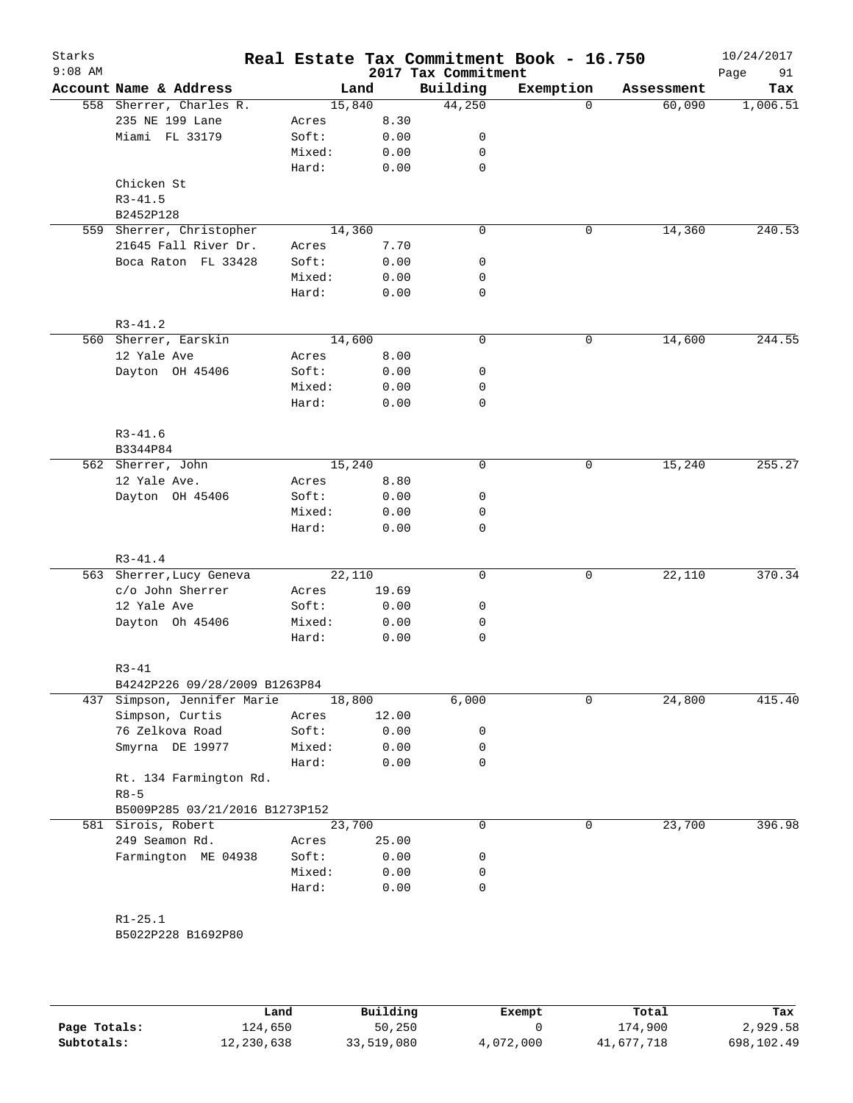| Starks<br>$9:08$ AM |                                            |        |        | 2017 Tax Commitment | Real Estate Tax Commitment Book - 16.750 |            | 10/24/2017<br>91<br>Page |
|---------------------|--------------------------------------------|--------|--------|---------------------|------------------------------------------|------------|--------------------------|
|                     | Account Name & Address                     |        | Land   | Building            | Exemption                                | Assessment | Tax                      |
|                     | 558 Sherrer, Charles R.                    |        | 15,840 | 44,250              | $\Omega$                                 | 60,090     | 1,006.51                 |
|                     | 235 NE 199 Lane                            | Acres  | 8.30   |                     |                                          |            |                          |
|                     | Miami FL 33179                             | Soft:  | 0.00   | 0                   |                                          |            |                          |
|                     |                                            | Mixed: | 0.00   | 0                   |                                          |            |                          |
|                     |                                            | Hard:  | 0.00   | $\mathbf 0$         |                                          |            |                          |
|                     | Chicken St                                 |        |        |                     |                                          |            |                          |
|                     | $R3 - 41.5$                                |        |        |                     |                                          |            |                          |
|                     | B2452P128                                  |        |        |                     |                                          |            |                          |
|                     | 559 Sherrer, Christopher                   | 14,360 |        | 0                   | $\mathsf{O}$                             | 14,360     | 240.53                   |
|                     | 21645 Fall River Dr.                       | Acres  | 7.70   |                     |                                          |            |                          |
|                     | Boca Raton FL 33428                        | Soft:  | 0.00   | 0                   |                                          |            |                          |
|                     |                                            | Mixed: | 0.00   | 0                   |                                          |            |                          |
|                     |                                            | Hard:  | 0.00   | $\mathbf 0$         |                                          |            |                          |
|                     | $R3 - 41.2$                                |        |        |                     |                                          |            |                          |
|                     | 560 Sherrer, Earskin                       | 14,600 |        | 0                   | 0                                        | 14,600     | 244.55                   |
|                     | 12 Yale Ave                                | Acres  | 8.00   |                     |                                          |            |                          |
|                     | Dayton OH 45406                            | Soft:  | 0.00   | 0                   |                                          |            |                          |
|                     |                                            | Mixed: | 0.00   | 0                   |                                          |            |                          |
|                     |                                            | Hard:  | 0.00   | $\mathbf 0$         |                                          |            |                          |
|                     |                                            |        |        |                     |                                          |            |                          |
|                     | $R3 - 41.6$                                |        |        |                     |                                          |            |                          |
|                     | B3344P84                                   |        |        |                     |                                          |            |                          |
|                     | 562 Sherrer, John                          | 15,240 |        | 0                   | $\mathsf{O}$                             | 15,240     | 255.27                   |
|                     | 12 Yale Ave.                               | Acres  | 8.80   |                     |                                          |            |                          |
|                     | Dayton OH 45406                            | Soft:  | 0.00   | 0                   |                                          |            |                          |
|                     |                                            | Mixed: | 0.00   | 0                   |                                          |            |                          |
|                     |                                            | Hard:  | 0.00   | $\mathbf 0$         |                                          |            |                          |
|                     | $R3 - 41.4$                                |        |        |                     |                                          |            |                          |
|                     | 563 Sherrer, Lucy Geneva                   | 22,110 |        | $\Omega$            | 0                                        | 22,110     | 370.34                   |
|                     | c/o John Sherrer                           | Acres  | 19.69  |                     |                                          |            |                          |
|                     | 12 Yale Ave                                | Soft:  | 0.00   | 0                   |                                          |            |                          |
|                     | Dayton Oh 45406                            | Mixed: | 0.00   | 0                   |                                          |            |                          |
|                     |                                            | Hard:  | 0.00   | $\mathbf 0$         |                                          |            |                          |
|                     |                                            |        |        |                     |                                          |            |                          |
|                     | $R3 - 41$<br>B4242P226 09/28/2009 B1263P84 |        |        |                     |                                          |            |                          |
|                     | 437 Simpson, Jennifer Marie                |        | 18,800 | 6,000               | $\Omega$                                 | 24,800     | 415.40                   |
|                     | Simpson, Curtis                            | Acres  | 12.00  |                     |                                          |            |                          |
|                     | 76 Zelkova Road                            | Soft:  | 0.00   | 0                   |                                          |            |                          |
|                     | Smyrna DE 19977                            | Mixed: | 0.00   | 0                   |                                          |            |                          |
|                     |                                            | Hard:  | 0.00   | 0                   |                                          |            |                          |
|                     | Rt. 134 Farmington Rd.                     |        |        |                     |                                          |            |                          |
|                     | $R8 - 5$                                   |        |        |                     |                                          |            |                          |
|                     | B5009P285 03/21/2016 B1273P152             |        |        |                     |                                          |            |                          |
|                     | 581 Sirois, Robert                         | 23,700 |        | 0                   | 0                                        | 23,700     | 396.98                   |
|                     | 249 Seamon Rd.                             | Acres  | 25.00  |                     |                                          |            |                          |
|                     | Farmington ME 04938                        | Soft:  | 0.00   | 0                   |                                          |            |                          |
|                     |                                            | Mixed: | 0.00   | 0                   |                                          |            |                          |
|                     |                                            | Hard:  | 0.00   | $\mathbf 0$         |                                          |            |                          |
|                     |                                            |        |        |                     |                                          |            |                          |
|                     | $R1 - 25.1$                                |        |        |                     |                                          |            |                          |
|                     | B5022P228 B1692P80                         |        |        |                     |                                          |            |                          |

|              | Land       | Building   | Exempt    | Total      | Tax        |
|--------------|------------|------------|-----------|------------|------------|
| Page Totals: | 124,650    | 50,250     |           | 174,900    | 2,929.58   |
| Subtotals:   | 12,230,638 | 33,519,080 | 4,072,000 | 41,677,718 | 698,102.49 |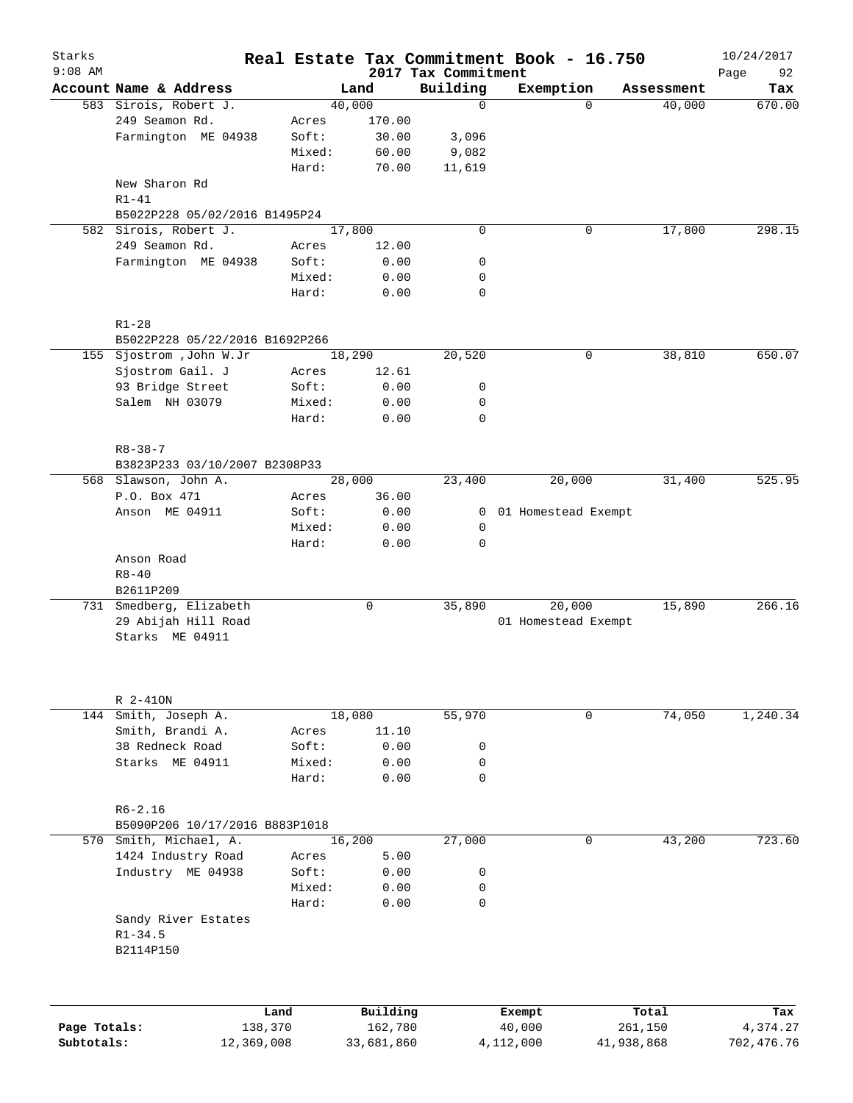| Starks<br>$9:08$ AM |                                                       |        |             |                                 | Real Estate Tax Commitment Book - 16.750 |            | 10/24/2017        |
|---------------------|-------------------------------------------------------|--------|-------------|---------------------------------|------------------------------------------|------------|-------------------|
|                     | Account Name & Address                                |        | Land        | 2017 Tax Commitment<br>Building | Exemption                                | Assessment | 92<br>Page<br>Tax |
|                     | 583 Sirois, Robert J.                                 |        | 40,000      | 0                               | $\Omega$                                 | 40,000     | 670.00            |
|                     | 249 Seamon Rd.                                        | Acres  | 170.00      |                                 |                                          |            |                   |
|                     | Farmington ME 04938                                   | Soft:  | 30.00       | 3,096                           |                                          |            |                   |
|                     |                                                       | Mixed: | 60.00       | 9,082                           |                                          |            |                   |
|                     |                                                       | Hard:  | 70.00       | 11,619                          |                                          |            |                   |
|                     | New Sharon Rd                                         |        |             |                                 |                                          |            |                   |
|                     | $R1 - 41$                                             |        |             |                                 |                                          |            |                   |
|                     | B5022P228 05/02/2016 B1495P24                         |        |             |                                 |                                          |            |                   |
|                     | 582 Sirois, Robert J.                                 |        | 17,800      | 0                               | 0                                        | 17,800     | 298.15            |
|                     | 249 Seamon Rd.                                        | Acres  | 12.00       |                                 |                                          |            |                   |
|                     | Farmington ME 04938                                   | Soft:  | 0.00        | 0                               |                                          |            |                   |
|                     |                                                       | Mixed: | 0.00        | 0                               |                                          |            |                   |
|                     |                                                       | Hard:  | 0.00        | 0                               |                                          |            |                   |
|                     |                                                       |        |             |                                 |                                          |            |                   |
|                     | $R1 - 28$                                             |        |             |                                 |                                          |            |                   |
|                     | B5022P228 05/22/2016 B1692P266                        |        |             |                                 |                                          |            |                   |
|                     | 155 Sjostrom , John W.Jr                              |        | 18,290      | 20,520                          | $\mathbf 0$                              | 38,810     | 650.07            |
|                     | Sjostrom Gail. J                                      | Acres  | 12.61       |                                 |                                          |            |                   |
|                     | 93 Bridge Street                                      | Soft:  | 0.00        | 0                               |                                          |            |                   |
|                     | Salem NH 03079                                        | Mixed: | 0.00        | 0                               |                                          |            |                   |
|                     |                                                       |        |             | 0                               |                                          |            |                   |
|                     |                                                       | Hard:  | 0.00        |                                 |                                          |            |                   |
|                     |                                                       |        |             |                                 |                                          |            |                   |
|                     | $R8 - 38 - 7$                                         |        |             |                                 |                                          |            |                   |
|                     | B3823P233 03/10/2007 B2308P33<br>568 Slawson, John A. |        |             |                                 | 20,000                                   |            | 525.95            |
|                     |                                                       |        | 28,000      | 23,400                          |                                          | 31,400     |                   |
|                     | P.O. Box 471                                          | Acres  | 36.00       |                                 |                                          |            |                   |
|                     | Anson ME 04911                                        | Soft:  | 0.00        | $\overline{0}$                  | 01 Homestead Exempt                      |            |                   |
|                     |                                                       | Mixed: | 0.00        | 0                               |                                          |            |                   |
|                     |                                                       | Hard:  | 0.00        | 0                               |                                          |            |                   |
|                     | Anson Road                                            |        |             |                                 |                                          |            |                   |
|                     | $R8 - 40$                                             |        |             |                                 |                                          |            |                   |
|                     | B2611P209                                             |        |             | 35,890                          |                                          |            | 266.16            |
|                     | 731 Smedberg, Elizabeth                               |        | $\mathbf 0$ |                                 | 20,000                                   | 15,890     |                   |
|                     | 29 Abijah Hill Road<br>Starks ME 04911                |        |             |                                 | 01 Homestead Exempt                      |            |                   |
|                     |                                                       |        |             |                                 |                                          |            |                   |
|                     |                                                       |        |             |                                 |                                          |            |                   |
|                     | R 2-410N                                              |        |             |                                 |                                          |            |                   |
|                     | 144 Smith, Joseph A.                                  |        | 18,080      | 55,970                          | $\mathbf 0$                              | 74,050     | 1,240.34          |
|                     | Smith, Brandi A.                                      | Acres  | 11.10       |                                 |                                          |            |                   |
|                     | 38 Redneck Road                                       | Soft:  | 0.00        | 0                               |                                          |            |                   |
|                     | Starks ME 04911                                       | Mixed: | 0.00        | 0                               |                                          |            |                   |
|                     |                                                       | Hard:  | 0.00        | 0                               |                                          |            |                   |
|                     |                                                       |        |             |                                 |                                          |            |                   |
|                     | $R6 - 2.16$                                           |        |             |                                 |                                          |            |                   |
|                     | B5090P206 10/17/2016 B883P1018                        |        |             |                                 |                                          |            |                   |
| 570                 | Smith, Michael, A.                                    |        | 16,200      | 27,000                          | $\mathbf 0$                              | 43,200     | 723.60            |
|                     | 1424 Industry Road                                    | Acres  | 5.00        |                                 |                                          |            |                   |
|                     | Industry ME 04938                                     | Soft:  | 0.00        | 0                               |                                          |            |                   |
|                     |                                                       | Mixed: | 0.00        | 0                               |                                          |            |                   |
|                     |                                                       | Hard:  | 0.00        | 0                               |                                          |            |                   |
|                     | Sandy River Estates                                   |        |             |                                 |                                          |            |                   |
|                     | $R1 - 34.5$                                           |        |             |                                 |                                          |            |                   |
|                     | B2114P150                                             |        |             |                                 |                                          |            |                   |
|                     |                                                       |        |             |                                 |                                          |            |                   |
|                     |                                                       |        |             |                                 |                                          |            |                   |
|                     |                                                       | Land   | Building    |                                 | Exempt                                   | Total      | Tax               |
| Page Totals:        | 138,370                                               |        | 162,780     |                                 | 40,000                                   | 261,150    | 4,374.27          |
| Subtotals:          | 12,369,008                                            |        | 33,681,860  |                                 | 4,112,000                                | 41,938,868 | 702,476.76        |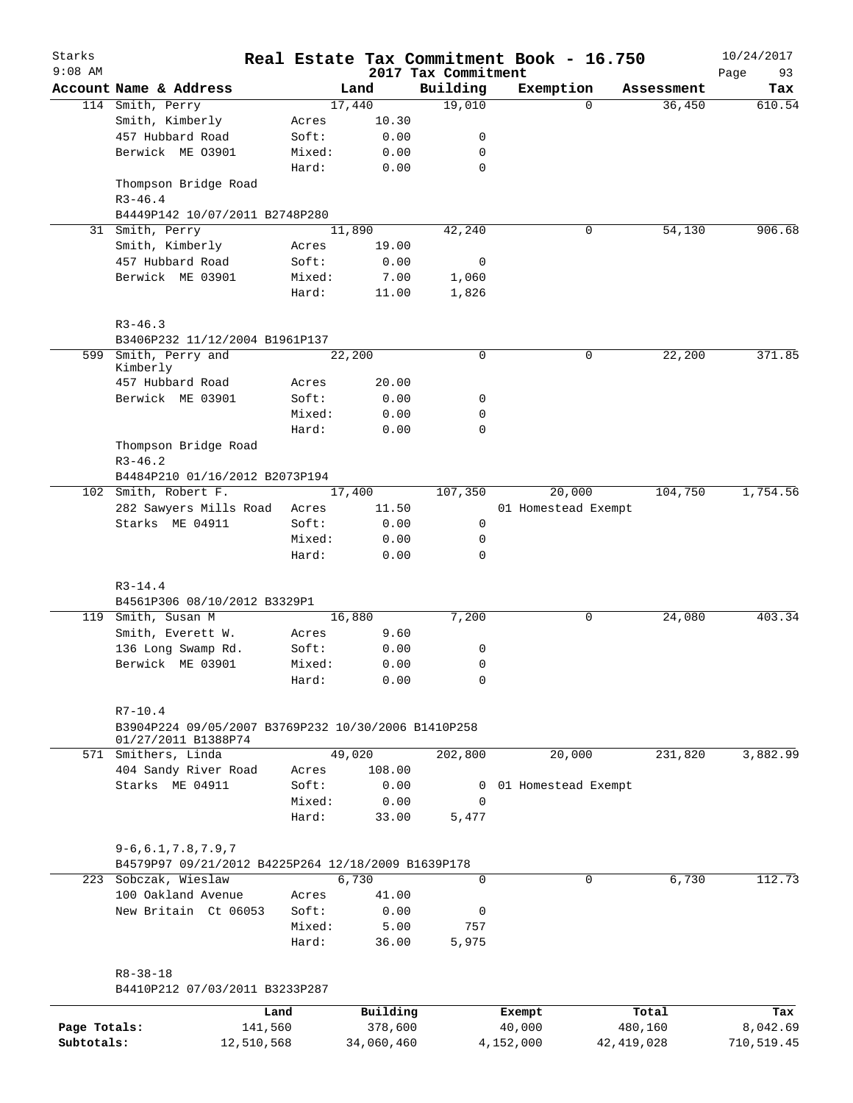| Starks       |                                                                            |        |          |                                 | Real Estate Tax Commitment Book - 16.750 |            | 10/24/2017        |
|--------------|----------------------------------------------------------------------------|--------|----------|---------------------------------|------------------------------------------|------------|-------------------|
| $9:08$ AM    | Account Name & Address                                                     |        | Land     | 2017 Tax Commitment<br>Building | Exemption                                | Assessment | Page<br>93<br>Tax |
|              | 114 Smith, Perry                                                           |        | 17,440   | 19,010                          | $\Omega$                                 | 36,450     | 610.54            |
|              | Smith, Kimberly                                                            | Acres  | 10.30    |                                 |                                          |            |                   |
|              | 457 Hubbard Road                                                           | Soft:  | 0.00     | 0                               |                                          |            |                   |
|              | Berwick ME 03901                                                           | Mixed: | 0.00     | 0                               |                                          |            |                   |
|              |                                                                            | Hard:  | 0.00     | $\mathbf 0$                     |                                          |            |                   |
|              | Thompson Bridge Road<br>$R3 - 46.4$                                        |        |          |                                 |                                          |            |                   |
|              | B4449P142 10/07/2011 B2748P280                                             |        |          |                                 |                                          |            |                   |
| 31           | Smith, Perry                                                               |        | 11,890   | 42,240                          | 0                                        | 54,130     | 906.68            |
|              | Smith, Kimberly                                                            | Acres  | 19.00    |                                 |                                          |            |                   |
|              | 457 Hubbard Road                                                           | Soft:  | 0.00     | 0                               |                                          |            |                   |
|              | Berwick ME 03901                                                           | Mixed: | 7.00     | 1,060                           |                                          |            |                   |
|              |                                                                            | Hard:  | 11.00    | 1,826                           |                                          |            |                   |
|              | $R3 - 46.3$                                                                |        |          |                                 |                                          |            |                   |
|              | B3406P232 11/12/2004 B1961P137                                             |        |          |                                 |                                          |            |                   |
| 599          | Smith, Perry and<br>Kimberly                                               |        | 22,200   | 0                               | 0                                        | 22,200     | 371.85            |
|              | 457 Hubbard Road                                                           | Acres  | 20.00    |                                 |                                          |            |                   |
|              | Berwick ME 03901                                                           | Soft:  | 0.00     | 0                               |                                          |            |                   |
|              |                                                                            | Mixed: | 0.00     | 0                               |                                          |            |                   |
|              |                                                                            | Hard:  | 0.00     | 0                               |                                          |            |                   |
|              | Thompson Bridge Road<br>$R3 - 46.2$                                        |        |          |                                 |                                          |            |                   |
|              | B4484P210 01/16/2012 B2073P194                                             |        |          |                                 |                                          |            |                   |
|              | 102 Smith, Robert F.                                                       |        | 17,400   | 107,350                         | 20,000                                   | 104,750    | 1,754.56          |
|              | 282 Sawyers Mills Road                                                     | Acres  | 11.50    |                                 | 01 Homestead Exempt                      |            |                   |
|              | Starks ME 04911                                                            | Soft:  | 0.00     | 0                               |                                          |            |                   |
|              |                                                                            | Mixed: | 0.00     | 0                               |                                          |            |                   |
|              |                                                                            | Hard:  | 0.00     | 0                               |                                          |            |                   |
|              | $R3 - 14.4$                                                                |        |          |                                 |                                          |            |                   |
|              | B4561P306 08/10/2012 B3329P1                                               |        |          |                                 |                                          |            |                   |
|              | 119 Smith, Susan M                                                         |        | 16,880   | 7,200                           | 0                                        | 24,080     | 403.34            |
|              | Smith, Everett W.                                                          | Acres  | 9.60     |                                 |                                          |            |                   |
|              | 136 Long Swamp Rd.                                                         | Soft:  | 0.00     | 0                               |                                          |            |                   |
|              | Berwick ME 03901                                                           | Mixed: | 0.00     | 0                               |                                          |            |                   |
|              |                                                                            | Hard:  | 0.00     | 0                               |                                          |            |                   |
|              | $R7 - 10.4$<br>B3904P224 09/05/2007 B3769P232 10/30/2006 B1410P258         |        |          |                                 |                                          |            |                   |
|              | 01/27/2011 B1388P74                                                        |        |          |                                 |                                          |            |                   |
|              | 571 Smithers, Linda                                                        |        | 49,020   | 202,800                         | 20,000                                   | 231,820    | 3,882.99          |
|              | 404 Sandy River Road                                                       | Acres  | 108.00   |                                 |                                          |            |                   |
|              | Starks ME 04911                                                            | Soft:  | 0.00     | 0                               | 01 Homestead Exempt                      |            |                   |
|              |                                                                            | Mixed: | 0.00     | $\mathbf 0$                     |                                          |            |                   |
|              |                                                                            | Hard:  | 33.00    | 5,477                           |                                          |            |                   |
|              | $9 - 6, 6.1, 7.8, 7.9, 7$                                                  |        |          |                                 |                                          |            |                   |
|              | B4579P97 09/21/2012 B4225P264 12/18/2009 B1639P178<br>223 Sobczak, Wieslaw |        | 6,730    | $\mathsf{O}$                    | $\mathbf 0$                              | 6,730      | 112.73            |
|              | 100 Oakland Avenue                                                         | Acres  |          |                                 |                                          |            |                   |
|              | New Britain Ct 06053                                                       |        | 41.00    |                                 |                                          |            |                   |
|              |                                                                            | Soft:  | 0.00     | 0                               |                                          |            |                   |
|              |                                                                            | Mixed: | 5.00     | 757                             |                                          |            |                   |
|              |                                                                            | Hard:  | 36.00    | 5,975                           |                                          |            |                   |
|              | $R8 - 38 - 18$                                                             |        |          |                                 |                                          |            |                   |
|              | B4410P212 07/03/2011 B3233P287                                             |        |          |                                 |                                          |            |                   |
|              | Land                                                                       |        | Building |                                 | Exempt                                   | Total      | Tax               |
| Page Totals: | 141,560                                                                    |        | 378,600  |                                 | 40,000                                   | 480,160    | 8,042.69          |

**Subtotals:** 12,510,568 34,060,460 4,152,000 42,419,028 710,519.45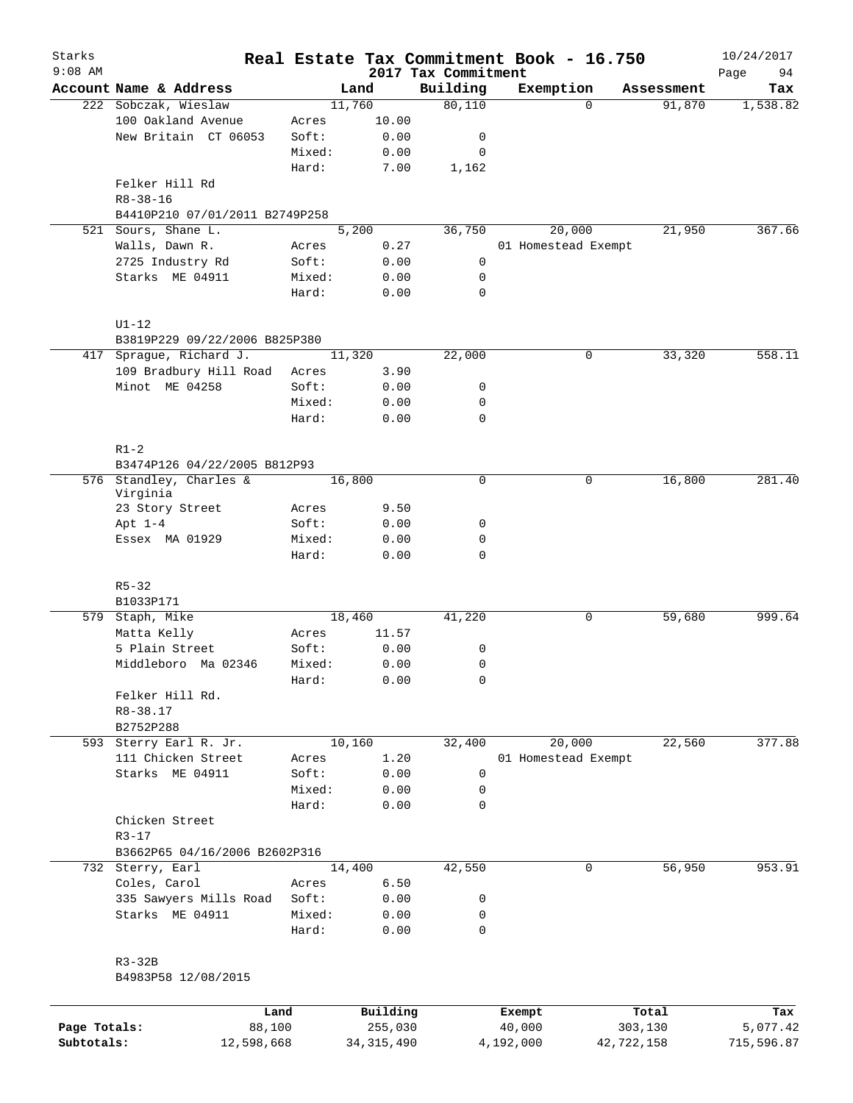| Starks<br>$9:08$ AM |                                  |        |          | 2017 Tax Commitment | Real Estate Tax Commitment Book - 16.750 |            | 10/24/2017<br>94<br>Page |
|---------------------|----------------------------------|--------|----------|---------------------|------------------------------------------|------------|--------------------------|
|                     | Account Name & Address           |        | Land     | Building            | Exemption                                | Assessment | Tax                      |
|                     | 222 Sobczak, Wieslaw             |        | 11,760   | 80,110              | $\Omega$                                 | 91,870     | 1,538.82                 |
|                     | 100 Oakland Avenue               | Acres  | 10.00    |                     |                                          |            |                          |
|                     | New Britain CT 06053             | Soft:  | 0.00     | 0                   |                                          |            |                          |
|                     |                                  | Mixed: | 0.00     | 0                   |                                          |            |                          |
|                     |                                  | Hard:  | 7.00     | 1,162               |                                          |            |                          |
|                     | Felker Hill Rd<br>$R8 - 38 - 16$ |        |          |                     |                                          |            |                          |
|                     | B4410P210 07/01/2011 B2749P258   |        |          |                     |                                          |            |                          |
| 521                 | Sours, Shane L.                  |        | 5,200    | 36,750              | 20,000                                   | 21,950     | 367.66                   |
|                     | Walls, Dawn R.                   | Acres  | 0.27     |                     | 01 Homestead Exempt                      |            |                          |
|                     | 2725 Industry Rd                 | Soft:  | 0.00     | 0                   |                                          |            |                          |
|                     | Starks ME 04911                  | Mixed: | 0.00     | 0                   |                                          |            |                          |
|                     |                                  | Hard:  | 0.00     | $\mathbf 0$         |                                          |            |                          |
|                     | $U1-12$                          |        |          |                     |                                          |            |                          |
|                     | B3819P229 09/22/2006 B825P380    |        |          |                     |                                          |            |                          |
|                     | 417 Sprague, Richard J.          |        | 11,320   | 22,000              | 0                                        | 33,320     | 558.11                   |
|                     | 109 Bradbury Hill Road           | Acres  | 3.90     |                     |                                          |            |                          |
|                     | Minot ME 04258                   | Soft:  | 0.00     | 0                   |                                          |            |                          |
|                     |                                  | Mixed: | 0.00     | 0                   |                                          |            |                          |
|                     |                                  | Hard:  | 0.00     | 0                   |                                          |            |                          |
|                     | $R1-2$                           |        |          |                     |                                          |            |                          |
|                     | B3474P126 04/22/2005 B812P93     |        |          |                     |                                          |            |                          |
|                     | 576 Standley, Charles &          |        | 16,800   | $\mathbf 0$         | 0                                        | 16,800     | 281.40                   |
|                     | Virginia                         |        |          |                     |                                          |            |                          |
|                     | 23 Story Street                  | Acres  | 9.50     |                     |                                          |            |                          |
|                     | Apt $1-4$                        | Soft:  | 0.00     | 0                   |                                          |            |                          |
|                     | Essex MA 01929                   | Mixed: | 0.00     | $\mathbf 0$         |                                          |            |                          |
|                     |                                  | Hard:  | 0.00     | $\mathbf 0$         |                                          |            |                          |
|                     | $R5 - 32$<br>B1033P171           |        |          |                     |                                          |            |                          |
|                     | 579 Staph, Mike                  |        | 18,460   | 41,220              | 0                                        | 59,680     | 999.64                   |
|                     | Matta Kelly                      | Acres  | 11.57    |                     |                                          |            |                          |
|                     | 5 Plain Street                   | Soft:  | 0.00     | 0                   |                                          |            |                          |
|                     |                                  |        |          |                     |                                          |            |                          |
|                     | Middleboro Ma 02346              | Mixed: | 0.00     | 0                   |                                          |            |                          |
|                     |                                  | Hard:  | 0.00     | 0                   |                                          |            |                          |
|                     | Felker Hill Rd.                  |        |          |                     |                                          |            |                          |
|                     | R8-38.17<br>B2752P288            |        |          |                     |                                          |            |                          |
|                     | 593 Sterry Earl R. Jr.           |        | 10,160   | 32,400              | 20,000                                   | 22,560     | 377.88                   |
|                     | 111 Chicken Street               | Acres  | 1.20     |                     | 01 Homestead Exempt                      |            |                          |
|                     | Starks ME 04911                  | Soft:  | 0.00     | 0                   |                                          |            |                          |
|                     |                                  |        |          |                     |                                          |            |                          |
|                     |                                  | Mixed: | 0.00     | 0                   |                                          |            |                          |
|                     | Chicken Street                   | Hard:  | 0.00     | $\mathbf 0$         |                                          |            |                          |
|                     |                                  |        |          |                     |                                          |            |                          |
|                     | $R3 - 17$                        |        |          |                     |                                          |            |                          |
|                     | B3662P65 04/16/2006 B2602P316    |        |          |                     |                                          |            |                          |
|                     | 732 Sterry, Earl                 |        | 14,400   | 42,550              | 0                                        | 56,950     | 953.91                   |
|                     | Coles, Carol                     | Acres  | 6.50     |                     |                                          |            |                          |
|                     | 335 Sawyers Mills Road           | Soft:  | 0.00     | 0                   |                                          |            |                          |
|                     | Starks ME 04911                  | Mixed: | 0.00     | 0                   |                                          |            |                          |
|                     |                                  | Hard:  | 0.00     | 0                   |                                          |            |                          |
|                     | $R3-32B$                         |        |          |                     |                                          |            |                          |
|                     | B4983P58 12/08/2015              |        |          |                     |                                          |            |                          |
|                     |                                  | Land   | Building |                     | Exempt                                   | Total      | Tax                      |

**Page Totals:** 88,100 255,030 40,000 303,130 5,077.42 **Subtotals:** 12,598,668 34,315,490 4,192,000 42,722,158 715,596.87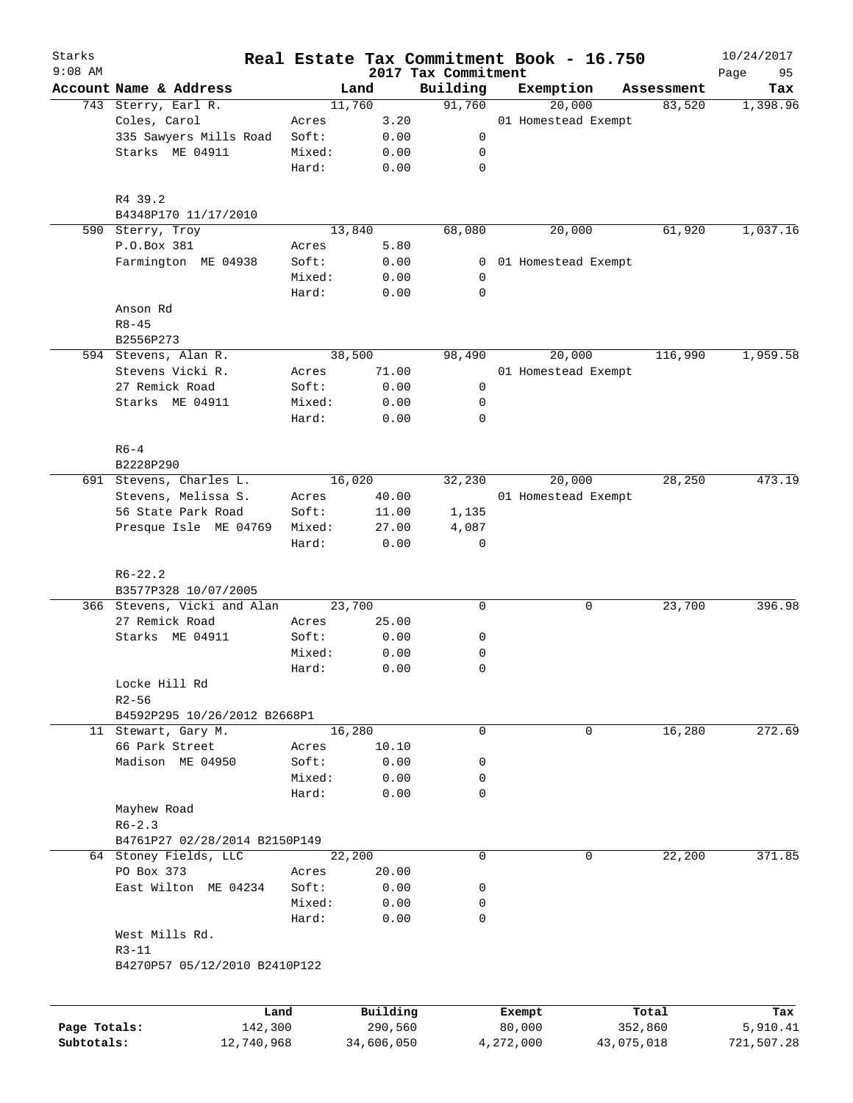| Starks<br>$9:08$ AM |                                            |                 |               | 2017 Tax Commitment | Real Estate Tax Commitment Book - 16.750 |            | 10/24/2017<br>95<br>Page |
|---------------------|--------------------------------------------|-----------------|---------------|---------------------|------------------------------------------|------------|--------------------------|
|                     | Account Name & Address                     |                 | Land          | Building            | Exemption                                | Assessment | Tax                      |
|                     | 743 Sterry, Earl R.                        |                 | 11,760        | 91,760              | 20,000                                   | 83,520     | 1,398.96                 |
|                     | Coles, Carol                               | Acres           | 3.20          |                     | 01 Homestead Exempt                      |            |                          |
|                     | 335 Sawyers Mills Road                     | Soft:           | 0.00          | $\mathbf 0$         |                                          |            |                          |
|                     | Starks ME 04911                            | Mixed:          | 0.00          | 0                   |                                          |            |                          |
|                     |                                            | Hard:           | 0.00          | $\mathbf 0$         |                                          |            |                          |
|                     | R4 39.2                                    |                 |               |                     |                                          |            |                          |
|                     | B4348P170 11/17/2010                       |                 |               |                     |                                          |            |                          |
|                     | 590 Sterry, Troy                           |                 | 13,840        | 68,080              | 20,000                                   | 61,920     | 1,037.16                 |
|                     | P.O.Box 381                                | Acres           | 5.80          |                     |                                          |            |                          |
|                     | Farmington ME 04938                        | Soft:           | 0.00          |                     | 0 01 Homestead Exempt                    |            |                          |
|                     |                                            | Mixed:          | 0.00          | 0                   |                                          |            |                          |
|                     |                                            | Hard:           | 0.00          | $\mathbf 0$         |                                          |            |                          |
|                     | Anson Rd                                   |                 |               |                     |                                          |            |                          |
|                     | $R8 - 45$                                  |                 |               |                     |                                          |            |                          |
|                     | B2556P273                                  |                 |               |                     |                                          | 116,990    |                          |
|                     | 594 Stevens, Alan R.<br>Stevens Vicki R.   |                 | 38,500        | 98,490              | 20,000<br>01 Homestead Exempt            |            | 1,959.58                 |
|                     | 27 Remick Road                             | Acres<br>Soft:  | 71.00<br>0.00 | $\mathbf 0$         |                                          |            |                          |
|                     | Starks ME 04911                            | Mixed:          | 0.00          | 0                   |                                          |            |                          |
|                     |                                            | Hard:           | 0.00          | $\mathbf 0$         |                                          |            |                          |
|                     |                                            |                 |               |                     |                                          |            |                          |
|                     | $R6-4$                                     |                 |               |                     |                                          |            |                          |
|                     | B2228P290                                  |                 |               |                     |                                          |            |                          |
|                     | 691 Stevens, Charles L.                    |                 | 16,020        | 32,230              | 20,000                                   | 28,250     | 473.19                   |
|                     | Stevens, Melissa S.                        | Acres           | 40.00         |                     | 01 Homestead Exempt                      |            |                          |
|                     | 56 State Park Road                         | Soft:           | 11.00         | 1,135               |                                          |            |                          |
|                     | Presque Isle ME 04769                      | Mixed:          | 27.00         | 4,087               |                                          |            |                          |
|                     |                                            | Hard:           | 0.00          | 0                   |                                          |            |                          |
|                     |                                            |                 |               |                     |                                          |            |                          |
|                     | $R6 - 22.2$                                |                 |               |                     |                                          |            |                          |
|                     | B3577P328 10/07/2005                       |                 |               |                     |                                          |            |                          |
|                     | 366 Stevens, Vicki and Alan                |                 | 23,700        | 0                   | 0                                        | 23,700     | 396.98                   |
|                     | 27 Remick Road                             | Acres           | 25.00         |                     |                                          |            |                          |
|                     | Starks ME 04911                            | Soft:           | 0.00          | 0                   |                                          |            |                          |
|                     |                                            | Mixed:          | 0.00          | 0                   |                                          |            |                          |
|                     |                                            | Hard:           | 0.00          | $\mathbf 0$         |                                          |            |                          |
|                     | Locke Hill Rd                              |                 |               |                     |                                          |            |                          |
|                     | $R2 - 56$                                  |                 |               |                     |                                          |            |                          |
|                     | B4592P295 10/26/2012 B2668P1               |                 |               |                     |                                          |            |                          |
|                     | 11 Stewart, Gary M.                        |                 | 16,280        | 0                   | 0                                        | 16,280     | 272.69                   |
|                     | 66 Park Street<br>Madison ME 04950         | Acres           | 10.10         |                     |                                          |            |                          |
|                     |                                            | Soft:<br>Mixed: | 0.00          | 0                   |                                          |            |                          |
|                     |                                            | Hard:           | 0.00<br>0.00  | 0<br>0              |                                          |            |                          |
|                     | Mayhew Road                                |                 |               |                     |                                          |            |                          |
|                     | $R6 - 2.3$                                 |                 |               |                     |                                          |            |                          |
|                     | B4761P27 02/28/2014 B2150P149              |                 |               |                     |                                          |            |                          |
|                     | 64 Stoney Fields, LLC                      |                 | 22,200        | $\mathbf 0$         | 0                                        | 22,200     | 371.85                   |
|                     | PO Box 373                                 | Acres           | 20.00         |                     |                                          |            |                          |
|                     | East Wilton ME 04234                       | Soft:           | 0.00          | 0                   |                                          |            |                          |
|                     |                                            | Mixed:          | 0.00          | 0                   |                                          |            |                          |
|                     |                                            | Hard:           | 0.00          | $\mathbf 0$         |                                          |            |                          |
|                     | West Mills Rd.                             |                 |               |                     |                                          |            |                          |
|                     | $R3 - 11$<br>B4270P57 05/12/2010 B2410P122 |                 |               |                     |                                          |            |                          |
|                     |                                            |                 |               |                     |                                          |            |                          |
|                     | Land                                       |                 | Building      |                     | Exempt                                   | Total      | Tax                      |
| Page Totals:        | 142,300                                    |                 | 290,560       |                     | 80,000                                   | 352,860    | 5,910.41                 |

**Subtotals:** 12,740,968 34,606,050 4,272,000 43,075,018 721,507.28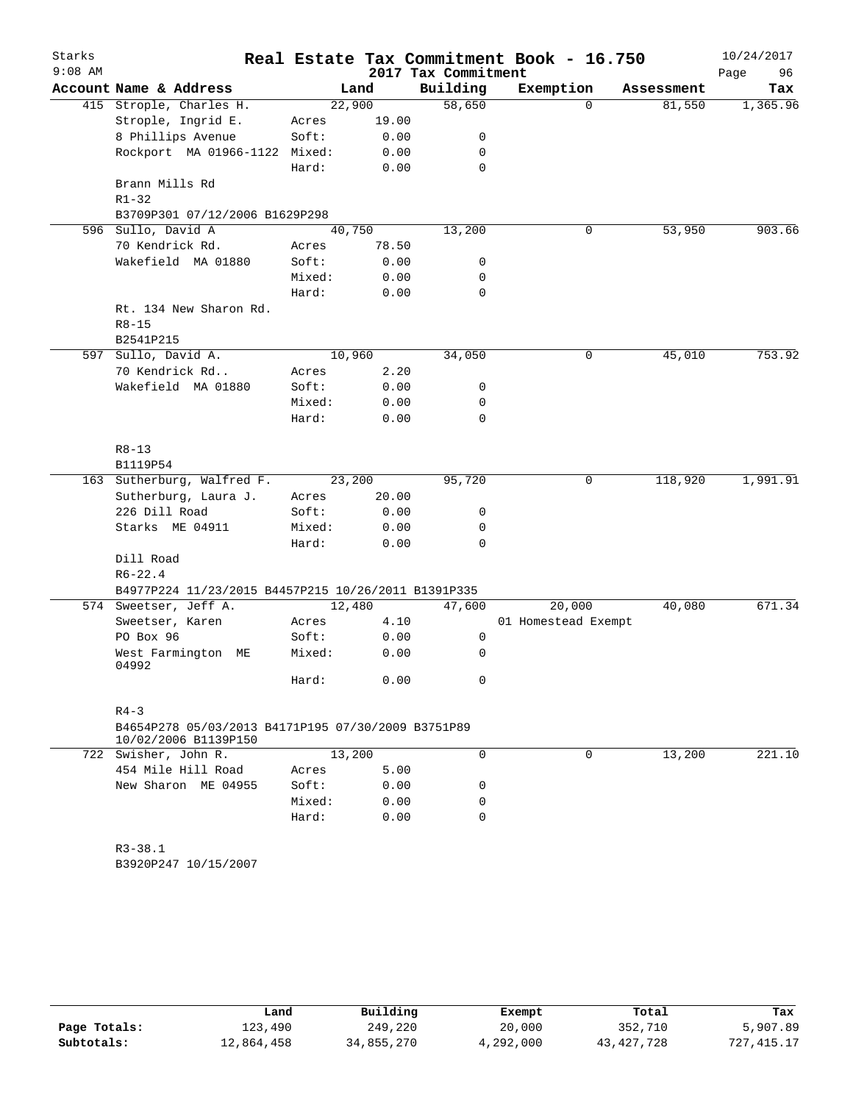| Starks<br>$9:08$ AM |                                                                            |        |       | 2017 Tax Commitment | Real Estate Tax Commitment Book - 16.750 |            | 10/24/2017<br>96<br>Page |
|---------------------|----------------------------------------------------------------------------|--------|-------|---------------------|------------------------------------------|------------|--------------------------|
|                     | Account Name & Address                                                     |        | Land  | Building            | Exemption                                | Assessment | Tax                      |
|                     | 415 Strople, Charles H.                                                    | 22,900 |       | 58,650              | $\Omega$                                 | 81,550     | 1,365.96                 |
|                     | Strople, Ingrid E.                                                         | Acres  | 19.00 |                     |                                          |            |                          |
|                     | 8 Phillips Avenue                                                          | Soft:  | 0.00  | 0                   |                                          |            |                          |
|                     | Rockport MA 01966-1122 Mixed:                                              |        | 0.00  | 0                   |                                          |            |                          |
|                     |                                                                            | Hard:  | 0.00  | $\mathbf 0$         |                                          |            |                          |
|                     | Brann Mills Rd                                                             |        |       |                     |                                          |            |                          |
|                     | $R1 - 32$                                                                  |        |       |                     |                                          |            |                          |
|                     | B3709P301 07/12/2006 B1629P298                                             |        |       |                     |                                          |            |                          |
| 596                 | Sullo, David A                                                             | 40,750 |       | 13,200              | 0                                        | 53,950     | 903.66                   |
|                     | 70 Kendrick Rd.                                                            | Acres  | 78.50 |                     |                                          |            |                          |
|                     | Wakefield MA 01880                                                         | Soft:  | 0.00  | 0                   |                                          |            |                          |
|                     |                                                                            | Mixed: | 0.00  | 0                   |                                          |            |                          |
|                     |                                                                            | Hard:  | 0.00  | 0                   |                                          |            |                          |
|                     | Rt. 134 New Sharon Rd.                                                     |        |       |                     |                                          |            |                          |
|                     | $R8 - 15$                                                                  |        |       |                     |                                          |            |                          |
|                     | B2541P215                                                                  |        |       |                     |                                          |            |                          |
| 597                 | Sullo, David A.                                                            | 10,960 |       | 34,050              | 0                                        | 45,010     | 753.92                   |
|                     | 70 Kendrick Rd                                                             | Acres  | 2.20  |                     |                                          |            |                          |
|                     | Wakefield MA 01880                                                         | Soft:  | 0.00  | 0                   |                                          |            |                          |
|                     |                                                                            | Mixed: | 0.00  | 0                   |                                          |            |                          |
|                     |                                                                            | Hard:  | 0.00  | 0                   |                                          |            |                          |
|                     | $R8 - 13$                                                                  |        |       |                     |                                          |            |                          |
|                     | B1119P54                                                                   |        |       |                     |                                          |            |                          |
| 163                 | Sutherburg, Walfred F.                                                     | 23,200 |       | 95,720              | 0                                        | 118,920    | 1,991.91                 |
|                     | Sutherburg, Laura J.                                                       | Acres  | 20.00 |                     |                                          |            |                          |
|                     | 226 Dill Road                                                              | Soft:  | 0.00  | 0                   |                                          |            |                          |
|                     | Starks ME 04911                                                            | Mixed: | 0.00  | 0                   |                                          |            |                          |
|                     |                                                                            | Hard:  | 0.00  | 0                   |                                          |            |                          |
|                     | Dill Road                                                                  |        |       |                     |                                          |            |                          |
|                     | $R6 - 22.4$                                                                |        |       |                     |                                          |            |                          |
|                     | B4977P224 11/23/2015 B4457P215 10/26/2011 B1391P335                        |        |       |                     |                                          |            |                          |
|                     | 574 Sweetser, Jeff A.                                                      | 12,480 |       | 47,600              | 20,000                                   | 40,080     | 671.34                   |
|                     | Sweetser, Karen                                                            | Acres  | 4.10  |                     | 01 Homestead Exempt                      |            |                          |
|                     | PO Box 96                                                                  | Soft:  | 0.00  | 0                   |                                          |            |                          |
|                     | West Farmington ME<br>04992                                                | Mixed: | 0.00  | 0                   |                                          |            |                          |
|                     |                                                                            | Hard:  | 0.00  | 0                   |                                          |            |                          |
|                     | $R4 - 3$                                                                   |        |       |                     |                                          |            |                          |
|                     | B4654P278 05/03/2013 B4171P195 07/30/2009 B3751P89<br>10/02/2006 B1139P150 |        |       |                     |                                          |            |                          |
|                     | 722 Swisher, John R.                                                       | 13,200 |       | 0                   | 0                                        | 13,200     | 221.10                   |
|                     | 454 Mile Hill Road                                                         | Acres  | 5.00  |                     |                                          |            |                          |
|                     | New Sharon ME 04955                                                        | Soft:  | 0.00  | 0                   |                                          |            |                          |
|                     |                                                                            | Mixed: | 0.00  | 0                   |                                          |            |                          |
|                     |                                                                            | Hard:  | 0.00  | 0                   |                                          |            |                          |
|                     | $R3 - 38.1$                                                                |        |       |                     |                                          |            |                          |
|                     | B3920P247 10/15/2007                                                       |        |       |                     |                                          |            |                          |
|                     |                                                                            |        |       |                     |                                          |            |                          |
|                     |                                                                            |        |       |                     |                                          |            |                          |

|              | Land       | Building   | Exempt    | Total      | Tax        |
|--------------|------------|------------|-----------|------------|------------|
| Page Totals: | 123,490    | 249,220    | 20,000    | 352,710    | 5,907.89   |
| Subtotals:   | 12,864,458 | 34,855,270 | 4,292,000 | 43,427,728 | 727.415.17 |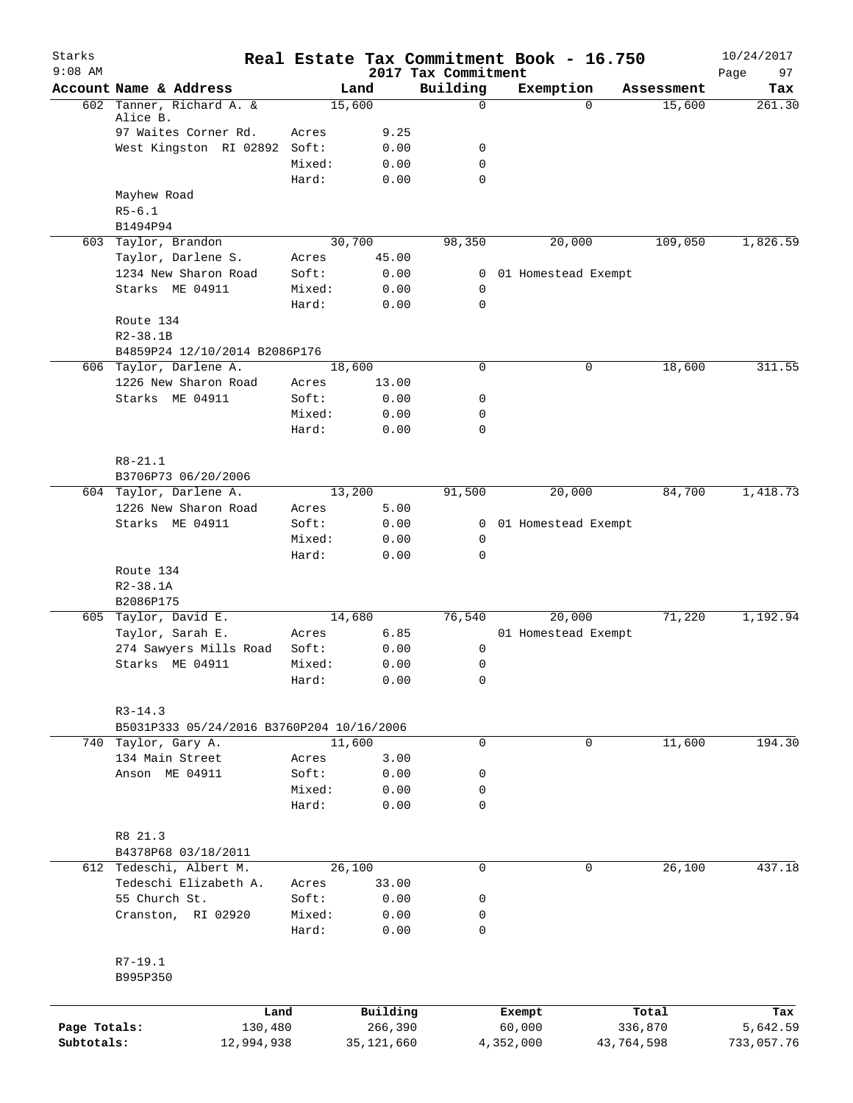| Starks       |                                           |                |                |                                 | Real Estate Tax Commitment Book - 16.750 |             |            | 10/24/2017        |
|--------------|-------------------------------------------|----------------|----------------|---------------------------------|------------------------------------------|-------------|------------|-------------------|
| $9:08$ AM    | Account Name & Address                    |                | Land           | 2017 Tax Commitment<br>Building | Exemption                                |             | Assessment | 97<br>Page<br>Tax |
|              | 602 Tanner, Richard A. &                  |                | 15,600         | $\mathbf 0$                     |                                          | $\Omega$    | 15,600     | 261.30            |
|              | Alice B.                                  |                |                |                                 |                                          |             |            |                   |
|              | 97 Waites Corner Rd.                      | Acres          | 9.25           |                                 |                                          |             |            |                   |
|              | West Kingston RI 02892 Soft:              |                | 0.00           | 0                               |                                          |             |            |                   |
|              |                                           | Mixed:         | 0.00<br>0.00   | $\mathbf 0$<br>$\mathbf 0$      |                                          |             |            |                   |
|              | Mayhew Road                               | Hard:          |                |                                 |                                          |             |            |                   |
|              | $R5 - 6.1$                                |                |                |                                 |                                          |             |            |                   |
|              | B1494P94                                  |                |                |                                 |                                          |             |            |                   |
|              | 603 Taylor, Brandon                       |                | 30,700         | 98,350                          | 20,000                                   |             | 109,050    | 1,826.59          |
|              | Taylor, Darlene S.                        | Acres          | 45.00          |                                 |                                          |             |            |                   |
|              | 1234 New Sharon Road                      | Soft:          | 0.00           | 0                               | 01 Homestead Exempt                      |             |            |                   |
|              | Starks ME 04911                           | Mixed:         | 0.00           | 0                               |                                          |             |            |                   |
|              |                                           | Hard:          | 0.00           | $\mathbf 0$                     |                                          |             |            |                   |
|              | Route 134                                 |                |                |                                 |                                          |             |            |                   |
|              | $R2 - 38.1B$                              |                |                |                                 |                                          |             |            |                   |
|              | B4859P24 12/10/2014 B2086P176             |                |                |                                 |                                          |             |            |                   |
|              | 606 Taylor, Darlene A.                    |                | 18,600         | $\mathbf 0$                     |                                          | 0           | 18,600     | 311.55            |
|              | 1226 New Sharon Road                      | Acres          | 13.00          |                                 |                                          |             |            |                   |
|              | Starks ME 04911                           | Soft:          | 0.00           | 0                               |                                          |             |            |                   |
|              |                                           | Mixed:         | 0.00           | 0                               |                                          |             |            |                   |
|              |                                           | Hard:          | 0.00           | $\mathbf 0$                     |                                          |             |            |                   |
|              |                                           |                |                |                                 |                                          |             |            |                   |
|              | $R8 - 21.1$                               |                |                |                                 |                                          |             |            |                   |
|              | B3706P73 06/20/2006                       |                |                |                                 |                                          |             |            |                   |
|              | 604 Taylor, Darlene A.                    |                | 13,200<br>5.00 | 91,500                          | 20,000                                   |             | 84,700     | 1,418.73          |
|              | 1226 New Sharon Road<br>Starks ME 04911   | Acres<br>Soft: |                |                                 |                                          |             |            |                   |
|              |                                           | Mixed:         | 0.00<br>0.00   | $\mathbf{0}$<br>$\mathbf 0$     | 01 Homestead Exempt                      |             |            |                   |
|              |                                           | Hard:          | 0.00           | $\mathbf 0$                     |                                          |             |            |                   |
|              | Route 134                                 |                |                |                                 |                                          |             |            |                   |
|              | $R2 - 38.1A$                              |                |                |                                 |                                          |             |            |                   |
|              | B2086P175                                 |                |                |                                 |                                          |             |            |                   |
|              | 605 Taylor, David E.                      |                | 14,680         | 76,540                          | 20,000                                   |             | 71,220     | 1,192.94          |
|              | Taylor, Sarah E.                          | Acres          | 6.85           |                                 | 01 Homestead Exempt                      |             |            |                   |
|              | 274 Sawyers Mills Road                    | Soft:          | 0.00           | 0                               |                                          |             |            |                   |
|              | Starks ME 04911                           | Mixed:         | 0.00           | 0                               |                                          |             |            |                   |
|              |                                           | Hard:          | 0.00           | 0                               |                                          |             |            |                   |
|              |                                           |                |                |                                 |                                          |             |            |                   |
|              | $R3 - 14.3$                               |                |                |                                 |                                          |             |            |                   |
|              | B5031P333 05/24/2016 B3760P204 10/16/2006 |                |                |                                 |                                          |             |            |                   |
|              | 740 Taylor, Gary A.                       |                | 11,600         | $\mathbf 0$                     |                                          | $\mathbf 0$ | 11,600     | 194.30            |
|              | 134 Main Street                           | Acres          | 3.00           |                                 |                                          |             |            |                   |
|              | Anson ME 04911                            | Soft:          | 0.00           | 0                               |                                          |             |            |                   |
|              |                                           | Mixed:         | 0.00           | 0                               |                                          |             |            |                   |
|              |                                           | Hard:          | 0.00           | $\mathbf 0$                     |                                          |             |            |                   |
|              | R8 21.3                                   |                |                |                                 |                                          |             |            |                   |
|              | B4378P68 03/18/2011                       |                |                |                                 |                                          |             |            |                   |
|              | 612 Tedeschi, Albert M.                   |                | 26,100         | $\mathbf 0$                     |                                          | 0           | 26,100     | 437.18            |
|              | Tedeschi Elizabeth A.                     | Acres          | 33.00          |                                 |                                          |             |            |                   |
|              | 55 Church St.                             | Soft:          | 0.00           | 0                               |                                          |             |            |                   |
|              | Cranston, RI 02920                        | Mixed:         | 0.00           | $\mathbf 0$                     |                                          |             |            |                   |
|              |                                           | Hard:          | 0.00           | 0                               |                                          |             |            |                   |
|              |                                           |                |                |                                 |                                          |             |            |                   |
|              | R7-19.1                                   |                |                |                                 |                                          |             |            |                   |
|              | B995P350                                  |                |                |                                 |                                          |             |            |                   |
|              |                                           |                |                |                                 |                                          |             |            |                   |
|              | Land                                      |                | Building       |                                 | Exempt                                   |             | Total      | Tax               |
| Page Totals: | 130,480                                   |                | 266,390        |                                 | 60,000                                   |             | 336,870    | 5,642.59          |
| Subtotals:   | 12,994,938                                |                | 35, 121, 660   |                                 | 4,352,000                                |             | 43,764,598 | 733,057.76        |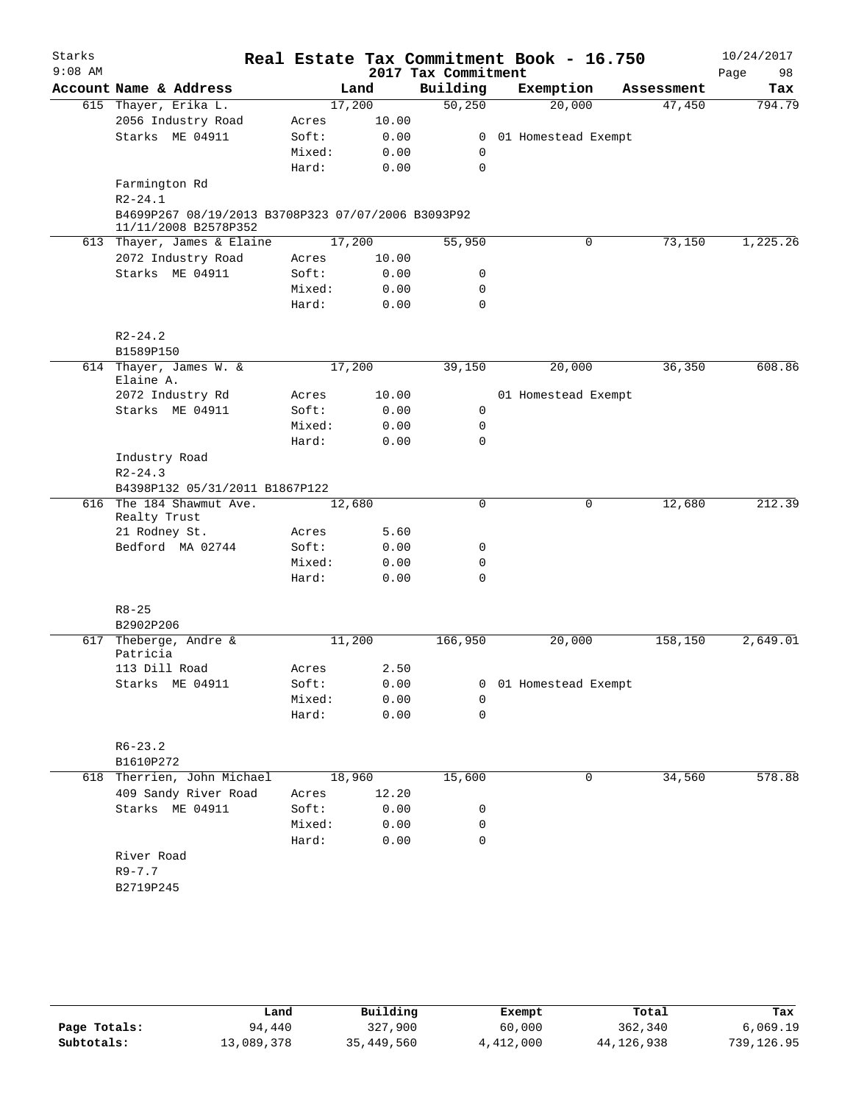| Starks<br>$9:08$ AM |                                                                            |        |       | 2017 Tax Commitment | Real Estate Tax Commitment Book - 16.750 |            | 10/24/2017<br>98<br>Page |
|---------------------|----------------------------------------------------------------------------|--------|-------|---------------------|------------------------------------------|------------|--------------------------|
|                     | Account Name & Address                                                     |        | Land  | Building            | Exemption                                | Assessment | Tax                      |
|                     | 615 Thayer, Erika L.                                                       | 17,200 |       | 50,250              | 20,000                                   | 47,450     | 794.79                   |
|                     | 2056 Industry Road                                                         | Acres  | 10.00 |                     |                                          |            |                          |
|                     | Starks ME 04911                                                            | Soft:  | 0.00  |                     | 0 01 Homestead Exempt                    |            |                          |
|                     |                                                                            | Mixed: | 0.00  | 0                   |                                          |            |                          |
|                     |                                                                            | Hard:  | 0.00  | $\mathbf 0$         |                                          |            |                          |
|                     | Farmington Rd                                                              |        |       |                     |                                          |            |                          |
|                     | $R2 - 24.1$                                                                |        |       |                     |                                          |            |                          |
|                     | B4699P267 08/19/2013 B3708P323 07/07/2006 B3093P92<br>11/11/2008 B2578P352 |        |       |                     |                                          |            |                          |
|                     | 613 Thayer, James & Elaine                                                 | 17,200 |       | 55,950              | 0                                        | 73,150     | 1,225.26                 |
|                     | 2072 Industry Road                                                         | Acres  | 10.00 |                     |                                          |            |                          |
|                     | Starks ME 04911                                                            | Soft:  | 0.00  | $\mathsf{O}$        |                                          |            |                          |
|                     |                                                                            | Mixed: | 0.00  | $\mathbf 0$         |                                          |            |                          |
|                     |                                                                            | Hard:  | 0.00  | $\mathbf 0$         |                                          |            |                          |
|                     |                                                                            |        |       |                     |                                          |            |                          |
|                     | $R2 - 24.2$<br>B1589P150                                                   |        |       |                     |                                          |            |                          |
|                     | 614 Thayer, James W. &<br>Elaine A.                                        | 17,200 |       | 39,150              | 20,000                                   | 36,350     | 608.86                   |
|                     | 2072 Industry Rd                                                           | Acres  | 10.00 |                     | 01 Homestead Exempt                      |            |                          |
|                     | Starks ME 04911                                                            | Soft:  | 0.00  | 0                   |                                          |            |                          |
|                     |                                                                            | Mixed: | 0.00  | 0                   |                                          |            |                          |
|                     |                                                                            | Hard:  | 0.00  | $\mathbf 0$         |                                          |            |                          |
|                     | Industry Road                                                              |        |       |                     |                                          |            |                          |
|                     | $R2 - 24.3$                                                                |        |       |                     |                                          |            |                          |
|                     | B4398P132 05/31/2011 B1867P122                                             |        |       |                     |                                          |            |                          |
| 616                 | The 184 Shawmut Ave.                                                       | 12,680 |       | $\mathbf 0$         | $\mathbf 0$                              | 12,680     | 212.39                   |
|                     | Realty Trust                                                               |        |       |                     |                                          |            |                          |
|                     | 21 Rodney St.                                                              | Acres  | 5.60  |                     |                                          |            |                          |
|                     | Bedford MA 02744                                                           | Soft:  | 0.00  | 0                   |                                          |            |                          |
|                     |                                                                            | Mixed: | 0.00  | 0                   |                                          |            |                          |
|                     |                                                                            | Hard:  | 0.00  | $\mathbf 0$         |                                          |            |                          |
|                     |                                                                            |        |       |                     |                                          |            |                          |
|                     | $R8 - 25$                                                                  |        |       |                     |                                          |            |                          |
|                     | B2902P206                                                                  |        |       |                     |                                          |            |                          |
|                     | 617 Theberge, Andre &<br>Patricia                                          | 11,200 |       | 166,950             | 20,000                                   | 158,150    | 2,649.01                 |
|                     | 113 Dill Road                                                              | Acres  | 2.50  |                     |                                          |            |                          |
|                     | Starks ME 04911                                                            | Soft:  | 0.00  | $\mathbf{0}$        | 01 Homestead Exempt                      |            |                          |
|                     |                                                                            | Mixed: | 0.00  | 0                   |                                          |            |                          |
|                     |                                                                            | Hard:  | 0.00  | $\mathbf 0$         |                                          |            |                          |
|                     |                                                                            |        |       |                     |                                          |            |                          |
|                     | $R6 - 23.2$                                                                |        |       |                     |                                          |            |                          |
|                     | B1610P272                                                                  |        |       |                     |                                          |            |                          |
| 618                 | Therrien, John Michael                                                     | 18,960 |       | 15,600              | 0                                        | 34,560     | 578.88                   |
|                     | 409 Sandy River Road                                                       | Acres  | 12.20 |                     |                                          |            |                          |
|                     | Starks ME 04911                                                            | Soft:  | 0.00  | 0                   |                                          |            |                          |
|                     |                                                                            | Mixed: | 0.00  | 0                   |                                          |            |                          |
|                     |                                                                            | Hard:  | 0.00  | 0                   |                                          |            |                          |
|                     | River Road                                                                 |        |       |                     |                                          |            |                          |
|                     | $R9 - 7.7$                                                                 |        |       |                     |                                          |            |                          |
|                     | B2719P245                                                                  |        |       |                     |                                          |            |                          |
|                     |                                                                            |        |       |                     |                                          |            |                          |
|                     |                                                                            |        |       |                     |                                          |            |                          |
|                     |                                                                            |        |       |                     |                                          |            |                          |

|              | Land       | Building   | Exempt    | Total      | Tax        |
|--------------|------------|------------|-----------|------------|------------|
| Page Totals: | 94,440     | 327,900    | 60,000    | 362,340    | 6.069.19   |
| Subtotals:   | 13,089,378 | 35,449,560 | 4,412,000 | 44,126,938 | 739,126.95 |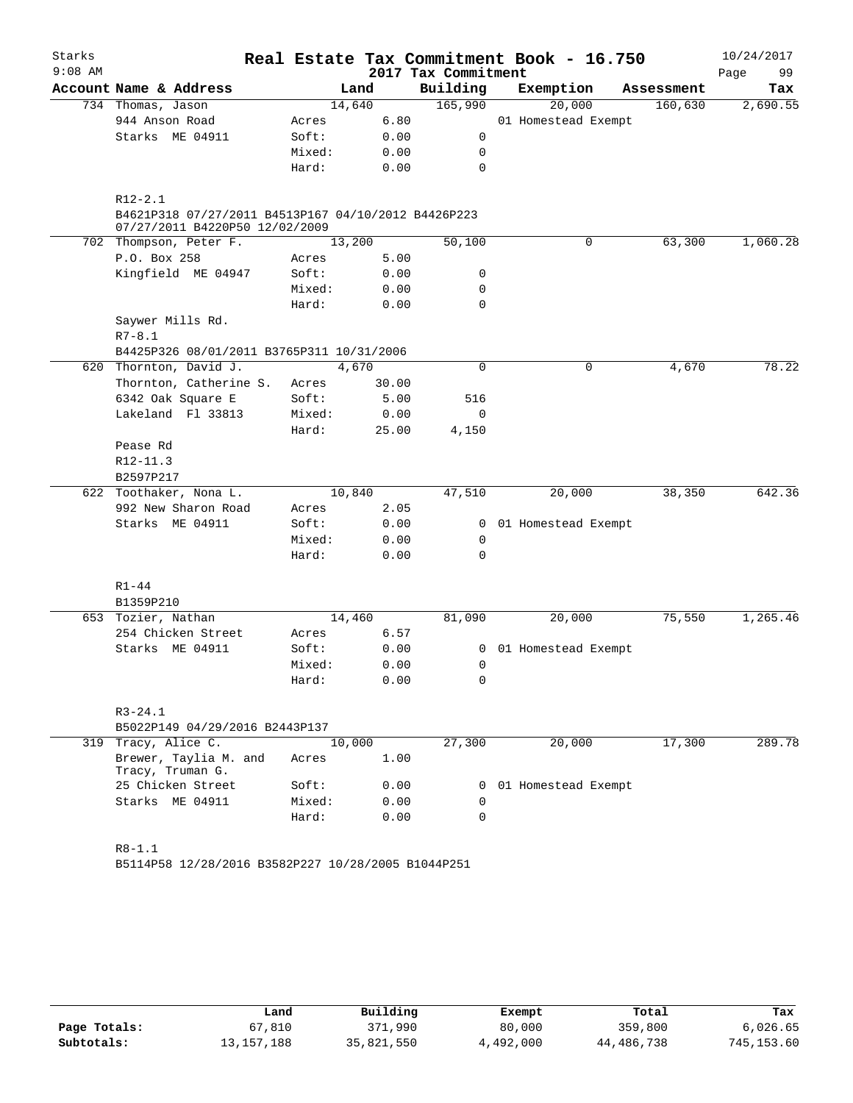| Starks<br>$9:08$ AM |                                                                    |        |                | 2017 Tax Commitment | Real Estate Tax Commitment Book - 16.750 |            | 10/24/2017<br>Page<br>99 |
|---------------------|--------------------------------------------------------------------|--------|----------------|---------------------|------------------------------------------|------------|--------------------------|
|                     | Account Name & Address                                             |        | Land           | Building            | Exemption                                | Assessment | Tax                      |
|                     | 734 Thomas, Jason                                                  |        | 14,640         | 165,990             | 20,000                                   | 160,630    | 2,690.55                 |
|                     | 944 Anson Road                                                     | Acres  | 6.80           |                     | 01 Homestead Exempt                      |            |                          |
|                     | Starks ME 04911                                                    | Soft:  | 0.00           | 0                   |                                          |            |                          |
|                     |                                                                    | Mixed: | 0.00           | 0                   |                                          |            |                          |
|                     |                                                                    | Hard:  | 0.00           | 0                   |                                          |            |                          |
|                     | $R12 - 2.1$<br>B4621P318 07/27/2011 B4513P167 04/10/2012 B4426P223 |        |                |                     |                                          |            |                          |
|                     | 07/27/2011 B4220P50 12/02/2009                                     |        |                |                     |                                          |            |                          |
|                     | 702 Thompson, Peter F.                                             |        | 13,200         | 50,100              | 0                                        | 63,300     | 1,060.28                 |
|                     | P.O. Box 258                                                       | Acres  | 5.00           |                     |                                          |            |                          |
|                     | Kingfield ME 04947                                                 | Soft:  | 0.00           | 0                   |                                          |            |                          |
|                     |                                                                    | Mixed: | 0.00           | 0                   |                                          |            |                          |
|                     |                                                                    | Hard:  | 0.00           | $\mathbf 0$         |                                          |            |                          |
|                     | Saywer Mills Rd.                                                   |        |                |                     |                                          |            |                          |
|                     | $R7 - 8.1$                                                         |        |                |                     |                                          |            |                          |
|                     | B4425P326 08/01/2011 B3765P311 10/31/2006                          |        |                |                     |                                          |            |                          |
|                     | 620 Thornton, David J.                                             |        | 4,670          | $\mathbf 0$         | 0                                        | 4,670      | 78.22                    |
|                     | Thornton, Catherine S.                                             | Acres  | 30.00          |                     |                                          |            |                          |
|                     | 6342 Oak Square E                                                  | Soft:  | 5.00           | 516                 |                                          |            |                          |
|                     | Lakeland Fl 33813                                                  | Mixed: | 0.00           | 0                   |                                          |            |                          |
|                     |                                                                    | Hard:  | 25.00          | 4,150               |                                          |            |                          |
|                     | Pease Rd                                                           |        |                |                     |                                          |            |                          |
|                     | R12-11.3                                                           |        |                |                     |                                          |            |                          |
|                     | B2597P217                                                          |        |                |                     |                                          |            |                          |
|                     | 622 Toothaker, Nona L.                                             |        | 10,840         | 47,510              | 20,000                                   | 38,350     | 642.36                   |
|                     | 992 New Sharon Road                                                | Acres  | 2.05           |                     |                                          |            |                          |
|                     | Starks ME 04911                                                    | Soft:  | 0.00           | $\mathbf{0}$        | 01 Homestead Exempt                      |            |                          |
|                     |                                                                    | Mixed: | 0.00           | $\mathbf 0$         |                                          |            |                          |
|                     |                                                                    | Hard:  | 0.00           | 0                   |                                          |            |                          |
|                     | $R1 - 44$                                                          |        |                |                     |                                          |            |                          |
|                     | B1359P210                                                          |        |                |                     |                                          |            |                          |
|                     | 653 Tozier, Nathan                                                 |        | 14,460         | 81,090              | 20,000                                   | 75,550     | 1,265.46                 |
|                     | 254 Chicken Street                                                 | Acres  | 6.57           |                     |                                          |            |                          |
|                     | Starks ME 04911                                                    | Soft:  | 0.00           | 0                   | 01 Homestead Exempt                      |            |                          |
|                     |                                                                    | Mixed: | 0.00           | 0                   |                                          |            |                          |
|                     |                                                                    | Hard:  | 0.00           | 0                   |                                          |            |                          |
|                     | $R3 - 24.1$                                                        |        |                |                     |                                          |            |                          |
|                     | B5022P149 04/29/2016 B2443P137                                     |        |                |                     |                                          |            |                          |
|                     | 319 Tracy, Alice C.<br>Brewer, Taylia M. and                       |        | 10,000<br>1.00 | 27,300              | 20,000                                   | 17,300     | 289.78                   |
|                     | Tracy, Truman G.                                                   | Acres  |                |                     |                                          |            |                          |
|                     | 25 Chicken Street                                                  | Soft:  | 0.00           | 0                   | 01 Homestead Exempt                      |            |                          |
|                     | Starks ME 04911                                                    | Mixed: | 0.00           | 0                   |                                          |            |                          |
|                     |                                                                    | Hard:  | 0.00           | $\Omega$            |                                          |            |                          |
|                     |                                                                    |        |                |                     |                                          |            |                          |
|                     | $R8 - 1.1$<br>B5114P58 12/28/2016 B3582P227 10/28/2005 B1044P251   |        |                |                     |                                          |            |                          |
|                     |                                                                    |        |                |                     |                                          |            |                          |

|              | Land         | Building   | Exempt    | Total      | Tax        |
|--------------|--------------|------------|-----------|------------|------------|
| Page Totals: | 67,810       | 371,990    | 80,000    | 359,800    | 6,026.65   |
| Subtotals:   | 13, 157, 188 | 35,821,550 | 4,492,000 | 44,486,738 | 745,153.60 |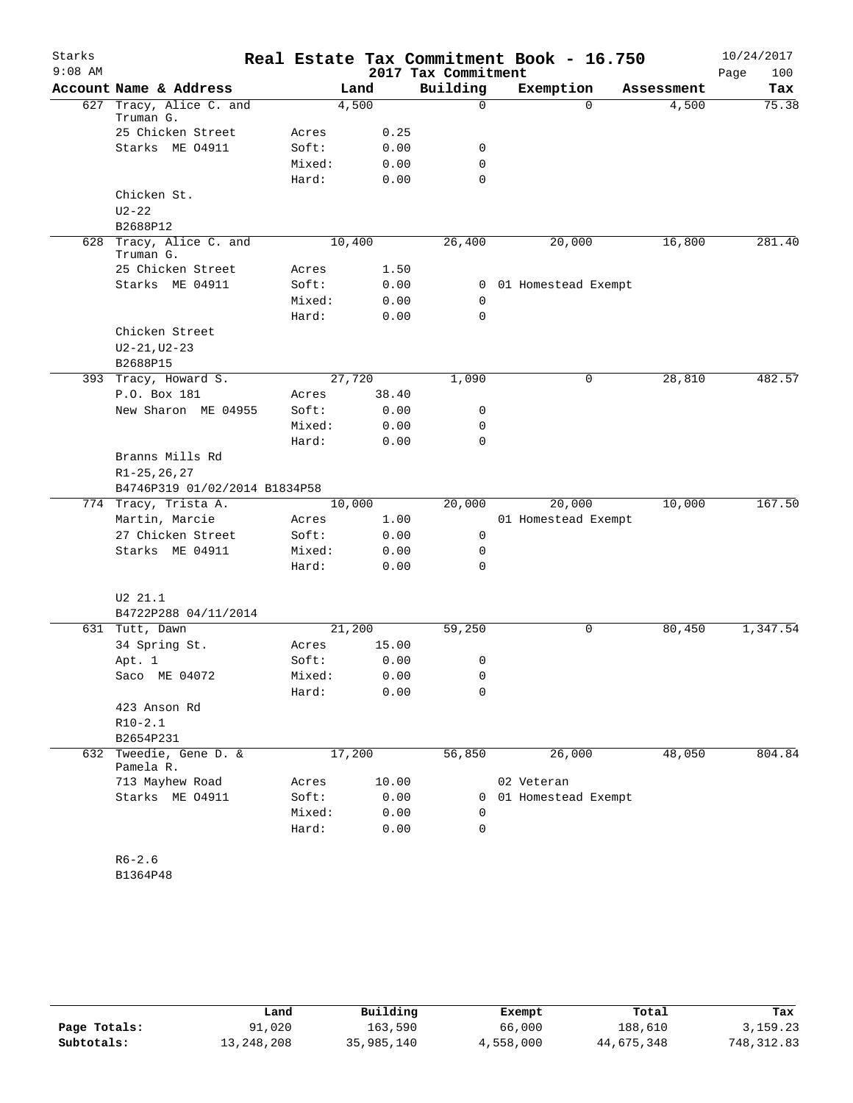| Starks<br>$9:08$ AM |                                                       |        |        | 2017 Tax Commitment | Real Estate Tax Commitment Book - 16.750 |            | 10/24/2017<br>100<br>Page |
|---------------------|-------------------------------------------------------|--------|--------|---------------------|------------------------------------------|------------|---------------------------|
|                     | Account Name & Address                                |        | Land   | Building            | Exemption                                | Assessment | Tax                       |
| 627                 | Tracy, Alice C. and<br>Truman G.                      |        | 4,500  | $\mathbf 0$         | $\Omega$                                 | 4,500      | 75.38                     |
|                     | 25 Chicken Street                                     | Acres  | 0.25   |                     |                                          |            |                           |
|                     | Starks ME 04911                                       | Soft:  | 0.00   | 0                   |                                          |            |                           |
|                     |                                                       | Mixed: | 0.00   | 0                   |                                          |            |                           |
|                     |                                                       | Hard:  | 0.00   | $\Omega$            |                                          |            |                           |
|                     | Chicken St.                                           |        |        |                     |                                          |            |                           |
|                     | $U2 - 22$                                             |        |        |                     |                                          |            |                           |
|                     | B2688P12                                              |        |        |                     |                                          |            |                           |
|                     | 628 Tracy, Alice C. and<br>Truman G.                  |        | 10,400 | 26,400              | 20,000                                   | 16,800     | 281.40                    |
|                     | 25 Chicken Street                                     | Acres  | 1.50   |                     |                                          |            |                           |
|                     | Starks ME 04911                                       | Soft:  | 0.00   |                     | 0 01 Homestead Exempt                    |            |                           |
|                     |                                                       | Mixed: | 0.00   | 0                   |                                          |            |                           |
|                     |                                                       | Hard:  | 0.00   | $\mathbf 0$         |                                          |            |                           |
|                     | Chicken Street                                        |        |        |                     |                                          |            |                           |
|                     | $U2 - 21, U2 - 23$                                    |        |        |                     |                                          |            |                           |
|                     | B2688P15                                              |        |        |                     |                                          |            |                           |
|                     | 393 Tracy, Howard S.                                  |        | 27,720 | 1,090               | 0                                        | 28,810     | 482.57                    |
|                     | P.O. Box 181                                          | Acres  | 38.40  |                     |                                          |            |                           |
|                     | New Sharon ME 04955                                   | Soft:  | 0.00   | 0                   |                                          |            |                           |
|                     |                                                       | Mixed: | 0.00   | 0                   |                                          |            |                           |
|                     |                                                       | Hard:  | 0.00   | $\Omega$            |                                          |            |                           |
|                     | Branns Mills Rd                                       |        |        |                     |                                          |            |                           |
|                     | $R1 - 25, 26, 27$                                     |        |        |                     |                                          |            |                           |
|                     | B4746P319 01/02/2014 B1834P58<br>774 Tracy, Trista A. |        | 10,000 | 20,000              | 20,000                                   | 10,000     | 167.50                    |
|                     | Martin, Marcie                                        | Acres  | 1.00   |                     | 01 Homestead Exempt                      |            |                           |
|                     | 27 Chicken Street                                     | Soft:  | 0.00   | 0                   |                                          |            |                           |
|                     | Starks ME 04911                                       | Mixed: | 0.00   | 0                   |                                          |            |                           |
|                     |                                                       | Hard:  | 0.00   | 0                   |                                          |            |                           |
|                     |                                                       |        |        |                     |                                          |            |                           |
|                     | U2 21.1                                               |        |        |                     |                                          |            |                           |
|                     | B4722P288 04/11/2014                                  |        |        |                     |                                          |            |                           |
|                     | 631 Tutt, Dawn                                        |        | 21,200 | 59,250              | 0                                        | 80,450     | 1,347.54                  |
|                     | 34 Spring St.                                         | Acres  | 15.00  |                     |                                          |            |                           |
|                     | Apt. 1                                                | Soft:  | 0.00   | 0                   |                                          |            |                           |
|                     | Saco ME 04072                                         | Mixed: | 0.00   | 0                   |                                          |            |                           |
|                     |                                                       | Hard:  | 0.00   | 0                   |                                          |            |                           |
|                     | 423 Anson Rd                                          |        |        |                     |                                          |            |                           |
|                     | $R10 - 2.1$                                           |        |        |                     |                                          |            |                           |
|                     | B2654P231                                             |        |        |                     |                                          |            |                           |
|                     | 632 Tweedie, Gene D. &<br>Pamela R.                   |        | 17,200 | 56,850              | 26,000                                   | 48,050     | 804.84                    |
|                     | 713 Mayhew Road                                       | Acres  | 10.00  |                     | 02 Veteran                               |            |                           |
|                     | Starks ME 04911                                       | Soft:  | 0.00   | 0                   | 01 Homestead Exempt                      |            |                           |
|                     |                                                       | Mixed: | 0.00   | 0                   |                                          |            |                           |
|                     |                                                       | Hard:  | 0.00   | 0                   |                                          |            |                           |
|                     |                                                       |        |        |                     |                                          |            |                           |
|                     | $R6 - 2.6$                                            |        |        |                     |                                          |            |                           |
|                     | B1364P48                                              |        |        |                     |                                          |            |                           |

|              | Land         | Building   | Exempt    | Total      | Tax        |
|--------------|--------------|------------|-----------|------------|------------|
| Page Totals: | 91,020       | 163,590    | 66,000    | 188,610    | 3,159.23   |
| Subtotals:   | 13, 248, 208 | 35,985,140 | 4,558,000 | 44,675,348 | 748,312.83 |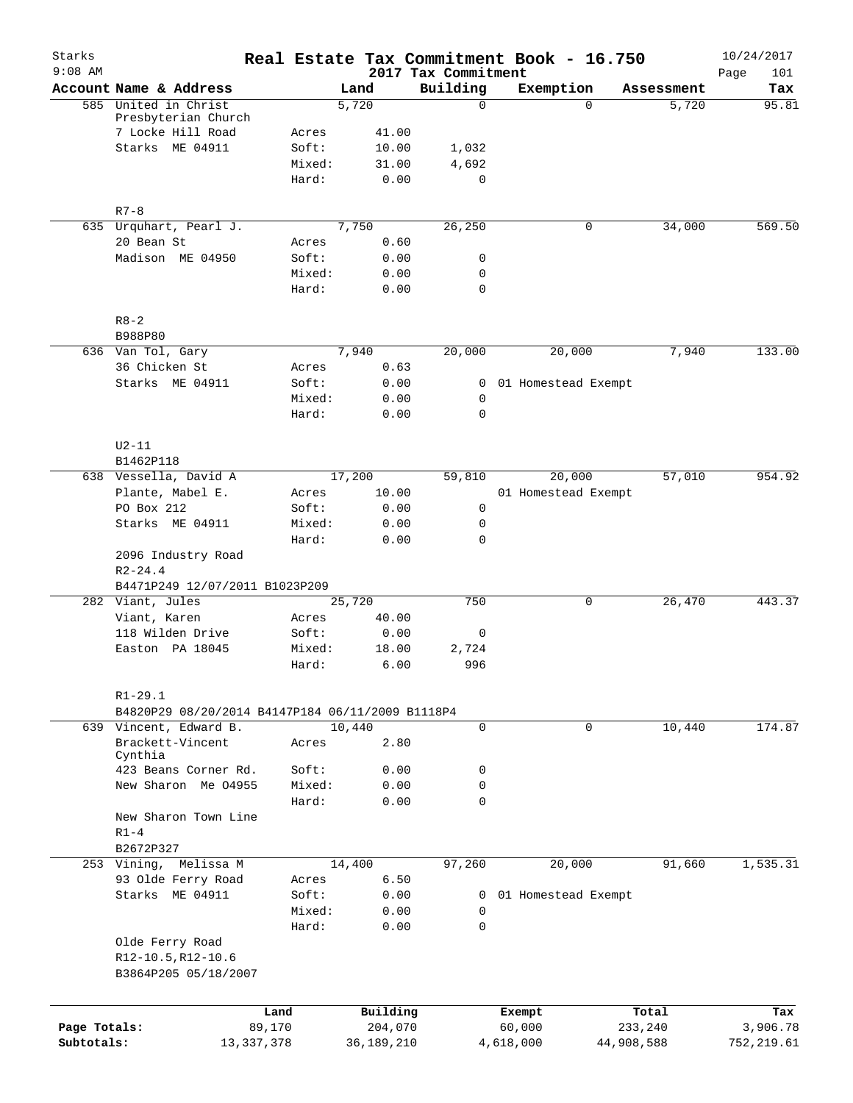| Starks<br>$9:08$ AM |                                                  |                |                 |                     | 2017 Tax Commitment      | Real Estate Tax Commitment Book - 16.750 |            |                  | 10/24/2017<br>101<br>Page |
|---------------------|--------------------------------------------------|----------------|-----------------|---------------------|--------------------------|------------------------------------------|------------|------------------|---------------------------|
|                     | Account Name & Address                           |                |                 | Land                | Building                 | Exemption                                |            | Assessment       | Tax                       |
|                     | 585 United in Christ                             |                |                 | 5,720               | $\Omega$                 |                                          | $\Omega$   | 5,720            | 95.81                     |
|                     | Presbyterian Church                              |                |                 |                     |                          |                                          |            |                  |                           |
|                     | 7 Locke Hill Road                                |                | Acres           | 41.00               |                          |                                          |            |                  |                           |
|                     | Starks ME 04911                                  |                | Soft:           | 10.00               | 1,032                    |                                          |            |                  |                           |
|                     |                                                  |                | Mixed:          | 31.00               | 4,692                    |                                          |            |                  |                           |
|                     |                                                  |                | Hard:           | 0.00                | $\mathbf 0$              |                                          |            |                  |                           |
|                     | $R7 - 8$                                         |                |                 |                     |                          |                                          |            |                  |                           |
|                     | 635 Urquhart, Pearl J.                           |                |                 | 7,750               | 26,250                   |                                          | 0          | 34,000           | 569.50                    |
|                     | 20 Bean St                                       |                | Acres           | 0.60                |                          |                                          |            |                  |                           |
|                     | Madison ME 04950                                 |                | Soft:           | 0.00                | 0                        |                                          |            |                  |                           |
|                     |                                                  |                | Mixed:          | 0.00                | 0                        |                                          |            |                  |                           |
|                     |                                                  |                | Hard:           | 0.00                | $\Omega$                 |                                          |            |                  |                           |
|                     |                                                  |                |                 |                     |                          |                                          |            |                  |                           |
|                     | $R8 - 2$                                         |                |                 |                     |                          |                                          |            |                  |                           |
|                     | B988P80                                          |                |                 |                     |                          |                                          |            |                  |                           |
|                     | 636 Van Tol, Gary                                |                |                 | 7,940               | 20,000                   | 20,000                                   |            | 7,940            | 133.00                    |
|                     | 36 Chicken St                                    |                | Acres           | 0.63                |                          |                                          |            |                  |                           |
|                     | Starks ME 04911                                  |                | Soft:           | 0.00                |                          | 0 01 Homestead Exempt                    |            |                  |                           |
|                     |                                                  |                | Mixed:          | 0.00                | 0                        |                                          |            |                  |                           |
|                     |                                                  |                | Hard:           | 0.00                | $\mathbf 0$              |                                          |            |                  |                           |
|                     |                                                  |                |                 |                     |                          |                                          |            |                  |                           |
|                     | $U2-11$<br>B1462P118                             |                |                 |                     |                          |                                          |            |                  |                           |
|                     | 638 Vessella, David A                            |                |                 | 17,200              | 59,810                   | 20,000                                   |            | 57,010           | 954.92                    |
|                     |                                                  |                |                 |                     |                          |                                          |            |                  |                           |
|                     | Plante, Mabel E.                                 |                | Acres           | 10.00               |                          | 01 Homestead Exempt                      |            |                  |                           |
|                     | PO Box 212                                       |                | Soft:           | 0.00                | $\mathsf{O}$             |                                          |            |                  |                           |
|                     | Starks ME 04911                                  |                | Mixed:<br>Hard: | 0.00<br>0.00        | $\mathsf{O}$<br>$\Omega$ |                                          |            |                  |                           |
|                     | 2096 Industry Road                               |                |                 |                     |                          |                                          |            |                  |                           |
|                     | $R2 - 24.4$                                      |                |                 |                     |                          |                                          |            |                  |                           |
|                     | B4471P249 12/07/2011 B1023P209                   |                |                 |                     |                          |                                          |            |                  |                           |
|                     | 282 Viant, Jules                                 |                |                 | 25,720              | 750                      |                                          | 0          | 26,470           | 443.37                    |
|                     | Viant, Karen                                     |                | Acres           | 40.00               |                          |                                          |            |                  |                           |
|                     | 118 Wilden Drive                                 |                | Soft:           | 0.00                | 0                        |                                          |            |                  |                           |
|                     | Easton PA 18045                                  |                | Mixed:          | 18.00               | 2,724                    |                                          |            |                  |                           |
|                     |                                                  |                | Hard:           | 6.00                | 996                      |                                          |            |                  |                           |
|                     |                                                  |                |                 |                     |                          |                                          |            |                  |                           |
|                     | $R1 - 29.1$                                      |                |                 |                     |                          |                                          |            |                  |                           |
|                     | B4820P29 08/20/2014 B4147P184 06/11/2009 B1118P4 |                |                 |                     |                          |                                          |            |                  |                           |
|                     | 639 Vincent, Edward B.                           |                |                 | 10,440              | 0                        |                                          | 0          | 10,440           | 174.87                    |
|                     | Brackett-Vincent                                 |                | Acres           | 2.80                |                          |                                          |            |                  |                           |
|                     | Cynthia                                          |                |                 |                     |                          |                                          |            |                  |                           |
|                     | 423 Beans Corner Rd.                             |                | Soft:           | 0.00                | 0                        |                                          |            |                  |                           |
|                     | New Sharon Me 04955                              |                | Mixed:          | 0.00                | 0                        |                                          |            |                  |                           |
|                     |                                                  |                | Hard:           | 0.00                | 0                        |                                          |            |                  |                           |
|                     | New Sharon Town Line                             |                |                 |                     |                          |                                          |            |                  |                           |
|                     | $R1-4$                                           |                |                 |                     |                          |                                          |            |                  |                           |
|                     | B2672P327                                        |                |                 |                     |                          |                                          |            |                  |                           |
|                     | 253 Vining,<br>Melissa M                         |                |                 | 14,400              | 97,260                   | 20,000                                   |            | 91,660           | 1,535.31                  |
|                     | 93 Olde Ferry Road                               |                | Acres           | 6.50                |                          |                                          |            |                  |                           |
|                     | Starks ME 04911                                  |                | Soft:           | 0.00                | 0                        | 01 Homestead Exempt                      |            |                  |                           |
|                     |                                                  |                | Mixed:          | 0.00                | 0                        |                                          |            |                  |                           |
|                     |                                                  |                | Hard:           | 0.00                | 0                        |                                          |            |                  |                           |
|                     | Olde Ferry Road                                  |                |                 |                     |                          |                                          |            |                  |                           |
|                     | R12-10.5, R12-10.6                               |                |                 |                     |                          |                                          |            |                  |                           |
|                     | B3864P205 05/18/2007                             |                |                 |                     |                          |                                          |            |                  |                           |
|                     |                                                  |                |                 |                     |                          |                                          |            |                  |                           |
| Page Totals:        |                                                  | Land<br>89,170 |                 | Building<br>204,070 |                          | Exempt<br>60,000                         |            | Total<br>233,240 | Tax<br>3,906.78           |
| Subtotals:          |                                                  | 13,337,378     |                 | 36, 189, 210        |                          | 4,618,000                                | 44,908,588 |                  | 752,219.61                |
|                     |                                                  |                |                 |                     |                          |                                          |            |                  |                           |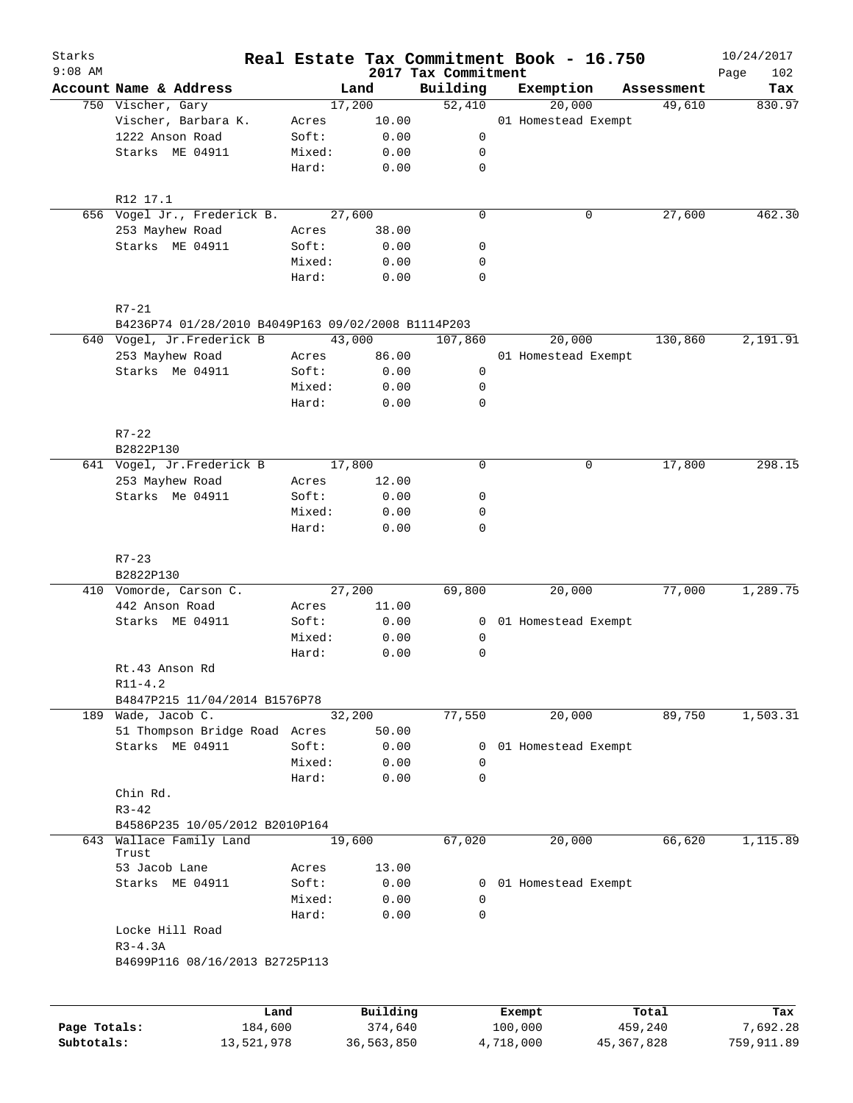| Starks       |                                                    |        |          |                                 | Real Estate Tax Commitment Book - 16.750 |            | 10/24/2017         |
|--------------|----------------------------------------------------|--------|----------|---------------------------------|------------------------------------------|------------|--------------------|
| $9:08$ AM    | Account Name & Address                             |        | Land     | 2017 Tax Commitment<br>Building | Exemption                                | Assessment | Page<br>102<br>Tax |
|              | 750 Vischer, Gary                                  | 17,200 |          | 52,410                          | 20,000                                   | 49,610     | 830.97             |
|              | Vischer, Barbara K.                                | Acres  | 10.00    |                                 | 01 Homestead Exempt                      |            |                    |
|              | 1222 Anson Road                                    | Soft:  | 0.00     | 0                               |                                          |            |                    |
|              | Starks ME 04911                                    | Mixed: | 0.00     | 0                               |                                          |            |                    |
|              |                                                    | Hard:  | 0.00     | 0                               |                                          |            |                    |
|              | R12 17.1                                           |        |          |                                 |                                          |            |                    |
|              | 656 Vogel Jr., Frederick B.                        | 27,600 |          | $\mathbf 0$                     | 0                                        | 27,600     | 462.30             |
|              | 253 Mayhew Road                                    | Acres  | 38.00    |                                 |                                          |            |                    |
|              | Starks ME 04911                                    | Soft:  | 0.00     | 0                               |                                          |            |                    |
|              |                                                    | Mixed: | 0.00     | 0                               |                                          |            |                    |
|              |                                                    | Hard:  | 0.00     | $\mathbf 0$                     |                                          |            |                    |
|              | $R7 - 21$                                          |        |          |                                 |                                          |            |                    |
|              | B4236P74 01/28/2010 B4049P163 09/02/2008 B1114P203 |        |          |                                 |                                          |            |                    |
|              | 640 Vogel, Jr.Frederick B                          | 43,000 |          | 107,860                         | 20,000                                   | 130,860    | 2,191.91           |
|              | 253 Mayhew Road                                    | Acres  | 86.00    |                                 | 01 Homestead Exempt                      |            |                    |
|              | Starks Me 04911                                    | Soft:  | 0.00     | 0                               |                                          |            |                    |
|              |                                                    | Mixed: | 0.00     | 0                               |                                          |            |                    |
|              |                                                    | Hard:  | 0.00     | 0                               |                                          |            |                    |
|              |                                                    |        |          |                                 |                                          |            |                    |
|              | $R7 - 22$                                          |        |          |                                 |                                          |            |                    |
|              | B2822P130                                          |        |          |                                 |                                          |            |                    |
|              | 641 Vogel, Jr.Frederick B                          | 17,800 |          | $\mathbf 0$                     | 0                                        | 17,800     | 298.15             |
|              | 253 Mayhew Road                                    | Acres  | 12.00    |                                 |                                          |            |                    |
|              | Starks Me 04911                                    | Soft:  | 0.00     | 0                               |                                          |            |                    |
|              |                                                    | Mixed: | 0.00     | 0                               |                                          |            |                    |
|              |                                                    | Hard:  | 0.00     | $\mathbf 0$                     |                                          |            |                    |
|              | $R7 - 23$                                          |        |          |                                 |                                          |            |                    |
|              | B2822P130                                          |        |          |                                 |                                          |            |                    |
|              | 410 Vomorde, Carson C.                             | 27,200 |          | 69,800                          | 20,000                                   | 77,000     | 1,289.75           |
|              | 442 Anson Road                                     | Acres  | 11.00    |                                 |                                          |            |                    |
|              | Starks ME 04911                                    | Soft:  | 0.00     |                                 | 0 01 Homestead Exempt                    |            |                    |
|              |                                                    | Mixed: | 0.00     | 0                               |                                          |            |                    |
|              |                                                    | Hard:  | 0.00     | 0                               |                                          |            |                    |
|              | Rt.43 Anson Rd                                     |        |          |                                 |                                          |            |                    |
|              | $R11 - 4.2$                                        |        |          |                                 |                                          |            |                    |
|              | B4847P215 11/04/2014 B1576P78                      |        |          |                                 |                                          |            |                    |
| 189          | Wade, Jacob C.                                     | 32,200 |          | 77,550                          | 20,000                                   | 89,750     | 1,503.31           |
|              | 51 Thompson Bridge Road Acres                      |        | 50.00    |                                 |                                          |            |                    |
|              | Starks ME 04911                                    | Soft:  | 0.00     | 0                               | 01 Homestead Exempt                      |            |                    |
|              |                                                    | Mixed: | 0.00     | 0                               |                                          |            |                    |
|              |                                                    | Hard:  | 0.00     | 0                               |                                          |            |                    |
|              | Chin Rd.                                           |        |          |                                 |                                          |            |                    |
|              | $R3 - 42$                                          |        |          |                                 |                                          |            |                    |
|              | B4586P235 10/05/2012 B2010P164                     |        |          |                                 |                                          |            |                    |
| 643          | Wallace Family Land<br>Trust                       | 19,600 |          | 67,020                          | 20,000                                   | 66,620     | 1,115.89           |
|              | 53 Jacob Lane                                      | Acres  | 13.00    |                                 |                                          |            |                    |
|              | Starks ME 04911                                    | Soft:  | 0.00     | 0                               | 01 Homestead Exempt                      |            |                    |
|              |                                                    | Mixed: | 0.00     | 0                               |                                          |            |                    |
|              |                                                    | Hard:  | 0.00     | $\mathbf 0$                     |                                          |            |                    |
|              | Locke Hill Road                                    |        |          |                                 |                                          |            |                    |
|              | $R3 - 4.3A$                                        |        |          |                                 |                                          |            |                    |
|              | B4699P116 08/16/2013 B2725P113                     |        |          |                                 |                                          |            |                    |
|              |                                                    |        |          |                                 |                                          |            |                    |
|              | Land                                               |        | Building |                                 | Exempt                                   | Total      | Tax                |
| Page Totals: | 184,600                                            |        | 374,640  |                                 | 100,000                                  | 459,240    | 7,692.28           |

**Subtotals:** 13,521,978 36,563,850 4,718,000 45,367,828 759,911.89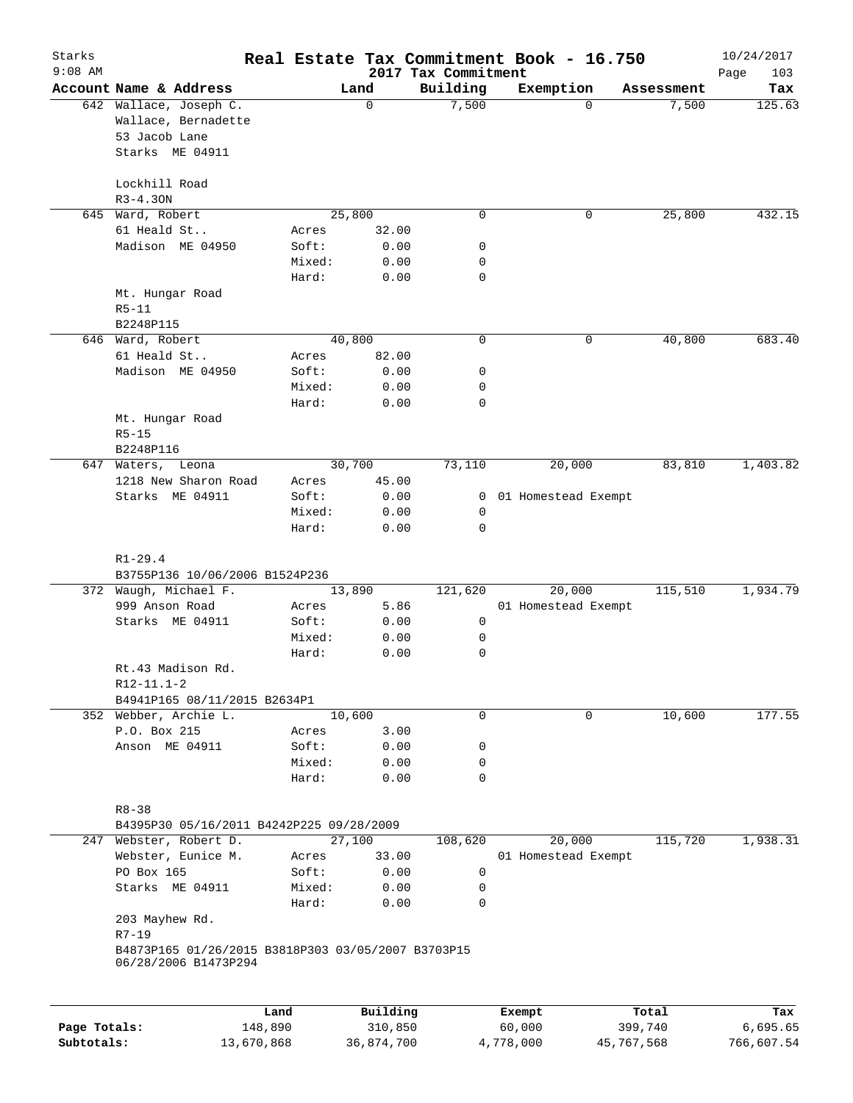| Starks<br>$9:08$ AM        |                                                                                   |                       |        |                       | 2017 Tax Commitment | Real Estate Tax Commitment Book - 16.750 |             |                       | 10/24/2017<br>103<br>Page |
|----------------------------|-----------------------------------------------------------------------------------|-----------------------|--------|-----------------------|---------------------|------------------------------------------|-------------|-----------------------|---------------------------|
|                            | Account Name & Address                                                            |                       |        | Land                  | Building            | Exemption                                |             | Assessment            | Tax                       |
|                            | 642 Wallace, Joseph C.<br>Wallace, Bernadette<br>53 Jacob Lane<br>Starks ME 04911 |                       |        | $\Omega$              | 7,500               |                                          | $\Omega$    | 7,500                 | 125.63                    |
|                            | Lockhill Road<br>$R3 - 4.30N$                                                     |                       |        |                       |                     |                                          |             |                       |                           |
|                            | 645 Ward, Robert                                                                  |                       |        | 25,800                | 0                   |                                          | 0           | 25,800                | 432.15                    |
|                            | 61 Heald St                                                                       |                       | Acres  | 32.00                 |                     |                                          |             |                       |                           |
|                            | Madison ME 04950                                                                  |                       | Soft:  | 0.00                  | 0                   |                                          |             |                       |                           |
|                            |                                                                                   |                       | Mixed: | 0.00                  | 0                   |                                          |             |                       |                           |
|                            |                                                                                   |                       | Hard:  | 0.00                  | 0                   |                                          |             |                       |                           |
|                            | Mt. Hungar Road<br>$R5 - 11$                                                      |                       |        |                       |                     |                                          |             |                       |                           |
|                            | B2248P115                                                                         |                       |        |                       |                     |                                          |             |                       |                           |
|                            | 646 Ward, Robert                                                                  |                       |        | 40,800                | 0                   |                                          | 0           | 40,800                | 683.40                    |
|                            | 61 Heald St                                                                       |                       | Acres  | 82.00                 |                     |                                          |             |                       |                           |
|                            | Madison ME 04950                                                                  |                       | Soft:  | 0.00                  | 0                   |                                          |             |                       |                           |
|                            |                                                                                   |                       | Mixed: | 0.00                  | 0                   |                                          |             |                       |                           |
|                            |                                                                                   |                       | Hard:  | 0.00                  | 0                   |                                          |             |                       |                           |
|                            | Mt. Hungar Road<br>$R5 - 15$                                                      |                       |        |                       |                     |                                          |             |                       |                           |
|                            | B2248P116                                                                         |                       |        |                       |                     |                                          |             |                       |                           |
|                            | 647 Waters, Leona                                                                 |                       |        | 30,700                | 73,110              | 20,000                                   |             | 83,810                | 1,403.82                  |
|                            | 1218 New Sharon Road                                                              |                       | Acres  | 45.00                 |                     |                                          |             |                       |                           |
|                            | Starks ME 04911                                                                   |                       | Soft:  | 0.00                  | $\overline{0}$      | 01 Homestead Exempt                      |             |                       |                           |
|                            |                                                                                   |                       | Mixed: | 0.00                  | $\mathbf 0$         |                                          |             |                       |                           |
|                            |                                                                                   |                       | Hard:  | 0.00                  | $\Omega$            |                                          |             |                       |                           |
|                            | $R1 - 29.4$                                                                       |                       |        |                       |                     |                                          |             |                       |                           |
|                            | B3755P136 10/06/2006 B1524P236<br>372 Waugh, Michael F.                           |                       |        | 13,890                | 121,620             | 20,000                                   |             | 115,510               | 1,934.79                  |
|                            | 999 Anson Road                                                                    |                       | Acres  | 5.86                  |                     | 01 Homestead Exempt                      |             |                       |                           |
|                            | Starks ME 04911                                                                   |                       | Soft:  | 0.00                  | $\mathbf 0$         |                                          |             |                       |                           |
|                            |                                                                                   |                       | Mixed: | 0.00                  | 0                   |                                          |             |                       |                           |
|                            |                                                                                   |                       | Hard:  | 0.00                  | 0                   |                                          |             |                       |                           |
|                            | Rt.43 Madison Rd.<br>$R12-11.1-2$                                                 |                       |        |                       |                     |                                          |             |                       |                           |
|                            | B4941P165 08/11/2015 B2634P1                                                      |                       |        |                       |                     |                                          |             |                       | 177.55                    |
|                            | 352 Webber, Archie L.<br>P.O. Box 215                                             |                       | Acres  | 10,600<br>3.00        | 0                   |                                          | $\mathbf 0$ | 10,600                |                           |
|                            | Anson ME 04911                                                                    |                       | Soft:  | 0.00                  | 0                   |                                          |             |                       |                           |
|                            |                                                                                   |                       | Mixed: | 0.00                  | 0                   |                                          |             |                       |                           |
|                            |                                                                                   |                       | Hard:  | 0.00                  | 0                   |                                          |             |                       |                           |
|                            | $R8 - 38$                                                                         |                       |        |                       |                     |                                          |             |                       |                           |
|                            | B4395P30 05/16/2011 B4242P225 09/28/2009                                          |                       |        |                       |                     |                                          |             |                       |                           |
| 247                        | Webster, Robert D.                                                                |                       |        | 27,100                | 108,620             | 20,000                                   |             | 115,720               | 1,938.31                  |
|                            | Webster, Eunice M.                                                                |                       | Acres  | 33.00                 |                     | 01 Homestead Exempt                      |             |                       |                           |
|                            | PO Box 165                                                                        |                       | Soft:  | 0.00                  | 0                   |                                          |             |                       |                           |
|                            | Starks ME 04911                                                                   |                       | Mixed: | 0.00                  | 0                   |                                          |             |                       |                           |
|                            |                                                                                   |                       | Hard:  | 0.00                  | 0                   |                                          |             |                       |                           |
|                            | 203 Mayhew Rd.<br>$R7 - 19$                                                       |                       |        |                       |                     |                                          |             |                       |                           |
|                            | B4873P165 01/26/2015 B3818P303 03/05/2007 B3703P15<br>06/28/2006 B1473P294        |                       |        |                       |                     |                                          |             |                       |                           |
|                            |                                                                                   |                       |        |                       |                     |                                          |             |                       |                           |
|                            |                                                                                   | Land                  |        | Building              |                     | Exempt                                   |             | Total                 | Tax                       |
| Page Totals:<br>Subtotals: |                                                                                   | 148,890<br>13,670,868 |        | 310,850<br>36,874,700 |                     | 60,000<br>4,778,000                      |             | 399,740<br>45,767,568 | 6,695.65<br>766,607.54    |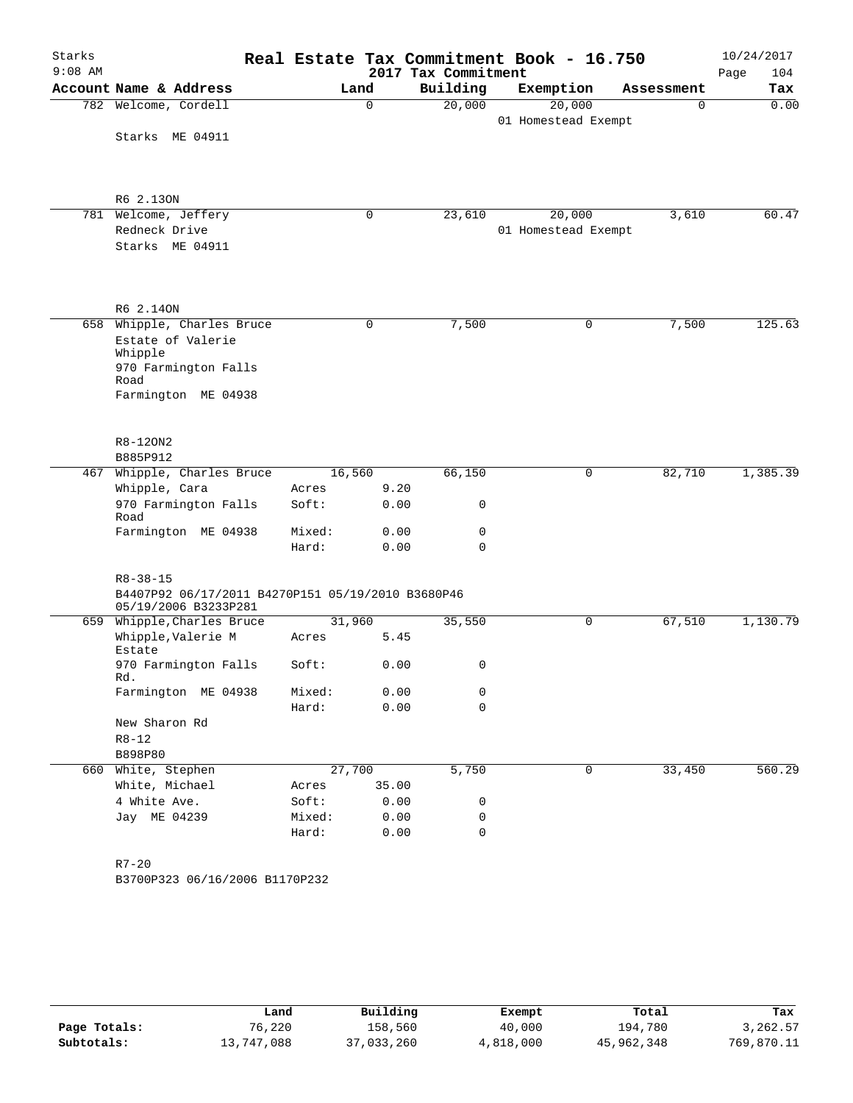| Starks<br>$9:08$ AM |                                                                           |        |             | 2017 Tax Commitment | Real Estate Tax Commitment Book - 16.750 |                      | 10/24/2017<br>104<br>Page |
|---------------------|---------------------------------------------------------------------------|--------|-------------|---------------------|------------------------------------------|----------------------|---------------------------|
|                     | Account Name & Address                                                    |        | Land        | Building            | Exemption                                | Assessment           | Tax                       |
|                     | 782 Welcome, Cordell                                                      |        | $\mathbf 0$ | 20,000              | 20,000                                   |                      | 0.00<br>$\Omega$          |
|                     |                                                                           |        |             |                     | 01 Homestead Exempt                      |                      |                           |
|                     | Starks ME 04911                                                           |        |             |                     |                                          |                      |                           |
|                     |                                                                           |        |             |                     |                                          |                      |                           |
|                     | R6 2.130N                                                                 |        |             |                     |                                          |                      |                           |
|                     | 781 Welcome, Jeffery                                                      |        | 0           | 23,610              | 20,000                                   | 3,610                | 60.47                     |
|                     | Redneck Drive                                                             |        |             |                     | 01 Homestead Exempt                      |                      |                           |
|                     | Starks ME 04911                                                           |        |             |                     |                                          |                      |                           |
|                     | R6 2.140N                                                                 |        |             |                     |                                          |                      |                           |
|                     | 658 Whipple, Charles Bruce                                                |        | 0           | 7,500               |                                          | 7,500<br>$\mathbf 0$ | 125.63                    |
|                     | Estate of Valerie                                                         |        |             |                     |                                          |                      |                           |
|                     | Whipple                                                                   |        |             |                     |                                          |                      |                           |
|                     | 970 Farmington Falls<br>Road                                              |        |             |                     |                                          |                      |                           |
|                     | Farmington ME 04938                                                       |        |             |                     |                                          |                      |                           |
|                     |                                                                           |        |             |                     |                                          |                      |                           |
|                     | R8-120N2                                                                  |        |             |                     |                                          |                      |                           |
|                     | B885P912                                                                  |        |             |                     |                                          |                      |                           |
|                     | 467 Whipple, Charles Bruce                                                | 16,560 |             | 66,150              |                                          | 82,710<br>0          | 1,385.39                  |
|                     | Whipple, Cara                                                             | Acres  | 9.20        |                     |                                          |                      |                           |
|                     | 970 Farmington Falls<br>Road                                              | Soft:  | 0.00        | 0                   |                                          |                      |                           |
|                     | Farmington ME 04938                                                       | Mixed: | 0.00        | 0                   |                                          |                      |                           |
|                     |                                                                           | Hard:  | 0.00        | $\mathbf 0$         |                                          |                      |                           |
|                     |                                                                           |        |             |                     |                                          |                      |                           |
|                     | $R8 - 38 - 15$                                                            |        |             |                     |                                          |                      |                           |
|                     | B4407P92 06/17/2011 B4270P151 05/19/2010 B3680P46<br>05/19/2006 B3233P281 |        |             |                     |                                          |                      |                           |
|                     | 659 Whipple, Charles Bruce                                                | 31,960 |             | 35,550              |                                          | 67,510<br>0          | 1,130.79                  |
|                     | Whipple, Valerie M<br>Estate                                              | Acres  | 5.45        |                     |                                          |                      |                           |
|                     | 970 Farmington Falls<br>Rd.                                               | Soft:  | 0.00        | 0                   |                                          |                      |                           |
|                     | Farmington ME 04938                                                       | Mixed: | 0.00        | 0                   |                                          |                      |                           |
|                     |                                                                           | Hard:  | 0.00        | $\mathbf 0$         |                                          |                      |                           |
|                     | New Sharon Rd                                                             |        |             |                     |                                          |                      |                           |
|                     | $R8 - 12$                                                                 |        |             |                     |                                          |                      |                           |
|                     | B898P80                                                                   |        |             |                     |                                          |                      |                           |
| 660                 | White, Stephen                                                            | 27,700 |             | 5,750               |                                          | 33,450<br>0          | 560.29                    |
|                     | White, Michael                                                            | Acres  | 35.00       |                     |                                          |                      |                           |
|                     | 4 White Ave.                                                              | Soft:  | 0.00        | 0                   |                                          |                      |                           |
|                     | Jay ME 04239                                                              | Mixed: | 0.00        | 0                   |                                          |                      |                           |
|                     |                                                                           | Hard:  | 0.00        | $\mathbf 0$         |                                          |                      |                           |
|                     |                                                                           |        |             |                     |                                          |                      |                           |
|                     | $R7 - 20$                                                                 |        |             |                     |                                          |                      |                           |
|                     | B3700P323 06/16/2006 B1170P232                                            |        |             |                     |                                          |                      |                           |
|                     |                                                                           |        |             |                     |                                          |                      |                           |

|              | Land       | Building   | Exempt    | Total      | Tax        |
|--------------|------------|------------|-----------|------------|------------|
| Page Totals: | 76,220     | 158,560    | 40,000    | 194,780    | 3,262.57   |
| Subtotals:   | 13,747,088 | 37,033,260 | 4,818,000 | 45,962,348 | 769,870.11 |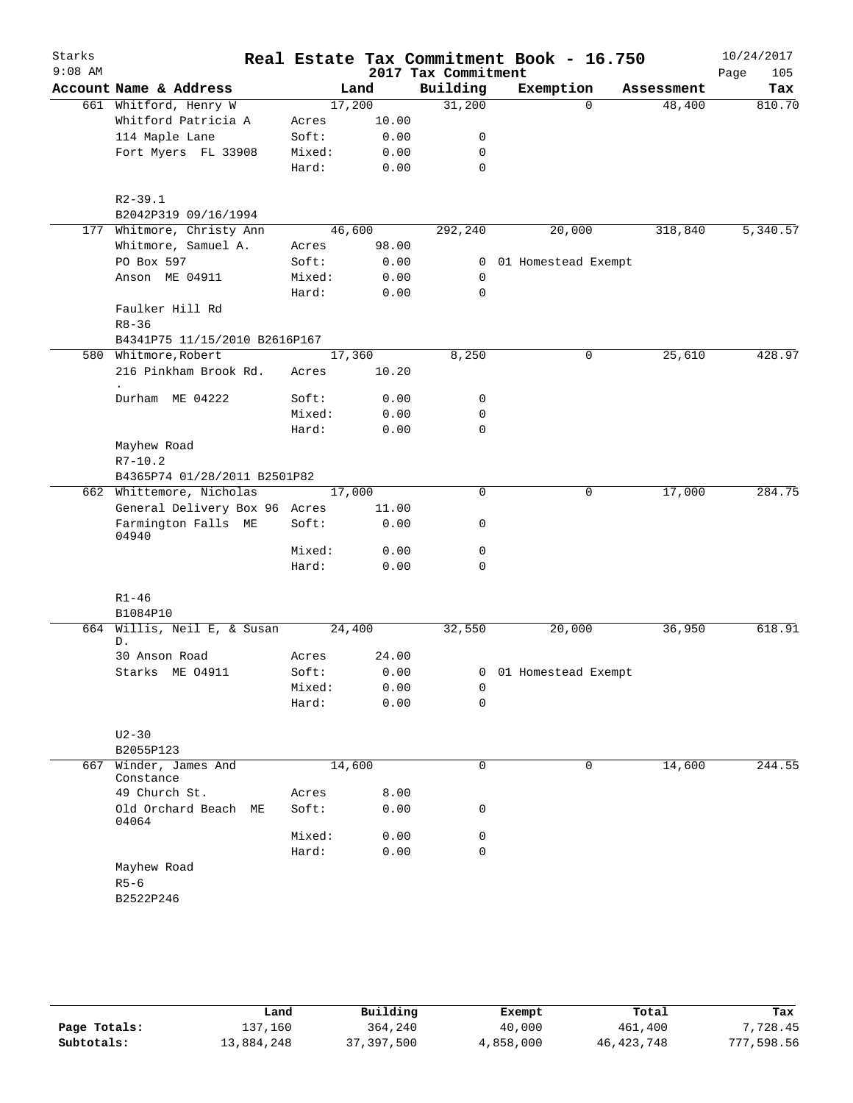| Starks<br>$9:08$ AM |                                    |        |       | 2017 Tax Commitment | Real Estate Tax Commitment Book - 16.750 |            | 10/24/2017<br>105 |
|---------------------|------------------------------------|--------|-------|---------------------|------------------------------------------|------------|-------------------|
|                     | Account Name & Address             |        | Land  | Building            | Exemption                                | Assessment | Page<br>Tax       |
|                     | 661 Whitford, Henry W              | 17,200 |       | 31,200              | $\Omega$                                 | 48,400     | 810.70            |
|                     | Whitford Patricia A                | Acres  | 10.00 |                     |                                          |            |                   |
|                     | 114 Maple Lane                     | Soft:  | 0.00  | 0                   |                                          |            |                   |
|                     | Fort Myers FL 33908                | Mixed: | 0.00  | $\mathbf 0$         |                                          |            |                   |
|                     |                                    | Hard:  | 0.00  | $\mathbf 0$         |                                          |            |                   |
|                     | $R2 - 39.1$                        |        |       |                     |                                          |            |                   |
|                     | B2042P319 09/16/1994               |        |       |                     |                                          |            |                   |
|                     | 177 Whitmore, Christy Ann          | 46,600 |       | 292,240             | 20,000                                   | 318,840    | 5,340.57          |
|                     | Whitmore, Samuel A.                | Acres  | 98.00 |                     |                                          |            |                   |
|                     | PO Box 597                         | Soft:  | 0.00  |                     | 0 01 Homestead Exempt                    |            |                   |
|                     | Anson ME 04911                     | Mixed: | 0.00  | 0                   |                                          |            |                   |
|                     |                                    | Hard:  | 0.00  | $\mathbf 0$         |                                          |            |                   |
|                     | Faulker Hill Rd<br>$R8 - 36$       |        |       |                     |                                          |            |                   |
|                     | B4341P75 11/15/2010 B2616P167      |        |       |                     |                                          |            |                   |
|                     | 580 Whitmore, Robert               | 17,360 |       | 8,250               | 0                                        | 25,610     | 428.97            |
|                     | 216 Pinkham Brook Rd.<br>$\bullet$ | Acres  | 10.20 |                     |                                          |            |                   |
|                     | Durham ME 04222                    | Soft:  | 0.00  | 0                   |                                          |            |                   |
|                     |                                    | Mixed: | 0.00  | $\mathbf 0$         |                                          |            |                   |
|                     |                                    | Hard:  | 0.00  | $\mathbf 0$         |                                          |            |                   |
|                     | Mayhew Road                        |        |       |                     |                                          |            |                   |
|                     | $R7 - 10.2$                        |        |       |                     |                                          |            |                   |
|                     | B4365P74 01/28/2011 B2501P82       |        |       |                     |                                          |            |                   |
|                     | 662 Whittemore, Nicholas           | 17,000 |       | $\Omega$            | 0                                        | 17,000     | 284.75            |
|                     | General Delivery Box 96 Acres      |        | 11.00 |                     |                                          |            |                   |
|                     | Farmington Falls ME<br>04940       | Soft:  | 0.00  | 0                   |                                          |            |                   |
|                     |                                    | Mixed: | 0.00  | 0                   |                                          |            |                   |
|                     |                                    | Hard:  | 0.00  | $\mathbf 0$         |                                          |            |                   |
|                     | $R1 - 46$                          |        |       |                     |                                          |            |                   |
|                     | B1084P10                           |        |       |                     |                                          |            |                   |
|                     | 664 Willis, Neil E, & Susan<br>D.  | 24,400 |       | 32,550              | 20,000                                   | 36,950     | 618.91            |
|                     | 30 Anson Road                      | Acres  | 24.00 |                     |                                          |            |                   |
|                     | Starks ME 04911                    | Soft:  | 0.00  |                     | 0 01 Homestead Exempt                    |            |                   |
|                     |                                    | Mixed: | 0.00  | 0                   |                                          |            |                   |
|                     |                                    | Hard:  | 0.00  | $\mathbf 0$         |                                          |            |                   |
|                     | $U2-30$                            |        |       |                     |                                          |            |                   |
|                     | B2055P123                          |        |       |                     |                                          |            |                   |
| 667                 | Winder, James And<br>Constance     | 14,600 |       | $\mathbf 0$         | 0                                        | 14,600     | 244.55            |
|                     | 49 Church St.                      | Acres  | 8.00  |                     |                                          |            |                   |
|                     | Old Orchard Beach ME<br>04064      | Soft:  | 0.00  | 0                   |                                          |            |                   |
|                     |                                    | Mixed: | 0.00  | 0                   |                                          |            |                   |
|                     |                                    | Hard:  | 0.00  | 0                   |                                          |            |                   |
|                     | Mayhew Road<br>$R5 - 6$            |        |       |                     |                                          |            |                   |
|                     | B2522P246                          |        |       |                     |                                          |            |                   |
|                     |                                    |        |       |                     |                                          |            |                   |

|              | Land       | Building   | Exempt    | Total        | Tax            |
|--------------|------------|------------|-----------|--------------|----------------|
| Page Totals: | 137,160    | 364,240    | 40,000    | 461,400      | 7.728.45       |
| Subtotals:   | 13,884,248 | 37,397,500 | 4,858,000 | 46, 423, 748 | ,598.56<br>777 |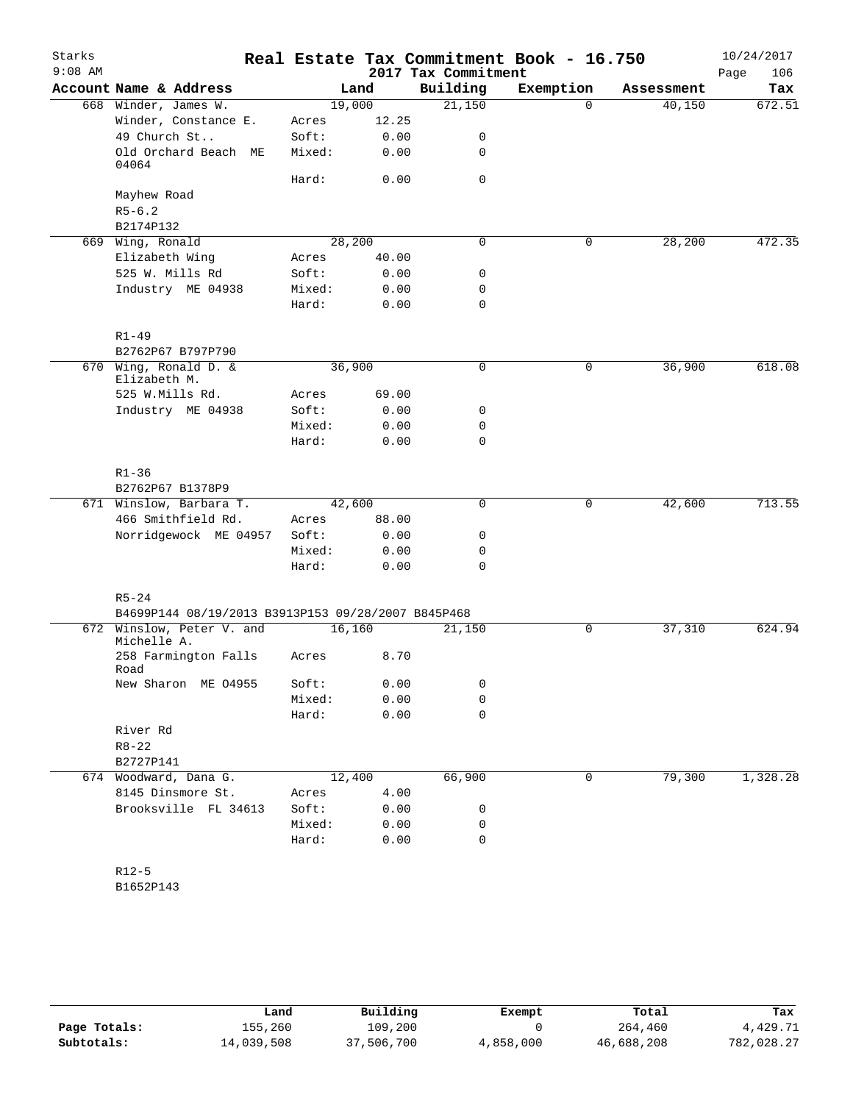| Starks<br>$9:08$ AM |                                                    |        |       | 2017 Tax Commitment | Real Estate Tax Commitment Book - 16.750 |            | 10/24/2017<br>106<br>Page |
|---------------------|----------------------------------------------------|--------|-------|---------------------|------------------------------------------|------------|---------------------------|
|                     | Account Name & Address                             | Land   |       | Building            | Exemption                                | Assessment | Tax                       |
|                     | 668 Winder, James W.                               | 19,000 |       | 21,150              | $\Omega$                                 | 40,150     | 672.51                    |
|                     | Winder, Constance E.                               | Acres  | 12.25 |                     |                                          |            |                           |
|                     | 49 Church St                                       | Soft:  | 0.00  | 0                   |                                          |            |                           |
|                     | Old Orchard Beach ME<br>04064                      | Mixed: | 0.00  | $\mathbf 0$         |                                          |            |                           |
|                     |                                                    | Hard:  | 0.00  | $\mathbf 0$         |                                          |            |                           |
|                     | Mayhew Road                                        |        |       |                     |                                          |            |                           |
|                     | $R5 - 6.2$                                         |        |       |                     |                                          |            |                           |
|                     | B2174P132                                          |        |       |                     |                                          |            |                           |
|                     | 669 Wing, Ronald                                   | 28,200 |       | $\mathbf 0$         | 0                                        | 28,200     | 472.35                    |
|                     | Elizabeth Wing                                     | Acres  | 40.00 |                     |                                          |            |                           |
|                     | 525 W. Mills Rd                                    | Soft:  | 0.00  | 0                   |                                          |            |                           |
|                     | Industry ME 04938                                  | Mixed: | 0.00  | $\mathbf 0$         |                                          |            |                           |
|                     |                                                    | Hard:  | 0.00  | 0                   |                                          |            |                           |
|                     | $R1 - 49$                                          |        |       |                     |                                          |            |                           |
|                     | B2762P67 B797P790                                  |        |       |                     |                                          |            |                           |
|                     | 670 Wing, Ronald D. &<br>Elizabeth M.              | 36,900 |       | 0                   | $\mathsf{O}$                             | 36,900     | 618.08                    |
|                     | 525 W.Mills Rd.                                    | Acres  | 69.00 |                     |                                          |            |                           |
|                     | Industry ME 04938                                  | Soft:  | 0.00  | 0                   |                                          |            |                           |
|                     |                                                    | Mixed: | 0.00  | 0                   |                                          |            |                           |
|                     |                                                    | Hard:  | 0.00  | $\mathbf 0$         |                                          |            |                           |
|                     | $R1 - 36$                                          |        |       |                     |                                          |            |                           |
|                     | B2762P67 B1378P9                                   |        |       |                     |                                          |            |                           |
|                     | 671 Winslow, Barbara T.                            | 42,600 |       | $\mathbf 0$         | 0                                        | 42,600     | 713.55                    |
|                     | 466 Smithfield Rd.                                 | Acres  | 88.00 |                     |                                          |            |                           |
|                     | Norridgewock ME 04957                              | Soft:  | 0.00  | 0                   |                                          |            |                           |
|                     |                                                    | Mixed: | 0.00  | 0                   |                                          |            |                           |
|                     |                                                    | Hard:  | 0.00  | $\mathbf 0$         |                                          |            |                           |
|                     | $R5 - 24$                                          |        |       |                     |                                          |            |                           |
|                     | B4699P144 08/19/2013 B3913P153 09/28/2007 B845P468 |        |       |                     |                                          |            |                           |
|                     | 672 Winslow, Peter V. and<br>Michelle A.           | 16,160 |       | 21,150              | 0                                        | 37,310     | 624.94                    |
|                     | 258 Farmington Falls<br>Road                       | Acres  | 8.70  |                     |                                          |            |                           |
|                     | New Sharon ME 04955                                | Soft:  | 0.00  | 0                   |                                          |            |                           |
|                     |                                                    | Mixed: | 0.00  | 0                   |                                          |            |                           |
|                     |                                                    | Hard:  | 0.00  | 0                   |                                          |            |                           |
|                     | River Rd                                           |        |       |                     |                                          |            |                           |
|                     | $R8 - 22$                                          |        |       |                     |                                          |            |                           |
|                     | B2727P141                                          |        |       |                     |                                          |            |                           |
|                     | 674 Woodward, Dana G.                              | 12,400 |       | 66,900              | 0                                        | 79,300     | 1,328.28                  |
|                     | 8145 Dinsmore St.                                  | Acres  | 4.00  |                     |                                          |            |                           |
|                     | Brooksville FL 34613                               | Soft:  | 0.00  | 0                   |                                          |            |                           |
|                     |                                                    | Mixed: | 0.00  | 0                   |                                          |            |                           |
|                     |                                                    | Hard:  | 0.00  | 0                   |                                          |            |                           |
|                     | $R12 - 5$                                          |        |       |                     |                                          |            |                           |
|                     | B1652P143                                          |        |       |                     |                                          |            |                           |
|                     |                                                    |        |       |                     |                                          |            |                           |

|              | Land       | Building   | Exempt    | Total      | Tax        |
|--------------|------------|------------|-----------|------------|------------|
| Page Totals: | 155,260    | 109,200    |           | 264,460    | 4,429.71   |
| Subtotals:   | 14,039,508 | 37,506,700 | 4,858,000 | 46,688,208 | 782,028.27 |